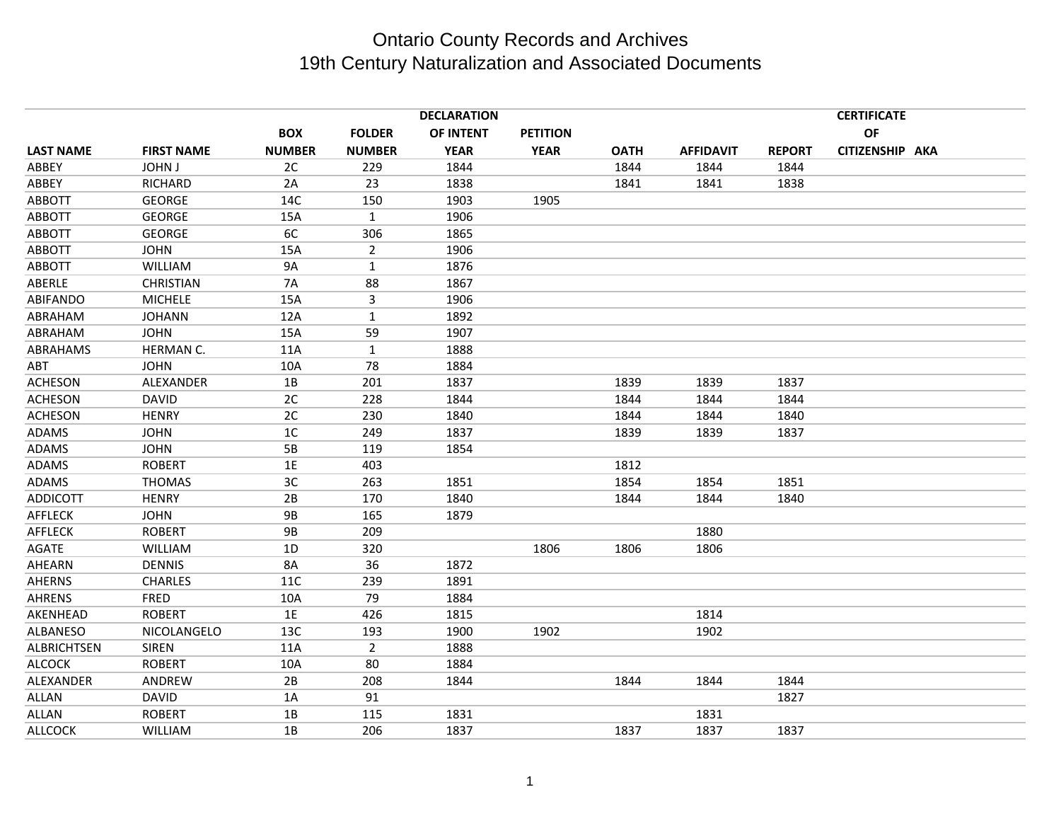|                    |                   |               |                | <b>DECLARATION</b> |                 |             |                  |               | <b>CERTIFICATE</b> |  |
|--------------------|-------------------|---------------|----------------|--------------------|-----------------|-------------|------------------|---------------|--------------------|--|
|                    |                   | <b>BOX</b>    | <b>FOLDER</b>  | OF INTENT          | <b>PETITION</b> |             |                  |               | OF                 |  |
| <b>LAST NAME</b>   | <b>FIRST NAME</b> | <b>NUMBER</b> | <b>NUMBER</b>  | <b>YEAR</b>        | <b>YEAR</b>     | <b>OATH</b> | <b>AFFIDAVIT</b> | <b>REPORT</b> | CITIZENSHIP AKA    |  |
| ABBEY              | <b>JOHN J</b>     | 2C            | 229            | 1844               |                 | 1844        | 1844             | 1844          |                    |  |
| ABBEY              | RICHARD           | 2A            | 23             | 1838               |                 | 1841        | 1841             | 1838          |                    |  |
| <b>ABBOTT</b>      | <b>GEORGE</b>     | 14C           | 150            | 1903               | 1905            |             |                  |               |                    |  |
| ABBOTT             | <b>GEORGE</b>     | 15A           | $\mathbf{1}$   | 1906               |                 |             |                  |               |                    |  |
| <b>ABBOTT</b>      | <b>GEORGE</b>     | 6C            | 306            | 1865               |                 |             |                  |               |                    |  |
| <b>ABBOTT</b>      | <b>JOHN</b>       | 15A           | $\overline{2}$ | 1906               |                 |             |                  |               |                    |  |
| ABBOTT             | WILLIAM           | <b>9A</b>     | $\mathbf{1}$   | 1876               |                 |             |                  |               |                    |  |
| ABERLE             | <b>CHRISTIAN</b>  | <b>7A</b>     | 88             | 1867               |                 |             |                  |               |                    |  |
| ABIFANDO           | <b>MICHELE</b>    | 15A           | 3              | 1906               |                 |             |                  |               |                    |  |
| ABRAHAM            | <b>JOHANN</b>     | 12A           | $\mathbf{1}$   | 1892               |                 |             |                  |               |                    |  |
| ABRAHAM            | <b>JOHN</b>       | 15A           | 59             | 1907               |                 |             |                  |               |                    |  |
| ABRAHAMS           | HERMAN C.         | 11A           | $\mathbf{1}$   | 1888               |                 |             |                  |               |                    |  |
| ABT                | <b>JOHN</b>       | 10A           | 78             | 1884               |                 |             |                  |               |                    |  |
| <b>ACHESON</b>     | ALEXANDER         | 1B            | 201            | 1837               |                 | 1839        | 1839             | 1837          |                    |  |
| <b>ACHESON</b>     | <b>DAVID</b>      | 2C            | 228            | 1844               |                 | 1844        | 1844             | 1844          |                    |  |
| <b>ACHESON</b>     | <b>HENRY</b>      | 2C            | 230            | 1840               |                 | 1844        | 1844             | 1840          |                    |  |
| <b>ADAMS</b>       | <b>JOHN</b>       | 1C            | 249            | 1837               |                 | 1839        | 1839             | 1837          |                    |  |
| <b>ADAMS</b>       | <b>JOHN</b>       | 5B            | 119            | 1854               |                 |             |                  |               |                    |  |
| ADAMS              | <b>ROBERT</b>     | 1E            | 403            |                    |                 | 1812        |                  |               |                    |  |
| ADAMS              | <b>THOMAS</b>     | 3C            | 263            | 1851               |                 | 1854        | 1854             | 1851          |                    |  |
| <b>ADDICOTT</b>    | <b>HENRY</b>      | 2B            | 170            | 1840               |                 | 1844        | 1844             | 1840          |                    |  |
| <b>AFFLECK</b>     | <b>JOHN</b>       | <b>9B</b>     | 165            | 1879               |                 |             |                  |               |                    |  |
| <b>AFFLECK</b>     | <b>ROBERT</b>     | <b>9B</b>     | 209            |                    |                 |             | 1880             |               |                    |  |
| AGATE              | WILLIAM           | 1D            | 320            |                    | 1806            | 1806        | 1806             |               |                    |  |
| AHEARN             | <b>DENNIS</b>     | <b>8A</b>     | 36             | 1872               |                 |             |                  |               |                    |  |
| <b>AHERNS</b>      | <b>CHARLES</b>    | 11C           | 239            | 1891               |                 |             |                  |               |                    |  |
| <b>AHRENS</b>      | FRED              | 10A           | 79             | 1884               |                 |             |                  |               |                    |  |
| AKENHEAD           | <b>ROBERT</b>     | $1E$          | 426            | 1815               |                 |             | 1814             |               |                    |  |
| ALBANESO           | NICOLANGELO       | 13C           | 193            | 1900               | 1902            |             | 1902             |               |                    |  |
| <b>ALBRICHTSEN</b> | <b>SIREN</b>      | 11A           | $\overline{2}$ | 1888               |                 |             |                  |               |                    |  |
| <b>ALCOCK</b>      | <b>ROBERT</b>     | 10A           | 80             | 1884               |                 |             |                  |               |                    |  |
| ALEXANDER          | ANDREW            | 2B            | 208            | 1844               |                 | 1844        | 1844             | 1844          |                    |  |
| ALLAN              | <b>DAVID</b>      | 1A            | 91             |                    |                 |             |                  | 1827          |                    |  |
| ALLAN              | <b>ROBERT</b>     | 1B            | 115            | 1831               |                 |             | 1831             |               |                    |  |
| <b>ALLCOCK</b>     | WILLIAM           | 1B            | 206            | 1837               |                 | 1837        | 1837             | 1837          |                    |  |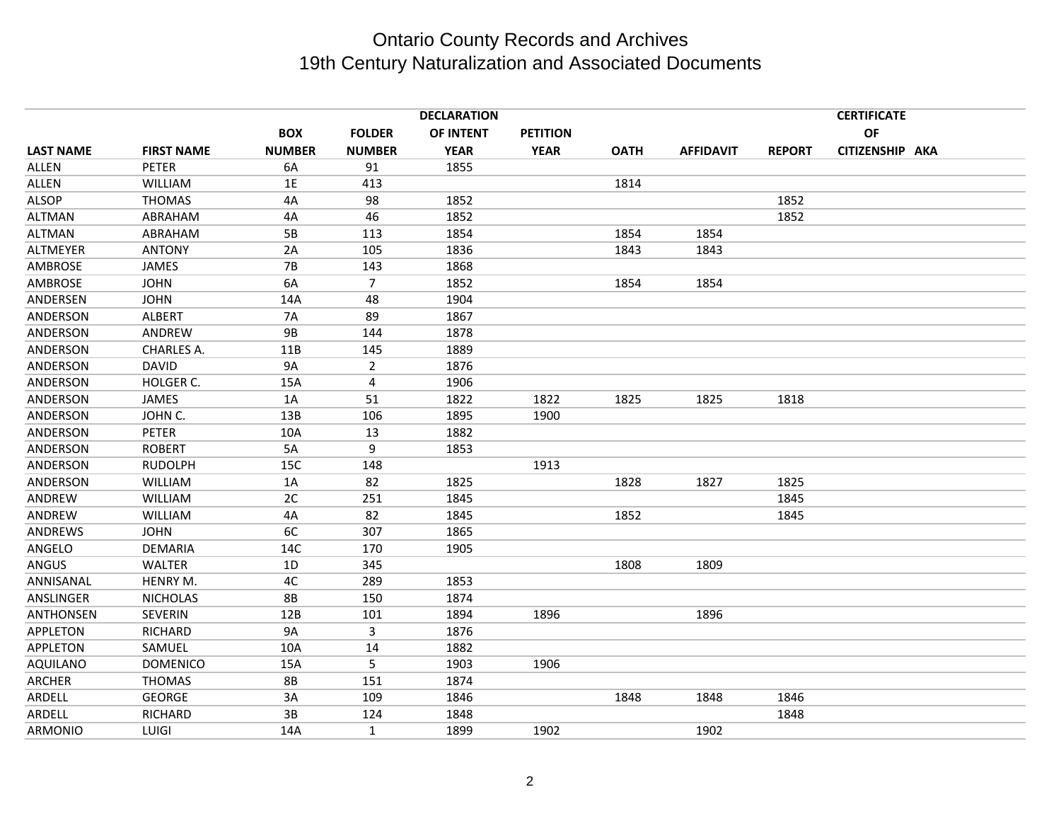|                  |                   |               |                | <b>DECLARATION</b> |                 |             |                  |               | <b>CERTIFICATE</b><br>OF<br>CITIZENSHIP AKA |  |  |
|------------------|-------------------|---------------|----------------|--------------------|-----------------|-------------|------------------|---------------|---------------------------------------------|--|--|
|                  |                   | <b>BOX</b>    | <b>FOLDER</b>  | OF INTENT          | <b>PETITION</b> |             |                  |               |                                             |  |  |
| <b>LAST NAME</b> | <b>FIRST NAME</b> | <b>NUMBER</b> | <b>NUMBER</b>  | <b>YEAR</b>        | <b>YEAR</b>     | <b>OATH</b> | <b>AFFIDAVIT</b> | <b>REPORT</b> |                                             |  |  |
| <b>ALLEN</b>     | <b>PETER</b>      | 6A            | 91             | 1855               |                 |             |                  |               |                                             |  |  |
| ALLEN            | WILLIAM           | 1E            | 413            |                    |                 | 1814        |                  |               |                                             |  |  |
| <b>ALSOP</b>     | <b>THOMAS</b>     | 4A            | 98             | 1852               |                 |             |                  | 1852          |                                             |  |  |
| <b>ALTMAN</b>    | ABRAHAM           | 4A            | 46             | 1852               |                 |             |                  | 1852          |                                             |  |  |
| <b>ALTMAN</b>    | ABRAHAM           | 5B            | 113            | 1854               |                 | 1854        | 1854             |               |                                             |  |  |
| ALTMEYER         | <b>ANTONY</b>     | 2A            | 105            | 1836               |                 | 1843        | 1843             |               |                                             |  |  |
| AMBROSE          | JAMES             | <b>7B</b>     | 143            | 1868               |                 |             |                  |               |                                             |  |  |
| AMBROSE          | <b>JOHN</b>       | 6A            | $\overline{7}$ | 1852               |                 | 1854        | 1854             |               |                                             |  |  |
| ANDERSEN         | <b>JOHN</b>       | 14A           | 48             | 1904               |                 |             |                  |               |                                             |  |  |
| ANDERSON         | <b>ALBERT</b>     | <b>7A</b>     | 89             | 1867               |                 |             |                  |               |                                             |  |  |
| ANDERSON         | ANDREW            | <b>9B</b>     | 144            | 1878               |                 |             |                  |               |                                             |  |  |
| ANDERSON         | CHARLES A.        | 11B           | 145            | 1889               |                 |             |                  |               |                                             |  |  |
| ANDERSON         | <b>DAVID</b>      | 9A            | $\overline{2}$ | 1876               |                 |             |                  |               |                                             |  |  |
| ANDERSON         | HOLGER C.         | 15A           | 4              | 1906               |                 |             |                  |               |                                             |  |  |
| ANDERSON         | JAMES             | 1A            | 51             | 1822               | 1822            | 1825        | 1825             | 1818          |                                             |  |  |
| ANDERSON         | JOHN C.           | 13B           | 106            | 1895               | 1900            |             |                  |               |                                             |  |  |
| ANDERSON         | PETER             | 10A           | 13             | 1882               |                 |             |                  |               |                                             |  |  |
| ANDERSON         | <b>ROBERT</b>     | 5A            | 9              | 1853               |                 |             |                  |               |                                             |  |  |
| ANDERSON         | <b>RUDOLPH</b>    | 15C           | 148            |                    | 1913            |             |                  |               |                                             |  |  |
| ANDERSON         | <b>WILLIAM</b>    | 1A            | 82             | 1825               |                 | 1828        | 1827             | 1825          |                                             |  |  |
| ANDREW           | <b>WILLIAM</b>    | 2C            | 251            | 1845               |                 |             |                  | 1845          |                                             |  |  |
| ANDREW           | <b>WILLIAM</b>    | 4A            | 82             | 1845               |                 | 1852        |                  | 1845          |                                             |  |  |
| ANDREWS          | <b>JOHN</b>       | 6C            | 307            | 1865               |                 |             |                  |               |                                             |  |  |
| ANGELO           | DEMARIA           | 14C           | 170            | 1905               |                 |             |                  |               |                                             |  |  |
| ANGUS            | WALTER            | 1D            | 345            |                    |                 | 1808        | 1809             |               |                                             |  |  |
| ANNISANAL        | HENRY M.          | 4C            | 289            | 1853               |                 |             |                  |               |                                             |  |  |
| ANSLINGER        | <b>NICHOLAS</b>   | <b>8B</b>     | 150            | 1874               |                 |             |                  |               |                                             |  |  |
| ANTHONSEN        | <b>SEVERIN</b>    | 12B           | 101            | 1894               | 1896            |             | 1896             |               |                                             |  |  |
| <b>APPLETON</b>  | <b>RICHARD</b>    | 9A            | 3              | 1876               |                 |             |                  |               |                                             |  |  |
| APPLETON         | SAMUEL            | 10A           | 14             | 1882               |                 |             |                  |               |                                             |  |  |
| <b>AQUILANO</b>  | <b>DOMENICO</b>   | 15A           | 5              | 1903               | 1906            |             |                  |               |                                             |  |  |
| <b>ARCHER</b>    | <b>THOMAS</b>     | <b>8B</b>     | 151            | 1874               |                 |             |                  |               |                                             |  |  |
| ARDELL           | <b>GEORGE</b>     | 3A            | 109            | 1846               |                 | 1848        | 1848             | 1846          |                                             |  |  |
| ARDELL           | RICHARD           | 3B            | 124            | 1848               |                 |             |                  | 1848          |                                             |  |  |
| <b>ARMONIO</b>   | LUIGI             | 14A           | $\mathbf{1}$   | 1899               | 1902            |             | 1902             |               |                                             |  |  |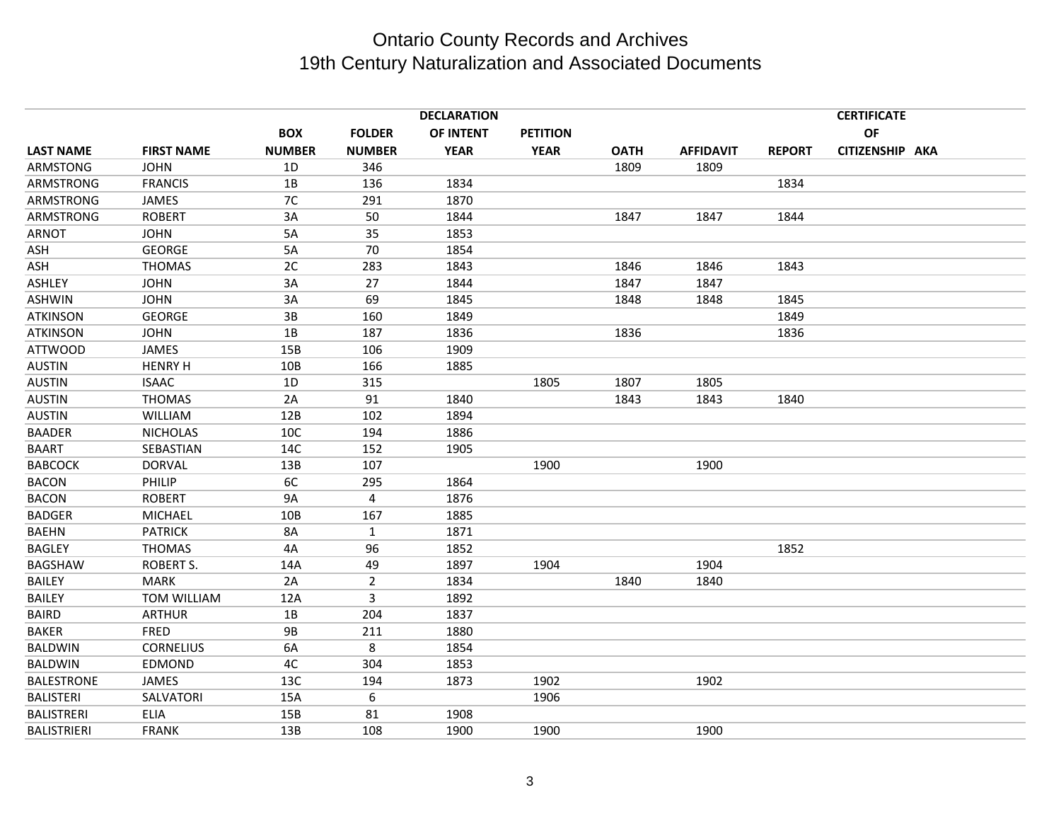|                    |                   |               |                | <b>DECLARATION</b> |                 |             |                  |               | <b>CERTIFICATE</b> |  |
|--------------------|-------------------|---------------|----------------|--------------------|-----------------|-------------|------------------|---------------|--------------------|--|
|                    |                   | <b>BOX</b>    | <b>FOLDER</b>  | <b>OF INTENT</b>   | <b>PETITION</b> |             |                  |               | OF                 |  |
| <b>LAST NAME</b>   | <b>FIRST NAME</b> | <b>NUMBER</b> | <b>NUMBER</b>  | <b>YEAR</b>        | <b>YEAR</b>     | <b>OATH</b> | <b>AFFIDAVIT</b> | <b>REPORT</b> | CITIZENSHIP AKA    |  |
| ARMSTONG           | <b>JOHN</b>       | 1D            | 346            |                    |                 | 1809        | 1809             |               |                    |  |
| ARMSTRONG          | <b>FRANCIS</b>    | 1B            | 136            | 1834               |                 |             |                  | 1834          |                    |  |
| ARMSTRONG          | <b>JAMES</b>      | 7C            | 291            | 1870               |                 |             |                  |               |                    |  |
| ARMSTRONG          | <b>ROBERT</b>     | 3A            | 50             | 1844               |                 | 1847        | 1847             | 1844          |                    |  |
| <b>ARNOT</b>       | <b>JOHN</b>       | 5A            | 35             | 1853               |                 |             |                  |               |                    |  |
| ASH                | <b>GEORGE</b>     | 5A            | 70             | 1854               |                 |             |                  |               |                    |  |
| ASH                | <b>THOMAS</b>     | 2C            | 283            | 1843               |                 | 1846        | 1846             | 1843          |                    |  |
| ASHLEY             | <b>JOHN</b>       | 3A            | 27             | 1844               |                 | 1847        | 1847             |               |                    |  |
| <b>ASHWIN</b>      | <b>JOHN</b>       | 3A            | 69             | 1845               |                 | 1848        | 1848             | 1845          |                    |  |
| <b>ATKINSON</b>    | <b>GEORGE</b>     | 3B            | 160            | 1849               |                 |             |                  | 1849          |                    |  |
| <b>ATKINSON</b>    | <b>JOHN</b>       | 1B            | 187            | 1836               |                 | 1836        |                  | 1836          |                    |  |
| <b>ATTWOOD</b>     | <b>JAMES</b>      | 15B           | 106            | 1909               |                 |             |                  |               |                    |  |
| <b>AUSTIN</b>      | <b>HENRY H</b>    | 10B           | 166            | 1885               |                 |             |                  |               |                    |  |
| <b>AUSTIN</b>      | <b>ISAAC</b>      | 1D            | 315            |                    | 1805            | 1807        | 1805             |               |                    |  |
| <b>AUSTIN</b>      | <b>THOMAS</b>     | 2A            | 91             | 1840               |                 | 1843        | 1843             | 1840          |                    |  |
| <b>AUSTIN</b>      | <b>WILLIAM</b>    | 12B           | 102            | 1894               |                 |             |                  |               |                    |  |
| <b>BAADER</b>      | <b>NICHOLAS</b>   | 10C           | 194            | 1886               |                 |             |                  |               |                    |  |
| <b>BAART</b>       | SEBASTIAN         | 14C           | 152            | 1905               |                 |             |                  |               |                    |  |
| <b>BABCOCK</b>     | <b>DORVAL</b>     | 13B           | 107            |                    | 1900            |             | 1900             |               |                    |  |
| <b>BACON</b>       | PHILIP            | 6C            | 295            | 1864               |                 |             |                  |               |                    |  |
| <b>BACON</b>       | <b>ROBERT</b>     | 9A            | 4              | 1876               |                 |             |                  |               |                    |  |
| <b>BADGER</b>      | <b>MICHAEL</b>    | 10B           | 167            | 1885               |                 |             |                  |               |                    |  |
| <b>BAEHN</b>       | <b>PATRICK</b>    | 8A            | $\mathbf{1}$   | 1871               |                 |             |                  |               |                    |  |
| <b>BAGLEY</b>      | <b>THOMAS</b>     | 4A            | 96             | 1852               |                 |             |                  | 1852          |                    |  |
| <b>BAGSHAW</b>     | <b>ROBERT S.</b>  | 14A           | 49             | 1897               | 1904            |             | 1904             |               |                    |  |
| <b>BAILEY</b>      | <b>MARK</b>       | 2A            | $\overline{2}$ | 1834               |                 | 1840        | 1840             |               |                    |  |
| <b>BAILEY</b>      | TOM WILLIAM       | 12A           | 3              | 1892               |                 |             |                  |               |                    |  |
| <b>BAIRD</b>       | <b>ARTHUR</b>     | 1B            | 204            | 1837               |                 |             |                  |               |                    |  |
| <b>BAKER</b>       | <b>FRED</b>       | <b>9B</b>     | 211            | 1880               |                 |             |                  |               |                    |  |
| <b>BALDWIN</b>     | <b>CORNELIUS</b>  | 6A            | 8              | 1854               |                 |             |                  |               |                    |  |
| <b>BALDWIN</b>     | EDMOND            | 4C            | 304            | 1853               |                 |             |                  |               |                    |  |
| <b>BALESTRONE</b>  | <b>JAMES</b>      | 13C           | 194            | 1873               | 1902            |             | 1902             |               |                    |  |
| <b>BALISTERI</b>   | SALVATORI         | 15A           | 6              |                    | 1906            |             |                  |               |                    |  |
| <b>BALISTRERI</b>  | ELIA              | 15B           | 81             | 1908               |                 |             |                  |               |                    |  |
| <b>BALISTRIERI</b> | <b>FRANK</b>      | 13B           | 108            | 1900               | 1900            |             | 1900             |               |                    |  |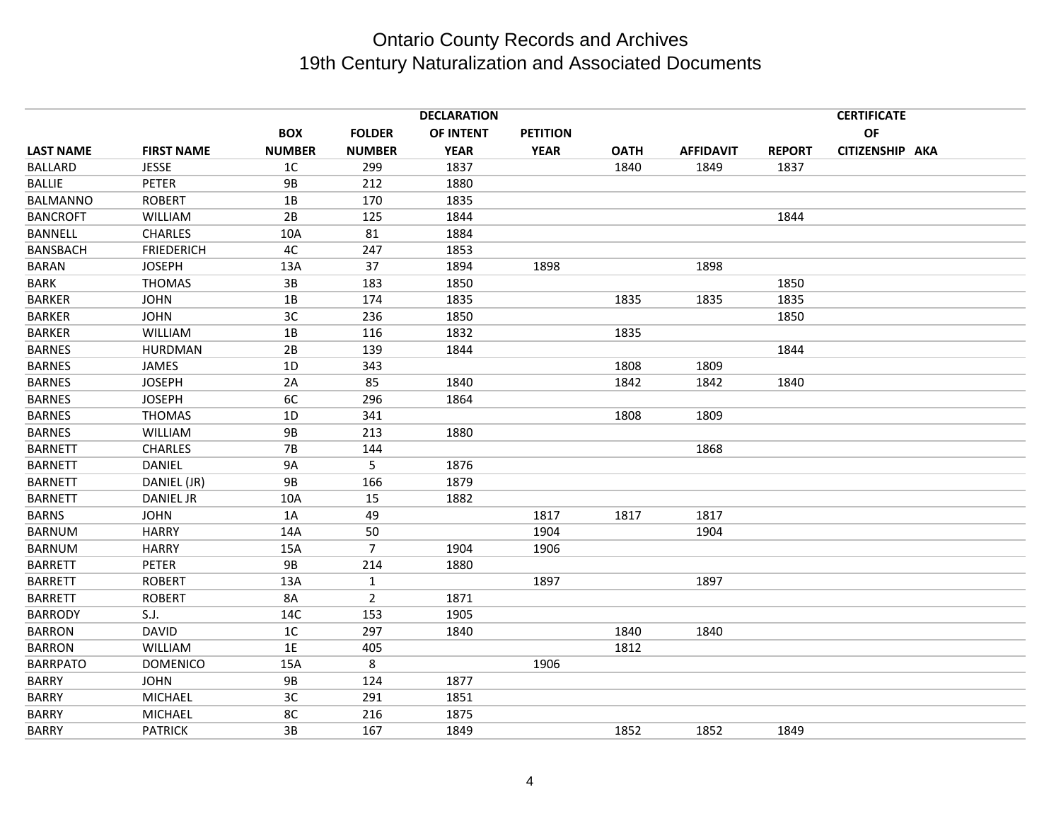|                  |                   |                |                | <b>DECLARATION</b> |                 |             |                  |               | <b>CERTIFICATE</b> |  |
|------------------|-------------------|----------------|----------------|--------------------|-----------------|-------------|------------------|---------------|--------------------|--|
|                  |                   | <b>BOX</b>     | <b>FOLDER</b>  | OF INTENT          | <b>PETITION</b> |             |                  |               | OF                 |  |
| <b>LAST NAME</b> | <b>FIRST NAME</b> | <b>NUMBER</b>  | <b>NUMBER</b>  | <b>YEAR</b>        | <b>YEAR</b>     | <b>OATH</b> | <b>AFFIDAVIT</b> | <b>REPORT</b> | CITIZENSHIP AKA    |  |
| <b>BALLARD</b>   | <b>JESSE</b>      | 1C             | 299            | 1837               |                 | 1840        | 1849             | 1837          |                    |  |
| <b>BALLIE</b>    | PETER             | <b>9B</b>      | 212            | 1880               |                 |             |                  |               |                    |  |
| <b>BALMANNO</b>  | <b>ROBERT</b>     | 1B             | 170            | 1835               |                 |             |                  |               |                    |  |
| <b>BANCROFT</b>  | <b>WILLIAM</b>    | 2B             | 125            | 1844               |                 |             |                  | 1844          |                    |  |
| <b>BANNELL</b>   | <b>CHARLES</b>    | 10A            | 81             | 1884               |                 |             |                  |               |                    |  |
| <b>BANSBACH</b>  | <b>FRIEDERICH</b> | 4C             | 247            | 1853               |                 |             |                  |               |                    |  |
| <b>BARAN</b>     | <b>JOSEPH</b>     | 13A            | 37             | 1894               | 1898            |             | 1898             |               |                    |  |
| <b>BARK</b>      | <b>THOMAS</b>     | 3B             | 183            | 1850               |                 |             |                  | 1850          |                    |  |
| <b>BARKER</b>    | <b>JOHN</b>       | 1B             | 174            | 1835               |                 | 1835        | 1835             | 1835          |                    |  |
| <b>BARKER</b>    | <b>JOHN</b>       | 3C             | 236            | 1850               |                 |             |                  | 1850          |                    |  |
| <b>BARKER</b>    | <b>WILLIAM</b>    | 1B             | 116            | 1832               |                 | 1835        |                  |               |                    |  |
| <b>BARNES</b>    | HURDMAN           | 2B             | 139            | 1844               |                 |             |                  | 1844          |                    |  |
| <b>BARNES</b>    | <b>JAMES</b>      | 1D             | 343            |                    |                 | 1808        | 1809             |               |                    |  |
| <b>BARNES</b>    | <b>JOSEPH</b>     | 2A             | 85             | 1840               |                 | 1842        | 1842             | 1840          |                    |  |
| <b>BARNES</b>    | <b>JOSEPH</b>     | 6C             | 296            | 1864               |                 |             |                  |               |                    |  |
| <b>BARNES</b>    | <b>THOMAS</b>     | 1D             | 341            |                    |                 | 1808        | 1809             |               |                    |  |
| <b>BARNES</b>    | <b>WILLIAM</b>    | <b>9B</b>      | 213            | 1880               |                 |             |                  |               |                    |  |
| <b>BARNETT</b>   | <b>CHARLES</b>    | <b>7B</b>      | 144            |                    |                 |             | 1868             |               |                    |  |
| <b>BARNETT</b>   | <b>DANIEL</b>     | <b>9A</b>      | 5              | 1876               |                 |             |                  |               |                    |  |
| <b>BARNETT</b>   | DANIEL (JR)       | <b>9B</b>      | 166            | 1879               |                 |             |                  |               |                    |  |
| <b>BARNETT</b>   | <b>DANIEL JR</b>  | 10A            | 15             | 1882               |                 |             |                  |               |                    |  |
| <b>BARNS</b>     | <b>JOHN</b>       | 1A             | 49             |                    | 1817            | 1817        | 1817             |               |                    |  |
| <b>BARNUM</b>    | <b>HARRY</b>      | 14A            | 50             |                    | 1904            |             | 1904             |               |                    |  |
| <b>BARNUM</b>    | <b>HARRY</b>      | 15A            | $\overline{7}$ | 1904               | 1906            |             |                  |               |                    |  |
| <b>BARRETT</b>   | <b>PETER</b>      | 9B             | 214            | 1880               |                 |             |                  |               |                    |  |
| <b>BARRETT</b>   | <b>ROBERT</b>     | 13A            | 1              |                    | 1897            |             | 1897             |               |                    |  |
| <b>BARRETT</b>   | <b>ROBERT</b>     | 8A             | $\overline{2}$ | 1871               |                 |             |                  |               |                    |  |
| <b>BARRODY</b>   | S.J.              | 14C            | 153            | 1905               |                 |             |                  |               |                    |  |
| <b>BARRON</b>    | <b>DAVID</b>      | 1 <sup>C</sup> | 297            | 1840               |                 | 1840        | 1840             |               |                    |  |
| <b>BARRON</b>    | <b>WILLIAM</b>    | 1E             | 405            |                    |                 | 1812        |                  |               |                    |  |
| <b>BARRPATO</b>  | <b>DOMENICO</b>   | 15A            | 8              |                    | 1906            |             |                  |               |                    |  |
| <b>BARRY</b>     | <b>JOHN</b>       | <b>9B</b>      | 124            | 1877               |                 |             |                  |               |                    |  |
| <b>BARRY</b>     | <b>MICHAEL</b>    | 3C             | 291            | 1851               |                 |             |                  |               |                    |  |
| <b>BARRY</b>     | <b>MICHAEL</b>    | 8C             | 216            | 1875               |                 |             |                  |               |                    |  |
| <b>BARRY</b>     | <b>PATRICK</b>    | 3B             | 167            | 1849               |                 | 1852        | 1852             | 1849          |                    |  |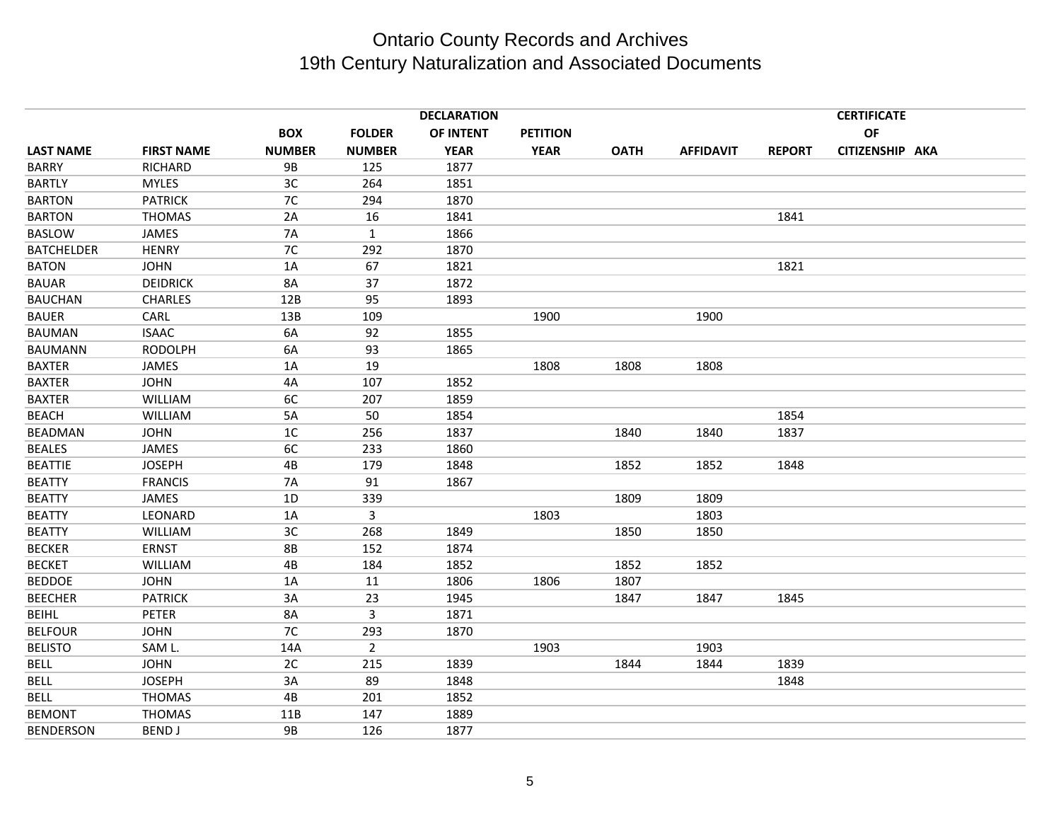|                   |                   |               |                | <b>DECLARATION</b> |                 |             |                  |               | <b>CERTIFICATE</b> |  |
|-------------------|-------------------|---------------|----------------|--------------------|-----------------|-------------|------------------|---------------|--------------------|--|
|                   |                   | <b>BOX</b>    | <b>FOLDER</b>  | OF INTENT          | <b>PETITION</b> |             |                  |               | OF                 |  |
| <b>LAST NAME</b>  | <b>FIRST NAME</b> | <b>NUMBER</b> | <b>NUMBER</b>  | <b>YEAR</b>        | <b>YEAR</b>     | <b>OATH</b> | <b>AFFIDAVIT</b> | <b>REPORT</b> | CITIZENSHIP AKA    |  |
| <b>BARRY</b>      | RICHARD           | <b>9B</b>     | 125            | 1877               |                 |             |                  |               |                    |  |
| <b>BARTLY</b>     | <b>MYLES</b>      | 3C            | 264            | 1851               |                 |             |                  |               |                    |  |
| <b>BARTON</b>     | <b>PATRICK</b>    | 7C            | 294            | 1870               |                 |             |                  |               |                    |  |
| <b>BARTON</b>     | <b>THOMAS</b>     | 2A            | 16             | 1841               |                 |             |                  | 1841          |                    |  |
| <b>BASLOW</b>     | JAMES             | 7A            | $\mathbf{1}$   | 1866               |                 |             |                  |               |                    |  |
| <b>BATCHELDER</b> | <b>HENRY</b>      | 7C            | 292            | 1870               |                 |             |                  |               |                    |  |
| <b>BATON</b>      | <b>JOHN</b>       | 1A            | 67             | 1821               |                 |             |                  | 1821          |                    |  |
| <b>BAUAR</b>      | <b>DEIDRICK</b>   | <b>8A</b>     | 37             | 1872               |                 |             |                  |               |                    |  |
| <b>BAUCHAN</b>    | <b>CHARLES</b>    | 12B           | 95             | 1893               |                 |             |                  |               |                    |  |
| <b>BAUER</b>      | CARL              | 13B           | 109            |                    | 1900            |             | 1900             |               |                    |  |
| <b>BAUMAN</b>     | <b>ISAAC</b>      | 6A            | 92             | 1855               |                 |             |                  |               |                    |  |
| <b>BAUMANN</b>    | <b>RODOLPH</b>    | 6A            | 93             | 1865               |                 |             |                  |               |                    |  |
| <b>BAXTER</b>     | JAMES             | 1A            | 19             |                    | 1808            | 1808        | 1808             |               |                    |  |
| <b>BAXTER</b>     | <b>JOHN</b>       | 4A            | 107            | 1852               |                 |             |                  |               |                    |  |
| <b>BAXTER</b>     | <b>WILLIAM</b>    | 6C            | 207            | 1859               |                 |             |                  |               |                    |  |
| <b>BEACH</b>      | <b>WILLIAM</b>    | 5A            | 50             | 1854               |                 |             |                  | 1854          |                    |  |
| BEADMAN           | <b>JOHN</b>       | 1C            | 256            | 1837               |                 | 1840        | 1840             | 1837          |                    |  |
| <b>BEALES</b>     | JAMES             | 6C            | 233            | 1860               |                 |             |                  |               |                    |  |
| <b>BEATTIE</b>    | <b>JOSEPH</b>     | 4B            | 179            | 1848               |                 | 1852        | 1852             | 1848          |                    |  |
| <b>BEATTY</b>     | <b>FRANCIS</b>    | 7A            | 91             | 1867               |                 |             |                  |               |                    |  |
| <b>BEATTY</b>     | JAMES             | 1D            | 339            |                    |                 | 1809        | 1809             |               |                    |  |
| <b>BEATTY</b>     | LEONARD           | 1A            | $\mathsf{3}$   |                    | 1803            |             | 1803             |               |                    |  |
| <b>BEATTY</b>     | WILLIAM           | 3C            | 268            | 1849               |                 | 1850        | 1850             |               |                    |  |
| <b>BECKER</b>     | <b>ERNST</b>      | <b>8B</b>     | 152            | 1874               |                 |             |                  |               |                    |  |
| <b>BECKET</b>     | WILLIAM           | 4B            | 184            | 1852               |                 | 1852        | 1852             |               |                    |  |
| <b>BEDDOE</b>     | <b>JOHN</b>       | 1A            | 11             | 1806               | 1806            | 1807        |                  |               |                    |  |
| <b>BEECHER</b>    | <b>PATRICK</b>    | 3A            | 23             | 1945               |                 | 1847        | 1847             | 1845          |                    |  |
| <b>BEIHL</b>      | PETER             | 8A            | 3              | 1871               |                 |             |                  |               |                    |  |
| <b>BELFOUR</b>    | <b>JOHN</b>       | 7C            | 293            | 1870               |                 |             |                  |               |                    |  |
| <b>BELISTO</b>    | SAM L.            | 14A           | $\overline{2}$ |                    | 1903            |             | 1903             |               |                    |  |
| <b>BELL</b>       | <b>JOHN</b>       | 2C            | 215            | 1839               |                 | 1844        | 1844             | 1839          |                    |  |
| <b>BELL</b>       | <b>JOSEPH</b>     | 3A            | 89             | 1848               |                 |             |                  | 1848          |                    |  |
| BELL              | <b>THOMAS</b>     | 4B            | 201            | 1852               |                 |             |                  |               |                    |  |
| <b>BEMONT</b>     | <b>THOMAS</b>     | 11B           | 147            | 1889               |                 |             |                  |               |                    |  |
| <b>BENDERSON</b>  | <b>BEND J</b>     | <b>9B</b>     | 126            | 1877               |                 |             |                  |               |                    |  |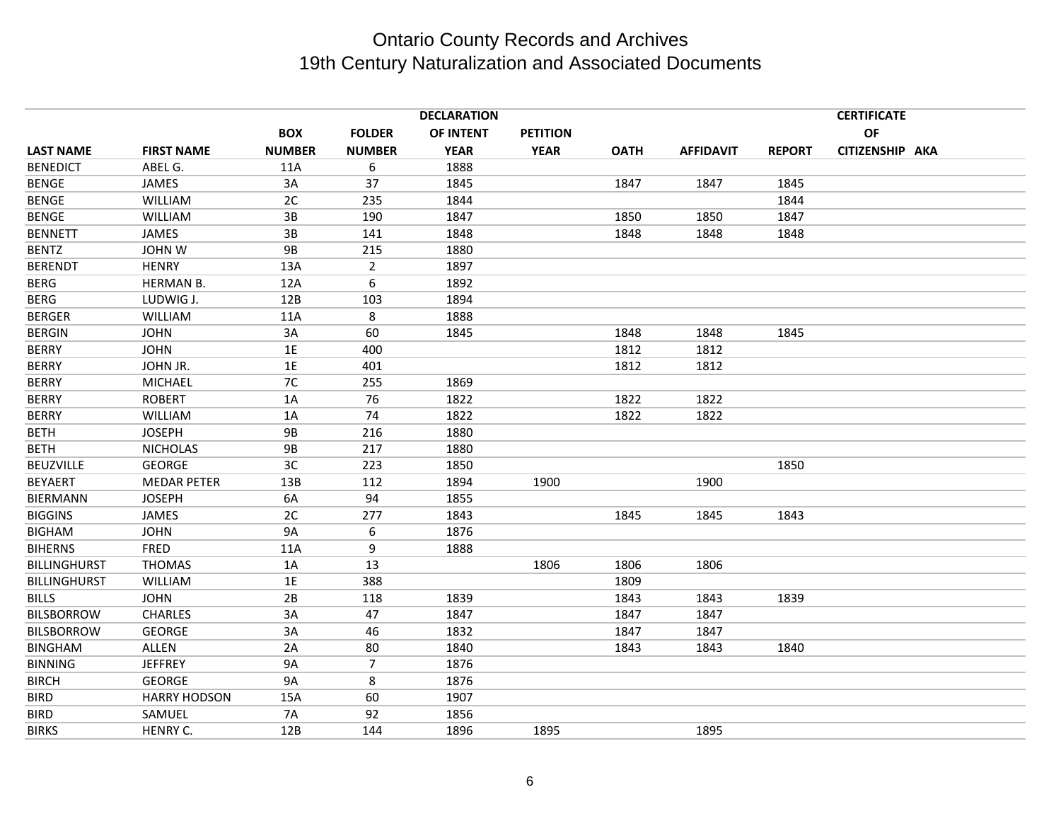|                     |                     |               |                | <b>DECLARATION</b> |                 |             |                  |               | <b>CERTIFICATE</b> |  |
|---------------------|---------------------|---------------|----------------|--------------------|-----------------|-------------|------------------|---------------|--------------------|--|
|                     |                     | <b>BOX</b>    | <b>FOLDER</b>  | OF INTENT          | <b>PETITION</b> |             |                  |               | OF                 |  |
| <b>LAST NAME</b>    | <b>FIRST NAME</b>   | <b>NUMBER</b> | <b>NUMBER</b>  | <b>YEAR</b>        | <b>YEAR</b>     | <b>OATH</b> | <b>AFFIDAVIT</b> | <b>REPORT</b> | CITIZENSHIP AKA    |  |
| <b>BENEDICT</b>     | ABEL G.             | 11A           | 6              | 1888               |                 |             |                  |               |                    |  |
| <b>BENGE</b>        | <b>JAMES</b>        | 3A            | 37             | 1845               |                 | 1847        | 1847             | 1845          |                    |  |
| <b>BENGE</b>        | WILLIAM             | 2C            | 235            | 1844               |                 |             |                  | 1844          |                    |  |
| <b>BENGE</b>        | <b>WILLIAM</b>      | 3B            | 190            | 1847               |                 | 1850        | 1850             | 1847          |                    |  |
| <b>BENNETT</b>      | <b>JAMES</b>        | 3B            | 141            | 1848               |                 | 1848        | 1848             | 1848          |                    |  |
| <b>BENTZ</b>        | <b>JOHN W</b>       | <b>9B</b>     | 215            | 1880               |                 |             |                  |               |                    |  |
| <b>BERENDT</b>      | <b>HENRY</b>        | 13A           | $\overline{2}$ | 1897               |                 |             |                  |               |                    |  |
| <b>BERG</b>         | <b>HERMAN B.</b>    | 12A           | 6              | 1892               |                 |             |                  |               |                    |  |
| <b>BERG</b>         | LUDWIG J.           | 12B           | 103            | 1894               |                 |             |                  |               |                    |  |
| <b>BERGER</b>       | <b>WILLIAM</b>      | 11A           | 8              | 1888               |                 |             |                  |               |                    |  |
| <b>BERGIN</b>       | <b>JOHN</b>         | 3A            | 60             | 1845               |                 | 1848        | 1848             | 1845          |                    |  |
| <b>BERRY</b>        | <b>JOHN</b>         | 1E            | 400            |                    |                 | 1812        | 1812             |               |                    |  |
| <b>BERRY</b>        | JOHN JR.            | 1E            | 401            |                    |                 | 1812        | 1812             |               |                    |  |
| <b>BERRY</b>        | MICHAEL             | 7C            | 255            | 1869               |                 |             |                  |               |                    |  |
| <b>BERRY</b>        | <b>ROBERT</b>       | 1A            | 76             | 1822               |                 | 1822        | 1822             |               |                    |  |
| <b>BERRY</b>        | <b>WILLIAM</b>      | 1A            | 74             | 1822               |                 | 1822        | 1822             |               |                    |  |
| <b>BETH</b>         | <b>JOSEPH</b>       | <b>9B</b>     | 216            | 1880               |                 |             |                  |               |                    |  |
| BETH                | <b>NICHOLAS</b>     | 9B            | 217            | 1880               |                 |             |                  |               |                    |  |
| <b>BEUZVILLE</b>    | <b>GEORGE</b>       | 3C            | 223            | 1850               |                 |             |                  | 1850          |                    |  |
| <b>BEYAERT</b>      | <b>MEDAR PETER</b>  | 13B           | 112            | 1894               | 1900            |             | 1900             |               |                    |  |
| <b>BIERMANN</b>     | <b>JOSEPH</b>       | 6A            | 94             | 1855               |                 |             |                  |               |                    |  |
| <b>BIGGINS</b>      | <b>JAMES</b>        | 2C            | 277            | 1843               |                 | 1845        | 1845             | 1843          |                    |  |
| <b>BIGHAM</b>       | <b>JOHN</b>         | 9A            | 6              | 1876               |                 |             |                  |               |                    |  |
| <b>BIHERNS</b>      | <b>FRED</b>         | 11A           | 9              | 1888               |                 |             |                  |               |                    |  |
| <b>BILLINGHURST</b> | <b>THOMAS</b>       | 1A            | 13             |                    | 1806            | 1806        | 1806             |               |                    |  |
| <b>BILLINGHURST</b> | <b>WILLIAM</b>      | 1E            | 388            |                    |                 | 1809        |                  |               |                    |  |
| <b>BILLS</b>        | <b>JOHN</b>         | 2B            | 118            | 1839               |                 | 1843        | 1843             | 1839          |                    |  |
| <b>BILSBORROW</b>   | <b>CHARLES</b>      | 3A            | 47             | 1847               |                 | 1847        | 1847             |               |                    |  |
| <b>BILSBORROW</b>   | <b>GEORGE</b>       | 3A            | 46             | 1832               |                 | 1847        | 1847             |               |                    |  |
| <b>BINGHAM</b>      | ALLEN               | 2A            | 80             | 1840               |                 | 1843        | 1843             | 1840          |                    |  |
| <b>BINNING</b>      | <b>JEFFREY</b>      | 9A            | $\overline{7}$ | 1876               |                 |             |                  |               |                    |  |
| <b>BIRCH</b>        | <b>GEORGE</b>       | <b>9A</b>     | 8              | 1876               |                 |             |                  |               |                    |  |
| <b>BIRD</b>         | <b>HARRY HODSON</b> | 15A           | 60             | 1907               |                 |             |                  |               |                    |  |
| <b>BIRD</b>         | SAMUEL              | 7A            | 92             | 1856               |                 |             |                  |               |                    |  |
| <b>BIRKS</b>        | HENRY C.            | 12B           | 144            | 1896               | 1895            |             | 1895             |               |                    |  |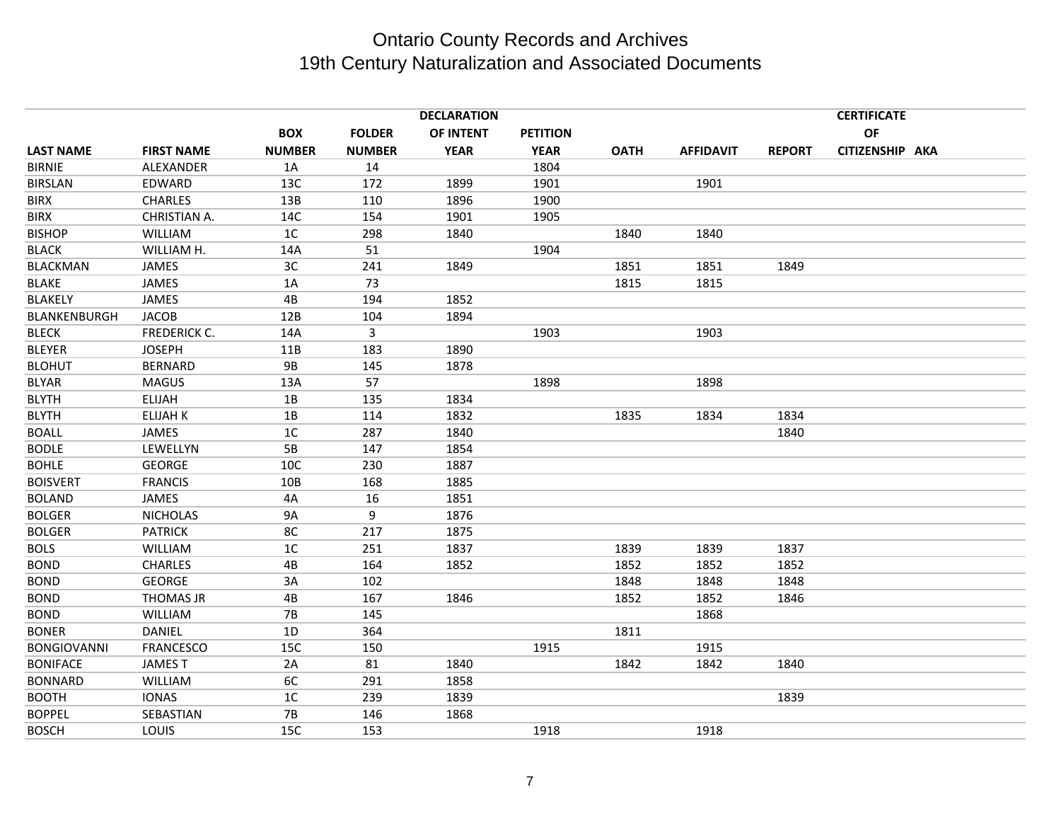|                    |                   |                |               | <b>DECLARATION</b> |                 |             |                  |               | <b>CERTIFICATE</b> |  |
|--------------------|-------------------|----------------|---------------|--------------------|-----------------|-------------|------------------|---------------|--------------------|--|
|                    |                   | <b>BOX</b>     | <b>FOLDER</b> | OF INTENT          | <b>PETITION</b> |             |                  |               | OF                 |  |
| <b>LAST NAME</b>   | <b>FIRST NAME</b> | <b>NUMBER</b>  | <b>NUMBER</b> | <b>YEAR</b>        | <b>YEAR</b>     | <b>OATH</b> | <b>AFFIDAVIT</b> | <b>REPORT</b> | CITIZENSHIP AKA    |  |
| <b>BIRNIE</b>      | ALEXANDER         | 1A             | 14            |                    | 1804            |             |                  |               |                    |  |
| BIRSLAN            | EDWARD            | 13C            | 172           | 1899               | 1901            |             | 1901             |               |                    |  |
| <b>BIRX</b>        | <b>CHARLES</b>    | 13B            | 110           | 1896               | 1900            |             |                  |               |                    |  |
| <b>BIRX</b>        | CHRISTIAN A.      | 14C            | 154           | 1901               | 1905            |             |                  |               |                    |  |
| <b>BISHOP</b>      | WILLIAM           | 1 <sup>C</sup> | 298           | 1840               |                 | 1840        | 1840             |               |                    |  |
| <b>BLACK</b>       | WILLIAM H.        | 14A            | 51            |                    | 1904            |             |                  |               |                    |  |
| <b>BLACKMAN</b>    | JAMES             | 3C             | 241           | 1849               |                 | 1851        | 1851             | 1849          |                    |  |
| <b>BLAKE</b>       | JAMES             | 1A             | 73            |                    |                 | 1815        | 1815             |               |                    |  |
| <b>BLAKELY</b>     | <b>JAMES</b>      | 4B             | 194           | 1852               |                 |             |                  |               |                    |  |
| BLANKENBURGH       | <b>JACOB</b>      | 12B            | 104           | 1894               |                 |             |                  |               |                    |  |
| <b>BLECK</b>       | FREDERICK C.      | 14A            | 3             |                    | 1903            |             | 1903             |               |                    |  |
| <b>BLEYER</b>      | <b>JOSEPH</b>     | 11B            | 183           | 1890               |                 |             |                  |               |                    |  |
| <b>BLOHUT</b>      | <b>BERNARD</b>    | <b>9B</b>      | 145           | 1878               |                 |             |                  |               |                    |  |
| <b>BLYAR</b>       | <b>MAGUS</b>      | 13A            | 57            |                    | 1898            |             | 1898             |               |                    |  |
| <b>BLYTH</b>       | <b>ELIJAH</b>     | 1B             | 135           | 1834               |                 |             |                  |               |                    |  |
| <b>BLYTH</b>       | <b>ELIJAH K</b>   | 1B             | 114           | 1832               |                 | 1835        | 1834             | 1834          |                    |  |
| <b>BOALL</b>       | <b>JAMES</b>      | 1 <sup>C</sup> | 287           | 1840               |                 |             |                  | 1840          |                    |  |
| <b>BODLE</b>       | LEWELLYN          | 5B             | 147           | 1854               |                 |             |                  |               |                    |  |
| <b>BOHLE</b>       | <b>GEORGE</b>     | 10C            | 230           | 1887               |                 |             |                  |               |                    |  |
| <b>BOISVERT</b>    | <b>FRANCIS</b>    | 10B            | 168           | 1885               |                 |             |                  |               |                    |  |
| <b>BOLAND</b>      | JAMES             | 4A             | 16            | 1851               |                 |             |                  |               |                    |  |
| <b>BOLGER</b>      | <b>NICHOLAS</b>   | <b>9A</b>      | 9             | 1876               |                 |             |                  |               |                    |  |
| <b>BOLGER</b>      | <b>PATRICK</b>    | 8C             | 217           | 1875               |                 |             |                  |               |                    |  |
| <b>BOLS</b>        | WILLIAM           | 1 <sup>C</sup> | 251           | 1837               |                 | 1839        | 1839             | 1837          |                    |  |
| <b>BOND</b>        | <b>CHARLES</b>    | 4B             | 164           | 1852               |                 | 1852        | 1852             | 1852          |                    |  |
| <b>BOND</b>        | <b>GEORGE</b>     | 3A             | 102           |                    |                 | 1848        | 1848             | 1848          |                    |  |
| <b>BOND</b>        | <b>THOMAS JR</b>  | 4B             | 167           | 1846               |                 | 1852        | 1852             | 1846          |                    |  |
| <b>BOND</b>        | WILLIAM           | <b>7B</b>      | 145           |                    |                 |             | 1868             |               |                    |  |
| <b>BONER</b>       | DANIEL            | 1D             | 364           |                    |                 | 1811        |                  |               |                    |  |
| <b>BONGIOVANNI</b> | <b>FRANCESCO</b>  | 15C            | 150           |                    | 1915            |             | 1915             |               |                    |  |
| <b>BONIFACE</b>    | <b>JAMEST</b>     | 2A             | 81            | 1840               |                 | 1842        | 1842             | 1840          |                    |  |
| <b>BONNARD</b>     | WILLIAM           | 6C             | 291           | 1858               |                 |             |                  |               |                    |  |
| <b>BOOTH</b>       | <b>IONAS</b>      | 1 <sup>C</sup> | 239           | 1839               |                 |             |                  | 1839          |                    |  |
| <b>BOPPEL</b>      | SEBASTIAN         | <b>7B</b>      | 146           | 1868               |                 |             |                  |               |                    |  |
| <b>BOSCH</b>       | LOUIS             | 15C            | 153           |                    | 1918            |             | 1918             |               |                    |  |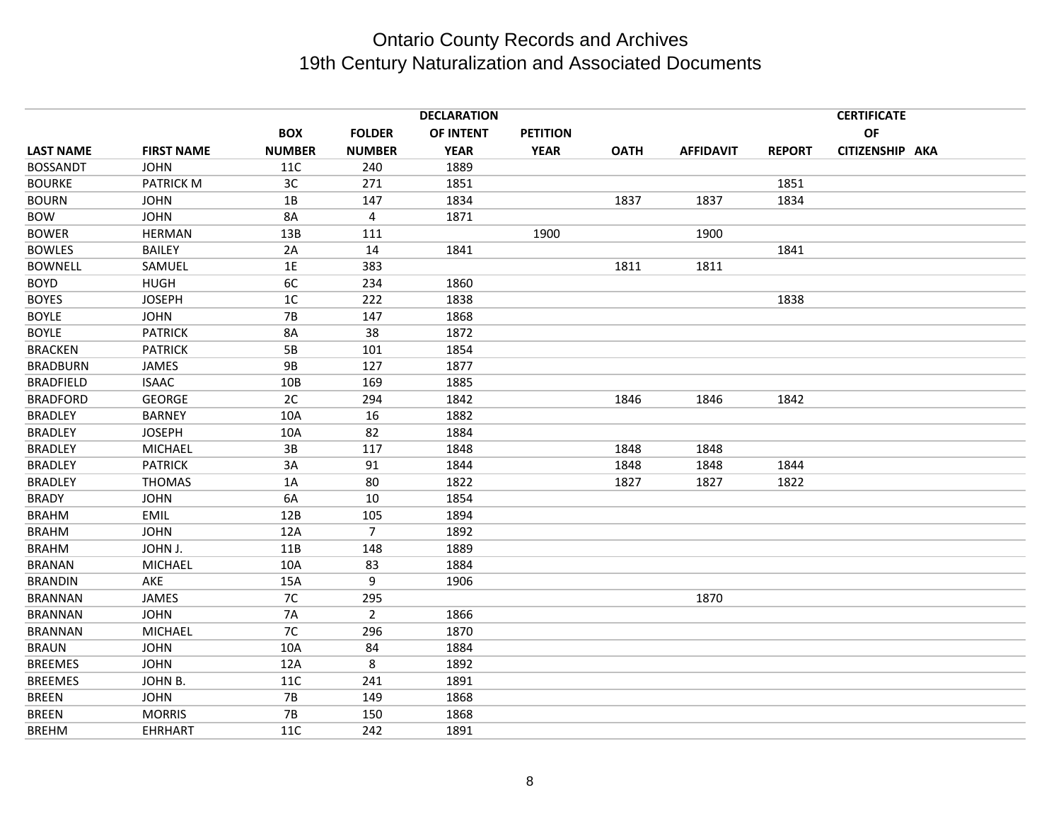|                  |                   |                |                | <b>DECLARATION</b> |                 |             |                  |      | <b>CERTIFICATE</b><br><b>OF</b><br>CITIZENSHIP AKA<br><b>REPORT</b> |  |  |
|------------------|-------------------|----------------|----------------|--------------------|-----------------|-------------|------------------|------|---------------------------------------------------------------------|--|--|
|                  |                   | <b>BOX</b>     | <b>FOLDER</b>  | <b>OF INTENT</b>   | <b>PETITION</b> |             |                  |      |                                                                     |  |  |
| <b>LAST NAME</b> | <b>FIRST NAME</b> | <b>NUMBER</b>  | <b>NUMBER</b>  | <b>YEAR</b>        | <b>YEAR</b>     | <b>OATH</b> | <b>AFFIDAVIT</b> |      |                                                                     |  |  |
| <b>BOSSANDT</b>  | <b>JOHN</b>       | 11C            | 240            | 1889               |                 |             |                  |      |                                                                     |  |  |
| <b>BOURKE</b>    | <b>PATRICK M</b>  | 3C             | 271            | 1851               |                 |             |                  | 1851 |                                                                     |  |  |
| <b>BOURN</b>     | <b>JOHN</b>       | 1B             | 147            | 1834               |                 | 1837        | 1837             | 1834 |                                                                     |  |  |
| <b>BOW</b>       | <b>JOHN</b>       | <b>8A</b>      | 4              | 1871               |                 |             |                  |      |                                                                     |  |  |
| <b>BOWER</b>     | <b>HERMAN</b>     | 13B            | 111            |                    | 1900            |             | 1900             |      |                                                                     |  |  |
| <b>BOWLES</b>    | <b>BAILEY</b>     | 2A             | 14             | 1841               |                 |             |                  | 1841 |                                                                     |  |  |
| <b>BOWNELL</b>   | SAMUEL            | 1E             | 383            |                    |                 | 1811        | 1811             |      |                                                                     |  |  |
| <b>BOYD</b>      | <b>HUGH</b>       | 6C             | 234            | 1860               |                 |             |                  |      |                                                                     |  |  |
| <b>BOYES</b>     | <b>JOSEPH</b>     | 1 <sup>C</sup> | 222            | 1838               |                 |             |                  | 1838 |                                                                     |  |  |
| <b>BOYLE</b>     | <b>JOHN</b>       | <b>7B</b>      | 147            | 1868               |                 |             |                  |      |                                                                     |  |  |
| <b>BOYLE</b>     | <b>PATRICK</b>    | <b>8A</b>      | 38             | 1872               |                 |             |                  |      |                                                                     |  |  |
| <b>BRACKEN</b>   | <b>PATRICK</b>    | 5B             | 101            | 1854               |                 |             |                  |      |                                                                     |  |  |
| <b>BRADBURN</b>  | <b>JAMES</b>      | <b>9B</b>      | 127            | 1877               |                 |             |                  |      |                                                                     |  |  |
| <b>BRADFIELD</b> | <b>ISAAC</b>      | 10B            | 169            | 1885               |                 |             |                  |      |                                                                     |  |  |
| <b>BRADFORD</b>  | <b>GEORGE</b>     | 2C             | 294            | 1842               |                 | 1846        | 1846             | 1842 |                                                                     |  |  |
| <b>BRADLEY</b>   | <b>BARNEY</b>     | 10A            | 16             | 1882               |                 |             |                  |      |                                                                     |  |  |
| <b>BRADLEY</b>   | <b>JOSEPH</b>     | 10A            | 82             | 1884               |                 |             |                  |      |                                                                     |  |  |
| <b>BRADLEY</b>   | <b>MICHAEL</b>    | 3B             | 117            | 1848               |                 | 1848        | 1848             |      |                                                                     |  |  |
| <b>BRADLEY</b>   | <b>PATRICK</b>    | 3A             | 91             | 1844               |                 | 1848        | 1848             | 1844 |                                                                     |  |  |
| <b>BRADLEY</b>   | <b>THOMAS</b>     | 1A             | 80             | 1822               |                 | 1827        | 1827             | 1822 |                                                                     |  |  |
| <b>BRADY</b>     | <b>JOHN</b>       | 6A             | 10             | 1854               |                 |             |                  |      |                                                                     |  |  |
| <b>BRAHM</b>     | <b>EMIL</b>       | 12B            | 105            | 1894               |                 |             |                  |      |                                                                     |  |  |
| <b>BRAHM</b>     | <b>JOHN</b>       | 12A            | $\overline{7}$ | 1892               |                 |             |                  |      |                                                                     |  |  |
| <b>BRAHM</b>     | JOHN J.           | 11B            | 148            | 1889               |                 |             |                  |      |                                                                     |  |  |
| <b>BRANAN</b>    | <b>MICHAEL</b>    | 10A            | 83             | 1884               |                 |             |                  |      |                                                                     |  |  |
| <b>BRANDIN</b>   | AKE               | 15A            | 9              | 1906               |                 |             |                  |      |                                                                     |  |  |
| <b>BRANNAN</b>   | JAMES             | 7C             | 295            |                    |                 |             | 1870             |      |                                                                     |  |  |
| <b>BRANNAN</b>   | <b>JOHN</b>       | <b>7A</b>      | $\overline{2}$ | 1866               |                 |             |                  |      |                                                                     |  |  |
| <b>BRANNAN</b>   | <b>MICHAEL</b>    | 7C             | 296            | 1870               |                 |             |                  |      |                                                                     |  |  |
| <b>BRAUN</b>     | <b>JOHN</b>       | 10A            | 84             | 1884               |                 |             |                  |      |                                                                     |  |  |
| <b>BREEMES</b>   | <b>JOHN</b>       | 12A            | 8              | 1892               |                 |             |                  |      |                                                                     |  |  |
| <b>BREEMES</b>   | JOHN B.           | 11C            | 241            | 1891               |                 |             |                  |      |                                                                     |  |  |
| <b>BREEN</b>     | <b>JOHN</b>       | $7B$           | 149            | 1868               |                 |             |                  |      |                                                                     |  |  |
| <b>BREEN</b>     | <b>MORRIS</b>     | <b>7B</b>      | 150            | 1868               |                 |             |                  |      |                                                                     |  |  |
| <b>BREHM</b>     | <b>EHRHART</b>    | 11C            | 242            | 1891               |                 |             |                  |      |                                                                     |  |  |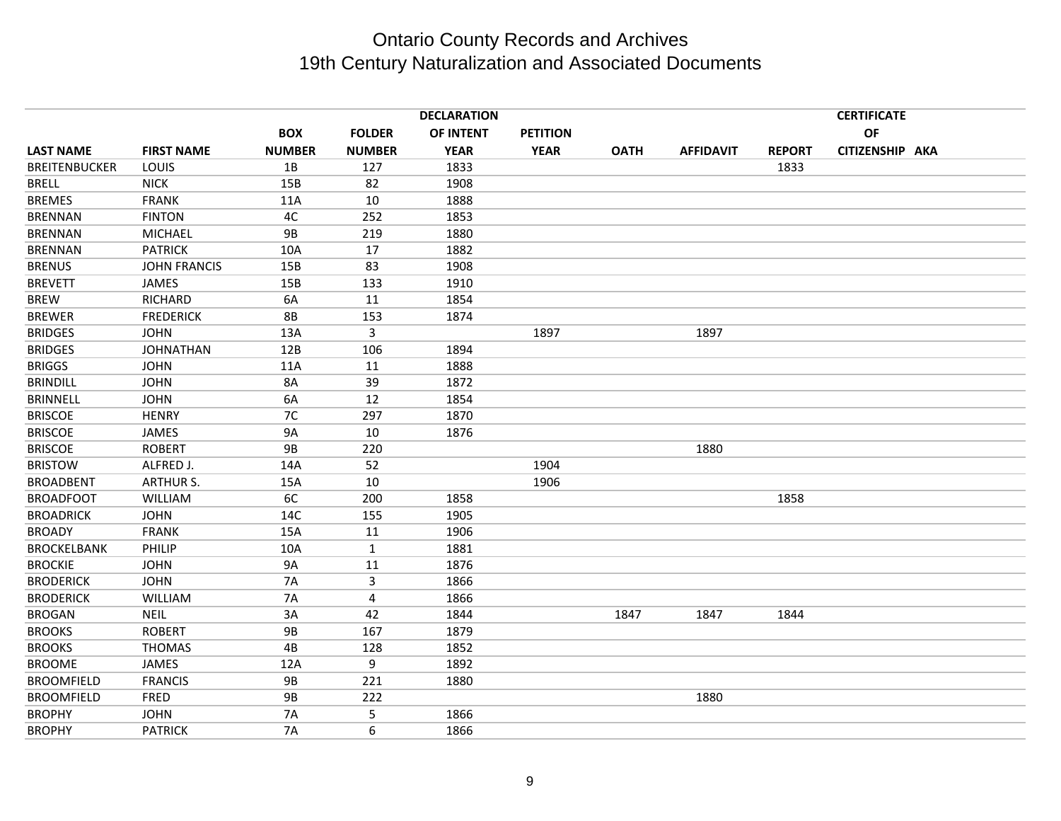|                      |                     |               |                | <b>DECLARATION</b> |                 |             |                  |               | <b>CERTIFICATE</b> |  |
|----------------------|---------------------|---------------|----------------|--------------------|-----------------|-------------|------------------|---------------|--------------------|--|
|                      |                     | <b>BOX</b>    | <b>FOLDER</b>  | OF INTENT          | <b>PETITION</b> |             |                  |               | <b>OF</b>          |  |
| <b>LAST NAME</b>     | <b>FIRST NAME</b>   | <b>NUMBER</b> | <b>NUMBER</b>  | <b>YEAR</b>        | <b>YEAR</b>     | <b>OATH</b> | <b>AFFIDAVIT</b> | <b>REPORT</b> | CITIZENSHIP AKA    |  |
| <b>BREITENBUCKER</b> | LOUIS               | 1B            | 127            | 1833               |                 |             |                  | 1833          |                    |  |
| <b>BRELL</b>         | <b>NICK</b>         | 15B           | 82             | 1908               |                 |             |                  |               |                    |  |
| <b>BREMES</b>        | <b>FRANK</b>        | 11A           | $10\,$         | 1888               |                 |             |                  |               |                    |  |
| <b>BRENNAN</b>       | <b>FINTON</b>       | 4C            | 252            | 1853               |                 |             |                  |               |                    |  |
| <b>BRENNAN</b>       | <b>MICHAEL</b>      | <b>9B</b>     | 219            | 1880               |                 |             |                  |               |                    |  |
| <b>BRENNAN</b>       | <b>PATRICK</b>      | 10A           | 17             | 1882               |                 |             |                  |               |                    |  |
| <b>BRENUS</b>        | <b>JOHN FRANCIS</b> | 15B           | 83             | 1908               |                 |             |                  |               |                    |  |
| <b>BREVETT</b>       | JAMES               | 15B           | 133            | 1910               |                 |             |                  |               |                    |  |
| <b>BREW</b>          | RICHARD             | 6A            | 11             | 1854               |                 |             |                  |               |                    |  |
| <b>BREWER</b>        | <b>FREDERICK</b>    | <b>8B</b>     | 153            | 1874               |                 |             |                  |               |                    |  |
| <b>BRIDGES</b>       | <b>JOHN</b>         | 13A           | $\overline{3}$ |                    | 1897            |             | 1897             |               |                    |  |
| <b>BRIDGES</b>       | <b>JOHNATHAN</b>    | 12B           | 106            | 1894               |                 |             |                  |               |                    |  |
| <b>BRIGGS</b>        | <b>JOHN</b>         | 11A           | 11             | 1888               |                 |             |                  |               |                    |  |
| <b>BRINDILL</b>      | <b>JOHN</b>         | 8A            | 39             | 1872               |                 |             |                  |               |                    |  |
| <b>BRINNELL</b>      | <b>JOHN</b>         | 6A            | 12             | 1854               |                 |             |                  |               |                    |  |
| <b>BRISCOE</b>       | <b>HENRY</b>        | 7C            | 297            | 1870               |                 |             |                  |               |                    |  |
| <b>BRISCOE</b>       | <b>JAMES</b>        | <b>9A</b>     | 10             | 1876               |                 |             |                  |               |                    |  |
| <b>BRISCOE</b>       | <b>ROBERT</b>       | <b>9B</b>     | 220            |                    |                 |             | 1880             |               |                    |  |
| <b>BRISTOW</b>       | ALFRED J.           | 14A           | 52             |                    | 1904            |             |                  |               |                    |  |
| <b>BROADBENT</b>     | <b>ARTHUR S.</b>    | 15A           | 10             |                    | 1906            |             |                  |               |                    |  |
| <b>BROADFOOT</b>     | WILLIAM             | 6C            | 200            | 1858               |                 |             |                  | 1858          |                    |  |
| <b>BROADRICK</b>     | <b>JOHN</b>         | 14C           | 155            | 1905               |                 |             |                  |               |                    |  |
| <b>BROADY</b>        | <b>FRANK</b>        | 15A           | 11             | 1906               |                 |             |                  |               |                    |  |
| <b>BROCKELBANK</b>   | PHILIP              | 10A           | $1\,$          | 1881               |                 |             |                  |               |                    |  |
| <b>BROCKIE</b>       | <b>JOHN</b>         | <b>9A</b>     | 11             | 1876               |                 |             |                  |               |                    |  |
| <b>BRODERICK</b>     | <b>JOHN</b>         | <b>7A</b>     | 3              | 1866               |                 |             |                  |               |                    |  |
| <b>BRODERICK</b>     | WILLIAM             | <b>7A</b>     | 4              | 1866               |                 |             |                  |               |                    |  |
| <b>BROGAN</b>        | <b>NEIL</b>         | 3A            | 42             | 1844               |                 | 1847        | 1847             | 1844          |                    |  |
| <b>BROOKS</b>        | <b>ROBERT</b>       | <b>9B</b>     | 167            | 1879               |                 |             |                  |               |                    |  |
| <b>BROOKS</b>        | <b>THOMAS</b>       | 4B            | 128            | 1852               |                 |             |                  |               |                    |  |
| <b>BROOME</b>        | JAMES               | 12A           | 9              | 1892               |                 |             |                  |               |                    |  |
| <b>BROOMFIELD</b>    | <b>FRANCIS</b>      | <b>9B</b>     | 221            | 1880               |                 |             |                  |               |                    |  |
| <b>BROOMFIELD</b>    | FRED                | <b>9B</b>     | 222            |                    |                 |             | 1880             |               |                    |  |
| <b>BROPHY</b>        | <b>JOHN</b>         | <b>7A</b>     | 5              | 1866               |                 |             |                  |               |                    |  |
| <b>BROPHY</b>        | <b>PATRICK</b>      | <b>7A</b>     | 6              | 1866               |                 |             |                  |               |                    |  |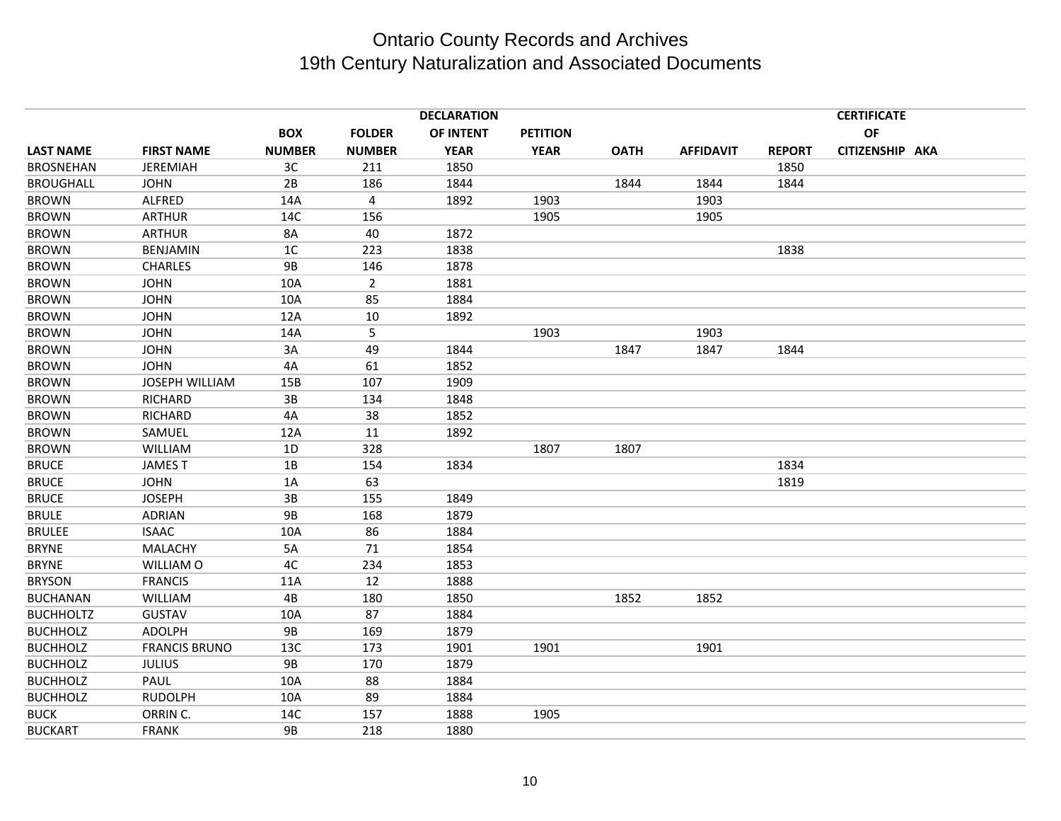|                  |                       |                |                | <b>DECLARATION</b> |                 |             |                  |               | <b>CERTIFICATE</b><br>OF<br>CITIZENSHIP AKA |  |  |
|------------------|-----------------------|----------------|----------------|--------------------|-----------------|-------------|------------------|---------------|---------------------------------------------|--|--|
|                  |                       | <b>BOX</b>     | <b>FOLDER</b>  | <b>OF INTENT</b>   | <b>PETITION</b> |             |                  |               |                                             |  |  |
| <b>LAST NAME</b> | <b>FIRST NAME</b>     | <b>NUMBER</b>  | <b>NUMBER</b>  | <b>YEAR</b>        | <b>YEAR</b>     | <b>OATH</b> | <b>AFFIDAVIT</b> | <b>REPORT</b> |                                             |  |  |
| <b>BROSNEHAN</b> | <b>JEREMIAH</b>       | 3C             | 211            | 1850               |                 |             |                  | 1850          |                                             |  |  |
| <b>BROUGHALL</b> | <b>JOHN</b>           | 2B             | 186            | 1844               |                 | 1844        | 1844             | 1844          |                                             |  |  |
| <b>BROWN</b>     | ALFRED                | 14A            | $\overline{4}$ | 1892               | 1903            |             | 1903             |               |                                             |  |  |
| <b>BROWN</b>     | <b>ARTHUR</b>         | 14C            | 156            |                    | 1905            |             | 1905             |               |                                             |  |  |
| <b>BROWN</b>     | <b>ARTHUR</b>         | 8A             | 40             | 1872               |                 |             |                  |               |                                             |  |  |
| <b>BROWN</b>     | <b>BENJAMIN</b>       | 1 <sup>C</sup> | 223            | 1838               |                 |             |                  | 1838          |                                             |  |  |
| <b>BROWN</b>     | <b>CHARLES</b>        | <b>9B</b>      | 146            | 1878               |                 |             |                  |               |                                             |  |  |
| <b>BROWN</b>     | <b>JOHN</b>           | 10A            | $\overline{2}$ | 1881               |                 |             |                  |               |                                             |  |  |
| <b>BROWN</b>     | <b>JOHN</b>           | 10A            | 85             | 1884               |                 |             |                  |               |                                             |  |  |
| <b>BROWN</b>     | <b>JOHN</b>           | 12A            | 10             | 1892               |                 |             |                  |               |                                             |  |  |
| <b>BROWN</b>     | <b>JOHN</b>           | 14A            | 5              |                    | 1903            |             | 1903             |               |                                             |  |  |
| <b>BROWN</b>     | <b>JOHN</b>           | 3A             | 49             | 1844               |                 | 1847        | 1847             | 1844          |                                             |  |  |
| <b>BROWN</b>     | <b>JOHN</b>           | 4A             | 61             | 1852               |                 |             |                  |               |                                             |  |  |
| <b>BROWN</b>     | <b>JOSEPH WILLIAM</b> | 15B            | 107            | 1909               |                 |             |                  |               |                                             |  |  |
| <b>BROWN</b>     | <b>RICHARD</b>        | 3B             | 134            | 1848               |                 |             |                  |               |                                             |  |  |
| <b>BROWN</b>     | RICHARD               | 4A             | 38             | 1852               |                 |             |                  |               |                                             |  |  |
| <b>BROWN</b>     | SAMUEL                | 12A            | 11             | 1892               |                 |             |                  |               |                                             |  |  |
| <b>BROWN</b>     | <b>WILLIAM</b>        | 1D             | 328            |                    | 1807            | 1807        |                  |               |                                             |  |  |
| <b>BRUCE</b>     | <b>JAMEST</b>         | 1B             | 154            | 1834               |                 |             |                  | 1834          |                                             |  |  |
| <b>BRUCE</b>     | <b>JOHN</b>           | 1A             | 63             |                    |                 |             |                  | 1819          |                                             |  |  |
| <b>BRUCE</b>     | <b>JOSEPH</b>         | 3B             | 155            | 1849               |                 |             |                  |               |                                             |  |  |
| <b>BRULE</b>     | <b>ADRIAN</b>         | <b>9B</b>      | 168            | 1879               |                 |             |                  |               |                                             |  |  |
| <b>BRULEE</b>    | <b>ISAAC</b>          | 10A            | 86             | 1884               |                 |             |                  |               |                                             |  |  |
| <b>BRYNE</b>     | <b>MALACHY</b>        | 5A             | 71             | 1854               |                 |             |                  |               |                                             |  |  |
| <b>BRYNE</b>     | WILLIAM O             | 4C             | 234            | 1853               |                 |             |                  |               |                                             |  |  |
| <b>BRYSON</b>    | <b>FRANCIS</b>        | 11A            | 12             | 1888               |                 |             |                  |               |                                             |  |  |
| <b>BUCHANAN</b>  | WILLIAM               | 4B             | 180            | 1850               |                 | 1852        | 1852             |               |                                             |  |  |
| <b>BUCHHOLTZ</b> | <b>GUSTAV</b>         | 10A            | 87             | 1884               |                 |             |                  |               |                                             |  |  |
| <b>BUCHHOLZ</b>  | <b>ADOLPH</b>         | <b>9B</b>      | 169            | 1879               |                 |             |                  |               |                                             |  |  |
| <b>BUCHHOLZ</b>  | <b>FRANCIS BRUNO</b>  | 13C            | 173            | 1901               | 1901            |             | 1901             |               |                                             |  |  |
| <b>BUCHHOLZ</b>  | <b>JULIUS</b>         | <b>9B</b>      | 170            | 1879               |                 |             |                  |               |                                             |  |  |
| <b>BUCHHOLZ</b>  | PAUL                  | 10A            | 88             | 1884               |                 |             |                  |               |                                             |  |  |
| <b>BUCHHOLZ</b>  | <b>RUDOLPH</b>        | 10A            | 89             | 1884               |                 |             |                  |               |                                             |  |  |
| <b>BUCK</b>      | ORRIN C.              | 14C            | 157            | 1888               | 1905            |             |                  |               |                                             |  |  |
| <b>BUCKART</b>   | <b>FRANK</b>          | <b>9B</b>      | 218            | 1880               |                 |             |                  |               |                                             |  |  |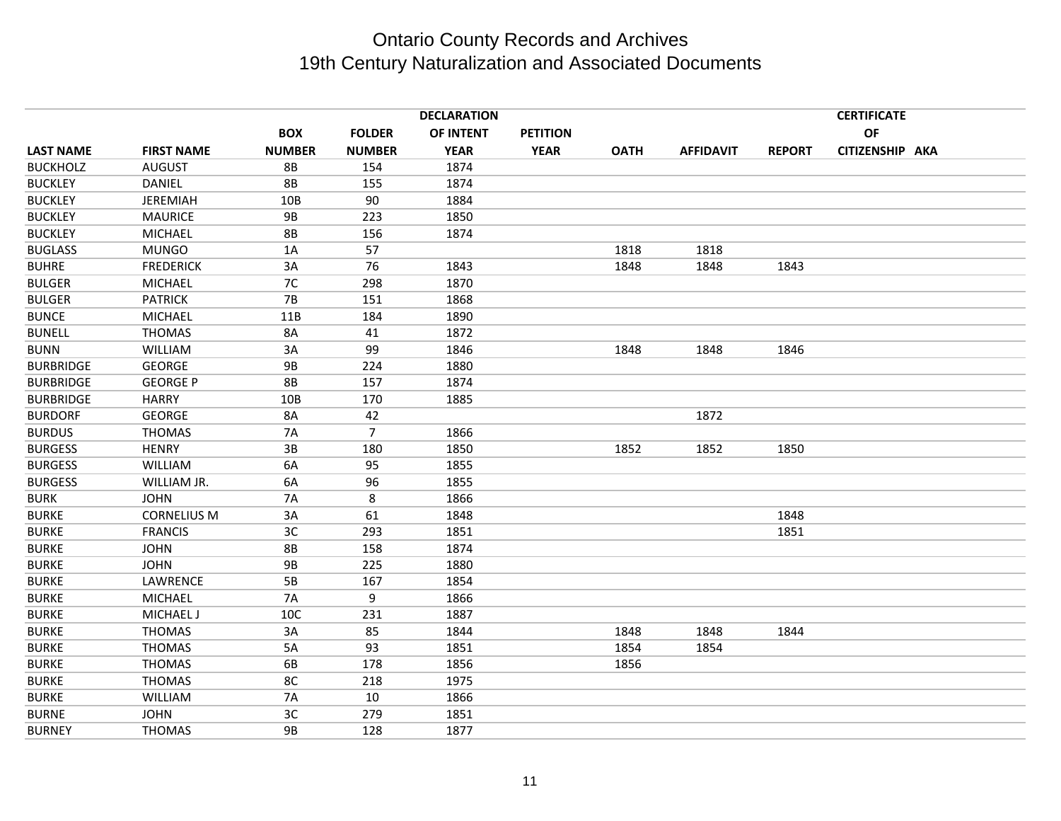|                  |                    |               |                | <b>DECLARATION</b> |                 |             |                  |               | <b>CERTIFICATE</b> |  |
|------------------|--------------------|---------------|----------------|--------------------|-----------------|-------------|------------------|---------------|--------------------|--|
|                  |                    | <b>BOX</b>    | <b>FOLDER</b>  | OF INTENT          | <b>PETITION</b> |             |                  |               | <b>OF</b>          |  |
| <b>LAST NAME</b> | <b>FIRST NAME</b>  | <b>NUMBER</b> | <b>NUMBER</b>  | <b>YEAR</b>        | <b>YEAR</b>     | <b>OATH</b> | <b>AFFIDAVIT</b> | <b>REPORT</b> | CITIZENSHIP AKA    |  |
| <b>BUCKHOLZ</b>  | <b>AUGUST</b>      | 8B            | 154            | 1874               |                 |             |                  |               |                    |  |
| <b>BUCKLEY</b>   | <b>DANIEL</b>      | <b>8B</b>     | 155            | 1874               |                 |             |                  |               |                    |  |
| <b>BUCKLEY</b>   | JEREMIAH           | 10B           | 90             | 1884               |                 |             |                  |               |                    |  |
| <b>BUCKLEY</b>   | <b>MAURICE</b>     | <b>9B</b>     | 223            | 1850               |                 |             |                  |               |                    |  |
| <b>BUCKLEY</b>   | <b>MICHAEL</b>     | <b>8B</b>     | 156            | 1874               |                 |             |                  |               |                    |  |
| <b>BUGLASS</b>   | <b>MUNGO</b>       | 1A            | 57             |                    |                 | 1818        | 1818             |               |                    |  |
| <b>BUHRE</b>     | <b>FREDERICK</b>   | 3A            | 76             | 1843               |                 | 1848        | 1848             | 1843          |                    |  |
| <b>BULGER</b>    | <b>MICHAEL</b>     | 7C            | 298            | 1870               |                 |             |                  |               |                    |  |
| <b>BULGER</b>    | <b>PATRICK</b>     | $7B$          | 151            | 1868               |                 |             |                  |               |                    |  |
| <b>BUNCE</b>     | <b>MICHAEL</b>     | 11B           | 184            | 1890               |                 |             |                  |               |                    |  |
| <b>BUNELL</b>    | <b>THOMAS</b>      | 8A            | 41             | 1872               |                 |             |                  |               |                    |  |
| <b>BUNN</b>      | WILLIAM            | 3A            | 99             | 1846               |                 | 1848        | 1848             | 1846          |                    |  |
| <b>BURBRIDGE</b> | <b>GEORGE</b>      | <b>9B</b>     | 224            | 1880               |                 |             |                  |               |                    |  |
| <b>BURBRIDGE</b> | <b>GEORGE P</b>    | <b>8B</b>     | 157            | 1874               |                 |             |                  |               |                    |  |
| <b>BURBRIDGE</b> | <b>HARRY</b>       | 10B           | 170            | 1885               |                 |             |                  |               |                    |  |
| <b>BURDORF</b>   | <b>GEORGE</b>      | 8A            | 42             |                    |                 |             | 1872             |               |                    |  |
| <b>BURDUS</b>    | <b>THOMAS</b>      | <b>7A</b>     | $\overline{7}$ | 1866               |                 |             |                  |               |                    |  |
| <b>BURGESS</b>   | <b>HENRY</b>       | 3B            | 180            | 1850               |                 | 1852        | 1852             | 1850          |                    |  |
| <b>BURGESS</b>   | <b>WILLIAM</b>     | 6A            | 95             | 1855               |                 |             |                  |               |                    |  |
| <b>BURGESS</b>   | WILLIAM JR.        | 6A            | 96             | 1855               |                 |             |                  |               |                    |  |
| <b>BURK</b>      | <b>JOHN</b>        | <b>7A</b>     | 8              | 1866               |                 |             |                  |               |                    |  |
| <b>BURKE</b>     | <b>CORNELIUS M</b> | 3A            | 61             | 1848               |                 |             |                  | 1848          |                    |  |
| <b>BURKE</b>     | <b>FRANCIS</b>     | 3C            | 293            | 1851               |                 |             |                  | 1851          |                    |  |
| <b>BURKE</b>     | <b>JOHN</b>        | 8B            | 158            | 1874               |                 |             |                  |               |                    |  |
| <b>BURKE</b>     | <b>JOHN</b>        | <b>9B</b>     | 225            | 1880               |                 |             |                  |               |                    |  |
| <b>BURKE</b>     | LAWRENCE           | 5B            | 167            | 1854               |                 |             |                  |               |                    |  |
| <b>BURKE</b>     | <b>MICHAEL</b>     | <b>7A</b>     | 9              | 1866               |                 |             |                  |               |                    |  |
| <b>BURKE</b>     | <b>MICHAEL J</b>   | 10C           | 231            | 1887               |                 |             |                  |               |                    |  |
| <b>BURKE</b>     | <b>THOMAS</b>      | 3A            | 85             | 1844               |                 | 1848        | 1848             | 1844          |                    |  |
| <b>BURKE</b>     | <b>THOMAS</b>      | 5A            | 93             | 1851               |                 | 1854        | 1854             |               |                    |  |
| <b>BURKE</b>     | <b>THOMAS</b>      | 6B            | 178            | 1856               |                 | 1856        |                  |               |                    |  |
| <b>BURKE</b>     | <b>THOMAS</b>      | 8C            | 218            | 1975               |                 |             |                  |               |                    |  |
| <b>BURKE</b>     | WILLIAM            | <b>7A</b>     | 10             | 1866               |                 |             |                  |               |                    |  |
| <b>BURNE</b>     | <b>JOHN</b>        | 3C            | 279            | 1851               |                 |             |                  |               |                    |  |
| <b>BURNEY</b>    | <b>THOMAS</b>      | <b>9B</b>     | 128            | 1877               |                 |             |                  |               |                    |  |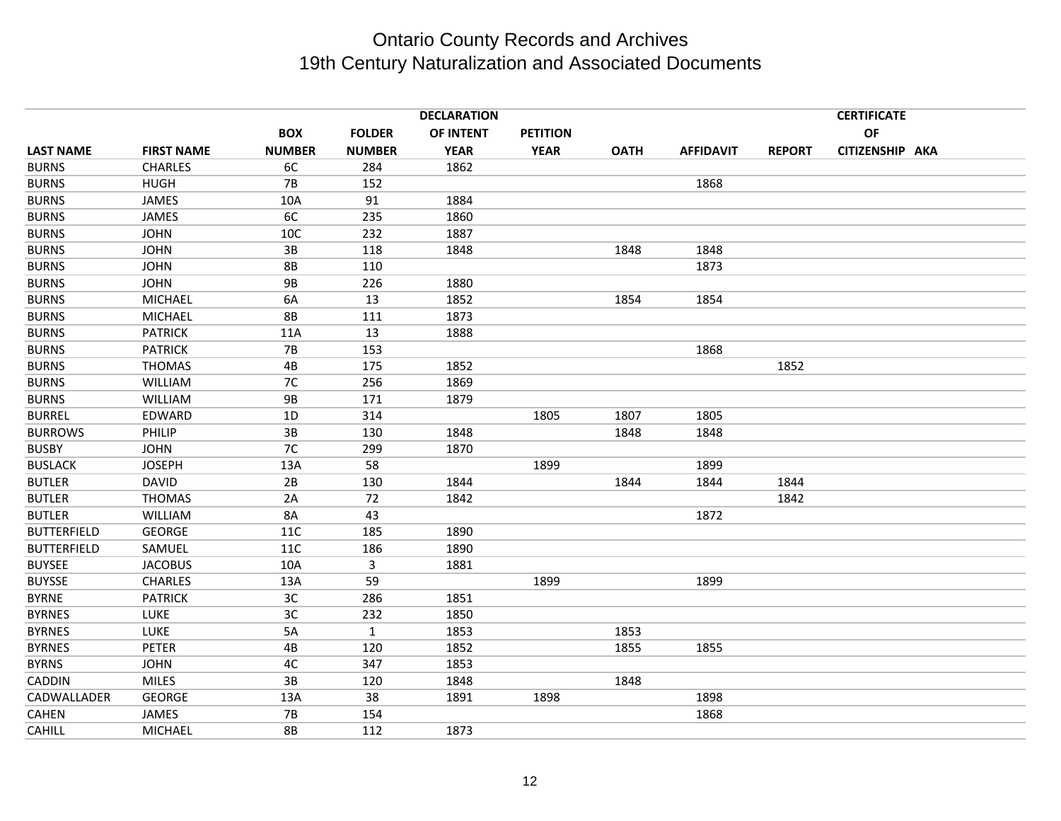|                    |                   |               |               | <b>DECLARATION</b> |                 |             |                  |               | <b>CERTIFICATE</b> |  |
|--------------------|-------------------|---------------|---------------|--------------------|-----------------|-------------|------------------|---------------|--------------------|--|
|                    |                   | <b>BOX</b>    | <b>FOLDER</b> | OF INTENT          | <b>PETITION</b> |             |                  |               | OF                 |  |
| <b>LAST NAME</b>   | <b>FIRST NAME</b> | <b>NUMBER</b> | <b>NUMBER</b> | <b>YEAR</b>        | <b>YEAR</b>     | <b>OATH</b> | <b>AFFIDAVIT</b> | <b>REPORT</b> | CITIZENSHIP AKA    |  |
| <b>BURNS</b>       | <b>CHARLES</b>    | 6C            | 284           | 1862               |                 |             |                  |               |                    |  |
| <b>BURNS</b>       | <b>HUGH</b>       | <b>7B</b>     | 152           |                    |                 |             | 1868             |               |                    |  |
| <b>BURNS</b>       | JAMES             | 10A           | 91            | 1884               |                 |             |                  |               |                    |  |
| <b>BURNS</b>       | JAMES             | 6C            | 235           | 1860               |                 |             |                  |               |                    |  |
| <b>BURNS</b>       | <b>JOHN</b>       | 10C           | 232           | 1887               |                 |             |                  |               |                    |  |
| <b>BURNS</b>       | <b>JOHN</b>       | 3B            | 118           | 1848               |                 | 1848        | 1848             |               |                    |  |
| <b>BURNS</b>       | <b>JOHN</b>       | <b>8B</b>     | 110           |                    |                 |             | 1873             |               |                    |  |
| <b>BURNS</b>       | <b>JOHN</b>       | <b>9B</b>     | 226           | 1880               |                 |             |                  |               |                    |  |
| <b>BURNS</b>       | <b>MICHAEL</b>    | 6A            | 13            | 1852               |                 | 1854        | 1854             |               |                    |  |
| <b>BURNS</b>       | <b>MICHAEL</b>    | <b>8B</b>     | 111           | 1873               |                 |             |                  |               |                    |  |
| <b>BURNS</b>       | <b>PATRICK</b>    | 11A           | 13            | 1888               |                 |             |                  |               |                    |  |
| <b>BURNS</b>       | <b>PATRICK</b>    | <b>7B</b>     | 153           |                    |                 |             | 1868             |               |                    |  |
| <b>BURNS</b>       | <b>THOMAS</b>     | 4B            | 175           | 1852               |                 |             |                  | 1852          |                    |  |
| <b>BURNS</b>       | <b>WILLIAM</b>    | 7C            | 256           | 1869               |                 |             |                  |               |                    |  |
| <b>BURNS</b>       | <b>WILLIAM</b>    | <b>9B</b>     | 171           | 1879               |                 |             |                  |               |                    |  |
| <b>BURREL</b>      | EDWARD            | 1D            | 314           |                    | 1805            | 1807        | 1805             |               |                    |  |
| <b>BURROWS</b>     | PHILIP            | 3B            | 130           | 1848               |                 | 1848        | 1848             |               |                    |  |
| <b>BUSBY</b>       | <b>JOHN</b>       | 7C            | 299           | 1870               |                 |             |                  |               |                    |  |
| <b>BUSLACK</b>     | <b>JOSEPH</b>     | 13A           | 58            |                    | 1899            |             | 1899             |               |                    |  |
| <b>BUTLER</b>      | <b>DAVID</b>      | 2B            | 130           | 1844               |                 | 1844        | 1844             | 1844          |                    |  |
| <b>BUTLER</b>      | <b>THOMAS</b>     | 2A            | 72            | 1842               |                 |             |                  | 1842          |                    |  |
| <b>BUTLER</b>      | <b>WILLIAM</b>    | 8A            | 43            |                    |                 |             | 1872             |               |                    |  |
| <b>BUTTERFIELD</b> | <b>GEORGE</b>     | <b>11C</b>    | 185           | 1890               |                 |             |                  |               |                    |  |
| <b>BUTTERFIELD</b> | SAMUEL            | <b>11C</b>    | 186           | 1890               |                 |             |                  |               |                    |  |
| <b>BUYSEE</b>      | <b>JACOBUS</b>    | 10A           | 3             | 1881               |                 |             |                  |               |                    |  |
| <b>BUYSSE</b>      | <b>CHARLES</b>    | 13A           | 59            |                    | 1899            |             | 1899             |               |                    |  |
| <b>BYRNE</b>       | <b>PATRICK</b>    | 3C            | 286           | 1851               |                 |             |                  |               |                    |  |
| <b>BYRNES</b>      | LUKE              | 3C            | 232           | 1850               |                 |             |                  |               |                    |  |
| <b>BYRNES</b>      | <b>LUKE</b>       | 5A            | $\mathbf{1}$  | 1853               |                 | 1853        |                  |               |                    |  |
| <b>BYRNES</b>      | <b>PETER</b>      | $4\mathsf{B}$ | 120           | 1852               |                 | 1855        | 1855             |               |                    |  |
| <b>BYRNS</b>       | <b>JOHN</b>       | 4C            | 347           | 1853               |                 |             |                  |               |                    |  |
| CADDIN             | <b>MILES</b>      | 3B            | 120           | 1848               |                 | 1848        |                  |               |                    |  |
| CADWALLADER        | <b>GEORGE</b>     | 13A           | 38            | 1891               | 1898            |             | 1898             |               |                    |  |
| <b>CAHEN</b>       | JAMES             | <b>7B</b>     | 154           |                    |                 |             | 1868             |               |                    |  |
| <b>CAHILL</b>      | <b>MICHAEL</b>    | <b>8B</b>     | 112           | 1873               |                 |             |                  |               |                    |  |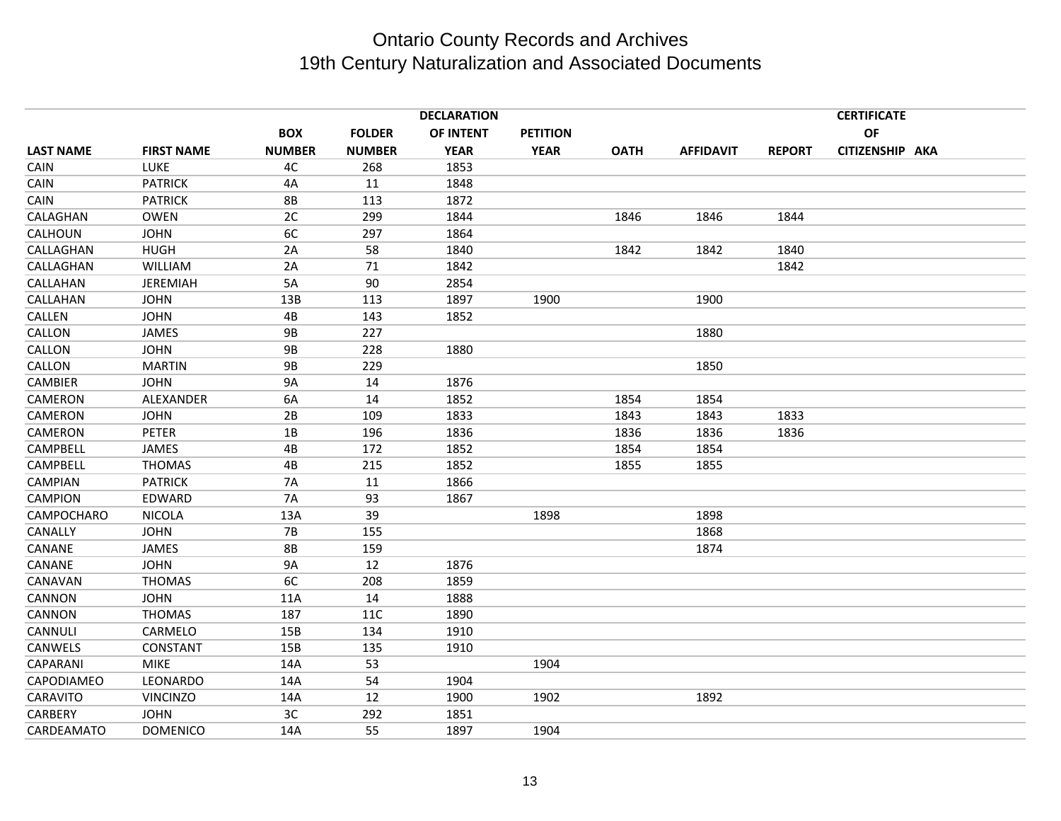|                  |                   |               |               | <b>DECLARATION</b> |                 |             |                  |               | <b>CERTIFICATE</b> |  |
|------------------|-------------------|---------------|---------------|--------------------|-----------------|-------------|------------------|---------------|--------------------|--|
|                  |                   | <b>BOX</b>    | <b>FOLDER</b> | OF INTENT          | <b>PETITION</b> |             |                  |               | OF                 |  |
| <b>LAST NAME</b> | <b>FIRST NAME</b> | <b>NUMBER</b> | <b>NUMBER</b> | <b>YEAR</b>        | <b>YEAR</b>     | <b>OATH</b> | <b>AFFIDAVIT</b> | <b>REPORT</b> | CITIZENSHIP AKA    |  |
| CAIN             | LUKE              | 4C            | 268           | 1853               |                 |             |                  |               |                    |  |
| CAIN             | <b>PATRICK</b>    | 4A            | 11            | 1848               |                 |             |                  |               |                    |  |
| CAIN             | <b>PATRICK</b>    | <b>8B</b>     | 113           | 1872               |                 |             |                  |               |                    |  |
| CALAGHAN         | <b>OWEN</b>       | 2C            | 299           | 1844               |                 | 1846        | 1846             | 1844          |                    |  |
| CALHOUN          | <b>JOHN</b>       | 6C            | 297           | 1864               |                 |             |                  |               |                    |  |
| CALLAGHAN        | <b>HUGH</b>       | 2A            | 58            | 1840               |                 | 1842        | 1842             | 1840          |                    |  |
| CALLAGHAN        | <b>WILLIAM</b>    | 2A            | 71            | 1842               |                 |             |                  | 1842          |                    |  |
| CALLAHAN         | <b>JEREMIAH</b>   | 5A            | 90            | 2854               |                 |             |                  |               |                    |  |
| CALLAHAN         | <b>JOHN</b>       | 13B           | 113           | 1897               | 1900            |             | 1900             |               |                    |  |
| CALLEN           | <b>JOHN</b>       | 4B            | 143           | 1852               |                 |             |                  |               |                    |  |
| CALLON           | JAMES             | <b>9B</b>     | 227           |                    |                 |             | 1880             |               |                    |  |
| CALLON           | <b>JOHN</b>       | <b>9B</b>     | 228           | 1880               |                 |             |                  |               |                    |  |
| CALLON           | <b>MARTIN</b>     | <b>9B</b>     | 229           |                    |                 |             | 1850             |               |                    |  |
| CAMBIER          | <b>JOHN</b>       | <b>9A</b>     | 14            | 1876               |                 |             |                  |               |                    |  |
| CAMERON          | ALEXANDER         | 6A            | 14            | 1852               |                 | 1854        | 1854             |               |                    |  |
| CAMERON          | <b>JOHN</b>       | 2B            | 109           | 1833               |                 | 1843        | 1843             | 1833          |                    |  |
| CAMERON          | <b>PETER</b>      | 1B            | 196           | 1836               |                 | 1836        | 1836             | 1836          |                    |  |
| CAMPBELL         | JAMES             | 4B            | 172           | 1852               |                 | 1854        | 1854             |               |                    |  |
| CAMPBELL         | <b>THOMAS</b>     | 4B            | 215           | 1852               |                 | 1855        | 1855             |               |                    |  |
| <b>CAMPIAN</b>   | <b>PATRICK</b>    | <b>7A</b>     | 11            | 1866               |                 |             |                  |               |                    |  |
| CAMPION          | EDWARD            | <b>7A</b>     | 93            | 1867               |                 |             |                  |               |                    |  |
| CAMPOCHARO       | <b>NICOLA</b>     | 13A           | 39            |                    | 1898            |             | 1898             |               |                    |  |
| CANALLY          | <b>JOHN</b>       | <b>7B</b>     | 155           |                    |                 |             | 1868             |               |                    |  |
| CANANE           | JAMES             | <b>8B</b>     | 159           |                    |                 |             | 1874             |               |                    |  |
| CANANE           | <b>JOHN</b>       | <b>9A</b>     | 12            | 1876               |                 |             |                  |               |                    |  |
| CANAVAN          | <b>THOMAS</b>     | 6C            | 208           | 1859               |                 |             |                  |               |                    |  |
| CANNON           | <b>JOHN</b>       | 11A           | 14            | 1888               |                 |             |                  |               |                    |  |
| CANNON           | <b>THOMAS</b>     | 187           | 11C           | 1890               |                 |             |                  |               |                    |  |
| CANNULI          | CARMELO           | 15B           | 134           | 1910               |                 |             |                  |               |                    |  |
| CANWELS          | CONSTANT          | 15B           | 135           | 1910               |                 |             |                  |               |                    |  |
| CAPARANI         | <b>MIKE</b>       | 14A           | 53            |                    | 1904            |             |                  |               |                    |  |
| CAPODIAMEO       | LEONARDO          | 14A           | 54            | 1904               |                 |             |                  |               |                    |  |
| CARAVITO         | <b>VINCINZO</b>   | 14A           | 12            | 1900               | 1902            |             | 1892             |               |                    |  |
| CARBERY          | <b>JOHN</b>       | 3C            | 292           | 1851               |                 |             |                  |               |                    |  |
| CARDEAMATO       | <b>DOMENICO</b>   | 14A           | 55            | 1897               | 1904            |             |                  |               |                    |  |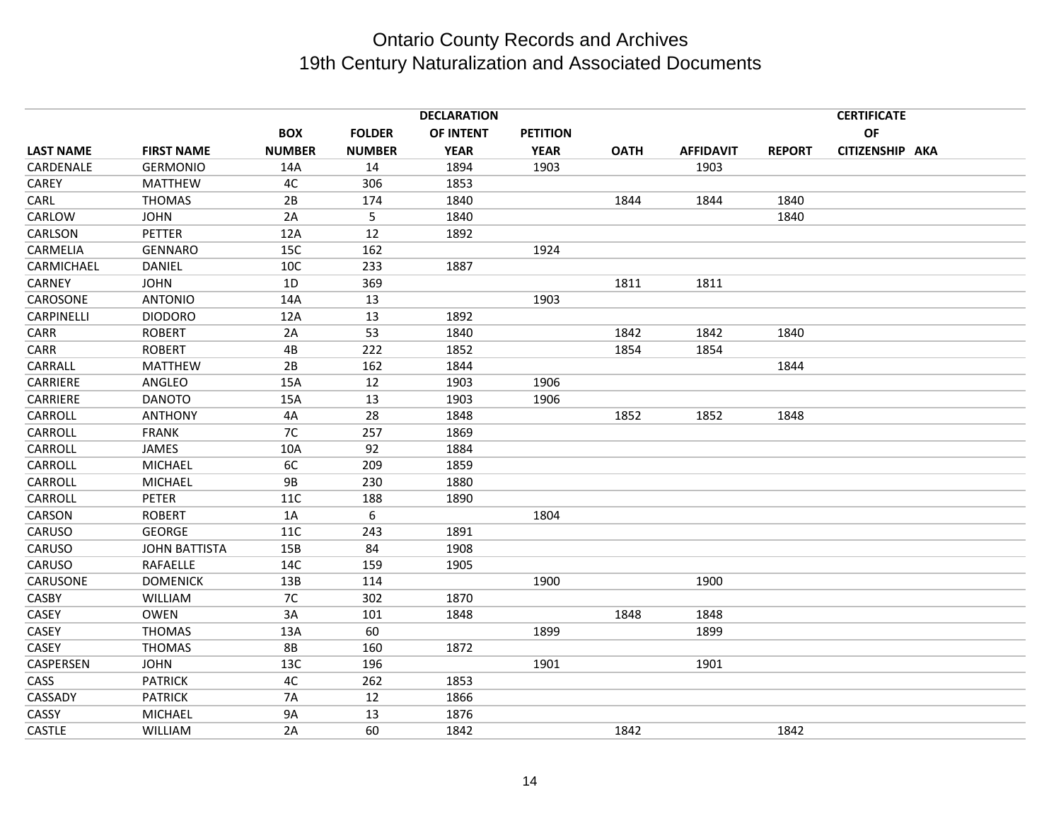|                  | <b>DECLARATION</b>   |               |               |             |                 |             |                  | <b>CERTIFICATE</b> |                 |  |
|------------------|----------------------|---------------|---------------|-------------|-----------------|-------------|------------------|--------------------|-----------------|--|
|                  |                      | <b>BOX</b>    | <b>FOLDER</b> | OF INTENT   | <b>PETITION</b> |             |                  |                    | <b>OF</b>       |  |
| <b>LAST NAME</b> | <b>FIRST NAME</b>    | <b>NUMBER</b> | <b>NUMBER</b> | <b>YEAR</b> | <b>YEAR</b>     | <b>OATH</b> | <b>AFFIDAVIT</b> | <b>REPORT</b>      | CITIZENSHIP AKA |  |
| CARDENALE        | <b>GERMONIO</b>      | 14A           | 14            | 1894        | 1903            |             | 1903             |                    |                 |  |
| CAREY            | <b>MATTHEW</b>       | 4C            | 306           | 1853        |                 |             |                  |                    |                 |  |
| CARL             | <b>THOMAS</b>        | 2B            | 174           | 1840        |                 | 1844        | 1844             | 1840               |                 |  |
| CARLOW           | <b>JOHN</b>          | 2A            | 5             | 1840        |                 |             |                  | 1840               |                 |  |
| CARLSON          | PETTER               | 12A           | 12            | 1892        |                 |             |                  |                    |                 |  |
| CARMELIA         | <b>GENNARO</b>       | 15C           | 162           |             | 1924            |             |                  |                    |                 |  |
| CARMICHAEL       | DANIEL               | 10C           | 233           | 1887        |                 |             |                  |                    |                 |  |
| CARNEY           | <b>JOHN</b>          | 1D            | 369           |             |                 | 1811        | 1811             |                    |                 |  |
| CAROSONE         | <b>ANTONIO</b>       | 14A           | 13            |             | 1903            |             |                  |                    |                 |  |
| CARPINELLI       | <b>DIODORO</b>       | 12A           | 13            | 1892        |                 |             |                  |                    |                 |  |
| CARR             | <b>ROBERT</b>        | 2A            | 53            | 1840        |                 | 1842        | 1842             | 1840               |                 |  |
| CARR             | <b>ROBERT</b>        | 4B            | 222           | 1852        |                 | 1854        | 1854             |                    |                 |  |
| CARRALL          | <b>MATTHEW</b>       | 2B            | 162           | 1844        |                 |             |                  | 1844               |                 |  |
| CARRIERE         | ANGLEO               | 15A           | 12            | 1903        | 1906            |             |                  |                    |                 |  |
| CARRIERE         | <b>DANOTO</b>        | 15A           | 13            | 1903        | 1906            |             |                  |                    |                 |  |
| CARROLL          | <b>ANTHONY</b>       | 4A            | 28            | 1848        |                 | 1852        | 1852             | 1848               |                 |  |
| CARROLL          | <b>FRANK</b>         | 7C            | 257           | 1869        |                 |             |                  |                    |                 |  |
| CARROLL          | JAMES                | 10A           | 92            | 1884        |                 |             |                  |                    |                 |  |
| <b>CARROLL</b>   | <b>MICHAEL</b>       | 6C            | 209           | 1859        |                 |             |                  |                    |                 |  |
| CARROLL          | MICHAEL              | <b>9B</b>     | 230           | 1880        |                 |             |                  |                    |                 |  |
| CARROLL          | <b>PETER</b>         | 11C           | 188           | 1890        |                 |             |                  |                    |                 |  |
| CARSON           | <b>ROBERT</b>        | 1A            | 6             |             | 1804            |             |                  |                    |                 |  |
| CARUSO           | <b>GEORGE</b>        | 11C           | 243           | 1891        |                 |             |                  |                    |                 |  |
| CARUSO           | <b>JOHN BATTISTA</b> | 15B           | 84            | 1908        |                 |             |                  |                    |                 |  |
| CARUSO           | RAFAELLE             | 14C           | 159           | 1905        |                 |             |                  |                    |                 |  |
| CARUSONE         | <b>DOMENICK</b>      | 13B           | 114           |             | 1900            |             | 1900             |                    |                 |  |
| CASBY            | WILLIAM              | 7C            | 302           | 1870        |                 |             |                  |                    |                 |  |
| <b>CASEY</b>     | <b>OWEN</b>          | 3A            | 101           | 1848        |                 | 1848        | 1848             |                    |                 |  |
| CASEY            | <b>THOMAS</b>        | 13A           | 60            |             | 1899            |             | 1899             |                    |                 |  |
| <b>CASEY</b>     | <b>THOMAS</b>        | <b>8B</b>     | 160           | 1872        |                 |             |                  |                    |                 |  |
| CASPERSEN        | <b>JOHN</b>          | 13C           | 196           |             | 1901            |             | 1901             |                    |                 |  |
| CASS             | <b>PATRICK</b>       | 4C            | 262           | 1853        |                 |             |                  |                    |                 |  |
| CASSADY          | <b>PATRICK</b>       | <b>7A</b>     | 12            | 1866        |                 |             |                  |                    |                 |  |
| CASSY            | <b>MICHAEL</b>       | <b>9A</b>     | 13            | 1876        |                 |             |                  |                    |                 |  |
| CASTLE           | <b>WILLIAM</b>       | 2A            | 60            | 1842        |                 | 1842        |                  | 1842               |                 |  |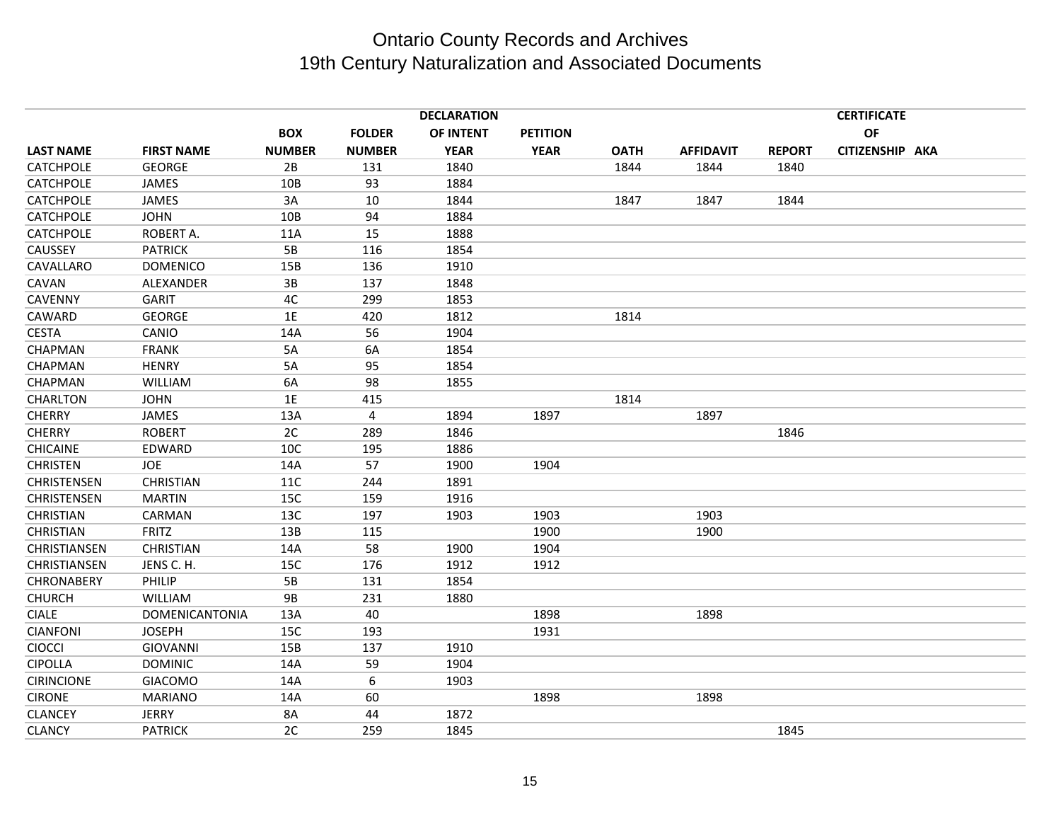|                    |                       |               |               | <b>DECLARATION</b> |                 |             |                  |               | <b>CERTIFICATE</b> |  |
|--------------------|-----------------------|---------------|---------------|--------------------|-----------------|-------------|------------------|---------------|--------------------|--|
|                    |                       | <b>BOX</b>    | <b>FOLDER</b> | OF INTENT          | <b>PETITION</b> |             |                  |               | <b>OF</b>          |  |
| <b>LAST NAME</b>   | <b>FIRST NAME</b>     | <b>NUMBER</b> | <b>NUMBER</b> | <b>YEAR</b>        | <b>YEAR</b>     | <b>OATH</b> | <b>AFFIDAVIT</b> | <b>REPORT</b> | CITIZENSHIP AKA    |  |
| <b>CATCHPOLE</b>   | <b>GEORGE</b>         | 2B            | 131           | 1840               |                 | 1844        | 1844             | 1840          |                    |  |
| <b>CATCHPOLE</b>   | JAMES                 | 10B           | 93            | 1884               |                 |             |                  |               |                    |  |
| <b>CATCHPOLE</b>   | <b>JAMES</b>          | 3A            | 10            | 1844               |                 | 1847        | 1847             | 1844          |                    |  |
| <b>CATCHPOLE</b>   | <b>JOHN</b>           | 10B           | 94            | 1884               |                 |             |                  |               |                    |  |
| <b>CATCHPOLE</b>   | ROBERT A.             | 11A           | 15            | 1888               |                 |             |                  |               |                    |  |
| <b>CAUSSEY</b>     | <b>PATRICK</b>        | 5B            | 116           | 1854               |                 |             |                  |               |                    |  |
| CAVALLARO          | <b>DOMENICO</b>       | 15B           | 136           | 1910               |                 |             |                  |               |                    |  |
| CAVAN              | ALEXANDER             | 3B            | 137           | 1848               |                 |             |                  |               |                    |  |
| CAVENNY            | <b>GARIT</b>          | 4C            | 299           | 1853               |                 |             |                  |               |                    |  |
| CAWARD             | <b>GEORGE</b>         | 1E            | 420           | 1812               |                 | 1814        |                  |               |                    |  |
| <b>CESTA</b>       | CANIO                 | 14A           | 56            | 1904               |                 |             |                  |               |                    |  |
| CHAPMAN            | <b>FRANK</b>          | 5A            | 6A            | 1854               |                 |             |                  |               |                    |  |
| CHAPMAN            | <b>HENRY</b>          | 5A            | 95            | 1854               |                 |             |                  |               |                    |  |
| <b>CHAPMAN</b>     | <b>WILLIAM</b>        | 6A            | 98            | 1855               |                 |             |                  |               |                    |  |
| CHARLTON           | <b>JOHN</b>           | 1E            | 415           |                    |                 | 1814        |                  |               |                    |  |
| <b>CHERRY</b>      | <b>JAMES</b>          | 13A           | 4             | 1894               | 1897            |             | 1897             |               |                    |  |
| <b>CHERRY</b>      | <b>ROBERT</b>         | 2C            | 289           | 1846               |                 |             |                  | 1846          |                    |  |
| <b>CHICAINE</b>    | EDWARD                | 10C           | 195           | 1886               |                 |             |                  |               |                    |  |
| <b>CHRISTEN</b>    | <b>JOE</b>            | 14A           | 57            | 1900               | 1904            |             |                  |               |                    |  |
| <b>CHRISTENSEN</b> | <b>CHRISTIAN</b>      | 11C           | 244           | 1891               |                 |             |                  |               |                    |  |
| CHRISTENSEN        | <b>MARTIN</b>         | 15C           | 159           | 1916               |                 |             |                  |               |                    |  |
| <b>CHRISTIAN</b>   | CARMAN                | 13C           | 197           | 1903               | 1903            |             | 1903             |               |                    |  |
| CHRISTIAN          | <b>FRITZ</b>          | 13B           | 115           |                    | 1900            |             | 1900             |               |                    |  |
| CHRISTIANSEN       | <b>CHRISTIAN</b>      | 14A           | 58            | 1900               | 1904            |             |                  |               |                    |  |
| CHRISTIANSEN       | JENS C. H.            | 15C           | 176           | 1912               | 1912            |             |                  |               |                    |  |
| <b>CHRONABERY</b>  | PHILIP                | 5B            | 131           | 1854               |                 |             |                  |               |                    |  |
| <b>CHURCH</b>      | <b>WILLIAM</b>        | <b>9B</b>     | 231           | 1880               |                 |             |                  |               |                    |  |
| <b>CIALE</b>       | <b>DOMENICANTONIA</b> | 13A           | 40            |                    | 1898            |             | 1898             |               |                    |  |
| <b>CIANFONI</b>    | <b>JOSEPH</b>         | 15C           | 193           |                    | 1931            |             |                  |               |                    |  |
| CIOCCI             | <b>GIOVANNI</b>       | 15B           | 137           | 1910               |                 |             |                  |               |                    |  |
| <b>CIPOLLA</b>     | <b>DOMINIC</b>        | 14A           | 59            | 1904               |                 |             |                  |               |                    |  |
| <b>CIRINCIONE</b>  | <b>GIACOMO</b>        | 14A           | 6             | 1903               |                 |             |                  |               |                    |  |
| <b>CIRONE</b>      | <b>MARIANO</b>        | 14A           | 60            |                    | 1898            |             | 1898             |               |                    |  |
| <b>CLANCEY</b>     | <b>JERRY</b>          | 8A            | 44            | 1872               |                 |             |                  |               |                    |  |
| <b>CLANCY</b>      | <b>PATRICK</b>        | 2C            | 259           | 1845               |                 |             |                  | 1845          |                    |  |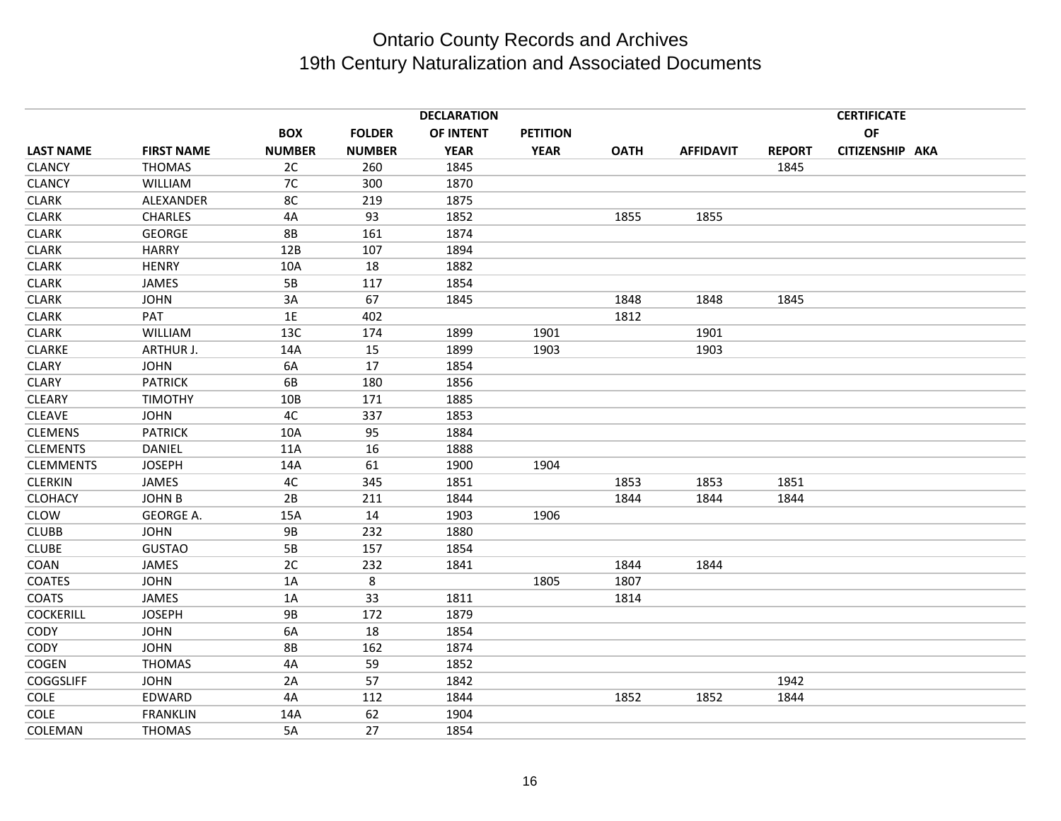|                  | <b>DECLARATION</b> |               |               |             |                 |             |                  | <b>CERTIFICATE</b> |                 |  |
|------------------|--------------------|---------------|---------------|-------------|-----------------|-------------|------------------|--------------------|-----------------|--|
|                  |                    | <b>BOX</b>    | <b>FOLDER</b> | OF INTENT   | <b>PETITION</b> |             |                  |                    | OF              |  |
| <b>LAST NAME</b> | <b>FIRST NAME</b>  | <b>NUMBER</b> | <b>NUMBER</b> | <b>YEAR</b> | <b>YEAR</b>     | <b>OATH</b> | <b>AFFIDAVIT</b> | <b>REPORT</b>      | CITIZENSHIP AKA |  |
| <b>CLANCY</b>    | <b>THOMAS</b>      | 2C            | 260           | 1845        |                 |             |                  | 1845               |                 |  |
| <b>CLANCY</b>    | <b>WILLIAM</b>     | 7C            | 300           | 1870        |                 |             |                  |                    |                 |  |
| <b>CLARK</b>     | ALEXANDER          | 8C            | 219           | 1875        |                 |             |                  |                    |                 |  |
| <b>CLARK</b>     | <b>CHARLES</b>     | 4A            | 93            | 1852        |                 | 1855        | 1855             |                    |                 |  |
| <b>CLARK</b>     | <b>GEORGE</b>      | <b>8B</b>     | 161           | 1874        |                 |             |                  |                    |                 |  |
| <b>CLARK</b>     | <b>HARRY</b>       | 12B           | 107           | 1894        |                 |             |                  |                    |                 |  |
| <b>CLARK</b>     | <b>HENRY</b>       | 10A           | 18            | 1882        |                 |             |                  |                    |                 |  |
| <b>CLARK</b>     | <b>JAMES</b>       | 5B            | 117           | 1854        |                 |             |                  |                    |                 |  |
| <b>CLARK</b>     | <b>JOHN</b>        | 3A            | 67            | 1845        |                 | 1848        | 1848             | 1845               |                 |  |
| <b>CLARK</b>     | PAT                | 1E            | 402           |             |                 | 1812        |                  |                    |                 |  |
| <b>CLARK</b>     | WILLIAM            | 13C           | 174           | 1899        | 1901            |             | 1901             |                    |                 |  |
| <b>CLARKE</b>    | ARTHUR J.          | 14A           | 15            | 1899        | 1903            |             | 1903             |                    |                 |  |
| <b>CLARY</b>     | <b>JOHN</b>        | 6A            | 17            | 1854        |                 |             |                  |                    |                 |  |
| <b>CLARY</b>     | <b>PATRICK</b>     | 6B            | 180           | 1856        |                 |             |                  |                    |                 |  |
| <b>CLEARY</b>    | <b>TIMOTHY</b>     | 10B           | 171           | 1885        |                 |             |                  |                    |                 |  |
| <b>CLEAVE</b>    | <b>JOHN</b>        | 4C            | 337           | 1853        |                 |             |                  |                    |                 |  |
| <b>CLEMENS</b>   | <b>PATRICK</b>     | 10A           | 95            | 1884        |                 |             |                  |                    |                 |  |
| <b>CLEMENTS</b>  | <b>DANIEL</b>      | 11A           | 16            | 1888        |                 |             |                  |                    |                 |  |
| <b>CLEMMENTS</b> | <b>JOSEPH</b>      | 14A           | 61            | 1900        | 1904            |             |                  |                    |                 |  |
| <b>CLERKIN</b>   | JAMES              | 4C            | 345           | 1851        |                 | 1853        | 1853             | 1851               |                 |  |
| <b>CLOHACY</b>   | <b>JOHN B</b>      | 2B            | 211           | 1844        |                 | 1844        | 1844             | 1844               |                 |  |
| <b>CLOW</b>      | GEORGE A.          | 15A           | 14            | 1903        | 1906            |             |                  |                    |                 |  |
| <b>CLUBB</b>     | <b>JOHN</b>        | 9B            | 232           | 1880        |                 |             |                  |                    |                 |  |
| <b>CLUBE</b>     | <b>GUSTAO</b>      | 5B            | 157           | 1854        |                 |             |                  |                    |                 |  |
| COAN             | JAMES              | 2C            | 232           | 1841        |                 | 1844        | 1844             |                    |                 |  |
| <b>COATES</b>    | <b>JOHN</b>        | 1A            | 8             |             | 1805            | 1807        |                  |                    |                 |  |
| <b>COATS</b>     | JAMES              | 1A            | 33            | 1811        |                 | 1814        |                  |                    |                 |  |
| <b>COCKERILL</b> | <b>JOSEPH</b>      | <b>9B</b>     | 172           | 1879        |                 |             |                  |                    |                 |  |
| <b>CODY</b>      | <b>JOHN</b>        | 6A            | 18            | 1854        |                 |             |                  |                    |                 |  |
| <b>CODY</b>      | <b>JOHN</b>        | <b>8B</b>     | 162           | 1874        |                 |             |                  |                    |                 |  |
| COGEN            | <b>THOMAS</b>      | 4A            | 59            | 1852        |                 |             |                  |                    |                 |  |
| <b>COGGSLIFF</b> | <b>JOHN</b>        | 2A            | 57            | 1842        |                 |             |                  | 1942               |                 |  |
| <b>COLE</b>      | EDWARD             | 4A            | 112           | 1844        |                 | 1852        | 1852             | 1844               |                 |  |
| <b>COLE</b>      | <b>FRANKLIN</b>    | 14A           | 62            | 1904        |                 |             |                  |                    |                 |  |
| COLEMAN          | <b>THOMAS</b>      | 5A            | 27            | 1854        |                 |             |                  |                    |                 |  |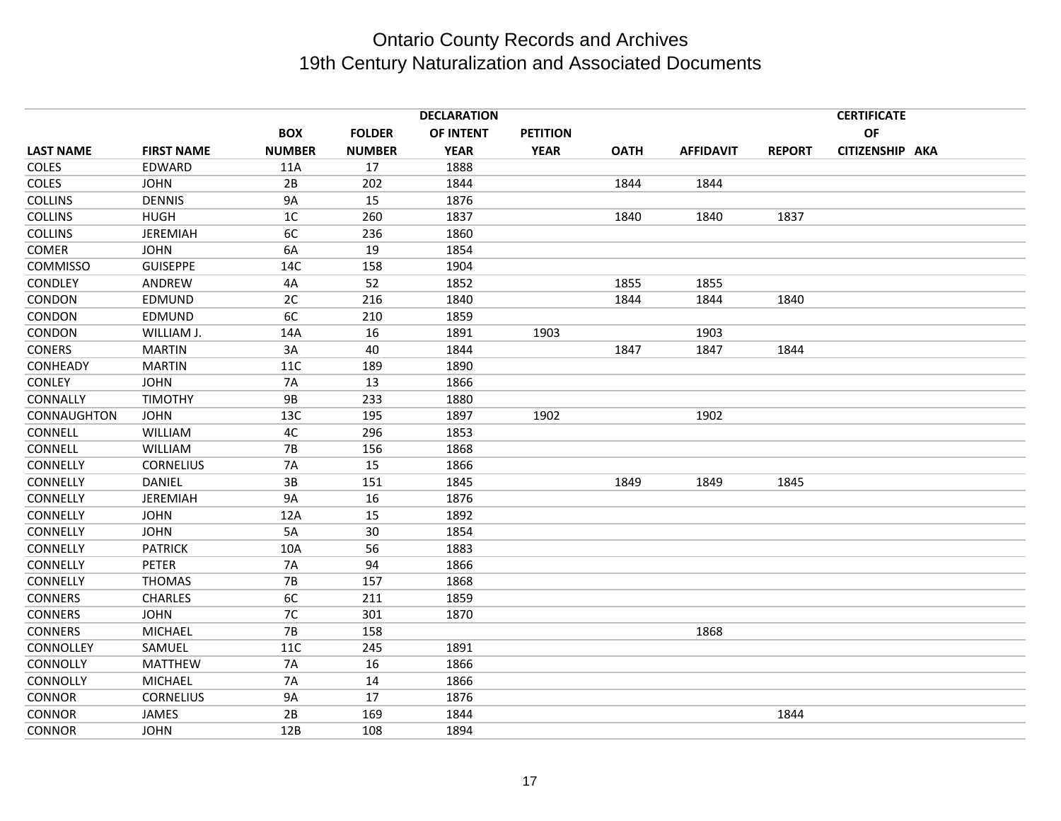|                  |                   |                |               | <b>DECLARATION</b> |                 |             |                  |               | <b>CERTIFICATE</b> |  |
|------------------|-------------------|----------------|---------------|--------------------|-----------------|-------------|------------------|---------------|--------------------|--|
|                  |                   | <b>BOX</b>     | <b>FOLDER</b> | <b>OF INTENT</b>   | <b>PETITION</b> |             |                  |               | <b>OF</b>          |  |
| <b>LAST NAME</b> | <b>FIRST NAME</b> | <b>NUMBER</b>  | <b>NUMBER</b> | <b>YEAR</b>        | <b>YEAR</b>     | <b>OATH</b> | <b>AFFIDAVIT</b> | <b>REPORT</b> | CITIZENSHIP AKA    |  |
| COLES            | EDWARD            | 11A            | 17            | 1888               |                 |             |                  |               |                    |  |
| <b>COLES</b>     | <b>JOHN</b>       | 2B             | 202           | 1844               |                 | 1844        | 1844             |               |                    |  |
| <b>COLLINS</b>   | <b>DENNIS</b>     | <b>9A</b>      | 15            | 1876               |                 |             |                  |               |                    |  |
| <b>COLLINS</b>   | <b>HUGH</b>       | 1 <sup>C</sup> | 260           | 1837               |                 | 1840        | 1840             | 1837          |                    |  |
| <b>COLLINS</b>   | JEREMIAH          | 6C             | 236           | 1860               |                 |             |                  |               |                    |  |
| <b>COMER</b>     | <b>JOHN</b>       | 6A             | 19            | 1854               |                 |             |                  |               |                    |  |
| <b>COMMISSO</b>  | <b>GUISEPPE</b>   | 14C            | 158           | 1904               |                 |             |                  |               |                    |  |
| <b>CONDLEY</b>   | ANDREW            | 4A             | 52            | 1852               |                 | 1855        | 1855             |               |                    |  |
| CONDON           | EDMUND            | 2C             | 216           | 1840               |                 | 1844        | 1844             | 1840          |                    |  |
| CONDON           | EDMUND            | 6C             | 210           | 1859               |                 |             |                  |               |                    |  |
| CONDON           | WILLIAM J.        | 14A            | 16            | 1891               | 1903            |             | 1903             |               |                    |  |
| <b>CONERS</b>    | <b>MARTIN</b>     | 3A             | 40            | 1844               |                 | 1847        | 1847             | 1844          |                    |  |
| CONHEADY         | <b>MARTIN</b>     | 11C            | 189           | 1890               |                 |             |                  |               |                    |  |
| <b>CONLEY</b>    | <b>JOHN</b>       | <b>7A</b>      | 13            | 1866               |                 |             |                  |               |                    |  |
| CONNALLY         | <b>TIMOTHY</b>    | <b>9B</b>      | 233           | 1880               |                 |             |                  |               |                    |  |
| CONNAUGHTON      | <b>JOHN</b>       | 13C            | 195           | 1897               | 1902            |             | 1902             |               |                    |  |
| CONNELL          | WILLIAM           | 4C             | 296           | 1853               |                 |             |                  |               |                    |  |
| CONNELL          | <b>WILLIAM</b>    | <b>7B</b>      | 156           | 1868               |                 |             |                  |               |                    |  |
| CONNELLY         | <b>CORNELIUS</b>  | <b>7A</b>      | 15            | 1866               |                 |             |                  |               |                    |  |
| CONNELLY         | <b>DANIEL</b>     | 3B             | 151           | 1845               |                 | 1849        | 1849             | 1845          |                    |  |
| CONNELLY         | JEREMIAH          | <b>9A</b>      | 16            | 1876               |                 |             |                  |               |                    |  |
| CONNELLY         | <b>JOHN</b>       | 12A            | 15            | 1892               |                 |             |                  |               |                    |  |
| CONNELLY         | <b>JOHN</b>       | 5A             | 30            | 1854               |                 |             |                  |               |                    |  |
| CONNELLY         | <b>PATRICK</b>    | 10A            | 56            | 1883               |                 |             |                  |               |                    |  |
| CONNELLY         | <b>PETER</b>      | 7A             | 94            | 1866               |                 |             |                  |               |                    |  |
| CONNELLY         | <b>THOMAS</b>     | <b>7B</b>      | 157           | 1868               |                 |             |                  |               |                    |  |
| <b>CONNERS</b>   | <b>CHARLES</b>    | 6C             | 211           | 1859               |                 |             |                  |               |                    |  |
| <b>CONNERS</b>   | <b>JOHN</b>       | 7C             | 301           | 1870               |                 |             |                  |               |                    |  |
| <b>CONNERS</b>   | <b>MICHAEL</b>    | <b>7B</b>      | 158           |                    |                 |             | 1868             |               |                    |  |
| CONNOLLEY        | SAMUEL            | <b>11C</b>     | 245           | 1891               |                 |             |                  |               |                    |  |
| CONNOLLY         | <b>MATTHEW</b>    | <b>7A</b>      | 16            | 1866               |                 |             |                  |               |                    |  |
| CONNOLLY         | <b>MICHAEL</b>    | <b>7A</b>      | 14            | 1866               |                 |             |                  |               |                    |  |
| <b>CONNOR</b>    | <b>CORNELIUS</b>  | <b>9A</b>      | 17            | 1876               |                 |             |                  |               |                    |  |
| <b>CONNOR</b>    | JAMES             | 2B             | 169           | 1844               |                 |             |                  | 1844          |                    |  |
| <b>CONNOR</b>    | <b>JOHN</b>       | 12B            | 108           | 1894               |                 |             |                  |               |                    |  |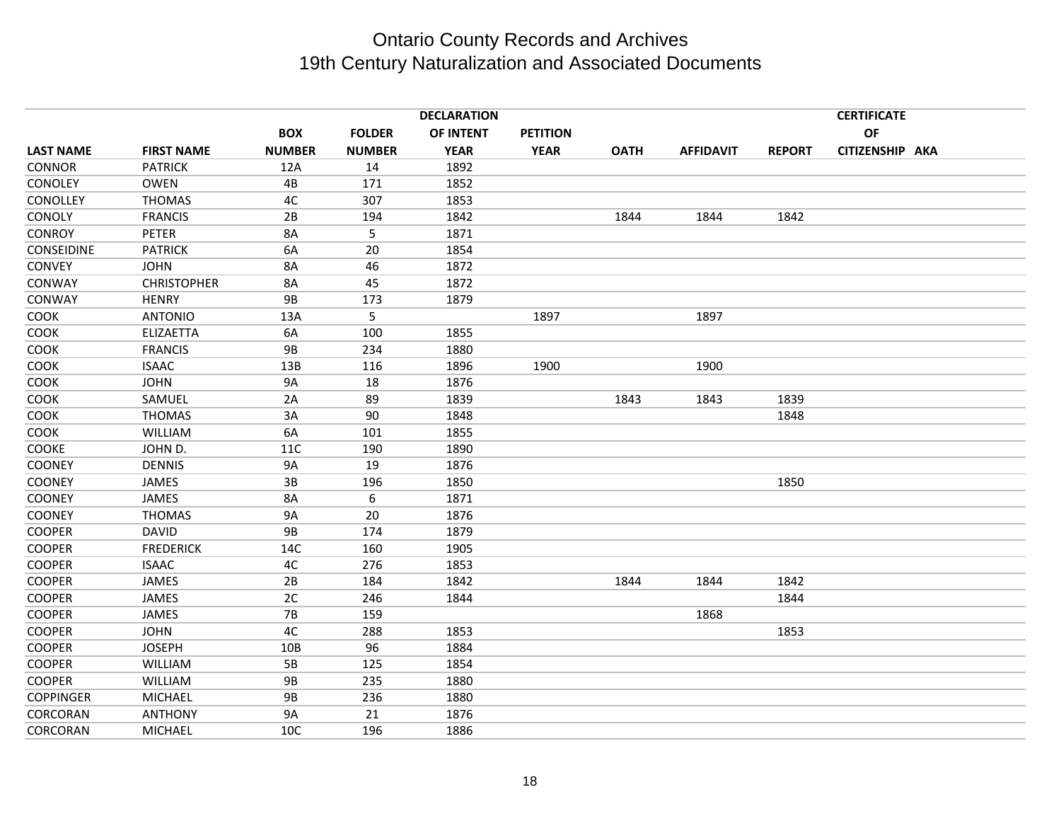| <b>DECLARATION</b> |                    |               |               |             |                 |             | <b>CERTIFICATE</b> |               |                 |  |
|--------------------|--------------------|---------------|---------------|-------------|-----------------|-------------|--------------------|---------------|-----------------|--|
|                    |                    | <b>BOX</b>    | <b>FOLDER</b> | OF INTENT   | <b>PETITION</b> |             |                    |               | OF              |  |
| <b>LAST NAME</b>   | <b>FIRST NAME</b>  | <b>NUMBER</b> | <b>NUMBER</b> | <b>YEAR</b> | <b>YEAR</b>     | <b>OATH</b> | <b>AFFIDAVIT</b>   | <b>REPORT</b> | CITIZENSHIP AKA |  |
| <b>CONNOR</b>      | <b>PATRICK</b>     | 12A           | 14            | 1892        |                 |             |                    |               |                 |  |
| CONOLEY            | <b>OWEN</b>        | 4B            | 171           | 1852        |                 |             |                    |               |                 |  |
| CONOLLEY           | <b>THOMAS</b>      | 4C            | 307           | 1853        |                 |             |                    |               |                 |  |
| CONOLY             | <b>FRANCIS</b>     | 2B            | 194           | 1842        |                 | 1844        | 1844               | 1842          |                 |  |
| <b>CONROY</b>      | <b>PETER</b>       | 8A            | 5             | 1871        |                 |             |                    |               |                 |  |
| CONSEIDINE         | <b>PATRICK</b>     | 6A            | 20            | 1854        |                 |             |                    |               |                 |  |
| <b>CONVEY</b>      | <b>JOHN</b>        | <b>8A</b>     | 46            | 1872        |                 |             |                    |               |                 |  |
| CONWAY             | <b>CHRISTOPHER</b> | 8A            | 45            | 1872        |                 |             |                    |               |                 |  |
| CONWAY             | <b>HENRY</b>       | <b>9B</b>     | 173           | 1879        |                 |             |                    |               |                 |  |
| COOK               | <b>ANTONIO</b>     | 13A           | 5             |             | 1897            |             | 1897               |               |                 |  |
| COOK               | ELIZAETTA          | 6A            | 100           | 1855        |                 |             |                    |               |                 |  |
| COOK               | <b>FRANCIS</b>     | <b>9B</b>     | 234           | 1880        |                 |             |                    |               |                 |  |
| COOK               | <b>ISAAC</b>       | 13B           | 116           | 1896        | 1900            |             | 1900               |               |                 |  |
| COOK               | <b>JOHN</b>        | <b>9A</b>     | 18            | 1876        |                 |             |                    |               |                 |  |
| COOK               | SAMUEL             | 2A            | 89            | 1839        |                 | 1843        | 1843               | 1839          |                 |  |
| COOK               | <b>THOMAS</b>      | 3A            | 90            | 1848        |                 |             |                    | 1848          |                 |  |
| COOK               | <b>WILLIAM</b>     | 6A            | 101           | 1855        |                 |             |                    |               |                 |  |
| <b>COOKE</b>       | JOHN D.            | 11C           | 190           | 1890        |                 |             |                    |               |                 |  |
| <b>COONEY</b>      | <b>DENNIS</b>      | <b>9A</b>     | 19            | 1876        |                 |             |                    |               |                 |  |
| <b>COONEY</b>      | <b>JAMES</b>       | 3B            | 196           | 1850        |                 |             |                    | 1850          |                 |  |
| <b>COONEY</b>      | JAMES              | 8A            | 6             | 1871        |                 |             |                    |               |                 |  |
| <b>COONEY</b>      | <b>THOMAS</b>      | <b>9A</b>     | 20            | 1876        |                 |             |                    |               |                 |  |
| <b>COOPER</b>      | <b>DAVID</b>       | <b>9B</b>     | 174           | 1879        |                 |             |                    |               |                 |  |
| <b>COOPER</b>      | <b>FREDERICK</b>   | 14C           | 160           | 1905        |                 |             |                    |               |                 |  |
| <b>COOPER</b>      | <b>ISAAC</b>       | 4C            | 276           | 1853        |                 |             |                    |               |                 |  |
| <b>COOPER</b>      | JAMES              | 2B            | 184           | 1842        |                 | 1844        | 1844               | 1842          |                 |  |
| <b>COOPER</b>      | JAMES              | 2C            | 246           | 1844        |                 |             |                    | 1844          |                 |  |
| <b>COOPER</b>      | JAMES              | <b>7B</b>     | 159           |             |                 |             | 1868               |               |                 |  |
| <b>COOPER</b>      | <b>JOHN</b>        | 4C            | 288           | 1853        |                 |             |                    | 1853          |                 |  |
| <b>COOPER</b>      | <b>JOSEPH</b>      | 10B           | 96            | 1884        |                 |             |                    |               |                 |  |
| <b>COOPER</b>      | WILLIAM            | 5B            | 125           | 1854        |                 |             |                    |               |                 |  |
| <b>COOPER</b>      | WILLIAM            | <b>9B</b>     | 235           | 1880        |                 |             |                    |               |                 |  |
| <b>COPPINGER</b>   | <b>MICHAEL</b>     | <b>9B</b>     | 236           | 1880        |                 |             |                    |               |                 |  |
| CORCORAN           | <b>ANTHONY</b>     | <b>9A</b>     | 21            | 1876        |                 |             |                    |               |                 |  |
| CORCORAN           | <b>MICHAEL</b>     | 10C           | 196           | 1886        |                 |             |                    |               |                 |  |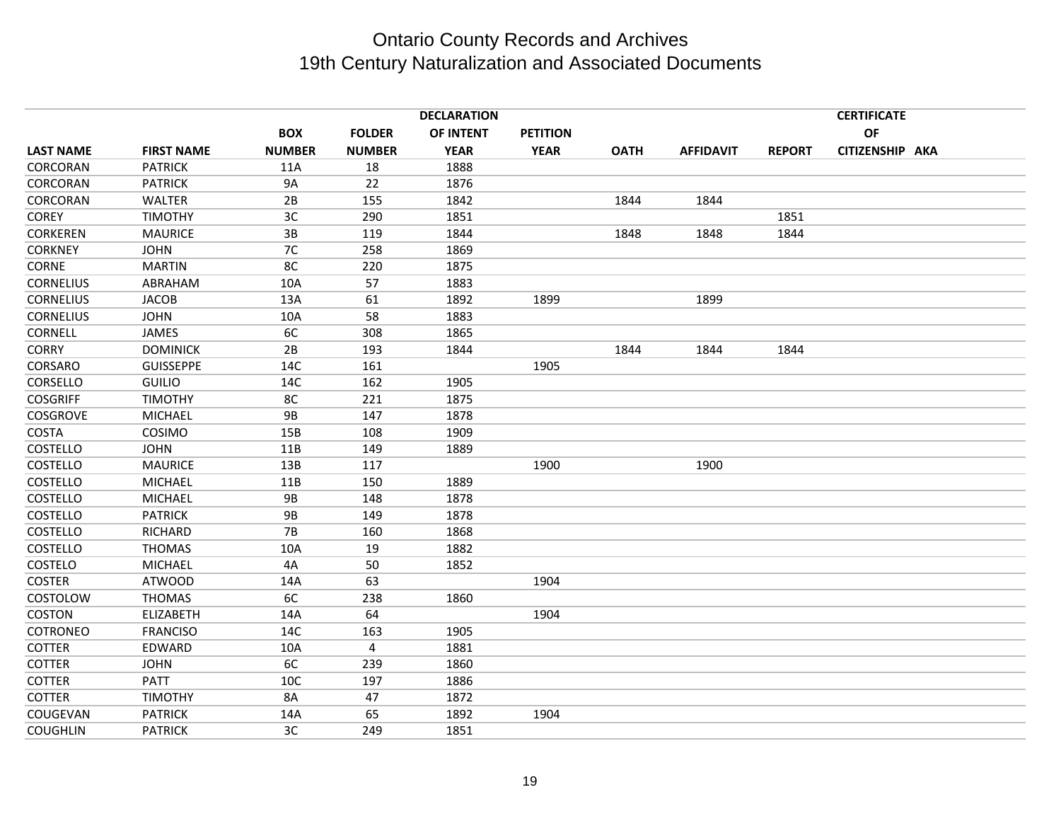|                  |                   |                |                | <b>DECLARATION</b> |                 |             |                  |               | <b>CERTIFICATE</b> |  |
|------------------|-------------------|----------------|----------------|--------------------|-----------------|-------------|------------------|---------------|--------------------|--|
|                  |                   | <b>BOX</b>     | <b>FOLDER</b>  | OF INTENT          | <b>PETITION</b> |             |                  |               | OF                 |  |
| <b>LAST NAME</b> | <b>FIRST NAME</b> | <b>NUMBER</b>  | <b>NUMBER</b>  | <b>YEAR</b>        | <b>YEAR</b>     | <b>OATH</b> | <b>AFFIDAVIT</b> | <b>REPORT</b> | CITIZENSHIP AKA    |  |
| CORCORAN         | <b>PATRICK</b>    | 11A            | 18             | 1888               |                 |             |                  |               |                    |  |
| CORCORAN         | <b>PATRICK</b>    | <b>9A</b>      | 22             | 1876               |                 |             |                  |               |                    |  |
| CORCORAN         | <b>WALTER</b>     | 2B             | 155            | 1842               |                 | 1844        | 1844             |               |                    |  |
| <b>COREY</b>     | <b>TIMOTHY</b>    | 3 <sub>C</sub> | 290            | 1851               |                 |             |                  | 1851          |                    |  |
| <b>CORKEREN</b>  | <b>MAURICE</b>    | 3B             | 119            | 1844               |                 | 1848        | 1848             | 1844          |                    |  |
| <b>CORKNEY</b>   | <b>JOHN</b>       | 7C             | 258            | 1869               |                 |             |                  |               |                    |  |
| <b>CORNE</b>     | <b>MARTIN</b>     | 8C             | 220            | 1875               |                 |             |                  |               |                    |  |
| <b>CORNELIUS</b> | ABRAHAM           | 10A            | 57             | 1883               |                 |             |                  |               |                    |  |
| <b>CORNELIUS</b> | <b>JACOB</b>      | 13A            | 61             | 1892               | 1899            |             | 1899             |               |                    |  |
| <b>CORNELIUS</b> | <b>JOHN</b>       | 10A            | 58             | 1883               |                 |             |                  |               |                    |  |
| <b>CORNELL</b>   | JAMES             | 6C             | 308            | 1865               |                 |             |                  |               |                    |  |
| <b>CORRY</b>     | <b>DOMINICK</b>   | 2B             | 193            | 1844               |                 | 1844        | 1844             | 1844          |                    |  |
| CORSARO          | <b>GUISSEPPE</b>  | 14C            | 161            |                    | 1905            |             |                  |               |                    |  |
| CORSELLO         | <b>GUILIO</b>     | 14C            | 162            | 1905               |                 |             |                  |               |                    |  |
| <b>COSGRIFF</b>  | <b>TIMOTHY</b>    | 8C             | 221            | 1875               |                 |             |                  |               |                    |  |
| <b>COSGROVE</b>  | <b>MICHAEL</b>    | <b>9B</b>      | 147            | 1878               |                 |             |                  |               |                    |  |
| <b>COSTA</b>     | COSIMO            | 15B            | 108            | 1909               |                 |             |                  |               |                    |  |
| <b>COSTELLO</b>  | <b>JOHN</b>       | 11B            | 149            | 1889               |                 |             |                  |               |                    |  |
| COSTELLO         | <b>MAURICE</b>    | 13B            | 117            |                    | 1900            |             | 1900             |               |                    |  |
| <b>COSTELLO</b>  | <b>MICHAEL</b>    | 11B            | 150            | 1889               |                 |             |                  |               |                    |  |
| COSTELLO         | <b>MICHAEL</b>    | <b>9B</b>      | 148            | 1878               |                 |             |                  |               |                    |  |
| <b>COSTELLO</b>  | <b>PATRICK</b>    | <b>9B</b>      | 149            | 1878               |                 |             |                  |               |                    |  |
| COSTELLO         | <b>RICHARD</b>    | <b>7B</b>      | 160            | 1868               |                 |             |                  |               |                    |  |
| COSTELLO         | <b>THOMAS</b>     | 10A            | 19             | 1882               |                 |             |                  |               |                    |  |
| COSTELO          | <b>MICHAEL</b>    | 4A             | 50             | 1852               |                 |             |                  |               |                    |  |
| <b>COSTER</b>    | <b>ATWOOD</b>     | 14A            | 63             |                    | 1904            |             |                  |               |                    |  |
| COSTOLOW         | <b>THOMAS</b>     | 6C             | 238            | 1860               |                 |             |                  |               |                    |  |
| <b>COSTON</b>    | ELIZABETH         | 14A            | 64             |                    | 1904            |             |                  |               |                    |  |
| COTRONEO         | <b>FRANCISO</b>   | 14C            | 163            | 1905               |                 |             |                  |               |                    |  |
| <b>COTTER</b>    | EDWARD            | 10A            | $\overline{4}$ | 1881               |                 |             |                  |               |                    |  |
| <b>COTTER</b>    | <b>JOHN</b>       | 6C             | 239            | 1860               |                 |             |                  |               |                    |  |
| <b>COTTER</b>    | PATT              | 10C            | 197            | 1886               |                 |             |                  |               |                    |  |
| <b>COTTER</b>    | <b>TIMOTHY</b>    | 8A             | 47             | 1872               |                 |             |                  |               |                    |  |
| COUGEVAN         | <b>PATRICK</b>    | 14A            | 65             | 1892               | 1904            |             |                  |               |                    |  |
| <b>COUGHLIN</b>  | <b>PATRICK</b>    | 3C             | 249            | 1851               |                 |             |                  |               |                    |  |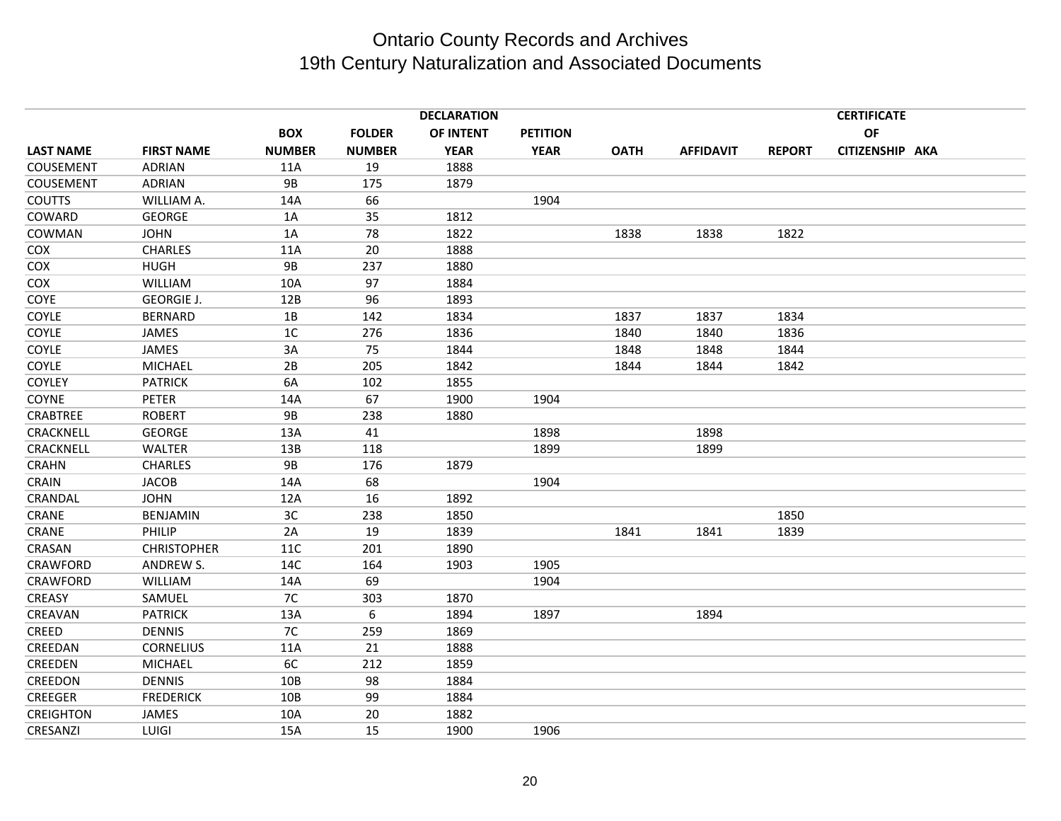|                  |                    |               |               | <b>DECLARATION</b> |                 |             |                  |               | <b>CERTIFICATE</b> |  |
|------------------|--------------------|---------------|---------------|--------------------|-----------------|-------------|------------------|---------------|--------------------|--|
|                  |                    | <b>BOX</b>    | <b>FOLDER</b> | OF INTENT          | <b>PETITION</b> |             |                  |               | OF                 |  |
| <b>LAST NAME</b> | <b>FIRST NAME</b>  | <b>NUMBER</b> | <b>NUMBER</b> | <b>YEAR</b>        | <b>YEAR</b>     | <b>OATH</b> | <b>AFFIDAVIT</b> | <b>REPORT</b> | CITIZENSHIP AKA    |  |
| COUSEMENT        | <b>ADRIAN</b>      | 11A           | 19            | 1888               |                 |             |                  |               |                    |  |
| COUSEMENT        | <b>ADRIAN</b>      | <b>9B</b>     | 175           | 1879               |                 |             |                  |               |                    |  |
| <b>COUTTS</b>    | WILLIAM A.         | 14A           | 66            |                    | 1904            |             |                  |               |                    |  |
| COWARD           | <b>GEORGE</b>      | 1A            | 35            | 1812               |                 |             |                  |               |                    |  |
| COWMAN           | <b>JOHN</b>        | 1A            | 78            | 1822               |                 | 1838        | 1838             | 1822          |                    |  |
| COX              | <b>CHARLES</b>     | 11A           | 20            | 1888               |                 |             |                  |               |                    |  |
| COX              | <b>HUGH</b>        | <b>9B</b>     | 237           | 1880               |                 |             |                  |               |                    |  |
| COX              | WILLIAM            | 10A           | 97            | 1884               |                 |             |                  |               |                    |  |
| <b>COYE</b>      | <b>GEORGIE J.</b>  | 12B           | 96            | 1893               |                 |             |                  |               |                    |  |
| COYLE            | <b>BERNARD</b>     | 1B            | 142           | 1834               |                 | 1837        | 1837             | 1834          |                    |  |
| COYLE            | JAMES              | 1C            | 276           | 1836               |                 | 1840        | 1840             | 1836          |                    |  |
| COYLE            | JAMES              | 3A            | 75            | 1844               |                 | 1848        | 1848             | 1844          |                    |  |
| COYLE            | <b>MICHAEL</b>     | 2B            | 205           | 1842               |                 | 1844        | 1844             | 1842          |                    |  |
| <b>COYLEY</b>    | <b>PATRICK</b>     | 6A            | 102           | 1855               |                 |             |                  |               |                    |  |
| COYNE            | <b>PETER</b>       | 14A           | 67            | 1900               | 1904            |             |                  |               |                    |  |
| <b>CRABTREE</b>  | <b>ROBERT</b>      | 9B            | 238           | 1880               |                 |             |                  |               |                    |  |
| CRACKNELL        | <b>GEORGE</b>      | 13A           | 41            |                    | 1898            |             | 1898             |               |                    |  |
| CRACKNELL        | <b>WALTER</b>      | 13B           | 118           |                    | 1899            |             | 1899             |               |                    |  |
| <b>CRAHN</b>     | <b>CHARLES</b>     | <b>9B</b>     | 176           | 1879               |                 |             |                  |               |                    |  |
| CRAIN            | <b>JACOB</b>       | 14A           | 68            |                    | 1904            |             |                  |               |                    |  |
| CRANDAL          | <b>JOHN</b>        | 12A           | 16            | 1892               |                 |             |                  |               |                    |  |
| CRANE            | <b>BENJAMIN</b>    | 3C            | 238           | 1850               |                 |             |                  | 1850          |                    |  |
| CRANE            | PHILIP             | 2A            | 19            | 1839               |                 | 1841        | 1841             | 1839          |                    |  |
| CRASAN           | <b>CHRISTOPHER</b> | 11C           | 201           | 1890               |                 |             |                  |               |                    |  |
| CRAWFORD         | ANDREW S.          | 14C           | 164           | 1903               | 1905            |             |                  |               |                    |  |
| CRAWFORD         | <b>WILLIAM</b>     | 14A           | 69            |                    | 1904            |             |                  |               |                    |  |
| CREASY           | SAMUEL             | 7C            | 303           | 1870               |                 |             |                  |               |                    |  |
| CREAVAN          | <b>PATRICK</b>     | 13A           | 6             | 1894               | 1897            |             | 1894             |               |                    |  |
| CREED            | <b>DENNIS</b>      | 7C            | 259           | 1869               |                 |             |                  |               |                    |  |
| CREEDAN          | <b>CORNELIUS</b>   | 11A           | 21            | 1888               |                 |             |                  |               |                    |  |
| CREEDEN          | <b>MICHAEL</b>     | 6C            | 212           | 1859               |                 |             |                  |               |                    |  |
| CREEDON          | <b>DENNIS</b>      | 10B           | 98            | 1884               |                 |             |                  |               |                    |  |
| <b>CREEGER</b>   | <b>FREDERICK</b>   | 10B           | 99            | 1884               |                 |             |                  |               |                    |  |
| <b>CREIGHTON</b> | JAMES              | 10A           | 20            | 1882               |                 |             |                  |               |                    |  |
| CRESANZI         | LUIGI              | 15A           | 15            | 1900               | 1906            |             |                  |               |                    |  |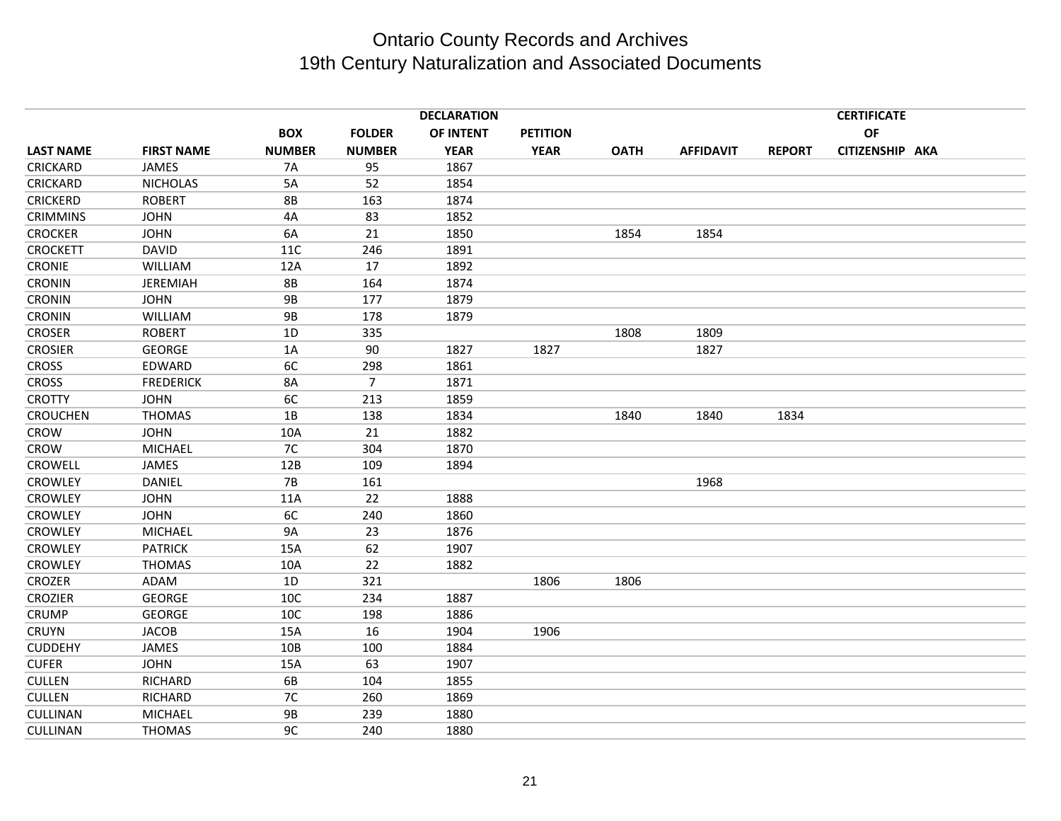|                  |                   |               |                | <b>DECLARATION</b> |                 |             |                  |               | <b>CERTIFICATE</b> |  |
|------------------|-------------------|---------------|----------------|--------------------|-----------------|-------------|------------------|---------------|--------------------|--|
|                  |                   | <b>BOX</b>    | <b>FOLDER</b>  | OF INTENT          | <b>PETITION</b> |             |                  |               | <b>OF</b>          |  |
| <b>LAST NAME</b> | <b>FIRST NAME</b> | <b>NUMBER</b> | <b>NUMBER</b>  | <b>YEAR</b>        | <b>YEAR</b>     | <b>OATH</b> | <b>AFFIDAVIT</b> | <b>REPORT</b> | CITIZENSHIP AKA    |  |
| CRICKARD         | JAMES             | <b>7A</b>     | 95             | 1867               |                 |             |                  |               |                    |  |
| CRICKARD         | <b>NICHOLAS</b>   | 5A            | 52             | 1854               |                 |             |                  |               |                    |  |
| <b>CRICKERD</b>  | <b>ROBERT</b>     | 8B            | 163            | 1874               |                 |             |                  |               |                    |  |
| <b>CRIMMINS</b>  | <b>JOHN</b>       | 4A            | 83             | 1852               |                 |             |                  |               |                    |  |
| <b>CROCKER</b>   | <b>JOHN</b>       | 6A            | 21             | 1850               |                 | 1854        | 1854             |               |                    |  |
| <b>CROCKETT</b>  | <b>DAVID</b>      | <b>11C</b>    | 246            | 1891               |                 |             |                  |               |                    |  |
| <b>CRONIE</b>    | WILLIAM           | 12A           | 17             | 1892               |                 |             |                  |               |                    |  |
| <b>CRONIN</b>    | <b>JEREMIAH</b>   | <b>8B</b>     | 164            | 1874               |                 |             |                  |               |                    |  |
| <b>CRONIN</b>    | <b>JOHN</b>       | 9B            | 177            | 1879               |                 |             |                  |               |                    |  |
| <b>CRONIN</b>    | WILLIAM           | <b>9B</b>     | 178            | 1879               |                 |             |                  |               |                    |  |
| <b>CROSER</b>    | <b>ROBERT</b>     | 1D            | 335            |                    |                 | 1808        | 1809             |               |                    |  |
| <b>CROSIER</b>   | GEORGE            | 1A            | 90             | 1827               | 1827            |             | 1827             |               |                    |  |
| <b>CROSS</b>     | EDWARD            | 6C            | 298            | 1861               |                 |             |                  |               |                    |  |
| <b>CROSS</b>     | <b>FREDERICK</b>  | 8A            | $\overline{7}$ | 1871               |                 |             |                  |               |                    |  |
| <b>CROTTY</b>    | <b>JOHN</b>       | 6C            | 213            | 1859               |                 |             |                  |               |                    |  |
| <b>CROUCHEN</b>  | <b>THOMAS</b>     | 1B            | 138            | 1834               |                 | 1840        | 1840             | 1834          |                    |  |
| <b>CROW</b>      | <b>JOHN</b>       | 10A           | 21             | 1882               |                 |             |                  |               |                    |  |
| <b>CROW</b>      | <b>MICHAEL</b>    | 7C            | 304            | 1870               |                 |             |                  |               |                    |  |
| <b>CROWELL</b>   | JAMES             | 12B           | 109            | 1894               |                 |             |                  |               |                    |  |
| <b>CROWLEY</b>   | DANIEL            | <b>7B</b>     | 161            |                    |                 |             | 1968             |               |                    |  |
| <b>CROWLEY</b>   | <b>JOHN</b>       | 11A           | 22             | 1888               |                 |             |                  |               |                    |  |
| <b>CROWLEY</b>   | <b>JOHN</b>       | 6C            | 240            | 1860               |                 |             |                  |               |                    |  |
| <b>CROWLEY</b>   | <b>MICHAEL</b>    | <b>9A</b>     | 23             | 1876               |                 |             |                  |               |                    |  |
| <b>CROWLEY</b>   | <b>PATRICK</b>    | 15A           | 62             | 1907               |                 |             |                  |               |                    |  |
| <b>CROWLEY</b>   | <b>THOMAS</b>     | 10A           | 22             | 1882               |                 |             |                  |               |                    |  |
| CROZER           | <b>ADAM</b>       | 1D            | 321            |                    | 1806            | 1806        |                  |               |                    |  |
| <b>CROZIER</b>   | GEORGE            | 10C           | 234            | 1887               |                 |             |                  |               |                    |  |
| CRUMP            | <b>GEORGE</b>     | 10C           | 198            | 1886               |                 |             |                  |               |                    |  |
| <b>CRUYN</b>     | <b>JACOB</b>      | 15A           | 16             | 1904               | 1906            |             |                  |               |                    |  |
| <b>CUDDEHY</b>   | JAMES             | 10B           | 100            | 1884               |                 |             |                  |               |                    |  |
| <b>CUFER</b>     | <b>JOHN</b>       | 15A           | 63             | 1907               |                 |             |                  |               |                    |  |
| <b>CULLEN</b>    | RICHARD           | 6B            | 104            | 1855               |                 |             |                  |               |                    |  |
| <b>CULLEN</b>    | <b>RICHARD</b>    | 7C            | 260            | 1869               |                 |             |                  |               |                    |  |
| <b>CULLINAN</b>  | <b>MICHAEL</b>    | <b>9B</b>     | 239            | 1880               |                 |             |                  |               |                    |  |
| <b>CULLINAN</b>  | <b>THOMAS</b>     | 9C            | 240            | 1880               |                 |             |                  |               |                    |  |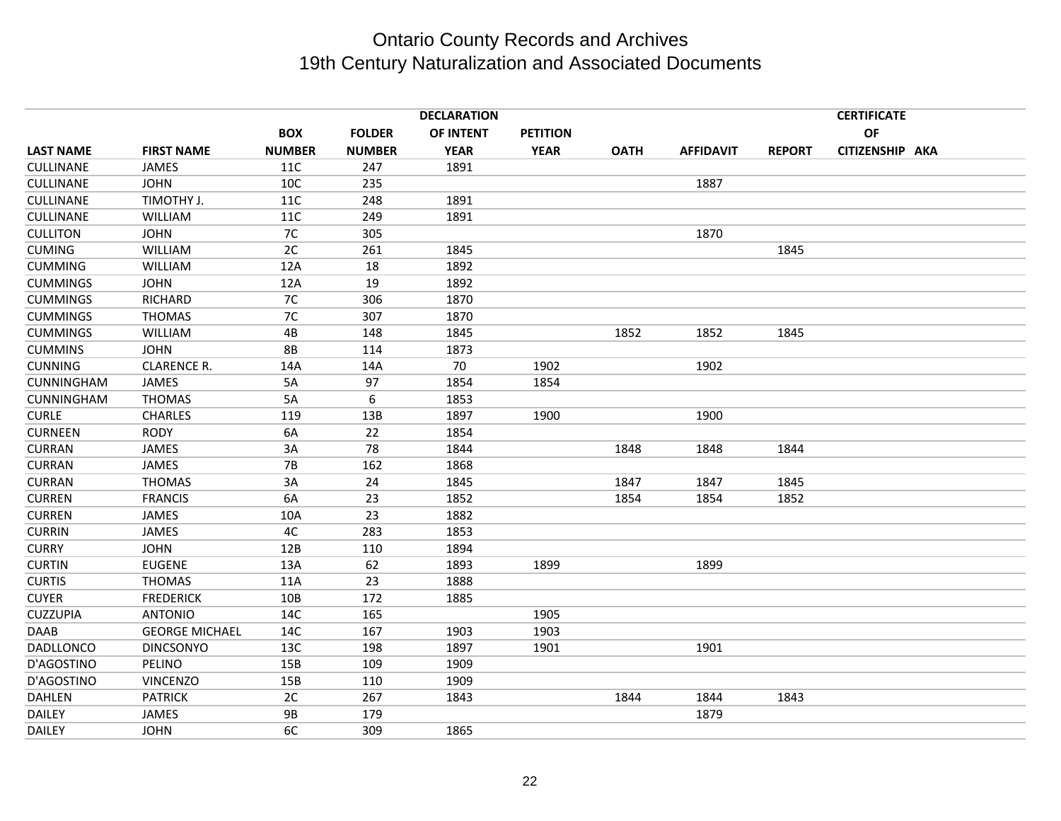|                   |                       |               |               | <b>DECLARATION</b> |                 |             |                  |               | <b>CERTIFICATE</b> |  |
|-------------------|-----------------------|---------------|---------------|--------------------|-----------------|-------------|------------------|---------------|--------------------|--|
|                   |                       | <b>BOX</b>    | <b>FOLDER</b> | OF INTENT          | <b>PETITION</b> |             |                  |               | <b>OF</b>          |  |
| <b>LAST NAME</b>  | <b>FIRST NAME</b>     | <b>NUMBER</b> | <b>NUMBER</b> | <b>YEAR</b>        | <b>YEAR</b>     | <b>OATH</b> | <b>AFFIDAVIT</b> | <b>REPORT</b> | CITIZENSHIP AKA    |  |
| CULLINANE         | JAMES                 | 11C           | 247           | 1891               |                 |             |                  |               |                    |  |
| CULLINANE         | <b>JOHN</b>           | 10C           | 235           |                    |                 |             | 1887             |               |                    |  |
| CULLINANE         | TIMOTHY J.            | 11C           | 248           | 1891               |                 |             |                  |               |                    |  |
| CULLINANE         | <b>WILLIAM</b>        | 11C           | 249           | 1891               |                 |             |                  |               |                    |  |
| <b>CULLITON</b>   | <b>JOHN</b>           | 7C            | 305           |                    |                 |             | 1870             |               |                    |  |
| <b>CUMING</b>     | WILLIAM               | 2C            | 261           | 1845               |                 |             |                  | 1845          |                    |  |
| <b>CUMMING</b>    | WILLIAM               | 12A           | 18            | 1892               |                 |             |                  |               |                    |  |
| <b>CUMMINGS</b>   | <b>JOHN</b>           | 12A           | 19            | 1892               |                 |             |                  |               |                    |  |
| <b>CUMMINGS</b>   | <b>RICHARD</b>        | 7C            | 306           | 1870               |                 |             |                  |               |                    |  |
| <b>CUMMINGS</b>   | <b>THOMAS</b>         | 7C            | 307           | 1870               |                 |             |                  |               |                    |  |
| <b>CUMMINGS</b>   | <b>WILLIAM</b>        | 4B            | 148           | 1845               |                 | 1852        | 1852             | 1845          |                    |  |
| <b>CUMMINS</b>    | <b>JOHN</b>           | <b>8B</b>     | 114           | 1873               |                 |             |                  |               |                    |  |
| <b>CUNNING</b>    | <b>CLARENCE R.</b>    | 14A           | 14A           | 70                 | 1902            |             | 1902             |               |                    |  |
| <b>CUNNINGHAM</b> | JAMES                 | 5A            | 97            | 1854               | 1854            |             |                  |               |                    |  |
| CUNNINGHAM        | <b>THOMAS</b>         | 5A            | 6             | 1853               |                 |             |                  |               |                    |  |
| <b>CURLE</b>      | <b>CHARLES</b>        | 119           | 13B           | 1897               | 1900            |             | 1900             |               |                    |  |
| <b>CURNEEN</b>    | <b>RODY</b>           | 6A            | 22            | 1854               |                 |             |                  |               |                    |  |
| <b>CURRAN</b>     | <b>JAMES</b>          | 3A            | 78            | 1844               |                 | 1848        | 1848             | 1844          |                    |  |
| <b>CURRAN</b>     | JAMES                 | <b>7B</b>     | 162           | 1868               |                 |             |                  |               |                    |  |
| <b>CURRAN</b>     | <b>THOMAS</b>         | 3A            | 24            | 1845               |                 | 1847        | 1847             | 1845          |                    |  |
| <b>CURREN</b>     | <b>FRANCIS</b>        | 6A            | 23            | 1852               |                 | 1854        | 1854             | 1852          |                    |  |
| <b>CURREN</b>     | JAMES                 | 10A           | 23            | 1882               |                 |             |                  |               |                    |  |
| <b>CURRIN</b>     | JAMES                 | 4C            | 283           | 1853               |                 |             |                  |               |                    |  |
| <b>CURRY</b>      | <b>JOHN</b>           | 12B           | 110           | 1894               |                 |             |                  |               |                    |  |
| <b>CURTIN</b>     | <b>EUGENE</b>         | 13A           | 62            | 1893               | 1899            |             | 1899             |               |                    |  |
| <b>CURTIS</b>     | <b>THOMAS</b>         | 11A           | 23            | 1888               |                 |             |                  |               |                    |  |
| <b>CUYER</b>      | <b>FREDERICK</b>      | 10B           | 172           | 1885               |                 |             |                  |               |                    |  |
| <b>CUZZUPIA</b>   | <b>ANTONIO</b>        | 14C           | 165           |                    | 1905            |             |                  |               |                    |  |
| DAAB              | <b>GEORGE MICHAEL</b> | 14C           | 167           | 1903               | 1903            |             |                  |               |                    |  |
| DADLLONCO         | <b>DINCSONYO</b>      | 13C           | 198           | 1897               | 1901            |             | 1901             |               |                    |  |
| D'AGOSTINO        | PELINO                | 15B           | 109           | 1909               |                 |             |                  |               |                    |  |
| D'AGOSTINO        | <b>VINCENZO</b>       | 15B           | 110           | 1909               |                 |             |                  |               |                    |  |
| DAHLEN            | <b>PATRICK</b>        | 2C            | 267           | 1843               |                 | 1844        | 1844             | 1843          |                    |  |
| <b>DAILEY</b>     | <b>JAMES</b>          | <b>9B</b>     | 179           |                    |                 |             | 1879             |               |                    |  |
| <b>DAILEY</b>     | <b>JOHN</b>           | 6C            | 309           | 1865               |                 |             |                  |               |                    |  |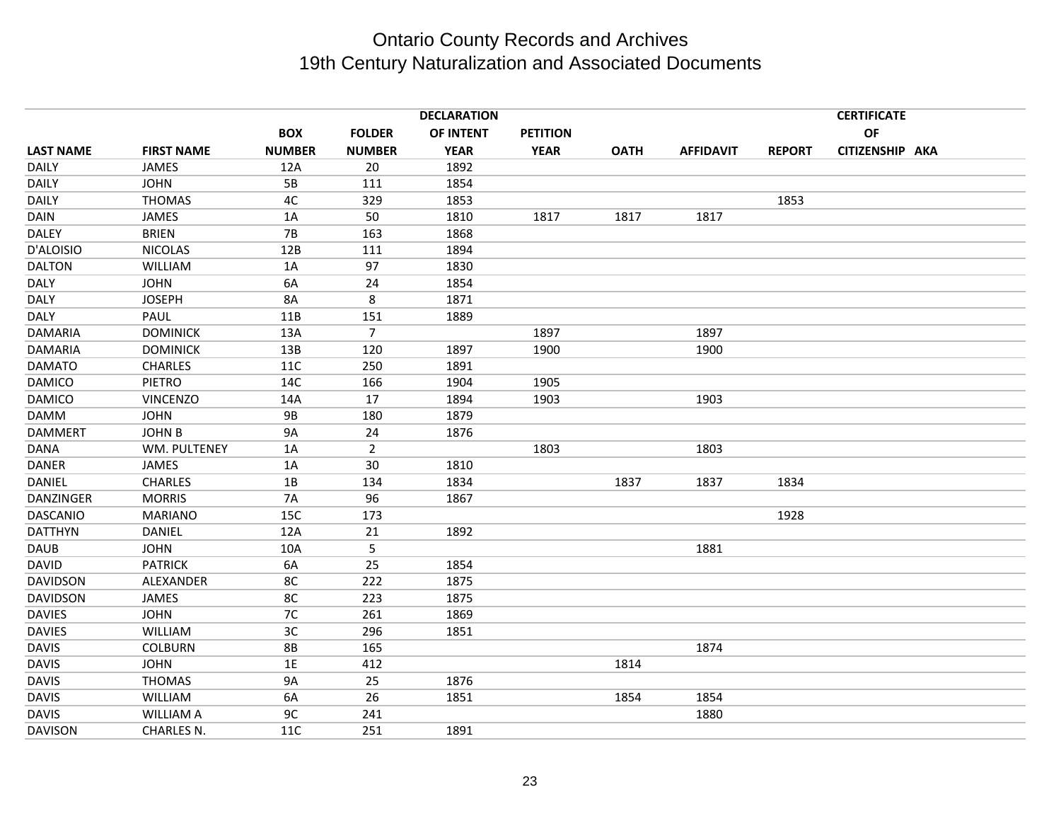|                  |                   |               |                | <b>DECLARATION</b> |                 |             |                  |               | <b>CERTIFICATE</b> |  |
|------------------|-------------------|---------------|----------------|--------------------|-----------------|-------------|------------------|---------------|--------------------|--|
|                  |                   | <b>BOX</b>    | <b>FOLDER</b>  | OF INTENT          | <b>PETITION</b> |             |                  |               | OF                 |  |
| <b>LAST NAME</b> | <b>FIRST NAME</b> | <b>NUMBER</b> | <b>NUMBER</b>  | <b>YEAR</b>        | <b>YEAR</b>     | <b>OATH</b> | <b>AFFIDAVIT</b> | <b>REPORT</b> | CITIZENSHIP AKA    |  |
| <b>DAILY</b>     | JAMES             | 12A           | 20             | 1892               |                 |             |                  |               |                    |  |
| <b>DAILY</b>     | <b>JOHN</b>       | 5B            | 111            | 1854               |                 |             |                  |               |                    |  |
| <b>DAILY</b>     | <b>THOMAS</b>     | 4C            | 329            | 1853               |                 |             |                  | 1853          |                    |  |
| <b>DAIN</b>      | JAMES             | 1A            | 50             | 1810               | 1817            | 1817        | 1817             |               |                    |  |
| <b>DALEY</b>     | <b>BRIEN</b>      | <b>7B</b>     | 163            | 1868               |                 |             |                  |               |                    |  |
| D'ALOISIO        | <b>NICOLAS</b>    | 12B           | 111            | 1894               |                 |             |                  |               |                    |  |
| <b>DALTON</b>    | WILLIAM           | 1A            | 97             | 1830               |                 |             |                  |               |                    |  |
| <b>DALY</b>      | <b>JOHN</b>       | 6A            | 24             | 1854               |                 |             |                  |               |                    |  |
| <b>DALY</b>      | <b>JOSEPH</b>     | 8A            | 8              | 1871               |                 |             |                  |               |                    |  |
| <b>DALY</b>      | PAUL              | 11B           | 151            | 1889               |                 |             |                  |               |                    |  |
| <b>DAMARIA</b>   | <b>DOMINICK</b>   | 13A           | $\overline{7}$ |                    | 1897            |             | 1897             |               |                    |  |
| <b>DAMARIA</b>   | <b>DOMINICK</b>   | 13B           | 120            | 1897               | 1900            |             | 1900             |               |                    |  |
| <b>DAMATO</b>    | <b>CHARLES</b>    | 11C           | 250            | 1891               |                 |             |                  |               |                    |  |
| <b>DAMICO</b>    | PIETRO            | 14C           | 166            | 1904               | 1905            |             |                  |               |                    |  |
| <b>DAMICO</b>    | <b>VINCENZO</b>   | 14A           | 17             | 1894               | 1903            |             | 1903             |               |                    |  |
| <b>DAMM</b>      | <b>JOHN</b>       | <b>9B</b>     | 180            | 1879               |                 |             |                  |               |                    |  |
| <b>DAMMERT</b>   | <b>JOHN B</b>     | <b>9A</b>     | 24             | 1876               |                 |             |                  |               |                    |  |
| <b>DANA</b>      | WM. PULTENEY      | 1A            | 2              |                    | 1803            |             | 1803             |               |                    |  |
| <b>DANER</b>     | JAMES             | 1A            | 30             | 1810               |                 |             |                  |               |                    |  |
| DANIEL           | <b>CHARLES</b>    | 1B            | 134            | 1834               |                 | 1837        | 1837             | 1834          |                    |  |
| DANZINGER        | <b>MORRIS</b>     | <b>7A</b>     | 96             | 1867               |                 |             |                  |               |                    |  |
| <b>DASCANIO</b>  | <b>MARIANO</b>    | 15C           | 173            |                    |                 |             |                  | 1928          |                    |  |
| <b>DATTHYN</b>   | DANIEL            | 12A           | 21             | 1892               |                 |             |                  |               |                    |  |
| <b>DAUB</b>      | <b>JOHN</b>       | 10A           | 5              |                    |                 |             | 1881             |               |                    |  |
| <b>DAVID</b>     | <b>PATRICK</b>    | 6A            | 25             | 1854               |                 |             |                  |               |                    |  |
| <b>DAVIDSON</b>  | ALEXANDER         | 8C            | 222            | 1875               |                 |             |                  |               |                    |  |
| <b>DAVIDSON</b>  | JAMES             | 8C            | 223            | 1875               |                 |             |                  |               |                    |  |
| <b>DAVIES</b>    | <b>JOHN</b>       | 7C            | 261            | 1869               |                 |             |                  |               |                    |  |
| <b>DAVIES</b>    | <b>WILLIAM</b>    | 3C            | 296            | 1851               |                 |             |                  |               |                    |  |
| <b>DAVIS</b>     | <b>COLBURN</b>    | <b>8B</b>     | 165            |                    |                 |             | 1874             |               |                    |  |
| <b>DAVIS</b>     | <b>JOHN</b>       | 1E            | 412            |                    |                 | 1814        |                  |               |                    |  |
| <b>DAVIS</b>     | <b>THOMAS</b>     | <b>9A</b>     | 25             | 1876               |                 |             |                  |               |                    |  |
| <b>DAVIS</b>     | WILLIAM           | 6A            | 26             | 1851               |                 | 1854        | 1854             |               |                    |  |
| <b>DAVIS</b>     | <b>WILLIAM A</b>  | 9C            | 241            |                    |                 |             | 1880             |               |                    |  |
| <b>DAVISON</b>   | CHARLES N.        | 11C           | 251            | 1891               |                 |             |                  |               |                    |  |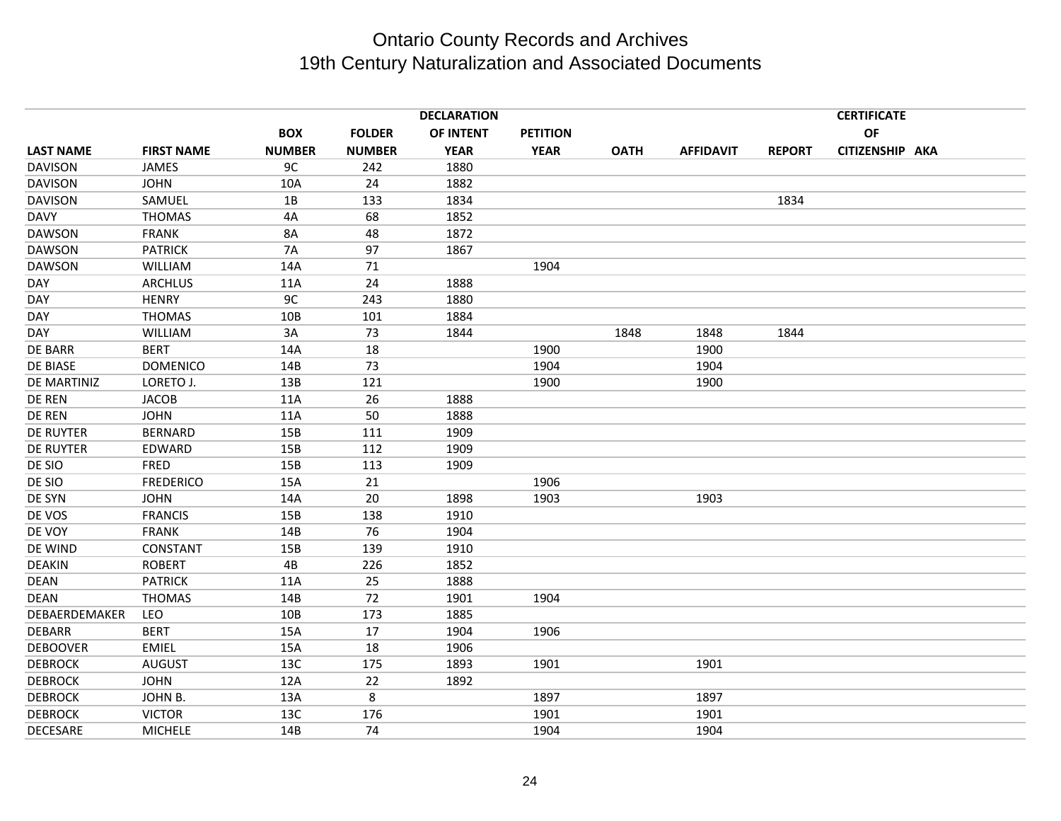|                  |                   |               |               | <b>DECLARATION</b> |                 |             |                  |               | <b>CERTIFICATE</b> |  |
|------------------|-------------------|---------------|---------------|--------------------|-----------------|-------------|------------------|---------------|--------------------|--|
|                  |                   | <b>BOX</b>    | <b>FOLDER</b> | OF INTENT          | <b>PETITION</b> |             |                  |               | OF                 |  |
| <b>LAST NAME</b> | <b>FIRST NAME</b> | <b>NUMBER</b> | <b>NUMBER</b> | <b>YEAR</b>        | <b>YEAR</b>     | <b>OATH</b> | <b>AFFIDAVIT</b> | <b>REPORT</b> | CITIZENSHIP AKA    |  |
| <b>DAVISON</b>   | JAMES             | 9C            | 242           | 1880               |                 |             |                  |               |                    |  |
| <b>DAVISON</b>   | <b>JOHN</b>       | 10A           | 24            | 1882               |                 |             |                  |               |                    |  |
| <b>DAVISON</b>   | SAMUEL            | 1B            | 133           | 1834               |                 |             |                  | 1834          |                    |  |
| <b>DAVY</b>      | <b>THOMAS</b>     | 4A            | 68            | 1852               |                 |             |                  |               |                    |  |
| <b>DAWSON</b>    | <b>FRANK</b>      | <b>8A</b>     | 48            | 1872               |                 |             |                  |               |                    |  |
| <b>DAWSON</b>    | <b>PATRICK</b>    | <b>7A</b>     | 97            | 1867               |                 |             |                  |               |                    |  |
| <b>DAWSON</b>    | <b>WILLIAM</b>    | 14A           | 71            |                    | 1904            |             |                  |               |                    |  |
| DAY              | <b>ARCHLUS</b>    | 11A           | 24            | 1888               |                 |             |                  |               |                    |  |
| DAY              | <b>HENRY</b>      | 9C            | 243           | 1880               |                 |             |                  |               |                    |  |
| DAY              | <b>THOMAS</b>     | 10B           | 101           | 1884               |                 |             |                  |               |                    |  |
| DAY              | <b>WILLIAM</b>    | 3A            | 73            | 1844               |                 | 1848        | 1848             | 1844          |                    |  |
| <b>DE BARR</b>   | <b>BERT</b>       | 14A           | 18            |                    | 1900            |             | 1900             |               |                    |  |
| DE BIASE         | <b>DOMENICO</b>   | 14B           | 73            |                    | 1904            |             | 1904             |               |                    |  |
| DE MARTINIZ      | LORETO J.         | 13B           | 121           |                    | 1900            |             | 1900             |               |                    |  |
| DE REN           | <b>JACOB</b>      | 11A           | 26            | 1888               |                 |             |                  |               |                    |  |
| DE REN           | <b>JOHN</b>       | 11A           | 50            | 1888               |                 |             |                  |               |                    |  |
| DE RUYTER        | <b>BERNARD</b>    | 15B           | 111           | 1909               |                 |             |                  |               |                    |  |
| DE RUYTER        | EDWARD            | 15B           | 112           | 1909               |                 |             |                  |               |                    |  |
| DE SIO           | <b>FRED</b>       | 15B           | 113           | 1909               |                 |             |                  |               |                    |  |
| DE SIO           | <b>FREDERICO</b>  | 15A           | 21            |                    | 1906            |             |                  |               |                    |  |
| DE SYN           | <b>JOHN</b>       | 14A           | 20            | 1898               | 1903            |             | 1903             |               |                    |  |
| DE VOS           | <b>FRANCIS</b>    | 15B           | 138           | 1910               |                 |             |                  |               |                    |  |
| DE VOY           | <b>FRANK</b>      | 14B           | 76            | 1904               |                 |             |                  |               |                    |  |
| DE WIND          | CONSTANT          | 15B           | 139           | 1910               |                 |             |                  |               |                    |  |
| <b>DEAKIN</b>    | <b>ROBERT</b>     | 4B            | 226           | 1852               |                 |             |                  |               |                    |  |
| <b>DEAN</b>      | <b>PATRICK</b>    | 11A           | 25            | 1888               |                 |             |                  |               |                    |  |
| DEAN             | <b>THOMAS</b>     | 14B           | 72            | 1901               | 1904            |             |                  |               |                    |  |
| DEBAERDEMAKER    | LEO               | 10B           | 173           | 1885               |                 |             |                  |               |                    |  |
| <b>DEBARR</b>    | <b>BERT</b>       | 15A           | 17            | 1904               | 1906            |             |                  |               |                    |  |
| <b>DEBOOVER</b>  | <b>EMIEL</b>      | 15A           | 18            | 1906               |                 |             |                  |               |                    |  |
| <b>DEBROCK</b>   | <b>AUGUST</b>     | 13C           | 175           | 1893               | 1901            |             | 1901             |               |                    |  |
| <b>DEBROCK</b>   | <b>JOHN</b>       | 12A           | 22            | 1892               |                 |             |                  |               |                    |  |
| <b>DEBROCK</b>   | JOHN B.           | 13A           | 8             |                    | 1897            |             | 1897             |               |                    |  |
| <b>DEBROCK</b>   | <b>VICTOR</b>     | 13C           | 176           |                    | 1901            |             | 1901             |               |                    |  |
| <b>DECESARE</b>  | <b>MICHELE</b>    | 14B           | 74            |                    | 1904            |             | 1904             |               |                    |  |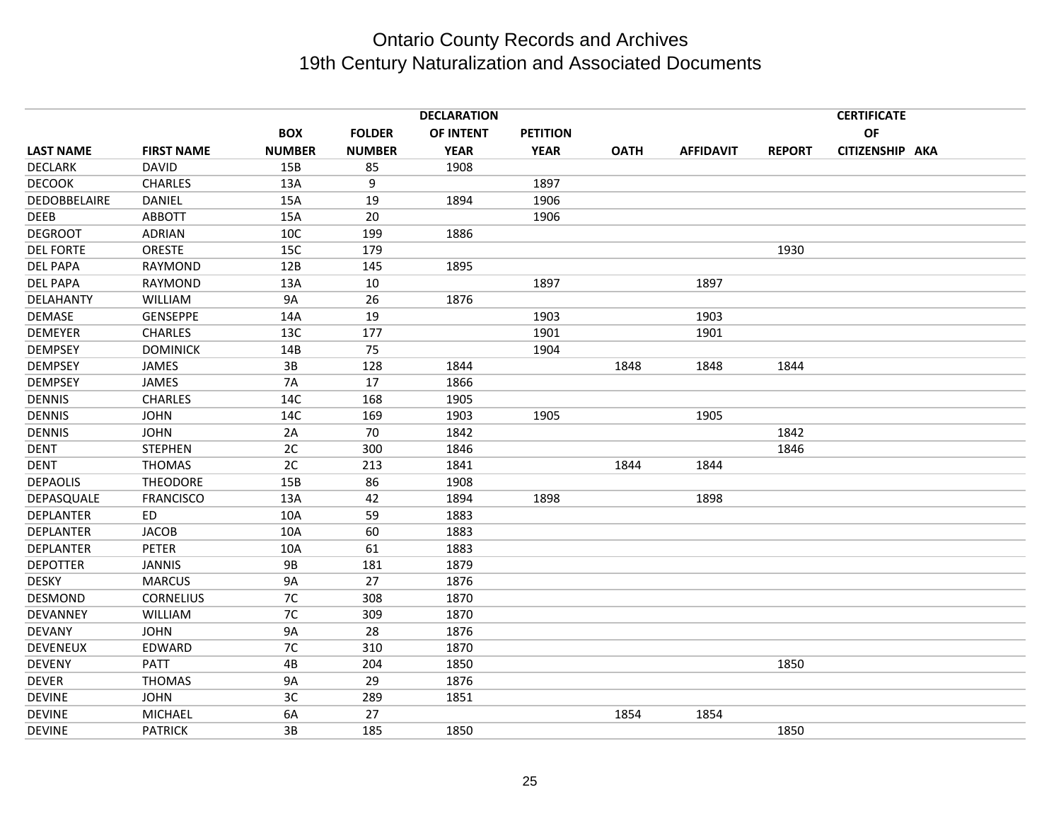|                  |                   |               |               | <b>DECLARATION</b> |                 |             |                  |               | <b>CERTIFICATE</b> |  |
|------------------|-------------------|---------------|---------------|--------------------|-----------------|-------------|------------------|---------------|--------------------|--|
|                  |                   | <b>BOX</b>    | <b>FOLDER</b> | OF INTENT          | <b>PETITION</b> |             |                  |               | <b>OF</b>          |  |
| <b>LAST NAME</b> | <b>FIRST NAME</b> | <b>NUMBER</b> | <b>NUMBER</b> | <b>YEAR</b>        | <b>YEAR</b>     | <b>OATH</b> | <b>AFFIDAVIT</b> | <b>REPORT</b> | CITIZENSHIP AKA    |  |
| <b>DECLARK</b>   | <b>DAVID</b>      | 15B           | 85            | 1908               |                 |             |                  |               |                    |  |
| <b>DECOOK</b>    | <b>CHARLES</b>    | 13A           | 9             |                    | 1897            |             |                  |               |                    |  |
| DEDOBBELAIRE     | <b>DANIEL</b>     | 15A           | 19            | 1894               | 1906            |             |                  |               |                    |  |
| DEEB             | <b>ABBOTT</b>     | 15A           | 20            |                    | 1906            |             |                  |               |                    |  |
| <b>DEGROOT</b>   | <b>ADRIAN</b>     | 10C           | 199           | 1886               |                 |             |                  |               |                    |  |
| <b>DEL FORTE</b> | ORESTE            | 15C           | 179           |                    |                 |             |                  | 1930          |                    |  |
| <b>DEL PAPA</b>  | <b>RAYMOND</b>    | 12B           | 145           | 1895               |                 |             |                  |               |                    |  |
| <b>DEL PAPA</b>  | RAYMOND           | 13A           | $10\,$        |                    | 1897            |             | 1897             |               |                    |  |
| DELAHANTY        | WILLIAM           | <b>9A</b>     | 26            | 1876               |                 |             |                  |               |                    |  |
| DEMASE           | <b>GENSEPPE</b>   | 14A           | 19            |                    | 1903            |             | 1903             |               |                    |  |
| <b>DEMEYER</b>   | <b>CHARLES</b>    | 13C           | 177           |                    | 1901            |             | 1901             |               |                    |  |
| <b>DEMPSEY</b>   | <b>DOMINICK</b>   | 14B           | 75            |                    | 1904            |             |                  |               |                    |  |
| <b>DEMPSEY</b>   | JAMES             | 3B            | 128           | 1844               |                 | 1848        | 1848             | 1844          |                    |  |
| <b>DEMPSEY</b>   | <b>JAMES</b>      | <b>7A</b>     | 17            | 1866               |                 |             |                  |               |                    |  |
| <b>DENNIS</b>    | <b>CHARLES</b>    | 14C           | 168           | 1905               |                 |             |                  |               |                    |  |
| <b>DENNIS</b>    | <b>JOHN</b>       | 14C           | 169           | 1903               | 1905            |             | 1905             |               |                    |  |
| <b>DENNIS</b>    | <b>JOHN</b>       | 2A            | 70            | 1842               |                 |             |                  | 1842          |                    |  |
| <b>DENT</b>      | <b>STEPHEN</b>    | 2C            | 300           | 1846               |                 |             |                  | 1846          |                    |  |
| <b>DENT</b>      | <b>THOMAS</b>     | 2C            | 213           | 1841               |                 | 1844        | 1844             |               |                    |  |
| <b>DEPAOLIS</b>  | <b>THEODORE</b>   | 15B           | 86            | 1908               |                 |             |                  |               |                    |  |
| DEPASQUALE       | <b>FRANCISCO</b>  | 13A           | 42            | 1894               | 1898            |             | 1898             |               |                    |  |
| <b>DEPLANTER</b> | ED.               | 10A           | 59            | 1883               |                 |             |                  |               |                    |  |
| <b>DEPLANTER</b> | <b>JACOB</b>      | 10A           | 60            | 1883               |                 |             |                  |               |                    |  |
| <b>DEPLANTER</b> | <b>PETER</b>      | 10A           | 61            | 1883               |                 |             |                  |               |                    |  |
| <b>DEPOTTER</b>  | <b>JANNIS</b>     | 9B            | 181           | 1879               |                 |             |                  |               |                    |  |
| <b>DESKY</b>     | <b>MARCUS</b>     | <b>9A</b>     | 27            | 1876               |                 |             |                  |               |                    |  |
| DESMOND          | <b>CORNELIUS</b>  | 7C            | 308           | 1870               |                 |             |                  |               |                    |  |
| DEVANNEY         | <b>WILLIAM</b>    | 7C            | 309           | 1870               |                 |             |                  |               |                    |  |
| <b>DEVANY</b>    | <b>JOHN</b>       | <b>9A</b>     | 28            | 1876               |                 |             |                  |               |                    |  |
| <b>DEVENEUX</b>  | EDWARD            | 7C            | 310           | 1870               |                 |             |                  |               |                    |  |
| <b>DEVENY</b>    | PATT              | 4B            | 204           | 1850               |                 |             |                  | 1850          |                    |  |
| <b>DEVER</b>     | <b>THOMAS</b>     | <b>9A</b>     | 29            | 1876               |                 |             |                  |               |                    |  |
| <b>DEVINE</b>    | <b>JOHN</b>       | 3C            | 289           | 1851               |                 |             |                  |               |                    |  |
| <b>DEVINE</b>    | MICHAEL           | 6A            | 27            |                    |                 | 1854        | 1854             |               |                    |  |
| <b>DEVINE</b>    | <b>PATRICK</b>    | 3B            | 185           | 1850               |                 |             |                  | 1850          |                    |  |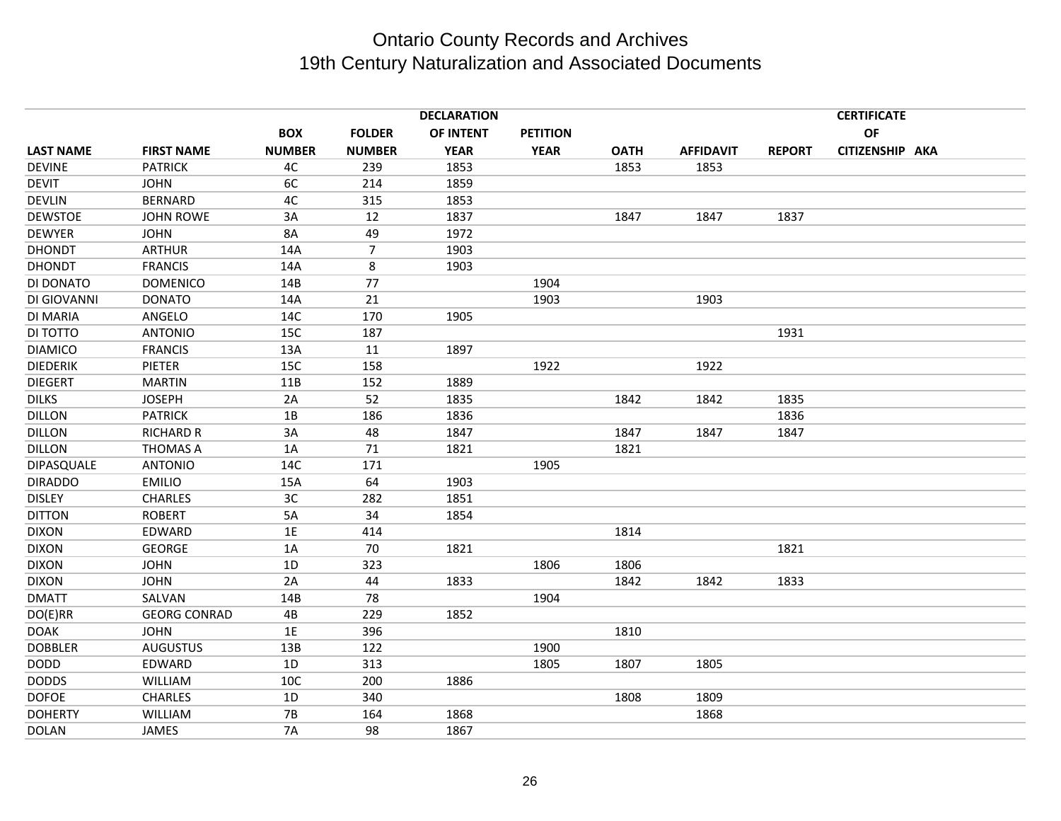|                  | <b>DECLARATION</b>  |               |                |             |                 |             |                  |               | <b>CERTIFICATE</b> |  |
|------------------|---------------------|---------------|----------------|-------------|-----------------|-------------|------------------|---------------|--------------------|--|
|                  |                     | <b>BOX</b>    | <b>FOLDER</b>  | OF INTENT   | <b>PETITION</b> |             |                  |               | OF                 |  |
| <b>LAST NAME</b> | <b>FIRST NAME</b>   | <b>NUMBER</b> | <b>NUMBER</b>  | <b>YEAR</b> | <b>YEAR</b>     | <b>OATH</b> | <b>AFFIDAVIT</b> | <b>REPORT</b> | CITIZENSHIP AKA    |  |
| <b>DEVINE</b>    | <b>PATRICK</b>      | 4C            | 239            | 1853        |                 | 1853        | 1853             |               |                    |  |
| <b>DEVIT</b>     | <b>JOHN</b>         | 6C            | 214            | 1859        |                 |             |                  |               |                    |  |
| <b>DEVLIN</b>    | <b>BERNARD</b>      | 4C            | 315            | 1853        |                 |             |                  |               |                    |  |
| <b>DEWSTOE</b>   | JOHN ROWE           | 3A            | 12             | 1837        |                 | 1847        | 1847             | 1837          |                    |  |
| <b>DEWYER</b>    | <b>JOHN</b>         | 8A            | 49             | 1972        |                 |             |                  |               |                    |  |
| <b>DHONDT</b>    | <b>ARTHUR</b>       | 14A           | $\overline{7}$ | 1903        |                 |             |                  |               |                    |  |
| <b>DHONDT</b>    | <b>FRANCIS</b>      | 14A           | 8              | 1903        |                 |             |                  |               |                    |  |
| DI DONATO        | <b>DOMENICO</b>     | 14B           | 77             |             | 1904            |             |                  |               |                    |  |
| DI GIOVANNI      | <b>DONATO</b>       | 14A           | 21             |             | 1903            |             | 1903             |               |                    |  |
| DI MARIA         | ANGELO              | 14C           | 170            | 1905        |                 |             |                  |               |                    |  |
| DI TOTTO         | <b>ANTONIO</b>      | 15C           | 187            |             |                 |             |                  | 1931          |                    |  |
| <b>DIAMICO</b>   | <b>FRANCIS</b>      | 13A           | 11             | 1897        |                 |             |                  |               |                    |  |
| <b>DIEDERIK</b>  | PIETER              | 15C           | 158            |             | 1922            |             | 1922             |               |                    |  |
| <b>DIEGERT</b>   | <b>MARTIN</b>       | 11B           | 152            | 1889        |                 |             |                  |               |                    |  |
| <b>DILKS</b>     | <b>JOSEPH</b>       | 2A            | 52             | 1835        |                 | 1842        | 1842             | 1835          |                    |  |
| <b>DILLON</b>    | <b>PATRICK</b>      | 1B            | 186            | 1836        |                 |             |                  | 1836          |                    |  |
| DILLON           | <b>RICHARD R</b>    | 3A            | 48             | 1847        |                 | 1847        | 1847             | 1847          |                    |  |
| <b>DILLON</b>    | <b>THOMAS A</b>     | 1A            | 71             | 1821        |                 | 1821        |                  |               |                    |  |
| DIPASQUALE       | <b>ANTONIO</b>      | 14C           | 171            |             | 1905            |             |                  |               |                    |  |
| <b>DIRADDO</b>   | <b>EMILIO</b>       | 15A           | 64             | 1903        |                 |             |                  |               |                    |  |
| <b>DISLEY</b>    | <b>CHARLES</b>      | 3C            | 282            | 1851        |                 |             |                  |               |                    |  |
| <b>DITTON</b>    | <b>ROBERT</b>       | 5A            | 34             | 1854        |                 |             |                  |               |                    |  |
| <b>DIXON</b>     | EDWARD              | 1E            | 414            |             |                 | 1814        |                  |               |                    |  |
| <b>DIXON</b>     | <b>GEORGE</b>       | 1A            | 70             | 1821        |                 |             |                  | 1821          |                    |  |
| <b>DIXON</b>     | <b>JOHN</b>         | 1D            | 323            |             | 1806            | 1806        |                  |               |                    |  |
| <b>DIXON</b>     | <b>JOHN</b>         | 2A            | 44             | 1833        |                 | 1842        | 1842             | 1833          |                    |  |
| <b>DMATT</b>     | SALVAN              | 14B           | 78             |             | 1904            |             |                  |               |                    |  |
| DO(E)RR          | <b>GEORG CONRAD</b> | 4B            | 229            | 1852        |                 |             |                  |               |                    |  |
| <b>DOAK</b>      | <b>JOHN</b>         | 1E            | 396            |             |                 | 1810        |                  |               |                    |  |
| <b>DOBBLER</b>   | <b>AUGUSTUS</b>     | 13B           | 122            |             | 1900            |             |                  |               |                    |  |
| <b>DODD</b>      | EDWARD              | 1D            | 313            |             | 1805            | 1807        | 1805             |               |                    |  |
| <b>DODDS</b>     | WILLIAM             | 10C           | 200            | 1886        |                 |             |                  |               |                    |  |
| <b>DOFOE</b>     | <b>CHARLES</b>      | 1D            | 340            |             |                 | 1808        | 1809             |               |                    |  |
| <b>DOHERTY</b>   | WILLIAM             | <b>7B</b>     | 164            | 1868        |                 |             | 1868             |               |                    |  |
| <b>DOLAN</b>     | JAMES               | <b>7A</b>     | 98             | 1867        |                 |             |                  |               |                    |  |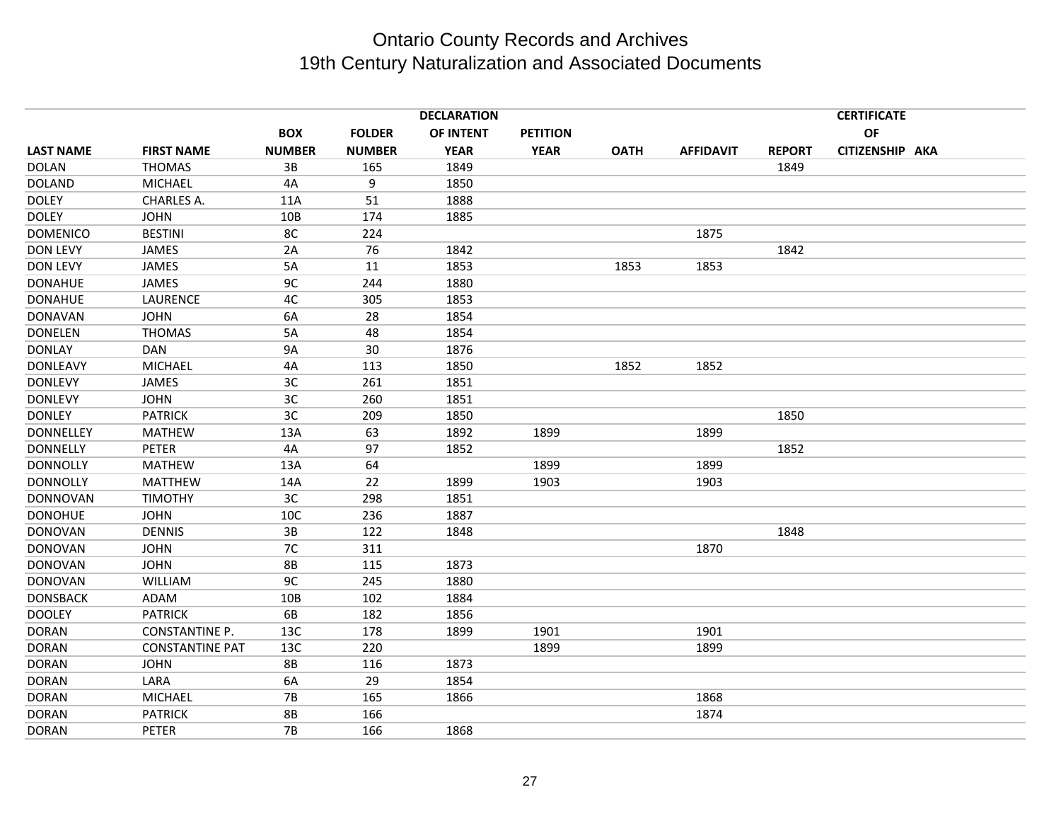|                  |                        |               |               | <b>DECLARATION</b> |                 |             |                  |               | <b>CERTIFICATE</b> |  |
|------------------|------------------------|---------------|---------------|--------------------|-----------------|-------------|------------------|---------------|--------------------|--|
|                  |                        | <b>BOX</b>    | <b>FOLDER</b> | OF INTENT          | <b>PETITION</b> |             |                  |               | OF                 |  |
| <b>LAST NAME</b> | <b>FIRST NAME</b>      | <b>NUMBER</b> | <b>NUMBER</b> | <b>YEAR</b>        | <b>YEAR</b>     | <b>OATH</b> | <b>AFFIDAVIT</b> | <b>REPORT</b> | CITIZENSHIP AKA    |  |
| <b>DOLAN</b>     | <b>THOMAS</b>          | 3B            | 165           | 1849               |                 |             |                  | 1849          |                    |  |
| <b>DOLAND</b>    | <b>MICHAEL</b>         | 4A            | 9             | 1850               |                 |             |                  |               |                    |  |
| <b>DOLEY</b>     | CHARLES A.             | 11A           | 51            | 1888               |                 |             |                  |               |                    |  |
| <b>DOLEY</b>     | <b>JOHN</b>            | 10B           | 174           | 1885               |                 |             |                  |               |                    |  |
| <b>DOMENICO</b>  | <b>BESTINI</b>         | 8C            | 224           |                    |                 |             | 1875             |               |                    |  |
| <b>DON LEVY</b>  | JAMES                  | 2A            | 76            | 1842               |                 |             |                  | 1842          |                    |  |
| <b>DON LEVY</b>  | JAMES                  | 5A            | 11            | 1853               |                 | 1853        | 1853             |               |                    |  |
| <b>DONAHUE</b>   | JAMES                  | 9C            | 244           | 1880               |                 |             |                  |               |                    |  |
| <b>DONAHUE</b>   | LAURENCE               | 4C            | 305           | 1853               |                 |             |                  |               |                    |  |
| <b>DONAVAN</b>   | <b>JOHN</b>            | 6A            | 28            | 1854               |                 |             |                  |               |                    |  |
| <b>DONELEN</b>   | <b>THOMAS</b>          | 5A            | 48            | 1854               |                 |             |                  |               |                    |  |
| <b>DONLAY</b>    | <b>DAN</b>             | <b>9A</b>     | 30            | 1876               |                 |             |                  |               |                    |  |
| <b>DONLEAVY</b>  | <b>MICHAEL</b>         | 4A            | 113           | 1850               |                 | 1852        | 1852             |               |                    |  |
| <b>DONLEVY</b>   | JAMES                  | 3C            | 261           | 1851               |                 |             |                  |               |                    |  |
| <b>DONLEVY</b>   | <b>JOHN</b>            | 3C            | 260           | 1851               |                 |             |                  |               |                    |  |
| <b>DONLEY</b>    | <b>PATRICK</b>         | 3C            | 209           | 1850               |                 |             |                  | 1850          |                    |  |
| <b>DONNELLEY</b> | <b>MATHEW</b>          | 13A           | 63            | 1892               | 1899            |             | 1899             |               |                    |  |
| <b>DONNELLY</b>  | <b>PETER</b>           | 4A            | 97            | 1852               |                 |             |                  | 1852          |                    |  |
| <b>DONNOLLY</b>  | <b>MATHEW</b>          | 13A           | 64            |                    | 1899            |             | 1899             |               |                    |  |
| <b>DONNOLLY</b>  | <b>MATTHEW</b>         | 14A           | 22            | 1899               | 1903            |             | 1903             |               |                    |  |
| <b>DONNOVAN</b>  | <b>TIMOTHY</b>         | 3C            | 298           | 1851               |                 |             |                  |               |                    |  |
| <b>DONOHUE</b>   | <b>JOHN</b>            | 10C           | 236           | 1887               |                 |             |                  |               |                    |  |
| <b>DONOVAN</b>   | <b>DENNIS</b>          | 3B            | 122           | 1848               |                 |             |                  | 1848          |                    |  |
| <b>DONOVAN</b>   | <b>JOHN</b>            | 7C            | 311           |                    |                 |             | 1870             |               |                    |  |
| <b>DONOVAN</b>   | <b>JOHN</b>            | <b>8B</b>     | 115           | 1873               |                 |             |                  |               |                    |  |
| <b>DONOVAN</b>   | <b>WILLIAM</b>         | 9C            | 245           | 1880               |                 |             |                  |               |                    |  |
| <b>DONSBACK</b>  | ADAM                   | 10B           | 102           | 1884               |                 |             |                  |               |                    |  |
| <b>DOOLEY</b>    | <b>PATRICK</b>         | 6B            | 182           | 1856               |                 |             |                  |               |                    |  |
| <b>DORAN</b>     | <b>CONSTANTINE P.</b>  | 13C           | 178           | 1899               | 1901            |             | 1901             |               |                    |  |
| <b>DORAN</b>     | <b>CONSTANTINE PAT</b> | 13C           | 220           |                    | 1899            |             | 1899             |               |                    |  |
| <b>DORAN</b>     | <b>JOHN</b>            | <b>8B</b>     | 116           | 1873               |                 |             |                  |               |                    |  |
| <b>DORAN</b>     | LARA                   | 6A            | 29            | 1854               |                 |             |                  |               |                    |  |
| <b>DORAN</b>     | <b>MICHAEL</b>         | $7B$          | 165           | 1866               |                 |             | 1868             |               |                    |  |
| <b>DORAN</b>     | <b>PATRICK</b>         | <b>8B</b>     | 166           |                    |                 |             | 1874             |               |                    |  |
| <b>DORAN</b>     | PETER                  | <b>7B</b>     | 166           | 1868               |                 |             |                  |               |                    |  |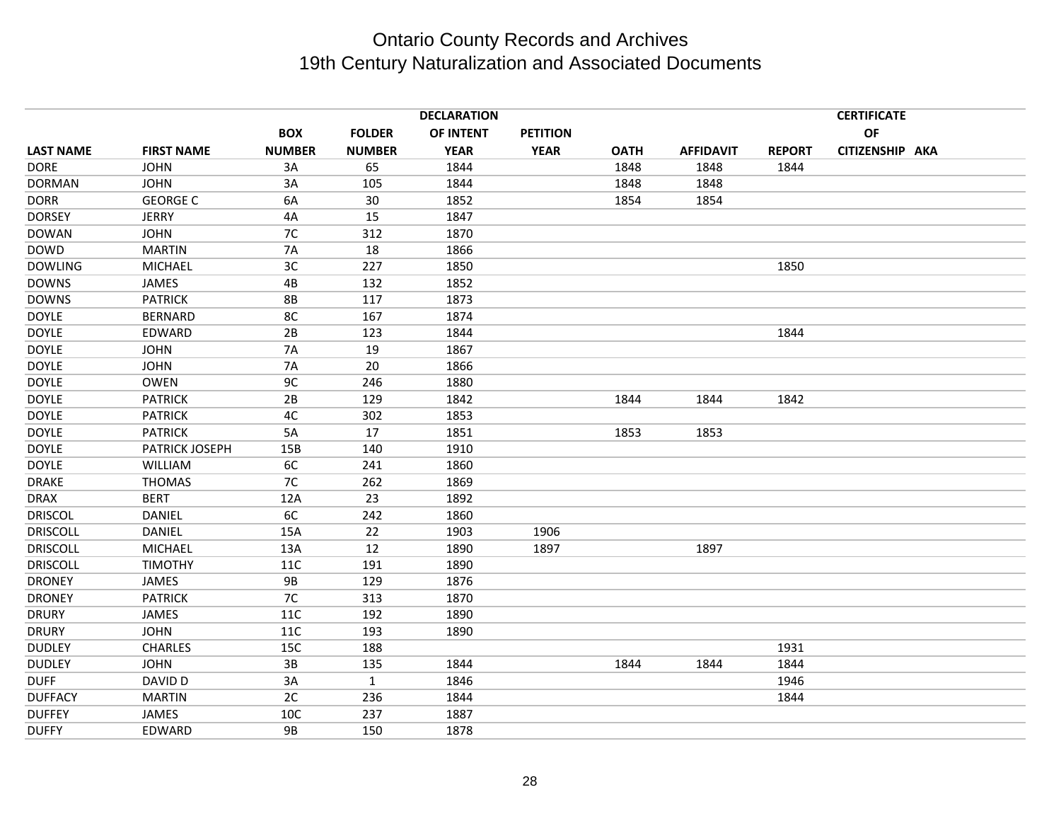|                   |               |               | <b>DECLARATION</b> |                 |             |                  |               | <b>CERTIFICATE</b> |  |
|-------------------|---------------|---------------|--------------------|-----------------|-------------|------------------|---------------|--------------------|--|
|                   | <b>BOX</b>    | <b>FOLDER</b> | OF INTENT          | <b>PETITION</b> |             |                  |               | <b>OF</b>          |  |
| <b>FIRST NAME</b> | <b>NUMBER</b> | <b>NUMBER</b> | <b>YEAR</b>        | <b>YEAR</b>     | <b>OATH</b> | <b>AFFIDAVIT</b> | <b>REPORT</b> | CITIZENSHIP AKA    |  |
| <b>JOHN</b>       | 3A            | 65            | 1844               |                 | 1848        | 1848             | 1844          |                    |  |
| <b>JOHN</b>       | 3A            | 105           | 1844               |                 | 1848        | 1848             |               |                    |  |
| <b>GEORGE C</b>   | 6A            | 30            | 1852               |                 | 1854        | 1854             |               |                    |  |
| <b>JERRY</b>      | 4A            | 15            | 1847               |                 |             |                  |               |                    |  |
| <b>JOHN</b>       | 7C            | 312           | 1870               |                 |             |                  |               |                    |  |
| <b>MARTIN</b>     | <b>7A</b>     | 18            | 1866               |                 |             |                  |               |                    |  |
| <b>MICHAEL</b>    | 3C            | 227           | 1850               |                 |             |                  | 1850          |                    |  |
| JAMES             | 4B            | 132           | 1852               |                 |             |                  |               |                    |  |
| <b>PATRICK</b>    | <b>8B</b>     | 117           | 1873               |                 |             |                  |               |                    |  |
| <b>BERNARD</b>    | 8C            | 167           | 1874               |                 |             |                  |               |                    |  |
| EDWARD            | 2B            | 123           | 1844               |                 |             |                  | 1844          |                    |  |
| <b>JOHN</b>       | <b>7A</b>     | 19            | 1867               |                 |             |                  |               |                    |  |
| <b>JOHN</b>       | <b>7A</b>     | 20            | 1866               |                 |             |                  |               |                    |  |
| <b>OWEN</b>       | 9C            | 246           | 1880               |                 |             |                  |               |                    |  |
| <b>PATRICK</b>    | 2B            | 129           | 1842               |                 | 1844        | 1844             | 1842          |                    |  |
| <b>PATRICK</b>    | 4C            | 302           | 1853               |                 |             |                  |               |                    |  |
| <b>PATRICK</b>    | 5A            | 17            | 1851               |                 | 1853        | 1853             |               |                    |  |
| PATRICK JOSEPH    | 15B           | 140           | 1910               |                 |             |                  |               |                    |  |
| <b>WILLIAM</b>    | 6C            | 241           | 1860               |                 |             |                  |               |                    |  |
| <b>THOMAS</b>     | 7C            | 262           | 1869               |                 |             |                  |               |                    |  |
| <b>BERT</b>       | 12A           | 23            | 1892               |                 |             |                  |               |                    |  |
| DANIEL            | 6C            | 242           | 1860               |                 |             |                  |               |                    |  |
| DANIEL            | 15A           | 22            | 1903               | 1906            |             |                  |               |                    |  |
| <b>MICHAEL</b>    | 13A           | 12            | 1890               | 1897            |             | 1897             |               |                    |  |
| <b>TIMOTHY</b>    | 11C           | 191           | 1890               |                 |             |                  |               |                    |  |
| JAMES             | <b>9B</b>     | 129           | 1876               |                 |             |                  |               |                    |  |
| <b>PATRICK</b>    | 7C            | 313           | 1870               |                 |             |                  |               |                    |  |
| <b>JAMES</b>      | 11C           | 192           | 1890               |                 |             |                  |               |                    |  |
| <b>JOHN</b>       | 11C           | 193           | 1890               |                 |             |                  |               |                    |  |
| <b>CHARLES</b>    | 15C           | 188           |                    |                 |             |                  | 1931          |                    |  |
| <b>JOHN</b>       | 3B            | 135           | 1844               |                 | 1844        | 1844             | 1844          |                    |  |
| DAVID D           | 3A            | $\mathbf{1}$  | 1846               |                 |             |                  | 1946          |                    |  |
| <b>MARTIN</b>     | 2C            | 236           | 1844               |                 |             |                  | 1844          |                    |  |
| <b>JAMES</b>      | 10C           | 237           | 1887               |                 |             |                  |               |                    |  |
| EDWARD            | <b>9B</b>     | 150           | 1878               |                 |             |                  |               |                    |  |
|                   |               |               |                    |                 |             |                  |               |                    |  |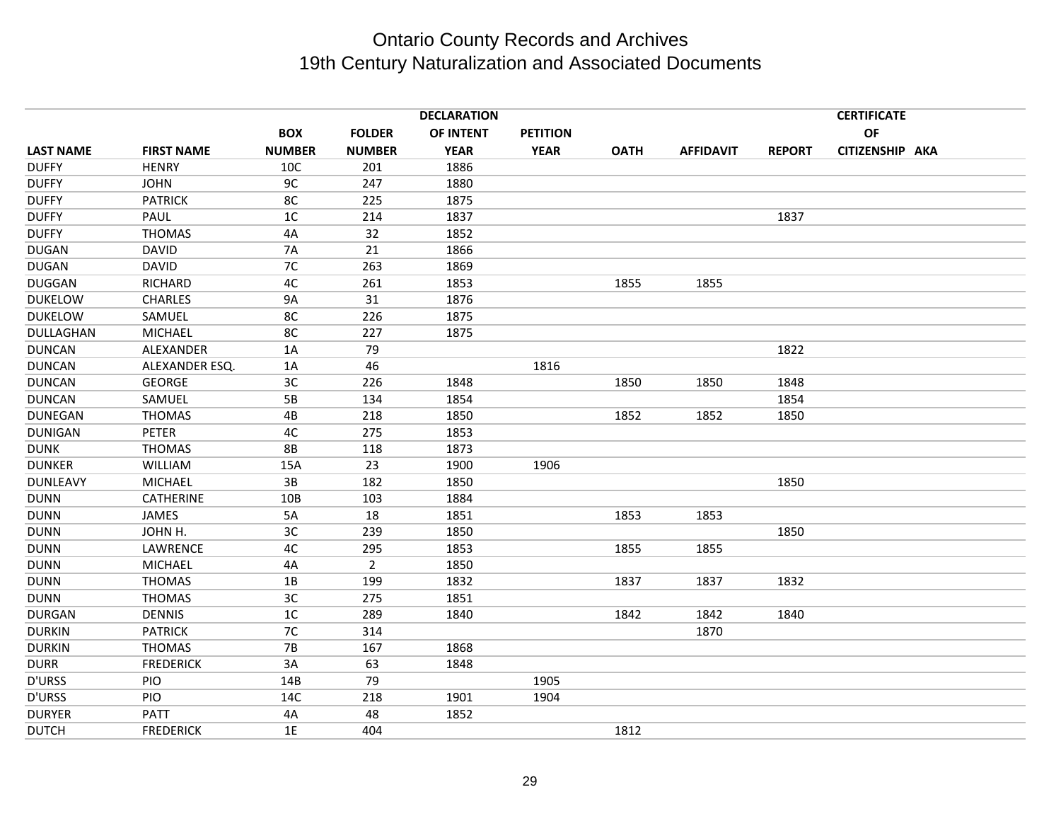|                  |                   |                |                | <b>DECLARATION</b> |                 |             |                  |               | <b>CERTIFICATE</b> |
|------------------|-------------------|----------------|----------------|--------------------|-----------------|-------------|------------------|---------------|--------------------|
|                  |                   | <b>BOX</b>     | <b>FOLDER</b>  | OF INTENT          | <b>PETITION</b> |             |                  |               | OF                 |
| <b>LAST NAME</b> | <b>FIRST NAME</b> | <b>NUMBER</b>  | <b>NUMBER</b>  | <b>YEAR</b>        | <b>YEAR</b>     | <b>OATH</b> | <b>AFFIDAVIT</b> | <b>REPORT</b> | CITIZENSHIP AKA    |
| <b>DUFFY</b>     | <b>HENRY</b>      | 10C            | 201            | 1886               |                 |             |                  |               |                    |
| <b>DUFFY</b>     | <b>JOHN</b>       | 9C             | 247            | 1880               |                 |             |                  |               |                    |
| <b>DUFFY</b>     | <b>PATRICK</b>    | 8C             | 225            | 1875               |                 |             |                  |               |                    |
| <b>DUFFY</b>     | PAUL              | 1 <sup>C</sup> | 214            | 1837               |                 |             |                  | 1837          |                    |
| <b>DUFFY</b>     | <b>THOMAS</b>     | 4A             | 32             | 1852               |                 |             |                  |               |                    |
| <b>DUGAN</b>     | <b>DAVID</b>      | <b>7A</b>      | 21             | 1866               |                 |             |                  |               |                    |
| <b>DUGAN</b>     | <b>DAVID</b>      | 7C             | 263            | 1869               |                 |             |                  |               |                    |
| <b>DUGGAN</b>    | RICHARD           | 4C             | 261            | 1853               |                 | 1855        | 1855             |               |                    |
| <b>DUKELOW</b>   | <b>CHARLES</b>    | <b>9A</b>      | 31             | 1876               |                 |             |                  |               |                    |
| <b>DUKELOW</b>   | SAMUEL            | 8C             | 226            | 1875               |                 |             |                  |               |                    |
| DULLAGHAN        | <b>MICHAEL</b>    | 8C             | 227            | 1875               |                 |             |                  |               |                    |
| <b>DUNCAN</b>    | ALEXANDER         | 1A             | 79             |                    |                 |             |                  | 1822          |                    |
| <b>DUNCAN</b>    | ALEXANDER ESQ.    | 1A             | 46             |                    | 1816            |             |                  |               |                    |
| <b>DUNCAN</b>    | <b>GEORGE</b>     | 3C             | 226            | 1848               |                 | 1850        | 1850             | 1848          |                    |
| <b>DUNCAN</b>    | SAMUEL            | 5B             | 134            | 1854               |                 |             |                  | 1854          |                    |
| <b>DUNEGAN</b>   | <b>THOMAS</b>     | 4B             | 218            | 1850               |                 | 1852        | 1852             | 1850          |                    |
| <b>DUNIGAN</b>   | PETER             | 4C             | 275            | 1853               |                 |             |                  |               |                    |
| <b>DUNK</b>      | <b>THOMAS</b>     | <b>8B</b>      | 118            | 1873               |                 |             |                  |               |                    |
| <b>DUNKER</b>    | <b>WILLIAM</b>    | 15A            | 23             | 1900               | 1906            |             |                  |               |                    |
| <b>DUNLEAVY</b>  | <b>MICHAEL</b>    | 3B             | 182            | 1850               |                 |             |                  | 1850          |                    |
| <b>DUNN</b>      | <b>CATHERINE</b>  | 10B            | 103            | 1884               |                 |             |                  |               |                    |
| <b>DUNN</b>      | JAMES             | 5A             | 18             | 1851               |                 | 1853        | 1853             |               |                    |
| <b>DUNN</b>      | JOHN H.           | 3C             | 239            | 1850               |                 |             |                  | 1850          |                    |
| <b>DUNN</b>      | LAWRENCE          | 4C             | 295            | 1853               |                 | 1855        | 1855             |               |                    |
| <b>DUNN</b>      | <b>MICHAEL</b>    | 4A             | $\overline{2}$ | 1850               |                 |             |                  |               |                    |
| <b>DUNN</b>      | <b>THOMAS</b>     | 1B             | 199            | 1832               |                 | 1837        | 1837             | 1832          |                    |
| <b>DUNN</b>      | <b>THOMAS</b>     | 3C             | 275            | 1851               |                 |             |                  |               |                    |
| <b>DURGAN</b>    | <b>DENNIS</b>     | 1 <sup>C</sup> | 289            | 1840               |                 | 1842        | 1842             | 1840          |                    |
| <b>DURKIN</b>    | <b>PATRICK</b>    | 7C             | 314            |                    |                 |             | 1870             |               |                    |
| <b>DURKIN</b>    | <b>THOMAS</b>     | 7B             | 167            | 1868               |                 |             |                  |               |                    |
| <b>DURR</b>      | <b>FREDERICK</b>  | 3A             | 63             | 1848               |                 |             |                  |               |                    |
| <b>D'URSS</b>    | PIO               | 14B            | 79             |                    | 1905            |             |                  |               |                    |
| <b>D'URSS</b>    | PIO               | 14C            | 218            | 1901               | 1904            |             |                  |               |                    |
| <b>DURYER</b>    | <b>PATT</b>       | 4A             | 48             | 1852               |                 |             |                  |               |                    |
| <b>DUTCH</b>     | <b>FREDERICK</b>  | 1E             | 404            |                    |                 | 1812        |                  |               |                    |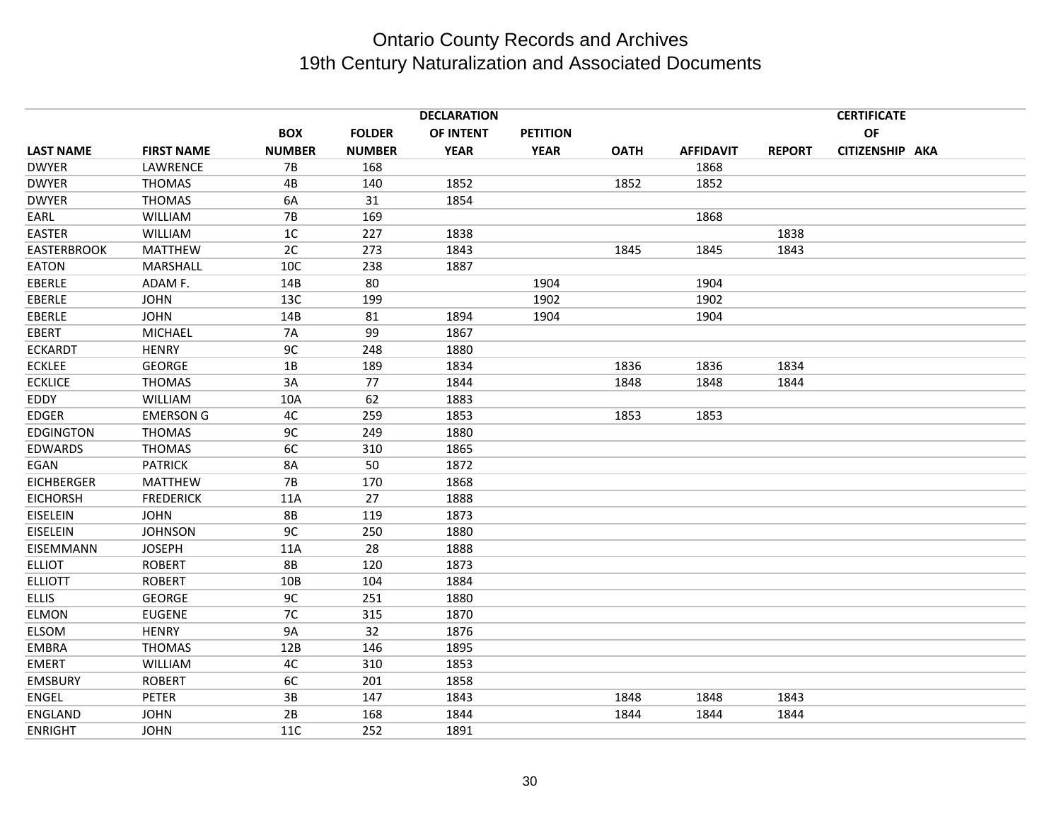|                    |                   |               |               | <b>DECLARATION</b> |                 |             |                  |               | <b>CERTIFICATE</b> |  |
|--------------------|-------------------|---------------|---------------|--------------------|-----------------|-------------|------------------|---------------|--------------------|--|
|                    |                   | <b>BOX</b>    | <b>FOLDER</b> | OF INTENT          | <b>PETITION</b> |             |                  |               | OF                 |  |
| <b>LAST NAME</b>   | <b>FIRST NAME</b> | <b>NUMBER</b> | <b>NUMBER</b> | <b>YEAR</b>        | <b>YEAR</b>     | <b>OATH</b> | <b>AFFIDAVIT</b> | <b>REPORT</b> | CITIZENSHIP AKA    |  |
| <b>DWYER</b>       | LAWRENCE          | <b>7B</b>     | 168           |                    |                 |             | 1868             |               |                    |  |
| <b>DWYER</b>       | <b>THOMAS</b>     | 4B            | 140           | 1852               |                 | 1852        | 1852             |               |                    |  |
| <b>DWYER</b>       | <b>THOMAS</b>     | 6A            | 31            | 1854               |                 |             |                  |               |                    |  |
| EARL               | <b>WILLIAM</b>    | 7B            | 169           |                    |                 |             | 1868             |               |                    |  |
| <b>EASTER</b>      | <b>WILLIAM</b>    | 1C            | 227           | 1838               |                 |             |                  | 1838          |                    |  |
| <b>EASTERBROOK</b> | <b>MATTHEW</b>    | 2C            | 273           | 1843               |                 | 1845        | 1845             | 1843          |                    |  |
| EATON              | MARSHALL          | 10C           | 238           | 1887               |                 |             |                  |               |                    |  |
| EBERLE             | ADAM F.           | 14B           | 80            |                    | 1904            |             | 1904             |               |                    |  |
| EBERLE             | <b>JOHN</b>       | 13C           | 199           |                    | 1902            |             | 1902             |               |                    |  |
| EBERLE             | <b>JOHN</b>       | 14B           | 81            | 1894               | 1904            |             | 1904             |               |                    |  |
| EBERT              | <b>MICHAEL</b>    | <b>7A</b>     | 99            | 1867               |                 |             |                  |               |                    |  |
| <b>ECKARDT</b>     | <b>HENRY</b>      | 9C            | 248           | 1880               |                 |             |                  |               |                    |  |
| <b>ECKLEE</b>      | <b>GEORGE</b>     | 1B            | 189           | 1834               |                 | 1836        | 1836             | 1834          |                    |  |
| <b>ECKLICE</b>     | <b>THOMAS</b>     | 3A            | 77            | 1844               |                 | 1848        | 1848             | 1844          |                    |  |
| EDDY               | <b>WILLIAM</b>    | 10A           | 62            | 1883               |                 |             |                  |               |                    |  |
| <b>EDGER</b>       | <b>EMERSON G</b>  | 4C            | 259           | 1853               |                 | 1853        | 1853             |               |                    |  |
| <b>EDGINGTON</b>   | <b>THOMAS</b>     | 9C            | 249           | 1880               |                 |             |                  |               |                    |  |
| <b>EDWARDS</b>     | <b>THOMAS</b>     | 6C            | 310           | 1865               |                 |             |                  |               |                    |  |
| EGAN               | <b>PATRICK</b>    | 8A            | 50            | 1872               |                 |             |                  |               |                    |  |
| <b>EICHBERGER</b>  | <b>MATTHEW</b>    | 7B            | 170           | 1868               |                 |             |                  |               |                    |  |
| <b>EICHORSH</b>    | <b>FREDERICK</b>  | 11A           | 27            | 1888               |                 |             |                  |               |                    |  |
| EISELEIN           | <b>JOHN</b>       | 8B            | 119           | 1873               |                 |             |                  |               |                    |  |
| EISELEIN           | <b>JOHNSON</b>    | 9C            | 250           | 1880               |                 |             |                  |               |                    |  |
| EISEMMANN          | <b>JOSEPH</b>     | 11A           | 28            | 1888               |                 |             |                  |               |                    |  |
| <b>ELLIOT</b>      | <b>ROBERT</b>     | <b>8B</b>     | 120           | 1873               |                 |             |                  |               |                    |  |
| <b>ELLIOTT</b>     | <b>ROBERT</b>     | 10B           | 104           | 1884               |                 |             |                  |               |                    |  |
| <b>ELLIS</b>       | <b>GEORGE</b>     | 9C            | 251           | 1880               |                 |             |                  |               |                    |  |
| <b>ELMON</b>       | <b>EUGENE</b>     | 7C            | 315           | 1870               |                 |             |                  |               |                    |  |
| <b>ELSOM</b>       | <b>HENRY</b>      | <b>9A</b>     | 32            | 1876               |                 |             |                  |               |                    |  |
| <b>EMBRA</b>       | <b>THOMAS</b>     | 12B           | 146           | 1895               |                 |             |                  |               |                    |  |
| <b>EMERT</b>       | WILLIAM           | 4C            | 310           | 1853               |                 |             |                  |               |                    |  |
| <b>EMSBURY</b>     | <b>ROBERT</b>     | 6C            | 201           | 1858               |                 |             |                  |               |                    |  |
| ENGEL              | PETER             | 3B            | 147           | 1843               |                 | 1848        | 1848             | 1843          |                    |  |
| <b>ENGLAND</b>     | <b>JOHN</b>       | 2B            | 168           | 1844               |                 | 1844        | 1844             | 1844          |                    |  |
| <b>ENRIGHT</b>     | <b>JOHN</b>       | 11C           | 252           | 1891               |                 |             |                  |               |                    |  |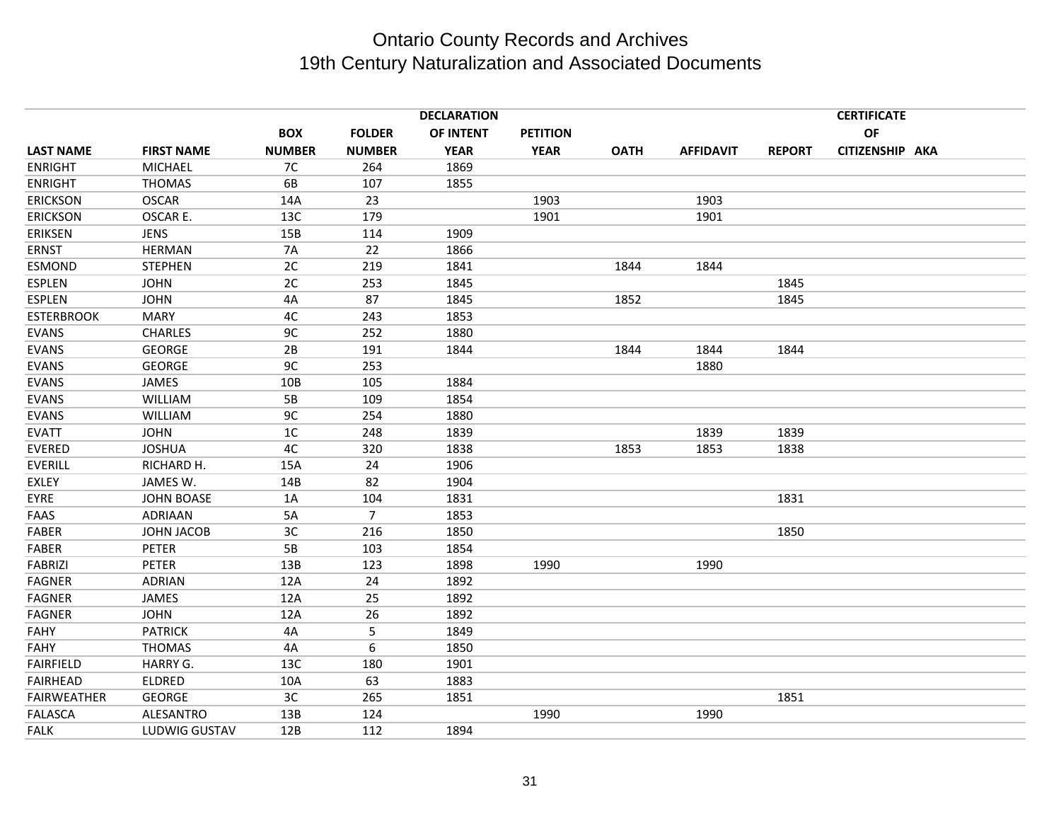|                    |                   |                |                | <b>DECLARATION</b> |                 |             |                  |               | <b>CERTIFICATE</b> |  |
|--------------------|-------------------|----------------|----------------|--------------------|-----------------|-------------|------------------|---------------|--------------------|--|
|                    |                   | <b>BOX</b>     | <b>FOLDER</b>  | OF INTENT          | <b>PETITION</b> |             |                  |               | OF                 |  |
| <b>LAST NAME</b>   | <b>FIRST NAME</b> | <b>NUMBER</b>  | <b>NUMBER</b>  | <b>YEAR</b>        | <b>YEAR</b>     | <b>OATH</b> | <b>AFFIDAVIT</b> | <b>REPORT</b> | CITIZENSHIP AKA    |  |
| <b>ENRIGHT</b>     | <b>MICHAEL</b>    | 7C             | 264            | 1869               |                 |             |                  |               |                    |  |
| <b>ENRIGHT</b>     | <b>THOMAS</b>     | 6B             | 107            | 1855               |                 |             |                  |               |                    |  |
| <b>ERICKSON</b>    | <b>OSCAR</b>      | 14A            | 23             |                    | 1903            |             | 1903             |               |                    |  |
| <b>ERICKSON</b>    | OSCAR E.          | 13C            | 179            |                    | 1901            |             | 1901             |               |                    |  |
| <b>ERIKSEN</b>     | <b>JENS</b>       | 15B            | 114            | 1909               |                 |             |                  |               |                    |  |
| <b>ERNST</b>       | <b>HERMAN</b>     | <b>7A</b>      | 22             | 1866               |                 |             |                  |               |                    |  |
| <b>ESMOND</b>      | <b>STEPHEN</b>    | 2C             | 219            | 1841               |                 | 1844        | 1844             |               |                    |  |
| ESPLEN             | <b>JOHN</b>       | 2C             | 253            | 1845               |                 |             |                  | 1845          |                    |  |
| <b>ESPLEN</b>      | <b>JOHN</b>       | 4A             | 87             | 1845               |                 | 1852        |                  | 1845          |                    |  |
| <b>ESTERBROOK</b>  | <b>MARY</b>       | 4C             | 243            | 1853               |                 |             |                  |               |                    |  |
| <b>EVANS</b>       | <b>CHARLES</b>    | 9C             | 252            | 1880               |                 |             |                  |               |                    |  |
| <b>EVANS</b>       | <b>GEORGE</b>     | 2B             | 191            | 1844               |                 | 1844        | 1844             | 1844          |                    |  |
| <b>EVANS</b>       | <b>GEORGE</b>     | 9C             | 253            |                    |                 |             | 1880             |               |                    |  |
| <b>EVANS</b>       | <b>JAMES</b>      | 10B            | 105            | 1884               |                 |             |                  |               |                    |  |
| <b>EVANS</b>       | <b>WILLIAM</b>    | 5B             | 109            | 1854               |                 |             |                  |               |                    |  |
| <b>EVANS</b>       | <b>WILLIAM</b>    | 9C             | 254            | 1880               |                 |             |                  |               |                    |  |
| <b>EVATT</b>       | <b>JOHN</b>       | 1 <sup>C</sup> | 248            | 1839               |                 |             | 1839             | 1839          |                    |  |
| <b>EVERED</b>      | <b>JOSHUA</b>     | 4C             | 320            | 1838               |                 | 1853        | 1853             | 1838          |                    |  |
| <b>EVERILL</b>     | RICHARD H.        | 15A            | 24             | 1906               |                 |             |                  |               |                    |  |
| <b>EXLEY</b>       | JAMES W.          | 14B            | 82             | 1904               |                 |             |                  |               |                    |  |
| EYRE               | <b>JOHN BOASE</b> | 1A             | 104            | 1831               |                 |             |                  | 1831          |                    |  |
| FAAS               | <b>ADRIAAN</b>    | 5A             | $\overline{7}$ | 1853               |                 |             |                  |               |                    |  |
| <b>FABER</b>       | JOHN JACOB        | 3C             | 216            | 1850               |                 |             |                  | 1850          |                    |  |
| <b>FABER</b>       | <b>PETER</b>      | 5B             | 103            | 1854               |                 |             |                  |               |                    |  |
| <b>FABRIZI</b>     | <b>PETER</b>      | 13B            | 123            | 1898               | 1990            |             | 1990             |               |                    |  |
| <b>FAGNER</b>      | <b>ADRIAN</b>     | 12A            | 24             | 1892               |                 |             |                  |               |                    |  |
| <b>FAGNER</b>      | JAMES             | 12A            | 25             | 1892               |                 |             |                  |               |                    |  |
| <b>FAGNER</b>      | <b>JOHN</b>       | 12A            | 26             | 1892               |                 |             |                  |               |                    |  |
| <b>FAHY</b>        | <b>PATRICK</b>    | 4A             | 5              | 1849               |                 |             |                  |               |                    |  |
| FAHY               | <b>THOMAS</b>     | 4A             | 6              | 1850               |                 |             |                  |               |                    |  |
| <b>FAIRFIELD</b>   | HARRY G.          | 13C            | 180            | 1901               |                 |             |                  |               |                    |  |
| <b>FAIRHEAD</b>    | ELDRED            | 10A            | 63             | 1883               |                 |             |                  |               |                    |  |
| <b>FAIRWEATHER</b> | <b>GEORGE</b>     | 3C             | 265            | 1851               |                 |             |                  | 1851          |                    |  |
| <b>FALASCA</b>     | <b>ALESANTRO</b>  | 13B            | 124            |                    | 1990            |             | 1990             |               |                    |  |
| <b>FALK</b>        | LUDWIG GUSTAV     | 12B            | 112            | 1894               |                 |             |                  |               |                    |  |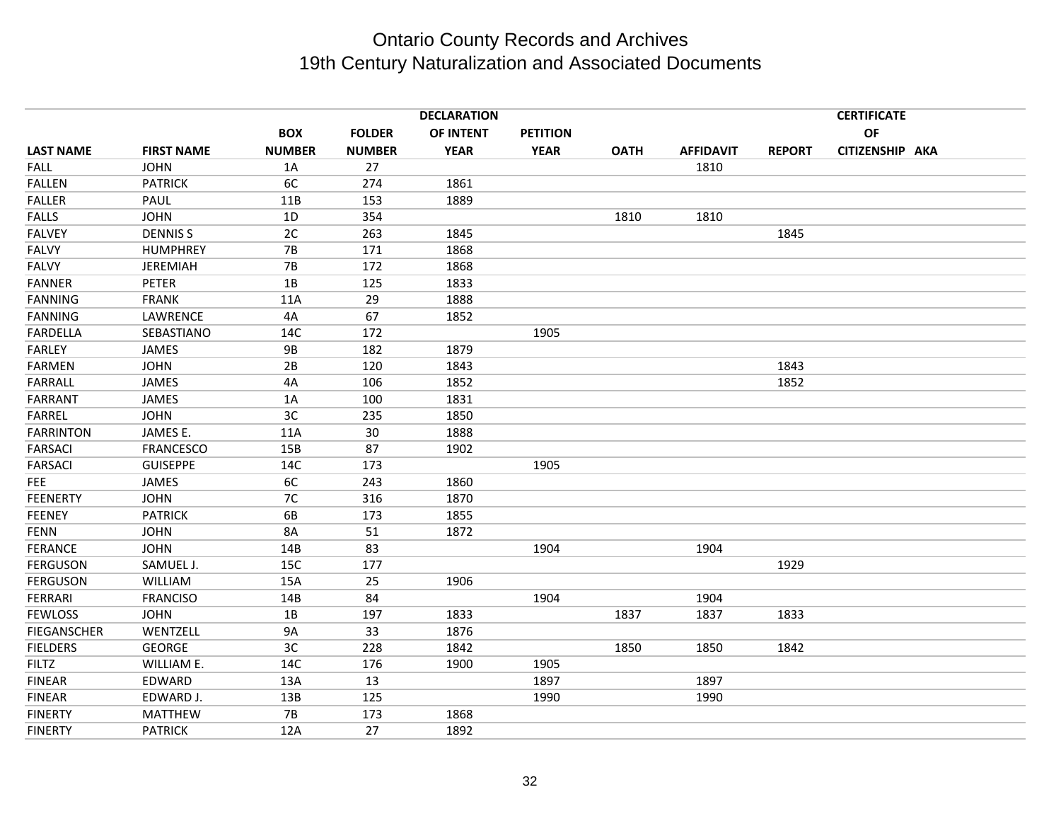|                    |                   |               |               | <b>DECLARATION</b> |                 |             |                  |               | <b>CERTIFICATE</b> |  |
|--------------------|-------------------|---------------|---------------|--------------------|-----------------|-------------|------------------|---------------|--------------------|--|
|                    |                   | <b>BOX</b>    | <b>FOLDER</b> | OF INTENT          | <b>PETITION</b> |             |                  |               | OF                 |  |
| <b>LAST NAME</b>   | <b>FIRST NAME</b> | <b>NUMBER</b> | <b>NUMBER</b> | <b>YEAR</b>        | <b>YEAR</b>     | <b>OATH</b> | <b>AFFIDAVIT</b> | <b>REPORT</b> | CITIZENSHIP AKA    |  |
| <b>FALL</b>        | <b>JOHN</b>       | 1A            | 27            |                    |                 |             | 1810             |               |                    |  |
| <b>FALLEN</b>      | <b>PATRICK</b>    | 6C            | 274           | 1861               |                 |             |                  |               |                    |  |
| <b>FALLER</b>      | PAUL              | 11B           | 153           | 1889               |                 |             |                  |               |                    |  |
| <b>FALLS</b>       | <b>JOHN</b>       | 1D            | 354           |                    |                 | 1810        | 1810             |               |                    |  |
| <b>FALVEY</b>      | <b>DENNISS</b>    | 2C            | 263           | 1845               |                 |             |                  | 1845          |                    |  |
| <b>FALVY</b>       | <b>HUMPHREY</b>   | 7B            | 171           | 1868               |                 |             |                  |               |                    |  |
| <b>FALVY</b>       | <b>JEREMIAH</b>   | <b>7B</b>     | 172           | 1868               |                 |             |                  |               |                    |  |
| <b>FANNER</b>      | <b>PETER</b>      | 1B            | 125           | 1833               |                 |             |                  |               |                    |  |
| <b>FANNING</b>     | <b>FRANK</b>      | 11A           | 29            | 1888               |                 |             |                  |               |                    |  |
| <b>FANNING</b>     | LAWRENCE          | 4A            | 67            | 1852               |                 |             |                  |               |                    |  |
| <b>FARDELLA</b>    | SEBASTIANO        | 14C           | 172           |                    | 1905            |             |                  |               |                    |  |
| <b>FARLEY</b>      | JAMES             | <b>9B</b>     | 182           | 1879               |                 |             |                  |               |                    |  |
| <b>FARMEN</b>      | <b>JOHN</b>       | 2B            | 120           | 1843               |                 |             |                  | 1843          |                    |  |
| <b>FARRALL</b>     | JAMES             | 4A            | 106           | 1852               |                 |             |                  | 1852          |                    |  |
| <b>FARRANT</b>     | JAMES             | 1A            | 100           | 1831               |                 |             |                  |               |                    |  |
| <b>FARREL</b>      | <b>JOHN</b>       | 3C            | 235           | 1850               |                 |             |                  |               |                    |  |
| <b>FARRINTON</b>   | JAMES E.          | 11A           | 30            | 1888               |                 |             |                  |               |                    |  |
| <b>FARSACI</b>     | <b>FRANCESCO</b>  | 15B           | 87            | 1902               |                 |             |                  |               |                    |  |
| <b>FARSACI</b>     | <b>GUISEPPE</b>   | 14C           | 173           |                    | 1905            |             |                  |               |                    |  |
| <b>FEE</b>         | JAMES             | 6C            | 243           | 1860               |                 |             |                  |               |                    |  |
| <b>FEENERTY</b>    | <b>JOHN</b>       | 7C            | 316           | 1870               |                 |             |                  |               |                    |  |
| <b>FEENEY</b>      | <b>PATRICK</b>    | 6B            | 173           | 1855               |                 |             |                  |               |                    |  |
| <b>FENN</b>        | <b>JOHN</b>       | <b>8A</b>     | 51            | 1872               |                 |             |                  |               |                    |  |
| <b>FERANCE</b>     | <b>JOHN</b>       | 14B           | 83            |                    | 1904            |             | 1904             |               |                    |  |
| <b>FERGUSON</b>    | SAMUEL J.         | 15C           | 177           |                    |                 |             |                  | 1929          |                    |  |
| <b>FERGUSON</b>    | <b>WILLIAM</b>    | 15A           | 25            | 1906               |                 |             |                  |               |                    |  |
| <b>FERRARI</b>     | <b>FRANCISO</b>   | 14B           | 84            |                    | 1904            |             | 1904             |               |                    |  |
| <b>FEWLOSS</b>     | <b>JOHN</b>       | 1B            | 197           | 1833               |                 | 1837        | 1837             | 1833          |                    |  |
| <b>FIEGANSCHER</b> | WENTZELL          | <b>9A</b>     | 33            | 1876               |                 |             |                  |               |                    |  |
| <b>FIELDERS</b>    | <b>GEORGE</b>     | 3C            | 228           | 1842               |                 | 1850        | 1850             | 1842          |                    |  |
| <b>FILTZ</b>       | WILLIAM E.        | 14C           | 176           | 1900               | 1905            |             |                  |               |                    |  |
| <b>FINEAR</b>      | EDWARD            | 13A           | 13            |                    | 1897            |             | 1897             |               |                    |  |
| <b>FINEAR</b>      | EDWARD J.         | 13B           | 125           |                    | 1990            |             | 1990             |               |                    |  |
| <b>FINERTY</b>     | <b>MATTHEW</b>    | <b>7B</b>     | 173           | 1868               |                 |             |                  |               |                    |  |
| <b>FINERTY</b>     | <b>PATRICK</b>    | 12A           | 27            | 1892               |                 |             |                  |               |                    |  |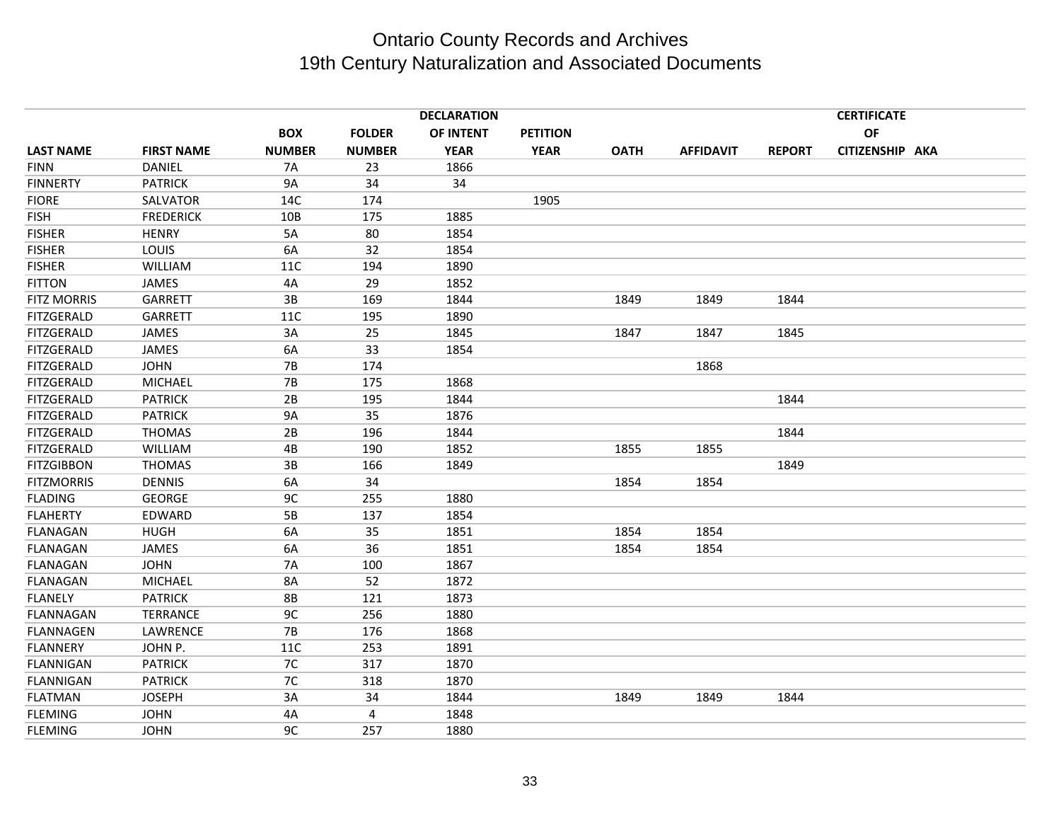|                    |                   |               |               | <b>DECLARATION</b> |                 |             |                  |               | <b>CERTIFICATE</b> |  |
|--------------------|-------------------|---------------|---------------|--------------------|-----------------|-------------|------------------|---------------|--------------------|--|
|                    |                   | <b>BOX</b>    | <b>FOLDER</b> | OF INTENT          | <b>PETITION</b> |             |                  |               | <b>OF</b>          |  |
| <b>LAST NAME</b>   | <b>FIRST NAME</b> | <b>NUMBER</b> | <b>NUMBER</b> | <b>YEAR</b>        | <b>YEAR</b>     | <b>OATH</b> | <b>AFFIDAVIT</b> | <b>REPORT</b> | CITIZENSHIP AKA    |  |
| <b>FINN</b>        | DANIEL            | 7A            | 23            | 1866               |                 |             |                  |               |                    |  |
| <b>FINNERTY</b>    | <b>PATRICK</b>    | <b>9A</b>     | 34            | 34                 |                 |             |                  |               |                    |  |
| <b>FIORE</b>       | SALVATOR          | 14C           | 174           |                    | 1905            |             |                  |               |                    |  |
| <b>FISH</b>        | <b>FREDERICK</b>  | 10B           | 175           | 1885               |                 |             |                  |               |                    |  |
| <b>FISHER</b>      | <b>HENRY</b>      | 5A            | 80            | 1854               |                 |             |                  |               |                    |  |
| <b>FISHER</b>      | LOUIS             | 6A            | 32            | 1854               |                 |             |                  |               |                    |  |
| <b>FISHER</b>      | WILLIAM           | 11C           | 194           | 1890               |                 |             |                  |               |                    |  |
| <b>FITTON</b>      | JAMES             | 4A            | 29            | 1852               |                 |             |                  |               |                    |  |
| <b>FITZ MORRIS</b> | <b>GARRETT</b>    | 3B            | 169           | 1844               |                 | 1849        | 1849             | 1844          |                    |  |
| <b>FITZGERALD</b>  | GARRETT           | 11C           | 195           | 1890               |                 |             |                  |               |                    |  |
| <b>FITZGERALD</b>  | JAMES             | 3A            | 25            | 1845               |                 | 1847        | 1847             | 1845          |                    |  |
| <b>FITZGERALD</b>  | JAMES             | 6A            | 33            | 1854               |                 |             |                  |               |                    |  |
| <b>FITZGERALD</b>  | <b>JOHN</b>       | <b>7B</b>     | 174           |                    |                 |             | 1868             |               |                    |  |
| <b>FITZGERALD</b>  | <b>MICHAEL</b>    | 7B            | 175           | 1868               |                 |             |                  |               |                    |  |
| <b>FITZGERALD</b>  | <b>PATRICK</b>    | 2B            | 195           | 1844               |                 |             |                  | 1844          |                    |  |
| <b>FITZGERALD</b>  | <b>PATRICK</b>    | <b>9A</b>     | 35            | 1876               |                 |             |                  |               |                    |  |
| <b>FITZGERALD</b>  | <b>THOMAS</b>     | 2B            | 196           | 1844               |                 |             |                  | 1844          |                    |  |
| <b>FITZGERALD</b>  | <b>WILLIAM</b>    | 4B            | 190           | 1852               |                 | 1855        | 1855             |               |                    |  |
| <b>FITZGIBBON</b>  | <b>THOMAS</b>     | 3B            | 166           | 1849               |                 |             |                  | 1849          |                    |  |
| <b>FITZMORRIS</b>  | <b>DENNIS</b>     | 6A            | 34            |                    |                 | 1854        | 1854             |               |                    |  |
| <b>FLADING</b>     | <b>GEORGE</b>     | 9C            | 255           | 1880               |                 |             |                  |               |                    |  |
| <b>FLAHERTY</b>    | EDWARD            | 5B            | 137           | 1854               |                 |             |                  |               |                    |  |
| <b>FLANAGAN</b>    | <b>HUGH</b>       | 6A            | 35            | 1851               |                 | 1854        | 1854             |               |                    |  |
| <b>FLANAGAN</b>    | JAMES             | 6A            | 36            | 1851               |                 | 1854        | 1854             |               |                    |  |
| <b>FLANAGAN</b>    | <b>JOHN</b>       | <b>7A</b>     | 100           | 1867               |                 |             |                  |               |                    |  |
| <b>FLANAGAN</b>    | <b>MICHAEL</b>    | 8A            | 52            | 1872               |                 |             |                  |               |                    |  |
| <b>FLANELY</b>     | <b>PATRICK</b>    | <b>8B</b>     | 121           | 1873               |                 |             |                  |               |                    |  |
| <b>FLANNAGAN</b>   | <b>TERRANCE</b>   | 9C            | 256           | 1880               |                 |             |                  |               |                    |  |
| <b>FLANNAGEN</b>   | LAWRENCE          | <b>7B</b>     | 176           | 1868               |                 |             |                  |               |                    |  |
| <b>FLANNERY</b>    | JOHN P.           | <b>11C</b>    | 253           | 1891               |                 |             |                  |               |                    |  |
| <b>FLANNIGAN</b>   | <b>PATRICK</b>    | 7C            | 317           | 1870               |                 |             |                  |               |                    |  |
| <b>FLANNIGAN</b>   | <b>PATRICK</b>    | 7C            | 318           | 1870               |                 |             |                  |               |                    |  |
| <b>FLATMAN</b>     | <b>JOSEPH</b>     | 3A            | 34            | 1844               |                 | 1849        | 1849             | 1844          |                    |  |
| <b>FLEMING</b>     | <b>JOHN</b>       | 4A            | 4             | 1848               |                 |             |                  |               |                    |  |
| <b>FLEMING</b>     | <b>JOHN</b>       | 9C            | 257           | 1880               |                 |             |                  |               |                    |  |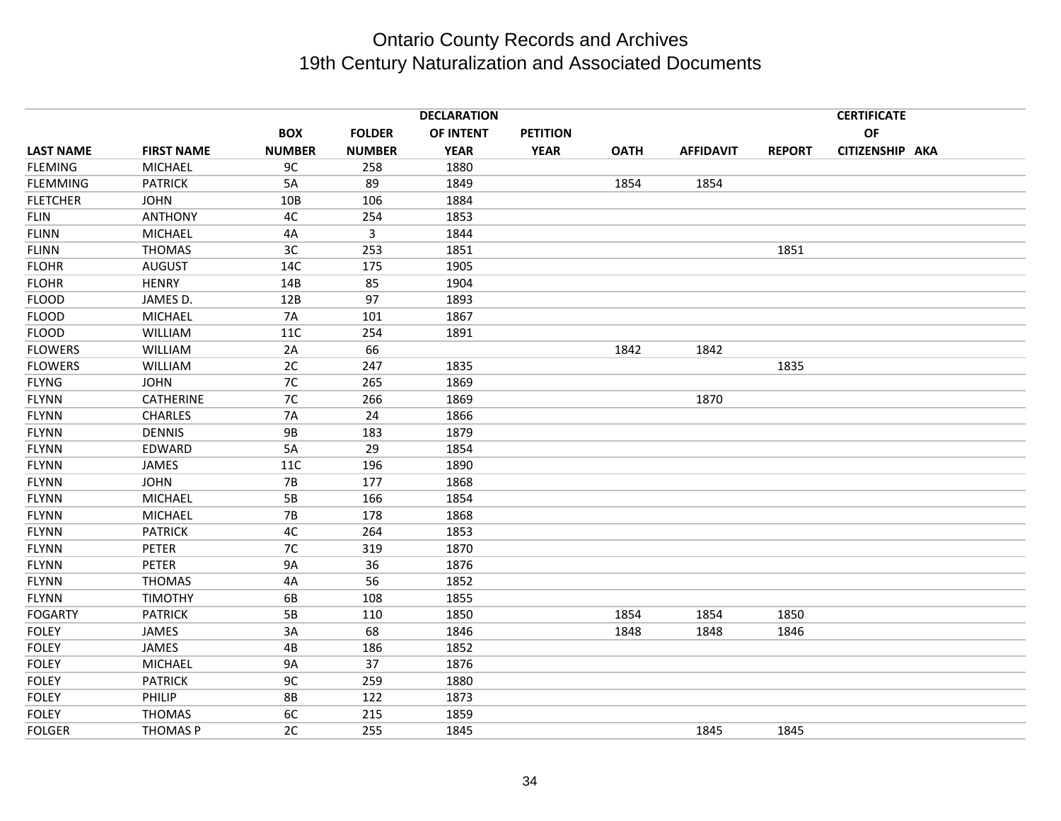|                  |                   |               |               | <b>DECLARATION</b> |                 |             |                  |               | <b>CERTIFICATE</b> |  |
|------------------|-------------------|---------------|---------------|--------------------|-----------------|-------------|------------------|---------------|--------------------|--|
|                  |                   | <b>BOX</b>    | <b>FOLDER</b> | OF INTENT          | <b>PETITION</b> |             |                  |               | <b>OF</b>          |  |
| <b>LAST NAME</b> | <b>FIRST NAME</b> | <b>NUMBER</b> | <b>NUMBER</b> | <b>YEAR</b>        | <b>YEAR</b>     | <b>OATH</b> | <b>AFFIDAVIT</b> | <b>REPORT</b> | CITIZENSHIP AKA    |  |
| <b>FLEMING</b>   | <b>MICHAEL</b>    | 9C            | 258           | 1880               |                 |             |                  |               |                    |  |
| <b>FLEMMING</b>  | <b>PATRICK</b>    | 5A            | 89            | 1849               |                 | 1854        | 1854             |               |                    |  |
| <b>FLETCHER</b>  | <b>JOHN</b>       | 10B           | 106           | 1884               |                 |             |                  |               |                    |  |
| <b>FLIN</b>      | <b>ANTHONY</b>    | 4C            | 254           | 1853               |                 |             |                  |               |                    |  |
| FLINN            | <b>MICHAEL</b>    | 4A            | 3             | 1844               |                 |             |                  |               |                    |  |
| <b>FLINN</b>     | <b>THOMAS</b>     | 3C            | 253           | 1851               |                 |             |                  | 1851          |                    |  |
| <b>FLOHR</b>     | <b>AUGUST</b>     | 14C           | 175           | 1905               |                 |             |                  |               |                    |  |
| <b>FLOHR</b>     | <b>HENRY</b>      | 14B           | 85            | 1904               |                 |             |                  |               |                    |  |
| <b>FLOOD</b>     | JAMES D.          | 12B           | 97            | 1893               |                 |             |                  |               |                    |  |
| <b>FLOOD</b>     | <b>MICHAEL</b>    | <b>7A</b>     | 101           | 1867               |                 |             |                  |               |                    |  |
| <b>FLOOD</b>     | WILLIAM           | 11C           | 254           | 1891               |                 |             |                  |               |                    |  |
| <b>FLOWERS</b>   | <b>WILLIAM</b>    | 2A            | 66            |                    |                 | 1842        | 1842             |               |                    |  |
| <b>FLOWERS</b>   | WILLIAM           | 2C            | 247           | 1835               |                 |             |                  | 1835          |                    |  |
| <b>FLYNG</b>     | <b>JOHN</b>       | 7C            | 265           | 1869               |                 |             |                  |               |                    |  |
| <b>FLYNN</b>     | CATHERINE         | 7C            | 266           | 1869               |                 |             | 1870             |               |                    |  |
| <b>FLYNN</b>     | <b>CHARLES</b>    | <b>7A</b>     | 24            | 1866               |                 |             |                  |               |                    |  |
| <b>FLYNN</b>     | <b>DENNIS</b>     | <b>9B</b>     | 183           | 1879               |                 |             |                  |               |                    |  |
| <b>FLYNN</b>     | EDWARD            | 5A            | 29            | 1854               |                 |             |                  |               |                    |  |
| <b>FLYNN</b>     | <b>JAMES</b>      | 11C           | 196           | 1890               |                 |             |                  |               |                    |  |
| <b>FLYNN</b>     | <b>JOHN</b>       | <b>7B</b>     | 177           | 1868               |                 |             |                  |               |                    |  |
| <b>FLYNN</b>     | <b>MICHAEL</b>    | 5B            | 166           | 1854               |                 |             |                  |               |                    |  |
| <b>FLYNN</b>     | <b>MICHAEL</b>    | <b>7B</b>     | 178           | 1868               |                 |             |                  |               |                    |  |
| <b>FLYNN</b>     | <b>PATRICK</b>    | 4C            | 264           | 1853               |                 |             |                  |               |                    |  |
| <b>FLYNN</b>     | <b>PETER</b>      | 7C            | 319           | 1870               |                 |             |                  |               |                    |  |
| <b>FLYNN</b>     | <b>PETER</b>      | <b>9A</b>     | 36            | 1876               |                 |             |                  |               |                    |  |
| <b>FLYNN</b>     | <b>THOMAS</b>     | 4A            | 56            | 1852               |                 |             |                  |               |                    |  |
| <b>FLYNN</b>     | <b>TIMOTHY</b>    | 6B            | 108           | 1855               |                 |             |                  |               |                    |  |
| <b>FOGARTY</b>   | <b>PATRICK</b>    | 5B            | 110           | 1850               |                 | 1854        | 1854             | 1850          |                    |  |
| <b>FOLEY</b>     | JAMES             | 3A            | 68            | 1846               |                 | 1848        | 1848             | 1846          |                    |  |
| <b>FOLEY</b>     | <b>JAMES</b>      | 4B            | 186           | 1852               |                 |             |                  |               |                    |  |
| <b>FOLEY</b>     | <b>MICHAEL</b>    | <b>9A</b>     | 37            | 1876               |                 |             |                  |               |                    |  |
| <b>FOLEY</b>     | <b>PATRICK</b>    | 9C            | 259           | 1880               |                 |             |                  |               |                    |  |
| <b>FOLEY</b>     | PHILIP            | <b>8B</b>     | 122           | 1873               |                 |             |                  |               |                    |  |
| <b>FOLEY</b>     | <b>THOMAS</b>     | 6C            | 215           | 1859               |                 |             |                  |               |                    |  |
| <b>FOLGER</b>    | <b>THOMAS P</b>   | 2C            | 255           | 1845               |                 |             | 1845             | 1845          |                    |  |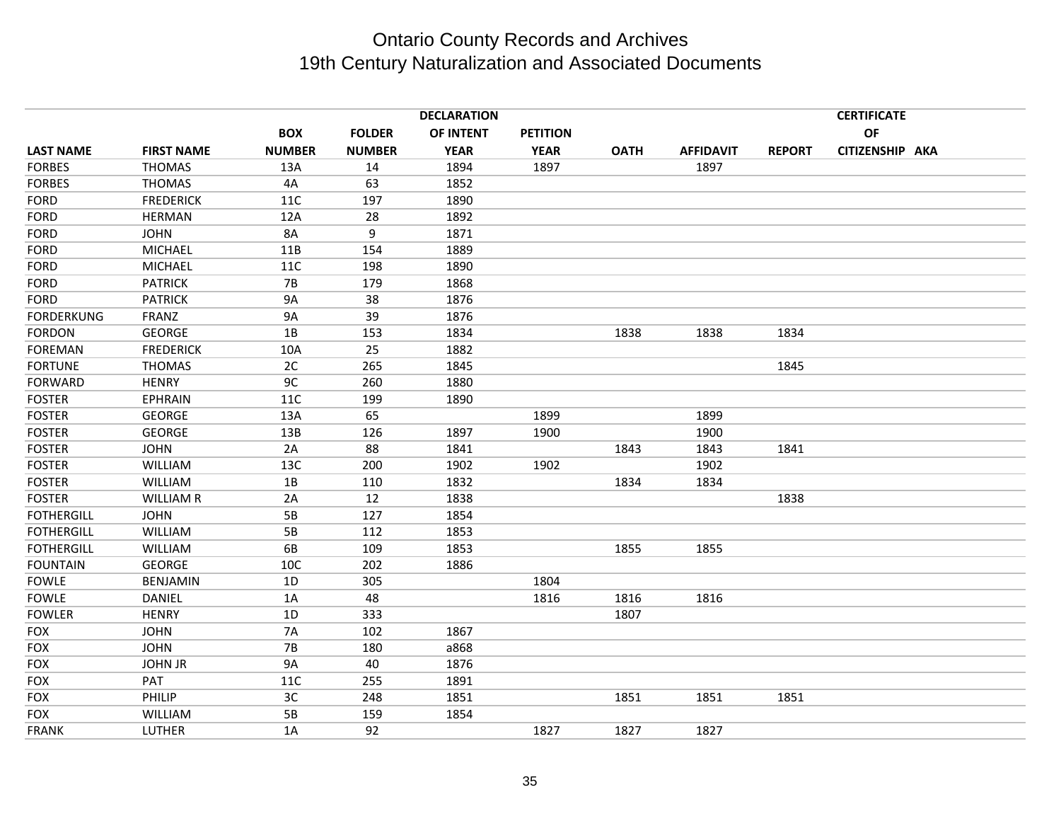|                   |                   |               |               | <b>DECLARATION</b> |                 |             |                  |               | <b>CERTIFICATE</b> |  |
|-------------------|-------------------|---------------|---------------|--------------------|-----------------|-------------|------------------|---------------|--------------------|--|
|                   |                   | <b>BOX</b>    | <b>FOLDER</b> | OF INTENT          | <b>PETITION</b> |             |                  |               | <b>OF</b>          |  |
| <b>LAST NAME</b>  | <b>FIRST NAME</b> | <b>NUMBER</b> | <b>NUMBER</b> | <b>YEAR</b>        | <b>YEAR</b>     | <b>OATH</b> | <b>AFFIDAVIT</b> | <b>REPORT</b> | CITIZENSHIP AKA    |  |
| <b>FORBES</b>     | <b>THOMAS</b>     | 13A           | 14            | 1894               | 1897            |             | 1897             |               |                    |  |
| <b>FORBES</b>     | <b>THOMAS</b>     | 4A            | 63            | 1852               |                 |             |                  |               |                    |  |
| <b>FORD</b>       | <b>FREDERICK</b>  | 11C           | 197           | 1890               |                 |             |                  |               |                    |  |
| <b>FORD</b>       | <b>HERMAN</b>     | 12A           | 28            | 1892               |                 |             |                  |               |                    |  |
| <b>FORD</b>       | <b>JOHN</b>       | 8A            | 9             | 1871               |                 |             |                  |               |                    |  |
| <b>FORD</b>       | <b>MICHAEL</b>    | 11B           | 154           | 1889               |                 |             |                  |               |                    |  |
| <b>FORD</b>       | <b>MICHAEL</b>    | 11C           | 198           | 1890               |                 |             |                  |               |                    |  |
| <b>FORD</b>       | <b>PATRICK</b>    | <b>7B</b>     | 179           | 1868               |                 |             |                  |               |                    |  |
| <b>FORD</b>       | <b>PATRICK</b>    | <b>9A</b>     | 38            | 1876               |                 |             |                  |               |                    |  |
| <b>FORDERKUNG</b> | FRANZ             | <b>9A</b>     | 39            | 1876               |                 |             |                  |               |                    |  |
| <b>FORDON</b>     | <b>GEORGE</b>     | 1B            | 153           | 1834               |                 | 1838        | 1838             | 1834          |                    |  |
| <b>FOREMAN</b>    | <b>FREDERICK</b>  | 10A           | 25            | 1882               |                 |             |                  |               |                    |  |
| <b>FORTUNE</b>    | <b>THOMAS</b>     | 2C            | 265           | 1845               |                 |             |                  | 1845          |                    |  |
| <b>FORWARD</b>    | <b>HENRY</b>      | 9C            | 260           | 1880               |                 |             |                  |               |                    |  |
| <b>FOSTER</b>     | <b>EPHRAIN</b>    | 11C           | 199           | 1890               |                 |             |                  |               |                    |  |
| <b>FOSTER</b>     | <b>GEORGE</b>     | 13A           | 65            |                    | 1899            |             | 1899             |               |                    |  |
| <b>FOSTER</b>     | <b>GEORGE</b>     | 13B           | 126           | 1897               | 1900            |             | 1900             |               |                    |  |
| <b>FOSTER</b>     | <b>JOHN</b>       | 2A            | 88            | 1841               |                 | 1843        | 1843             | 1841          |                    |  |
| <b>FOSTER</b>     | <b>WILLIAM</b>    | 13C           | 200           | 1902               | 1902            |             | 1902             |               |                    |  |
| <b>FOSTER</b>     | WILLIAM           | 1B            | 110           | 1832               |                 | 1834        | 1834             |               |                    |  |
| <b>FOSTER</b>     | <b>WILLIAM R</b>  | 2A            | 12            | 1838               |                 |             |                  | 1838          |                    |  |
| <b>FOTHERGILL</b> | <b>JOHN</b>       | 5B            | 127           | 1854               |                 |             |                  |               |                    |  |
| <b>FOTHERGILL</b> | <b>WILLIAM</b>    | 5B            | 112           | 1853               |                 |             |                  |               |                    |  |
| <b>FOTHERGILL</b> | <b>WILLIAM</b>    | 6B            | 109           | 1853               |                 | 1855        | 1855             |               |                    |  |
| <b>FOUNTAIN</b>   | <b>GEORGE</b>     | 10C           | 202           | 1886               |                 |             |                  |               |                    |  |
| <b>FOWLE</b>      | <b>BENJAMIN</b>   | 1D            | 305           |                    | 1804            |             |                  |               |                    |  |
| <b>FOWLE</b>      | DANIEL            | 1A            | 48            |                    | 1816            | 1816        | 1816             |               |                    |  |
| <b>FOWLER</b>     | <b>HENRY</b>      | 1D            | 333           |                    |                 | 1807        |                  |               |                    |  |
| <b>FOX</b>        | <b>JOHN</b>       | <b>7A</b>     | 102           | 1867               |                 |             |                  |               |                    |  |
| <b>FOX</b>        | <b>JOHN</b>       | <b>7B</b>     | 180           | a868               |                 |             |                  |               |                    |  |
| <b>FOX</b>        | <b>JOHN JR</b>    | <b>9A</b>     | 40            | 1876               |                 |             |                  |               |                    |  |
| <b>FOX</b>        | PAT               | 11C           | 255           | 1891               |                 |             |                  |               |                    |  |
| <b>FOX</b>        | PHILIP            | 3C            | 248           | 1851               |                 | 1851        | 1851             | 1851          |                    |  |
| <b>FOX</b>        | <b>WILLIAM</b>    | 5B            | 159           | 1854               |                 |             |                  |               |                    |  |
| <b>FRANK</b>      | LUTHER            | 1A            | 92            |                    | 1827            | 1827        | 1827             |               |                    |  |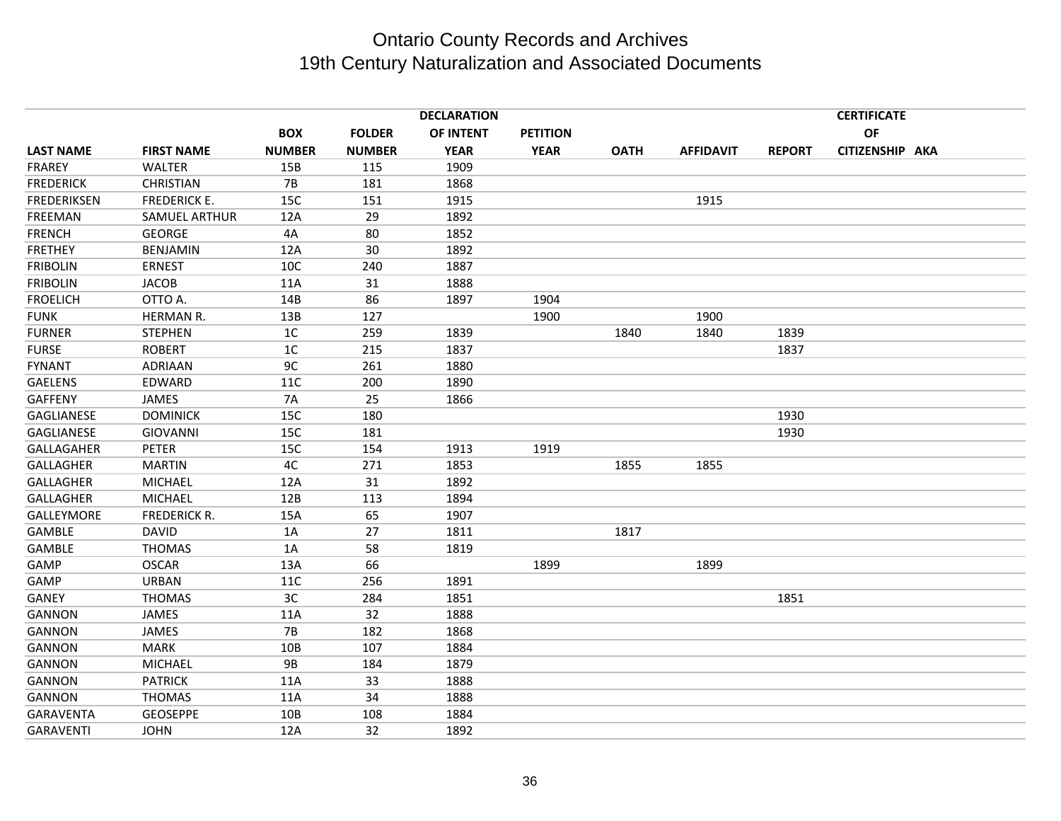|                    |                      |                 |               | <b>DECLARATION</b> |                 |             |                  |               | <b>CERTIFICATE</b> |  |
|--------------------|----------------------|-----------------|---------------|--------------------|-----------------|-------------|------------------|---------------|--------------------|--|
|                    |                      | <b>BOX</b>      | <b>FOLDER</b> | OF INTENT          | <b>PETITION</b> |             |                  |               | OF                 |  |
| <b>LAST NAME</b>   | <b>FIRST NAME</b>    | <b>NUMBER</b>   | <b>NUMBER</b> | <b>YEAR</b>        | <b>YEAR</b>     | <b>OATH</b> | <b>AFFIDAVIT</b> | <b>REPORT</b> | CITIZENSHIP AKA    |  |
| <b>FRAREY</b>      | WALTER               | 15B             | 115           | 1909               |                 |             |                  |               |                    |  |
| <b>FREDERICK</b>   | <b>CHRISTIAN</b>     | <b>7B</b>       | 181           | 1868               |                 |             |                  |               |                    |  |
| <b>FREDERIKSEN</b> | <b>FREDERICK E.</b>  | 15C             | 151           | 1915               |                 |             | 1915             |               |                    |  |
| <b>FREEMAN</b>     | <b>SAMUEL ARTHUR</b> | 12A             | 29            | 1892               |                 |             |                  |               |                    |  |
| <b>FRENCH</b>      | <b>GEORGE</b>        | 4A              | 80            | 1852               |                 |             |                  |               |                    |  |
| <b>FRETHEY</b>     | <b>BENJAMIN</b>      | 12A             | 30            | 1892               |                 |             |                  |               |                    |  |
| <b>FRIBOLIN</b>    | <b>ERNEST</b>        | 10C             | 240           | 1887               |                 |             |                  |               |                    |  |
| <b>FRIBOLIN</b>    | <b>JACOB</b>         | 11A             | 31            | 1888               |                 |             |                  |               |                    |  |
| <b>FROELICH</b>    | OTTO A.              | 14B             | 86            | 1897               | 1904            |             |                  |               |                    |  |
| <b>FUNK</b>        | HERMAN R.            | 13B             | 127           |                    | 1900            |             | 1900             |               |                    |  |
| <b>FURNER</b>      | <b>STEPHEN</b>       | 1C              | 259           | 1839               |                 | 1840        | 1840             | 1839          |                    |  |
| <b>FURSE</b>       | <b>ROBERT</b>        | 1 <sup>C</sup>  | 215           | 1837               |                 |             |                  | 1837          |                    |  |
| <b>FYNANT</b>      | <b>ADRIAAN</b>       | 9C              | 261           | 1880               |                 |             |                  |               |                    |  |
| <b>GAELENS</b>     | EDWARD               | 11C             | 200           | 1890               |                 |             |                  |               |                    |  |
| GAFFENY            | JAMES                | <b>7A</b>       | 25            | 1866               |                 |             |                  |               |                    |  |
| <b>GAGLIANESE</b>  | <b>DOMINICK</b>      | 15C             | 180           |                    |                 |             |                  | 1930          |                    |  |
| <b>GAGLIANESE</b>  | <b>GIOVANNI</b>      | 15C             | 181           |                    |                 |             |                  | 1930          |                    |  |
| GALLAGAHER         | <b>PETER</b>         | 15C             | 154           | 1913               | 1919            |             |                  |               |                    |  |
| <b>GALLAGHER</b>   | <b>MARTIN</b>        | 4C              | 271           | 1853               |                 | 1855        | 1855             |               |                    |  |
| <b>GALLAGHER</b>   | <b>MICHAEL</b>       | 12A             | 31            | 1892               |                 |             |                  |               |                    |  |
| <b>GALLAGHER</b>   | <b>MICHAEL</b>       | 12B             | 113           | 1894               |                 |             |                  |               |                    |  |
| <b>GALLEYMORE</b>  | <b>FREDERICK R.</b>  | 15A             | 65            | 1907               |                 |             |                  |               |                    |  |
| GAMBLE             | <b>DAVID</b>         | 1A              | 27            | 1811               |                 | 1817        |                  |               |                    |  |
| GAMBLE             | <b>THOMAS</b>        | 1A              | 58            | 1819               |                 |             |                  |               |                    |  |
| GAMP               | <b>OSCAR</b>         | 13A             | 66            |                    | 1899            |             | 1899             |               |                    |  |
| GAMP               | <b>URBAN</b>         | 11C             | 256           | 1891               |                 |             |                  |               |                    |  |
| <b>GANEY</b>       | <b>THOMAS</b>        | 3C              | 284           | 1851               |                 |             |                  | 1851          |                    |  |
| <b>GANNON</b>      | JAMES                | 11A             | 32            | 1888               |                 |             |                  |               |                    |  |
| <b>GANNON</b>      | JAMES                | <b>7B</b>       | 182           | 1868               |                 |             |                  |               |                    |  |
| <b>GANNON</b>      | <b>MARK</b>          | 10 <sub>B</sub> | 107           | 1884               |                 |             |                  |               |                    |  |
| <b>GANNON</b>      | <b>MICHAEL</b>       | <b>9B</b>       | 184           | 1879               |                 |             |                  |               |                    |  |
| GANNON             | <b>PATRICK</b>       | 11A             | 33            | 1888               |                 |             |                  |               |                    |  |
| GANNON             | <b>THOMAS</b>        | 11A             | 34            | 1888               |                 |             |                  |               |                    |  |
| <b>GARAVENTA</b>   | <b>GEOSEPPE</b>      | 10 <sub>B</sub> | 108           | 1884               |                 |             |                  |               |                    |  |
| <b>GARAVENTI</b>   | <b>JOHN</b>          | 12A             | 32            | 1892               |                 |             |                  |               |                    |  |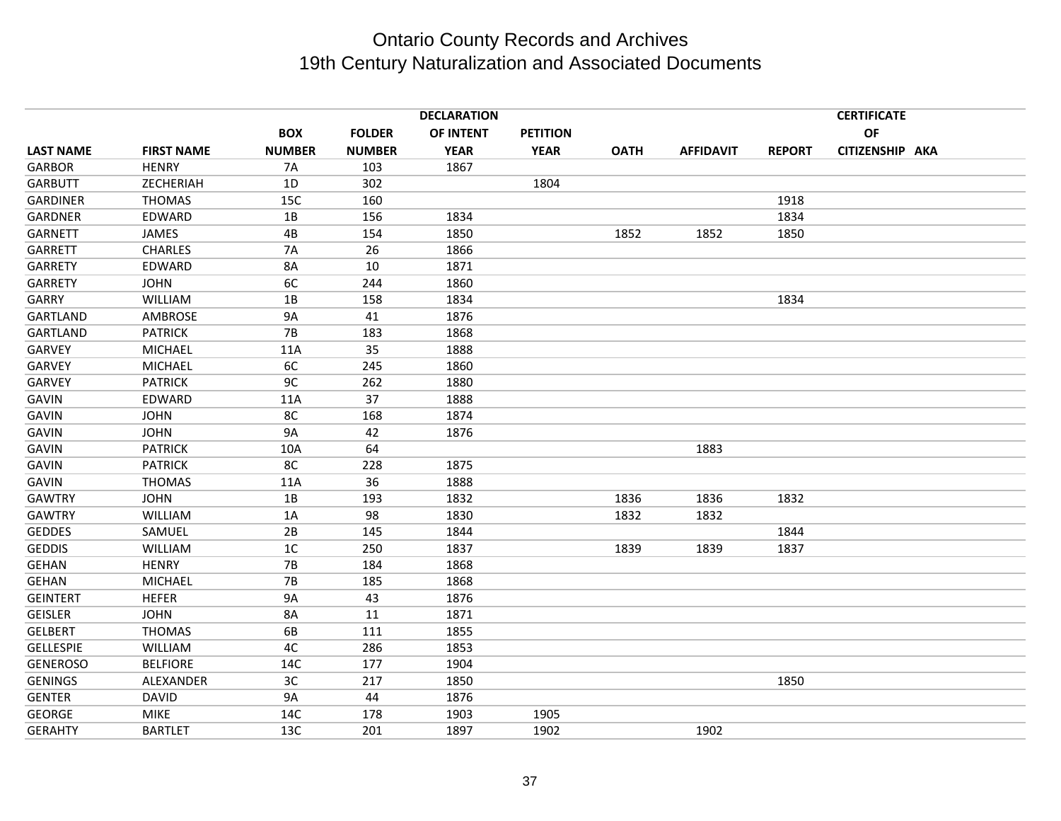|                  |                   |                |               | <b>DECLARATION</b> |                 |             |                  |               | <b>CERTIFICATE</b> |  |
|------------------|-------------------|----------------|---------------|--------------------|-----------------|-------------|------------------|---------------|--------------------|--|
|                  |                   | <b>BOX</b>     | <b>FOLDER</b> | OF INTENT          | <b>PETITION</b> |             |                  |               | <b>OF</b>          |  |
| <b>LAST NAME</b> | <b>FIRST NAME</b> | <b>NUMBER</b>  | <b>NUMBER</b> | <b>YEAR</b>        | <b>YEAR</b>     | <b>OATH</b> | <b>AFFIDAVIT</b> | <b>REPORT</b> | CITIZENSHIP AKA    |  |
| <b>GARBOR</b>    | <b>HENRY</b>      | <b>7A</b>      | 103           | 1867               |                 |             |                  |               |                    |  |
| <b>GARBUTT</b>   | ZECHERIAH         | 1D             | 302           |                    | 1804            |             |                  |               |                    |  |
| <b>GARDINER</b>  | <b>THOMAS</b>     | 15C            | 160           |                    |                 |             |                  | 1918          |                    |  |
| <b>GARDNER</b>   | EDWARD            | 1B             | 156           | 1834               |                 |             |                  | 1834          |                    |  |
| <b>GARNETT</b>   | JAMES             | 4B             | 154           | 1850               |                 | 1852        | 1852             | 1850          |                    |  |
| <b>GARRETT</b>   | <b>CHARLES</b>    | 7A             | 26            | 1866               |                 |             |                  |               |                    |  |
| <b>GARRETY</b>   | EDWARD            | <b>8A</b>      | 10            | 1871               |                 |             |                  |               |                    |  |
| <b>GARRETY</b>   | <b>JOHN</b>       | 6C             | 244           | 1860               |                 |             |                  |               |                    |  |
| GARRY            | WILLIAM           | 1B             | 158           | 1834               |                 |             |                  | 1834          |                    |  |
| <b>GARTLAND</b>  | AMBROSE           | <b>9A</b>      | 41            | 1876               |                 |             |                  |               |                    |  |
| <b>GARTLAND</b>  | <b>PATRICK</b>    | <b>7B</b>      | 183           | 1868               |                 |             |                  |               |                    |  |
| <b>GARVEY</b>    | <b>MICHAEL</b>    | 11A            | 35            | 1888               |                 |             |                  |               |                    |  |
| <b>GARVEY</b>    | <b>MICHAEL</b>    | 6C             | 245           | 1860               |                 |             |                  |               |                    |  |
| <b>GARVEY</b>    | <b>PATRICK</b>    | 9C             | 262           | 1880               |                 |             |                  |               |                    |  |
| <b>GAVIN</b>     | EDWARD            | 11A            | 37            | 1888               |                 |             |                  |               |                    |  |
| <b>GAVIN</b>     | <b>JOHN</b>       | 8C             | 168           | 1874               |                 |             |                  |               |                    |  |
| <b>GAVIN</b>     | <b>JOHN</b>       | <b>9A</b>      | 42            | 1876               |                 |             |                  |               |                    |  |
| <b>GAVIN</b>     | <b>PATRICK</b>    | 10A            | 64            |                    |                 |             | 1883             |               |                    |  |
| <b>GAVIN</b>     | <b>PATRICK</b>    | 8C             | 228           | 1875               |                 |             |                  |               |                    |  |
| <b>GAVIN</b>     | <b>THOMAS</b>     | 11A            | 36            | 1888               |                 |             |                  |               |                    |  |
| <b>GAWTRY</b>    | <b>JOHN</b>       | 1B             | 193           | 1832               |                 | 1836        | 1836             | 1832          |                    |  |
| <b>GAWTRY</b>    | <b>WILLIAM</b>    | 1A             | 98            | 1830               |                 | 1832        | 1832             |               |                    |  |
| <b>GEDDES</b>    | SAMUEL            | 2B             | 145           | 1844               |                 |             |                  | 1844          |                    |  |
| <b>GEDDIS</b>    | WILLIAM           | 1 <sup>C</sup> | 250           | 1837               |                 | 1839        | 1839             | 1837          |                    |  |
| <b>GEHAN</b>     | <b>HENRY</b>      | <b>7B</b>      | 184           | 1868               |                 |             |                  |               |                    |  |
| <b>GEHAN</b>     | <b>MICHAEL</b>    | 7B             | 185           | 1868               |                 |             |                  |               |                    |  |
| <b>GEINTERT</b>  | <b>HEFER</b>      | <b>9A</b>      | 43            | 1876               |                 |             |                  |               |                    |  |
| <b>GEISLER</b>   | <b>JOHN</b>       | 8A             | 11            | 1871               |                 |             |                  |               |                    |  |
| <b>GELBERT</b>   | <b>THOMAS</b>     | 6B             | 111           | 1855               |                 |             |                  |               |                    |  |
| <b>GELLESPIE</b> | WILLIAM           | 4C             | 286           | 1853               |                 |             |                  |               |                    |  |
| <b>GENEROSO</b>  | <b>BELFIORE</b>   | 14C            | 177           | 1904               |                 |             |                  |               |                    |  |
| <b>GENINGS</b>   | ALEXANDER         | 3C             | 217           | 1850               |                 |             |                  | 1850          |                    |  |
| <b>GENTER</b>    | <b>DAVID</b>      | <b>9A</b>      | 44            | 1876               |                 |             |                  |               |                    |  |
| <b>GEORGE</b>    | <b>MIKE</b>       | 14C            | 178           | 1903               | 1905            |             |                  |               |                    |  |
| <b>GERAHTY</b>   | <b>BARTLET</b>    | 13C            | 201           | 1897               | 1902            |             | 1902             |               |                    |  |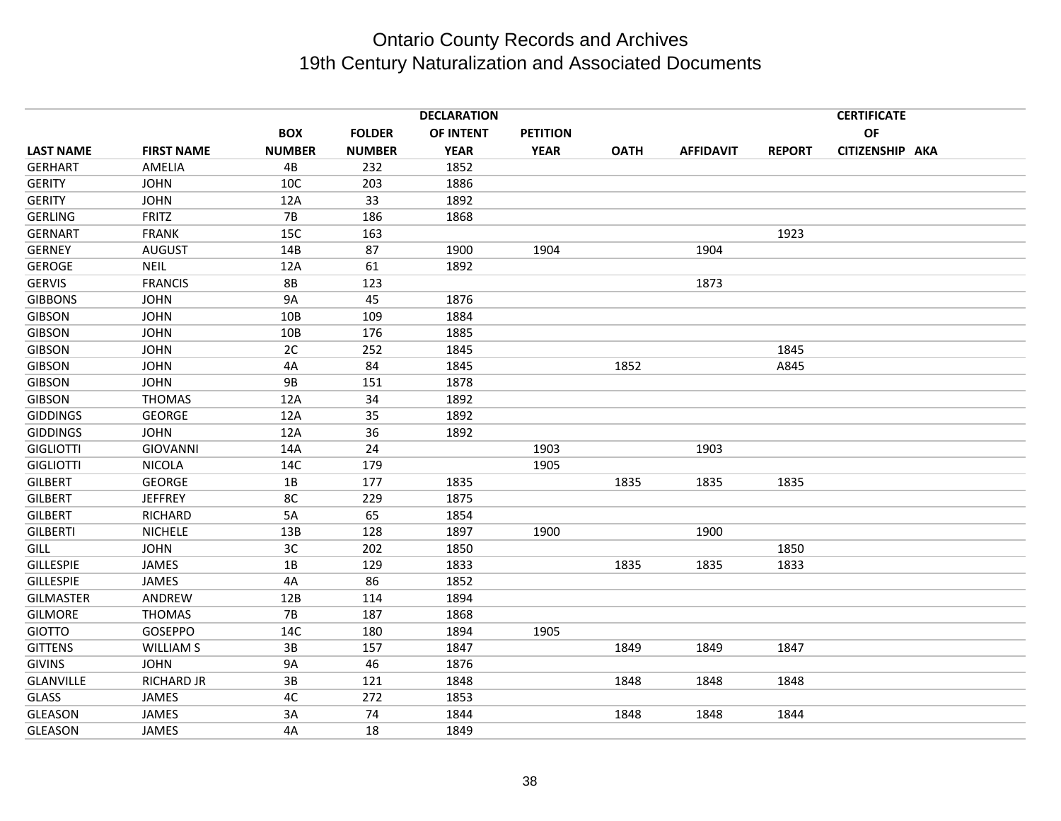|                  |                   |               |               | <b>DECLARATION</b> |                 |             |                  |               | <b>CERTIFICATE</b> |  |
|------------------|-------------------|---------------|---------------|--------------------|-----------------|-------------|------------------|---------------|--------------------|--|
|                  |                   | <b>BOX</b>    | <b>FOLDER</b> | OF INTENT          | <b>PETITION</b> |             |                  |               | OF                 |  |
| <b>LAST NAME</b> | <b>FIRST NAME</b> | <b>NUMBER</b> | <b>NUMBER</b> | <b>YEAR</b>        | <b>YEAR</b>     | <b>OATH</b> | <b>AFFIDAVIT</b> | <b>REPORT</b> | CITIZENSHIP AKA    |  |
| <b>GERHART</b>   | AMELIA            | 4B            | 232           | 1852               |                 |             |                  |               |                    |  |
| <b>GERITY</b>    | <b>JOHN</b>       | 10C           | 203           | 1886               |                 |             |                  |               |                    |  |
| <b>GERITY</b>    | <b>JOHN</b>       | 12A           | 33            | 1892               |                 |             |                  |               |                    |  |
| <b>GERLING</b>   | FRITZ             | $7B$          | 186           | 1868               |                 |             |                  |               |                    |  |
| <b>GERNART</b>   | <b>FRANK</b>      | 15C           | 163           |                    |                 |             |                  | 1923          |                    |  |
| <b>GERNEY</b>    | <b>AUGUST</b>     | 14B           | 87            | 1900               | 1904            |             | 1904             |               |                    |  |
| <b>GEROGE</b>    | <b>NEIL</b>       | 12A           | 61            | 1892               |                 |             |                  |               |                    |  |
| <b>GERVIS</b>    | <b>FRANCIS</b>    | <b>8B</b>     | 123           |                    |                 |             | 1873             |               |                    |  |
| <b>GIBBONS</b>   | <b>JOHN</b>       | <b>9A</b>     | 45            | 1876               |                 |             |                  |               |                    |  |
| <b>GIBSON</b>    | <b>JOHN</b>       | 10B           | 109           | 1884               |                 |             |                  |               |                    |  |
| <b>GIBSON</b>    | <b>JOHN</b>       | 10B           | 176           | 1885               |                 |             |                  |               |                    |  |
| <b>GIBSON</b>    | <b>JOHN</b>       | 2C            | 252           | 1845               |                 |             |                  | 1845          |                    |  |
| <b>GIBSON</b>    | <b>JOHN</b>       | 4A            | 84            | 1845               |                 | 1852        |                  | A845          |                    |  |
| <b>GIBSON</b>    | <b>JOHN</b>       | 9B            | 151           | 1878               |                 |             |                  |               |                    |  |
| <b>GIBSON</b>    | <b>THOMAS</b>     | 12A           | 34            | 1892               |                 |             |                  |               |                    |  |
| <b>GIDDINGS</b>  | <b>GEORGE</b>     | 12A           | 35            | 1892               |                 |             |                  |               |                    |  |
| <b>GIDDINGS</b>  | <b>JOHN</b>       | 12A           | 36            | 1892               |                 |             |                  |               |                    |  |
| <b>GIGLIOTTI</b> | <b>GIOVANNI</b>   | 14A           | 24            |                    | 1903            |             | 1903             |               |                    |  |
| <b>GIGLIOTTI</b> | <b>NICOLA</b>     | 14C           | 179           |                    | 1905            |             |                  |               |                    |  |
| <b>GILBERT</b>   | <b>GEORGE</b>     | 1B            | 177           | 1835               |                 | 1835        | 1835             | 1835          |                    |  |
| <b>GILBERT</b>   | <b>JEFFREY</b>    | 8C            | 229           | 1875               |                 |             |                  |               |                    |  |
| <b>GILBERT</b>   | <b>RICHARD</b>    | 5A            | 65            | 1854               |                 |             |                  |               |                    |  |
| <b>GILBERTI</b>  | <b>NICHELE</b>    | 13B           | 128           | 1897               | 1900            |             | 1900             |               |                    |  |
| <b>GILL</b>      | <b>JOHN</b>       | 3C            | 202           | 1850               |                 |             |                  | 1850          |                    |  |
| <b>GILLESPIE</b> | JAMES             | 1B            | 129           | 1833               |                 | 1835        | 1835             | 1833          |                    |  |
| <b>GILLESPIE</b> | JAMES             | 4A            | 86            | 1852               |                 |             |                  |               |                    |  |
| <b>GILMASTER</b> | ANDREW            | 12B           | 114           | 1894               |                 |             |                  |               |                    |  |
| <b>GILMORE</b>   | <b>THOMAS</b>     | <b>7B</b>     | 187           | 1868               |                 |             |                  |               |                    |  |
| <b>GIOTTO</b>    | GOSEPPO           | 14C           | 180           | 1894               | 1905            |             |                  |               |                    |  |
| <b>GITTENS</b>   | <b>WILLIAM S</b>  | 3B            | 157           | 1847               |                 | 1849        | 1849             | 1847          |                    |  |
| <b>GIVINS</b>    | <b>JOHN</b>       | <b>9A</b>     | 46            | 1876               |                 |             |                  |               |                    |  |
| <b>GLANVILLE</b> | <b>RICHARD JR</b> | 3B            | 121           | 1848               |                 | 1848        | 1848             | 1848          |                    |  |
| <b>GLASS</b>     | JAMES             | 4C            | 272           | 1853               |                 |             |                  |               |                    |  |
| <b>GLEASON</b>   | JAMES             | 3A            | 74            | 1844               |                 | 1848        | 1848             | 1844          |                    |  |
| <b>GLEASON</b>   | JAMES             | 4A            | 18            | 1849               |                 |             |                  |               |                    |  |
|                  |                   |               |               |                    |                 |             |                  |               |                    |  |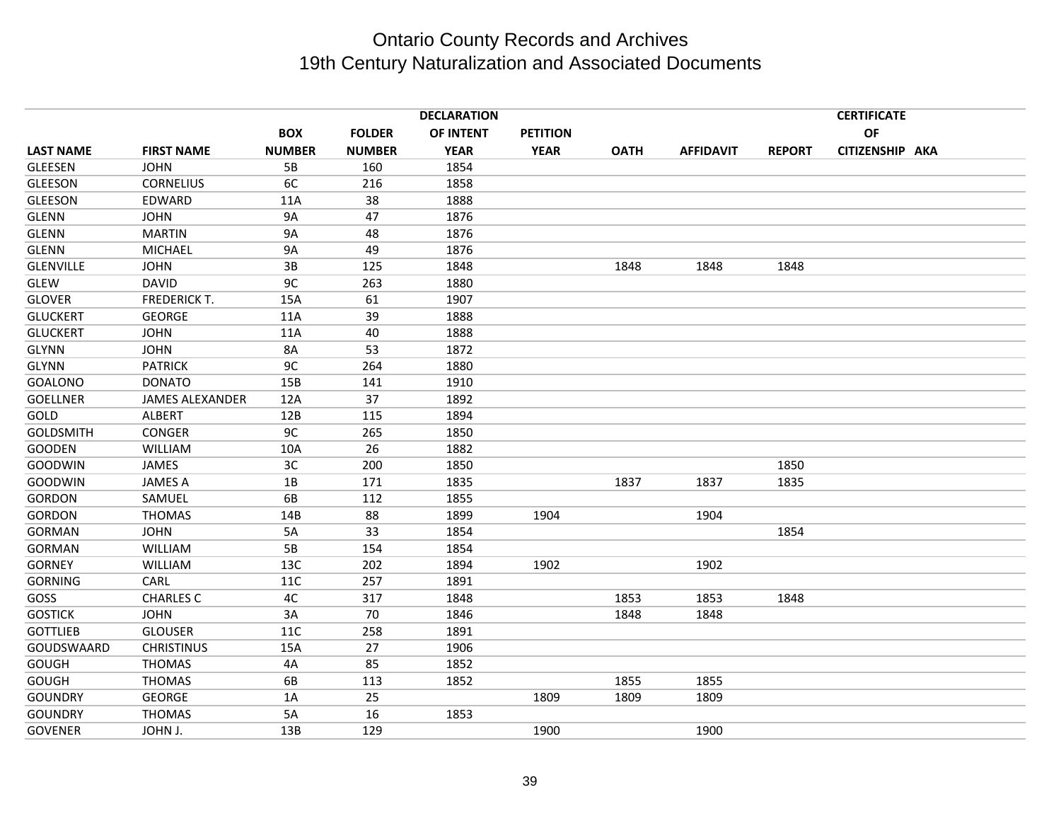|                  |                        |               |               | <b>DECLARATION</b> |                 |             |                  |               | <b>CERTIFICATE</b> |  |
|------------------|------------------------|---------------|---------------|--------------------|-----------------|-------------|------------------|---------------|--------------------|--|
|                  |                        | <b>BOX</b>    | <b>FOLDER</b> | OF INTENT          | <b>PETITION</b> |             |                  |               | <b>OF</b>          |  |
| <b>LAST NAME</b> | <b>FIRST NAME</b>      | <b>NUMBER</b> | <b>NUMBER</b> | <b>YEAR</b>        | <b>YEAR</b>     | <b>OATH</b> | <b>AFFIDAVIT</b> | <b>REPORT</b> | CITIZENSHIP AKA    |  |
| <b>GLEESEN</b>   | <b>JOHN</b>            | 5B            | 160           | 1854               |                 |             |                  |               |                    |  |
| <b>GLEESON</b>   | <b>CORNELIUS</b>       | 6C            | 216           | 1858               |                 |             |                  |               |                    |  |
| <b>GLEESON</b>   | EDWARD                 | 11A           | 38            | 1888               |                 |             |                  |               |                    |  |
| <b>GLENN</b>     | <b>JOHN</b>            | <b>9A</b>     | 47            | 1876               |                 |             |                  |               |                    |  |
| <b>GLENN</b>     | <b>MARTIN</b>          | <b>9A</b>     | 48            | 1876               |                 |             |                  |               |                    |  |
| <b>GLENN</b>     | <b>MICHAEL</b>         | <b>9A</b>     | 49            | 1876               |                 |             |                  |               |                    |  |
| <b>GLENVILLE</b> | <b>JOHN</b>            | 3B            | 125           | 1848               |                 | 1848        | 1848             | 1848          |                    |  |
| <b>GLEW</b>      | <b>DAVID</b>           | 9C            | 263           | 1880               |                 |             |                  |               |                    |  |
| <b>GLOVER</b>    | <b>FREDERICK T.</b>    | 15A           | 61            | 1907               |                 |             |                  |               |                    |  |
| <b>GLUCKERT</b>  | <b>GEORGE</b>          | 11A           | 39            | 1888               |                 |             |                  |               |                    |  |
| <b>GLUCKERT</b>  | <b>JOHN</b>            | 11A           | 40            | 1888               |                 |             |                  |               |                    |  |
| GLYNN            | <b>JOHN</b>            | 8A            | 53            | 1872               |                 |             |                  |               |                    |  |
| GLYNN            | <b>PATRICK</b>         | 9C            | 264           | 1880               |                 |             |                  |               |                    |  |
| <b>GOALONO</b>   | <b>DONATO</b>          | 15B           | 141           | 1910               |                 |             |                  |               |                    |  |
| <b>GOELLNER</b>  | <b>JAMES ALEXANDER</b> | 12A           | 37            | 1892               |                 |             |                  |               |                    |  |
| GOLD             | <b>ALBERT</b>          | 12B           | 115           | 1894               |                 |             |                  |               |                    |  |
| <b>GOLDSMITH</b> | CONGER                 | 9C            | 265           | 1850               |                 |             |                  |               |                    |  |
| <b>GOODEN</b>    | WILLIAM                | 10A           | 26            | 1882               |                 |             |                  |               |                    |  |
| <b>GOODWIN</b>   | JAMES                  | 3C            | 200           | 1850               |                 |             |                  | 1850          |                    |  |
| <b>GOODWIN</b>   | <b>JAMES A</b>         | 1B            | 171           | 1835               |                 | 1837        | 1837             | 1835          |                    |  |
| <b>GORDON</b>    | SAMUEL                 | 6B            | 112           | 1855               |                 |             |                  |               |                    |  |
| <b>GORDON</b>    | <b>THOMAS</b>          | 14B           | 88            | 1899               | 1904            |             | 1904             |               |                    |  |
| <b>GORMAN</b>    | <b>JOHN</b>            | 5A            | 33            | 1854               |                 |             |                  | 1854          |                    |  |
| <b>GORMAN</b>    | <b>WILLIAM</b>         | 5B            | 154           | 1854               |                 |             |                  |               |                    |  |
| <b>GORNEY</b>    | <b>WILLIAM</b>         | 13C           | 202           | 1894               | 1902            |             | 1902             |               |                    |  |
| <b>GORNING</b>   | CARL                   | <b>11C</b>    | 257           | 1891               |                 |             |                  |               |                    |  |
| GOSS             | <b>CHARLES C</b>       | 4C            | 317           | 1848               |                 | 1853        | 1853             | 1848          |                    |  |
| <b>GOSTICK</b>   | <b>JOHN</b>            | 3A            | 70            | 1846               |                 | 1848        | 1848             |               |                    |  |
| <b>GOTTLIEB</b>  | <b>GLOUSER</b>         | 11C           | 258           | 1891               |                 |             |                  |               |                    |  |
| GOUDSWAARD       | <b>CHRISTINUS</b>      | 15A           | 27            | 1906               |                 |             |                  |               |                    |  |
| <b>GOUGH</b>     | <b>THOMAS</b>          | 4A            | 85            | 1852               |                 |             |                  |               |                    |  |
| <b>GOUGH</b>     | <b>THOMAS</b>          | 6B            | 113           | 1852               |                 | 1855        | 1855             |               |                    |  |
| <b>GOUNDRY</b>   | <b>GEORGE</b>          | 1A            | 25            |                    | 1809            | 1809        | 1809             |               |                    |  |
| <b>GOUNDRY</b>   | <b>THOMAS</b>          | 5A            | 16            | 1853               |                 |             |                  |               |                    |  |
| <b>GOVENER</b>   | JOHN J.                | 13B           | 129           |                    | 1900            |             | 1900             |               |                    |  |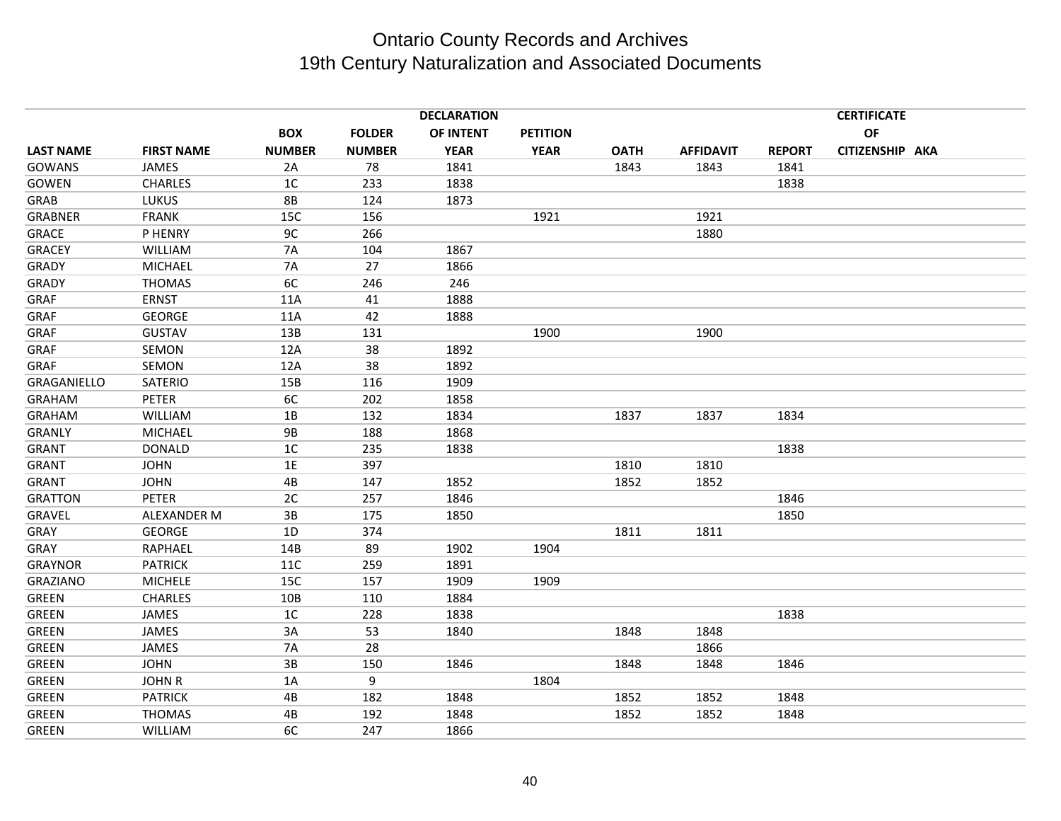|                    |                   |                |               | <b>DECLARATION</b> |                 |             |                  |               | <b>CERTIFICATE</b> |  |
|--------------------|-------------------|----------------|---------------|--------------------|-----------------|-------------|------------------|---------------|--------------------|--|
|                    |                   | <b>BOX</b>     | <b>FOLDER</b> | OF INTENT          | <b>PETITION</b> |             |                  |               | <b>OF</b>          |  |
| <b>LAST NAME</b>   | <b>FIRST NAME</b> | <b>NUMBER</b>  | <b>NUMBER</b> | <b>YEAR</b>        | <b>YEAR</b>     | <b>OATH</b> | <b>AFFIDAVIT</b> | <b>REPORT</b> | CITIZENSHIP AKA    |  |
| <b>GOWANS</b>      | JAMES             | 2A             | 78            | 1841               |                 | 1843        | 1843             | 1841          |                    |  |
| <b>GOWEN</b>       | <b>CHARLES</b>    | 1C             | 233           | 1838               |                 |             |                  | 1838          |                    |  |
| GRAB               | <b>LUKUS</b>      | <b>8B</b>      | 124           | 1873               |                 |             |                  |               |                    |  |
| <b>GRABNER</b>     | <b>FRANK</b>      | 15C            | 156           |                    | 1921            |             | 1921             |               |                    |  |
| <b>GRACE</b>       | P HENRY           | 9C             | 266           |                    |                 |             | 1880             |               |                    |  |
| <b>GRACEY</b>      | WILLIAM           | 7A             | 104           | 1867               |                 |             |                  |               |                    |  |
| GRADY              | <b>MICHAEL</b>    | 7A             | 27            | 1866               |                 |             |                  |               |                    |  |
| <b>GRADY</b>       | <b>THOMAS</b>     | 6C             | 246           | 246                |                 |             |                  |               |                    |  |
| GRAF               | <b>ERNST</b>      | 11A            | 41            | 1888               |                 |             |                  |               |                    |  |
| GRAF               | <b>GEORGE</b>     | 11A            | 42            | 1888               |                 |             |                  |               |                    |  |
| GRAF               | <b>GUSTAV</b>     | 13B            | 131           |                    | 1900            |             | 1900             |               |                    |  |
| GRAF               | SEMON             | 12A            | 38            | 1892               |                 |             |                  |               |                    |  |
| GRAF               | SEMON             | 12A            | 38            | 1892               |                 |             |                  |               |                    |  |
| <b>GRAGANIELLO</b> | SATERIO           | 15B            | 116           | 1909               |                 |             |                  |               |                    |  |
| <b>GRAHAM</b>      | PETER             | 6C             | 202           | 1858               |                 |             |                  |               |                    |  |
| <b>GRAHAM</b>      | <b>WILLIAM</b>    | 1B             | 132           | 1834               |                 | 1837        | 1837             | 1834          |                    |  |
| <b>GRANLY</b>      | <b>MICHAEL</b>    | <b>9B</b>      | 188           | 1868               |                 |             |                  |               |                    |  |
| <b>GRANT</b>       | <b>DONALD</b>     | 1 <sup>C</sup> | 235           | 1838               |                 |             |                  | 1838          |                    |  |
| GRANT              | <b>JOHN</b>       | 1E             | 397           |                    |                 | 1810        | 1810             |               |                    |  |
| <b>GRANT</b>       | <b>JOHN</b>       | 4B             | 147           | 1852               |                 | 1852        | 1852             |               |                    |  |
| <b>GRATTON</b>     | <b>PETER</b>      | 2C             | 257           | 1846               |                 |             |                  | 1846          |                    |  |
| GRAVEL             | ALEXANDER M       | 3B             | 175           | 1850               |                 |             |                  | 1850          |                    |  |
| GRAY               | <b>GEORGE</b>     | 1D             | 374           |                    |                 | 1811        | 1811             |               |                    |  |
| GRAY               | RAPHAEL           | 14B            | 89            | 1902               | 1904            |             |                  |               |                    |  |
| <b>GRAYNOR</b>     | <b>PATRICK</b>    | <b>11C</b>     | 259           | 1891               |                 |             |                  |               |                    |  |
| <b>GRAZIANO</b>    | <b>MICHELE</b>    | 15C            | 157           | 1909               | 1909            |             |                  |               |                    |  |
| <b>GREEN</b>       | <b>CHARLES</b>    | 10B            | 110           | 1884               |                 |             |                  |               |                    |  |
| <b>GREEN</b>       | JAMES             | 1 <sup>C</sup> | 228           | 1838               |                 |             |                  | 1838          |                    |  |
| <b>GREEN</b>       | JAMES             | 3A             | 53            | 1840               |                 | 1848        | 1848             |               |                    |  |
| <b>GREEN</b>       | JAMES             | 7A             | 28            |                    |                 |             | 1866             |               |                    |  |
| <b>GREEN</b>       | <b>JOHN</b>       | 3B             | 150           | 1846               |                 | 1848        | 1848             | 1846          |                    |  |
| <b>GREEN</b>       | <b>JOHN R</b>     | 1A             | 9             |                    | 1804            |             |                  |               |                    |  |
| <b>GREEN</b>       | <b>PATRICK</b>    | 4B             | 182           | 1848               |                 | 1852        | 1852             | 1848          |                    |  |
| <b>GREEN</b>       | <b>THOMAS</b>     | 4B             | 192           | 1848               |                 | 1852        | 1852             | 1848          |                    |  |
| <b>GREEN</b>       | WILLIAM           | 6C             | 247           | 1866               |                 |             |                  |               |                    |  |
|                    |                   |                |               |                    |                 |             |                  |               |                    |  |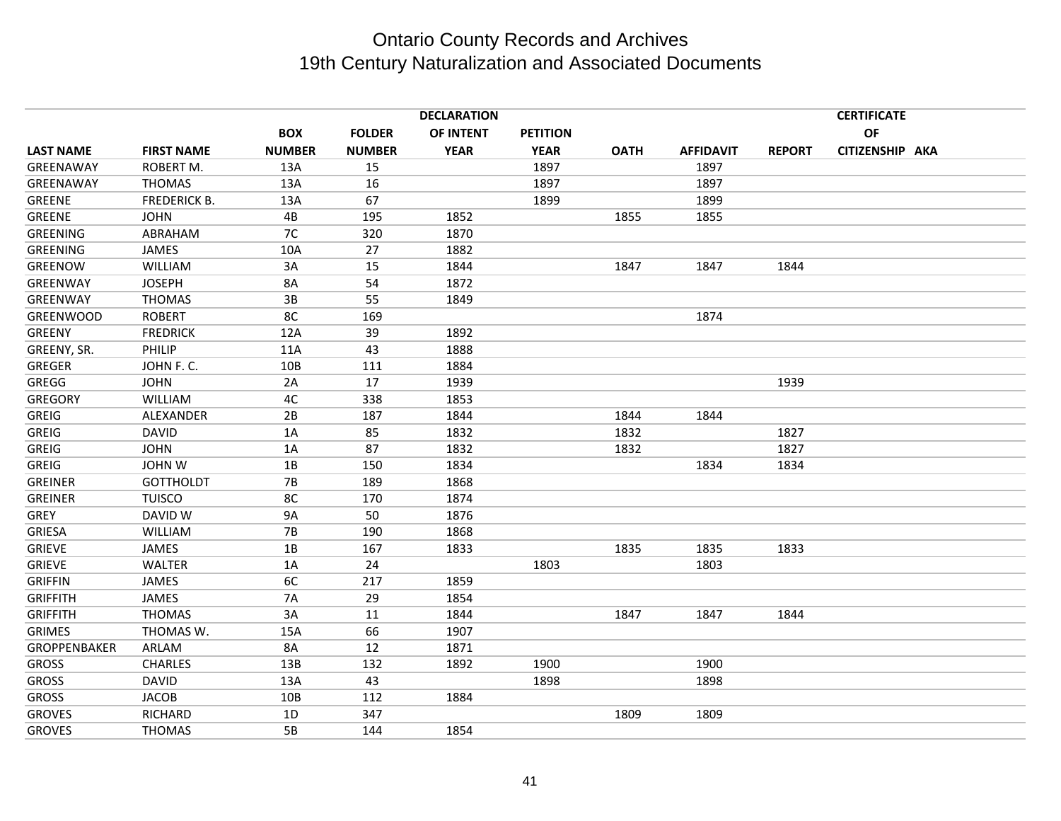|                  |                     |               |               | <b>DECLARATION</b> |                 | <b>CERTIFICATE</b> |                  |               |                 |  |  |
|------------------|---------------------|---------------|---------------|--------------------|-----------------|--------------------|------------------|---------------|-----------------|--|--|
|                  |                     | <b>BOX</b>    | <b>FOLDER</b> | OF INTENT          | <b>PETITION</b> |                    |                  |               | OF              |  |  |
| <b>LAST NAME</b> | <b>FIRST NAME</b>   | <b>NUMBER</b> | <b>NUMBER</b> | <b>YEAR</b>        | <b>YEAR</b>     | <b>OATH</b>        | <b>AFFIDAVIT</b> | <b>REPORT</b> | CITIZENSHIP AKA |  |  |
| GREENAWAY        | ROBERT M.           | 13A           | 15            |                    | 1897            |                    | 1897             |               |                 |  |  |
| GREENAWAY        | <b>THOMAS</b>       | 13A           | 16            |                    | 1897            |                    | 1897             |               |                 |  |  |
| <b>GREENE</b>    | <b>FREDERICK B.</b> | 13A           | 67            |                    | 1899            |                    | 1899             |               |                 |  |  |
| <b>GREENE</b>    | <b>JOHN</b>         | 4B            | 195           | 1852               |                 | 1855               | 1855             |               |                 |  |  |
| <b>GREENING</b>  | ABRAHAM             | 7C            | 320           | 1870               |                 |                    |                  |               |                 |  |  |
| <b>GREENING</b>  | <b>JAMES</b>        | 10A           | 27            | 1882               |                 |                    |                  |               |                 |  |  |
| GREENOW          | <b>WILLIAM</b>      | 3A            | 15            | 1844               |                 | 1847               | 1847             | 1844          |                 |  |  |
| GREENWAY         | <b>JOSEPH</b>       | 8A            | 54            | 1872               |                 |                    |                  |               |                 |  |  |
| GREENWAY         | <b>THOMAS</b>       | 3B            | 55            | 1849               |                 |                    |                  |               |                 |  |  |
| <b>GREENWOOD</b> | <b>ROBERT</b>       | 8C            | 169           |                    |                 |                    | 1874             |               |                 |  |  |
| <b>GREENY</b>    | <b>FREDRICK</b>     | 12A           | 39            | 1892               |                 |                    |                  |               |                 |  |  |
| GREENY, SR.      | PHILIP              | 11A           | 43            | 1888               |                 |                    |                  |               |                 |  |  |
| <b>GREGER</b>    | JOHN F. C.          | 10B           | 111           | 1884               |                 |                    |                  |               |                 |  |  |
| <b>GREGG</b>     | <b>JOHN</b>         | 2A            | 17            | 1939               |                 |                    |                  | 1939          |                 |  |  |
| <b>GREGORY</b>   | <b>WILLIAM</b>      | 4C            | 338           | 1853               |                 |                    |                  |               |                 |  |  |
| <b>GREIG</b>     | ALEXANDER           | 2B            | 187           | 1844               |                 | 1844               | 1844             |               |                 |  |  |
| <b>GREIG</b>     | <b>DAVID</b>        | 1A            | 85            | 1832               |                 | 1832               |                  | 1827          |                 |  |  |
| <b>GREIG</b>     | <b>JOHN</b>         | 1A            | 87            | 1832               |                 | 1832               |                  | 1827          |                 |  |  |
| <b>GREIG</b>     | <b>JOHN W</b>       | 1B            | 150           | 1834               |                 |                    | 1834             | 1834          |                 |  |  |
| <b>GREINER</b>   | <b>GOTTHOLDT</b>    | <b>7B</b>     | 189           | 1868               |                 |                    |                  |               |                 |  |  |
| <b>GREINER</b>   | <b>TUISCO</b>       | 8C            | 170           | 1874               |                 |                    |                  |               |                 |  |  |
| <b>GREY</b>      | DAVID W             | 9A            | 50            | 1876               |                 |                    |                  |               |                 |  |  |
| <b>GRIESA</b>    | WILLIAM             | <b>7B</b>     | 190           | 1868               |                 |                    |                  |               |                 |  |  |
| <b>GRIEVE</b>    | JAMES               | 1B            | 167           | 1833               |                 | 1835               | 1835             | 1833          |                 |  |  |
| <b>GRIEVE</b>    | <b>WALTER</b>       | 1A            | 24            |                    | 1803            |                    | 1803             |               |                 |  |  |
| <b>GRIFFIN</b>   | JAMES               | 6C            | 217           | 1859               |                 |                    |                  |               |                 |  |  |
| <b>GRIFFITH</b>  | JAMES               | <b>7A</b>     | 29            | 1854               |                 |                    |                  |               |                 |  |  |
| <b>GRIFFITH</b>  | <b>THOMAS</b>       | 3A            | 11            | 1844               |                 | 1847               | 1847             | 1844          |                 |  |  |
| <b>GRIMES</b>    | THOMAS W.           | 15A           | 66            | 1907               |                 |                    |                  |               |                 |  |  |
| GROPPENBAKER     | ARLAM               | 8A            | 12            | 1871               |                 |                    |                  |               |                 |  |  |
| <b>GROSS</b>     | <b>CHARLES</b>      | 13B           | 132           | 1892               | 1900            |                    | 1900             |               |                 |  |  |
| <b>GROSS</b>     | <b>DAVID</b>        | 13A           | 43            |                    | 1898            |                    | 1898             |               |                 |  |  |
| <b>GROSS</b>     | <b>JACOB</b>        | 10B           | 112           | 1884               |                 |                    |                  |               |                 |  |  |
| <b>GROVES</b>    | RICHARD             | 1D            | 347           |                    |                 | 1809               | 1809             |               |                 |  |  |
| <b>GROVES</b>    | <b>THOMAS</b>       | 5B            | 144           | 1854               |                 |                    |                  |               |                 |  |  |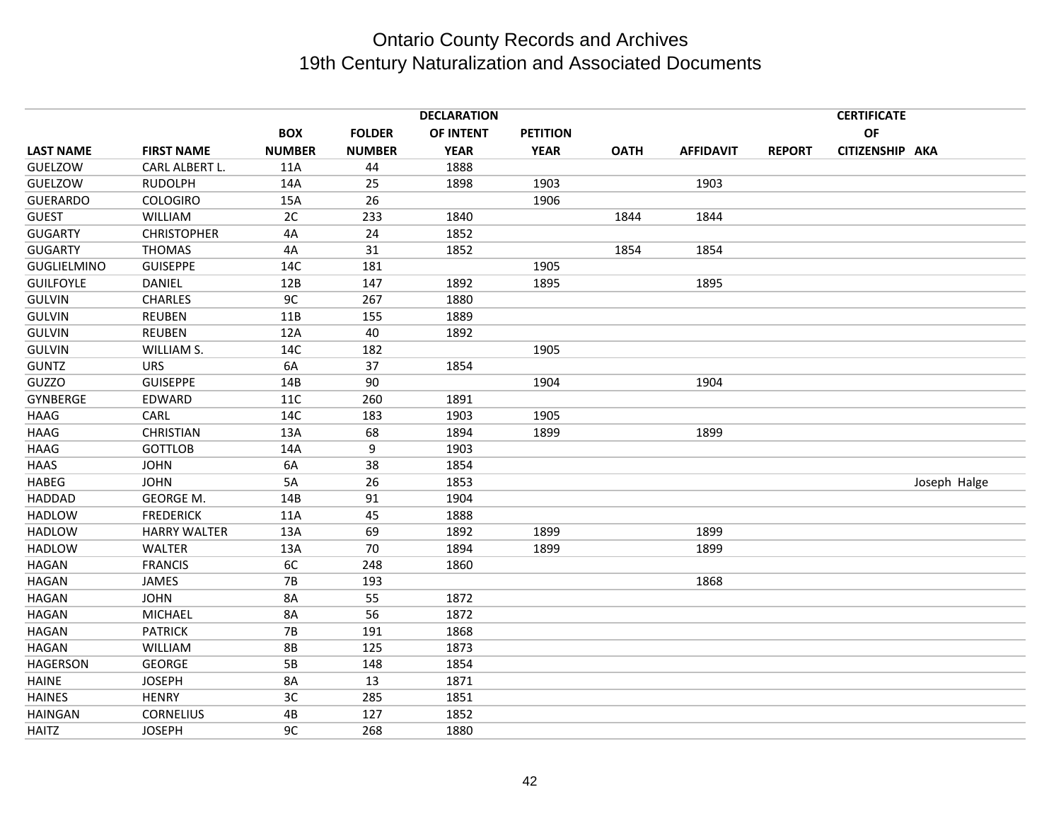|                    |                     |               |               | <b>DECLARATION</b> |                 |             |                  |               | <b>CERTIFICATE</b> |              |
|--------------------|---------------------|---------------|---------------|--------------------|-----------------|-------------|------------------|---------------|--------------------|--------------|
|                    |                     | <b>BOX</b>    | <b>FOLDER</b> | OF INTENT          | <b>PETITION</b> |             |                  |               | OF                 |              |
| <b>LAST NAME</b>   | <b>FIRST NAME</b>   | <b>NUMBER</b> | <b>NUMBER</b> | <b>YEAR</b>        | <b>YEAR</b>     | <b>OATH</b> | <b>AFFIDAVIT</b> | <b>REPORT</b> | CITIZENSHIP AKA    |              |
| GUELZOW            | CARL ALBERT L.      | 11A           | 44            | 1888               |                 |             |                  |               |                    |              |
| GUELZOW            | <b>RUDOLPH</b>      | 14A           | 25            | 1898               | 1903            |             | 1903             |               |                    |              |
| <b>GUERARDO</b>    | <b>COLOGIRO</b>     | 15A           | 26            |                    | 1906            |             |                  |               |                    |              |
| <b>GUEST</b>       | <b>WILLIAM</b>      | 2C            | 233           | 1840               |                 | 1844        | 1844             |               |                    |              |
| <b>GUGARTY</b>     | <b>CHRISTOPHER</b>  | 4A            | 24            | 1852               |                 |             |                  |               |                    |              |
| <b>GUGARTY</b>     | <b>THOMAS</b>       | 4A            | 31            | 1852               |                 | 1854        | 1854             |               |                    |              |
| <b>GUGLIELMINO</b> | <b>GUISEPPE</b>     | 14C           | 181           |                    | 1905            |             |                  |               |                    |              |
| <b>GUILFOYLE</b>   | <b>DANIEL</b>       | 12B           | 147           | 1892               | 1895            |             | 1895             |               |                    |              |
| <b>GULVIN</b>      | <b>CHARLES</b>      | 9C            | 267           | 1880               |                 |             |                  |               |                    |              |
| <b>GULVIN</b>      | <b>REUBEN</b>       | 11B           | 155           | 1889               |                 |             |                  |               |                    |              |
| <b>GULVIN</b>      | <b>REUBEN</b>       | 12A           | 40            | 1892               |                 |             |                  |               |                    |              |
| <b>GULVIN</b>      | WILLIAM S.          | 14C           | 182           |                    | 1905            |             |                  |               |                    |              |
| <b>GUNTZ</b>       | <b>URS</b>          | 6A            | 37            | 1854               |                 |             |                  |               |                    |              |
| <b>GUZZO</b>       | <b>GUISEPPE</b>     | 14B           | 90            |                    | 1904            |             | 1904             |               |                    |              |
| <b>GYNBERGE</b>    | EDWARD              | 11C           | 260           | 1891               |                 |             |                  |               |                    |              |
| <b>HAAG</b>        | CARL                | 14C           | 183           | 1903               | 1905            |             |                  |               |                    |              |
| <b>HAAG</b>        | <b>CHRISTIAN</b>    | 13A           | 68            | 1894               | 1899            |             | 1899             |               |                    |              |
| <b>HAAG</b>        | <b>GOTTLOB</b>      | 14A           | 9             | 1903               |                 |             |                  |               |                    |              |
| HAAS               | <b>JOHN</b>         | 6A            | 38            | 1854               |                 |             |                  |               |                    |              |
| <b>HABEG</b>       | <b>JOHN</b>         | 5A            | 26            | 1853               |                 |             |                  |               |                    | Joseph Halge |
| <b>HADDAD</b>      | GEORGE M.           | 14B           | 91            | 1904               |                 |             |                  |               |                    |              |
| <b>HADLOW</b>      | <b>FREDERICK</b>    | 11A           | 45            | 1888               |                 |             |                  |               |                    |              |
| <b>HADLOW</b>      | <b>HARRY WALTER</b> | 13A           | 69            | 1892               | 1899            |             | 1899             |               |                    |              |
| <b>HADLOW</b>      | WALTER              | 13A           | 70            | 1894               | 1899            |             | 1899             |               |                    |              |
| <b>HAGAN</b>       | <b>FRANCIS</b>      | 6C            | 248           | 1860               |                 |             |                  |               |                    |              |
| <b>HAGAN</b>       | JAMES               | <b>7B</b>     | 193           |                    |                 |             | 1868             |               |                    |              |
| <b>HAGAN</b>       | <b>JOHN</b>         | <b>8A</b>     | 55            | 1872               |                 |             |                  |               |                    |              |
| <b>HAGAN</b>       | <b>MICHAEL</b>      | <b>8A</b>     | 56            | 1872               |                 |             |                  |               |                    |              |
| <b>HAGAN</b>       | <b>PATRICK</b>      | <b>7B</b>     | 191           | 1868               |                 |             |                  |               |                    |              |
| <b>HAGAN</b>       | <b>WILLIAM</b>      | <b>8B</b>     | 125           | 1873               |                 |             |                  |               |                    |              |
| <b>HAGERSON</b>    | GEORGE              | 5B            | 148           | 1854               |                 |             |                  |               |                    |              |
| <b>HAINE</b>       | <b>JOSEPH</b>       | <b>8A</b>     | 13            | 1871               |                 |             |                  |               |                    |              |
| <b>HAINES</b>      | <b>HENRY</b>        | 3C            | 285           | 1851               |                 |             |                  |               |                    |              |
| <b>HAINGAN</b>     | <b>CORNELIUS</b>    | 4B            | 127           | 1852               |                 |             |                  |               |                    |              |
| <b>HAITZ</b>       | <b>JOSEPH</b>       | 9C            | 268           | 1880               |                 |             |                  |               |                    |              |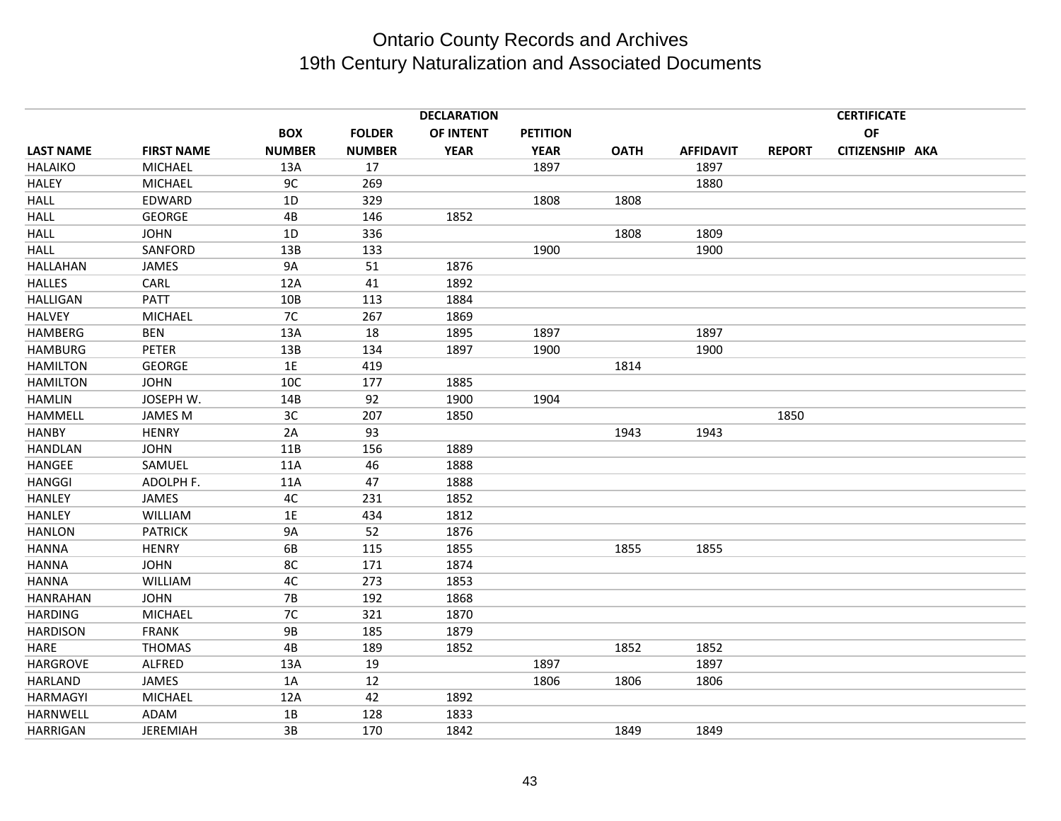|                  |                   |               |               | <b>DECLARATION</b> |                 |             |                  |               | <b>CERTIFICATE</b> |  |
|------------------|-------------------|---------------|---------------|--------------------|-----------------|-------------|------------------|---------------|--------------------|--|
|                  |                   | <b>BOX</b>    | <b>FOLDER</b> | OF INTENT          | <b>PETITION</b> |             |                  |               | OF                 |  |
| <b>LAST NAME</b> | <b>FIRST NAME</b> | <b>NUMBER</b> | <b>NUMBER</b> | <b>YEAR</b>        | <b>YEAR</b>     | <b>OATH</b> | <b>AFFIDAVIT</b> | <b>REPORT</b> | CITIZENSHIP AKA    |  |
| <b>HALAIKO</b>   | <b>MICHAEL</b>    | 13A           | 17            |                    | 1897            |             | 1897             |               |                    |  |
| <b>HALEY</b>     | <b>MICHAEL</b>    | 9C            | 269           |                    |                 |             | 1880             |               |                    |  |
| <b>HALL</b>      | EDWARD            | 1D            | 329           |                    | 1808            | 1808        |                  |               |                    |  |
| <b>HALL</b>      | <b>GEORGE</b>     | 4B            | 146           | 1852               |                 |             |                  |               |                    |  |
| <b>HALL</b>      | <b>JOHN</b>       | 1D            | 336           |                    |                 | 1808        | 1809             |               |                    |  |
| <b>HALL</b>      | SANFORD           | 13B           | 133           |                    | 1900            |             | 1900             |               |                    |  |
| <b>HALLAHAN</b>  | <b>JAMES</b>      | <b>9A</b>     | 51            | 1876               |                 |             |                  |               |                    |  |
| <b>HALLES</b>    | CARL              | 12A           | 41            | 1892               |                 |             |                  |               |                    |  |
| <b>HALLIGAN</b>  | <b>PATT</b>       | 10B           | 113           | 1884               |                 |             |                  |               |                    |  |
| <b>HALVEY</b>    | <b>MICHAEL</b>    | 7C            | 267           | 1869               |                 |             |                  |               |                    |  |
| <b>HAMBERG</b>   | <b>BEN</b>        | 13A           | 18            | 1895               | 1897            |             | 1897             |               |                    |  |
| <b>HAMBURG</b>   | <b>PETER</b>      | 13B           | 134           | 1897               | 1900            |             | 1900             |               |                    |  |
| <b>HAMILTON</b>  | <b>GEORGE</b>     | 1E            | 419           |                    |                 | 1814        |                  |               |                    |  |
| <b>HAMILTON</b>  | <b>JOHN</b>       | 10C           | 177           | 1885               |                 |             |                  |               |                    |  |
| <b>HAMLIN</b>    | JOSEPH W.         | 14B           | 92            | 1900               | 1904            |             |                  |               |                    |  |
| HAMMELL          | <b>JAMES M</b>    | 3C            | 207           | 1850               |                 |             |                  | 1850          |                    |  |
| <b>HANBY</b>     | <b>HENRY</b>      | 2A            | 93            |                    |                 | 1943        | 1943             |               |                    |  |
| <b>HANDLAN</b>   | <b>JOHN</b>       | 11B           | 156           | 1889               |                 |             |                  |               |                    |  |
| <b>HANGEE</b>    | SAMUEL            | 11A           | 46            | 1888               |                 |             |                  |               |                    |  |
| <b>HANGGI</b>    | ADOLPH F.         | 11A           | 47            | 1888               |                 |             |                  |               |                    |  |
| <b>HANLEY</b>    | JAMES             | 4C            | 231           | 1852               |                 |             |                  |               |                    |  |
| <b>HANLEY</b>    | <b>WILLIAM</b>    | 1E            | 434           | 1812               |                 |             |                  |               |                    |  |
| <b>HANLON</b>    | <b>PATRICK</b>    | <b>9A</b>     | 52            | 1876               |                 |             |                  |               |                    |  |
| <b>HANNA</b>     | <b>HENRY</b>      | 6B            | 115           | 1855               |                 | 1855        | 1855             |               |                    |  |
| <b>HANNA</b>     | <b>JOHN</b>       | 8C            | 171           | 1874               |                 |             |                  |               |                    |  |
| <b>HANNA</b>     | WILLIAM           | 4C            | 273           | 1853               |                 |             |                  |               |                    |  |
| <b>HANRAHAN</b>  | <b>JOHN</b>       | <b>7B</b>     | 192           | 1868               |                 |             |                  |               |                    |  |
| <b>HARDING</b>   | <b>MICHAEL</b>    | 7C            | 321           | 1870               |                 |             |                  |               |                    |  |
| <b>HARDISON</b>  | <b>FRANK</b>      | <b>9B</b>     | 185           | 1879               |                 |             |                  |               |                    |  |
| HARE             | <b>THOMAS</b>     | 4B            | 189           | 1852               |                 | 1852        | 1852             |               |                    |  |
| <b>HARGROVE</b>  | ALFRED            | 13A           | 19            |                    | 1897            |             | 1897             |               |                    |  |
| <b>HARLAND</b>   | JAMES             | 1A            | 12            |                    | 1806            | 1806        | 1806             |               |                    |  |
| HARMAGYI         | <b>MICHAEL</b>    | 12A           | 42            | 1892               |                 |             |                  |               |                    |  |
| <b>HARNWELL</b>  | <b>ADAM</b>       | 1B            | 128           | 1833               |                 |             |                  |               |                    |  |
| <b>HARRIGAN</b>  | <b>JEREMIAH</b>   | 3B            | 170           | 1842               |                 | 1849        | 1849             |               |                    |  |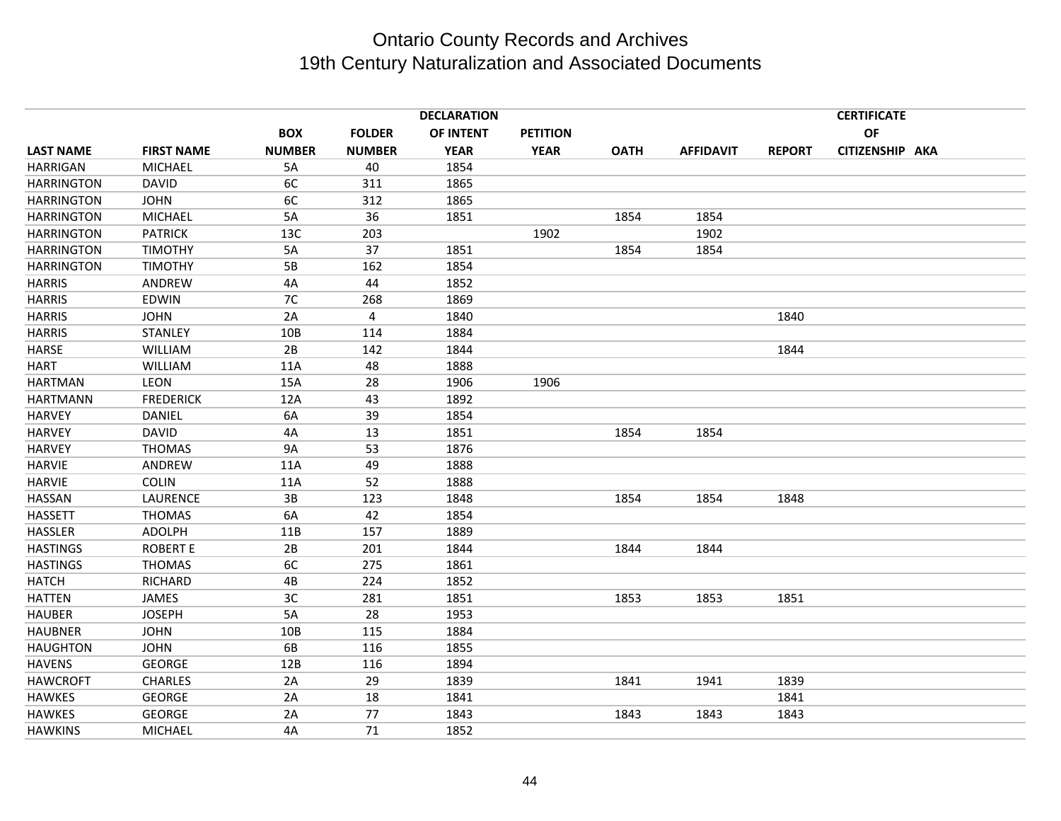|                   |                   |               |               | <b>DECLARATION</b> |                 |             |                  |               | <b>CERTIFICATE</b> |  |
|-------------------|-------------------|---------------|---------------|--------------------|-----------------|-------------|------------------|---------------|--------------------|--|
|                   |                   | <b>BOX</b>    | <b>FOLDER</b> | OF INTENT          | <b>PETITION</b> |             |                  |               | OF                 |  |
| <b>LAST NAME</b>  | <b>FIRST NAME</b> | <b>NUMBER</b> | <b>NUMBER</b> | <b>YEAR</b>        | <b>YEAR</b>     | <b>OATH</b> | <b>AFFIDAVIT</b> | <b>REPORT</b> | CITIZENSHIP AKA    |  |
| <b>HARRIGAN</b>   | <b>MICHAEL</b>    | 5A            | 40            | 1854               |                 |             |                  |               |                    |  |
| <b>HARRINGTON</b> | <b>DAVID</b>      | 6C            | 311           | 1865               |                 |             |                  |               |                    |  |
| <b>HARRINGTON</b> | <b>JOHN</b>       | 6C            | 312           | 1865               |                 |             |                  |               |                    |  |
| <b>HARRINGTON</b> | <b>MICHAEL</b>    | 5A            | 36            | 1851               |                 | 1854        | 1854             |               |                    |  |
| <b>HARRINGTON</b> | <b>PATRICK</b>    | 13C           | 203           |                    | 1902            |             | 1902             |               |                    |  |
| <b>HARRINGTON</b> | <b>TIMOTHY</b>    | 5A            | 37            | 1851               |                 | 1854        | 1854             |               |                    |  |
| <b>HARRINGTON</b> | <b>TIMOTHY</b>    | 5B            | 162           | 1854               |                 |             |                  |               |                    |  |
| <b>HARRIS</b>     | ANDREW            | 4A            | 44            | 1852               |                 |             |                  |               |                    |  |
| <b>HARRIS</b>     | <b>EDWIN</b>      | 7C            | 268           | 1869               |                 |             |                  |               |                    |  |
| <b>HARRIS</b>     | <b>JOHN</b>       | 2A            | 4             | 1840               |                 |             |                  | 1840          |                    |  |
| <b>HARRIS</b>     | <b>STANLEY</b>    | 10B           | 114           | 1884               |                 |             |                  |               |                    |  |
| <b>HARSE</b>      | <b>WILLIAM</b>    | 2B            | 142           | 1844               |                 |             |                  | 1844          |                    |  |
| <b>HART</b>       | <b>WILLIAM</b>    | 11A           | 48            | 1888               |                 |             |                  |               |                    |  |
| <b>HARTMAN</b>    | LEON              | 15A           | 28            | 1906               | 1906            |             |                  |               |                    |  |
| <b>HARTMANN</b>   | <b>FREDERICK</b>  | 12A           | 43            | 1892               |                 |             |                  |               |                    |  |
| <b>HARVEY</b>     | <b>DANIEL</b>     | 6A            | 39            | 1854               |                 |             |                  |               |                    |  |
| <b>HARVEY</b>     | <b>DAVID</b>      | 4A            | 13            | 1851               |                 | 1854        | 1854             |               |                    |  |
| <b>HARVEY</b>     | <b>THOMAS</b>     | <b>9A</b>     | 53            | 1876               |                 |             |                  |               |                    |  |
| <b>HARVIE</b>     | ANDREW            | 11A           | 49            | 1888               |                 |             |                  |               |                    |  |
| <b>HARVIE</b>     | <b>COLIN</b>      | 11A           | 52            | 1888               |                 |             |                  |               |                    |  |
| <b>HASSAN</b>     | LAURENCE          | 3B            | 123           | 1848               |                 | 1854        | 1854             | 1848          |                    |  |
| <b>HASSETT</b>    | <b>THOMAS</b>     | 6A            | 42            | 1854               |                 |             |                  |               |                    |  |
| <b>HASSLER</b>    | <b>ADOLPH</b>     | 11B           | 157           | 1889               |                 |             |                  |               |                    |  |
| <b>HASTINGS</b>   | <b>ROBERT E</b>   | 2B            | 201           | 1844               |                 | 1844        | 1844             |               |                    |  |
| <b>HASTINGS</b>   | <b>THOMAS</b>     | 6C            | 275           | 1861               |                 |             |                  |               |                    |  |
| <b>HATCH</b>      | RICHARD           | 4B            | 224           | 1852               |                 |             |                  |               |                    |  |
| <b>HATTEN</b>     | <b>JAMES</b>      | 3C            | 281           | 1851               |                 | 1853        | 1853             | 1851          |                    |  |
| <b>HAUBER</b>     | <b>JOSEPH</b>     | 5A            | 28            | 1953               |                 |             |                  |               |                    |  |
| <b>HAUBNER</b>    | <b>JOHN</b>       | 10B           | 115           | 1884               |                 |             |                  |               |                    |  |
| <b>HAUGHTON</b>   | <b>JOHN</b>       | 6B            | 116           | 1855               |                 |             |                  |               |                    |  |
| <b>HAVENS</b>     | <b>GEORGE</b>     | 12B           | 116           | 1894               |                 |             |                  |               |                    |  |
| <b>HAWCROFT</b>   | <b>CHARLES</b>    | 2A            | 29            | 1839               |                 | 1841        | 1941             | 1839          |                    |  |
| <b>HAWKES</b>     | <b>GEORGE</b>     | 2A            | 18            | 1841               |                 |             |                  | 1841          |                    |  |
| <b>HAWKES</b>     | <b>GEORGE</b>     | 2A            | 77            | 1843               |                 | 1843        | 1843             | 1843          |                    |  |
| <b>HAWKINS</b>    | <b>MICHAEL</b>    | 4A            | 71            | 1852               |                 |             |                  |               |                    |  |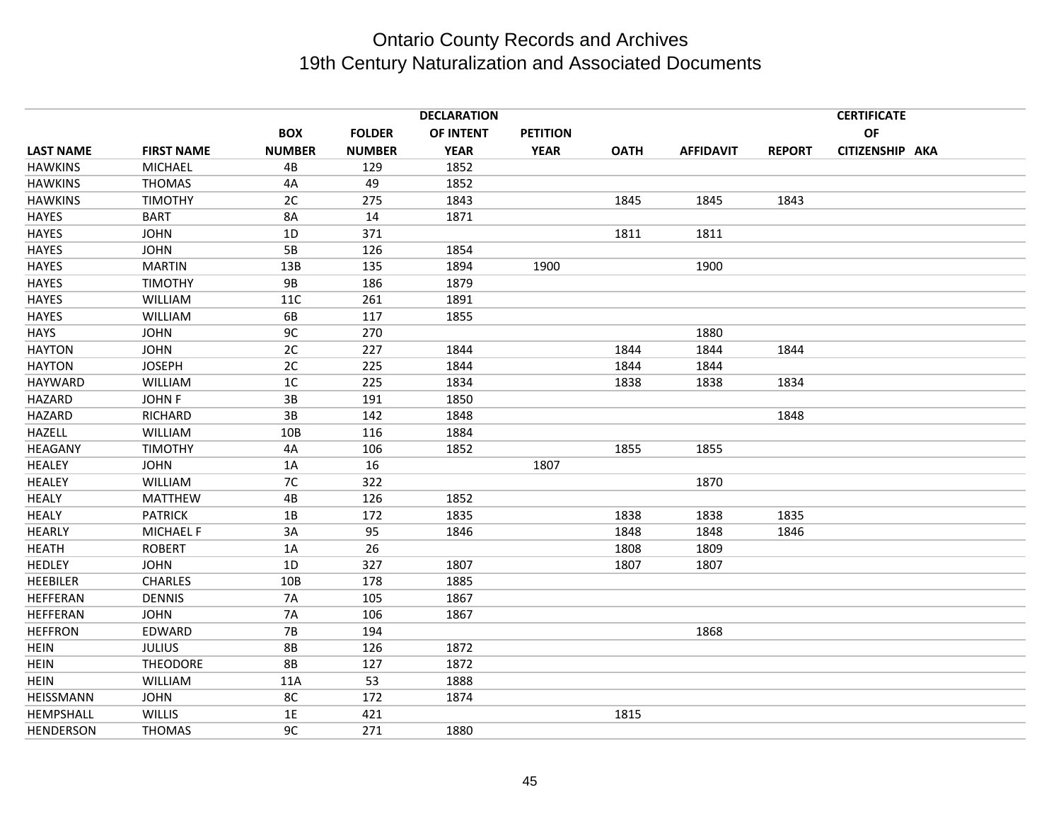|                  |                   |                 |               | <b>DECLARATION</b> |                 |             |                  |               | <b>CERTIFICATE</b> |  |
|------------------|-------------------|-----------------|---------------|--------------------|-----------------|-------------|------------------|---------------|--------------------|--|
|                  |                   | <b>BOX</b>      | <b>FOLDER</b> | OF INTENT          | <b>PETITION</b> |             |                  |               | OF                 |  |
| <b>LAST NAME</b> | <b>FIRST NAME</b> | <b>NUMBER</b>   | <b>NUMBER</b> | <b>YEAR</b>        | <b>YEAR</b>     | <b>OATH</b> | <b>AFFIDAVIT</b> | <b>REPORT</b> | CITIZENSHIP AKA    |  |
| <b>HAWKINS</b>   | <b>MICHAEL</b>    | 4B              | 129           | 1852               |                 |             |                  |               |                    |  |
| <b>HAWKINS</b>   | <b>THOMAS</b>     | 4A              | 49            | 1852               |                 |             |                  |               |                    |  |
| <b>HAWKINS</b>   | TIMOTHY           | 2C              | 275           | 1843               |                 | 1845        | 1845             | 1843          |                    |  |
| <b>HAYES</b>     | <b>BART</b>       | <b>8A</b>       | 14            | 1871               |                 |             |                  |               |                    |  |
| <b>HAYES</b>     | <b>JOHN</b>       | 1D              | 371           |                    |                 | 1811        | 1811             |               |                    |  |
| <b>HAYES</b>     | <b>JOHN</b>       | 5B              | 126           | 1854               |                 |             |                  |               |                    |  |
| <b>HAYES</b>     | <b>MARTIN</b>     | 13B             | 135           | 1894               | 1900            |             | 1900             |               |                    |  |
| <b>HAYES</b>     | <b>TIMOTHY</b>    | 9B              | 186           | 1879               |                 |             |                  |               |                    |  |
| <b>HAYES</b>     | WILLIAM           | 11C             | 261           | 1891               |                 |             |                  |               |                    |  |
| <b>HAYES</b>     | WILLIAM           | 6B              | 117           | 1855               |                 |             |                  |               |                    |  |
| <b>HAYS</b>      | <b>JOHN</b>       | 9C              | 270           |                    |                 |             | 1880             |               |                    |  |
| <b>HAYTON</b>    | <b>JOHN</b>       | 2C              | 227           | 1844               |                 | 1844        | 1844             | 1844          |                    |  |
| <b>HAYTON</b>    | <b>JOSEPH</b>     | 2C              | 225           | 1844               |                 | 1844        | 1844             |               |                    |  |
| HAYWARD          | WILLIAM           | 1 <sup>C</sup>  | 225           | 1834               |                 | 1838        | 1838             | 1834          |                    |  |
| <b>HAZARD</b>    | <b>JOHN F</b>     | 3B              | 191           | 1850               |                 |             |                  |               |                    |  |
| <b>HAZARD</b>    | RICHARD           | 3B              | 142           | 1848               |                 |             |                  | 1848          |                    |  |
| <b>HAZELL</b>    | WILLIAM           | 10 <sub>B</sub> | 116           | 1884               |                 |             |                  |               |                    |  |
| <b>HEAGANY</b>   | <b>TIMOTHY</b>    | 4A              | 106           | 1852               |                 | 1855        | 1855             |               |                    |  |
| <b>HEALEY</b>    | <b>JOHN</b>       | 1A              | 16            |                    | 1807            |             |                  |               |                    |  |
| <b>HEALEY</b>    | <b>WILLIAM</b>    | 7C              | 322           |                    |                 |             | 1870             |               |                    |  |
| <b>HEALY</b>     | <b>MATTHEW</b>    | 4B              | 126           | 1852               |                 |             |                  |               |                    |  |
| <b>HEALY</b>     | <b>PATRICK</b>    | 1B              | 172           | 1835               |                 | 1838        | 1838             | 1835          |                    |  |
| <b>HEARLY</b>    | <b>MICHAEL F</b>  | 3A              | 95            | 1846               |                 | 1848        | 1848             | 1846          |                    |  |
| <b>HEATH</b>     | <b>ROBERT</b>     | 1A              | 26            |                    |                 | 1808        | 1809             |               |                    |  |
| <b>HEDLEY</b>    | <b>JOHN</b>       | 1D              | 327           | 1807               |                 | 1807        | 1807             |               |                    |  |
| <b>HEEBILER</b>  | <b>CHARLES</b>    | 10B             | 178           | 1885               |                 |             |                  |               |                    |  |
| <b>HEFFERAN</b>  | <b>DENNIS</b>     | <b>7A</b>       | 105           | 1867               |                 |             |                  |               |                    |  |
| <b>HEFFERAN</b>  | <b>JOHN</b>       | <b>7A</b>       | 106           | 1867               |                 |             |                  |               |                    |  |
| <b>HEFFRON</b>   | EDWARD            | <b>7B</b>       | 194           |                    |                 |             | 1868             |               |                    |  |
| <b>HEIN</b>      | <b>JULIUS</b>     | <b>8B</b>       | 126           | 1872               |                 |             |                  |               |                    |  |
| <b>HEIN</b>      | <b>THEODORE</b>   | <b>8B</b>       | 127           | 1872               |                 |             |                  |               |                    |  |
| <b>HEIN</b>      | WILLIAM           | 11A             | 53            | 1888               |                 |             |                  |               |                    |  |
| HEISSMANN        | <b>JOHN</b>       | 8C              | 172           | 1874               |                 |             |                  |               |                    |  |
| HEMPSHALL        | <b>WILLIS</b>     | 1E              | 421           |                    |                 | 1815        |                  |               |                    |  |
| <b>HENDERSON</b> | <b>THOMAS</b>     | 9C              | 271           | 1880               |                 |             |                  |               |                    |  |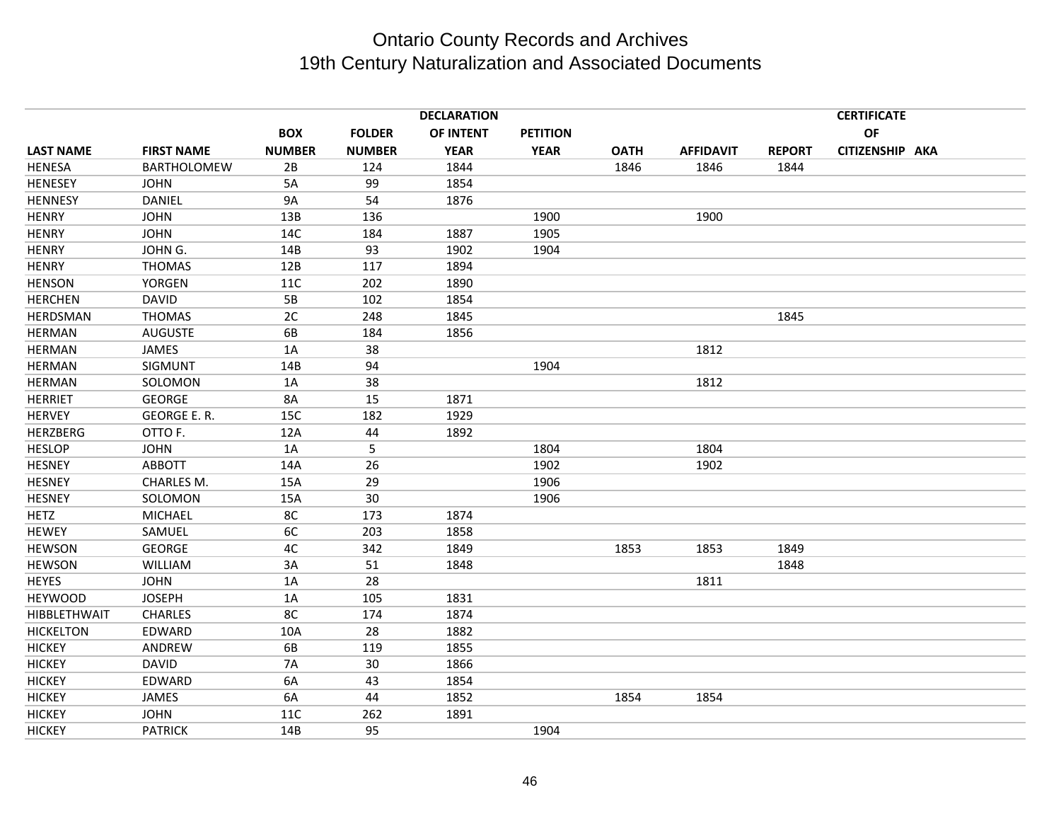|                     |                    |               |               | <b>DECLARATION</b> |                 |             |                  |               | <b>CERTIFICATE</b> |  |
|---------------------|--------------------|---------------|---------------|--------------------|-----------------|-------------|------------------|---------------|--------------------|--|
|                     |                    | <b>BOX</b>    | <b>FOLDER</b> | OF INTENT          | <b>PETITION</b> |             |                  |               | <b>OF</b>          |  |
| <b>LAST NAME</b>    | <b>FIRST NAME</b>  | <b>NUMBER</b> | <b>NUMBER</b> | <b>YEAR</b>        | <b>YEAR</b>     | <b>OATH</b> | <b>AFFIDAVIT</b> | <b>REPORT</b> | CITIZENSHIP AKA    |  |
| <b>HENESA</b>       | <b>BARTHOLOMEW</b> | 2B            | 124           | 1844               |                 | 1846        | 1846             | 1844          |                    |  |
| <b>HENESEY</b>      | <b>JOHN</b>        | 5A            | 99            | 1854               |                 |             |                  |               |                    |  |
| <b>HENNESY</b>      | DANIEL             | <b>9A</b>     | 54            | 1876               |                 |             |                  |               |                    |  |
| <b>HENRY</b>        | <b>JOHN</b>        | 13B           | 136           |                    | 1900            |             | 1900             |               |                    |  |
| <b>HENRY</b>        | <b>JOHN</b>        | 14C           | 184           | 1887               | 1905            |             |                  |               |                    |  |
| <b>HENRY</b>        | JOHN G.            | 14B           | 93            | 1902               | 1904            |             |                  |               |                    |  |
| <b>HENRY</b>        | <b>THOMAS</b>      | 12B           | 117           | 1894               |                 |             |                  |               |                    |  |
| <b>HENSON</b>       | YORGEN             | <b>11C</b>    | 202           | 1890               |                 |             |                  |               |                    |  |
| <b>HERCHEN</b>      | <b>DAVID</b>       | 5B            | 102           | 1854               |                 |             |                  |               |                    |  |
| HERDSMAN            | <b>THOMAS</b>      | 2C            | 248           | 1845               |                 |             |                  | 1845          |                    |  |
| <b>HERMAN</b>       | <b>AUGUSTE</b>     | 6B            | 184           | 1856               |                 |             |                  |               |                    |  |
| <b>HERMAN</b>       | <b>JAMES</b>       | 1A            | 38            |                    |                 |             | 1812             |               |                    |  |
| <b>HERMAN</b>       | SIGMUNT            | 14B           | 94            |                    | 1904            |             |                  |               |                    |  |
| <b>HERMAN</b>       | SOLOMON            | 1A            | 38            |                    |                 |             | 1812             |               |                    |  |
| <b>HERRIET</b>      | <b>GEORGE</b>      | <b>8A</b>     | 15            | 1871               |                 |             |                  |               |                    |  |
| <b>HERVEY</b>       | GEORGE E.R.        | 15C           | 182           | 1929               |                 |             |                  |               |                    |  |
| <b>HERZBERG</b>     | OTTO F.            | 12A           | 44            | 1892               |                 |             |                  |               |                    |  |
| <b>HESLOP</b>       | <b>JOHN</b>        | 1A            | 5             |                    | 1804            |             | 1804             |               |                    |  |
| <b>HESNEY</b>       | <b>ABBOTT</b>      | 14A           | 26            |                    | 1902            |             | 1902             |               |                    |  |
| <b>HESNEY</b>       | <b>CHARLES M.</b>  | 15A           | 29            |                    | 1906            |             |                  |               |                    |  |
| <b>HESNEY</b>       | SOLOMON            | 15A           | 30            |                    | 1906            |             |                  |               |                    |  |
| <b>HETZ</b>         | <b>MICHAEL</b>     | 8C            | 173           | 1874               |                 |             |                  |               |                    |  |
| <b>HEWEY</b>        | SAMUEL             | 6C            | 203           | 1858               |                 |             |                  |               |                    |  |
| <b>HEWSON</b>       | <b>GEORGE</b>      | 4C            | 342           | 1849               |                 | 1853        | 1853             | 1849          |                    |  |
| <b>HEWSON</b>       | <b>WILLIAM</b>     | 3A            | 51            | 1848               |                 |             |                  | 1848          |                    |  |
| <b>HEYES</b>        | <b>JOHN</b>        | 1A            | 28            |                    |                 |             | 1811             |               |                    |  |
| <b>HEYWOOD</b>      | <b>JOSEPH</b>      | 1A            | 105           | 1831               |                 |             |                  |               |                    |  |
| <b>HIBBLETHWAIT</b> | <b>CHARLES</b>     | 8C            | 174           | 1874               |                 |             |                  |               |                    |  |
| <b>HICKELTON</b>    | EDWARD             | 10A           | 28            | 1882               |                 |             |                  |               |                    |  |
| <b>HICKEY</b>       | ANDREW             | 6B            | 119           | 1855               |                 |             |                  |               |                    |  |
| <b>HICKEY</b>       | <b>DAVID</b>       | <b>7A</b>     | 30            | 1866               |                 |             |                  |               |                    |  |
| <b>HICKEY</b>       | EDWARD             | 6A            | 43            | 1854               |                 |             |                  |               |                    |  |
| <b>HICKEY</b>       | JAMES              | 6A            | 44            | 1852               |                 | 1854        | 1854             |               |                    |  |
| <b>HICKEY</b>       | <b>JOHN</b>        | 11C           | 262           | 1891               |                 |             |                  |               |                    |  |
| <b>HICKEY</b>       | <b>PATRICK</b>     | 14B           | 95            |                    | 1904            |             |                  |               |                    |  |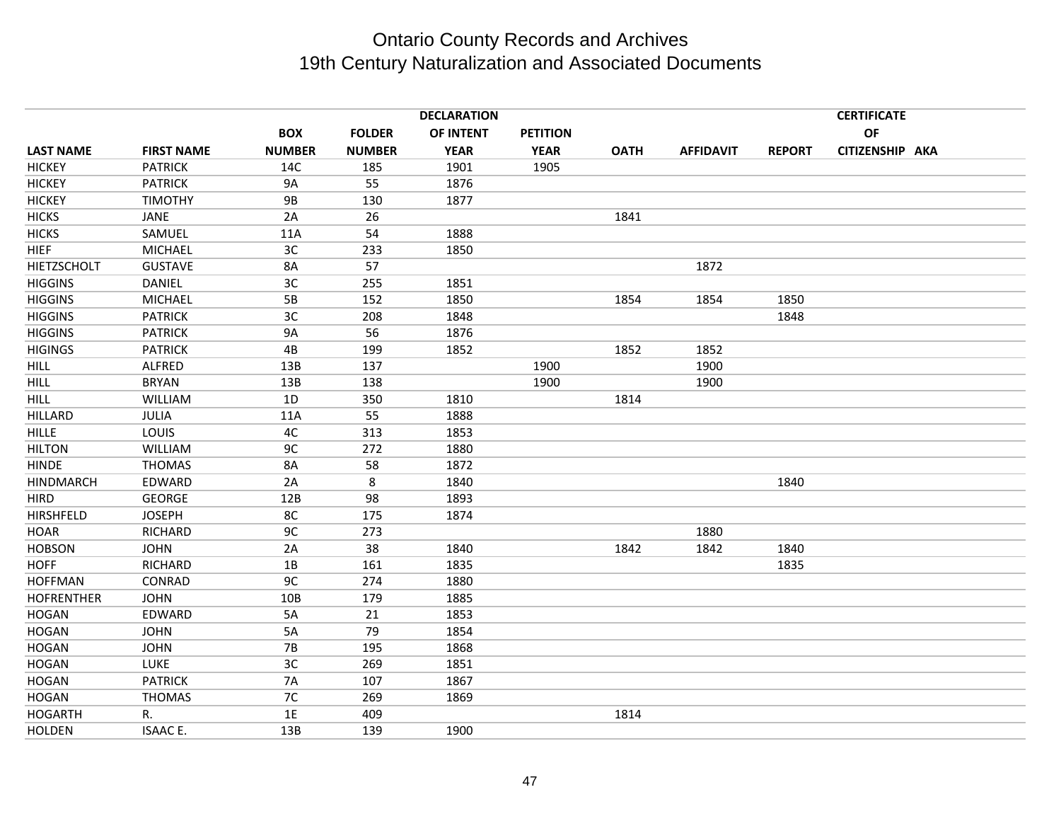|                   |                   |               |               | <b>DECLARATION</b> |                 |             |                  |               | <b>CERTIFICATE</b> |  |
|-------------------|-------------------|---------------|---------------|--------------------|-----------------|-------------|------------------|---------------|--------------------|--|
|                   |                   | <b>BOX</b>    | <b>FOLDER</b> | OF INTENT          | <b>PETITION</b> |             |                  |               | <b>OF</b>          |  |
| <b>LAST NAME</b>  | <b>FIRST NAME</b> | <b>NUMBER</b> | <b>NUMBER</b> | <b>YEAR</b>        | <b>YEAR</b>     | <b>OATH</b> | <b>AFFIDAVIT</b> | <b>REPORT</b> | CITIZENSHIP AKA    |  |
| <b>HICKEY</b>     | <b>PATRICK</b>    | 14C           | 185           | 1901               | 1905            |             |                  |               |                    |  |
| <b>HICKEY</b>     | <b>PATRICK</b>    | <b>9A</b>     | 55            | 1876               |                 |             |                  |               |                    |  |
| <b>HICKEY</b>     | <b>TIMOTHY</b>    | <b>9B</b>     | 130           | 1877               |                 |             |                  |               |                    |  |
| <b>HICKS</b>      | JANE              | 2A            | 26            |                    |                 | 1841        |                  |               |                    |  |
| <b>HICKS</b>      | SAMUEL            | 11A           | 54            | 1888               |                 |             |                  |               |                    |  |
| <b>HIEF</b>       | <b>MICHAEL</b>    | 3C            | 233           | 1850               |                 |             |                  |               |                    |  |
| HIETZSCHOLT       | <b>GUSTAVE</b>    | 8A            | 57            |                    |                 |             | 1872             |               |                    |  |
| <b>HIGGINS</b>    | <b>DANIEL</b>     | 3C            | 255           | 1851               |                 |             |                  |               |                    |  |
| <b>HIGGINS</b>    | <b>MICHAEL</b>    | 5B            | 152           | 1850               |                 | 1854        | 1854             | 1850          |                    |  |
| <b>HIGGINS</b>    | <b>PATRICK</b>    | 3C            | 208           | 1848               |                 |             |                  | 1848          |                    |  |
| <b>HIGGINS</b>    | <b>PATRICK</b>    | <b>9A</b>     | 56            | 1876               |                 |             |                  |               |                    |  |
| <b>HIGINGS</b>    | <b>PATRICK</b>    | 4B            | 199           | 1852               |                 | 1852        | 1852             |               |                    |  |
| <b>HILL</b>       | <b>ALFRED</b>     | 13B           | 137           |                    | 1900            |             | 1900             |               |                    |  |
| <b>HILL</b>       | <b>BRYAN</b>      | 13B           | 138           |                    | 1900            |             | 1900             |               |                    |  |
| <b>HILL</b>       | <b>WILLIAM</b>    | 1D            | 350           | 1810               |                 | 1814        |                  |               |                    |  |
| <b>HILLARD</b>    | <b>JULIA</b>      | 11A           | 55            | 1888               |                 |             |                  |               |                    |  |
| <b>HILLE</b>      | LOUIS             | 4C            | 313           | 1853               |                 |             |                  |               |                    |  |
| <b>HILTON</b>     | WILLIAM           | 9C            | 272           | 1880               |                 |             |                  |               |                    |  |
| <b>HINDE</b>      | <b>THOMAS</b>     | 8A            | 58            | 1872               |                 |             |                  |               |                    |  |
| <b>HINDMARCH</b>  | EDWARD            | 2A            | 8             | 1840               |                 |             |                  | 1840          |                    |  |
| <b>HIRD</b>       | <b>GEORGE</b>     | 12B           | 98            | 1893               |                 |             |                  |               |                    |  |
| <b>HIRSHFELD</b>  | <b>JOSEPH</b>     | 8C            | 175           | 1874               |                 |             |                  |               |                    |  |
| <b>HOAR</b>       | <b>RICHARD</b>    | 9C            | 273           |                    |                 |             | 1880             |               |                    |  |
| <b>HOBSON</b>     | <b>JOHN</b>       | 2A            | 38            | 1840               |                 | 1842        | 1842             | 1840          |                    |  |
| <b>HOFF</b>       | RICHARD           | 1B            | 161           | 1835               |                 |             |                  | 1835          |                    |  |
| <b>HOFFMAN</b>    | CONRAD            | 9C            | 274           | 1880               |                 |             |                  |               |                    |  |
| <b>HOFRENTHER</b> | <b>JOHN</b>       | 10B           | 179           | 1885               |                 |             |                  |               |                    |  |
| <b>HOGAN</b>      | EDWARD            | 5A            | 21            | 1853               |                 |             |                  |               |                    |  |
| <b>HOGAN</b>      | <b>JOHN</b>       | 5A            | 79            | 1854               |                 |             |                  |               |                    |  |
| <b>HOGAN</b>      | <b>JOHN</b>       | <b>7B</b>     | 195           | 1868               |                 |             |                  |               |                    |  |
| <b>HOGAN</b>      | LUKE              | 3C            | 269           | 1851               |                 |             |                  |               |                    |  |
| <b>HOGAN</b>      | <b>PATRICK</b>    | <b>7A</b>     | 107           | 1867               |                 |             |                  |               |                    |  |
| <b>HOGAN</b>      | <b>THOMAS</b>     | 7C            | 269           | 1869               |                 |             |                  |               |                    |  |
| <b>HOGARTH</b>    | R.                | 1E            | 409           |                    |                 | 1814        |                  |               |                    |  |
| <b>HOLDEN</b>     | <b>ISAACE.</b>    | 13B           | 139           | 1900               |                 |             |                  |               |                    |  |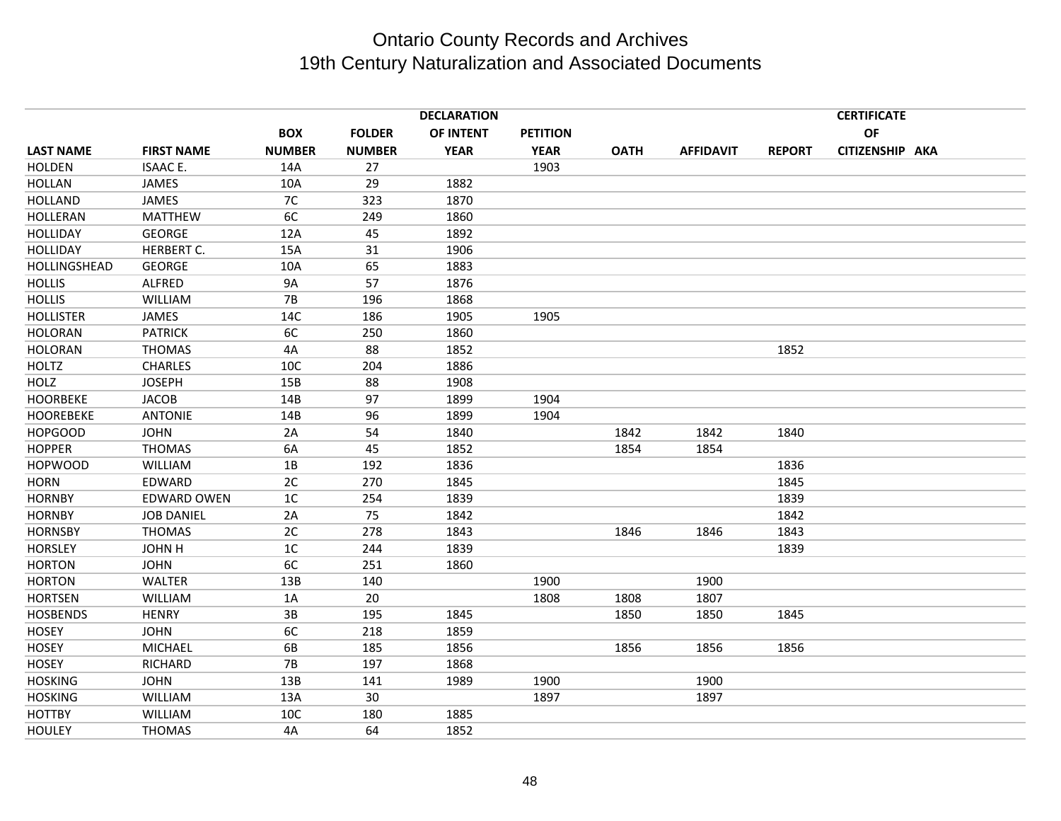|                  |                    |               |               | <b>DECLARATION</b> |                 |             |                  |               | <b>CERTIFICATE</b> |  |
|------------------|--------------------|---------------|---------------|--------------------|-----------------|-------------|------------------|---------------|--------------------|--|
|                  |                    | <b>BOX</b>    | <b>FOLDER</b> | OF INTENT          | <b>PETITION</b> |             |                  |               | <b>OF</b>          |  |
| <b>LAST NAME</b> | <b>FIRST NAME</b>  | <b>NUMBER</b> | <b>NUMBER</b> | <b>YEAR</b>        | <b>YEAR</b>     | <b>OATH</b> | <b>AFFIDAVIT</b> | <b>REPORT</b> | CITIZENSHIP AKA    |  |
| <b>HOLDEN</b>    | <b>ISAACE.</b>     | 14A           | 27            |                    | 1903            |             |                  |               |                    |  |
| <b>HOLLAN</b>    | JAMES              | 10A           | 29            | 1882               |                 |             |                  |               |                    |  |
| <b>HOLLAND</b>   | JAMES              | 7C            | 323           | 1870               |                 |             |                  |               |                    |  |
| <b>HOLLERAN</b>  | <b>MATTHEW</b>     | 6C            | 249           | 1860               |                 |             |                  |               |                    |  |
| <b>HOLLIDAY</b>  | <b>GEORGE</b>      | 12A           | 45            | 1892               |                 |             |                  |               |                    |  |
| <b>HOLLIDAY</b>  | HERBERT C.         | 15A           | 31            | 1906               |                 |             |                  |               |                    |  |
| HOLLINGSHEAD     | <b>GEORGE</b>      | 10A           | 65            | 1883               |                 |             |                  |               |                    |  |
| <b>HOLLIS</b>    | <b>ALFRED</b>      | <b>9A</b>     | 57            | 1876               |                 |             |                  |               |                    |  |
| <b>HOLLIS</b>    | WILLIAM            | 7B            | 196           | 1868               |                 |             |                  |               |                    |  |
| <b>HOLLISTER</b> | <b>JAMES</b>       | 14C           | 186           | 1905               | 1905            |             |                  |               |                    |  |
| <b>HOLORAN</b>   | <b>PATRICK</b>     | 6C            | 250           | 1860               |                 |             |                  |               |                    |  |
| <b>HOLORAN</b>   | <b>THOMAS</b>      | 4A            | 88            | 1852               |                 |             |                  | 1852          |                    |  |
| <b>HOLTZ</b>     | <b>CHARLES</b>     | 10C           | 204           | 1886               |                 |             |                  |               |                    |  |
| <b>HOLZ</b>      | <b>JOSEPH</b>      | 15B           | 88            | 1908               |                 |             |                  |               |                    |  |
| <b>HOORBEKE</b>  | <b>JACOB</b>       | 14B           | 97            | 1899               | 1904            |             |                  |               |                    |  |
| <b>HOOREBEKE</b> | <b>ANTONIE</b>     | 14B           | 96            | 1899               | 1904            |             |                  |               |                    |  |
| <b>HOPGOOD</b>   | <b>JOHN</b>        | 2A            | 54            | 1840               |                 | 1842        | 1842             | 1840          |                    |  |
| <b>HOPPER</b>    | <b>THOMAS</b>      | 6A            | 45            | 1852               |                 | 1854        | 1854             |               |                    |  |
| <b>HOPWOOD</b>   | WILLIAM            | 1B            | 192           | 1836               |                 |             |                  | 1836          |                    |  |
| <b>HORN</b>      | EDWARD             | 2C            | 270           | 1845               |                 |             |                  | 1845          |                    |  |
| <b>HORNBY</b>    | <b>EDWARD OWEN</b> | 1C            | 254           | 1839               |                 |             |                  | 1839          |                    |  |
| <b>HORNBY</b>    | <b>JOB DANIEL</b>  | 2A            | 75            | 1842               |                 |             |                  | 1842          |                    |  |
| <b>HORNSBY</b>   | <b>THOMAS</b>      | 2C            | 278           | 1843               |                 | 1846        | 1846             | 1843          |                    |  |
| <b>HORSLEY</b>   | JOHN H             | 1C            | 244           | 1839               |                 |             |                  | 1839          |                    |  |
| <b>HORTON</b>    | <b>JOHN</b>        | 6C            | 251           | 1860               |                 |             |                  |               |                    |  |
| <b>HORTON</b>    | <b>WALTER</b>      | 13B           | 140           |                    | 1900            |             | 1900             |               |                    |  |
| <b>HORTSEN</b>   | WILLIAM            | 1A            | 20            |                    | 1808            | 1808        | 1807             |               |                    |  |
| <b>HOSBENDS</b>  | <b>HENRY</b>       | 3B            | 195           | 1845               |                 | 1850        | 1850             | 1845          |                    |  |
| <b>HOSEY</b>     | <b>JOHN</b>        | 6C            | 218           | 1859               |                 |             |                  |               |                    |  |
| <b>HOSEY</b>     | <b>MICHAEL</b>     | 6B            | 185           | 1856               |                 | 1856        | 1856             | 1856          |                    |  |
| <b>HOSEY</b>     | <b>RICHARD</b>     | <b>7B</b>     | 197           | 1868               |                 |             |                  |               |                    |  |
| <b>HOSKING</b>   | <b>JOHN</b>        | 13B           | 141           | 1989               | 1900            |             | 1900             |               |                    |  |
| <b>HOSKING</b>   | <b>WILLIAM</b>     | 13A           | 30            |                    | 1897            |             | 1897             |               |                    |  |
| <b>HOTTBY</b>    | <b>WILLIAM</b>     | 10C           | 180           | 1885               |                 |             |                  |               |                    |  |
| <b>HOULEY</b>    | <b>THOMAS</b>      | 4A            | 64            | 1852               |                 |             |                  |               |                    |  |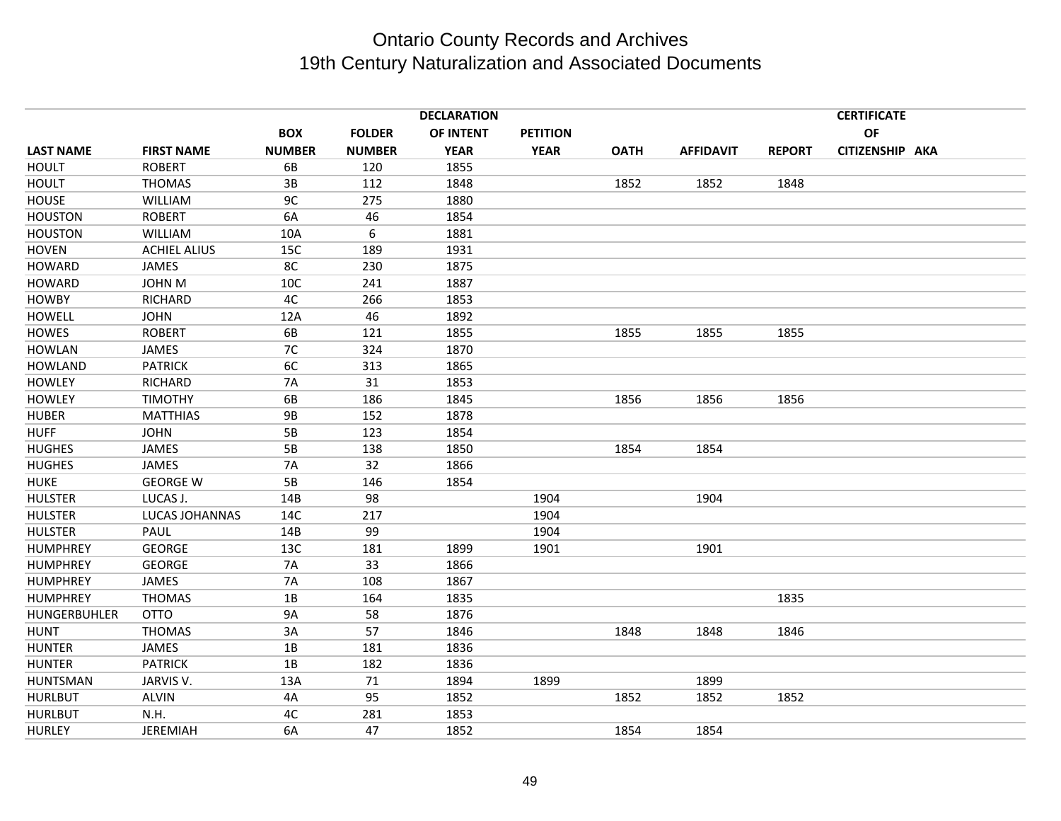|                  |                     |               |               | <b>DECLARATION</b> |                 |             |                  |               | <b>CERTIFICATE</b> |  |
|------------------|---------------------|---------------|---------------|--------------------|-----------------|-------------|------------------|---------------|--------------------|--|
|                  |                     | <b>BOX</b>    | <b>FOLDER</b> | OF INTENT          | <b>PETITION</b> |             |                  |               | <b>OF</b>          |  |
| <b>LAST NAME</b> | <b>FIRST NAME</b>   | <b>NUMBER</b> | <b>NUMBER</b> | <b>YEAR</b>        | <b>YEAR</b>     | <b>OATH</b> | <b>AFFIDAVIT</b> | <b>REPORT</b> | CITIZENSHIP AKA    |  |
| <b>HOULT</b>     | <b>ROBERT</b>       | 6B            | 120           | 1855               |                 |             |                  |               |                    |  |
| <b>HOULT</b>     | <b>THOMAS</b>       | 3B            | 112           | 1848               |                 | 1852        | 1852             | 1848          |                    |  |
| <b>HOUSE</b>     | <b>WILLIAM</b>      | 9C            | 275           | 1880               |                 |             |                  |               |                    |  |
| <b>HOUSTON</b>   | <b>ROBERT</b>       | 6A            | 46            | 1854               |                 |             |                  |               |                    |  |
| <b>HOUSTON</b>   | <b>WILLIAM</b>      | 10A           | 6             | 1881               |                 |             |                  |               |                    |  |
| <b>HOVEN</b>     | <b>ACHIEL ALIUS</b> | 15C           | 189           | 1931               |                 |             |                  |               |                    |  |
| <b>HOWARD</b>    | JAMES               | 8C            | 230           | 1875               |                 |             |                  |               |                    |  |
| <b>HOWARD</b>    | <b>JOHN M</b>       | 10C           | 241           | 1887               |                 |             |                  |               |                    |  |
| <b>HOWBY</b>     | RICHARD             | 4C            | 266           | 1853               |                 |             |                  |               |                    |  |
| <b>HOWELL</b>    | <b>JOHN</b>         | 12A           | 46            | 1892               |                 |             |                  |               |                    |  |
| <b>HOWES</b>     | <b>ROBERT</b>       | 6B            | 121           | 1855               |                 | 1855        | 1855             | 1855          |                    |  |
| <b>HOWLAN</b>    | <b>JAMES</b>        | 7C            | 324           | 1870               |                 |             |                  |               |                    |  |
| <b>HOWLAND</b>   | <b>PATRICK</b>      | 6C            | 313           | 1865               |                 |             |                  |               |                    |  |
| <b>HOWLEY</b>    | RICHARD             | <b>7A</b>     | 31            | 1853               |                 |             |                  |               |                    |  |
| <b>HOWLEY</b>    | <b>TIMOTHY</b>      | 6B            | 186           | 1845               |                 | 1856        | 1856             | 1856          |                    |  |
| <b>HUBER</b>     | <b>MATTHIAS</b>     | <b>9B</b>     | 152           | 1878               |                 |             |                  |               |                    |  |
| <b>HUFF</b>      | <b>JOHN</b>         | 5B            | 123           | 1854               |                 |             |                  |               |                    |  |
| <b>HUGHES</b>    | JAMES               | 5B            | 138           | 1850               |                 | 1854        | 1854             |               |                    |  |
| <b>HUGHES</b>    | <b>JAMES</b>        | <b>7A</b>     | 32            | 1866               |                 |             |                  |               |                    |  |
| <b>HUKE</b>      | <b>GEORGE W</b>     | 5B            | 146           | 1854               |                 |             |                  |               |                    |  |
| <b>HULSTER</b>   | LUCAS J.            | 14B           | 98            |                    | 1904            |             | 1904             |               |                    |  |
| <b>HULSTER</b>   | LUCAS JOHANNAS      | 14C           | 217           |                    | 1904            |             |                  |               |                    |  |
| <b>HULSTER</b>   | PAUL                | 14B           | 99            |                    | 1904            |             |                  |               |                    |  |
| <b>HUMPHREY</b>  | <b>GEORGE</b>       | 13C           | 181           | 1899               | 1901            |             | 1901             |               |                    |  |
| <b>HUMPHREY</b>  | <b>GEORGE</b>       | <b>7A</b>     | 33            | 1866               |                 |             |                  |               |                    |  |
| <b>HUMPHREY</b>  | <b>JAMES</b>        | <b>7A</b>     | 108           | 1867               |                 |             |                  |               |                    |  |
| <b>HUMPHREY</b>  | <b>THOMAS</b>       | 1B            | 164           | 1835               |                 |             |                  | 1835          |                    |  |
| HUNGERBUHLER     | <b>OTTO</b>         | <b>9A</b>     | 58            | 1876               |                 |             |                  |               |                    |  |
| <b>HUNT</b>      | <b>THOMAS</b>       | 3A            | 57            | 1846               |                 | 1848        | 1848             | 1846          |                    |  |
| <b>HUNTER</b>    | JAMES               | 1B            | 181           | 1836               |                 |             |                  |               |                    |  |
| <b>HUNTER</b>    | <b>PATRICK</b>      | 1B            | 182           | 1836               |                 |             |                  |               |                    |  |
| <b>HUNTSMAN</b>  | JARVIS V.           | 13A           | 71            | 1894               | 1899            |             | 1899             |               |                    |  |
| <b>HURLBUT</b>   | <b>ALVIN</b>        | 4A            | 95            | 1852               |                 | 1852        | 1852             | 1852          |                    |  |
| <b>HURLBUT</b>   | N.H.                | 4C            | 281           | 1853               |                 |             |                  |               |                    |  |
| <b>HURLEY</b>    | <b>JEREMIAH</b>     | 6A            | 47            | 1852               |                 | 1854        | 1854             |               |                    |  |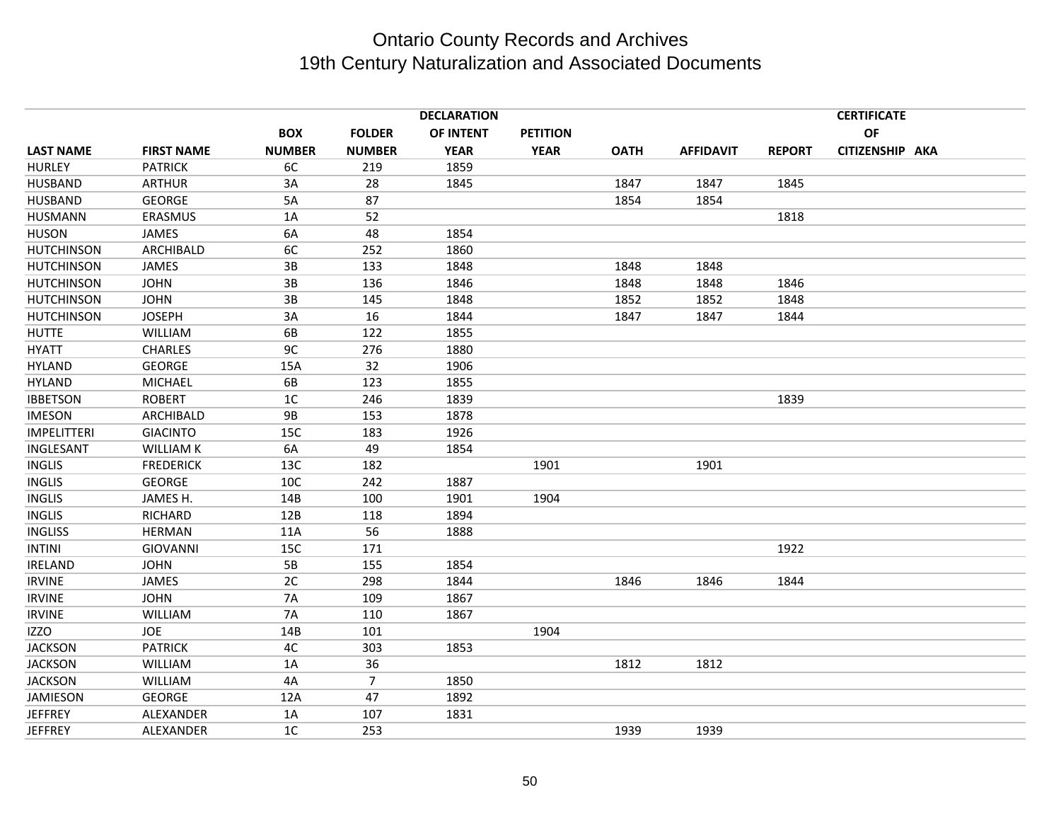|                    |                   |                |                | <b>DECLARATION</b> |                 |             |                  |               | <b>CERTIFICATE</b> |  |
|--------------------|-------------------|----------------|----------------|--------------------|-----------------|-------------|------------------|---------------|--------------------|--|
|                    |                   | <b>BOX</b>     | <b>FOLDER</b>  | OF INTENT          | <b>PETITION</b> |             |                  |               | OF                 |  |
| <b>LAST NAME</b>   | <b>FIRST NAME</b> | <b>NUMBER</b>  | <b>NUMBER</b>  | <b>YEAR</b>        | <b>YEAR</b>     | <b>OATH</b> | <b>AFFIDAVIT</b> | <b>REPORT</b> | CITIZENSHIP AKA    |  |
| <b>HURLEY</b>      | <b>PATRICK</b>    | 6C             | 219            | 1859               |                 |             |                  |               |                    |  |
| <b>HUSBAND</b>     | <b>ARTHUR</b>     | 3A             | 28             | 1845               |                 | 1847        | 1847             | 1845          |                    |  |
| <b>HUSBAND</b>     | <b>GEORGE</b>     | 5A             | 87             |                    |                 | 1854        | 1854             |               |                    |  |
| <b>HUSMANN</b>     | ERASMUS           | 1A             | 52             |                    |                 |             |                  | 1818          |                    |  |
| <b>HUSON</b>       | JAMES             | 6A             | 48             | 1854               |                 |             |                  |               |                    |  |
| <b>HUTCHINSON</b>  | <b>ARCHIBALD</b>  | 6C             | 252            | 1860               |                 |             |                  |               |                    |  |
| <b>HUTCHINSON</b>  | <b>JAMES</b>      | 3B             | 133            | 1848               |                 | 1848        | 1848             |               |                    |  |
| <b>HUTCHINSON</b>  | <b>JOHN</b>       | $3B$           | 136            | 1846               |                 | 1848        | 1848             | 1846          |                    |  |
| <b>HUTCHINSON</b>  | <b>JOHN</b>       | 3B             | 145            | 1848               |                 | 1852        | 1852             | 1848          |                    |  |
| <b>HUTCHINSON</b>  | <b>JOSEPH</b>     | 3A             | 16             | 1844               |                 | 1847        | 1847             | 1844          |                    |  |
| <b>HUTTE</b>       | WILLIAM           | 6B             | 122            | 1855               |                 |             |                  |               |                    |  |
| <b>HYATT</b>       | <b>CHARLES</b>    | 9C             | 276            | 1880               |                 |             |                  |               |                    |  |
| <b>HYLAND</b>      | <b>GEORGE</b>     | 15A            | 32             | 1906               |                 |             |                  |               |                    |  |
| <b>HYLAND</b>      | <b>MICHAEL</b>    | 6B             | 123            | 1855               |                 |             |                  |               |                    |  |
| <b>IBBETSON</b>    | <b>ROBERT</b>     | 1 <sup>C</sup> | 246            | 1839               |                 |             |                  | 1839          |                    |  |
| <b>IMESON</b>      | ARCHIBALD         | <b>9B</b>      | 153            | 1878               |                 |             |                  |               |                    |  |
| <b>IMPELITTERI</b> | <b>GIACINTO</b>   | 15C            | 183            | 1926               |                 |             |                  |               |                    |  |
| INGLESANT          | <b>WILLIAM K</b>  | 6A             | 49             | 1854               |                 |             |                  |               |                    |  |
| <b>INGLIS</b>      | <b>FREDERICK</b>  | 13C            | 182            |                    | 1901            |             | 1901             |               |                    |  |
| <b>INGLIS</b>      | <b>GEORGE</b>     | 10C            | 242            | 1887               |                 |             |                  |               |                    |  |
| <b>INGLIS</b>      | JAMES H.          | 14B            | 100            | 1901               | 1904            |             |                  |               |                    |  |
| <b>INGLIS</b>      | RICHARD           | 12B            | 118            | 1894               |                 |             |                  |               |                    |  |
| <b>INGLISS</b>     | <b>HERMAN</b>     | 11A            | 56             | 1888               |                 |             |                  |               |                    |  |
| <b>INTINI</b>      | <b>GIOVANNI</b>   | 15C            | 171            |                    |                 |             |                  | 1922          |                    |  |
| IRELAND            | <b>JOHN</b>       | 5B             | 155            | 1854               |                 |             |                  |               |                    |  |
| <b>IRVINE</b>      | JAMES             | 2C             | 298            | 1844               |                 | 1846        | 1846             | 1844          |                    |  |
| <b>IRVINE</b>      | <b>JOHN</b>       | <b>7A</b>      | 109            | 1867               |                 |             |                  |               |                    |  |
| <b>IRVINE</b>      | <b>WILLIAM</b>    | <b>7A</b>      | 110            | 1867               |                 |             |                  |               |                    |  |
| <b>IZZO</b>        | JOE               | 14B            | 101            |                    | 1904            |             |                  |               |                    |  |
| <b>JACKSON</b>     | <b>PATRICK</b>    | 4C             | 303            | 1853               |                 |             |                  |               |                    |  |
| <b>JACKSON</b>     | WILLIAM           | 1A             | 36             |                    |                 | 1812        | 1812             |               |                    |  |
| <b>JACKSON</b>     | WILLIAM           | 4A             | $\overline{7}$ | 1850               |                 |             |                  |               |                    |  |
| <b>JAMIESON</b>    | <b>GEORGE</b>     | 12A            | 47             | 1892               |                 |             |                  |               |                    |  |
| <b>JEFFREY</b>     | ALEXANDER         | 1A             | 107            | 1831               |                 |             |                  |               |                    |  |
| <b>JEFFREY</b>     | ALEXANDER         | 1 <sup>C</sup> | 253            |                    |                 | 1939        | 1939             |               |                    |  |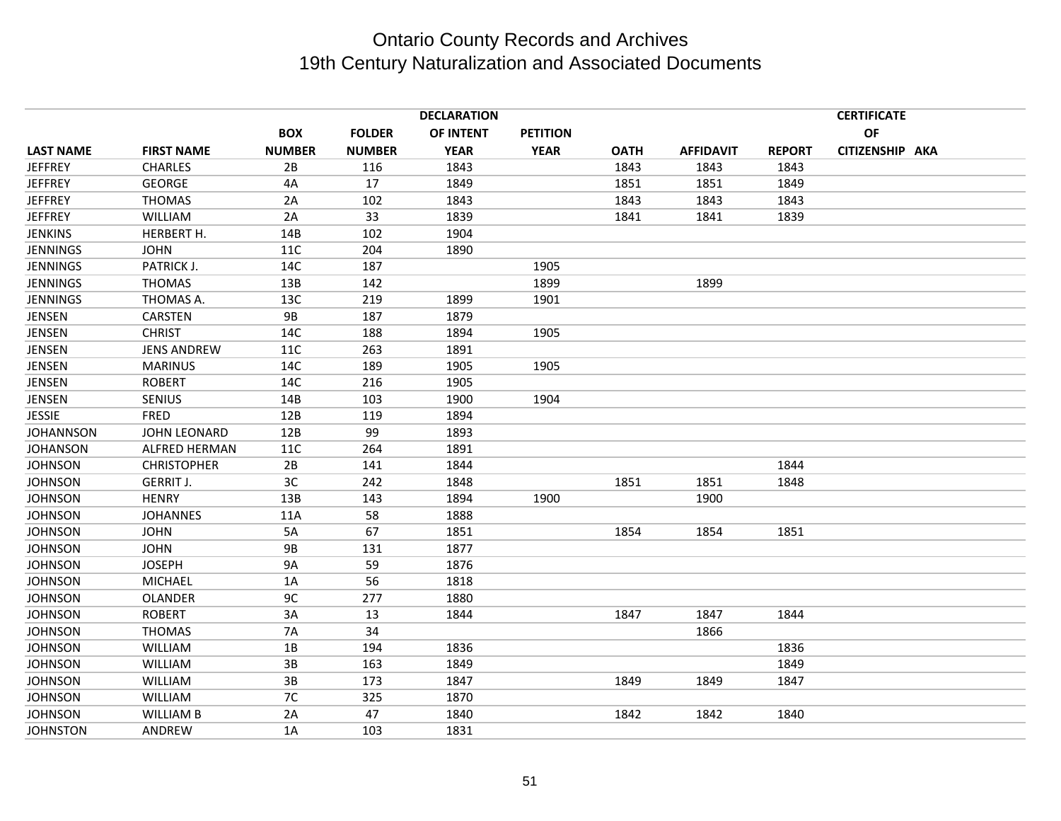|                     | <b>DECLARATION</b> |               |             |                 |             |                  | <b>CERTIFICATE</b> |           |                 |  |
|---------------------|--------------------|---------------|-------------|-----------------|-------------|------------------|--------------------|-----------|-----------------|--|
|                     | <b>BOX</b>         | <b>FOLDER</b> | OF INTENT   | <b>PETITION</b> |             |                  |                    | <b>OF</b> |                 |  |
| <b>FIRST NAME</b>   | <b>NUMBER</b>      | <b>NUMBER</b> | <b>YEAR</b> | <b>YEAR</b>     | <b>OATH</b> | <b>AFFIDAVIT</b> | <b>REPORT</b>      |           |                 |  |
| <b>CHARLES</b>      | 2B                 | 116           | 1843        |                 | 1843        | 1843             | 1843               |           |                 |  |
| <b>GEORGE</b>       | 4A                 | 17            | 1849        |                 | 1851        | 1851             | 1849               |           |                 |  |
| <b>THOMAS</b>       | 2A                 | 102           | 1843        |                 | 1843        | 1843             | 1843               |           |                 |  |
| WILLIAM             | 2A                 | 33            | 1839        |                 | 1841        | 1841             | 1839               |           |                 |  |
| HERBERT H.          | 14B                | 102           | 1904        |                 |             |                  |                    |           |                 |  |
| <b>JOHN</b>         | 11C                | 204           | 1890        |                 |             |                  |                    |           |                 |  |
| PATRICK J.          | 14C                | 187           |             | 1905            |             |                  |                    |           |                 |  |
| <b>THOMAS</b>       | 13B                | 142           |             | 1899            |             | 1899             |                    |           |                 |  |
| THOMAS A.           | 13C                | 219           | 1899        | 1901            |             |                  |                    |           |                 |  |
| CARSTEN             | <b>9B</b>          | 187           | 1879        |                 |             |                  |                    |           |                 |  |
| <b>CHRIST</b>       | 14C                | 188           | 1894        | 1905            |             |                  |                    |           |                 |  |
| <b>JENS ANDREW</b>  | 11C                | 263           | 1891        |                 |             |                  |                    |           |                 |  |
| <b>MARINUS</b>      | 14C                | 189           | 1905        | 1905            |             |                  |                    |           |                 |  |
| <b>ROBERT</b>       | 14C                | 216           | 1905        |                 |             |                  |                    |           |                 |  |
| SENIUS              | 14B                | 103           | 1900        | 1904            |             |                  |                    |           |                 |  |
| <b>FRED</b>         | 12B                | 119           | 1894        |                 |             |                  |                    |           |                 |  |
| <b>JOHN LEONARD</b> | 12B                | 99            | 1893        |                 |             |                  |                    |           |                 |  |
| ALFRED HERMAN       | <b>11C</b>         | 264           | 1891        |                 |             |                  |                    |           |                 |  |
| <b>CHRISTOPHER</b>  | 2B                 | 141           | 1844        |                 |             |                  | 1844               |           |                 |  |
| <b>GERRIT J.</b>    | 3C                 | 242           | 1848        |                 | 1851        | 1851             | 1848               |           |                 |  |
| <b>HENRY</b>        | 13B                | 143           | 1894        | 1900            |             | 1900             |                    |           |                 |  |
| <b>JOHANNES</b>     | 11A                | 58            | 1888        |                 |             |                  |                    |           |                 |  |
| <b>JOHN</b>         | 5A                 | 67            | 1851        |                 | 1854        | 1854             | 1851               |           |                 |  |
| <b>JOHN</b>         | <b>9B</b>          | 131           | 1877        |                 |             |                  |                    |           |                 |  |
| <b>JOSEPH</b>       | <b>9A</b>          | 59            | 1876        |                 |             |                  |                    |           |                 |  |
| <b>MICHAEL</b>      | 1A                 | 56            | 1818        |                 |             |                  |                    |           |                 |  |
| <b>OLANDER</b>      | 9C                 | 277           | 1880        |                 |             |                  |                    |           |                 |  |
| <b>ROBERT</b>       | 3A                 | 13            | 1844        |                 | 1847        | 1847             | 1844               |           |                 |  |
| <b>THOMAS</b>       | <b>7A</b>          | 34            |             |                 |             | 1866             |                    |           |                 |  |
| <b>WILLIAM</b>      | 1B                 | 194           | 1836        |                 |             |                  | 1836               |           |                 |  |
| <b>WILLIAM</b>      | 3B                 | 163           | 1849        |                 |             |                  | 1849               |           |                 |  |
| WILLIAM             | 3B                 | 173           | 1847        |                 | 1849        | 1849             | 1847               |           |                 |  |
| <b>WILLIAM</b>      | 7C                 | 325           | 1870        |                 |             |                  |                    |           |                 |  |
| <b>WILLIAM B</b>    | 2A                 | 47            | 1840        |                 | 1842        | 1842             | 1840               |           |                 |  |
| ANDREW              | 1A                 | 103           | 1831        |                 |             |                  |                    |           |                 |  |
|                     |                    |               |             |                 |             |                  |                    |           | CITIZENSHIP AKA |  |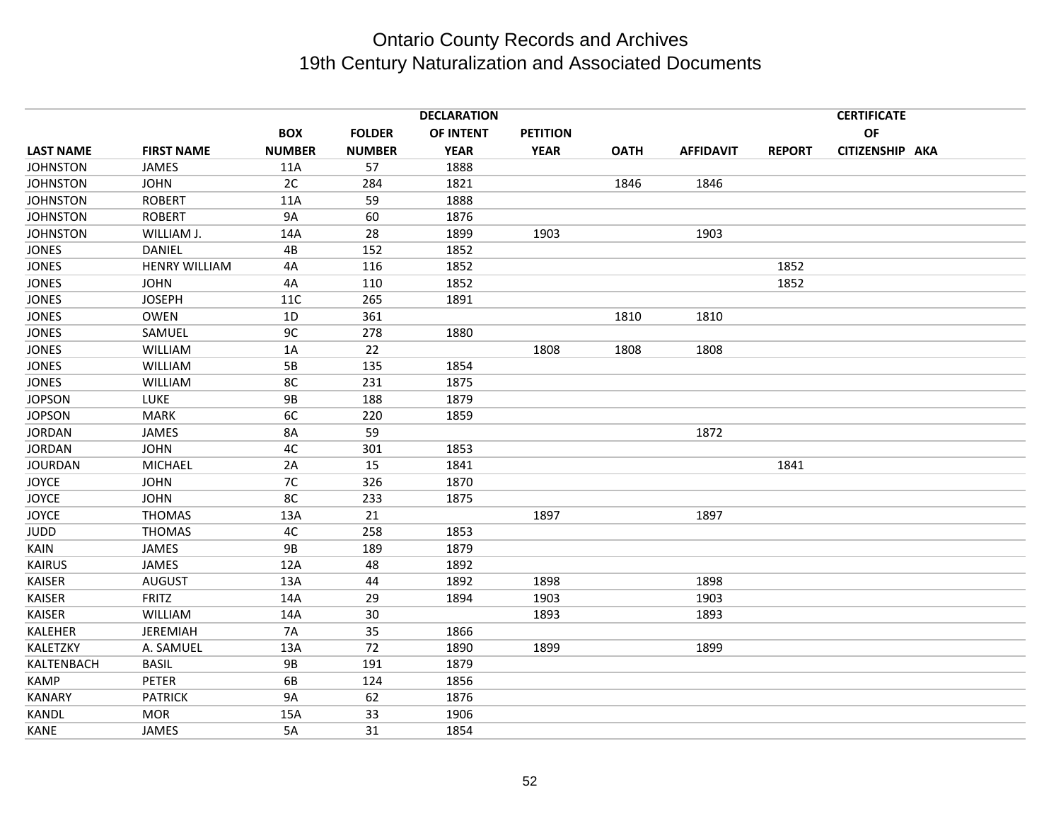|                  |                      |               |               | <b>DECLARATION</b> |                 | <b>CERTIFICATE</b> |                  |               |                 |  |
|------------------|----------------------|---------------|---------------|--------------------|-----------------|--------------------|------------------|---------------|-----------------|--|
|                  |                      | <b>BOX</b>    | <b>FOLDER</b> | OF INTENT          | <b>PETITION</b> |                    |                  |               | OF              |  |
| <b>LAST NAME</b> | <b>FIRST NAME</b>    | <b>NUMBER</b> | <b>NUMBER</b> | <b>YEAR</b>        | <b>YEAR</b>     | <b>OATH</b>        | <b>AFFIDAVIT</b> | <b>REPORT</b> | CITIZENSHIP AKA |  |
| <b>JOHNSTON</b>  | JAMES                | 11A           | 57            | 1888               |                 |                    |                  |               |                 |  |
| <b>JOHNSTON</b>  | <b>JOHN</b>          | 2C            | 284           | 1821               |                 | 1846               | 1846             |               |                 |  |
| <b>JOHNSTON</b>  | <b>ROBERT</b>        | 11A           | 59            | 1888               |                 |                    |                  |               |                 |  |
| <b>JOHNSTON</b>  | <b>ROBERT</b>        | 9A            | 60            | 1876               |                 |                    |                  |               |                 |  |
| <b>JOHNSTON</b>  | WILLIAM J.           | 14A           | 28            | 1899               | 1903            |                    | 1903             |               |                 |  |
| <b>JONES</b>     | <b>DANIEL</b>        | 4B            | 152           | 1852               |                 |                    |                  |               |                 |  |
| <b>JONES</b>     | <b>HENRY WILLIAM</b> | 4A            | 116           | 1852               |                 |                    |                  | 1852          |                 |  |
| <b>JONES</b>     | <b>JOHN</b>          | 4A            | 110           | 1852               |                 |                    |                  | 1852          |                 |  |
| <b>JONES</b>     | <b>JOSEPH</b>        | 11C           | 265           | 1891               |                 |                    |                  |               |                 |  |
| <b>JONES</b>     | <b>OWEN</b>          | 1D            | 361           |                    |                 | 1810               | 1810             |               |                 |  |
| <b>JONES</b>     | SAMUEL               | 9C            | 278           | 1880               |                 |                    |                  |               |                 |  |
| <b>JONES</b>     | <b>WILLIAM</b>       | 1A            | 22            |                    | 1808            | 1808               | 1808             |               |                 |  |
| <b>JONES</b>     | WILLIAM              | 5B            | 135           | 1854               |                 |                    |                  |               |                 |  |
| <b>JONES</b>     | WILLIAM              | 8C            | 231           | 1875               |                 |                    |                  |               |                 |  |
| <b>JOPSON</b>    | <b>LUKE</b>          | <b>9B</b>     | 188           | 1879               |                 |                    |                  |               |                 |  |
| <b>JOPSON</b>    | <b>MARK</b>          | 6C            | 220           | 1859               |                 |                    |                  |               |                 |  |
| <b>JORDAN</b>    | <b>JAMES</b>         | 8A            | 59            |                    |                 |                    | 1872             |               |                 |  |
| <b>JORDAN</b>    | <b>JOHN</b>          | 4C            | 301           | 1853               |                 |                    |                  |               |                 |  |
| <b>JOURDAN</b>   | <b>MICHAEL</b>       | 2A            | 15            | 1841               |                 |                    |                  | 1841          |                 |  |
| <b>JOYCE</b>     | <b>JOHN</b>          | 7C            | 326           | 1870               |                 |                    |                  |               |                 |  |
| <b>JOYCE</b>     | <b>JOHN</b>          | 8C            | 233           | 1875               |                 |                    |                  |               |                 |  |
| <b>JOYCE</b>     | <b>THOMAS</b>        | 13A           | 21            |                    | 1897            |                    | 1897             |               |                 |  |
| <b>JUDD</b>      | <b>THOMAS</b>        | 4C            | 258           | 1853               |                 |                    |                  |               |                 |  |
| KAIN             | JAMES                | 9B            | 189           | 1879               |                 |                    |                  |               |                 |  |
| <b>KAIRUS</b>    | <b>JAMES</b>         | 12A           | 48            | 1892               |                 |                    |                  |               |                 |  |
| <b>KAISER</b>    | <b>AUGUST</b>        | 13A           | 44            | 1892               | 1898            |                    | 1898             |               |                 |  |
| <b>KAISER</b>    | <b>FRITZ</b>         | 14A           | 29            | 1894               | 1903            |                    | 1903             |               |                 |  |
| <b>KAISER</b>    | <b>WILLIAM</b>       | 14A           | 30            |                    | 1893            |                    | 1893             |               |                 |  |
| KALEHER          | <b>JEREMIAH</b>      | 7A            | 35            | 1866               |                 |                    |                  |               |                 |  |
| KALETZKY         | A. SAMUEL            | 13A           | 72            | 1890               | 1899            |                    | 1899             |               |                 |  |
| KALTENBACH       | <b>BASIL</b>         | 9B            | 191           | 1879               |                 |                    |                  |               |                 |  |
| <b>KAMP</b>      | <b>PETER</b>         | 6B            | 124           | 1856               |                 |                    |                  |               |                 |  |
| <b>KANARY</b>    | <b>PATRICK</b>       | 9A            | 62            | 1876               |                 |                    |                  |               |                 |  |
| KANDL            | <b>MOR</b>           | 15A           | 33            | 1906               |                 |                    |                  |               |                 |  |
| <b>KANE</b>      | JAMES                | 5A            | 31            | 1854               |                 |                    |                  |               |                 |  |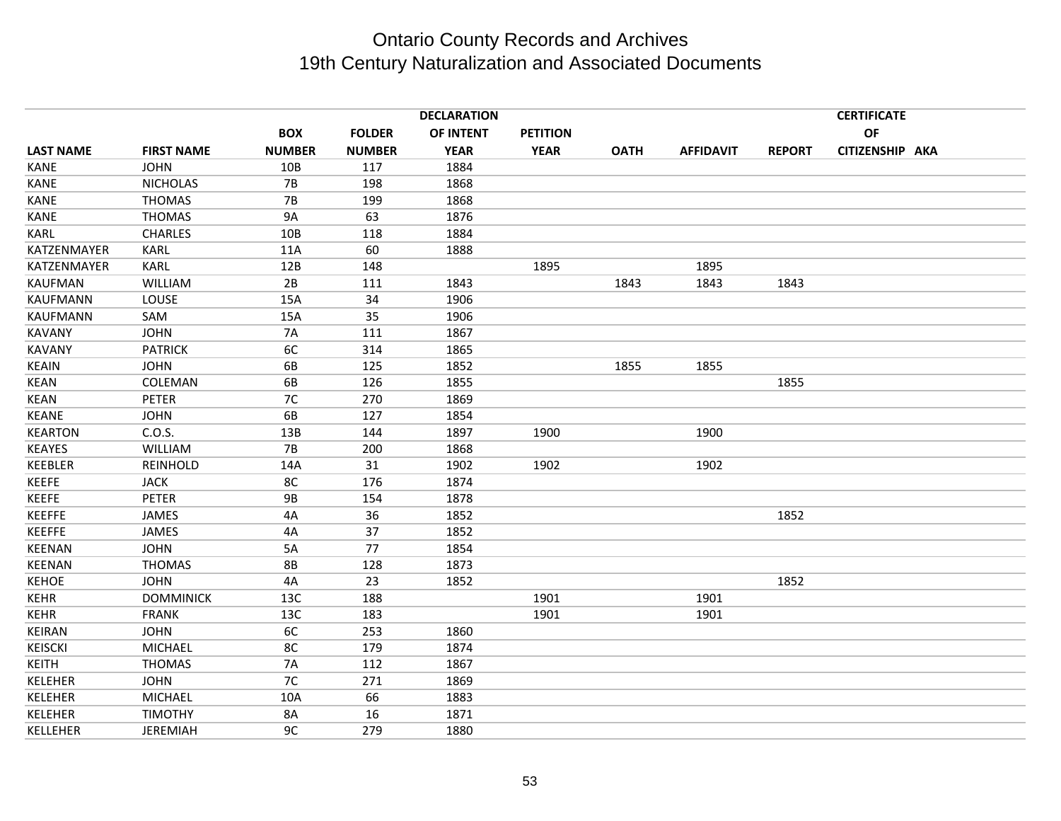|                  |                   |               |               | <b>DECLARATION</b> |                 |             |                  |               | <b>CERTIFICATE</b> |  |
|------------------|-------------------|---------------|---------------|--------------------|-----------------|-------------|------------------|---------------|--------------------|--|
|                  |                   | <b>BOX</b>    | <b>FOLDER</b> | OF INTENT          | <b>PETITION</b> |             |                  |               | OF                 |  |
| <b>LAST NAME</b> | <b>FIRST NAME</b> | <b>NUMBER</b> | <b>NUMBER</b> | <b>YEAR</b>        | <b>YEAR</b>     | <b>OATH</b> | <b>AFFIDAVIT</b> | <b>REPORT</b> | CITIZENSHIP AKA    |  |
| KANE             | <b>JOHN</b>       | 10B           | 117           | 1884               |                 |             |                  |               |                    |  |
| KANE             | <b>NICHOLAS</b>   | <b>7B</b>     | 198           | 1868               |                 |             |                  |               |                    |  |
| <b>KANE</b>      | <b>THOMAS</b>     | <b>7B</b>     | 199           | 1868               |                 |             |                  |               |                    |  |
| <b>KANE</b>      | <b>THOMAS</b>     | <b>9A</b>     | 63            | 1876               |                 |             |                  |               |                    |  |
| <b>KARL</b>      | <b>CHARLES</b>    | 10B           | 118           | 1884               |                 |             |                  |               |                    |  |
| KATZENMAYER      | KARL              | 11A           | 60            | 1888               |                 |             |                  |               |                    |  |
| KATZENMAYER      | KARL              | 12B           | 148           |                    | 1895            |             | 1895             |               |                    |  |
| <b>KAUFMAN</b>   | <b>WILLIAM</b>    | 2B            | 111           | 1843               |                 | 1843        | 1843             | 1843          |                    |  |
| <b>KAUFMANN</b>  | LOUSE             | 15A           | 34            | 1906               |                 |             |                  |               |                    |  |
| <b>KAUFMANN</b>  | SAM               | 15A           | 35            | 1906               |                 |             |                  |               |                    |  |
| <b>KAVANY</b>    | <b>JOHN</b>       | <b>7A</b>     | 111           | 1867               |                 |             |                  |               |                    |  |
| <b>KAVANY</b>    | <b>PATRICK</b>    | 6C            | 314           | 1865               |                 |             |                  |               |                    |  |
| <b>KEAIN</b>     | <b>JOHN</b>       | 6B            | 125           | 1852               |                 | 1855        | 1855             |               |                    |  |
| <b>KEAN</b>      | COLEMAN           | 6B            | 126           | 1855               |                 |             |                  | 1855          |                    |  |
| <b>KEAN</b>      | PETER             | 7C            | 270           | 1869               |                 |             |                  |               |                    |  |
| <b>KEANE</b>     | <b>JOHN</b>       | 6B            | 127           | 1854               |                 |             |                  |               |                    |  |
| <b>KEARTON</b>   | C.O.S.            | 13B           | 144           | 1897               | 1900            |             | 1900             |               |                    |  |
| <b>KEAYES</b>    | WILLIAM           | <b>7B</b>     | 200           | 1868               |                 |             |                  |               |                    |  |
| KEEBLER          | REINHOLD          | 14A           | 31            | 1902               | 1902            |             | 1902             |               |                    |  |
| <b>KEEFE</b>     | <b>JACK</b>       | 8C            | 176           | 1874               |                 |             |                  |               |                    |  |
| <b>KEEFE</b>     | <b>PETER</b>      | <b>9B</b>     | 154           | 1878               |                 |             |                  |               |                    |  |
| <b>KEEFFE</b>    | <b>JAMES</b>      | 4A            | 36            | 1852               |                 |             |                  | 1852          |                    |  |
| <b>KEEFFE</b>    | JAMES             | 4A            | 37            | 1852               |                 |             |                  |               |                    |  |
| <b>KEENAN</b>    | <b>JOHN</b>       | 5A            | 77            | 1854               |                 |             |                  |               |                    |  |
| <b>KEENAN</b>    | <b>THOMAS</b>     | <b>8B</b>     | 128           | 1873               |                 |             |                  |               |                    |  |
| <b>KEHOE</b>     | <b>JOHN</b>       | 4A            | 23            | 1852               |                 |             |                  | 1852          |                    |  |
| <b>KEHR</b>      | <b>DOMMINICK</b>  | 13C           | 188           |                    | 1901            |             | 1901             |               |                    |  |
| <b>KEHR</b>      | <b>FRANK</b>      | 13C           | 183           |                    | 1901            |             | 1901             |               |                    |  |
| <b>KEIRAN</b>    | <b>JOHN</b>       | 6C            | 253           | 1860               |                 |             |                  |               |                    |  |
| <b>KEISCKI</b>   | <b>MICHAEL</b>    | 8C            | 179           | 1874               |                 |             |                  |               |                    |  |
| <b>KEITH</b>     | <b>THOMAS</b>     | 7A            | 112           | 1867               |                 |             |                  |               |                    |  |
| KELEHER          | <b>JOHN</b>       | 7C            | 271           | 1869               |                 |             |                  |               |                    |  |
| KELEHER          | <b>MICHAEL</b>    | 10A           | 66            | 1883               |                 |             |                  |               |                    |  |
| KELEHER          | <b>TIMOTHY</b>    | 8A            | 16            | 1871               |                 |             |                  |               |                    |  |
| KELLEHER         | <b>JEREMIAH</b>   | 9C            | 279           | 1880               |                 |             |                  |               |                    |  |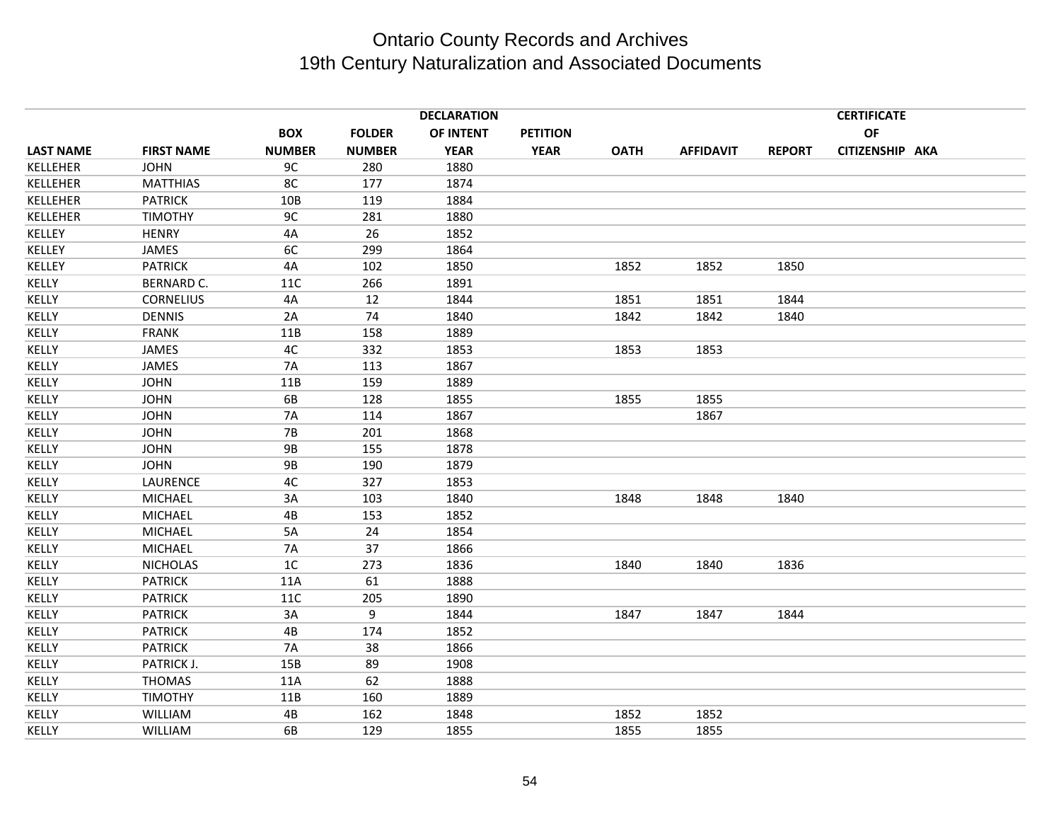|                  |                   |                |               | <b>DECLARATION</b> |                 |             |                  |               | <b>CERTIFICATE</b> |  |
|------------------|-------------------|----------------|---------------|--------------------|-----------------|-------------|------------------|---------------|--------------------|--|
|                  |                   | <b>BOX</b>     | <b>FOLDER</b> | OF INTENT          | <b>PETITION</b> |             |                  |               | OF                 |  |
| <b>LAST NAME</b> | <b>FIRST NAME</b> | <b>NUMBER</b>  | <b>NUMBER</b> | <b>YEAR</b>        | <b>YEAR</b>     | <b>OATH</b> | <b>AFFIDAVIT</b> | <b>REPORT</b> | CITIZENSHIP AKA    |  |
| KELLEHER         | <b>JOHN</b>       | 9C             | 280           | 1880               |                 |             |                  |               |                    |  |
| KELLEHER         | <b>MATTHIAS</b>   | 8C             | 177           | 1874               |                 |             |                  |               |                    |  |
| KELLEHER         | <b>PATRICK</b>    | 10B            | 119           | 1884               |                 |             |                  |               |                    |  |
| KELLEHER         | <b>TIMOTHY</b>    | 9C             | 281           | 1880               |                 |             |                  |               |                    |  |
| KELLEY           | <b>HENRY</b>      | 4A             | 26            | 1852               |                 |             |                  |               |                    |  |
| KELLEY           | JAMES             | 6C             | 299           | 1864               |                 |             |                  |               |                    |  |
| <b>KELLEY</b>    | <b>PATRICK</b>    | 4A             | 102           | 1850               |                 | 1852        | 1852             | 1850          |                    |  |
| KELLY            | <b>BERNARD C.</b> | 11C            | 266           | 1891               |                 |             |                  |               |                    |  |
| KELLY            | <b>CORNELIUS</b>  | 4A             | 12            | 1844               |                 | 1851        | 1851             | 1844          |                    |  |
| KELLY            | <b>DENNIS</b>     | 2A             | 74            | 1840               |                 | 1842        | 1842             | 1840          |                    |  |
| KELLY            | <b>FRANK</b>      | 11B            | 158           | 1889               |                 |             |                  |               |                    |  |
| KELLY            | JAMES             | 4C             | 332           | 1853               |                 | 1853        | 1853             |               |                    |  |
| KELLY            | <b>JAMES</b>      | 7A             | 113           | 1867               |                 |             |                  |               |                    |  |
| KELLY            | <b>JOHN</b>       | 11B            | 159           | 1889               |                 |             |                  |               |                    |  |
| KELLY            | <b>JOHN</b>       | 6B             | 128           | 1855               |                 | 1855        | 1855             |               |                    |  |
| KELLY            | <b>JOHN</b>       | <b>7A</b>      | 114           | 1867               |                 |             | 1867             |               |                    |  |
| KELLY            | <b>JOHN</b>       | <b>7B</b>      | 201           | 1868               |                 |             |                  |               |                    |  |
| KELLY            | <b>JOHN</b>       | <b>9B</b>      | 155           | 1878               |                 |             |                  |               |                    |  |
| KELLY            | <b>JOHN</b>       | <b>9B</b>      | 190           | 1879               |                 |             |                  |               |                    |  |
| KELLY            | LAURENCE          | 4C             | 327           | 1853               |                 |             |                  |               |                    |  |
| KELLY            | MICHAEL           | 3A             | 103           | 1840               |                 | 1848        | 1848             | 1840          |                    |  |
| KELLY            | <b>MICHAEL</b>    | 4B             | 153           | 1852               |                 |             |                  |               |                    |  |
| KELLY            | <b>MICHAEL</b>    | 5A             | 24            | 1854               |                 |             |                  |               |                    |  |
| KELLY            | MICHAEL           | 7A             | 37            | 1866               |                 |             |                  |               |                    |  |
| KELLY            | <b>NICHOLAS</b>   | 1 <sup>C</sup> | 273           | 1836               |                 | 1840        | 1840             | 1836          |                    |  |
| KELLY            | <b>PATRICK</b>    | 11A            | 61            | 1888               |                 |             |                  |               |                    |  |
| KELLY            | <b>PATRICK</b>    | 11C            | 205           | 1890               |                 |             |                  |               |                    |  |
| KELLY            | <b>PATRICK</b>    | 3A             | 9             | 1844               |                 | 1847        | 1847             | 1844          |                    |  |
| KELLY            | <b>PATRICK</b>    | 4B             | 174           | 1852               |                 |             |                  |               |                    |  |
| KELLY            | <b>PATRICK</b>    | <b>7A</b>      | 38            | 1866               |                 |             |                  |               |                    |  |
| <b>KELLY</b>     | PATRICK J.        | 15B            | 89            | 1908               |                 |             |                  |               |                    |  |
| KELLY            | <b>THOMAS</b>     | 11A            | 62            | 1888               |                 |             |                  |               |                    |  |
| KELLY            | <b>TIMOTHY</b>    | 11B            | 160           | 1889               |                 |             |                  |               |                    |  |
| KELLY            | <b>WILLIAM</b>    | 4B             | 162           | 1848               |                 | 1852        | 1852             |               |                    |  |
| KELLY            | WILLIAM           | 6B             | 129           | 1855               |                 | 1855        | 1855             |               |                    |  |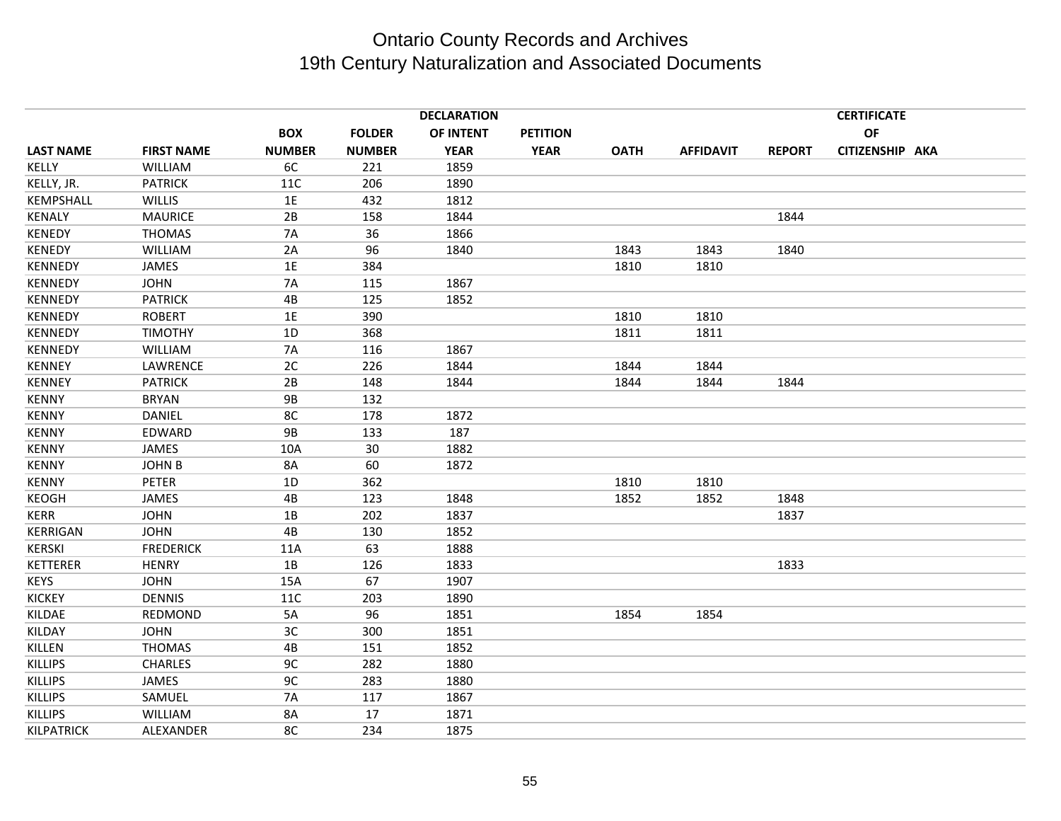|                   |                   |               |               | <b>DECLARATION</b> |                 |             |                  |               | <b>CERTIFICATE</b> |  |
|-------------------|-------------------|---------------|---------------|--------------------|-----------------|-------------|------------------|---------------|--------------------|--|
|                   |                   | <b>BOX</b>    | <b>FOLDER</b> | OF INTENT          | <b>PETITION</b> |             |                  |               | OF                 |  |
| <b>LAST NAME</b>  | <b>FIRST NAME</b> | <b>NUMBER</b> | <b>NUMBER</b> | <b>YEAR</b>        | <b>YEAR</b>     | <b>OATH</b> | <b>AFFIDAVIT</b> | <b>REPORT</b> | CITIZENSHIP AKA    |  |
| KELLY             | <b>WILLIAM</b>    | 6C            | 221           | 1859               |                 |             |                  |               |                    |  |
| KELLY, JR.        | <b>PATRICK</b>    | 11C           | 206           | 1890               |                 |             |                  |               |                    |  |
| KEMPSHALL         | WILLIS            | 1E            | 432           | 1812               |                 |             |                  |               |                    |  |
| <b>KENALY</b>     | <b>MAURICE</b>    | 2B            | 158           | 1844               |                 |             |                  | 1844          |                    |  |
| <b>KENEDY</b>     | <b>THOMAS</b>     | <b>7A</b>     | 36            | 1866               |                 |             |                  |               |                    |  |
| <b>KENEDY</b>     | <b>WILLIAM</b>    | 2A            | 96            | 1840               |                 | 1843        | 1843             | 1840          |                    |  |
| <b>KENNEDY</b>    | JAMES             | 1E            | 384           |                    |                 | 1810        | 1810             |               |                    |  |
| <b>KENNEDY</b>    | <b>JOHN</b>       | 7A            | 115           | 1867               |                 |             |                  |               |                    |  |
| <b>KENNEDY</b>    | <b>PATRICK</b>    | 4B            | 125           | 1852               |                 |             |                  |               |                    |  |
| <b>KENNEDY</b>    | <b>ROBERT</b>     | 1E            | 390           |                    |                 | 1810        | 1810             |               |                    |  |
| <b>KENNEDY</b>    | <b>TIMOTHY</b>    | 1D            | 368           |                    |                 | 1811        | 1811             |               |                    |  |
| <b>KENNEDY</b>    | WILLIAM           | <b>7A</b>     | 116           | 1867               |                 |             |                  |               |                    |  |
| <b>KENNEY</b>     | LAWRENCE          | 2C            | 226           | 1844               |                 | 1844        | 1844             |               |                    |  |
| <b>KENNEY</b>     | <b>PATRICK</b>    | 2B            | 148           | 1844               |                 | 1844        | 1844             | 1844          |                    |  |
| <b>KENNY</b>      | <b>BRYAN</b>      | <b>9B</b>     | 132           |                    |                 |             |                  |               |                    |  |
| <b>KENNY</b>      | <b>DANIEL</b>     | 8C            | 178           | 1872               |                 |             |                  |               |                    |  |
| <b>KENNY</b>      | EDWARD            | <b>9B</b>     | 133           | 187                |                 |             |                  |               |                    |  |
| <b>KENNY</b>      | JAMES             | 10A           | 30            | 1882               |                 |             |                  |               |                    |  |
| <b>KENNY</b>      | <b>JOHN B</b>     | 8A            | 60            | 1872               |                 |             |                  |               |                    |  |
| <b>KENNY</b>      | PETER             | 1D            | 362           |                    |                 | 1810        | 1810             |               |                    |  |
| <b>KEOGH</b>      | JAMES             | 4B            | 123           | 1848               |                 | 1852        | 1852             | 1848          |                    |  |
| <b>KERR</b>       | <b>JOHN</b>       | 1B            | 202           | 1837               |                 |             |                  | 1837          |                    |  |
| <b>KERRIGAN</b>   | <b>JOHN</b>       | 4B            | 130           | 1852               |                 |             |                  |               |                    |  |
| <b>KERSKI</b>     | <b>FREDERICK</b>  | 11A           | 63            | 1888               |                 |             |                  |               |                    |  |
| <b>KETTERER</b>   | <b>HENRY</b>      | 1B            | 126           | 1833               |                 |             |                  | 1833          |                    |  |
| <b>KEYS</b>       | <b>JOHN</b>       | 15A           | 67            | 1907               |                 |             |                  |               |                    |  |
| <b>KICKEY</b>     | <b>DENNIS</b>     | 11C           | 203           | 1890               |                 |             |                  |               |                    |  |
| KILDAE            | REDMOND           | 5A            | 96            | 1851               |                 | 1854        | 1854             |               |                    |  |
| KILDAY            | <b>JOHN</b>       | 3C            | 300           | 1851               |                 |             |                  |               |                    |  |
| KILLEN            | <b>THOMAS</b>     | 4B            | 151           | 1852               |                 |             |                  |               |                    |  |
| <b>KILLIPS</b>    | <b>CHARLES</b>    | 9C            | 282           | 1880               |                 |             |                  |               |                    |  |
| <b>KILLIPS</b>    | JAMES             | 9C            | 283           | 1880               |                 |             |                  |               |                    |  |
| <b>KILLIPS</b>    | SAMUEL            | <b>7A</b>     | 117           | 1867               |                 |             |                  |               |                    |  |
| <b>KILLIPS</b>    | WILLIAM           | 8A            | 17            | 1871               |                 |             |                  |               |                    |  |
| <b>KILPATRICK</b> | ALEXANDER         | 8C            | 234           | 1875               |                 |             |                  |               |                    |  |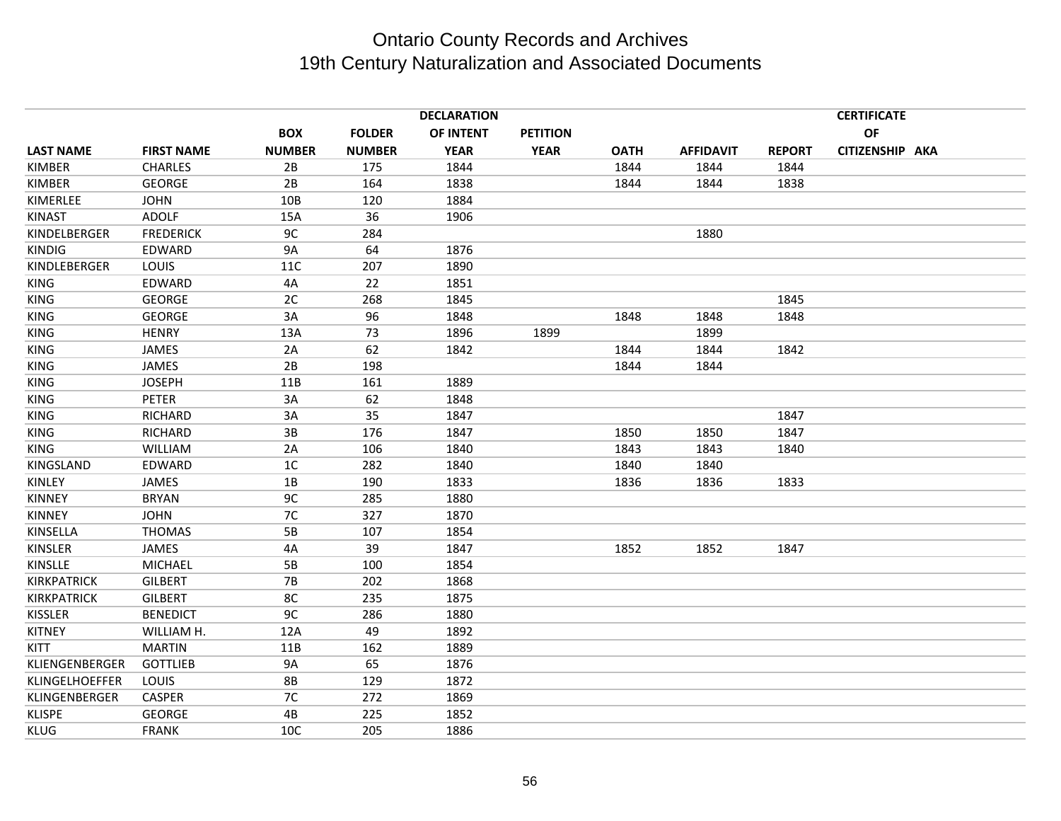|                   |               |               | <b>DECLARATION</b> |                 |             |                  |               | <b>CERTIFICATE</b> |  |
|-------------------|---------------|---------------|--------------------|-----------------|-------------|------------------|---------------|--------------------|--|
|                   | <b>BOX</b>    | <b>FOLDER</b> | OF INTENT          | <b>PETITION</b> |             |                  |               | OF                 |  |
| <b>FIRST NAME</b> | <b>NUMBER</b> | <b>NUMBER</b> | <b>YEAR</b>        | <b>YEAR</b>     | <b>OATH</b> | <b>AFFIDAVIT</b> | <b>REPORT</b> | CITIZENSHIP AKA    |  |
| <b>CHARLES</b>    | 2B            | 175           | 1844               |                 | 1844        | 1844             | 1844          |                    |  |
| <b>GEORGE</b>     | 2B            | 164           | 1838               |                 | 1844        | 1844             | 1838          |                    |  |
| <b>JOHN</b>       | 10B           | 120           | 1884               |                 |             |                  |               |                    |  |
| ADOLF             | 15A           | 36            | 1906               |                 |             |                  |               |                    |  |
| <b>FREDERICK</b>  | 9C            | 284           |                    |                 |             | 1880             |               |                    |  |
| EDWARD            | <b>9A</b>     | 64            | 1876               |                 |             |                  |               |                    |  |
| LOUIS             | 11C           | 207           | 1890               |                 |             |                  |               |                    |  |
| EDWARD            | 4A            | 22            | 1851               |                 |             |                  |               |                    |  |
| <b>GEORGE</b>     | 2C            | 268           | 1845               |                 |             |                  | 1845          |                    |  |
| <b>GEORGE</b>     | 3A            | 96            | 1848               |                 | 1848        | 1848             | 1848          |                    |  |
| <b>HENRY</b>      | 13A           | 73            | 1896               | 1899            |             | 1899             |               |                    |  |
| <b>JAMES</b>      | 2A            | 62            | 1842               |                 | 1844        | 1844             | 1842          |                    |  |
| <b>JAMES</b>      | 2B            | 198           |                    |                 | 1844        | 1844             |               |                    |  |
| <b>JOSEPH</b>     | 11B           | 161           | 1889               |                 |             |                  |               |                    |  |
| <b>PETER</b>      | 3A            | 62            | 1848               |                 |             |                  |               |                    |  |
| RICHARD           | 3A            | 35            | 1847               |                 |             |                  | 1847          |                    |  |
| RICHARD           | 3B            | 176           | 1847               |                 | 1850        | 1850             | 1847          |                    |  |
| <b>WILLIAM</b>    | 2A            | 106           | 1840               |                 | 1843        | 1843             | 1840          |                    |  |
| EDWARD            | 1C            | 282           | 1840               |                 | 1840        | 1840             |               |                    |  |
| <b>JAMES</b>      | 1B            | 190           | 1833               |                 | 1836        | 1836             | 1833          |                    |  |
| <b>BRYAN</b>      | 9C            | 285           | 1880               |                 |             |                  |               |                    |  |
| <b>JOHN</b>       | 7C            | 327           | 1870               |                 |             |                  |               |                    |  |
| <b>THOMAS</b>     | 5B            | 107           | 1854               |                 |             |                  |               |                    |  |
| JAMES             | 4A            | 39            | 1847               |                 | 1852        | 1852             | 1847          |                    |  |
| <b>MICHAEL</b>    | 5B            | 100           | 1854               |                 |             |                  |               |                    |  |
| <b>GILBERT</b>    | <b>7B</b>     | 202           | 1868               |                 |             |                  |               |                    |  |
| <b>GILBERT</b>    | 8C            | 235           | 1875               |                 |             |                  |               |                    |  |
| <b>BENEDICT</b>   | 9C            | 286           | 1880               |                 |             |                  |               |                    |  |
| WILLIAM H.        | 12A           | 49            | 1892               |                 |             |                  |               |                    |  |
| <b>MARTIN</b>     | 11B           | 162           | 1889               |                 |             |                  |               |                    |  |
| <b>GOTTLIEB</b>   | 9A            | 65            | 1876               |                 |             |                  |               |                    |  |
| LOUIS             | <b>8B</b>     | 129           | 1872               |                 |             |                  |               |                    |  |
| <b>CASPER</b>     | 7C            | 272           | 1869               |                 |             |                  |               |                    |  |
| <b>GEORGE</b>     | 4B            | 225           | 1852               |                 |             |                  |               |                    |  |
| <b>FRANK</b>      | 10C           | 205           | 1886               |                 |             |                  |               |                    |  |
|                   |               |               |                    |                 |             |                  |               |                    |  |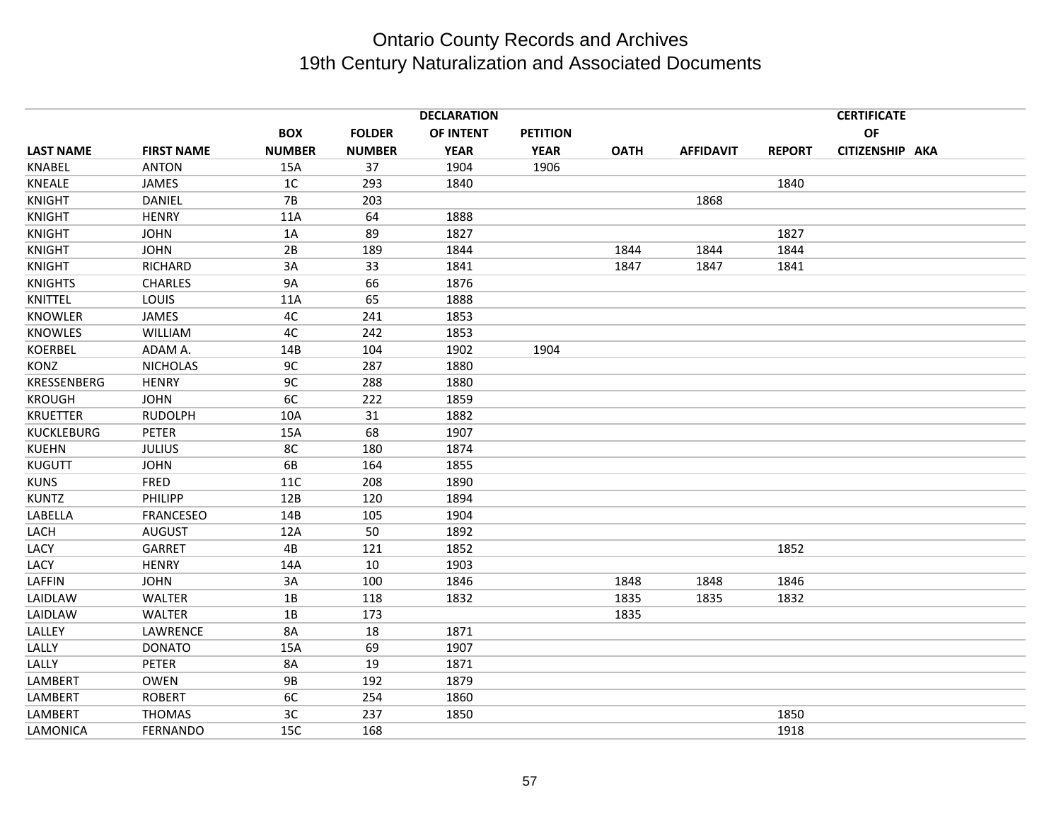|                    |                   |               |               | <b>DECLARATION</b> |                 |             |                  |               | <b>CERTIFICATE</b> |  |
|--------------------|-------------------|---------------|---------------|--------------------|-----------------|-------------|------------------|---------------|--------------------|--|
|                    |                   | <b>BOX</b>    | <b>FOLDER</b> | OF INTENT          | <b>PETITION</b> |             |                  |               | OF                 |  |
| <b>LAST NAME</b>   | <b>FIRST NAME</b> | <b>NUMBER</b> | <b>NUMBER</b> | <b>YEAR</b>        | <b>YEAR</b>     | <b>OATH</b> | <b>AFFIDAVIT</b> | <b>REPORT</b> | CITIZENSHIP AKA    |  |
| <b>KNABEL</b>      | <b>ANTON</b>      | 15A           | 37            | 1904               | 1906            |             |                  |               |                    |  |
| KNEALE             | JAMES             | 1C            | 293           | 1840               |                 |             |                  | 1840          |                    |  |
| <b>KNIGHT</b>      | <b>DANIEL</b>     | <b>7B</b>     | 203           |                    |                 |             | 1868             |               |                    |  |
| <b>KNIGHT</b>      | <b>HENRY</b>      | 11A           | 64            | 1888               |                 |             |                  |               |                    |  |
| <b>KNIGHT</b>      | <b>JOHN</b>       | 1A            | 89            | 1827               |                 |             |                  | 1827          |                    |  |
| <b>KNIGHT</b>      | <b>JOHN</b>       | 2B            | 189           | 1844               |                 | 1844        | 1844             | 1844          |                    |  |
| <b>KNIGHT</b>      | RICHARD           | 3A            | 33            | 1841               |                 | 1847        | 1847             | 1841          |                    |  |
| <b>KNIGHTS</b>     | <b>CHARLES</b>    | <b>9A</b>     | 66            | 1876               |                 |             |                  |               |                    |  |
| KNITTEL            | LOUIS             | 11A           | 65            | 1888               |                 |             |                  |               |                    |  |
| <b>KNOWLER</b>     | JAMES             | 4C            | 241           | 1853               |                 |             |                  |               |                    |  |
| <b>KNOWLES</b>     | WILLIAM           | 4C            | 242           | 1853               |                 |             |                  |               |                    |  |
| <b>KOERBEL</b>     | ADAM A.           | 14B           | 104           | 1902               | 1904            |             |                  |               |                    |  |
| <b>KONZ</b>        | <b>NICHOLAS</b>   | 9C            | 287           | 1880               |                 |             |                  |               |                    |  |
| <b>KRESSENBERG</b> | <b>HENRY</b>      | 9C            | 288           | 1880               |                 |             |                  |               |                    |  |
| <b>KROUGH</b>      | <b>JOHN</b>       | 6C            | 222           | 1859               |                 |             |                  |               |                    |  |
| <b>KRUETTER</b>    | <b>RUDOLPH</b>    | 10A           | 31            | 1882               |                 |             |                  |               |                    |  |
| <b>KUCKLEBURG</b>  | <b>PETER</b>      | 15A           | 68            | 1907               |                 |             |                  |               |                    |  |
| <b>KUEHN</b>       | <b>JULIUS</b>     | 8C            | 180           | 1874               |                 |             |                  |               |                    |  |
| <b>KUGUTT</b>      | <b>JOHN</b>       | 6B            | 164           | 1855               |                 |             |                  |               |                    |  |
| <b>KUNS</b>        | FRED              | 11C           | 208           | 1890               |                 |             |                  |               |                    |  |
| <b>KUNTZ</b>       | PHILIPP           | 12B           | 120           | 1894               |                 |             |                  |               |                    |  |
| LABELLA            | <b>FRANCESEO</b>  | 14B           | 105           | 1904               |                 |             |                  |               |                    |  |
| LACH               | <b>AUGUST</b>     | 12A           | 50            | 1892               |                 |             |                  |               |                    |  |
| LACY               | GARRET            | 4B            | 121           | 1852               |                 |             |                  | 1852          |                    |  |
| LACY               | <b>HENRY</b>      | 14A           | 10            | 1903               |                 |             |                  |               |                    |  |
| LAFFIN             | <b>JOHN</b>       | 3A            | 100           | 1846               |                 | 1848        | 1848             | 1846          |                    |  |
| LAIDLAW            | <b>WALTER</b>     | 1B            | 118           | 1832               |                 | 1835        | 1835             | 1832          |                    |  |
| LAIDLAW            | <b>WALTER</b>     | 1B            | 173           |                    |                 | 1835        |                  |               |                    |  |
| LALLEY             | LAWRENCE          | 8A            | 18            | 1871               |                 |             |                  |               |                    |  |
| LALLY              | <b>DONATO</b>     | 15A           | 69            | 1907               |                 |             |                  |               |                    |  |
| LALLY              | PETER             | 8A            | 19            | 1871               |                 |             |                  |               |                    |  |
| LAMBERT            | <b>OWEN</b>       | <b>9B</b>     | 192           | 1879               |                 |             |                  |               |                    |  |
| LAMBERT            | <b>ROBERT</b>     | 6C            | 254           | 1860               |                 |             |                  |               |                    |  |
| LAMBERT            | <b>THOMAS</b>     | 3C            | 237           | 1850               |                 |             |                  | 1850          |                    |  |
| LAMONICA           | <b>FERNANDO</b>   | 15C           | 168           |                    |                 |             |                  | 1918          |                    |  |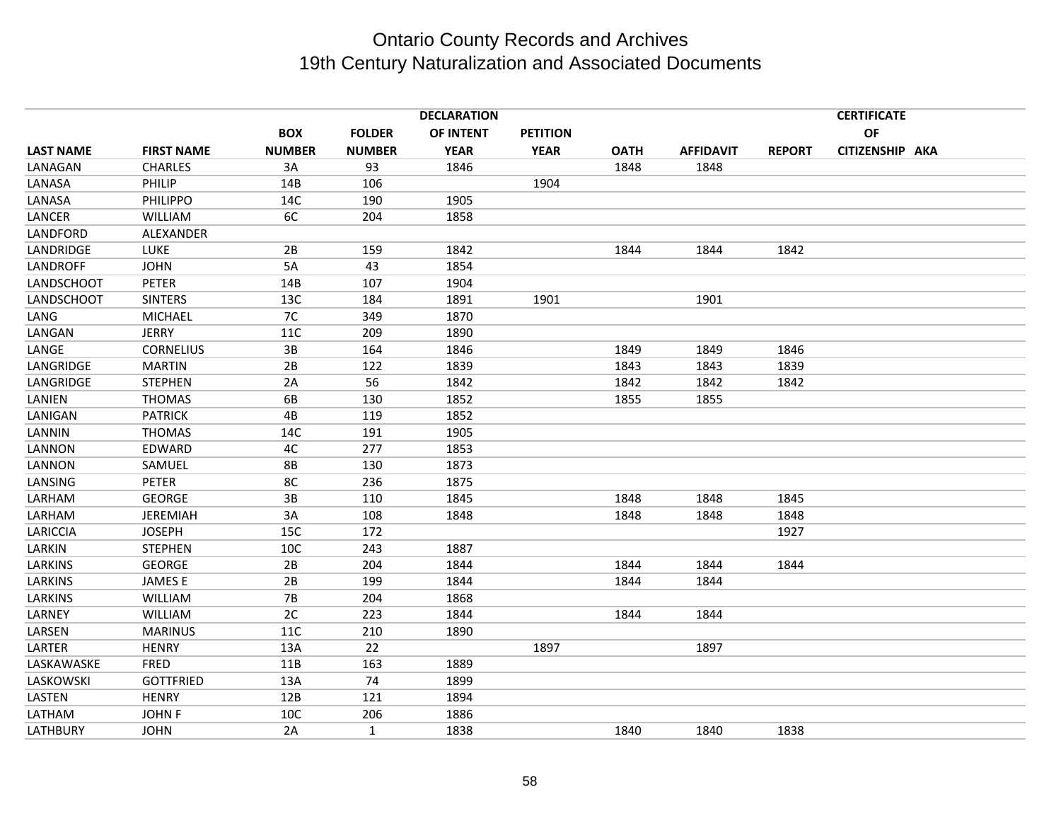|                  |                   |               |               | <b>DECLARATION</b> |                 |             |                  |               | <b>CERTIFICATE</b> |  |
|------------------|-------------------|---------------|---------------|--------------------|-----------------|-------------|------------------|---------------|--------------------|--|
|                  |                   | <b>BOX</b>    | <b>FOLDER</b> | OF INTENT          | <b>PETITION</b> |             |                  |               | OF                 |  |
| <b>LAST NAME</b> | <b>FIRST NAME</b> | <b>NUMBER</b> | <b>NUMBER</b> | <b>YEAR</b>        | <b>YEAR</b>     | <b>OATH</b> | <b>AFFIDAVIT</b> | <b>REPORT</b> | CITIZENSHIP AKA    |  |
| LANAGAN          | <b>CHARLES</b>    | 3A            | 93            | 1846               |                 | 1848        | 1848             |               |                    |  |
| LANASA           | PHILIP            | 14B           | 106           |                    | 1904            |             |                  |               |                    |  |
| LANASA           | <b>PHILIPPO</b>   | 14C           | 190           | 1905               |                 |             |                  |               |                    |  |
| LANCER           | <b>WILLIAM</b>    | 6C            | 204           | 1858               |                 |             |                  |               |                    |  |
| LANDFORD         | ALEXANDER         |               |               |                    |                 |             |                  |               |                    |  |
| LANDRIDGE        | <b>LUKE</b>       | 2B            | 159           | 1842               |                 | 1844        | 1844             | 1842          |                    |  |
| <b>LANDROFF</b>  | <b>JOHN</b>       | 5A            | 43            | 1854               |                 |             |                  |               |                    |  |
| LANDSCHOOT       | <b>PETER</b>      | 14B           | 107           | 1904               |                 |             |                  |               |                    |  |
| LANDSCHOOT       | <b>SINTERS</b>    | 13C           | 184           | 1891               | 1901            |             | 1901             |               |                    |  |
| LANG             | MICHAEL           | 7C            | 349           | 1870               |                 |             |                  |               |                    |  |
| LANGAN           | <b>JERRY</b>      | 11C           | 209           | 1890               |                 |             |                  |               |                    |  |
| LANGE            | <b>CORNELIUS</b>  | 3B            | 164           | 1846               |                 | 1849        | 1849             | 1846          |                    |  |
| LANGRIDGE        | <b>MARTIN</b>     | 2B            | 122           | 1839               |                 | 1843        | 1843             | 1839          |                    |  |
| LANGRIDGE        | <b>STEPHEN</b>    | 2A            | 56            | 1842               |                 | 1842        | 1842             | 1842          |                    |  |
| LANIEN           | <b>THOMAS</b>     | 6B            | 130           | 1852               |                 | 1855        | 1855             |               |                    |  |
| LANIGAN          | <b>PATRICK</b>    | 4B            | 119           | 1852               |                 |             |                  |               |                    |  |
| LANNIN           | <b>THOMAS</b>     | 14C           | 191           | 1905               |                 |             |                  |               |                    |  |
| LANNON           | <b>EDWARD</b>     | 4C            | 277           | 1853               |                 |             |                  |               |                    |  |
| LANNON           | SAMUEL            | <b>8B</b>     | 130           | 1873               |                 |             |                  |               |                    |  |
| LANSING          | <b>PETER</b>      | 8C            | 236           | 1875               |                 |             |                  |               |                    |  |
| LARHAM           | <b>GEORGE</b>     | 3B            | 110           | 1845               |                 | 1848        | 1848             | 1845          |                    |  |
| LARHAM           | <b>JEREMIAH</b>   | 3A            | 108           | 1848               |                 | 1848        | 1848             | 1848          |                    |  |
| LARICCIA         | <b>JOSEPH</b>     | 15C           | 172           |                    |                 |             |                  | 1927          |                    |  |
| LARKIN           | <b>STEPHEN</b>    | 10C           | 243           | 1887               |                 |             |                  |               |                    |  |
| LARKINS          | <b>GEORGE</b>     | 2B            | 204           | 1844               |                 | 1844        | 1844             | 1844          |                    |  |
| LARKINS          | <b>JAMESE</b>     | 2B            | 199           | 1844               |                 | 1844        | 1844             |               |                    |  |
| LARKINS          | WILLIAM           | 7B            | 204           | 1868               |                 |             |                  |               |                    |  |
| LARNEY           | WILLIAM           | 2C            | 223           | 1844               |                 | 1844        | 1844             |               |                    |  |
| LARSEN           | <b>MARINUS</b>    | 11C           | 210           | 1890               |                 |             |                  |               |                    |  |
| LARTER           | <b>HENRY</b>      | 13A           | 22            |                    | 1897            |             | 1897             |               |                    |  |
| LASKAWASKE       | FRED              | 11B           | 163           | 1889               |                 |             |                  |               |                    |  |
| LASKOWSKI        | <b>GOTTFRIED</b>  | 13A           | 74            | 1899               |                 |             |                  |               |                    |  |
| LASTEN           | <b>HENRY</b>      | 12B           | 121           | 1894               |                 |             |                  |               |                    |  |
| LATHAM           | <b>JOHN F</b>     | 10C           | 206           | 1886               |                 |             |                  |               |                    |  |
| <b>LATHBURY</b>  | <b>JOHN</b>       | 2A            | 1             | 1838               |                 | 1840        | 1840             | 1838          |                    |  |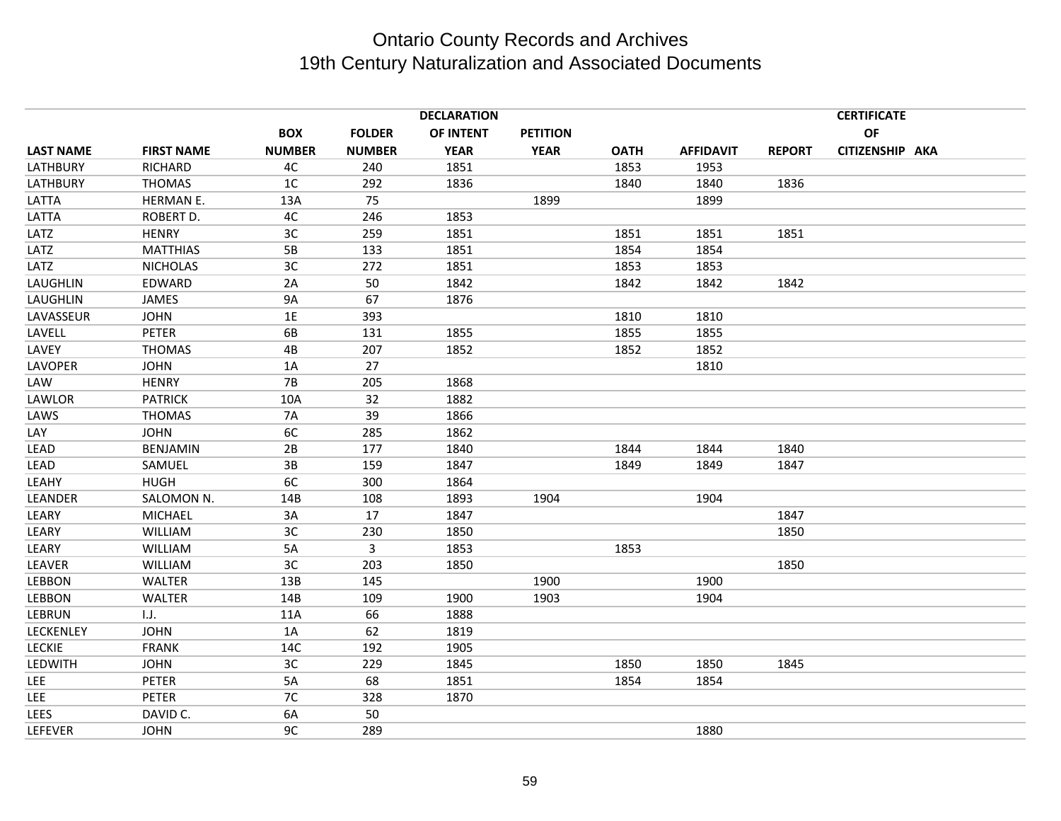|                  |                   |                |               | <b>DECLARATION</b> |                 |             |                  |               | <b>CERTIFICATE</b> |  |
|------------------|-------------------|----------------|---------------|--------------------|-----------------|-------------|------------------|---------------|--------------------|--|
|                  |                   | <b>BOX</b>     | <b>FOLDER</b> | OF INTENT          | <b>PETITION</b> |             |                  |               | <b>OF</b>          |  |
| <b>LAST NAME</b> | <b>FIRST NAME</b> | <b>NUMBER</b>  | <b>NUMBER</b> | <b>YEAR</b>        | <b>YEAR</b>     | <b>OATH</b> | <b>AFFIDAVIT</b> | <b>REPORT</b> | CITIZENSHIP AKA    |  |
| <b>LATHBURY</b>  | RICHARD           | 4C             | 240           | 1851               |                 | 1853        | 1953             |               |                    |  |
| <b>LATHBURY</b>  | <b>THOMAS</b>     | 1 <sup>C</sup> | 292           | 1836               |                 | 1840        | 1840             | 1836          |                    |  |
| LATTA            | HERMAN E.         | 13A            | 75            |                    | 1899            |             | 1899             |               |                    |  |
| LATTA            | ROBERT D.         | 4C             | 246           | 1853               |                 |             |                  |               |                    |  |
| LATZ             | <b>HENRY</b>      | 3C             | 259           | 1851               |                 | 1851        | 1851             | 1851          |                    |  |
| LATZ             | <b>MATTHIAS</b>   | 5B             | 133           | 1851               |                 | 1854        | 1854             |               |                    |  |
| LATZ             | <b>NICHOLAS</b>   | 3C             | 272           | 1851               |                 | 1853        | 1853             |               |                    |  |
| LAUGHLIN         | EDWARD            | 2A             | 50            | 1842               |                 | 1842        | 1842             | 1842          |                    |  |
| LAUGHLIN         | JAMES             | <b>9A</b>      | 67            | 1876               |                 |             |                  |               |                    |  |
| LAVASSEUR        | <b>JOHN</b>       | 1E             | 393           |                    |                 | 1810        | 1810             |               |                    |  |
| LAVELL           | <b>PETER</b>      | 6B             | 131           | 1855               |                 | 1855        | 1855             |               |                    |  |
| LAVEY            | <b>THOMAS</b>     | 4B             | 207           | 1852               |                 | 1852        | 1852             |               |                    |  |
| LAVOPER          | <b>JOHN</b>       | 1A             | 27            |                    |                 |             | 1810             |               |                    |  |
| LAW              | <b>HENRY</b>      | <b>7B</b>      | 205           | 1868               |                 |             |                  |               |                    |  |
| LAWLOR           | <b>PATRICK</b>    | 10A            | 32            | 1882               |                 |             |                  |               |                    |  |
| LAWS             | <b>THOMAS</b>     | <b>7A</b>      | 39            | 1866               |                 |             |                  |               |                    |  |
| LAY              | <b>JOHN</b>       | 6C             | 285           | 1862               |                 |             |                  |               |                    |  |
| LEAD             | <b>BENJAMIN</b>   | 2B             | 177           | 1840               |                 | 1844        | 1844             | 1840          |                    |  |
| LEAD             | SAMUEL            | 3B             | 159           | 1847               |                 | 1849        | 1849             | 1847          |                    |  |
| LEAHY            | <b>HUGH</b>       | 6C             | 300           | 1864               |                 |             |                  |               |                    |  |
| LEANDER          | SALOMON N.        | 14B            | 108           | 1893               | 1904            |             | 1904             |               |                    |  |
| LEARY            | <b>MICHAEL</b>    | 3A             | 17            | 1847               |                 |             |                  | 1847          |                    |  |
| LEARY            | WILLIAM           | 3C             | 230           | 1850               |                 |             |                  | 1850          |                    |  |
| LEARY            | <b>WILLIAM</b>    | 5A             | 3             | 1853               |                 | 1853        |                  |               |                    |  |
| LEAVER           | WILLIAM           | 3C             | 203           | 1850               |                 |             |                  | 1850          |                    |  |
| LEBBON           | <b>WALTER</b>     | 13B            | 145           |                    | 1900            |             | 1900             |               |                    |  |
| LEBBON           | WALTER            | 14B            | 109           | 1900               | 1903            |             | 1904             |               |                    |  |
| LEBRUN           | 1.J.              | 11A            | 66            | 1888               |                 |             |                  |               |                    |  |
| LECKENLEY        | <b>JOHN</b>       | 1A             | 62            | 1819               |                 |             |                  |               |                    |  |
| <b>LECKIE</b>    | <b>FRANK</b>      | 14C            | 192           | 1905               |                 |             |                  |               |                    |  |
| LEDWITH          | <b>JOHN</b>       | 3C             | 229           | 1845               |                 | 1850        | 1850             | 1845          |                    |  |
| <b>LEE</b>       | PETER             | 5A             | 68            | 1851               |                 | 1854        | 1854             |               |                    |  |
| LEE              | <b>PETER</b>      | 7C             | 328           | 1870               |                 |             |                  |               |                    |  |
| LEES             | DAVID C.          | 6A             | 50            |                    |                 |             |                  |               |                    |  |
| LEFEVER          | <b>JOHN</b>       | 9C             | 289           |                    |                 |             | 1880             |               |                    |  |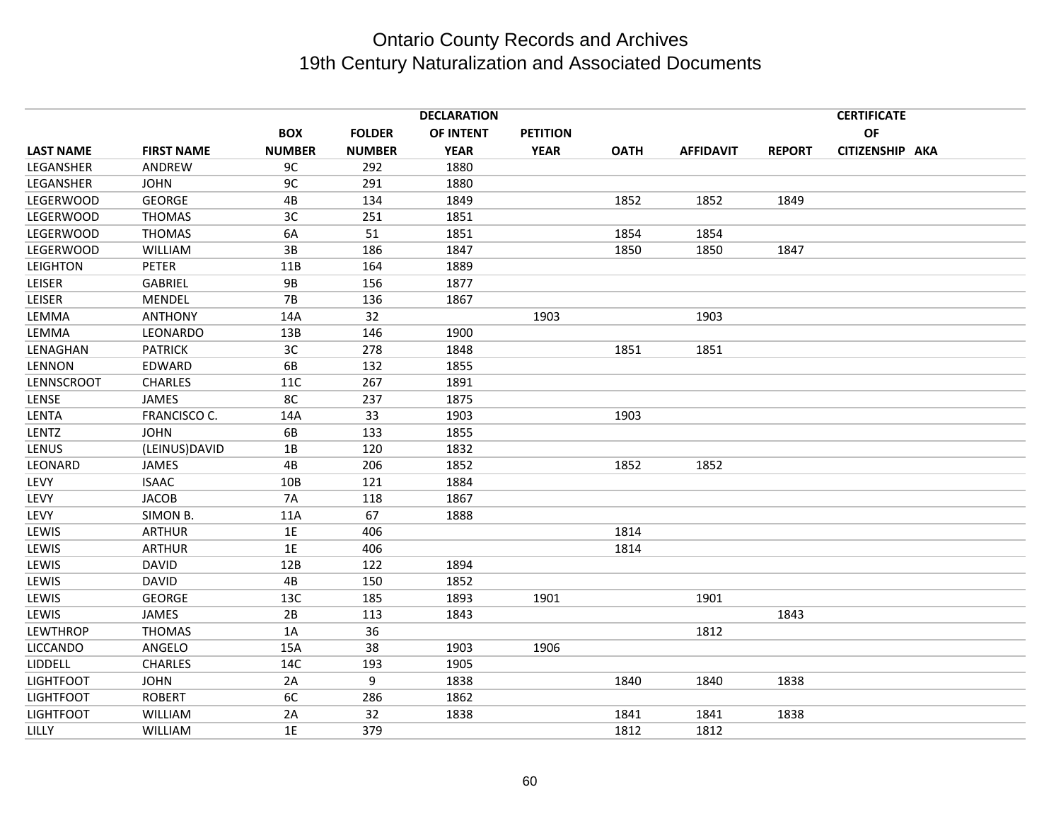|                  |                   |               |               | <b>DECLARATION</b> |                 |             |                  |               | <b>CERTIFICATE</b> |  |
|------------------|-------------------|---------------|---------------|--------------------|-----------------|-------------|------------------|---------------|--------------------|--|
|                  |                   | <b>BOX</b>    | <b>FOLDER</b> | OF INTENT          | <b>PETITION</b> |             |                  |               | <b>OF</b>          |  |
| <b>LAST NAME</b> | <b>FIRST NAME</b> | <b>NUMBER</b> | <b>NUMBER</b> | <b>YEAR</b>        | <b>YEAR</b>     | <b>OATH</b> | <b>AFFIDAVIT</b> | <b>REPORT</b> | CITIZENSHIP AKA    |  |
| LEGANSHER        | ANDREW            | 9C            | 292           | 1880               |                 |             |                  |               |                    |  |
| LEGANSHER        | <b>JOHN</b>       | 9C            | 291           | 1880               |                 |             |                  |               |                    |  |
| <b>LEGERWOOD</b> | <b>GEORGE</b>     | 4B            | 134           | 1849               |                 | 1852        | 1852             | 1849          |                    |  |
| LEGERWOOD        | <b>THOMAS</b>     | 3C            | 251           | 1851               |                 |             |                  |               |                    |  |
| LEGERWOOD        | <b>THOMAS</b>     | 6A            | 51            | 1851               |                 | 1854        | 1854             |               |                    |  |
| LEGERWOOD        | WILLIAM           | 3B            | 186           | 1847               |                 | 1850        | 1850             | 1847          |                    |  |
| <b>LEIGHTON</b>  | <b>PETER</b>      | 11B           | 164           | 1889               |                 |             |                  |               |                    |  |
| LEISER           | <b>GABRIEL</b>    | <b>9B</b>     | 156           | 1877               |                 |             |                  |               |                    |  |
| LEISER           | MENDEL            | 7B            | 136           | 1867               |                 |             |                  |               |                    |  |
| LEMMA            | <b>ANTHONY</b>    | 14A           | 32            |                    | 1903            |             | 1903             |               |                    |  |
| LEMMA            | LEONARDO          | 13B           | 146           | 1900               |                 |             |                  |               |                    |  |
| LENAGHAN         | <b>PATRICK</b>    | 3C            | 278           | 1848               |                 | 1851        | 1851             |               |                    |  |
| LENNON           | EDWARD            | 6B            | 132           | 1855               |                 |             |                  |               |                    |  |
| LENNSCROOT       | <b>CHARLES</b>    | 11C           | 267           | 1891               |                 |             |                  |               |                    |  |
| LENSE            | JAMES             | 8C            | 237           | 1875               |                 |             |                  |               |                    |  |
| LENTA            | FRANCISCO C.      | 14A           | 33            | 1903               |                 | 1903        |                  |               |                    |  |
| LENTZ            | <b>JOHN</b>       | 6B            | 133           | 1855               |                 |             |                  |               |                    |  |
| LENUS            | (LEINUS)DAVID     | 1B            | 120           | 1832               |                 |             |                  |               |                    |  |
| LEONARD          | <b>JAMES</b>      | 4B            | 206           | 1852               |                 | 1852        | 1852             |               |                    |  |
| LEVY             | <b>ISAAC</b>      | 10B           | 121           | 1884               |                 |             |                  |               |                    |  |
| LEVY             | <b>JACOB</b>      | 7A            | 118           | 1867               |                 |             |                  |               |                    |  |
| LEVY             | SIMON B.          | 11A           | 67            | 1888               |                 |             |                  |               |                    |  |
| LEWIS            | <b>ARTHUR</b>     | 1E            | 406           |                    |                 | 1814        |                  |               |                    |  |
| LEWIS            | <b>ARTHUR</b>     | 1E            | 406           |                    |                 | 1814        |                  |               |                    |  |
| LEWIS            | <b>DAVID</b>      | 12B           | 122           | 1894               |                 |             |                  |               |                    |  |
| LEWIS            | <b>DAVID</b>      | 4B            | 150           | 1852               |                 |             |                  |               |                    |  |
| LEWIS            | <b>GEORGE</b>     | 13C           | 185           | 1893               | 1901            |             | 1901             |               |                    |  |
| LEWIS            | <b>JAMES</b>      | 2B            | 113           | 1843               |                 |             |                  | 1843          |                    |  |
| <b>LEWTHROP</b>  | <b>THOMAS</b>     | 1A            | 36            |                    |                 |             | 1812             |               |                    |  |
| <b>LICCANDO</b>  | ANGELO            | 15A           | 38            | 1903               | 1906            |             |                  |               |                    |  |
| <b>LIDDELL</b>   | <b>CHARLES</b>    | 14C           | 193           | 1905               |                 |             |                  |               |                    |  |
| <b>LIGHTFOOT</b> | <b>JOHN</b>       | 2A            | 9             | 1838               |                 | 1840        | 1840             | 1838          |                    |  |
| <b>LIGHTFOOT</b> | <b>ROBERT</b>     | 6C            | 286           | 1862               |                 |             |                  |               |                    |  |
| <b>LIGHTFOOT</b> | WILLIAM           | 2A            | 32            | 1838               |                 | 1841        | 1841             | 1838          |                    |  |
| LILLY            | <b>WILLIAM</b>    | 1E            | 379           |                    |                 | 1812        | 1812             |               |                    |  |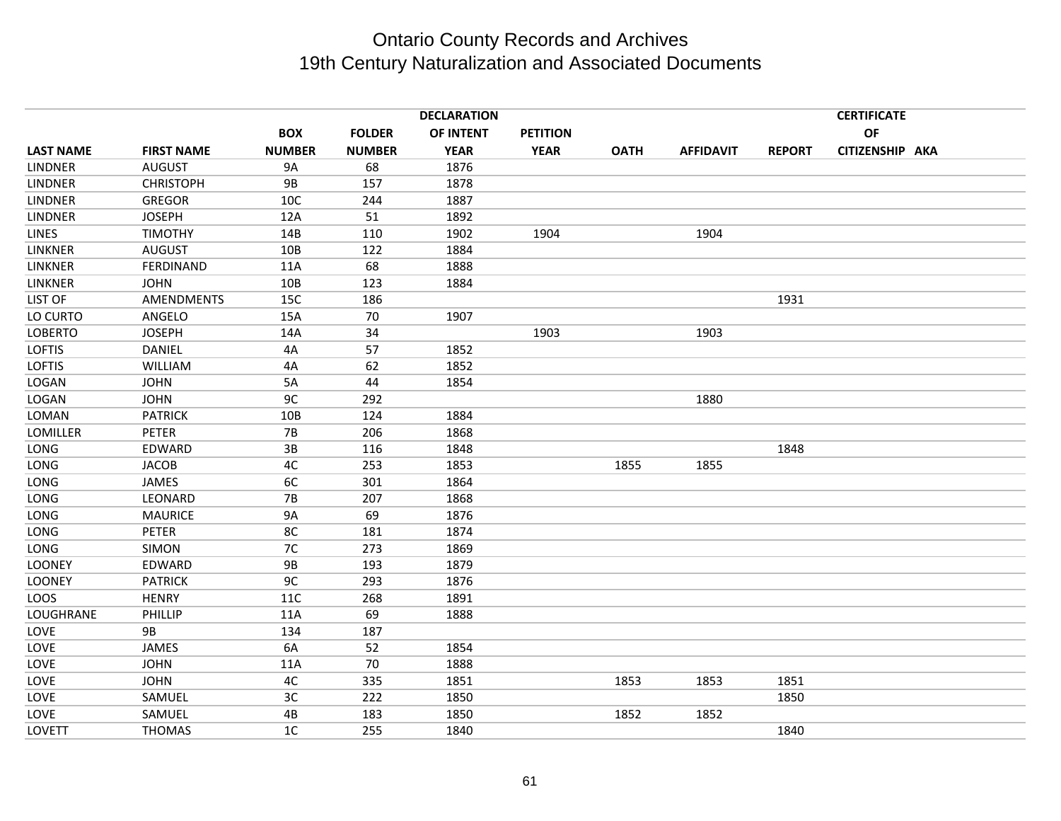|                  |                   |                |               | <b>DECLARATION</b> |                 |             |                  |               | <b>CERTIFICATE</b> |  |
|------------------|-------------------|----------------|---------------|--------------------|-----------------|-------------|------------------|---------------|--------------------|--|
|                  |                   | <b>BOX</b>     | <b>FOLDER</b> | OF INTENT          | <b>PETITION</b> |             |                  |               | <b>OF</b>          |  |
| <b>LAST NAME</b> | <b>FIRST NAME</b> | <b>NUMBER</b>  | <b>NUMBER</b> | <b>YEAR</b>        | <b>YEAR</b>     | <b>OATH</b> | <b>AFFIDAVIT</b> | <b>REPORT</b> | CITIZENSHIP AKA    |  |
| <b>LINDNER</b>   | <b>AUGUST</b>     | 9A             | 68            | 1876               |                 |             |                  |               |                    |  |
| <b>LINDNER</b>   | <b>CHRISTOPH</b>  | 9B             | 157           | 1878               |                 |             |                  |               |                    |  |
| <b>LINDNER</b>   | <b>GREGOR</b>     | 10C            | 244           | 1887               |                 |             |                  |               |                    |  |
| <b>LINDNER</b>   | <b>JOSEPH</b>     | 12A            | 51            | 1892               |                 |             |                  |               |                    |  |
| <b>LINES</b>     | <b>TIMOTHY</b>    | 14B            | 110           | 1902               | 1904            |             | 1904             |               |                    |  |
| LINKNER          | <b>AUGUST</b>     | 10B            | 122           | 1884               |                 |             |                  |               |                    |  |
| LINKNER          | FERDINAND         | 11A            | 68            | 1888               |                 |             |                  |               |                    |  |
| <b>LINKNER</b>   | <b>JOHN</b>       | 10B            | 123           | 1884               |                 |             |                  |               |                    |  |
| LIST OF          | AMENDMENTS        | 15C            | 186           |                    |                 |             |                  | 1931          |                    |  |
| LO CURTO         | ANGELO            | 15A            | 70            | 1907               |                 |             |                  |               |                    |  |
| <b>LOBERTO</b>   | <b>JOSEPH</b>     | 14A            | 34            |                    | 1903            |             | 1903             |               |                    |  |
| <b>LOFTIS</b>    | <b>DANIEL</b>     | 4A             | 57            | 1852               |                 |             |                  |               |                    |  |
| <b>LOFTIS</b>    | WILLIAM           | 4A             | 62            | 1852               |                 |             |                  |               |                    |  |
| LOGAN            | <b>JOHN</b>       | 5A             | 44            | 1854               |                 |             |                  |               |                    |  |
| LOGAN            | <b>JOHN</b>       | 9C             | 292           |                    |                 |             | 1880             |               |                    |  |
| LOMAN            | <b>PATRICK</b>    | 10B            | 124           | 1884               |                 |             |                  |               |                    |  |
| LOMILLER         | PETER             | <b>7B</b>      | 206           | 1868               |                 |             |                  |               |                    |  |
| LONG             | EDWARD            | 3B             | 116           | 1848               |                 |             |                  | 1848          |                    |  |
| LONG             | <b>JACOB</b>      | 4C             | 253           | 1853               |                 | 1855        | 1855             |               |                    |  |
| LONG             | JAMES             | 6C             | 301           | 1864               |                 |             |                  |               |                    |  |
| LONG             | LEONARD           | <b>7B</b>      | 207           | 1868               |                 |             |                  |               |                    |  |
| LONG             | <b>MAURICE</b>    | <b>9A</b>      | 69            | 1876               |                 |             |                  |               |                    |  |
| LONG             | <b>PETER</b>      | 8C             | 181           | 1874               |                 |             |                  |               |                    |  |
| LONG             | <b>SIMON</b>      | 7C             | 273           | 1869               |                 |             |                  |               |                    |  |
| LOONEY           | EDWARD            | 9B             | 193           | 1879               |                 |             |                  |               |                    |  |
| LOONEY           | <b>PATRICK</b>    | 9C             | 293           | 1876               |                 |             |                  |               |                    |  |
| LOOS             | <b>HENRY</b>      | 11C            | 268           | 1891               |                 |             |                  |               |                    |  |
| LOUGHRANE        | PHILLIP           | 11A            | 69            | 1888               |                 |             |                  |               |                    |  |
| LOVE             | 9B                | 134            | 187           |                    |                 |             |                  |               |                    |  |
| LOVE             | JAMES             | 6A             | 52            | 1854               |                 |             |                  |               |                    |  |
| LOVE             | <b>JOHN</b>       | 11A            | 70            | 1888               |                 |             |                  |               |                    |  |
| LOVE             | <b>JOHN</b>       | 4C             | 335           | 1851               |                 | 1853        | 1853             | 1851          |                    |  |
| LOVE             | SAMUEL            | 3C             | 222           | 1850               |                 |             |                  | 1850          |                    |  |
| LOVE             | SAMUEL            | 4B             | 183           | 1850               |                 | 1852        | 1852             |               |                    |  |
| LOVETT           | <b>THOMAS</b>     | 1 <sup>C</sup> | 255           | 1840               |                 |             |                  | 1840          |                    |  |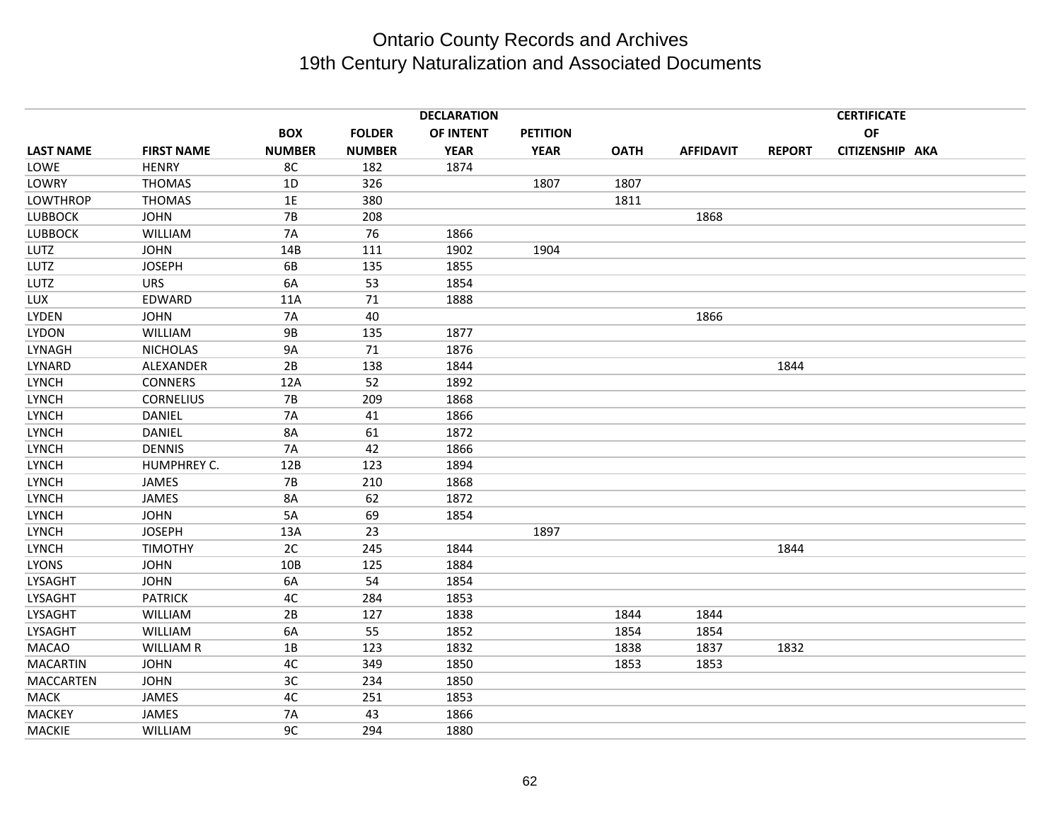|                  |                   |               |               | <b>DECLARATION</b> |                 |             |                  |               | <b>CERTIFICATE</b> |  |
|------------------|-------------------|---------------|---------------|--------------------|-----------------|-------------|------------------|---------------|--------------------|--|
|                  |                   | <b>BOX</b>    | <b>FOLDER</b> | OF INTENT          | <b>PETITION</b> |             |                  |               | <b>OF</b>          |  |
| <b>LAST NAME</b> | <b>FIRST NAME</b> | <b>NUMBER</b> | <b>NUMBER</b> | <b>YEAR</b>        | <b>YEAR</b>     | <b>OATH</b> | <b>AFFIDAVIT</b> | <b>REPORT</b> | CITIZENSHIP AKA    |  |
| LOWE             | <b>HENRY</b>      | 8C            | 182           | 1874               |                 |             |                  |               |                    |  |
| LOWRY            | <b>THOMAS</b>     | 1D            | 326           |                    | 1807            | 1807        |                  |               |                    |  |
| <b>LOWTHROP</b>  | <b>THOMAS</b>     | 1E            | 380           |                    |                 | 1811        |                  |               |                    |  |
| <b>LUBBOCK</b>   | <b>JOHN</b>       | 7B            | 208           |                    |                 |             | 1868             |               |                    |  |
| <b>LUBBOCK</b>   | <b>WILLIAM</b>    | <b>7A</b>     | 76            | 1866               |                 |             |                  |               |                    |  |
| LUTZ             | <b>JOHN</b>       | 14B           | 111           | 1902               | 1904            |             |                  |               |                    |  |
| LUTZ             | <b>JOSEPH</b>     | 6B            | 135           | 1855               |                 |             |                  |               |                    |  |
| LUTZ             | <b>URS</b>        | 6A            | 53            | 1854               |                 |             |                  |               |                    |  |
| LUX              | EDWARD            | 11A           | 71            | 1888               |                 |             |                  |               |                    |  |
| LYDEN            | <b>JOHN</b>       | <b>7A</b>     | 40            |                    |                 |             | 1866             |               |                    |  |
| <b>LYDON</b>     | WILLIAM           | <b>9B</b>     | 135           | 1877               |                 |             |                  |               |                    |  |
| LYNAGH           | <b>NICHOLAS</b>   | 9A            | 71            | 1876               |                 |             |                  |               |                    |  |
| LYNARD           | ALEXANDER         | 2B            | 138           | 1844               |                 |             |                  | 1844          |                    |  |
| LYNCH            | <b>CONNERS</b>    | 12A           | 52            | 1892               |                 |             |                  |               |                    |  |
| LYNCH            | <b>CORNELIUS</b>  | <b>7B</b>     | 209           | 1868               |                 |             |                  |               |                    |  |
| LYNCH            | <b>DANIEL</b>     | <b>7A</b>     | 41            | 1866               |                 |             |                  |               |                    |  |
| <b>LYNCH</b>     | DANIEL            | 8A            | 61            | 1872               |                 |             |                  |               |                    |  |
| <b>LYNCH</b>     | <b>DENNIS</b>     | <b>7A</b>     | 42            | 1866               |                 |             |                  |               |                    |  |
| LYNCH            | HUMPHREY C.       | 12B           | 123           | 1894               |                 |             |                  |               |                    |  |
| <b>LYNCH</b>     | <b>JAMES</b>      | <b>7B</b>     | 210           | 1868               |                 |             |                  |               |                    |  |
| LYNCH            | JAMES             | 8A            | 62            | 1872               |                 |             |                  |               |                    |  |
| <b>LYNCH</b>     | <b>JOHN</b>       | 5A            | 69            | 1854               |                 |             |                  |               |                    |  |
| <b>LYNCH</b>     | <b>JOSEPH</b>     | 13A           | 23            |                    | 1897            |             |                  |               |                    |  |
| <b>LYNCH</b>     | <b>TIMOTHY</b>    | 2C            | 245           | 1844               |                 |             |                  | 1844          |                    |  |
| <b>LYONS</b>     | <b>JOHN</b>       | 10B           | 125           | 1884               |                 |             |                  |               |                    |  |
| <b>LYSAGHT</b>   | <b>JOHN</b>       | 6A            | 54            | 1854               |                 |             |                  |               |                    |  |
| LYSAGHT          | <b>PATRICK</b>    | 4C            | 284           | 1853               |                 |             |                  |               |                    |  |
| <b>LYSAGHT</b>   | WILLIAM           | 2B            | 127           | 1838               |                 | 1844        | 1844             |               |                    |  |
| LYSAGHT          | WILLIAM           | 6A            | 55            | 1852               |                 | 1854        | 1854             |               |                    |  |
| <b>MACAO</b>     | <b>WILLIAM R</b>  | 1B            | 123           | 1832               |                 | 1838        | 1837             | 1832          |                    |  |
| <b>MACARTIN</b>  | <b>JOHN</b>       | 4C            | 349           | 1850               |                 | 1853        | 1853             |               |                    |  |
| <b>MACCARTEN</b> | <b>JOHN</b>       | 3C            | 234           | 1850               |                 |             |                  |               |                    |  |
| MACK             | JAMES             | 4C            | 251           | 1853               |                 |             |                  |               |                    |  |
| <b>MACKEY</b>    | <b>JAMES</b>      | <b>7A</b>     | 43            | 1866               |                 |             |                  |               |                    |  |
| <b>MACKIE</b>    | <b>WILLIAM</b>    | 9C            | 294           | 1880               |                 |             |                  |               |                    |  |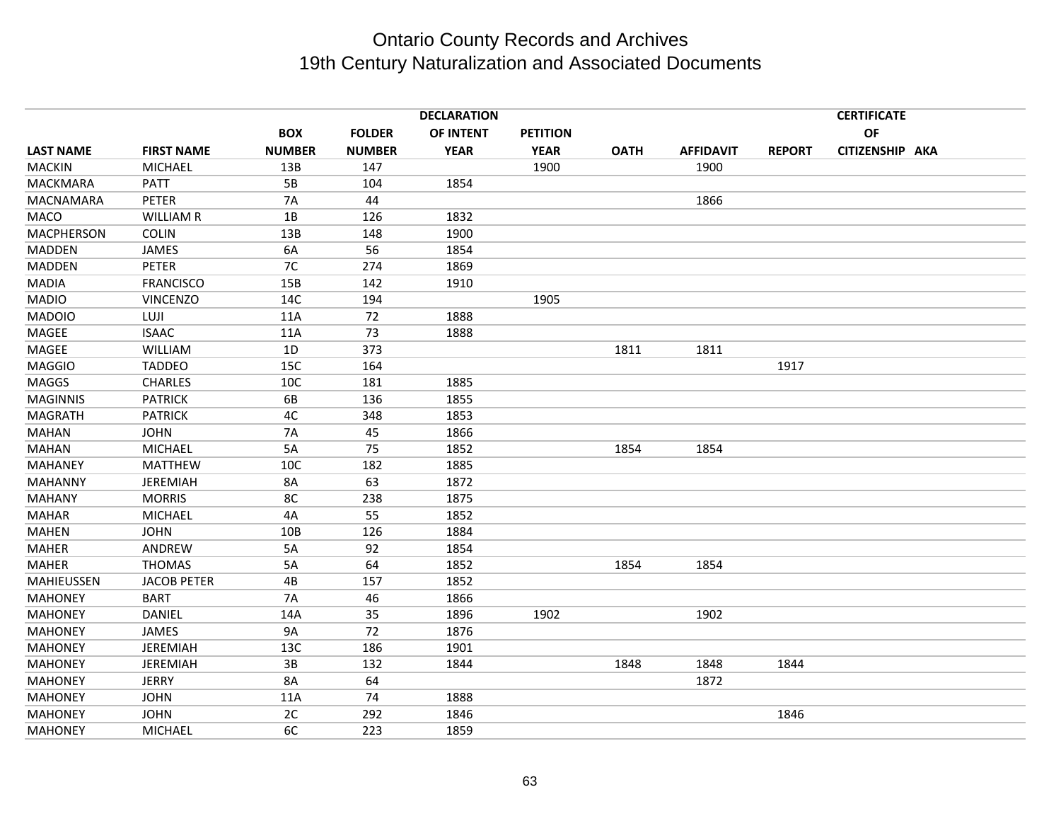|                  |                    |               |               | <b>DECLARATION</b> |                 |             |                  |               | <b>CERTIFICATE</b> |  |
|------------------|--------------------|---------------|---------------|--------------------|-----------------|-------------|------------------|---------------|--------------------|--|
|                  |                    | <b>BOX</b>    | <b>FOLDER</b> | OF INTENT          | <b>PETITION</b> |             |                  |               | <b>OF</b>          |  |
| <b>LAST NAME</b> | <b>FIRST NAME</b>  | <b>NUMBER</b> | <b>NUMBER</b> | <b>YEAR</b>        | <b>YEAR</b>     | <b>OATH</b> | <b>AFFIDAVIT</b> | <b>REPORT</b> | CITIZENSHIP AKA    |  |
| <b>MACKIN</b>    | <b>MICHAEL</b>     | 13B           | 147           |                    | 1900            |             | 1900             |               |                    |  |
| <b>MACKMARA</b>  | PATT               | 5B            | 104           | 1854               |                 |             |                  |               |                    |  |
| <b>MACNAMARA</b> | <b>PETER</b>       | <b>7A</b>     | 44            |                    |                 |             | 1866             |               |                    |  |
| MACO             | <b>WILLIAM R</b>   | 1B            | 126           | 1832               |                 |             |                  |               |                    |  |
| MACPHERSON       | <b>COLIN</b>       | 13B           | 148           | 1900               |                 |             |                  |               |                    |  |
| <b>MADDEN</b>    | <b>JAMES</b>       | 6A            | 56            | 1854               |                 |             |                  |               |                    |  |
| <b>MADDEN</b>    | <b>PETER</b>       | 7C            | 274           | 1869               |                 |             |                  |               |                    |  |
| <b>MADIA</b>     | <b>FRANCISCO</b>   | 15B           | 142           | 1910               |                 |             |                  |               |                    |  |
| <b>MADIO</b>     | <b>VINCENZO</b>    | 14C           | 194           |                    | 1905            |             |                  |               |                    |  |
| <b>MADOIO</b>    | LUJI               | 11A           | 72            | 1888               |                 |             |                  |               |                    |  |
| MAGEE            | <b>ISAAC</b>       | 11A           | 73            | 1888               |                 |             |                  |               |                    |  |
| MAGEE            | WILLIAM            | 1D            | 373           |                    |                 | 1811        | 1811             |               |                    |  |
| <b>MAGGIO</b>    | <b>TADDEO</b>      | 15C           | 164           |                    |                 |             |                  | 1917          |                    |  |
| <b>MAGGS</b>     | <b>CHARLES</b>     | 10C           | 181           | 1885               |                 |             |                  |               |                    |  |
| <b>MAGINNIS</b>  | <b>PATRICK</b>     | 6B            | 136           | 1855               |                 |             |                  |               |                    |  |
| <b>MAGRATH</b>   | <b>PATRICK</b>     | 4C            | 348           | 1853               |                 |             |                  |               |                    |  |
| <b>MAHAN</b>     | <b>JOHN</b>        | <b>7A</b>     | 45            | 1866               |                 |             |                  |               |                    |  |
| <b>MAHAN</b>     | <b>MICHAEL</b>     | 5A            | 75            | 1852               |                 | 1854        | 1854             |               |                    |  |
| <b>MAHANEY</b>   | <b>MATTHEW</b>     | 10C           | 182           | 1885               |                 |             |                  |               |                    |  |
| <b>MAHANNY</b>   | <b>JEREMIAH</b>    | 8A            | 63            | 1872               |                 |             |                  |               |                    |  |
| <b>MAHANY</b>    | <b>MORRIS</b>      | 8C            | 238           | 1875               |                 |             |                  |               |                    |  |
| <b>MAHAR</b>     | MICHAEL            | 4A            | 55            | 1852               |                 |             |                  |               |                    |  |
| <b>MAHEN</b>     | <b>JOHN</b>        | 10B           | 126           | 1884               |                 |             |                  |               |                    |  |
| <b>MAHER</b>     | ANDREW             | 5A            | 92            | 1854               |                 |             |                  |               |                    |  |
| <b>MAHER</b>     | <b>THOMAS</b>      | 5A            | 64            | 1852               |                 | 1854        | 1854             |               |                    |  |
| MAHIEUSSEN       | <b>JACOB PETER</b> | 4B            | 157           | 1852               |                 |             |                  |               |                    |  |
| <b>MAHONEY</b>   | <b>BART</b>        | <b>7A</b>     | 46            | 1866               |                 |             |                  |               |                    |  |
| <b>MAHONEY</b>   | DANIEL             | 14A           | 35            | 1896               | 1902            |             | 1902             |               |                    |  |
| <b>MAHONEY</b>   | JAMES              | <b>9A</b>     | 72            | 1876               |                 |             |                  |               |                    |  |
| <b>MAHONEY</b>   | <b>JEREMIAH</b>    | 13C           | 186           | 1901               |                 |             |                  |               |                    |  |
| <b>MAHONEY</b>   | <b>JEREMIAH</b>    | 3B            | 132           | 1844               |                 | 1848        | 1848             | 1844          |                    |  |
| <b>MAHONEY</b>   | <b>JERRY</b>       | <b>8A</b>     | 64            |                    |                 |             | 1872             |               |                    |  |
| <b>MAHONEY</b>   | <b>JOHN</b>        | 11A           | 74            | 1888               |                 |             |                  |               |                    |  |
| <b>MAHONEY</b>   | <b>JOHN</b>        | 2C            | 292           | 1846               |                 |             |                  | 1846          |                    |  |
| <b>MAHONEY</b>   | <b>MICHAEL</b>     | 6C            | 223           | 1859               |                 |             |                  |               |                    |  |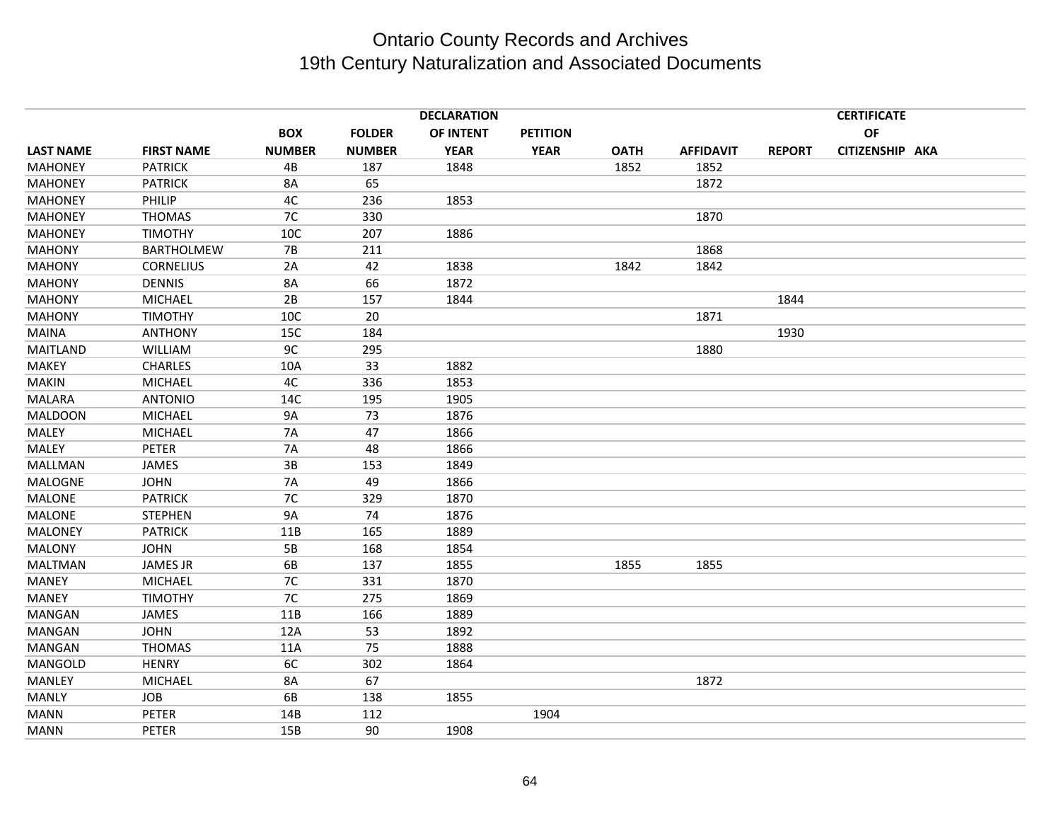|                  | <b>DECLARATION</b><br><b>CERTIFICATE</b> |               |               |             |                 |             |                  |               |                 |  |
|------------------|------------------------------------------|---------------|---------------|-------------|-----------------|-------------|------------------|---------------|-----------------|--|
|                  |                                          | <b>BOX</b>    | <b>FOLDER</b> | OF INTENT   | <b>PETITION</b> |             |                  |               | OF              |  |
| <b>LAST NAME</b> | <b>FIRST NAME</b>                        | <b>NUMBER</b> | <b>NUMBER</b> | <b>YEAR</b> | <b>YEAR</b>     | <b>OATH</b> | <b>AFFIDAVIT</b> | <b>REPORT</b> | CITIZENSHIP AKA |  |
| <b>MAHONEY</b>   | <b>PATRICK</b>                           | 4B            | 187           | 1848        |                 | 1852        | 1852             |               |                 |  |
| <b>MAHONEY</b>   | <b>PATRICK</b>                           | <b>8A</b>     | 65            |             |                 |             | 1872             |               |                 |  |
| <b>MAHONEY</b>   | PHILIP                                   | 4C            | 236           | 1853        |                 |             |                  |               |                 |  |
| <b>MAHONEY</b>   | <b>THOMAS</b>                            | 7C            | 330           |             |                 |             | 1870             |               |                 |  |
| <b>MAHONEY</b>   | <b>TIMOTHY</b>                           | 10C           | 207           | 1886        |                 |             |                  |               |                 |  |
| <b>MAHONY</b>    | <b>BARTHOLMEW</b>                        | <b>7B</b>     | 211           |             |                 |             | 1868             |               |                 |  |
| <b>MAHONY</b>    | <b>CORNELIUS</b>                         | 2A            | 42            | 1838        |                 | 1842        | 1842             |               |                 |  |
| <b>MAHONY</b>    | <b>DENNIS</b>                            | 8A            | 66            | 1872        |                 |             |                  |               |                 |  |
| <b>MAHONY</b>    | <b>MICHAEL</b>                           | 2B            | 157           | 1844        |                 |             |                  | 1844          |                 |  |
| <b>MAHONY</b>    | <b>TIMOTHY</b>                           | 10C           | 20            |             |                 |             | 1871             |               |                 |  |
| <b>MAINA</b>     | <b>ANTHONY</b>                           | 15C           | 184           |             |                 |             |                  | 1930          |                 |  |
| <b>MAITLAND</b>  | WILLIAM                                  | 9C            | 295           |             |                 |             | 1880             |               |                 |  |
| <b>MAKEY</b>     | <b>CHARLES</b>                           | 10A           | 33            | 1882        |                 |             |                  |               |                 |  |
| <b>MAKIN</b>     | <b>MICHAEL</b>                           | 4C            | 336           | 1853        |                 |             |                  |               |                 |  |
| <b>MALARA</b>    | <b>ANTONIO</b>                           | 14C           | 195           | 1905        |                 |             |                  |               |                 |  |
| <b>MALDOON</b>   | <b>MICHAEL</b>                           | 9A            | 73            | 1876        |                 |             |                  |               |                 |  |
| <b>MALEY</b>     | <b>MICHAEL</b>                           | <b>7A</b>     | 47            | 1866        |                 |             |                  |               |                 |  |
| <b>MALEY</b>     | <b>PETER</b>                             | <b>7A</b>     | 48            | 1866        |                 |             |                  |               |                 |  |
| MALLMAN          | JAMES                                    | 3B            | 153           | 1849        |                 |             |                  |               |                 |  |
| <b>MALOGNE</b>   | <b>JOHN</b>                              | <b>7A</b>     | 49            | 1866        |                 |             |                  |               |                 |  |
| MALONE           | <b>PATRICK</b>                           | 7C            | 329           | 1870        |                 |             |                  |               |                 |  |
| <b>MALONE</b>    | <b>STEPHEN</b>                           | 9A            | 74            | 1876        |                 |             |                  |               |                 |  |
| <b>MALONEY</b>   | <b>PATRICK</b>                           | 11B           | 165           | 1889        |                 |             |                  |               |                 |  |
| <b>MALONY</b>    | <b>JOHN</b>                              | 5B            | 168           | 1854        |                 |             |                  |               |                 |  |
| <b>MALTMAN</b>   | <b>JAMES JR</b>                          | 6B            | 137           | 1855        |                 | 1855        | 1855             |               |                 |  |
| <b>MANEY</b>     | MICHAEL                                  | 7C            | 331           | 1870        |                 |             |                  |               |                 |  |
| <b>MANEY</b>     | <b>TIMOTHY</b>                           | 7C            | 275           | 1869        |                 |             |                  |               |                 |  |
| <b>MANGAN</b>    | JAMES                                    | 11B           | 166           | 1889        |                 |             |                  |               |                 |  |
| <b>MANGAN</b>    | <b>JOHN</b>                              | 12A           | 53            | 1892        |                 |             |                  |               |                 |  |
| <b>MANGAN</b>    | <b>THOMAS</b>                            | 11A           | 75            | 1888        |                 |             |                  |               |                 |  |
| MANGOLD          | <b>HENRY</b>                             | 6C            | 302           | 1864        |                 |             |                  |               |                 |  |
| MANLEY           | <b>MICHAEL</b>                           | <b>8A</b>     | 67            |             |                 |             | 1872             |               |                 |  |
| <b>MANLY</b>     | <b>JOB</b>                               | 6B            | 138           | 1855        |                 |             |                  |               |                 |  |
| <b>MANN</b>      | <b>PETER</b>                             | 14B           | 112           |             | 1904            |             |                  |               |                 |  |
| MANN             | PETER                                    | 15B           | 90            | 1908        |                 |             |                  |               |                 |  |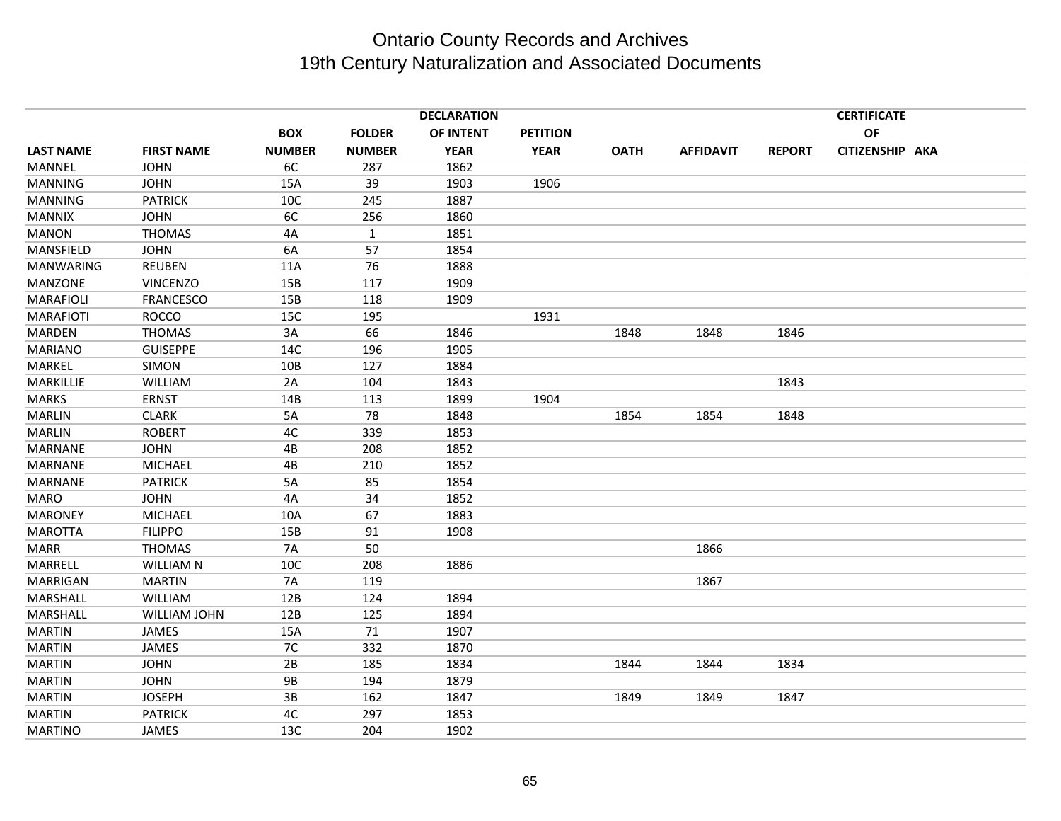|                  |                     |               |               | <b>DECLARATION</b> |                 |             |                  |               | <b>CERTIFICATE</b> |  |
|------------------|---------------------|---------------|---------------|--------------------|-----------------|-------------|------------------|---------------|--------------------|--|
|                  |                     | <b>BOX</b>    | <b>FOLDER</b> | OF INTENT          | <b>PETITION</b> |             |                  |               | OF                 |  |
| <b>LAST NAME</b> | <b>FIRST NAME</b>   | <b>NUMBER</b> | <b>NUMBER</b> | <b>YEAR</b>        | <b>YEAR</b>     | <b>OATH</b> | <b>AFFIDAVIT</b> | <b>REPORT</b> | CITIZENSHIP AKA    |  |
| <b>MANNEL</b>    | <b>JOHN</b>         | 6C            | 287           | 1862               |                 |             |                  |               |                    |  |
| <b>MANNING</b>   | <b>JOHN</b>         | 15A           | 39            | 1903               | 1906            |             |                  |               |                    |  |
| MANNING          | <b>PATRICK</b>      | 10C           | 245           | 1887               |                 |             |                  |               |                    |  |
| <b>MANNIX</b>    | <b>JOHN</b>         | 6C            | 256           | 1860               |                 |             |                  |               |                    |  |
| <b>MANON</b>     | <b>THOMAS</b>       | 4A            | $\mathbf{1}$  | 1851               |                 |             |                  |               |                    |  |
| MANSFIELD        | <b>JOHN</b>         | 6A            | 57            | 1854               |                 |             |                  |               |                    |  |
| <b>MANWARING</b> | <b>REUBEN</b>       | 11A           | 76            | 1888               |                 |             |                  |               |                    |  |
| MANZONE          | <b>VINCENZO</b>     | 15B           | 117           | 1909               |                 |             |                  |               |                    |  |
| <b>MARAFIOLI</b> | FRANCESCO           | 15B           | 118           | 1909               |                 |             |                  |               |                    |  |
| <b>MARAFIOTI</b> | <b>ROCCO</b>        | 15C           | 195           |                    | 1931            |             |                  |               |                    |  |
| <b>MARDEN</b>    | <b>THOMAS</b>       | 3A            | 66            | 1846               |                 | 1848        | 1848             | 1846          |                    |  |
| <b>MARIANO</b>   | <b>GUISEPPE</b>     | 14C           | 196           | 1905               |                 |             |                  |               |                    |  |
| MARKEL           | <b>SIMON</b>        | 10B           | 127           | 1884               |                 |             |                  |               |                    |  |
| MARKILLIE        | WILLIAM             | 2A            | 104           | 1843               |                 |             |                  | 1843          |                    |  |
| <b>MARKS</b>     | <b>ERNST</b>        | 14B           | 113           | 1899               | 1904            |             |                  |               |                    |  |
| <b>MARLIN</b>    | <b>CLARK</b>        | 5A            | 78            | 1848               |                 | 1854        | 1854             | 1848          |                    |  |
| <b>MARLIN</b>    | <b>ROBERT</b>       | 4C            | 339           | 1853               |                 |             |                  |               |                    |  |
| MARNANE          | <b>JOHN</b>         | 4B            | 208           | 1852               |                 |             |                  |               |                    |  |
| <b>MARNANE</b>   | <b>MICHAEL</b>      | 4B            | 210           | 1852               |                 |             |                  |               |                    |  |
| <b>MARNANE</b>   | <b>PATRICK</b>      | 5A            | 85            | 1854               |                 |             |                  |               |                    |  |
| <b>MARO</b>      | <b>JOHN</b>         | 4A            | 34            | 1852               |                 |             |                  |               |                    |  |
| <b>MARONEY</b>   | <b>MICHAEL</b>      | 10A           | 67            | 1883               |                 |             |                  |               |                    |  |
| <b>MAROTTA</b>   | <b>FILIPPO</b>      | 15B           | 91            | 1908               |                 |             |                  |               |                    |  |
| <b>MARR</b>      | <b>THOMAS</b>       | <b>7A</b>     | 50            |                    |                 |             | 1866             |               |                    |  |
| MARRELL          | <b>WILLIAM N</b>    | 10C           | 208           | 1886               |                 |             |                  |               |                    |  |
| MARRIGAN         | <b>MARTIN</b>       | <b>7A</b>     | 119           |                    |                 |             | 1867             |               |                    |  |
| MARSHALL         | WILLIAM             | 12B           | 124           | 1894               |                 |             |                  |               |                    |  |
| MARSHALL         | <b>WILLIAM JOHN</b> | 12B           | 125           | 1894               |                 |             |                  |               |                    |  |
| <b>MARTIN</b>    | JAMES               | 15A           | 71            | 1907               |                 |             |                  |               |                    |  |
| <b>MARTIN</b>    | JAMES               | 7C            | 332           | 1870               |                 |             |                  |               |                    |  |
| <b>MARTIN</b>    | <b>JOHN</b>         | 2B            | 185           | 1834               |                 | 1844        | 1844             | 1834          |                    |  |
| <b>MARTIN</b>    | <b>JOHN</b>         | <b>9B</b>     | 194           | 1879               |                 |             |                  |               |                    |  |
| <b>MARTIN</b>    | <b>JOSEPH</b>       | 3B            | 162           | 1847               |                 | 1849        | 1849             | 1847          |                    |  |
| <b>MARTIN</b>    | <b>PATRICK</b>      | 4C            | 297           | 1853               |                 |             |                  |               |                    |  |
| <b>MARTINO</b>   | JAMES               | 13C           | 204           | 1902               |                 |             |                  |               |                    |  |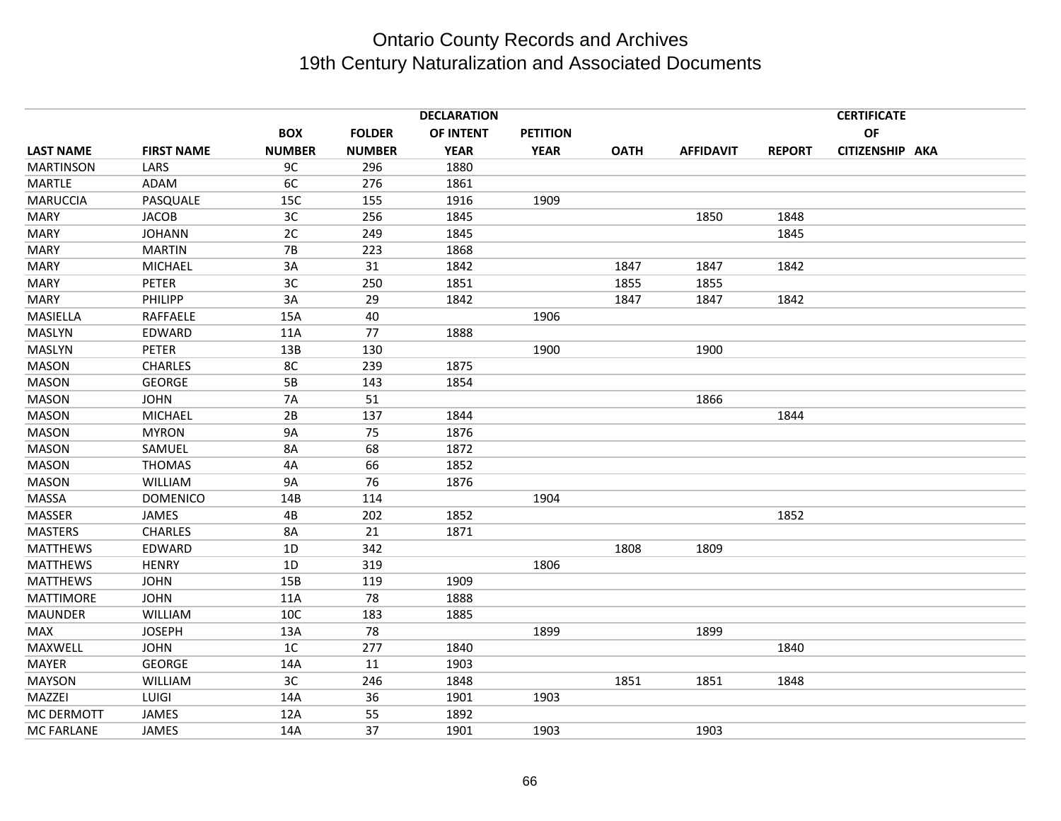|                   |                   |                |               | <b>DECLARATION</b> |                 |             |                  |               | <b>CERTIFICATE</b> |  |
|-------------------|-------------------|----------------|---------------|--------------------|-----------------|-------------|------------------|---------------|--------------------|--|
|                   |                   | <b>BOX</b>     | <b>FOLDER</b> | OF INTENT          | <b>PETITION</b> |             |                  |               | OF                 |  |
| <b>LAST NAME</b>  | <b>FIRST NAME</b> | <b>NUMBER</b>  | <b>NUMBER</b> | <b>YEAR</b>        | <b>YEAR</b>     | <b>OATH</b> | <b>AFFIDAVIT</b> | <b>REPORT</b> | CITIZENSHIP AKA    |  |
| <b>MARTINSON</b>  | LARS              | 9C             | 296           | 1880               |                 |             |                  |               |                    |  |
| <b>MARTLE</b>     | ADAM              | 6C             | 276           | 1861               |                 |             |                  |               |                    |  |
| <b>MARUCCIA</b>   | PASQUALE          | 15C            | 155           | 1916               | 1909            |             |                  |               |                    |  |
| <b>MARY</b>       | <b>JACOB</b>      | 3C             | 256           | 1845               |                 |             | 1850             | 1848          |                    |  |
| <b>MARY</b>       | <b>JOHANN</b>     | 2C             | 249           | 1845               |                 |             |                  | 1845          |                    |  |
| <b>MARY</b>       | <b>MARTIN</b>     | <b>7B</b>      | 223           | 1868               |                 |             |                  |               |                    |  |
| <b>MARY</b>       | <b>MICHAEL</b>    | 3A             | 31            | 1842               |                 | 1847        | 1847             | 1842          |                    |  |
| <b>MARY</b>       | <b>PETER</b>      | 3C             | 250           | 1851               |                 | 1855        | 1855             |               |                    |  |
| <b>MARY</b>       | PHILIPP           | 3A             | 29            | 1842               |                 | 1847        | 1847             | 1842          |                    |  |
| MASIELLA          | RAFFAELE          | 15A            | 40            |                    | 1906            |             |                  |               |                    |  |
| MASLYN            | EDWARD            | 11A            | 77            | 1888               |                 |             |                  |               |                    |  |
| MASLYN            | <b>PETER</b>      | 13B            | 130           |                    | 1900            |             | 1900             |               |                    |  |
| <b>MASON</b>      | <b>CHARLES</b>    | 8C             | 239           | 1875               |                 |             |                  |               |                    |  |
| <b>MASON</b>      | <b>GEORGE</b>     | 5B             | 143           | 1854               |                 |             |                  |               |                    |  |
| MASON             | <b>JOHN</b>       | <b>7A</b>      | 51            |                    |                 |             | 1866             |               |                    |  |
| <b>MASON</b>      | <b>MICHAEL</b>    | 2B             | 137           | 1844               |                 |             |                  | 1844          |                    |  |
| <b>MASON</b>      | <b>MYRON</b>      | <b>9A</b>      | 75            | 1876               |                 |             |                  |               |                    |  |
| <b>MASON</b>      | SAMUEL            | 8A             | 68            | 1872               |                 |             |                  |               |                    |  |
| <b>MASON</b>      | <b>THOMAS</b>     | 4A             | 66            | 1852               |                 |             |                  |               |                    |  |
| <b>MASON</b>      | <b>WILLIAM</b>    | <b>9A</b>      | 76            | 1876               |                 |             |                  |               |                    |  |
| <b>MASSA</b>      | <b>DOMENICO</b>   | 14B            | 114           |                    | 1904            |             |                  |               |                    |  |
| MASSER            | JAMES             | 4B             | 202           | 1852               |                 |             |                  | 1852          |                    |  |
| <b>MASTERS</b>    | <b>CHARLES</b>    | 8A             | 21            | 1871               |                 |             |                  |               |                    |  |
| <b>MATTHEWS</b>   | EDWARD            | 1D             | 342           |                    |                 | 1808        | 1809             |               |                    |  |
| <b>MATTHEWS</b>   | <b>HENRY</b>      | 1D             | 319           |                    | 1806            |             |                  |               |                    |  |
| <b>MATTHEWS</b>   | <b>JOHN</b>       | 15B            | 119           | 1909               |                 |             |                  |               |                    |  |
| <b>MATTIMORE</b>  | <b>JOHN</b>       | 11A            | 78            | 1888               |                 |             |                  |               |                    |  |
| <b>MAUNDER</b>    | <b>WILLIAM</b>    | 10C            | 183           | 1885               |                 |             |                  |               |                    |  |
| MAX               | <b>JOSEPH</b>     | 13A            | 78            |                    | 1899            |             | 1899             |               |                    |  |
| MAXWELL           | <b>JOHN</b>       | 1 <sup>C</sup> | 277           | 1840               |                 |             |                  | 1840          |                    |  |
| MAYER             | <b>GEORGE</b>     | 14A            | 11            | 1903               |                 |             |                  |               |                    |  |
| <b>MAYSON</b>     | <b>WILLIAM</b>    | 3C             | 246           | 1848               |                 | 1851        | 1851             | 1848          |                    |  |
| MAZZEI            | LUIGI             | 14A            | 36            | 1901               | 1903            |             |                  |               |                    |  |
| MC DERMOTT        | JAMES             | 12A            | 55            | 1892               |                 |             |                  |               |                    |  |
| <b>MC FARLANE</b> | JAMES             | 14A            | 37            | 1901               | 1903            |             | 1903             |               |                    |  |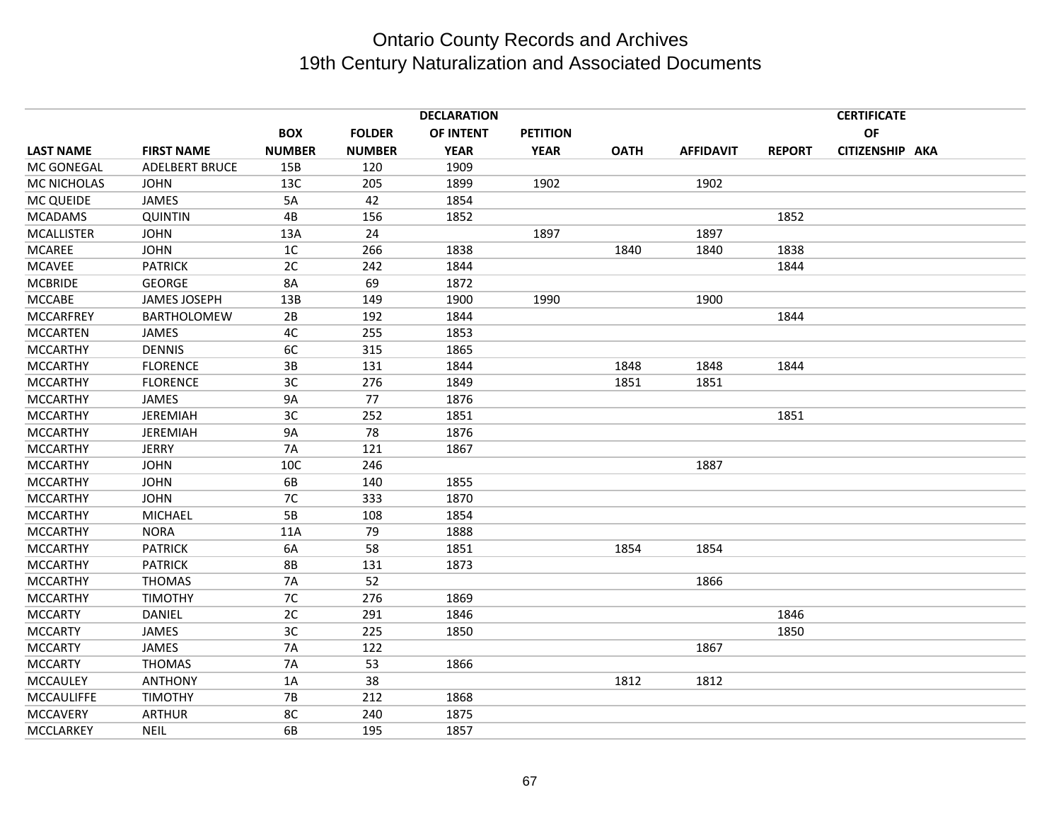| <b>DECLARATION</b><br><b>CERTIFICATE</b> |                       |                |               |             |                 |             |                  |               |                 |  |
|------------------------------------------|-----------------------|----------------|---------------|-------------|-----------------|-------------|------------------|---------------|-----------------|--|
|                                          |                       | <b>BOX</b>     | <b>FOLDER</b> | OF INTENT   | <b>PETITION</b> |             |                  |               | OF              |  |
| <b>LAST NAME</b>                         | <b>FIRST NAME</b>     | <b>NUMBER</b>  | <b>NUMBER</b> | <b>YEAR</b> | <b>YEAR</b>     | <b>OATH</b> | <b>AFFIDAVIT</b> | <b>REPORT</b> | CITIZENSHIP AKA |  |
| MC GONEGAL                               | <b>ADELBERT BRUCE</b> | 15B            | 120           | 1909        |                 |             |                  |               |                 |  |
| MC NICHOLAS                              | <b>JOHN</b>           | 13C            | 205           | 1899        | 1902            |             | 1902             |               |                 |  |
| MC QUEIDE                                | <b>JAMES</b>          | 5A             | 42            | 1854        |                 |             |                  |               |                 |  |
| <b>MCADAMS</b>                           | <b>QUINTIN</b>        | 4B             | 156           | 1852        |                 |             |                  | 1852          |                 |  |
| <b>MCALLISTER</b>                        | <b>JOHN</b>           | 13A            | 24            |             | 1897            |             | 1897             |               |                 |  |
| <b>MCAREE</b>                            | <b>JOHN</b>           | 1 <sup>C</sup> | 266           | 1838        |                 | 1840        | 1840             | 1838          |                 |  |
| <b>MCAVEE</b>                            | <b>PATRICK</b>        | 2C             | 242           | 1844        |                 |             |                  | 1844          |                 |  |
| <b>MCBRIDE</b>                           | <b>GEORGE</b>         | <b>8A</b>      | 69            | 1872        |                 |             |                  |               |                 |  |
| <b>MCCABE</b>                            | <b>JAMES JOSEPH</b>   | 13B            | 149           | 1900        | 1990            |             | 1900             |               |                 |  |
| <b>MCCARFREY</b>                         | BARTHOLOMEW           | 2B             | 192           | 1844        |                 |             |                  | 1844          |                 |  |
| <b>MCCARTEN</b>                          | <b>JAMES</b>          | 4C             | 255           | 1853        |                 |             |                  |               |                 |  |
| <b>MCCARTHY</b>                          | <b>DENNIS</b>         | 6C             | 315           | 1865        |                 |             |                  |               |                 |  |
| <b>MCCARTHY</b>                          | <b>FLORENCE</b>       | 3B             | 131           | 1844        |                 | 1848        | 1848             | 1844          |                 |  |
| <b>MCCARTHY</b>                          | <b>FLORENCE</b>       | 3C             | 276           | 1849        |                 | 1851        | 1851             |               |                 |  |
| <b>MCCARTHY</b>                          | JAMES                 | 9A             | 77            | 1876        |                 |             |                  |               |                 |  |
| <b>MCCARTHY</b>                          | <b>JEREMIAH</b>       | 3C             | 252           | 1851        |                 |             |                  | 1851          |                 |  |
| <b>MCCARTHY</b>                          | <b>JEREMIAH</b>       | <b>9A</b>      | 78            | 1876        |                 |             |                  |               |                 |  |
| <b>MCCARTHY</b>                          | <b>JERRY</b>          | <b>7A</b>      | 121           | 1867        |                 |             |                  |               |                 |  |
| <b>MCCARTHY</b>                          | <b>JOHN</b>           | 10C            | 246           |             |                 |             | 1887             |               |                 |  |
| <b>MCCARTHY</b>                          | <b>JOHN</b>           | 6B             | 140           | 1855        |                 |             |                  |               |                 |  |
| <b>MCCARTHY</b>                          | <b>JOHN</b>           | 7C             | 333           | 1870        |                 |             |                  |               |                 |  |
| <b>MCCARTHY</b>                          | <b>MICHAEL</b>        | 5B             | 108           | 1854        |                 |             |                  |               |                 |  |
| <b>MCCARTHY</b>                          | <b>NORA</b>           | 11A            | 79            | 1888        |                 |             |                  |               |                 |  |
| <b>MCCARTHY</b>                          | <b>PATRICK</b>        | 6A             | 58            | 1851        |                 | 1854        | 1854             |               |                 |  |
| <b>MCCARTHY</b>                          | <b>PATRICK</b>        | <b>8B</b>      | 131           | 1873        |                 |             |                  |               |                 |  |
| <b>MCCARTHY</b>                          | <b>THOMAS</b>         | 7A             | 52            |             |                 |             | 1866             |               |                 |  |
| <b>MCCARTHY</b>                          | <b>TIMOTHY</b>        | 7C             | 276           | 1869        |                 |             |                  |               |                 |  |
| <b>MCCARTY</b>                           | DANIEL                | 2C             | 291           | 1846        |                 |             |                  | 1846          |                 |  |
| <b>MCCARTY</b>                           | <b>JAMES</b>          | 3C             | 225           | 1850        |                 |             |                  | 1850          |                 |  |
| <b>MCCARTY</b>                           | <b>JAMES</b>          | 7A             | 122           |             |                 |             | 1867             |               |                 |  |
| <b>MCCARTY</b>                           | <b>THOMAS</b>         | 7A             | 53            | 1866        |                 |             |                  |               |                 |  |
| <b>MCCAULEY</b>                          | <b>ANTHONY</b>        | 1A             | 38            |             |                 | 1812        | 1812             |               |                 |  |
| <b>MCCAULIFFE</b>                        | <b>TIMOTHY</b>        | <b>7B</b>      | 212           | 1868        |                 |             |                  |               |                 |  |
| <b>MCCAVERY</b>                          | <b>ARTHUR</b>         | 8C             | 240           | 1875        |                 |             |                  |               |                 |  |
| MCCLARKEY                                | <b>NEIL</b>           | 6B             | 195           | 1857        |                 |             |                  |               |                 |  |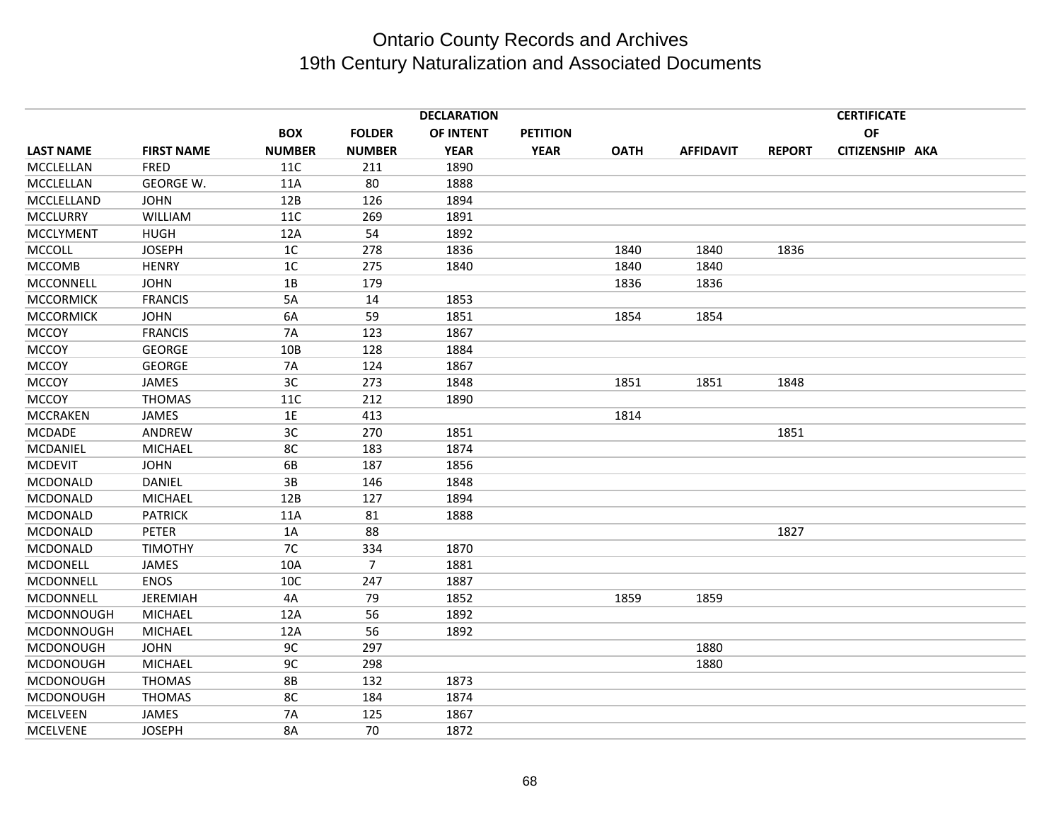|                  |                   |                 |                | <b>DECLARATION</b> |                 |             |                  |               | <b>CERTIFICATE</b> |  |
|------------------|-------------------|-----------------|----------------|--------------------|-----------------|-------------|------------------|---------------|--------------------|--|
|                  |                   | <b>BOX</b>      | <b>FOLDER</b>  | OF INTENT          | <b>PETITION</b> |             |                  |               | OF                 |  |
| <b>LAST NAME</b> | <b>FIRST NAME</b> | <b>NUMBER</b>   | <b>NUMBER</b>  | <b>YEAR</b>        | <b>YEAR</b>     | <b>OATH</b> | <b>AFFIDAVIT</b> | <b>REPORT</b> | CITIZENSHIP AKA    |  |
| MCCLELLAN        | <b>FRED</b>       | 11C             | 211            | 1890               |                 |             |                  |               |                    |  |
| MCCLELLAN        | GEORGE W.         | 11A             | 80             | 1888               |                 |             |                  |               |                    |  |
| MCCLELLAND       | <b>JOHN</b>       | 12B             | 126            | 1894               |                 |             |                  |               |                    |  |
| <b>MCCLURRY</b>  | WILLIAM           | <b>11C</b>      | 269            | 1891               |                 |             |                  |               |                    |  |
| <b>MCCLYMENT</b> | <b>HUGH</b>       | 12A             | 54             | 1892               |                 |             |                  |               |                    |  |
| <b>MCCOLL</b>    | <b>JOSEPH</b>     | 1 <sup>C</sup>  | 278            | 1836               |                 | 1840        | 1840             | 1836          |                    |  |
| <b>MCCOMB</b>    | <b>HENRY</b>      | 1 <sup>C</sup>  | 275            | 1840               |                 | 1840        | 1840             |               |                    |  |
| MCCONNELL        | <b>JOHN</b>       | 1B              | 179            |                    |                 | 1836        | 1836             |               |                    |  |
| <b>MCCORMICK</b> | <b>FRANCIS</b>    | 5A              | 14             | 1853               |                 |             |                  |               |                    |  |
| <b>MCCORMICK</b> | <b>JOHN</b>       | 6A              | 59             | 1851               |                 | 1854        | 1854             |               |                    |  |
| <b>MCCOY</b>     | <b>FRANCIS</b>    | <b>7A</b>       | 123            | 1867               |                 |             |                  |               |                    |  |
| <b>MCCOY</b>     | <b>GEORGE</b>     | 10 <sub>B</sub> | 128            | 1884               |                 |             |                  |               |                    |  |
| <b>MCCOY</b>     | <b>GEORGE</b>     | <b>7A</b>       | 124            | 1867               |                 |             |                  |               |                    |  |
| <b>MCCOY</b>     | JAMES             | 3C              | 273            | 1848               |                 | 1851        | 1851             | 1848          |                    |  |
| <b>MCCOY</b>     | <b>THOMAS</b>     | 11C             | 212            | 1890               |                 |             |                  |               |                    |  |
| <b>MCCRAKEN</b>  | <b>JAMES</b>      | 1E              | 413            |                    |                 | 1814        |                  |               |                    |  |
| <b>MCDADE</b>    | ANDREW            | 3C              | 270            | 1851               |                 |             |                  | 1851          |                    |  |
| MCDANIEL         | <b>MICHAEL</b>    | 8C              | 183            | 1874               |                 |             |                  |               |                    |  |
| <b>MCDEVIT</b>   | <b>JOHN</b>       | 6B              | 187            | 1856               |                 |             |                  |               |                    |  |
| MCDONALD         | <b>DANIEL</b>     | 3B              | 146            | 1848               |                 |             |                  |               |                    |  |
| MCDONALD         | MICHAEL           | 12B             | 127            | 1894               |                 |             |                  |               |                    |  |
| MCDONALD         | <b>PATRICK</b>    | 11A             | 81             | 1888               |                 |             |                  |               |                    |  |
| MCDONALD         | <b>PETER</b>      | 1A              | 88             |                    |                 |             |                  | 1827          |                    |  |
| MCDONALD         | <b>TIMOTHY</b>    | 7C              | 334            | 1870               |                 |             |                  |               |                    |  |
| MCDONELL         | JAMES             | 10A             | $\overline{7}$ | 1881               |                 |             |                  |               |                    |  |
| MCDONNELL        | <b>ENOS</b>       | 10C             | 247            | 1887               |                 |             |                  |               |                    |  |
| MCDONNELL        | <b>JEREMIAH</b>   | 4A              | 79             | 1852               |                 | 1859        | 1859             |               |                    |  |
| MCDONNOUGH       | <b>MICHAEL</b>    | 12A             | 56             | 1892               |                 |             |                  |               |                    |  |
| MCDONNOUGH       | MICHAEL           | 12A             | 56             | 1892               |                 |             |                  |               |                    |  |
| <b>MCDONOUGH</b> | <b>JOHN</b>       | 9C              | 297            |                    |                 |             | 1880             |               |                    |  |
| <b>MCDONOUGH</b> | <b>MICHAEL</b>    | 9C              | 298            |                    |                 |             | 1880             |               |                    |  |
| <b>MCDONOUGH</b> | <b>THOMAS</b>     | <b>8B</b>       | 132            | 1873               |                 |             |                  |               |                    |  |
| <b>MCDONOUGH</b> | <b>THOMAS</b>     | 8C              | 184            | 1874               |                 |             |                  |               |                    |  |
| <b>MCELVEEN</b>  | <b>JAMES</b>      | 7A              | 125            | 1867               |                 |             |                  |               |                    |  |
| <b>MCELVENE</b>  | <b>JOSEPH</b>     | 8A              | 70             | 1872               |                 |             |                  |               |                    |  |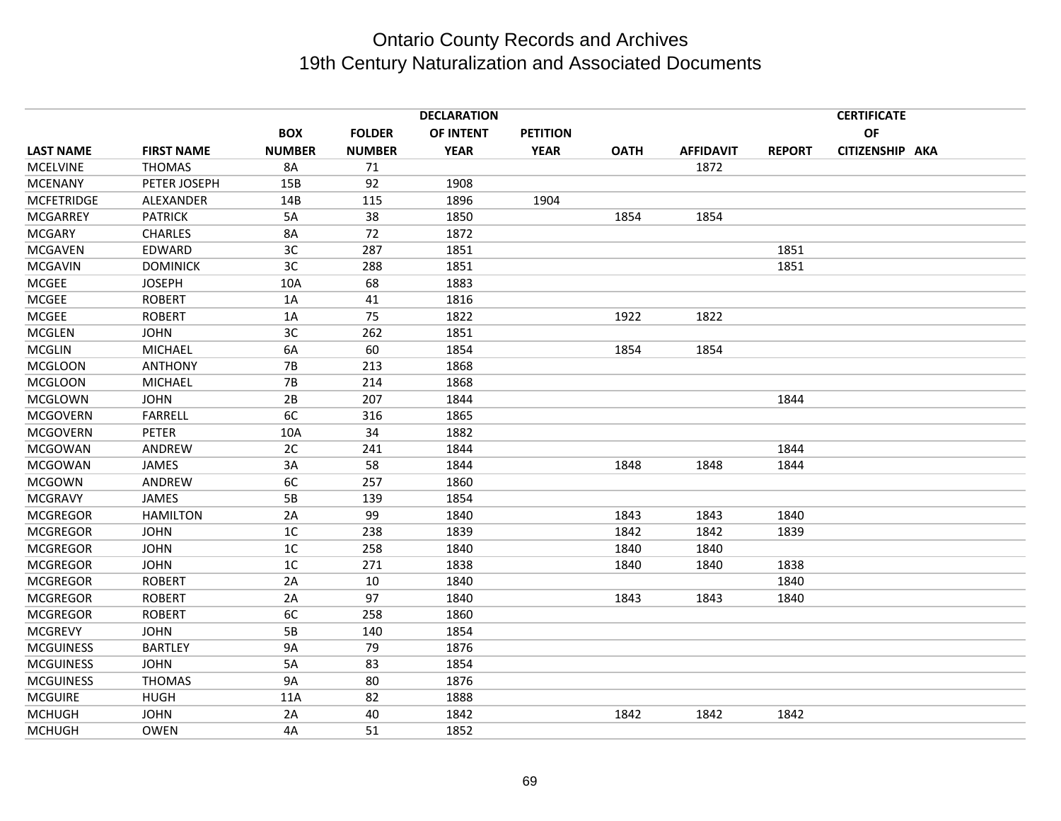|                   |                   | <b>DECLARATION</b><br><b>CERTIFICATE</b> |               |             |                 |             |                  |               |                 |  |
|-------------------|-------------------|------------------------------------------|---------------|-------------|-----------------|-------------|------------------|---------------|-----------------|--|
|                   |                   | <b>BOX</b>                               | <b>FOLDER</b> | OF INTENT   | <b>PETITION</b> |             |                  |               | OF              |  |
| <b>LAST NAME</b>  | <b>FIRST NAME</b> | <b>NUMBER</b>                            | <b>NUMBER</b> | <b>YEAR</b> | <b>YEAR</b>     | <b>OATH</b> | <b>AFFIDAVIT</b> | <b>REPORT</b> | CITIZENSHIP AKA |  |
| <b>MCELVINE</b>   | <b>THOMAS</b>     | 8A                                       | 71            |             |                 |             | 1872             |               |                 |  |
| <b>MCENANY</b>    | PETER JOSEPH      | 15B                                      | 92            | 1908        |                 |             |                  |               |                 |  |
| <b>MCFETRIDGE</b> | ALEXANDER         | 14B                                      | 115           | 1896        | 1904            |             |                  |               |                 |  |
| <b>MCGARREY</b>   | <b>PATRICK</b>    | 5A                                       | 38            | 1850        |                 | 1854        | 1854             |               |                 |  |
| <b>MCGARY</b>     | <b>CHARLES</b>    | 8A                                       | 72            | 1872        |                 |             |                  |               |                 |  |
| <b>MCGAVEN</b>    | EDWARD            | 3C                                       | 287           | 1851        |                 |             |                  | 1851          |                 |  |
| <b>MCGAVIN</b>    | <b>DOMINICK</b>   | 3C                                       | 288           | 1851        |                 |             |                  | 1851          |                 |  |
| <b>MCGEE</b>      | <b>JOSEPH</b>     | 10A                                      | 68            | 1883        |                 |             |                  |               |                 |  |
| <b>MCGEE</b>      | <b>ROBERT</b>     | 1A                                       | 41            | 1816        |                 |             |                  |               |                 |  |
| <b>MCGEE</b>      | <b>ROBERT</b>     | 1A                                       | 75            | 1822        |                 | 1922        | 1822             |               |                 |  |
| <b>MCGLEN</b>     | <b>JOHN</b>       | 3C                                       | 262           | 1851        |                 |             |                  |               |                 |  |
| <b>MCGLIN</b>     | <b>MICHAEL</b>    | 6A                                       | 60            | 1854        |                 | 1854        | 1854             |               |                 |  |
| <b>MCGLOON</b>    | <b>ANTHONY</b>    | <b>7B</b>                                | 213           | 1868        |                 |             |                  |               |                 |  |
| <b>MCGLOON</b>    | MICHAEL           | <b>7B</b>                                | 214           | 1868        |                 |             |                  |               |                 |  |
| <b>MCGLOWN</b>    | <b>JOHN</b>       | 2B                                       | 207           | 1844        |                 |             |                  | 1844          |                 |  |
| <b>MCGOVERN</b>   | <b>FARRELL</b>    | 6C                                       | 316           | 1865        |                 |             |                  |               |                 |  |
| <b>MCGOVERN</b>   | PETER             | 10A                                      | 34            | 1882        |                 |             |                  |               |                 |  |
| <b>MCGOWAN</b>    | ANDREW            | 2C                                       | 241           | 1844        |                 |             |                  | 1844          |                 |  |
| <b>MCGOWAN</b>    | <b>JAMES</b>      | 3A                                       | 58            | 1844        |                 | 1848        | 1848             | 1844          |                 |  |
| <b>MCGOWN</b>     | ANDREW            | 6C                                       | 257           | 1860        |                 |             |                  |               |                 |  |
| <b>MCGRAVY</b>    | JAMES             | 5B                                       | 139           | 1854        |                 |             |                  |               |                 |  |
| <b>MCGREGOR</b>   | <b>HAMILTON</b>   | 2A                                       | 99            | 1840        |                 | 1843        | 1843             | 1840          |                 |  |
| <b>MCGREGOR</b>   | <b>JOHN</b>       | 1 <sup>C</sup>                           | 238           | 1839        |                 | 1842        | 1842             | 1839          |                 |  |
| <b>MCGREGOR</b>   | <b>JOHN</b>       | 1C                                       | 258           | 1840        |                 | 1840        | 1840             |               |                 |  |
| <b>MCGREGOR</b>   | <b>JOHN</b>       | 1 <sup>C</sup>                           | 271           | 1838        |                 | 1840        | 1840             | 1838          |                 |  |
| <b>MCGREGOR</b>   | <b>ROBERT</b>     | 2A                                       | 10            | 1840        |                 |             |                  | 1840          |                 |  |
| <b>MCGREGOR</b>   | <b>ROBERT</b>     | 2A                                       | 97            | 1840        |                 | 1843        | 1843             | 1840          |                 |  |
| <b>MCGREGOR</b>   | <b>ROBERT</b>     | 6C                                       | 258           | 1860        |                 |             |                  |               |                 |  |
| <b>MCGREVY</b>    | <b>JOHN</b>       | 5B                                       | 140           | 1854        |                 |             |                  |               |                 |  |
| <b>MCGUINESS</b>  | <b>BARTLEY</b>    | <b>9A</b>                                | 79            | 1876        |                 |             |                  |               |                 |  |
| <b>MCGUINESS</b>  | <b>JOHN</b>       | 5A                                       | 83            | 1854        |                 |             |                  |               |                 |  |
| <b>MCGUINESS</b>  | <b>THOMAS</b>     | <b>9A</b>                                | 80            | 1876        |                 |             |                  |               |                 |  |
| <b>MCGUIRE</b>    | <b>HUGH</b>       | 11A                                      | 82            | 1888        |                 |             |                  |               |                 |  |
| <b>MCHUGH</b>     | <b>JOHN</b>       | 2A                                       | 40            | 1842        |                 | 1842        | 1842             | 1842          |                 |  |
| <b>MCHUGH</b>     | <b>OWEN</b>       | 4A                                       | 51            | 1852        |                 |             |                  |               |                 |  |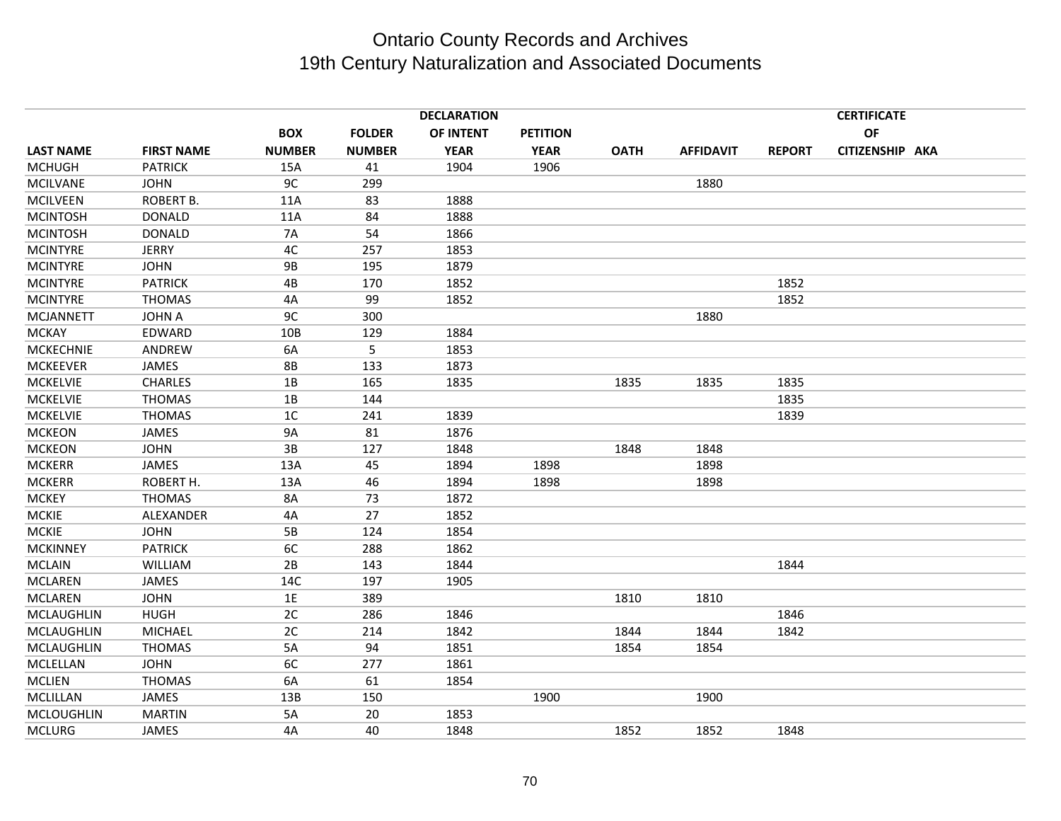| <b>DECLARATION</b><br><b>CERTIFICATE</b> |                   |                |               |             |                 |             |                  |               |                 |  |
|------------------------------------------|-------------------|----------------|---------------|-------------|-----------------|-------------|------------------|---------------|-----------------|--|
|                                          |                   | <b>BOX</b>     | <b>FOLDER</b> | OF INTENT   | <b>PETITION</b> |             |                  |               | OF              |  |
| <b>LAST NAME</b>                         | <b>FIRST NAME</b> | <b>NUMBER</b>  | <b>NUMBER</b> | <b>YEAR</b> | <b>YEAR</b>     | <b>OATH</b> | <b>AFFIDAVIT</b> | <b>REPORT</b> | CITIZENSHIP AKA |  |
| <b>MCHUGH</b>                            | <b>PATRICK</b>    | 15A            | 41            | 1904        | 1906            |             |                  |               |                 |  |
| <b>MCILVANE</b>                          | <b>JOHN</b>       | 9C             | 299           |             |                 |             | 1880             |               |                 |  |
| <b>MCILVEEN</b>                          | <b>ROBERT B.</b>  | 11A            | 83            | 1888        |                 |             |                  |               |                 |  |
| <b>MCINTOSH</b>                          | <b>DONALD</b>     | 11A            | 84            | 1888        |                 |             |                  |               |                 |  |
| <b>MCINTOSH</b>                          | <b>DONALD</b>     | <b>7A</b>      | 54            | 1866        |                 |             |                  |               |                 |  |
| <b>MCINTYRE</b>                          | <b>JERRY</b>      | 4C             | 257           | 1853        |                 |             |                  |               |                 |  |
| <b>MCINTYRE</b>                          | <b>JOHN</b>       | <b>9B</b>      | 195           | 1879        |                 |             |                  |               |                 |  |
| <b>MCINTYRE</b>                          | <b>PATRICK</b>    | 4B             | 170           | 1852        |                 |             |                  | 1852          |                 |  |
| <b>MCINTYRE</b>                          | <b>THOMAS</b>     | 4A             | 99            | 1852        |                 |             |                  | 1852          |                 |  |
| <b>MCJANNETT</b>                         | <b>JOHN A</b>     | 9C             | 300           |             |                 |             | 1880             |               |                 |  |
| <b>MCKAY</b>                             | EDWARD            | 10B            | 129           | 1884        |                 |             |                  |               |                 |  |
| <b>MCKECHNIE</b>                         | ANDREW            | 6A             | 5             | 1853        |                 |             |                  |               |                 |  |
| <b>MCKEEVER</b>                          | <b>JAMES</b>      | <b>8B</b>      | 133           | 1873        |                 |             |                  |               |                 |  |
| <b>MCKELVIE</b>                          | <b>CHARLES</b>    | 1B             | 165           | 1835        |                 | 1835        | 1835             | 1835          |                 |  |
| <b>MCKELVIE</b>                          | <b>THOMAS</b>     | 1B             | 144           |             |                 |             |                  | 1835          |                 |  |
| <b>MCKELVIE</b>                          | <b>THOMAS</b>     | 1 <sup>C</sup> | 241           | 1839        |                 |             |                  | 1839          |                 |  |
| <b>MCKEON</b>                            | JAMES             | 9A             | 81            | 1876        |                 |             |                  |               |                 |  |
| <b>MCKEON</b>                            | <b>JOHN</b>       | 3B             | 127           | 1848        |                 | 1848        | 1848             |               |                 |  |
| <b>MCKERR</b>                            | <b>JAMES</b>      | 13A            | 45            | 1894        | 1898            |             | 1898             |               |                 |  |
| <b>MCKERR</b>                            | ROBERT H.         | 13A            | 46            | 1894        | 1898            |             | 1898             |               |                 |  |
| <b>MCKEY</b>                             | <b>THOMAS</b>     | 8A             | 73            | 1872        |                 |             |                  |               |                 |  |
| <b>MCKIE</b>                             | ALEXANDER         | 4A             | 27            | 1852        |                 |             |                  |               |                 |  |
| <b>MCKIE</b>                             | <b>JOHN</b>       | 5B             | 124           | 1854        |                 |             |                  |               |                 |  |
| <b>MCKINNEY</b>                          | <b>PATRICK</b>    | 6C             | 288           | 1862        |                 |             |                  |               |                 |  |
| <b>MCLAIN</b>                            | <b>WILLIAM</b>    | 2B             | 143           | 1844        |                 |             |                  | 1844          |                 |  |
| <b>MCLAREN</b>                           | JAMES             | 14C            | 197           | 1905        |                 |             |                  |               |                 |  |
| <b>MCLAREN</b>                           | <b>JOHN</b>       | 1E             | 389           |             |                 | 1810        | 1810             |               |                 |  |
| <b>MCLAUGHLIN</b>                        | <b>HUGH</b>       | 2C             | 286           | 1846        |                 |             |                  | 1846          |                 |  |
| <b>MCLAUGHLIN</b>                        | <b>MICHAEL</b>    | 2C             | 214           | 1842        |                 | 1844        | 1844             | 1842          |                 |  |
| <b>MCLAUGHLIN</b>                        | <b>THOMAS</b>     | 5A             | 94            | 1851        |                 | 1854        | 1854             |               |                 |  |
| MCLELLAN                                 | <b>JOHN</b>       | 6C             | 277           | 1861        |                 |             |                  |               |                 |  |
| <b>MCLIEN</b>                            | <b>THOMAS</b>     | 6A             | 61            | 1854        |                 |             |                  |               |                 |  |
| MCLILLAN                                 | JAMES             | 13B            | 150           |             | 1900            |             | 1900             |               |                 |  |
| <b>MCLOUGHLIN</b>                        | <b>MARTIN</b>     | 5A             | 20            | 1853        |                 |             |                  |               |                 |  |
| <b>MCLURG</b>                            | JAMES             | 4A             | 40            | 1848        |                 | 1852        | 1852             | 1848          |                 |  |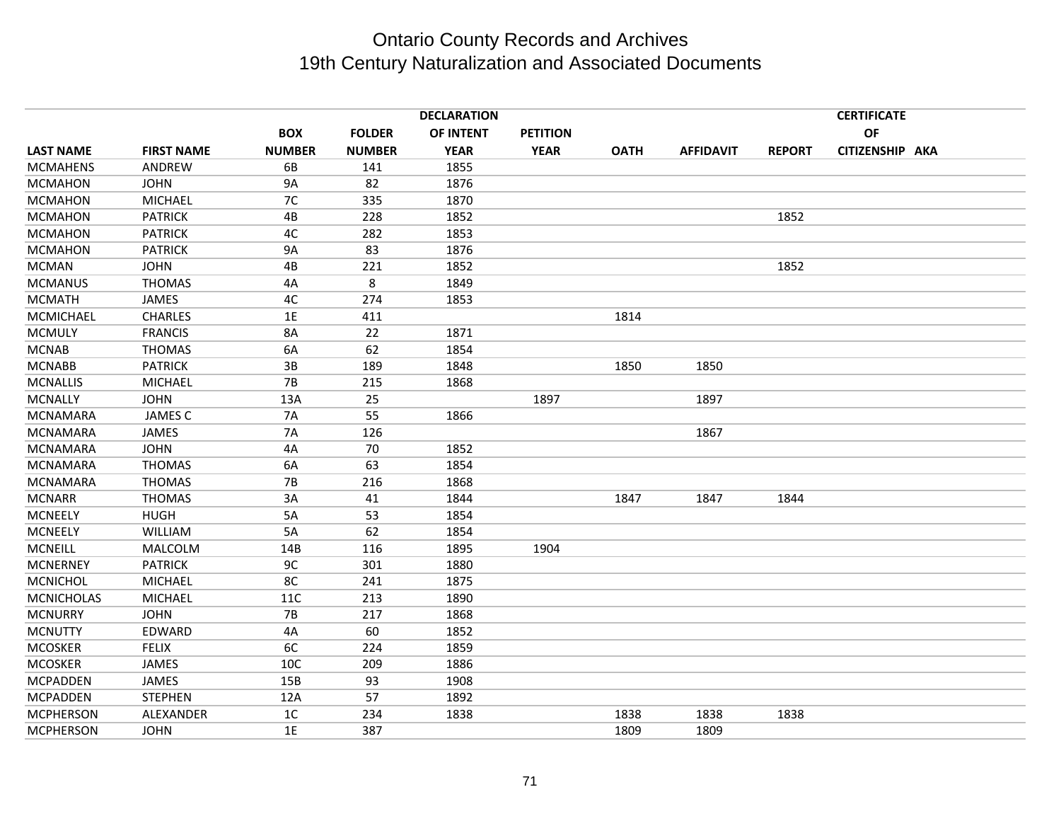|                   |                   |                |               | <b>DECLARATION</b> |                 |             |                  |               | <b>CERTIFICATE</b> |  |
|-------------------|-------------------|----------------|---------------|--------------------|-----------------|-------------|------------------|---------------|--------------------|--|
|                   |                   | <b>BOX</b>     | <b>FOLDER</b> | OF INTENT          | <b>PETITION</b> |             |                  |               | <b>OF</b>          |  |
| <b>LAST NAME</b>  | <b>FIRST NAME</b> | <b>NUMBER</b>  | <b>NUMBER</b> | <b>YEAR</b>        | <b>YEAR</b>     | <b>OATH</b> | <b>AFFIDAVIT</b> | <b>REPORT</b> | CITIZENSHIP AKA    |  |
| <b>MCMAHENS</b>   | ANDREW            | 6B             | 141           | 1855               |                 |             |                  |               |                    |  |
| <b>MCMAHON</b>    | <b>JOHN</b>       | <b>9A</b>      | 82            | 1876               |                 |             |                  |               |                    |  |
| <b>MCMAHON</b>    | <b>MICHAEL</b>    | 7C             | 335           | 1870               |                 |             |                  |               |                    |  |
| <b>MCMAHON</b>    | <b>PATRICK</b>    | 4B             | 228           | 1852               |                 |             |                  | 1852          |                    |  |
| <b>MCMAHON</b>    | <b>PATRICK</b>    | 4C             | 282           | 1853               |                 |             |                  |               |                    |  |
| <b>MCMAHON</b>    | <b>PATRICK</b>    | <b>9A</b>      | 83            | 1876               |                 |             |                  |               |                    |  |
| <b>MCMAN</b>      | <b>JOHN</b>       | 4B             | 221           | 1852               |                 |             |                  | 1852          |                    |  |
| <b>MCMANUS</b>    | <b>THOMAS</b>     | 4A             | 8             | 1849               |                 |             |                  |               |                    |  |
| <b>MCMATH</b>     | JAMES             | 4C             | 274           | 1853               |                 |             |                  |               |                    |  |
| MCMICHAEL         | <b>CHARLES</b>    | 1E             | 411           |                    |                 | 1814        |                  |               |                    |  |
| <b>MCMULY</b>     | <b>FRANCIS</b>    | 8A             | 22            | 1871               |                 |             |                  |               |                    |  |
| <b>MCNAB</b>      | <b>THOMAS</b>     | 6A             | 62            | 1854               |                 |             |                  |               |                    |  |
| <b>MCNABB</b>     | <b>PATRICK</b>    | 3B             | 189           | 1848               |                 | 1850        | 1850             |               |                    |  |
| <b>MCNALLIS</b>   | <b>MICHAEL</b>    | 7B             | 215           | 1868               |                 |             |                  |               |                    |  |
| <b>MCNALLY</b>    | <b>JOHN</b>       | 13A            | 25            |                    | 1897            |             | 1897             |               |                    |  |
| <b>MCNAMARA</b>   | <b>JAMES C</b>    | <b>7A</b>      | 55            | 1866               |                 |             |                  |               |                    |  |
| <b>MCNAMARA</b>   | JAMES             | <b>7A</b>      | 126           |                    |                 |             | 1867             |               |                    |  |
| <b>MCNAMARA</b>   | <b>JOHN</b>       | 4A             | 70            | 1852               |                 |             |                  |               |                    |  |
| <b>MCNAMARA</b>   | <b>THOMAS</b>     | 6A             | 63            | 1854               |                 |             |                  |               |                    |  |
| <b>MCNAMARA</b>   | <b>THOMAS</b>     | <b>7B</b>      | 216           | 1868               |                 |             |                  |               |                    |  |
| <b>MCNARR</b>     | <b>THOMAS</b>     | 3A             | 41            | 1844               |                 | 1847        | 1847             | 1844          |                    |  |
| <b>MCNEELY</b>    | <b>HUGH</b>       | 5A             | 53            | 1854               |                 |             |                  |               |                    |  |
| <b>MCNEELY</b>    | <b>WILLIAM</b>    | 5A             | 62            | 1854               |                 |             |                  |               |                    |  |
| <b>MCNEILL</b>    | MALCOLM           | 14B            | 116           | 1895               | 1904            |             |                  |               |                    |  |
| <b>MCNERNEY</b>   | <b>PATRICK</b>    | 9C             | 301           | 1880               |                 |             |                  |               |                    |  |
| <b>MCNICHOL</b>   | <b>MICHAEL</b>    | 8C             | 241           | 1875               |                 |             |                  |               |                    |  |
| <b>MCNICHOLAS</b> | <b>MICHAEL</b>    | <b>11C</b>     | 213           | 1890               |                 |             |                  |               |                    |  |
| <b>MCNURRY</b>    | <b>JOHN</b>       | 7B             | 217           | 1868               |                 |             |                  |               |                    |  |
| <b>MCNUTTY</b>    | EDWARD            | 4A             | 60            | 1852               |                 |             |                  |               |                    |  |
| <b>MCOSKER</b>    | <b>FELIX</b>      | 6C             | 224           | 1859               |                 |             |                  |               |                    |  |
| <b>MCOSKER</b>    | JAMES             | 10C            | 209           | 1886               |                 |             |                  |               |                    |  |
| <b>MCPADDEN</b>   | <b>JAMES</b>      | 15B            | 93            | 1908               |                 |             |                  |               |                    |  |
| <b>MCPADDEN</b>   | <b>STEPHEN</b>    | 12A            | 57            | 1892               |                 |             |                  |               |                    |  |
| <b>MCPHERSON</b>  | ALEXANDER         | 1 <sup>C</sup> | 234           | 1838               |                 | 1838        | 1838             | 1838          |                    |  |
| <b>MCPHERSON</b>  | <b>JOHN</b>       | 1E             | 387           |                    |                 | 1809        | 1809             |               |                    |  |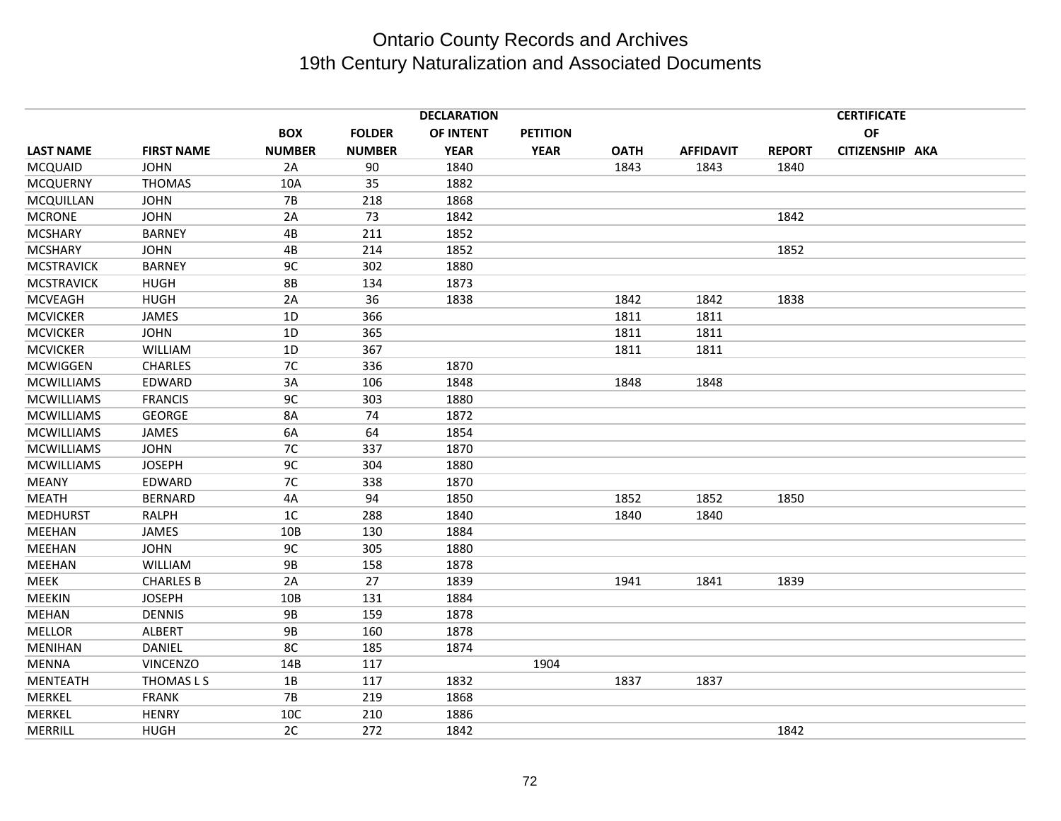|                   |                   |                |               | <b>DECLARATION</b> |                 |             |                  |               | <b>CERTIFICATE</b> |  |
|-------------------|-------------------|----------------|---------------|--------------------|-----------------|-------------|------------------|---------------|--------------------|--|
|                   |                   | <b>BOX</b>     | <b>FOLDER</b> | <b>OF INTENT</b>   | <b>PETITION</b> |             |                  |               | OF                 |  |
| <b>LAST NAME</b>  | <b>FIRST NAME</b> | <b>NUMBER</b>  | <b>NUMBER</b> | <b>YEAR</b>        | <b>YEAR</b>     | <b>OATH</b> | <b>AFFIDAVIT</b> | <b>REPORT</b> | CITIZENSHIP AKA    |  |
| <b>MCQUAID</b>    | <b>JOHN</b>       | 2A             | 90            | 1840               |                 | 1843        | 1843             | 1840          |                    |  |
| <b>MCQUERNY</b>   | <b>THOMAS</b>     | 10A            | 35            | 1882               |                 |             |                  |               |                    |  |
| MCQUILLAN         | <b>JOHN</b>       | <b>7B</b>      | 218           | 1868               |                 |             |                  |               |                    |  |
| <b>MCRONE</b>     | <b>JOHN</b>       | 2A             | 73            | 1842               |                 |             |                  | 1842          |                    |  |
| <b>MCSHARY</b>    | <b>BARNEY</b>     | 4B             | 211           | 1852               |                 |             |                  |               |                    |  |
| <b>MCSHARY</b>    | <b>JOHN</b>       | 4B             | 214           | 1852               |                 |             |                  | 1852          |                    |  |
| <b>MCSTRAVICK</b> | <b>BARNEY</b>     | 9C             | 302           | 1880               |                 |             |                  |               |                    |  |
| <b>MCSTRAVICK</b> | <b>HUGH</b>       | <b>8B</b>      | 134           | 1873               |                 |             |                  |               |                    |  |
| <b>MCVEAGH</b>    | <b>HUGH</b>       | 2A             | 36            | 1838               |                 | 1842        | 1842             | 1838          |                    |  |
| <b>MCVICKER</b>   | JAMES             | 1D             | 366           |                    |                 | 1811        | 1811             |               |                    |  |
| <b>MCVICKER</b>   | <b>JOHN</b>       | 1D             | 365           |                    |                 | 1811        | 1811             |               |                    |  |
| <b>MCVICKER</b>   | <b>WILLIAM</b>    | 1D             | 367           |                    |                 | 1811        | 1811             |               |                    |  |
| <b>MCWIGGEN</b>   | <b>CHARLES</b>    | 7C             | 336           | 1870               |                 |             |                  |               |                    |  |
| <b>MCWILLIAMS</b> | EDWARD            | 3A             | 106           | 1848               |                 | 1848        | 1848             |               |                    |  |
| <b>MCWILLIAMS</b> | <b>FRANCIS</b>    | 9C             | 303           | 1880               |                 |             |                  |               |                    |  |
| <b>MCWILLIAMS</b> | <b>GEORGE</b>     | 8A             | 74            | 1872               |                 |             |                  |               |                    |  |
| <b>MCWILLIAMS</b> | <b>JAMES</b>      | 6A             | 64            | 1854               |                 |             |                  |               |                    |  |
| <b>MCWILLIAMS</b> | <b>JOHN</b>       | 7C             | 337           | 1870               |                 |             |                  |               |                    |  |
| <b>MCWILLIAMS</b> | <b>JOSEPH</b>     | 9C             | 304           | 1880               |                 |             |                  |               |                    |  |
| <b>MEANY</b>      | EDWARD            | 7C             | 338           | 1870               |                 |             |                  |               |                    |  |
| <b>MEATH</b>      | <b>BERNARD</b>    | 4A             | 94            | 1850               |                 | 1852        | 1852             | 1850          |                    |  |
| <b>MEDHURST</b>   | <b>RALPH</b>      | 1 <sup>C</sup> | 288           | 1840               |                 | 1840        | 1840             |               |                    |  |
| MEEHAN            | JAMES             | 10B            | 130           | 1884               |                 |             |                  |               |                    |  |
| MEEHAN            | <b>JOHN</b>       | 9C             | 305           | 1880               |                 |             |                  |               |                    |  |
| MEEHAN            | <b>WILLIAM</b>    | <b>9B</b>      | 158           | 1878               |                 |             |                  |               |                    |  |
| <b>MEEK</b>       | <b>CHARLES B</b>  | 2A             | 27            | 1839               |                 | 1941        | 1841             | 1839          |                    |  |
| <b>MEEKIN</b>     | <b>JOSEPH</b>     | 10B            | 131           | 1884               |                 |             |                  |               |                    |  |
| <b>MEHAN</b>      | <b>DENNIS</b>     | <b>9B</b>      | 159           | 1878               |                 |             |                  |               |                    |  |
| <b>MELLOR</b>     | <b>ALBERT</b>     | <b>9B</b>      | 160           | 1878               |                 |             |                  |               |                    |  |
| <b>MENIHAN</b>    | DANIEL            | 8C             | 185           | 1874               |                 |             |                  |               |                    |  |
| <b>MENNA</b>      | <b>VINCENZO</b>   | 14B            | 117           |                    | 1904            |             |                  |               |                    |  |
| MENTEATH          | THOMAS L S        | 1B             | 117           | 1832               |                 | 1837        | 1837             |               |                    |  |
| MERKEL            | <b>FRANK</b>      | <b>7B</b>      | 219           | 1868               |                 |             |                  |               |                    |  |
| MERKEL            | <b>HENRY</b>      | 10C            | 210           | 1886               |                 |             |                  |               |                    |  |
| MERRILL           | <b>HUGH</b>       | 2C             | 272           | 1842               |                 |             |                  | 1842          |                    |  |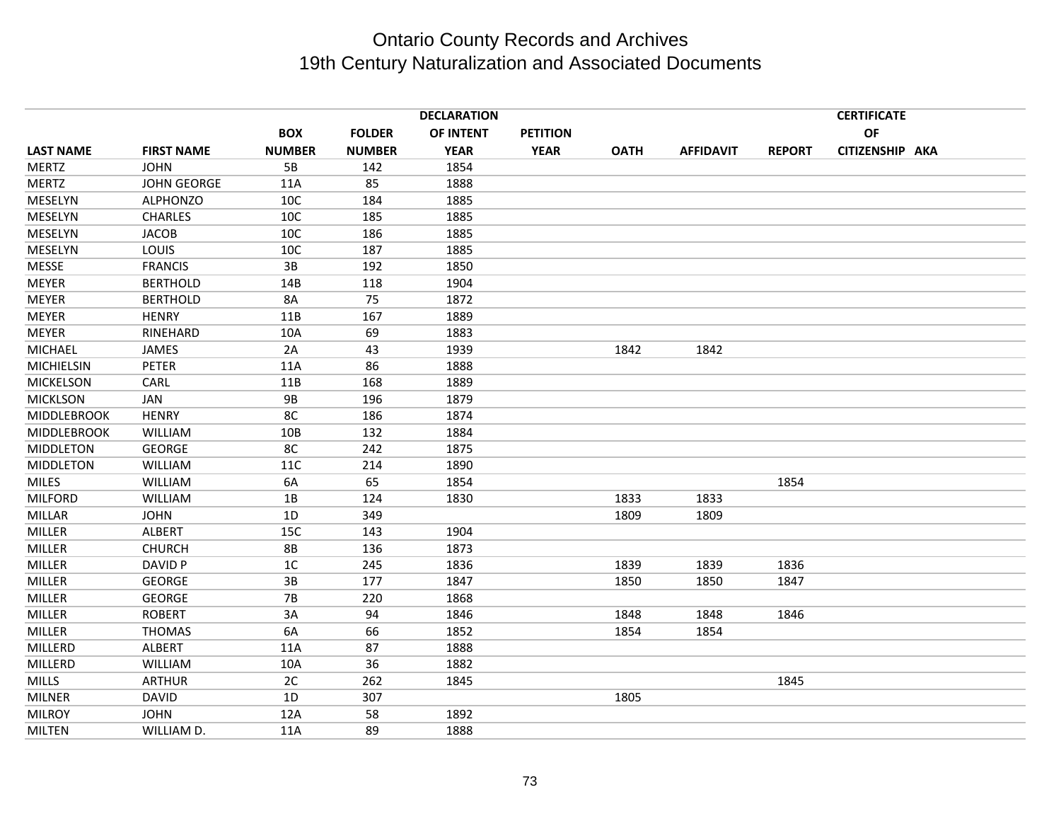|                    |                    |                |               | <b>DECLARATION</b> |                 |             |                  |               | <b>CERTIFICATE</b> |  |
|--------------------|--------------------|----------------|---------------|--------------------|-----------------|-------------|------------------|---------------|--------------------|--|
|                    |                    | <b>BOX</b>     | <b>FOLDER</b> | OF INTENT          | <b>PETITION</b> |             |                  |               | OF                 |  |
| <b>LAST NAME</b>   | <b>FIRST NAME</b>  | <b>NUMBER</b>  | <b>NUMBER</b> | <b>YEAR</b>        | <b>YEAR</b>     | <b>OATH</b> | <b>AFFIDAVIT</b> | <b>REPORT</b> | CITIZENSHIP AKA    |  |
| <b>MERTZ</b>       | <b>JOHN</b>        | 5B             | 142           | 1854               |                 |             |                  |               |                    |  |
| <b>MERTZ</b>       | <b>JOHN GEORGE</b> | 11A            | 85            | 1888               |                 |             |                  |               |                    |  |
| MESELYN            | <b>ALPHONZO</b>    | 10C            | 184           | 1885               |                 |             |                  |               |                    |  |
| MESELYN            | <b>CHARLES</b>     | 10C            | 185           | 1885               |                 |             |                  |               |                    |  |
| MESELYN            | <b>JACOB</b>       | 10C            | 186           | 1885               |                 |             |                  |               |                    |  |
| MESELYN            | LOUIS              | 10C            | 187           | 1885               |                 |             |                  |               |                    |  |
| <b>MESSE</b>       | <b>FRANCIS</b>     | 3B             | 192           | 1850               |                 |             |                  |               |                    |  |
| <b>MEYER</b>       | <b>BERTHOLD</b>    | 14B            | 118           | 1904               |                 |             |                  |               |                    |  |
| <b>MEYER</b>       | <b>BERTHOLD</b>    | 8A             | 75            | 1872               |                 |             |                  |               |                    |  |
| <b>MEYER</b>       | <b>HENRY</b>       | 11B            | 167           | 1889               |                 |             |                  |               |                    |  |
| <b>MEYER</b>       | RINEHARD           | 10A            | 69            | 1883               |                 |             |                  |               |                    |  |
| <b>MICHAEL</b>     | JAMES              | 2A             | 43            | 1939               |                 | 1842        | 1842             |               |                    |  |
| MICHIELSIN         | <b>PETER</b>       | 11A            | 86            | 1888               |                 |             |                  |               |                    |  |
| <b>MICKELSON</b>   | CARL               | 11B            | 168           | 1889               |                 |             |                  |               |                    |  |
| <b>MICKLSON</b>    | JAN                | <b>9B</b>      | 196           | 1879               |                 |             |                  |               |                    |  |
| <b>MIDDLEBROOK</b> | <b>HENRY</b>       | 8C             | 186           | 1874               |                 |             |                  |               |                    |  |
| <b>MIDDLEBROOK</b> | <b>WILLIAM</b>     | 10B            | 132           | 1884               |                 |             |                  |               |                    |  |
| <b>MIDDLETON</b>   | <b>GEORGE</b>      | 8C             | 242           | 1875               |                 |             |                  |               |                    |  |
| <b>MIDDLETON</b>   | WILLIAM            | 11C            | 214           | 1890               |                 |             |                  |               |                    |  |
| <b>MILES</b>       | WILLIAM            | 6A             | 65            | 1854               |                 |             |                  | 1854          |                    |  |
| <b>MILFORD</b>     | WILLIAM            | 1B             | 124           | 1830               |                 | 1833        | 1833             |               |                    |  |
| <b>MILLAR</b>      | <b>JOHN</b>        | 1D             | 349           |                    |                 | 1809        | 1809             |               |                    |  |
| MILLER             | ALBERT             | 15C            | 143           | 1904               |                 |             |                  |               |                    |  |
| MILLER             | <b>CHURCH</b>      | <b>8B</b>      | 136           | 1873               |                 |             |                  |               |                    |  |
| MILLER             | DAVID P            | 1 <sup>C</sup> | 245           | 1836               |                 | 1839        | 1839             | 1836          |                    |  |
| MILLER             | <b>GEORGE</b>      | $3B$           | 177           | 1847               |                 | 1850        | 1850             | 1847          |                    |  |
| MILLER             | <b>GEORGE</b>      | <b>7B</b>      | 220           | 1868               |                 |             |                  |               |                    |  |
| <b>MILLER</b>      | <b>ROBERT</b>      | 3A             | 94            | 1846               |                 | 1848        | 1848             | 1846          |                    |  |
| MILLER             | <b>THOMAS</b>      | 6A             | 66            | 1852               |                 | 1854        | 1854             |               |                    |  |
| MILLERD            | <b>ALBERT</b>      | 11A            | 87            | 1888               |                 |             |                  |               |                    |  |
| MILLERD            | WILLIAM            | 10A            | 36            | 1882               |                 |             |                  |               |                    |  |
| <b>MILLS</b>       | <b>ARTHUR</b>      | 2C             | 262           | 1845               |                 |             |                  | 1845          |                    |  |
| <b>MILNER</b>      | <b>DAVID</b>       | 1D             | 307           |                    |                 | 1805        |                  |               |                    |  |
| <b>MILROY</b>      | <b>JOHN</b>        | 12A            | 58            | 1892               |                 |             |                  |               |                    |  |
| <b>MILTEN</b>      | WILLIAM D.         | 11A            | 89            | 1888               |                 |             |                  |               |                    |  |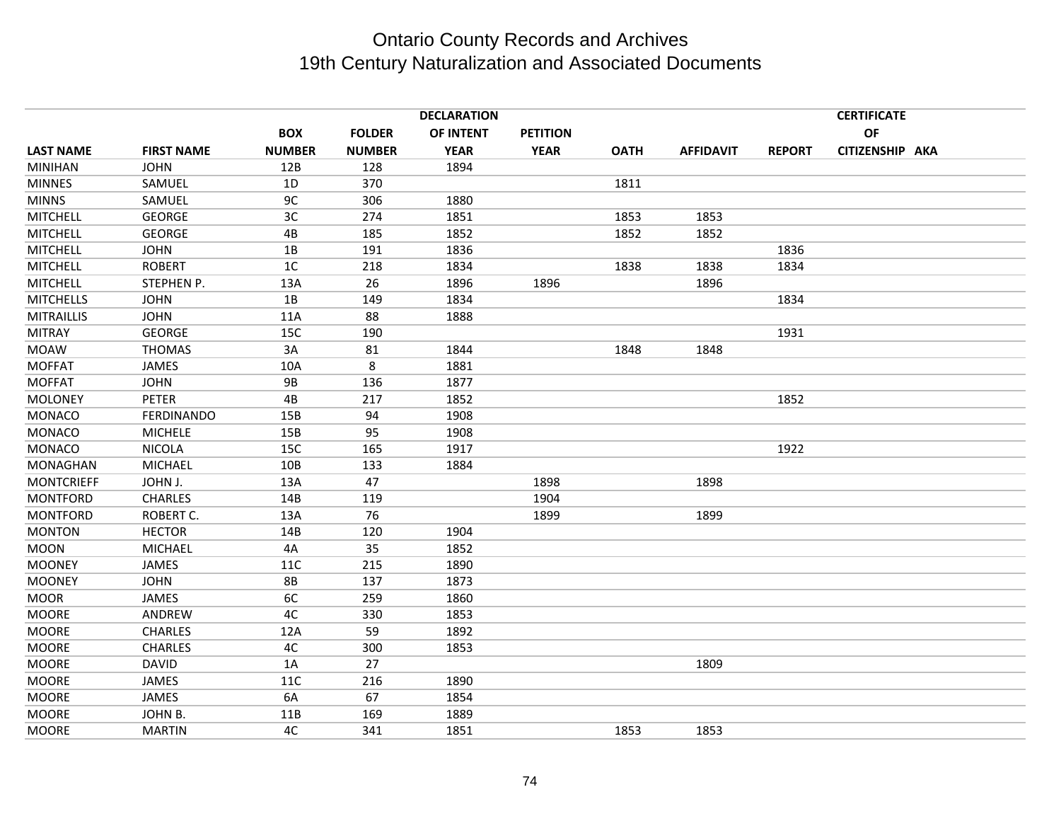|                   |                   |                |               | <b>DECLARATION</b> |                 |             |                  | <b>CERTIFICATE</b> |                 |  |  |
|-------------------|-------------------|----------------|---------------|--------------------|-----------------|-------------|------------------|--------------------|-----------------|--|--|
|                   |                   | <b>BOX</b>     | <b>FOLDER</b> | <b>OF INTENT</b>   | <b>PETITION</b> |             |                  |                    | <b>OF</b>       |  |  |
| <b>LAST NAME</b>  | <b>FIRST NAME</b> | <b>NUMBER</b>  | <b>NUMBER</b> | <b>YEAR</b>        | <b>YEAR</b>     | <b>OATH</b> | <b>AFFIDAVIT</b> | <b>REPORT</b>      | CITIZENSHIP AKA |  |  |
| <b>MINIHAN</b>    | <b>JOHN</b>       | 12B            | 128           | 1894               |                 |             |                  |                    |                 |  |  |
| <b>MINNES</b>     | SAMUEL            | 1D             | 370           |                    |                 | 1811        |                  |                    |                 |  |  |
| <b>MINNS</b>      | SAMUEL            | 9C             | 306           | 1880               |                 |             |                  |                    |                 |  |  |
| <b>MITCHELL</b>   | <b>GEORGE</b>     | 3 <sub>C</sub> | 274           | 1851               |                 | 1853        | 1853             |                    |                 |  |  |
| <b>MITCHELL</b>   | <b>GEORGE</b>     | 4B             | 185           | 1852               |                 | 1852        | 1852             |                    |                 |  |  |
| <b>MITCHELL</b>   | <b>JOHN</b>       | 1B             | 191           | 1836               |                 |             |                  | 1836               |                 |  |  |
| <b>MITCHELL</b>   | <b>ROBERT</b>     | 1 <sup>C</sup> | 218           | 1834               |                 | 1838        | 1838             | 1834               |                 |  |  |
| <b>MITCHELL</b>   | STEPHEN P.        | 13A            | 26            | 1896               | 1896            |             | 1896             |                    |                 |  |  |
| <b>MITCHELLS</b>  | <b>JOHN</b>       | 1B             | 149           | 1834               |                 |             |                  | 1834               |                 |  |  |
| <b>MITRAILLIS</b> | <b>JOHN</b>       | 11A            | 88            | 1888               |                 |             |                  |                    |                 |  |  |
| <b>MITRAY</b>     | <b>GEORGE</b>     | 15C            | 190           |                    |                 |             |                  | 1931               |                 |  |  |
| <b>MOAW</b>       | THOMAS            | 3A             | 81            | 1844               |                 | 1848        | 1848             |                    |                 |  |  |
| <b>MOFFAT</b>     | <b>JAMES</b>      | 10A            | 8             | 1881               |                 |             |                  |                    |                 |  |  |
| <b>MOFFAT</b>     | <b>JOHN</b>       | <b>9B</b>      | 136           | 1877               |                 |             |                  |                    |                 |  |  |
| <b>MOLONEY</b>    | <b>PETER</b>      | 4B             | 217           | 1852               |                 |             |                  | 1852               |                 |  |  |
| <b>MONACO</b>     | <b>FERDINANDO</b> | 15B            | 94            | 1908               |                 |             |                  |                    |                 |  |  |
| <b>MONACO</b>     | <b>MICHELE</b>    | 15B            | 95            | 1908               |                 |             |                  |                    |                 |  |  |
| <b>MONACO</b>     | <b>NICOLA</b>     | 15C            | 165           | 1917               |                 |             |                  | 1922               |                 |  |  |
| <b>MONAGHAN</b>   | <b>MICHAEL</b>    | 10B            | 133           | 1884               |                 |             |                  |                    |                 |  |  |
| <b>MONTCRIEFF</b> | JOHN J.           | 13A            | 47            |                    | 1898            |             | 1898             |                    |                 |  |  |
| <b>MONTFORD</b>   | <b>CHARLES</b>    | 14B            | 119           |                    | 1904            |             |                  |                    |                 |  |  |
| <b>MONTFORD</b>   | ROBERT C.         | 13A            | 76            |                    | 1899            |             | 1899             |                    |                 |  |  |
| <b>MONTON</b>     | <b>HECTOR</b>     | 14B            | 120           | 1904               |                 |             |                  |                    |                 |  |  |
| <b>MOON</b>       | <b>MICHAEL</b>    | 4A             | 35            | 1852               |                 |             |                  |                    |                 |  |  |
| <b>MOONEY</b>     | JAMES             | 11C            | 215           | 1890               |                 |             |                  |                    |                 |  |  |
| <b>MOONEY</b>     | <b>JOHN</b>       | <b>8B</b>      | 137           | 1873               |                 |             |                  |                    |                 |  |  |
| <b>MOOR</b>       | JAMES             | 6C             | 259           | 1860               |                 |             |                  |                    |                 |  |  |
| <b>MOORE</b>      | ANDREW            | 4C             | 330           | 1853               |                 |             |                  |                    |                 |  |  |
| <b>MOORE</b>      | <b>CHARLES</b>    | 12A            | 59            | 1892               |                 |             |                  |                    |                 |  |  |
| <b>MOORE</b>      | <b>CHARLES</b>    | 4C             | 300           | 1853               |                 |             |                  |                    |                 |  |  |
| <b>MOORE</b>      | <b>DAVID</b>      | 1A             | 27            |                    |                 |             | 1809             |                    |                 |  |  |
| <b>MOORE</b>      | JAMES             | 11C            | 216           | 1890               |                 |             |                  |                    |                 |  |  |
| <b>MOORE</b>      | JAMES             | 6A             | 67            | 1854               |                 |             |                  |                    |                 |  |  |
| <b>MOORE</b>      | JOHN B.           | 11B            | 169           | 1889               |                 |             |                  |                    |                 |  |  |
| <b>MOORE</b>      | <b>MARTIN</b>     | 4C             | 341           | 1851               |                 | 1853        | 1853             |                    |                 |  |  |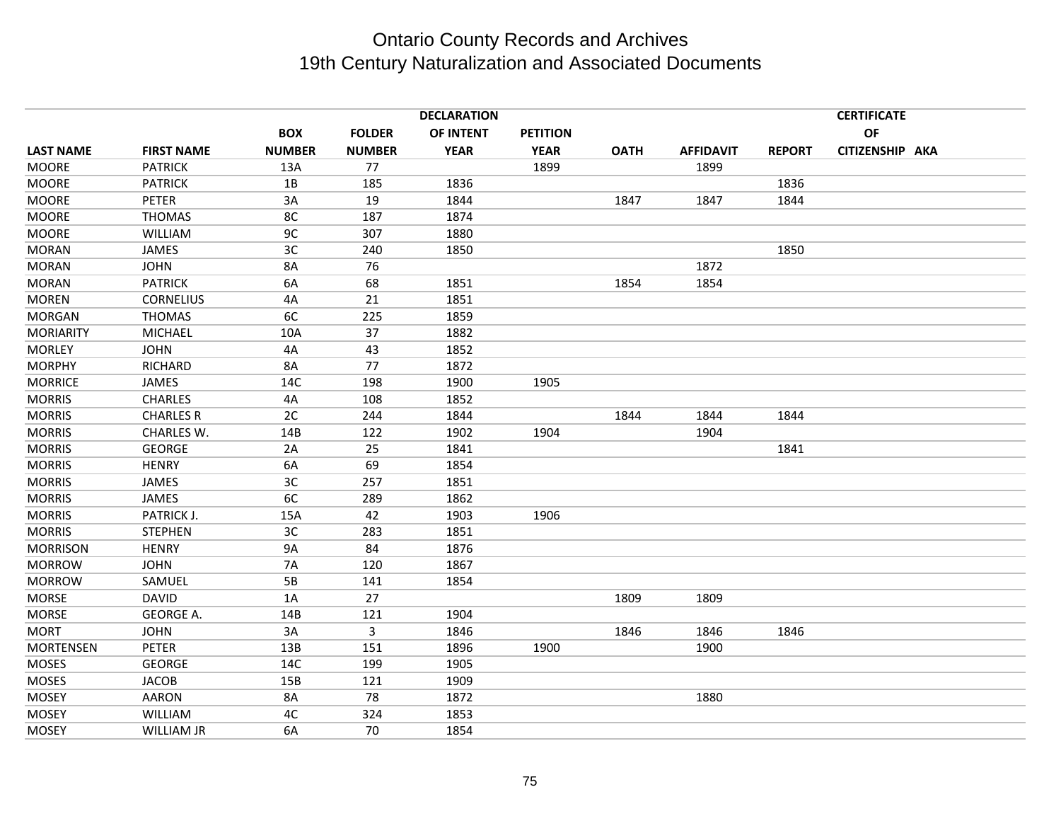|                  | <b>DECLARATION</b><br><b>CERTIFICATE</b> |               |               |             |                 |             |                  |               |                 |  |
|------------------|------------------------------------------|---------------|---------------|-------------|-----------------|-------------|------------------|---------------|-----------------|--|
|                  |                                          | <b>BOX</b>    | <b>FOLDER</b> | OF INTENT   | <b>PETITION</b> |             |                  |               | OF              |  |
| <b>LAST NAME</b> | <b>FIRST NAME</b>                        | <b>NUMBER</b> | <b>NUMBER</b> | <b>YEAR</b> | <b>YEAR</b>     | <b>OATH</b> | <b>AFFIDAVIT</b> | <b>REPORT</b> | CITIZENSHIP AKA |  |
| <b>MOORE</b>     | <b>PATRICK</b>                           | 13A           | 77            |             | 1899            |             | 1899             |               |                 |  |
| <b>MOORE</b>     | <b>PATRICK</b>                           | 1B            | 185           | 1836        |                 |             |                  | 1836          |                 |  |
| <b>MOORE</b>     | <b>PETER</b>                             | 3A            | 19            | 1844        |                 | 1847        | 1847             | 1844          |                 |  |
| <b>MOORE</b>     | <b>THOMAS</b>                            | 8C            | 187           | 1874        |                 |             |                  |               |                 |  |
| <b>MOORE</b>     | WILLIAM                                  | 9C            | 307           | 1880        |                 |             |                  |               |                 |  |
| <b>MORAN</b>     | JAMES                                    | 3C            | 240           | 1850        |                 |             |                  | 1850          |                 |  |
| <b>MORAN</b>     | <b>JOHN</b>                              | <b>8A</b>     | 76            |             |                 |             | 1872             |               |                 |  |
| <b>MORAN</b>     | <b>PATRICK</b>                           | 6A            | 68            | 1851        |                 | 1854        | 1854             |               |                 |  |
| <b>MOREN</b>     | <b>CORNELIUS</b>                         | 4A            | 21            | 1851        |                 |             |                  |               |                 |  |
| <b>MORGAN</b>    | <b>THOMAS</b>                            | 6C            | 225           | 1859        |                 |             |                  |               |                 |  |
| <b>MORIARITY</b> | <b>MICHAEL</b>                           | 10A           | 37            | 1882        |                 |             |                  |               |                 |  |
| <b>MORLEY</b>    | <b>JOHN</b>                              | 4A            | 43            | 1852        |                 |             |                  |               |                 |  |
| <b>MORPHY</b>    | RICHARD                                  | 8A            | 77            | 1872        |                 |             |                  |               |                 |  |
| <b>MORRICE</b>   | JAMES                                    | 14C           | 198           | 1900        | 1905            |             |                  |               |                 |  |
| <b>MORRIS</b>    | <b>CHARLES</b>                           | 4A            | 108           | 1852        |                 |             |                  |               |                 |  |
| <b>MORRIS</b>    | <b>CHARLES R</b>                         | 2C            | 244           | 1844        |                 | 1844        | 1844             | 1844          |                 |  |
| <b>MORRIS</b>    | CHARLES W.                               | 14B           | 122           | 1902        | 1904            |             | 1904             |               |                 |  |
| <b>MORRIS</b>    | <b>GEORGE</b>                            | 2A            | 25            | 1841        |                 |             |                  | 1841          |                 |  |
| <b>MORRIS</b>    | <b>HENRY</b>                             | 6A            | 69            | 1854        |                 |             |                  |               |                 |  |
| <b>MORRIS</b>    | <b>JAMES</b>                             | 3C            | 257           | 1851        |                 |             |                  |               |                 |  |
| <b>MORRIS</b>    | JAMES                                    | 6C            | 289           | 1862        |                 |             |                  |               |                 |  |
| <b>MORRIS</b>    | PATRICK J.                               | 15A           | 42            | 1903        | 1906            |             |                  |               |                 |  |
| <b>MORRIS</b>    | <b>STEPHEN</b>                           | 3C            | 283           | 1851        |                 |             |                  |               |                 |  |
| <b>MORRISON</b>  | <b>HENRY</b>                             | <b>9A</b>     | 84            | 1876        |                 |             |                  |               |                 |  |
| <b>MORROW</b>    | <b>JOHN</b>                              | <b>7A</b>     | 120           | 1867        |                 |             |                  |               |                 |  |
| <b>MORROW</b>    | SAMUEL                                   | 5B            | 141           | 1854        |                 |             |                  |               |                 |  |
| <b>MORSE</b>     | <b>DAVID</b>                             | 1A            | 27            |             |                 | 1809        | 1809             |               |                 |  |
| <b>MORSE</b>     | <b>GEORGE A.</b>                         | 14B           | 121           | 1904        |                 |             |                  |               |                 |  |
| <b>MORT</b>      | <b>JOHN</b>                              | 3A            | 3             | 1846        |                 | 1846        | 1846             | 1846          |                 |  |
| <b>MORTENSEN</b> | <b>PETER</b>                             | 13B           | 151           | 1896        | 1900            |             | 1900             |               |                 |  |
| <b>MOSES</b>     | <b>GEORGE</b>                            | 14C           | 199           | 1905        |                 |             |                  |               |                 |  |
| <b>MOSES</b>     | <b>JACOB</b>                             | 15B           | 121           | 1909        |                 |             |                  |               |                 |  |
| <b>MOSEY</b>     | <b>AARON</b>                             | 8A            | 78            | 1872        |                 |             | 1880             |               |                 |  |
| <b>MOSEY</b>     | WILLIAM                                  | 4C            | 324           | 1853        |                 |             |                  |               |                 |  |
| <b>MOSEY</b>     | <b>WILLIAM JR</b>                        | 6A            | 70            | 1854        |                 |             |                  |               |                 |  |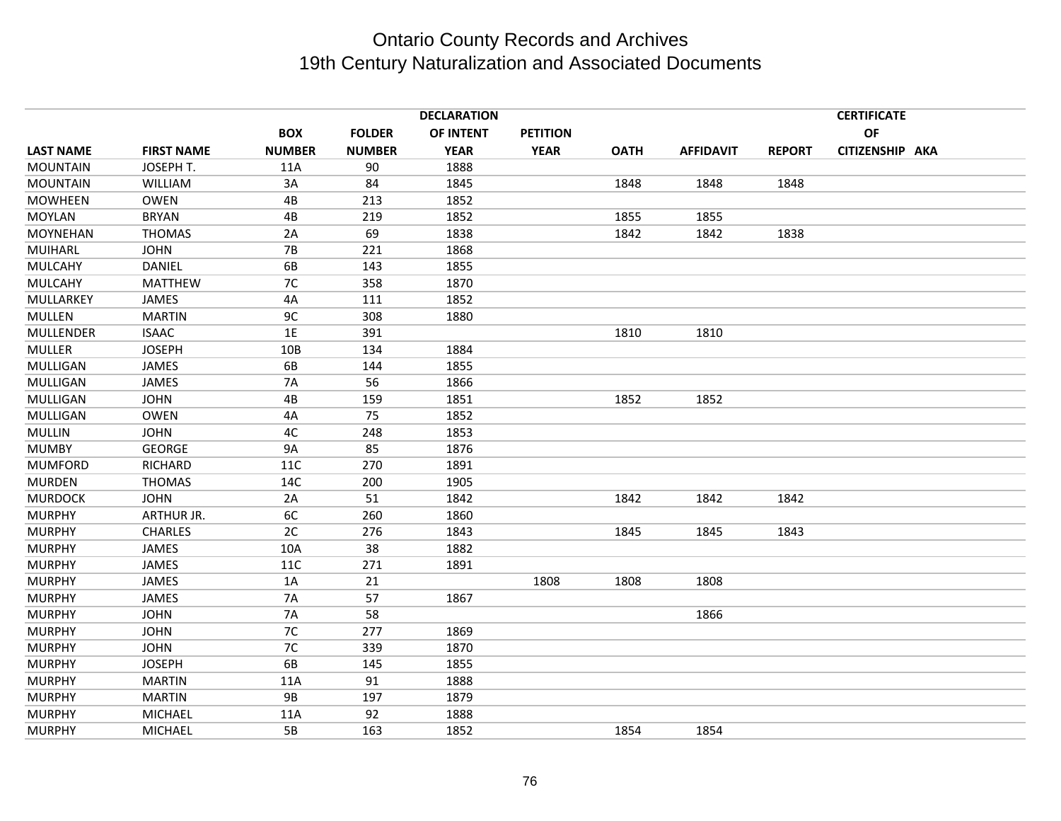|                  |                   |                 |               | <b>DECLARATION</b> |                 |             |                  | <b>CERTIFICATE</b> |                 |  |  |  |
|------------------|-------------------|-----------------|---------------|--------------------|-----------------|-------------|------------------|--------------------|-----------------|--|--|--|
|                  |                   | <b>BOX</b>      | <b>FOLDER</b> | OF INTENT          | <b>PETITION</b> |             |                  |                    | OF              |  |  |  |
| <b>LAST NAME</b> | <b>FIRST NAME</b> | <b>NUMBER</b>   | <b>NUMBER</b> | <b>YEAR</b>        | <b>YEAR</b>     | <b>OATH</b> | <b>AFFIDAVIT</b> | <b>REPORT</b>      | CITIZENSHIP AKA |  |  |  |
| <b>MOUNTAIN</b>  | JOSEPH T.         | 11A             | 90            | 1888               |                 |             |                  |                    |                 |  |  |  |
| <b>MOUNTAIN</b>  | WILLIAM           | 3A              | 84            | 1845               |                 | 1848        | 1848             | 1848               |                 |  |  |  |
| <b>MOWHEEN</b>   | <b>OWEN</b>       | 4B              | 213           | 1852               |                 |             |                  |                    |                 |  |  |  |
| MOYLAN           | <b>BRYAN</b>      | 4B              | 219           | 1852               |                 | 1855        | 1855             |                    |                 |  |  |  |
| <b>MOYNEHAN</b>  | <b>THOMAS</b>     | 2A              | 69            | 1838               |                 | 1842        | 1842             | 1838               |                 |  |  |  |
| MUIHARL          | <b>JOHN</b>       | <b>7B</b>       | 221           | 1868               |                 |             |                  |                    |                 |  |  |  |
| <b>MULCAHY</b>   | <b>DANIEL</b>     | 6B              | 143           | 1855               |                 |             |                  |                    |                 |  |  |  |
| MULCAHY          | <b>MATTHEW</b>    | 7C              | 358           | 1870               |                 |             |                  |                    |                 |  |  |  |
| MULLARKEY        | JAMES             | 4A              | 111           | 1852               |                 |             |                  |                    |                 |  |  |  |
| <b>MULLEN</b>    | <b>MARTIN</b>     | 9C              | 308           | 1880               |                 |             |                  |                    |                 |  |  |  |
| MULLENDER        | <b>ISAAC</b>      | 1E              | 391           |                    |                 | 1810        | 1810             |                    |                 |  |  |  |
| <b>MULLER</b>    | <b>JOSEPH</b>     | 10 <sub>B</sub> | 134           | 1884               |                 |             |                  |                    |                 |  |  |  |
| MULLIGAN         | <b>JAMES</b>      | 6B              | 144           | 1855               |                 |             |                  |                    |                 |  |  |  |
| MULLIGAN         | JAMES             | <b>7A</b>       | 56            | 1866               |                 |             |                  |                    |                 |  |  |  |
| MULLIGAN         | <b>JOHN</b>       | 4B              | 159           | 1851               |                 | 1852        | 1852             |                    |                 |  |  |  |
| MULLIGAN         | <b>OWEN</b>       | 4A              | 75            | 1852               |                 |             |                  |                    |                 |  |  |  |
| <b>MULLIN</b>    | <b>JOHN</b>       | 4C              | 248           | 1853               |                 |             |                  |                    |                 |  |  |  |
| <b>MUMBY</b>     | <b>GEORGE</b>     | 9A              | 85            | 1876               |                 |             |                  |                    |                 |  |  |  |
| <b>MUMFORD</b>   | <b>RICHARD</b>    | <b>11C</b>      | 270           | 1891               |                 |             |                  |                    |                 |  |  |  |
| <b>MURDEN</b>    | <b>THOMAS</b>     | 14C             | 200           | 1905               |                 |             |                  |                    |                 |  |  |  |
| <b>MURDOCK</b>   | <b>JOHN</b>       | 2A              | 51            | 1842               |                 | 1842        | 1842             | 1842               |                 |  |  |  |
| <b>MURPHY</b>    | ARTHUR JR.        | 6C              | 260           | 1860               |                 |             |                  |                    |                 |  |  |  |
| <b>MURPHY</b>    | <b>CHARLES</b>    | 2C              | 276           | 1843               |                 | 1845        | 1845             | 1843               |                 |  |  |  |
| <b>MURPHY</b>    | JAMES             | 10A             | 38            | 1882               |                 |             |                  |                    |                 |  |  |  |
| <b>MURPHY</b>    | <b>JAMES</b>      | 11C             | 271           | 1891               |                 |             |                  |                    |                 |  |  |  |
| <b>MURPHY</b>    | JAMES             | 1A              | 21            |                    | 1808            | 1808        | 1808             |                    |                 |  |  |  |
| <b>MURPHY</b>    | <b>JAMES</b>      | <b>7A</b>       | 57            | 1867               |                 |             |                  |                    |                 |  |  |  |
| <b>MURPHY</b>    | <b>JOHN</b>       | <b>7A</b>       | 58            |                    |                 |             | 1866             |                    |                 |  |  |  |
| <b>MURPHY</b>    | <b>JOHN</b>       | 7C              | 277           | 1869               |                 |             |                  |                    |                 |  |  |  |
| <b>MURPHY</b>    | <b>JOHN</b>       | 7C              | 339           | 1870               |                 |             |                  |                    |                 |  |  |  |
| <b>MURPHY</b>    | <b>JOSEPH</b>     | 6B              | 145           | 1855               |                 |             |                  |                    |                 |  |  |  |
| <b>MURPHY</b>    | <b>MARTIN</b>     | 11A             | 91            | 1888               |                 |             |                  |                    |                 |  |  |  |
| <b>MURPHY</b>    | <b>MARTIN</b>     | <b>9B</b>       | 197           | 1879               |                 |             |                  |                    |                 |  |  |  |
| <b>MURPHY</b>    | <b>MICHAEL</b>    | 11A             | 92            | 1888               |                 |             |                  |                    |                 |  |  |  |
| <b>MURPHY</b>    | <b>MICHAEL</b>    | 5B              | 163           | 1852               |                 | 1854        | 1854             |                    |                 |  |  |  |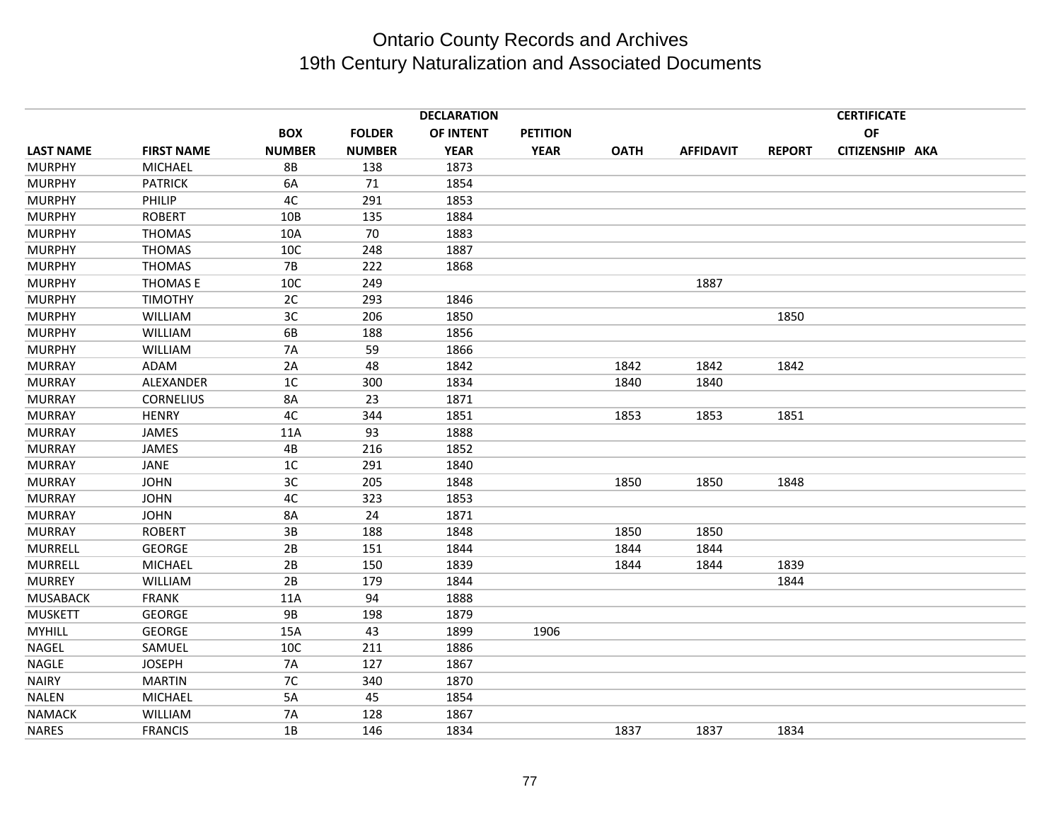|                  |                   |               |               | <b>DECLARATION</b> |                 |             |                  |               | <b>CERTIFICATE</b> |  |
|------------------|-------------------|---------------|---------------|--------------------|-----------------|-------------|------------------|---------------|--------------------|--|
|                  |                   | <b>BOX</b>    | <b>FOLDER</b> | OF INTENT          | <b>PETITION</b> |             |                  |               | OF                 |  |
| <b>LAST NAME</b> | <b>FIRST NAME</b> | <b>NUMBER</b> | <b>NUMBER</b> | <b>YEAR</b>        | <b>YEAR</b>     | <b>OATH</b> | <b>AFFIDAVIT</b> | <b>REPORT</b> | CITIZENSHIP AKA    |  |
| <b>MURPHY</b>    | <b>MICHAEL</b>    | 8B            | 138           | 1873               |                 |             |                  |               |                    |  |
| <b>MURPHY</b>    | <b>PATRICK</b>    | 6A            | 71            | 1854               |                 |             |                  |               |                    |  |
| <b>MURPHY</b>    | PHILIP            | 4C            | 291           | 1853               |                 |             |                  |               |                    |  |
| <b>MURPHY</b>    | <b>ROBERT</b>     | 10B           | 135           | 1884               |                 |             |                  |               |                    |  |
| <b>MURPHY</b>    | <b>THOMAS</b>     | 10A           | 70            | 1883               |                 |             |                  |               |                    |  |
| <b>MURPHY</b>    | <b>THOMAS</b>     | 10C           | 248           | 1887               |                 |             |                  |               |                    |  |
| <b>MURPHY</b>    | <b>THOMAS</b>     | $7B$          | 222           | 1868               |                 |             |                  |               |                    |  |
| <b>MURPHY</b>    | THOMAS E          | 10C           | 249           |                    |                 |             | 1887             |               |                    |  |
| <b>MURPHY</b>    | <b>TIMOTHY</b>    | 2C            | 293           | 1846               |                 |             |                  |               |                    |  |
| <b>MURPHY</b>    | WILLIAM           | 3C            | 206           | 1850               |                 |             |                  | 1850          |                    |  |
| <b>MURPHY</b>    | WILLIAM           | 6B            | 188           | 1856               |                 |             |                  |               |                    |  |
| <b>MURPHY</b>    | WILLIAM           | <b>7A</b>     | 59            | 1866               |                 |             |                  |               |                    |  |
| <b>MURRAY</b>    | ADAM              | 2A            | 48            | 1842               |                 | 1842        | 1842             | 1842          |                    |  |
| <b>MURRAY</b>    | ALEXANDER         | 1C            | 300           | 1834               |                 | 1840        | 1840             |               |                    |  |
| <b>MURRAY</b>    | <b>CORNELIUS</b>  | 8A            | 23            | 1871               |                 |             |                  |               |                    |  |
| <b>MURRAY</b>    | <b>HENRY</b>      | 4C            | 344           | 1851               |                 | 1853        | 1853             | 1851          |                    |  |
| <b>MURRAY</b>    | <b>JAMES</b>      | 11A           | 93            | 1888               |                 |             |                  |               |                    |  |
| <b>MURRAY</b>    | JAMES             | 4B            | 216           | 1852               |                 |             |                  |               |                    |  |
| <b>MURRAY</b>    | JANE              | 1C            | 291           | 1840               |                 |             |                  |               |                    |  |
| <b>MURRAY</b>    | <b>JOHN</b>       | 3C            | 205           | 1848               |                 | 1850        | 1850             | 1848          |                    |  |
| <b>MURRAY</b>    | <b>JOHN</b>       | 4C            | 323           | 1853               |                 |             |                  |               |                    |  |
| <b>MURRAY</b>    | <b>JOHN</b>       | 8A            | 24            | 1871               |                 |             |                  |               |                    |  |
| <b>MURRAY</b>    | <b>ROBERT</b>     | 3B            | 188           | 1848               |                 | 1850        | 1850             |               |                    |  |
| <b>MURRELL</b>   | <b>GEORGE</b>     | 2B            | 151           | 1844               |                 | 1844        | 1844             |               |                    |  |
| <b>MURRELL</b>   | <b>MICHAEL</b>    | 2B            | 150           | 1839               |                 | 1844        | 1844             | 1839          |                    |  |
| <b>MURREY</b>    | WILLIAM           | 2B            | 179           | 1844               |                 |             |                  | 1844          |                    |  |
| <b>MUSABACK</b>  | <b>FRANK</b>      | 11A           | 94            | 1888               |                 |             |                  |               |                    |  |
| <b>MUSKETT</b>   | <b>GEORGE</b>     | <b>9B</b>     | 198           | 1879               |                 |             |                  |               |                    |  |
| <b>MYHILL</b>    | <b>GEORGE</b>     | 15A           | 43            | 1899               | 1906            |             |                  |               |                    |  |
| NAGEL            | SAMUEL            | 10C           | 211           | 1886               |                 |             |                  |               |                    |  |
| NAGLE            | <b>JOSEPH</b>     | <b>7A</b>     | 127           | 1867               |                 |             |                  |               |                    |  |
| <b>NAIRY</b>     | <b>MARTIN</b>     | 7C            | 340           | 1870               |                 |             |                  |               |                    |  |
| <b>NALEN</b>     | <b>MICHAEL</b>    | 5A            | 45            | 1854               |                 |             |                  |               |                    |  |
| <b>NAMACK</b>    | WILLIAM           | <b>7A</b>     | 128           | 1867               |                 |             |                  |               |                    |  |
| <b>NARES</b>     | <b>FRANCIS</b>    | 1B            | 146           | 1834               |                 | 1837        | 1837             | 1834          |                    |  |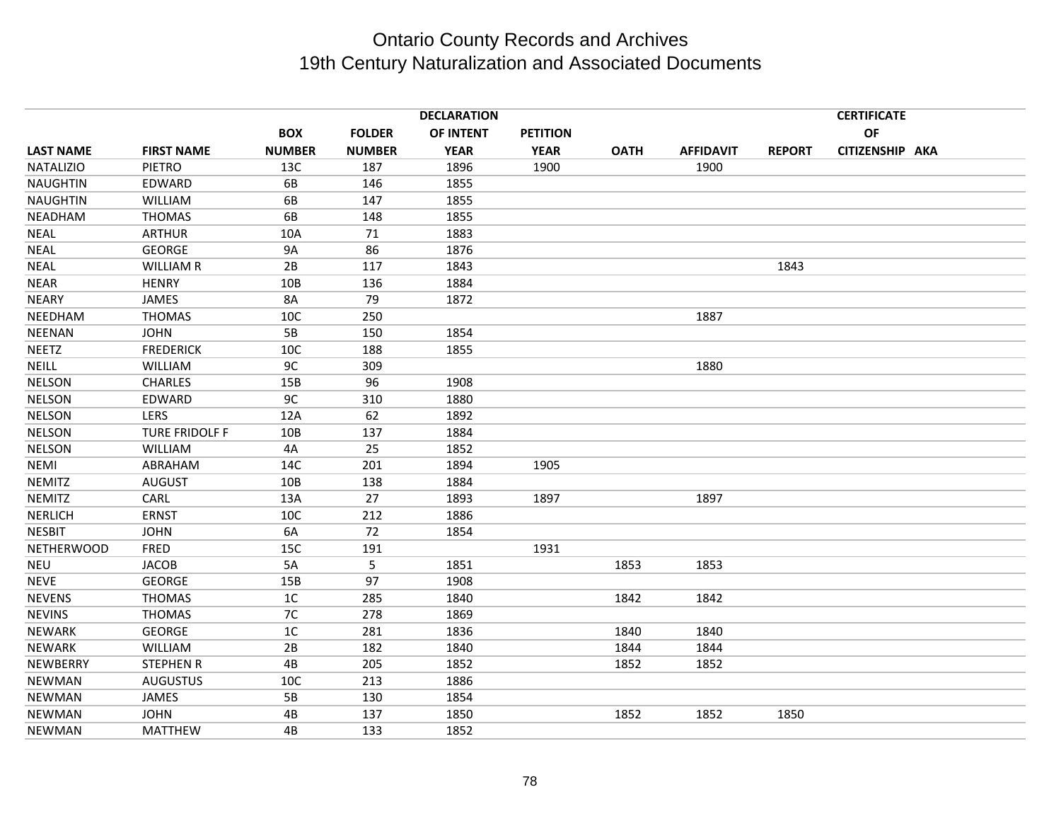|                   |                   |               |               | <b>DECLARATION</b> |                 |             |                  |               | <b>CERTIFICATE</b> |  |
|-------------------|-------------------|---------------|---------------|--------------------|-----------------|-------------|------------------|---------------|--------------------|--|
|                   |                   | <b>BOX</b>    | <b>FOLDER</b> | OF INTENT          | <b>PETITION</b> |             |                  |               | <b>OF</b>          |  |
| <b>LAST NAME</b>  | <b>FIRST NAME</b> | <b>NUMBER</b> | <b>NUMBER</b> | <b>YEAR</b>        | <b>YEAR</b>     | <b>OATH</b> | <b>AFFIDAVIT</b> | <b>REPORT</b> | CITIZENSHIP AKA    |  |
| <b>NATALIZIO</b>  | PIETRO            | 13C           | 187           | 1896               | 1900            |             | 1900             |               |                    |  |
| <b>NAUGHTIN</b>   | EDWARD            | 6B            | 146           | 1855               |                 |             |                  |               |                    |  |
| <b>NAUGHTIN</b>   | WILLIAM           | 6B            | 147           | 1855               |                 |             |                  |               |                    |  |
| NEADHAM           | <b>THOMAS</b>     | 6B            | 148           | 1855               |                 |             |                  |               |                    |  |
| <b>NEAL</b>       | <b>ARTHUR</b>     | 10A           | 71            | 1883               |                 |             |                  |               |                    |  |
| <b>NEAL</b>       | <b>GEORGE</b>     | <b>9A</b>     | 86            | 1876               |                 |             |                  |               |                    |  |
| <b>NEAL</b>       | <b>WILLIAM R</b>  | 2B            | 117           | 1843               |                 |             |                  | 1843          |                    |  |
| <b>NEAR</b>       | <b>HENRY</b>      | 10B           | 136           | 1884               |                 |             |                  |               |                    |  |
| <b>NEARY</b>      | <b>JAMES</b>      | 8A            | 79            | 1872               |                 |             |                  |               |                    |  |
| NEEDHAM           | <b>THOMAS</b>     | 10C           | 250           |                    |                 |             | 1887             |               |                    |  |
| <b>NEENAN</b>     | <b>JOHN</b>       | 5B            | 150           | 1854               |                 |             |                  |               |                    |  |
| <b>NEETZ</b>      | <b>FREDERICK</b>  | 10C           | 188           | 1855               |                 |             |                  |               |                    |  |
| <b>NEILL</b>      | <b>WILLIAM</b>    | 9C            | 309           |                    |                 |             | 1880             |               |                    |  |
| <b>NELSON</b>     | <b>CHARLES</b>    | 15B           | 96            | 1908               |                 |             |                  |               |                    |  |
| <b>NELSON</b>     | EDWARD            | 9C            | 310           | 1880               |                 |             |                  |               |                    |  |
| <b>NELSON</b>     | <b>LERS</b>       | 12A           | 62            | 1892               |                 |             |                  |               |                    |  |
| <b>NELSON</b>     | TURE FRIDOLF F    | 10B           | 137           | 1884               |                 |             |                  |               |                    |  |
| <b>NELSON</b>     | <b>WILLIAM</b>    | 4A            | 25            | 1852               |                 |             |                  |               |                    |  |
| NEMI              | ABRAHAM           | 14C           | 201           | 1894               | 1905            |             |                  |               |                    |  |
| <b>NEMITZ</b>     | <b>AUGUST</b>     | 10B           | 138           | 1884               |                 |             |                  |               |                    |  |
| <b>NEMITZ</b>     | CARL              | 13A           | 27            | 1893               | 1897            |             | 1897             |               |                    |  |
| <b>NERLICH</b>    | <b>ERNST</b>      | 10C           | 212           | 1886               |                 |             |                  |               |                    |  |
| <b>NESBIT</b>     | <b>JOHN</b>       | 6A            | 72            | 1854               |                 |             |                  |               |                    |  |
| <b>NETHERWOOD</b> | FRED              | 15C           | 191           |                    | 1931            |             |                  |               |                    |  |
| NEU               | <b>JACOB</b>      | 5A            | 5             | 1851               |                 | 1853        | 1853             |               |                    |  |
| <b>NEVE</b>       | <b>GEORGE</b>     | 15B           | 97            | 1908               |                 |             |                  |               |                    |  |
| <b>NEVENS</b>     | <b>THOMAS</b>     | 1C            | 285           | 1840               |                 | 1842        | 1842             |               |                    |  |
| <b>NEVINS</b>     | <b>THOMAS</b>     | 7C            | 278           | 1869               |                 |             |                  |               |                    |  |
| <b>NEWARK</b>     | <b>GEORGE</b>     | 1C            | 281           | 1836               |                 | 1840        | 1840             |               |                    |  |
| <b>NEWARK</b>     | <b>WILLIAM</b>    | 2B            | 182           | 1840               |                 | 1844        | 1844             |               |                    |  |
| NEWBERRY          | <b>STEPHEN R</b>  | 4B            | 205           | 1852               |                 | 1852        | 1852             |               |                    |  |
| <b>NEWMAN</b>     | <b>AUGUSTUS</b>   | 10C           | 213           | 1886               |                 |             |                  |               |                    |  |
| <b>NEWMAN</b>     | JAMES             | 5B            | 130           | 1854               |                 |             |                  |               |                    |  |
| <b>NEWMAN</b>     | <b>JOHN</b>       | 4B            | 137           | 1850               |                 | 1852        | 1852             | 1850          |                    |  |
| NEWMAN            | <b>MATTHEW</b>    | 4B            | 133           | 1852               |                 |             |                  |               |                    |  |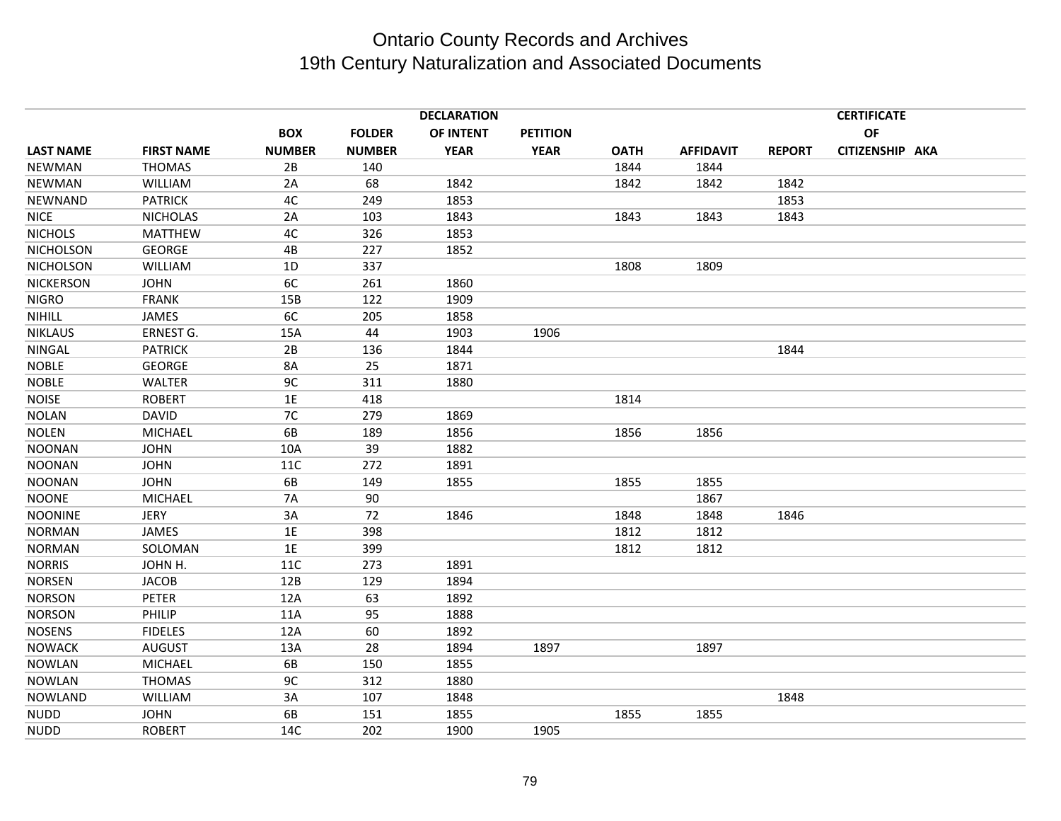|                  |                   |               |               | <b>DECLARATION</b> |                 |             |                  |               | <b>CERTIFICATE</b> |  |
|------------------|-------------------|---------------|---------------|--------------------|-----------------|-------------|------------------|---------------|--------------------|--|
|                  |                   | <b>BOX</b>    | <b>FOLDER</b> | OF INTENT          | <b>PETITION</b> |             |                  |               | OF                 |  |
| <b>LAST NAME</b> | <b>FIRST NAME</b> | <b>NUMBER</b> | <b>NUMBER</b> | <b>YEAR</b>        | <b>YEAR</b>     | <b>OATH</b> | <b>AFFIDAVIT</b> | <b>REPORT</b> | CITIZENSHIP AKA    |  |
| <b>NEWMAN</b>    | <b>THOMAS</b>     | 2B            | 140           |                    |                 | 1844        | 1844             |               |                    |  |
| <b>NEWMAN</b>    | WILLIAM           | 2A            | 68            | 1842               |                 | 1842        | 1842             | 1842          |                    |  |
| NEWNAND          | <b>PATRICK</b>    | 4C            | 249           | 1853               |                 |             |                  | 1853          |                    |  |
| <b>NICE</b>      | <b>NICHOLAS</b>   | 2A            | 103           | 1843               |                 | 1843        | 1843             | 1843          |                    |  |
| <b>NICHOLS</b>   | <b>MATTHEW</b>    | 4C            | 326           | 1853               |                 |             |                  |               |                    |  |
| NICHOLSON        | <b>GEORGE</b>     | 4B            | 227           | 1852               |                 |             |                  |               |                    |  |
| <b>NICHOLSON</b> | WILLIAM           | 1D            | 337           |                    |                 | 1808        | 1809             |               |                    |  |
| <b>NICKERSON</b> | <b>JOHN</b>       | 6C            | 261           | 1860               |                 |             |                  |               |                    |  |
| <b>NIGRO</b>     | <b>FRANK</b>      | 15B           | 122           | 1909               |                 |             |                  |               |                    |  |
| NIHILL           | JAMES             | 6C            | 205           | 1858               |                 |             |                  |               |                    |  |
| <b>NIKLAUS</b>   | ERNEST G.         | 15A           | 44            | 1903               | 1906            |             |                  |               |                    |  |
| NINGAL           | <b>PATRICK</b>    | 2B            | 136           | 1844               |                 |             |                  | 1844          |                    |  |
| <b>NOBLE</b>     | <b>GEORGE</b>     | 8A            | 25            | 1871               |                 |             |                  |               |                    |  |
| <b>NOBLE</b>     | <b>WALTER</b>     | 9C            | 311           | 1880               |                 |             |                  |               |                    |  |
| <b>NOISE</b>     | <b>ROBERT</b>     | 1E            | 418           |                    |                 | 1814        |                  |               |                    |  |
| <b>NOLAN</b>     | <b>DAVID</b>      | 7C            | 279           | 1869               |                 |             |                  |               |                    |  |
| <b>NOLEN</b>     | <b>MICHAEL</b>    | 6B            | 189           | 1856               |                 | 1856        | 1856             |               |                    |  |
| <b>NOONAN</b>    | <b>JOHN</b>       | 10A           | 39            | 1882               |                 |             |                  |               |                    |  |
| <b>NOONAN</b>    | <b>JOHN</b>       | 11C           | 272           | 1891               |                 |             |                  |               |                    |  |
| <b>NOONAN</b>    | <b>JOHN</b>       | 6B            | 149           | 1855               |                 | 1855        | 1855             |               |                    |  |
| <b>NOONE</b>     | <b>MICHAEL</b>    | <b>7A</b>     | 90            |                    |                 |             | 1867             |               |                    |  |
| <b>NOONINE</b>   | <b>JERY</b>       | 3A            | 72            | 1846               |                 | 1848        | 1848             | 1846          |                    |  |
| <b>NORMAN</b>    | JAMES             | 1E            | 398           |                    |                 | 1812        | 1812             |               |                    |  |
| <b>NORMAN</b>    | SOLOMAN           | 1E            | 399           |                    |                 | 1812        | 1812             |               |                    |  |
| <b>NORRIS</b>    | JOHN H.           | <b>11C</b>    | 273           | 1891               |                 |             |                  |               |                    |  |
| <b>NORSEN</b>    | <b>JACOB</b>      | 12B           | 129           | 1894               |                 |             |                  |               |                    |  |
| <b>NORSON</b>    | <b>PETER</b>      | 12A           | 63            | 1892               |                 |             |                  |               |                    |  |
| <b>NORSON</b>    | PHILIP            | 11A           | 95            | 1888               |                 |             |                  |               |                    |  |
| <b>NOSENS</b>    | <b>FIDELES</b>    | 12A           | 60            | 1892               |                 |             |                  |               |                    |  |
| <b>NOWACK</b>    | <b>AUGUST</b>     | 13A           | 28            | 1894               | 1897            |             | 1897             |               |                    |  |
| <b>NOWLAN</b>    | <b>MICHAEL</b>    | 6B            | 150           | 1855               |                 |             |                  |               |                    |  |
| <b>NOWLAN</b>    | <b>THOMAS</b>     | 9C            | 312           | 1880               |                 |             |                  |               |                    |  |
| <b>NOWLAND</b>   | WILLIAM           | 3A            | 107           | 1848               |                 |             |                  | 1848          |                    |  |
| <b>NUDD</b>      | <b>JOHN</b>       | 6B            | 151           | 1855               |                 | 1855        | 1855             |               |                    |  |
| <b>NUDD</b>      | <b>ROBERT</b>     | 14C           | 202           | 1900               | 1905            |             |                  |               |                    |  |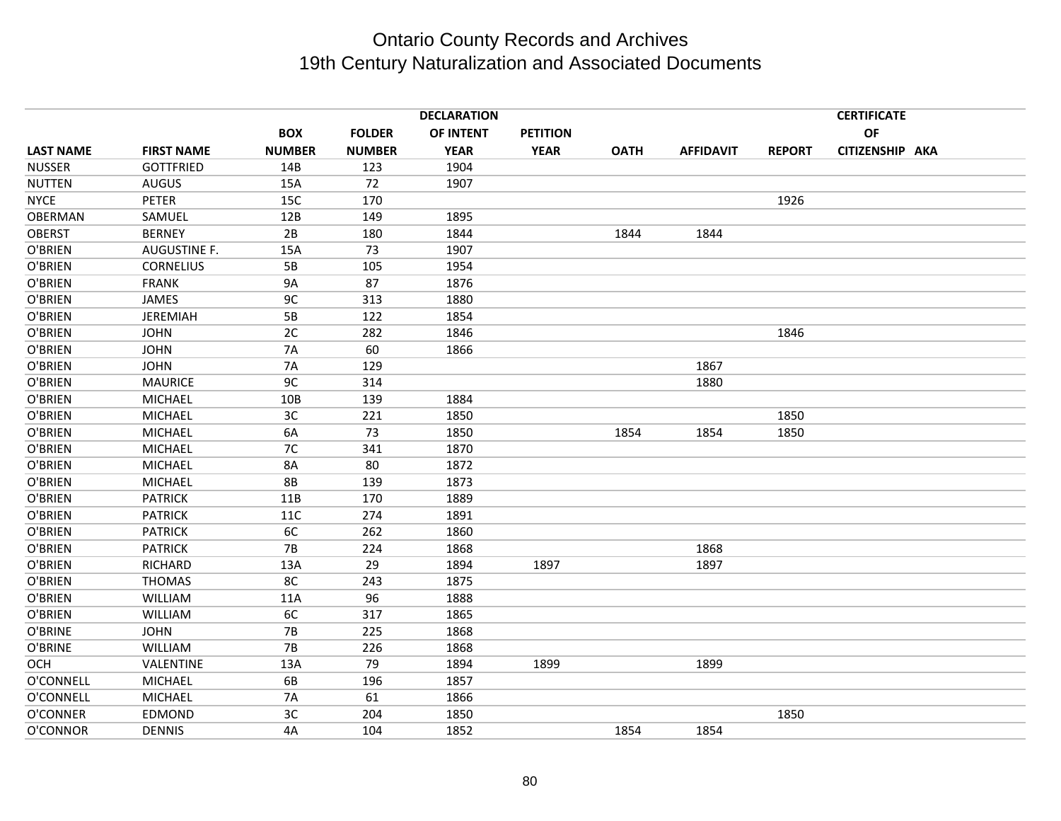|                  |                     |               |               | <b>DECLARATION</b> |                 |             |                  | <b>CERTIFICATE</b> |                 |  |  |
|------------------|---------------------|---------------|---------------|--------------------|-----------------|-------------|------------------|--------------------|-----------------|--|--|
|                  |                     | <b>BOX</b>    | <b>FOLDER</b> | OF INTENT          | <b>PETITION</b> |             |                  |                    | OF              |  |  |
| <b>LAST NAME</b> | <b>FIRST NAME</b>   | <b>NUMBER</b> | <b>NUMBER</b> | <b>YEAR</b>        | <b>YEAR</b>     | <b>OATH</b> | <b>AFFIDAVIT</b> | <b>REPORT</b>      | CITIZENSHIP AKA |  |  |
| <b>NUSSER</b>    | <b>GOTTFRIED</b>    | 14B           | 123           | 1904               |                 |             |                  |                    |                 |  |  |
| <b>NUTTEN</b>    | <b>AUGUS</b>        | 15A           | 72            | 1907               |                 |             |                  |                    |                 |  |  |
| <b>NYCE</b>      | <b>PETER</b>        | 15C           | 170           |                    |                 |             |                  | 1926               |                 |  |  |
| OBERMAN          | SAMUEL              | 12B           | 149           | 1895               |                 |             |                  |                    |                 |  |  |
| <b>OBERST</b>    | <b>BERNEY</b>       | 2B            | 180           | 1844               |                 | 1844        | 1844             |                    |                 |  |  |
| O'BRIEN          | <b>AUGUSTINE F.</b> | 15A           | 73            | 1907               |                 |             |                  |                    |                 |  |  |
| O'BRIEN          | <b>CORNELIUS</b>    | 5B            | 105           | 1954               |                 |             |                  |                    |                 |  |  |
| O'BRIEN          | <b>FRANK</b>        | <b>9A</b>     | 87            | 1876               |                 |             |                  |                    |                 |  |  |
| O'BRIEN          | JAMES               | 9C            | 313           | 1880               |                 |             |                  |                    |                 |  |  |
| O'BRIEN          | <b>JEREMIAH</b>     | 5B            | 122           | 1854               |                 |             |                  |                    |                 |  |  |
| O'BRIEN          | <b>JOHN</b>         | 2C            | 282           | 1846               |                 |             |                  | 1846               |                 |  |  |
| O'BRIEN          | <b>JOHN</b>         | <b>7A</b>     | 60            | 1866               |                 |             |                  |                    |                 |  |  |
| O'BRIEN          | <b>JOHN</b>         | <b>7A</b>     | 129           |                    |                 |             | 1867             |                    |                 |  |  |
| O'BRIEN          | <b>MAURICE</b>      | 9C            | 314           |                    |                 |             | 1880             |                    |                 |  |  |
| O'BRIEN          | <b>MICHAEL</b>      | 10B           | 139           | 1884               |                 |             |                  |                    |                 |  |  |
| O'BRIEN          | <b>MICHAEL</b>      | 3C            | 221           | 1850               |                 |             |                  | 1850               |                 |  |  |
| O'BRIEN          | <b>MICHAEL</b>      | 6A            | 73            | 1850               |                 | 1854        | 1854             | 1850               |                 |  |  |
| O'BRIEN          | <b>MICHAEL</b>      | 7C            | 341           | 1870               |                 |             |                  |                    |                 |  |  |
| O'BRIEN          | <b>MICHAEL</b>      | 8A            | 80            | 1872               |                 |             |                  |                    |                 |  |  |
| O'BRIEN          | <b>MICHAEL</b>      | <b>8B</b>     | 139           | 1873               |                 |             |                  |                    |                 |  |  |
| O'BRIEN          | <b>PATRICK</b>      | 11B           | 170           | 1889               |                 |             |                  |                    |                 |  |  |
| O'BRIEN          | <b>PATRICK</b>      | <b>11C</b>    | 274           | 1891               |                 |             |                  |                    |                 |  |  |
| O'BRIEN          | <b>PATRICK</b>      | 6C            | 262           | 1860               |                 |             |                  |                    |                 |  |  |
| O'BRIEN          | <b>PATRICK</b>      | <b>7B</b>     | 224           | 1868               |                 |             | 1868             |                    |                 |  |  |
| O'BRIEN          | RICHARD             | 13A           | 29            | 1894               | 1897            |             | 1897             |                    |                 |  |  |
| O'BRIEN          | <b>THOMAS</b>       | 8C            | 243           | 1875               |                 |             |                  |                    |                 |  |  |
| O'BRIEN          | WILLIAM             | 11A           | 96            | 1888               |                 |             |                  |                    |                 |  |  |
| O'BRIEN          | WILLIAM             | 6C            | 317           | 1865               |                 |             |                  |                    |                 |  |  |
| O'BRINE          | <b>JOHN</b>         | <b>7B</b>     | 225           | 1868               |                 |             |                  |                    |                 |  |  |
| O'BRINE          | <b>WILLIAM</b>      | <b>7B</b>     | 226           | 1868               |                 |             |                  |                    |                 |  |  |
| OCH              | VALENTINE           | 13A           | 79            | 1894               | 1899            |             | 1899             |                    |                 |  |  |
| O'CONNELL        | <b>MICHAEL</b>      | 6B            | 196           | 1857               |                 |             |                  |                    |                 |  |  |
| O'CONNELL        | <b>MICHAEL</b>      | <b>7A</b>     | 61            | 1866               |                 |             |                  |                    |                 |  |  |
| O'CONNER         | EDMOND              | 3C            | 204           | 1850               |                 |             |                  | 1850               |                 |  |  |
| O'CONNOR         | <b>DENNIS</b>       | 4A            | 104           | 1852               |                 | 1854        | 1854             |                    |                 |  |  |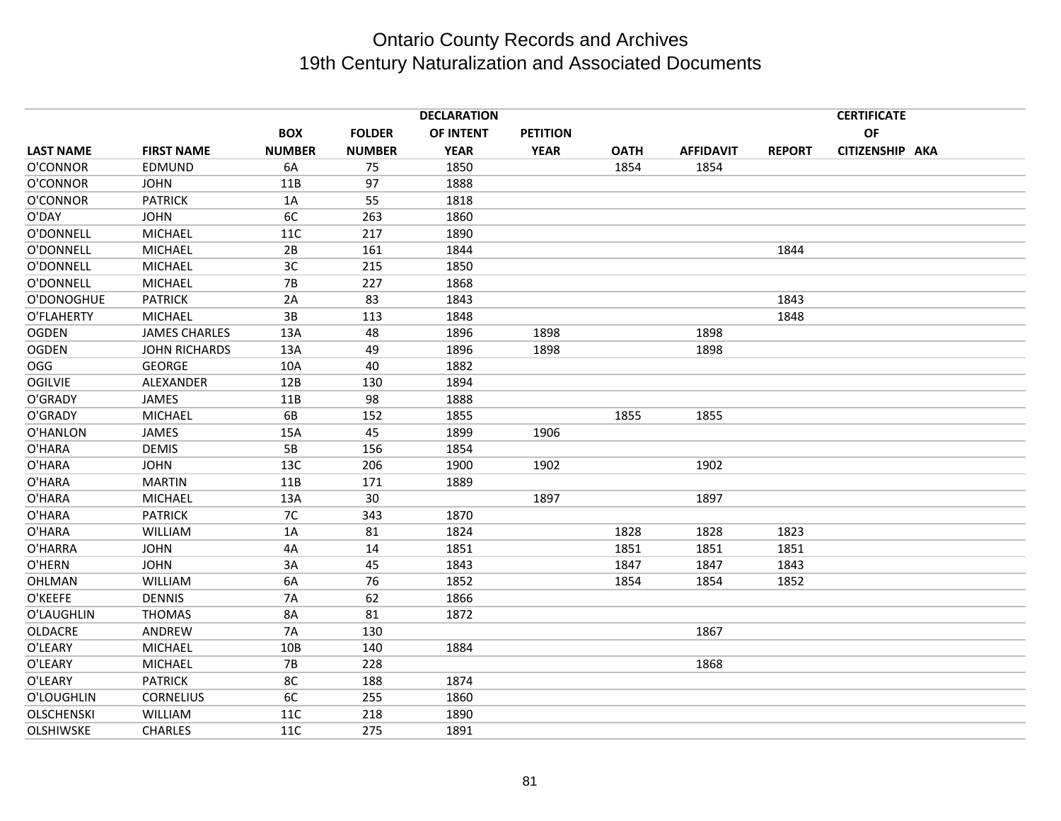|                   |                      |               |               | <b>DECLARATION</b> |                 |             |                  |               | <b>CERTIFICATE</b> |  |
|-------------------|----------------------|---------------|---------------|--------------------|-----------------|-------------|------------------|---------------|--------------------|--|
|                   |                      | <b>BOX</b>    | <b>FOLDER</b> | OF INTENT          | <b>PETITION</b> |             |                  |               | OF                 |  |
| <b>LAST NAME</b>  | <b>FIRST NAME</b>    | <b>NUMBER</b> | <b>NUMBER</b> | <b>YEAR</b>        | <b>YEAR</b>     | <b>OATH</b> | <b>AFFIDAVIT</b> | <b>REPORT</b> | CITIZENSHIP AKA    |  |
| O'CONNOR          | EDMUND               | 6A            | 75            | 1850               |                 | 1854        | 1854             |               |                    |  |
| O'CONNOR          | <b>JOHN</b>          | 11B           | 97            | 1888               |                 |             |                  |               |                    |  |
| O'CONNOR          | <b>PATRICK</b>       | 1A            | 55            | 1818               |                 |             |                  |               |                    |  |
| O'DAY             | <b>JOHN</b>          | 6C            | 263           | 1860               |                 |             |                  |               |                    |  |
| O'DONNELL         | <b>MICHAEL</b>       | <b>11C</b>    | 217           | 1890               |                 |             |                  |               |                    |  |
| O'DONNELL         | <b>MICHAEL</b>       | 2B            | 161           | 1844               |                 |             |                  | 1844          |                    |  |
| O'DONNELL         | <b>MICHAEL</b>       | 3C            | 215           | 1850               |                 |             |                  |               |                    |  |
| O'DONNELL         | <b>MICHAEL</b>       | 7B            | 227           | 1868               |                 |             |                  |               |                    |  |
| O'DONOGHUE        | <b>PATRICK</b>       | 2A            | 83            | 1843               |                 |             |                  | 1843          |                    |  |
| O'FLAHERTY        | <b>MICHAEL</b>       | 3B            | 113           | 1848               |                 |             |                  | 1848          |                    |  |
| <b>OGDEN</b>      | <b>JAMES CHARLES</b> | 13A           | 48            | 1896               | 1898            |             | 1898             |               |                    |  |
| <b>OGDEN</b>      | <b>JOHN RICHARDS</b> | 13A           | 49            | 1896               | 1898            |             | 1898             |               |                    |  |
| <b>OGG</b>        | <b>GEORGE</b>        | 10A           | 40            | 1882               |                 |             |                  |               |                    |  |
| <b>OGILVIE</b>    | ALEXANDER            | 12B           | 130           | 1894               |                 |             |                  |               |                    |  |
| O'GRADY           | JAMES                | 11B           | 98            | 1888               |                 |             |                  |               |                    |  |
| O'GRADY           | <b>MICHAEL</b>       | 6B            | 152           | 1855               |                 | 1855        | 1855             |               |                    |  |
| O'HANLON          | JAMES                | 15A           | 45            | 1899               | 1906            |             |                  |               |                    |  |
| O'HARA            | <b>DEMIS</b>         | 5B            | 156           | 1854               |                 |             |                  |               |                    |  |
| O'HARA            | <b>JOHN</b>          | 13C           | 206           | 1900               | 1902            |             | 1902             |               |                    |  |
| O'HARA            | <b>MARTIN</b>        | 11B           | 171           | 1889               |                 |             |                  |               |                    |  |
| O'HARA            | <b>MICHAEL</b>       | 13A           | 30            |                    | 1897            |             | 1897             |               |                    |  |
| O'HARA            | <b>PATRICK</b>       | 7C            | 343           | 1870               |                 |             |                  |               |                    |  |
| O'HARA            | <b>WILLIAM</b>       | 1A            | 81            | 1824               |                 | 1828        | 1828             | 1823          |                    |  |
| O'HARRA           | <b>JOHN</b>          | 4A            | 14            | 1851               |                 | 1851        | 1851             | 1851          |                    |  |
| O'HERN            | <b>JOHN</b>          | 3A            | 45            | 1843               |                 | 1847        | 1847             | 1843          |                    |  |
| OHLMAN            | WILLIAM              | 6A            | 76            | 1852               |                 | 1854        | 1854             | 1852          |                    |  |
| O'KEEFE           | <b>DENNIS</b>        | <b>7A</b>     | 62            | 1866               |                 |             |                  |               |                    |  |
| O'LAUGHLIN        | <b>THOMAS</b>        | 8A            | 81            | 1872               |                 |             |                  |               |                    |  |
| <b>OLDACRE</b>    | ANDREW               | <b>7A</b>     | 130           |                    |                 |             | 1867             |               |                    |  |
| O'LEARY           | <b>MICHAEL</b>       | 10B           | 140           | 1884               |                 |             |                  |               |                    |  |
| O'LEARY           | <b>MICHAEL</b>       | <b>7B</b>     | 228           |                    |                 |             | 1868             |               |                    |  |
| O'LEARY           | <b>PATRICK</b>       | 8C            | 188           | 1874               |                 |             |                  |               |                    |  |
| O'LOUGHLIN        | <b>CORNELIUS</b>     | 6C            | 255           | 1860               |                 |             |                  |               |                    |  |
| <b>OLSCHENSKI</b> | <b>WILLIAM</b>       | 11C           | 218           | 1890               |                 |             |                  |               |                    |  |
| <b>OLSHIWSKE</b>  | <b>CHARLES</b>       | 11C           | 275           | 1891               |                 |             |                  |               |                    |  |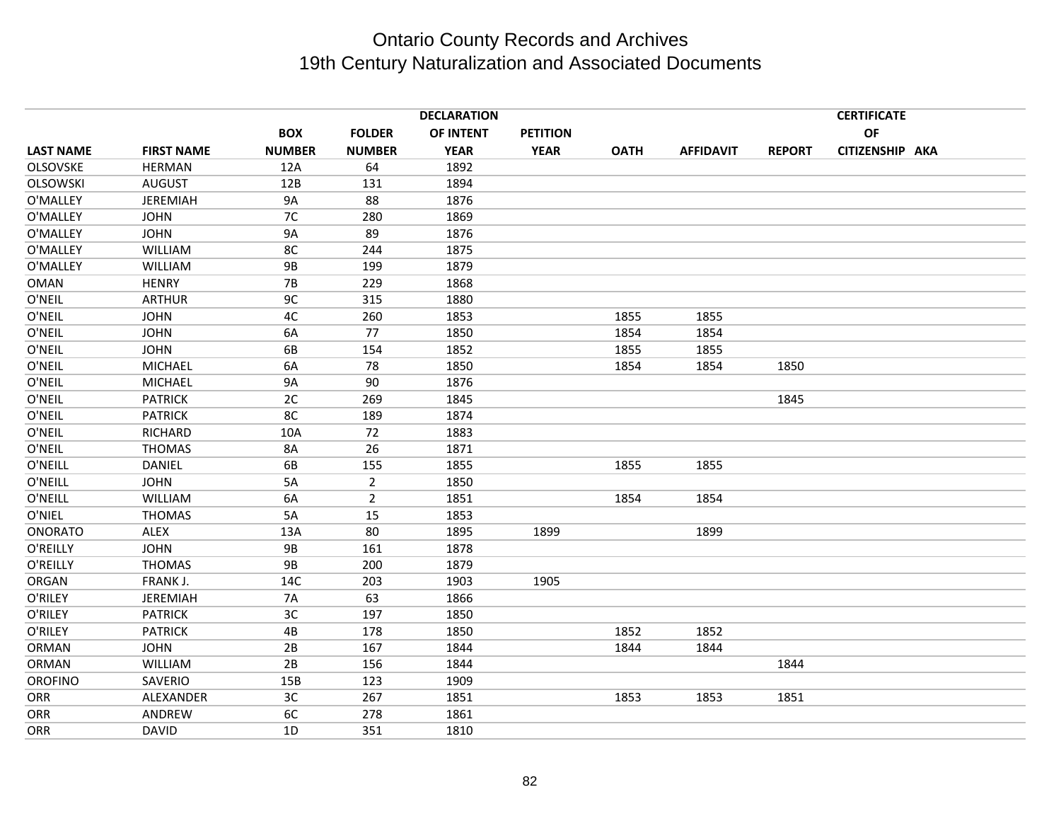|                  |                   |               |                | <b>DECLARATION</b> |                 |             |                  |               | <b>CERTIFICATE</b> |  |
|------------------|-------------------|---------------|----------------|--------------------|-----------------|-------------|------------------|---------------|--------------------|--|
|                  |                   | <b>BOX</b>    | <b>FOLDER</b>  | OF INTENT          | <b>PETITION</b> |             |                  |               | <b>OF</b>          |  |
| <b>LAST NAME</b> | <b>FIRST NAME</b> | <b>NUMBER</b> | <b>NUMBER</b>  | <b>YEAR</b>        | <b>YEAR</b>     | <b>OATH</b> | <b>AFFIDAVIT</b> | <b>REPORT</b> | CITIZENSHIP AKA    |  |
| <b>OLSOVSKE</b>  | <b>HERMAN</b>     | 12A           | 64             | 1892               |                 |             |                  |               |                    |  |
| <b>OLSOWSKI</b>  | <b>AUGUST</b>     | 12B           | 131            | 1894               |                 |             |                  |               |                    |  |
| O'MALLEY         | JEREMIAH          | <b>9A</b>     | 88             | 1876               |                 |             |                  |               |                    |  |
| O'MALLEY         | <b>JOHN</b>       | 7C            | 280            | 1869               |                 |             |                  |               |                    |  |
| O'MALLEY         | <b>JOHN</b>       | <b>9A</b>     | 89             | 1876               |                 |             |                  |               |                    |  |
| O'MALLEY         | WILLIAM           | 8C            | 244            | 1875               |                 |             |                  |               |                    |  |
| O'MALLEY         | <b>WILLIAM</b>    | <b>9B</b>     | 199            | 1879               |                 |             |                  |               |                    |  |
| <b>OMAN</b>      | <b>HENRY</b>      | 7B            | 229            | 1868               |                 |             |                  |               |                    |  |
| O'NEIL           | <b>ARTHUR</b>     | 9C            | 315            | 1880               |                 |             |                  |               |                    |  |
| O'NEIL           | <b>JOHN</b>       | 4C            | 260            | 1853               |                 | 1855        | 1855             |               |                    |  |
| O'NEIL           | <b>JOHN</b>       | 6A            | 77             | 1850               |                 | 1854        | 1854             |               |                    |  |
| O'NEIL           | <b>JOHN</b>       | 6B            | 154            | 1852               |                 | 1855        | 1855             |               |                    |  |
| O'NEIL           | <b>MICHAEL</b>    | 6A            | 78             | 1850               |                 | 1854        | 1854             | 1850          |                    |  |
| O'NEIL           | <b>MICHAEL</b>    | <b>9A</b>     | 90             | 1876               |                 |             |                  |               |                    |  |
| O'NEIL           | <b>PATRICK</b>    | 2C            | 269            | 1845               |                 |             |                  | 1845          |                    |  |
| O'NEIL           | <b>PATRICK</b>    | 8C            | 189            | 1874               |                 |             |                  |               |                    |  |
| O'NEIL           | <b>RICHARD</b>    | 10A           | 72             | 1883               |                 |             |                  |               |                    |  |
| O'NEIL           | <b>THOMAS</b>     | 8A            | 26             | 1871               |                 |             |                  |               |                    |  |
| O'NEILL          | <b>DANIEL</b>     | 6B            | 155            | 1855               |                 | 1855        | 1855             |               |                    |  |
| O'NEILL          | <b>JOHN</b>       | 5A            | $\overline{2}$ | 1850               |                 |             |                  |               |                    |  |
| O'NEILL          | <b>WILLIAM</b>    | 6A            | $\overline{2}$ | 1851               |                 | 1854        | 1854             |               |                    |  |
| O'NIEL           | THOMAS            | 5A            | 15             | 1853               |                 |             |                  |               |                    |  |
| <b>ONORATO</b>   | <b>ALEX</b>       | 13A           | 80             | 1895               | 1899            |             | 1899             |               |                    |  |
| O'REILLY         | <b>JOHN</b>       | <b>9B</b>     | 161            | 1878               |                 |             |                  |               |                    |  |
| O'REILLY         | <b>THOMAS</b>     | <b>9B</b>     | 200            | 1879               |                 |             |                  |               |                    |  |
| ORGAN            | FRANK J.          | 14C           | 203            | 1903               | 1905            |             |                  |               |                    |  |
| O'RILEY          | JEREMIAH          | <b>7A</b>     | 63             | 1866               |                 |             |                  |               |                    |  |
| O'RILEY          | <b>PATRICK</b>    | 3C            | 197            | 1850               |                 |             |                  |               |                    |  |
| O'RILEY          | <b>PATRICK</b>    | 4B            | 178            | 1850               |                 | 1852        | 1852             |               |                    |  |
| <b>ORMAN</b>     | <b>JOHN</b>       | 2B            | 167            | 1844               |                 | 1844        | 1844             |               |                    |  |
| ORMAN            | <b>WILLIAM</b>    | 2B            | 156            | 1844               |                 |             |                  | 1844          |                    |  |
| <b>OROFINO</b>   | SAVERIO           | 15B           | 123            | 1909               |                 |             |                  |               |                    |  |
| ORR              | ALEXANDER         | 3C            | 267            | 1851               |                 | 1853        | 1853             | 1851          |                    |  |
| ORR              | ANDREW            | 6C            | 278            | 1861               |                 |             |                  |               |                    |  |
| <b>ORR</b>       | <b>DAVID</b>      | 1D            | 351            | 1810               |                 |             |                  |               |                    |  |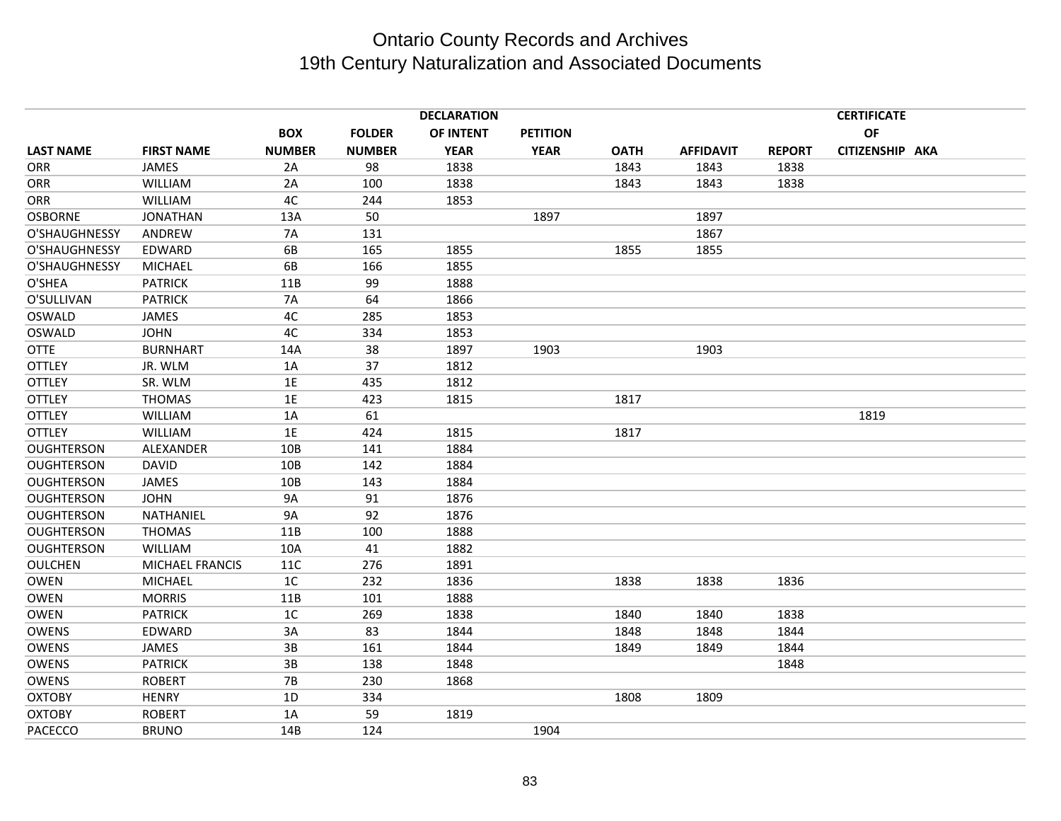|                   |                        |               |               | <b>DECLARATION</b> |                 |             |                  |               | <b>CERTIFICATE</b> |  |
|-------------------|------------------------|---------------|---------------|--------------------|-----------------|-------------|------------------|---------------|--------------------|--|
|                   |                        | <b>BOX</b>    | <b>FOLDER</b> | OF INTENT          | <b>PETITION</b> |             |                  |               | <b>OF</b>          |  |
| <b>LAST NAME</b>  | <b>FIRST NAME</b>      | <b>NUMBER</b> | <b>NUMBER</b> | <b>YEAR</b>        | <b>YEAR</b>     | <b>OATH</b> | <b>AFFIDAVIT</b> | <b>REPORT</b> | CITIZENSHIP AKA    |  |
| <b>ORR</b>        | JAMES                  | 2A            | 98            | 1838               |                 | 1843        | 1843             | 1838          |                    |  |
| <b>ORR</b>        | WILLIAM                | 2A            | 100           | 1838               |                 | 1843        | 1843             | 1838          |                    |  |
| ORR               | <b>WILLIAM</b>         | 4C            | 244           | 1853               |                 |             |                  |               |                    |  |
| <b>OSBORNE</b>    | <b>JONATHAN</b>        | 13A           | 50            |                    | 1897            |             | 1897             |               |                    |  |
| O'SHAUGHNESSY     | ANDREW                 | <b>7A</b>     | 131           |                    |                 |             | 1867             |               |                    |  |
| O'SHAUGHNESSY     | EDWARD                 | 6B            | 165           | 1855               |                 | 1855        | 1855             |               |                    |  |
| O'SHAUGHNESSY     | MICHAEL                | 6B            | 166           | 1855               |                 |             |                  |               |                    |  |
| O'SHEA            | <b>PATRICK</b>         | 11B           | 99            | 1888               |                 |             |                  |               |                    |  |
| O'SULLIVAN        | <b>PATRICK</b>         | <b>7A</b>     | 64            | 1866               |                 |             |                  |               |                    |  |
| OSWALD            | <b>JAMES</b>           | 4C            | 285           | 1853               |                 |             |                  |               |                    |  |
| OSWALD            | <b>JOHN</b>            | 4C            | 334           | 1853               |                 |             |                  |               |                    |  |
| <b>OTTE</b>       | <b>BURNHART</b>        | 14A           | 38            | 1897               | 1903            |             | 1903             |               |                    |  |
| <b>OTTLEY</b>     | JR. WLM                | 1A            | 37            | 1812               |                 |             |                  |               |                    |  |
| <b>OTTLEY</b>     | SR. WLM                | 1E            | 435           | 1812               |                 |             |                  |               |                    |  |
| <b>OTTLEY</b>     | <b>THOMAS</b>          | 1E            | 423           | 1815               |                 | 1817        |                  |               |                    |  |
| <b>OTTLEY</b>     | <b>WILLIAM</b>         | 1A            | 61            |                    |                 |             |                  |               | 1819               |  |
| <b>OTTLEY</b>     | <b>WILLIAM</b>         | 1E            | 424           | 1815               |                 | 1817        |                  |               |                    |  |
| <b>OUGHTERSON</b> | ALEXANDER              | 10B           | 141           | 1884               |                 |             |                  |               |                    |  |
| <b>OUGHTERSON</b> | <b>DAVID</b>           | 10B           | 142           | 1884               |                 |             |                  |               |                    |  |
| <b>OUGHTERSON</b> | JAMES                  | 10B           | 143           | 1884               |                 |             |                  |               |                    |  |
| <b>OUGHTERSON</b> | <b>JOHN</b>            | <b>9A</b>     | 91            | 1876               |                 |             |                  |               |                    |  |
| <b>OUGHTERSON</b> | NATHANIEL              | <b>9A</b>     | 92            | 1876               |                 |             |                  |               |                    |  |
| <b>OUGHTERSON</b> | <b>THOMAS</b>          | 11B           | 100           | 1888               |                 |             |                  |               |                    |  |
| <b>OUGHTERSON</b> | <b>WILLIAM</b>         | 10A           | 41            | 1882               |                 |             |                  |               |                    |  |
| <b>OULCHEN</b>    | <b>MICHAEL FRANCIS</b> | 11C           | 276           | 1891               |                 |             |                  |               |                    |  |
| <b>OWEN</b>       | <b>MICHAEL</b>         | 1C            | 232           | 1836               |                 | 1838        | 1838             | 1836          |                    |  |
| <b>OWEN</b>       | <b>MORRIS</b>          | 11B           | 101           | 1888               |                 |             |                  |               |                    |  |
| <b>OWEN</b>       | <b>PATRICK</b>         | 1C            | 269           | 1838               |                 | 1840        | 1840             | 1838          |                    |  |
| <b>OWENS</b>      | EDWARD                 | 3A            | 83            | 1844               |                 | 1848        | 1848             | 1844          |                    |  |
| <b>OWENS</b>      | JAMES                  | 3B            | 161           | 1844               |                 | 1849        | 1849             | 1844          |                    |  |
| OWENS             | <b>PATRICK</b>         | 3B            | 138           | 1848               |                 |             |                  | 1848          |                    |  |
| <b>OWENS</b>      | <b>ROBERT</b>          | <b>7B</b>     | 230           | 1868               |                 |             |                  |               |                    |  |
| <b>OXTOBY</b>     | <b>HENRY</b>           | 1D            | 334           |                    |                 | 1808        | 1809             |               |                    |  |
| <b>OXTOBY</b>     | <b>ROBERT</b>          | 1A            | 59            | 1819               |                 |             |                  |               |                    |  |
| PACECCO           | <b>BRUNO</b>           | 14B           | 124           |                    | 1904            |             |                  |               |                    |  |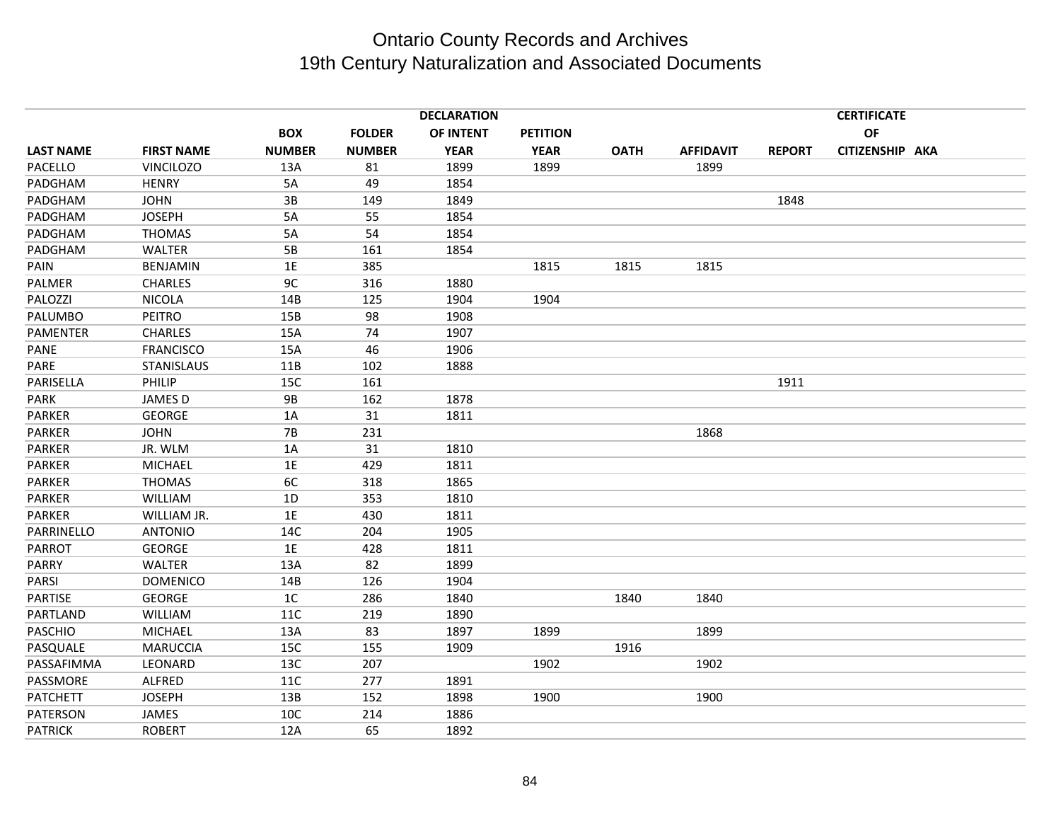|                  |                   |               |               | <b>DECLARATION</b> |                 |             |                  |               | <b>CERTIFICATE</b> |  |
|------------------|-------------------|---------------|---------------|--------------------|-----------------|-------------|------------------|---------------|--------------------|--|
|                  |                   | <b>BOX</b>    | <b>FOLDER</b> | OF INTENT          | <b>PETITION</b> |             |                  |               | <b>OF</b>          |  |
| <b>LAST NAME</b> | <b>FIRST NAME</b> | <b>NUMBER</b> | <b>NUMBER</b> | <b>YEAR</b>        | <b>YEAR</b>     | <b>OATH</b> | <b>AFFIDAVIT</b> | <b>REPORT</b> | CITIZENSHIP AKA    |  |
| PACELLO          | <b>VINCILOZO</b>  | 13A           | 81            | 1899               | 1899            |             | 1899             |               |                    |  |
| PADGHAM          | <b>HENRY</b>      | 5A            | 49            | 1854               |                 |             |                  |               |                    |  |
| PADGHAM          | <b>JOHN</b>       | $3B$          | 149           | 1849               |                 |             |                  | 1848          |                    |  |
| PADGHAM          | <b>JOSEPH</b>     | 5A            | 55            | 1854               |                 |             |                  |               |                    |  |
| PADGHAM          | <b>THOMAS</b>     | 5A            | 54            | 1854               |                 |             |                  |               |                    |  |
| PADGHAM          | <b>WALTER</b>     | 5B            | 161           | 1854               |                 |             |                  |               |                    |  |
| PAIN             | <b>BENJAMIN</b>   | 1E            | 385           |                    | 1815            | 1815        | 1815             |               |                    |  |
| PALMER           | <b>CHARLES</b>    | 9C            | 316           | 1880               |                 |             |                  |               |                    |  |
| PALOZZI          | <b>NICOLA</b>     | 14B           | 125           | 1904               | 1904            |             |                  |               |                    |  |
| PALUMBO          | PEITRO            | 15B           | 98            | 1908               |                 |             |                  |               |                    |  |
| PAMENTER         | <b>CHARLES</b>    | 15A           | 74            | 1907               |                 |             |                  |               |                    |  |
| PANE             | <b>FRANCISCO</b>  | 15A           | 46            | 1906               |                 |             |                  |               |                    |  |
| PARE             | <b>STANISLAUS</b> | 11B           | 102           | 1888               |                 |             |                  |               |                    |  |
| PARISELLA        | PHILIP            | 15C           | 161           |                    |                 |             |                  | 1911          |                    |  |
| PARK             | JAMES D           | <b>9B</b>     | 162           | 1878               |                 |             |                  |               |                    |  |
| <b>PARKER</b>    | <b>GEORGE</b>     | 1A            | 31            | 1811               |                 |             |                  |               |                    |  |
| <b>PARKER</b>    | <b>JOHN</b>       | <b>7B</b>     | 231           |                    |                 |             | 1868             |               |                    |  |
| PARKER           | JR. WLM           | 1A            | 31            | 1810               |                 |             |                  |               |                    |  |
| <b>PARKER</b>    | <b>MICHAEL</b>    | 1E            | 429           | 1811               |                 |             |                  |               |                    |  |
| PARKER           | <b>THOMAS</b>     | 6C            | 318           | 1865               |                 |             |                  |               |                    |  |
| PARKER           | <b>WILLIAM</b>    | 1D            | 353           | 1810               |                 |             |                  |               |                    |  |
| <b>PARKER</b>    | WILLIAM JR.       | 1E            | 430           | 1811               |                 |             |                  |               |                    |  |
| PARRINELLO       | <b>ANTONIO</b>    | 14C           | 204           | 1905               |                 |             |                  |               |                    |  |
| PARROT           | <b>GEORGE</b>     | 1E            | 428           | 1811               |                 |             |                  |               |                    |  |
| PARRY            | <b>WALTER</b>     | 13A           | 82            | 1899               |                 |             |                  |               |                    |  |
| PARSI            | <b>DOMENICO</b>   | 14B           | 126           | 1904               |                 |             |                  |               |                    |  |
| PARTISE          | GEORGE            | 1C            | 286           | 1840               |                 | 1840        | 1840             |               |                    |  |
| PARTLAND         | <b>WILLIAM</b>    | 11C           | 219           | 1890               |                 |             |                  |               |                    |  |
| <b>PASCHIO</b>   | <b>MICHAEL</b>    | 13A           | 83            | 1897               | 1899            |             | 1899             |               |                    |  |
| PASQUALE         | <b>MARUCCIA</b>   | 15C           | 155           | 1909               |                 | 1916        |                  |               |                    |  |
| PASSAFIMMA       | LEONARD           | 13C           | 207           |                    | 1902            |             | 1902             |               |                    |  |
| PASSMORE         | ALFRED            | 11C           | 277           | 1891               |                 |             |                  |               |                    |  |
| <b>PATCHETT</b>  | <b>JOSEPH</b>     | 13B           | 152           | 1898               | 1900            |             | 1900             |               |                    |  |
| PATERSON         | JAMES             | 10C           | 214           | 1886               |                 |             |                  |               |                    |  |
| <b>PATRICK</b>   | <b>ROBERT</b>     | 12A           | 65            | 1892               |                 |             |                  |               |                    |  |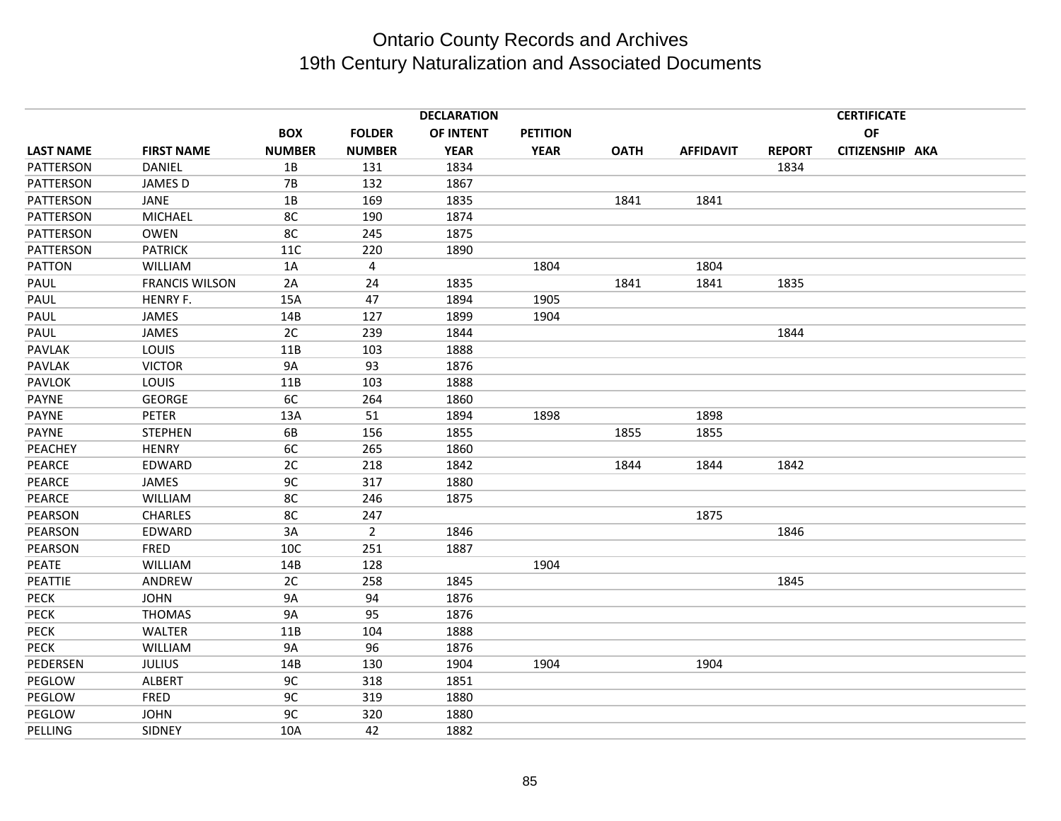|                  | <b>DECLARATION</b>    |                |                |             |                 |             |                  |               | <b>CERTIFICATE</b> |  |
|------------------|-----------------------|----------------|----------------|-------------|-----------------|-------------|------------------|---------------|--------------------|--|
|                  |                       | <b>BOX</b>     | <b>FOLDER</b>  | OF INTENT   | <b>PETITION</b> |             |                  |               | OF                 |  |
| <b>LAST NAME</b> | <b>FIRST NAME</b>     | <b>NUMBER</b>  | <b>NUMBER</b>  | <b>YEAR</b> | <b>YEAR</b>     | <b>OATH</b> | <b>AFFIDAVIT</b> | <b>REPORT</b> | CITIZENSHIP AKA    |  |
| PATTERSON        | DANIEL                | 1B             | 131            | 1834        |                 |             |                  | 1834          |                    |  |
| PATTERSON        | <b>JAMES D</b>        | <b>7B</b>      | 132            | 1867        |                 |             |                  |               |                    |  |
| PATTERSON        | <b>JANE</b>           | 1B             | 169            | 1835        |                 | 1841        | 1841             |               |                    |  |
| PATTERSON        | <b>MICHAEL</b>        | 8C             | 190            | 1874        |                 |             |                  |               |                    |  |
| PATTERSON        | <b>OWEN</b>           | 8 <sub>C</sub> | 245            | 1875        |                 |             |                  |               |                    |  |
| PATTERSON        | <b>PATRICK</b>        | <b>11C</b>     | 220            | 1890        |                 |             |                  |               |                    |  |
| PATTON           | WILLIAM               | 1A             | $\overline{4}$ |             | 1804            |             | 1804             |               |                    |  |
| PAUL             | <b>FRANCIS WILSON</b> | 2A             | 24             | 1835        |                 | 1841        | 1841             | 1835          |                    |  |
| PAUL             | HENRY F.              | 15A            | 47             | 1894        | 1905            |             |                  |               |                    |  |
| PAUL             | <b>JAMES</b>          | 14B            | 127            | 1899        | 1904            |             |                  |               |                    |  |
| PAUL             | <b>JAMES</b>          | 2C             | 239            | 1844        |                 |             |                  | 1844          |                    |  |
| <b>PAVLAK</b>    | LOUIS                 | 11B            | 103            | 1888        |                 |             |                  |               |                    |  |
| PAVLAK           | <b>VICTOR</b>         | <b>9A</b>      | 93             | 1876        |                 |             |                  |               |                    |  |
| <b>PAVLOK</b>    | LOUIS                 | 11B            | 103            | 1888        |                 |             |                  |               |                    |  |
| <b>PAYNE</b>     | <b>GEORGE</b>         | 6C             | 264            | 1860        |                 |             |                  |               |                    |  |
| PAYNE            | PETER                 | 13A            | 51             | 1894        | 1898            |             | 1898             |               |                    |  |
| <b>PAYNE</b>     | <b>STEPHEN</b>        | 6B             | 156            | 1855        |                 | 1855        | 1855             |               |                    |  |
| PEACHEY          | <b>HENRY</b>          | 6C             | 265            | 1860        |                 |             |                  |               |                    |  |
| PEARCE           | EDWARD                | 2C             | 218            | 1842        |                 | 1844        | 1844             | 1842          |                    |  |
| <b>PEARCE</b>    | JAMES                 | 9C             | 317            | 1880        |                 |             |                  |               |                    |  |
| PEARCE           | <b>WILLIAM</b>        | 8C             | 246            | 1875        |                 |             |                  |               |                    |  |
| PEARSON          | <b>CHARLES</b>        | 8C             | 247            |             |                 |             | 1875             |               |                    |  |
| PEARSON          | EDWARD                | 3A             | $\overline{2}$ | 1846        |                 |             |                  | 1846          |                    |  |
| PEARSON          | <b>FRED</b>           | 10C            | 251            | 1887        |                 |             |                  |               |                    |  |
| PEATE            | <b>WILLIAM</b>        | 14B            | 128            |             | 1904            |             |                  |               |                    |  |
| PEATTIE          | ANDREW                | 2C             | 258            | 1845        |                 |             |                  | 1845          |                    |  |
| PECK             | <b>JOHN</b>           | <b>9A</b>      | 94             | 1876        |                 |             |                  |               |                    |  |
| PECK             | <b>THOMAS</b>         | <b>9A</b>      | 95             | 1876        |                 |             |                  |               |                    |  |
| PECK             | WALTER                | 11B            | 104            | 1888        |                 |             |                  |               |                    |  |
| <b>PECK</b>      | <b>WILLIAM</b>        | <b>9A</b>      | 96             | 1876        |                 |             |                  |               |                    |  |
| PEDERSEN         | <b>JULIUS</b>         | 14B            | 130            | 1904        | 1904            |             | 1904             |               |                    |  |
| PEGLOW           | ALBERT                | 9 <sub>C</sub> | 318            | 1851        |                 |             |                  |               |                    |  |
| PEGLOW           | FRED                  | 9C             | 319            | 1880        |                 |             |                  |               |                    |  |
| PEGLOW           | <b>JOHN</b>           | 9C             | 320            | 1880        |                 |             |                  |               |                    |  |
| PELLING          | SIDNEY                | 10A            | 42             | 1882        |                 |             |                  |               |                    |  |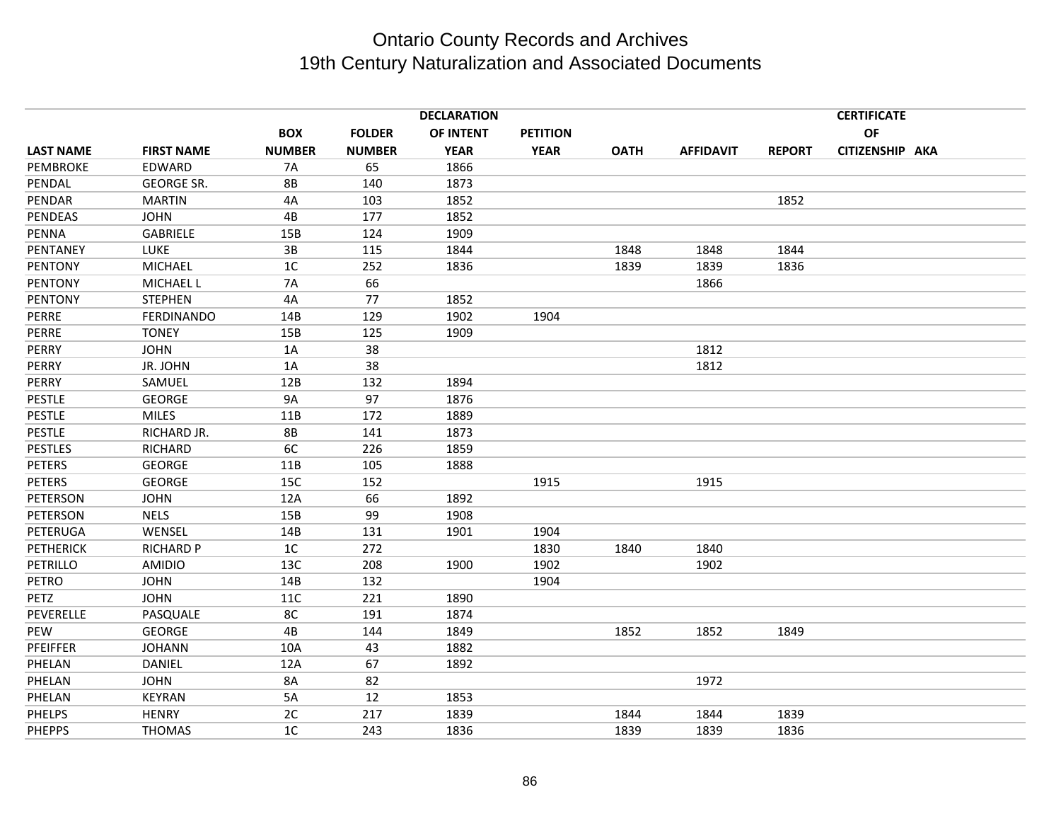|                  |                   |                |               | <b>DECLARATION</b> |                 |             |                  |               | <b>CERTIFICATE</b> |
|------------------|-------------------|----------------|---------------|--------------------|-----------------|-------------|------------------|---------------|--------------------|
|                  |                   | <b>BOX</b>     | <b>FOLDER</b> | OF INTENT          | <b>PETITION</b> |             |                  |               | OF                 |
| <b>LAST NAME</b> | <b>FIRST NAME</b> | <b>NUMBER</b>  | <b>NUMBER</b> | <b>YEAR</b>        | <b>YEAR</b>     | <b>OATH</b> | <b>AFFIDAVIT</b> | <b>REPORT</b> | CITIZENSHIP AKA    |
| <b>PEMBROKE</b>  | EDWARD            | <b>7A</b>      | 65            | 1866               |                 |             |                  |               |                    |
| PENDAL           | GEORGE SR.        | <b>8B</b>      | 140           | 1873               |                 |             |                  |               |                    |
| PENDAR           | <b>MARTIN</b>     | 4A             | 103           | 1852               |                 |             |                  | 1852          |                    |
| PENDEAS          | <b>JOHN</b>       | 4B             | 177           | 1852               |                 |             |                  |               |                    |
| <b>PENNA</b>     | GABRIELE          | 15B            | 124           | 1909               |                 |             |                  |               |                    |
| PENTANEY         | <b>LUKE</b>       | 3B             | 115           | 1844               |                 | 1848        | 1848             | 1844          |                    |
| PENTONY          | <b>MICHAEL</b>    | 1 <sup>C</sup> | 252           | 1836               |                 | 1839        | 1839             | 1836          |                    |
| <b>PENTONY</b>   | <b>MICHAEL L</b>  | <b>7A</b>      | 66            |                    |                 |             | 1866             |               |                    |
| <b>PENTONY</b>   | <b>STEPHEN</b>    | 4A             | 77            | 1852               |                 |             |                  |               |                    |
| PERRE            | <b>FERDINANDO</b> | 14B            | 129           | 1902               | 1904            |             |                  |               |                    |
| PERRE            | <b>TONEY</b>      | 15B            | 125           | 1909               |                 |             |                  |               |                    |
| PERRY            | <b>JOHN</b>       | 1A             | 38            |                    |                 |             | 1812             |               |                    |
| PERRY            | JR. JOHN          | 1A             | 38            |                    |                 |             | 1812             |               |                    |
| PERRY            | SAMUEL            | 12B            | 132           | 1894               |                 |             |                  |               |                    |
| <b>PESTLE</b>    | <b>GEORGE</b>     | <b>9A</b>      | 97            | 1876               |                 |             |                  |               |                    |
| <b>PESTLE</b>    | <b>MILES</b>      | 11B            | 172           | 1889               |                 |             |                  |               |                    |
| <b>PESTLE</b>    | RICHARD JR.       | <b>8B</b>      | 141           | 1873               |                 |             |                  |               |                    |
| <b>PESTLES</b>   | <b>RICHARD</b>    | 6C             | 226           | 1859               |                 |             |                  |               |                    |
| <b>PETERS</b>    | <b>GEORGE</b>     | 11B            | 105           | 1888               |                 |             |                  |               |                    |
| <b>PETERS</b>    | <b>GEORGE</b>     | 15C            | 152           |                    | 1915            |             | 1915             |               |                    |
| PETERSON         | <b>JOHN</b>       | 12A            | 66            | 1892               |                 |             |                  |               |                    |
| PETERSON         | <b>NELS</b>       | 15B            | 99            | 1908               |                 |             |                  |               |                    |
| PETERUGA         | WENSEL            | 14B            | 131           | 1901               | 1904            |             |                  |               |                    |
| <b>PETHERICK</b> | <b>RICHARD P</b>  | 1C             | 272           |                    | 1830            | 1840        | 1840             |               |                    |
| PETRILLO         | <b>AMIDIO</b>     | 13C            | 208           | 1900               | 1902            |             | 1902             |               |                    |
| PETRO            | <b>JOHN</b>       | 14B            | 132           |                    | 1904            |             |                  |               |                    |
| PETZ             | <b>JOHN</b>       | <b>11C</b>     | 221           | 1890               |                 |             |                  |               |                    |
| PEVERELLE        | PASQUALE          | 8C             | 191           | 1874               |                 |             |                  |               |                    |
| PEW              | <b>GEORGE</b>     | 4B             | 144           | 1849               |                 | 1852        | 1852             | 1849          |                    |
| PFEIFFER         | <b>JOHANN</b>     | 10A            | 43            | 1882               |                 |             |                  |               |                    |
| PHELAN           | DANIEL            | 12A            | 67            | 1892               |                 |             |                  |               |                    |
| PHELAN           | <b>JOHN</b>       | 8A             | 82            |                    |                 |             | 1972             |               |                    |
| PHELAN           | <b>KEYRAN</b>     | 5A             | 12            | 1853               |                 |             |                  |               |                    |
| <b>PHELPS</b>    | <b>HENRY</b>      | 2C             | 217           | 1839               |                 | 1844        | 1844             | 1839          |                    |
| <b>PHEPPS</b>    | <b>THOMAS</b>     | 1C             | 243           | 1836               |                 | 1839        | 1839             | 1836          |                    |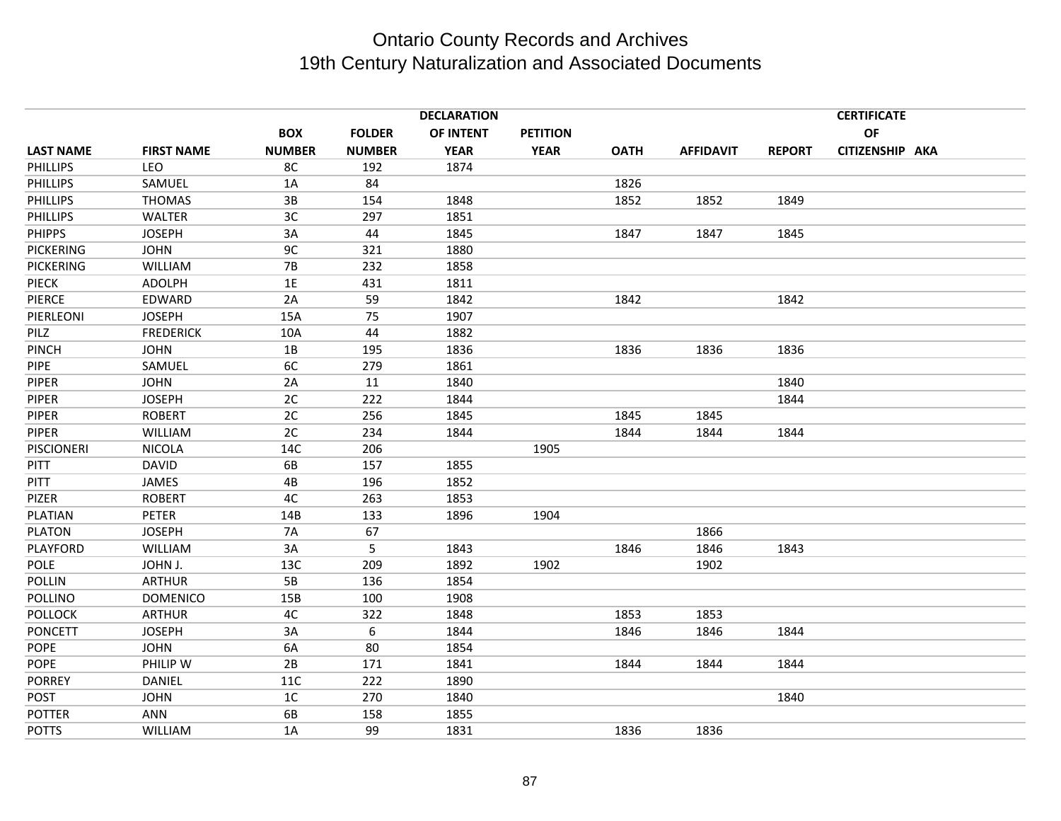|                   |                   | <b>DECLARATION</b> |               |             |                 |             |                  |               | <b>CERTIFICATE</b> |  |  |  |
|-------------------|-------------------|--------------------|---------------|-------------|-----------------|-------------|------------------|---------------|--------------------|--|--|--|
|                   |                   | <b>BOX</b>         | <b>FOLDER</b> | OF INTENT   | <b>PETITION</b> |             |                  |               | OF                 |  |  |  |
| <b>LAST NAME</b>  | <b>FIRST NAME</b> | <b>NUMBER</b>      | <b>NUMBER</b> | <b>YEAR</b> | <b>YEAR</b>     | <b>OATH</b> | <b>AFFIDAVIT</b> | <b>REPORT</b> | CITIZENSHIP AKA    |  |  |  |
| <b>PHILLIPS</b>   | LEO               | 8C                 | 192           | 1874        |                 |             |                  |               |                    |  |  |  |
| <b>PHILLIPS</b>   | SAMUEL            | 1A                 | 84            |             |                 | 1826        |                  |               |                    |  |  |  |
| <b>PHILLIPS</b>   | <b>THOMAS</b>     | 3B                 | 154           | 1848        |                 | 1852        | 1852             | 1849          |                    |  |  |  |
| <b>PHILLIPS</b>   | <b>WALTER</b>     | 3C                 | 297           | 1851        |                 |             |                  |               |                    |  |  |  |
| <b>PHIPPS</b>     | <b>JOSEPH</b>     | 3A                 | 44            | 1845        |                 | 1847        | 1847             | 1845          |                    |  |  |  |
| <b>PICKERING</b>  | <b>JOHN</b>       | 9 <sub>C</sub>     | 321           | 1880        |                 |             |                  |               |                    |  |  |  |
| <b>PICKERING</b>  | <b>WILLIAM</b>    | <b>7B</b>          | 232           | 1858        |                 |             |                  |               |                    |  |  |  |
| <b>PIECK</b>      | <b>ADOLPH</b>     | 1E                 | 431           | 1811        |                 |             |                  |               |                    |  |  |  |
| <b>PIERCE</b>     | EDWARD            | 2A                 | 59            | 1842        |                 | 1842        |                  | 1842          |                    |  |  |  |
| PIERLEONI         | <b>JOSEPH</b>     | 15A                | 75            | 1907        |                 |             |                  |               |                    |  |  |  |
| PILZ              | <b>FREDERICK</b>  | 10A                | 44            | 1882        |                 |             |                  |               |                    |  |  |  |
| PINCH             | <b>JOHN</b>       | 1B                 | 195           | 1836        |                 | 1836        | 1836             | 1836          |                    |  |  |  |
| <b>PIPE</b>       | SAMUEL            | 6C                 | 279           | 1861        |                 |             |                  |               |                    |  |  |  |
| PIPER             | <b>JOHN</b>       | 2A                 | 11            | 1840        |                 |             |                  | 1840          |                    |  |  |  |
| <b>PIPER</b>      | <b>JOSEPH</b>     | 2C                 | 222           | 1844        |                 |             |                  | 1844          |                    |  |  |  |
| <b>PIPER</b>      | <b>ROBERT</b>     | 2C                 | 256           | 1845        |                 | 1845        | 1845             |               |                    |  |  |  |
| <b>PIPER</b>      | <b>WILLIAM</b>    | 2C                 | 234           | 1844        |                 | 1844        | 1844             | 1844          |                    |  |  |  |
| <b>PISCIONERI</b> | <b>NICOLA</b>     | 14C                | 206           |             | 1905            |             |                  |               |                    |  |  |  |
| <b>PITT</b>       | <b>DAVID</b>      | 6B                 | 157           | 1855        |                 |             |                  |               |                    |  |  |  |
| <b>PITT</b>       | JAMES             | 4B                 | 196           | 1852        |                 |             |                  |               |                    |  |  |  |
| PIZER             | <b>ROBERT</b>     | 4C                 | 263           | 1853        |                 |             |                  |               |                    |  |  |  |
| PLATIAN           | <b>PETER</b>      | 14B                | 133           | 1896        | 1904            |             |                  |               |                    |  |  |  |
| <b>PLATON</b>     | <b>JOSEPH</b>     | <b>7A</b>          | 67            |             |                 |             | 1866             |               |                    |  |  |  |
| PLAYFORD          | <b>WILLIAM</b>    | 3A                 | 5             | 1843        |                 | 1846        | 1846             | 1843          |                    |  |  |  |
| <b>POLE</b>       | JOHN J.           | 13C                | 209           | 1892        | 1902            |             | 1902             |               |                    |  |  |  |
| <b>POLLIN</b>     | <b>ARTHUR</b>     | 5B                 | 136           | 1854        |                 |             |                  |               |                    |  |  |  |
| POLLINO           | <b>DOMENICO</b>   | 15B                | 100           | 1908        |                 |             |                  |               |                    |  |  |  |
| <b>POLLOCK</b>    | <b>ARTHUR</b>     | 4C                 | 322           | 1848        |                 | 1853        | 1853             |               |                    |  |  |  |
| <b>PONCETT</b>    | <b>JOSEPH</b>     | 3A                 | 6             | 1844        |                 | 1846        | 1846             | 1844          |                    |  |  |  |
| <b>POPE</b>       | <b>JOHN</b>       | 6A                 | 80            | 1854        |                 |             |                  |               |                    |  |  |  |
| POPE              | PHILIP W          | 2B                 | 171           | 1841        |                 | 1844        | 1844             | 1844          |                    |  |  |  |
| <b>PORREY</b>     | DANIEL            | <b>11C</b>         | 222           | 1890        |                 |             |                  |               |                    |  |  |  |
| <b>POST</b>       | <b>JOHN</b>       | 1C                 | 270           | 1840        |                 |             |                  | 1840          |                    |  |  |  |
| <b>POTTER</b>     | <b>ANN</b>        | 6B                 | 158           | 1855        |                 |             |                  |               |                    |  |  |  |
| <b>POTTS</b>      | <b>WILLIAM</b>    | 1A                 | 99            | 1831        |                 | 1836        | 1836             |               |                    |  |  |  |
|                   |                   |                    |               |             |                 |             |                  |               |                    |  |  |  |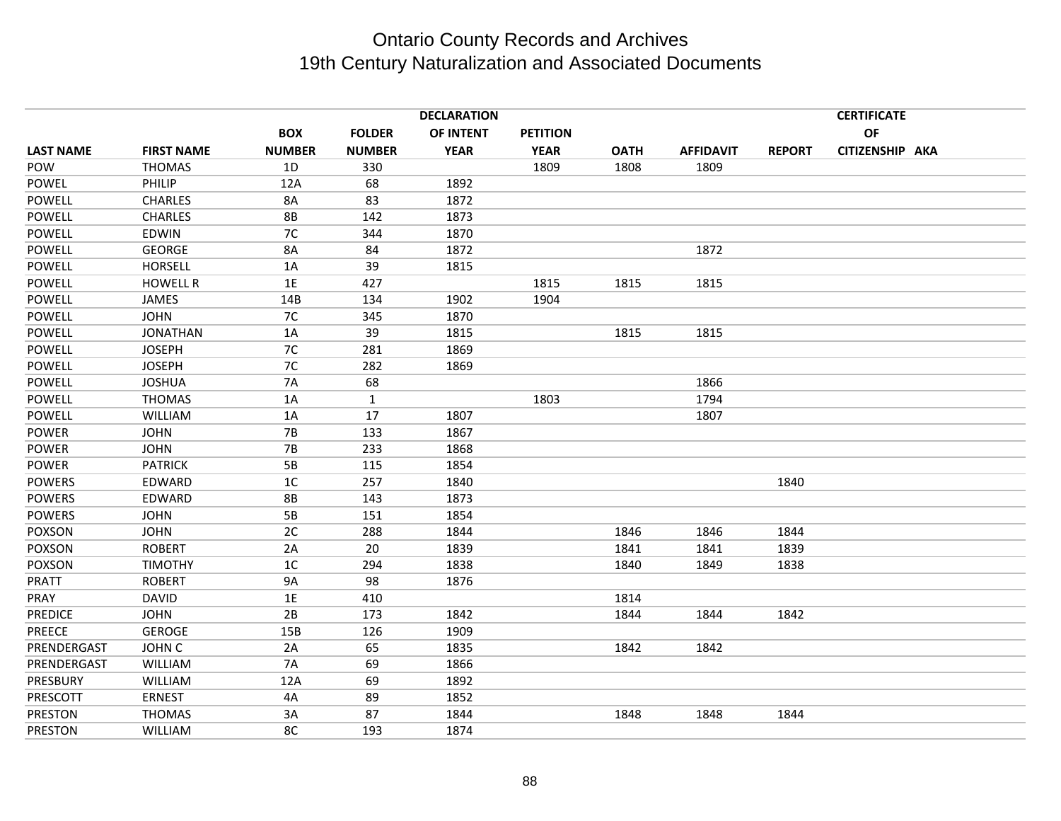|                  | <b>DECLARATION</b> |                |               |             |                 |             |                  | <b>CERTIFICATE</b> |                 |  |
|------------------|--------------------|----------------|---------------|-------------|-----------------|-------------|------------------|--------------------|-----------------|--|
|                  |                    | <b>BOX</b>     | <b>FOLDER</b> | OF INTENT   | <b>PETITION</b> |             |                  |                    | OF              |  |
| <b>LAST NAME</b> | <b>FIRST NAME</b>  | <b>NUMBER</b>  | <b>NUMBER</b> | <b>YEAR</b> | <b>YEAR</b>     | <b>OATH</b> | <b>AFFIDAVIT</b> | <b>REPORT</b>      | CITIZENSHIP AKA |  |
| POW              | <b>THOMAS</b>      | 1D             | 330           |             | 1809            | 1808        | 1809             |                    |                 |  |
| POWEL            | PHILIP             | 12A            | 68            | 1892        |                 |             |                  |                    |                 |  |
| POWELL           | <b>CHARLES</b>     | 8A             | 83            | 1872        |                 |             |                  |                    |                 |  |
| POWELL           | <b>CHARLES</b>     | <b>8B</b>      | 142           | 1873        |                 |             |                  |                    |                 |  |
| <b>POWELL</b>    | EDWIN              | 7C             | 344           | 1870        |                 |             |                  |                    |                 |  |
| POWELL           | <b>GEORGE</b>      | 8A             | 84            | 1872        |                 |             | 1872             |                    |                 |  |
| <b>POWELL</b>    | <b>HORSELL</b>     | 1A             | 39            | 1815        |                 |             |                  |                    |                 |  |
| <b>POWELL</b>    | <b>HOWELL R</b>    | 1E             | 427           |             | 1815            | 1815        | 1815             |                    |                 |  |
| POWELL           | JAMES              | 14B            | 134           | 1902        | 1904            |             |                  |                    |                 |  |
| POWELL           | <b>JOHN</b>        | 7C             | 345           | 1870        |                 |             |                  |                    |                 |  |
| <b>POWELL</b>    | <b>JONATHAN</b>    | 1A             | 39            | 1815        |                 | 1815        | 1815             |                    |                 |  |
| POWELL           | <b>JOSEPH</b>      | 7C             | 281           | 1869        |                 |             |                  |                    |                 |  |
| <b>POWELL</b>    | <b>JOSEPH</b>      | 7C             | 282           | 1869        |                 |             |                  |                    |                 |  |
| POWELL           | <b>JOSHUA</b>      | <b>7A</b>      | 68            |             |                 |             | 1866             |                    |                 |  |
| POWELL           | <b>THOMAS</b>      | 1A             | $\mathbf{1}$  |             | 1803            |             | 1794             |                    |                 |  |
| POWELL           | <b>WILLIAM</b>     | 1A             | 17            | 1807        |                 |             | 1807             |                    |                 |  |
| <b>POWER</b>     | <b>JOHN</b>        | <b>7B</b>      | 133           | 1867        |                 |             |                  |                    |                 |  |
| <b>POWER</b>     | <b>JOHN</b>        | 7B             | 233           | 1868        |                 |             |                  |                    |                 |  |
| <b>POWER</b>     | <b>PATRICK</b>     | 5B             | 115           | 1854        |                 |             |                  |                    |                 |  |
| <b>POWERS</b>    | EDWARD             | 1 <sup>C</sup> | 257           | 1840        |                 |             |                  | 1840               |                 |  |
| <b>POWERS</b>    | EDWARD             | <b>8B</b>      | 143           | 1873        |                 |             |                  |                    |                 |  |
| <b>POWERS</b>    | <b>JOHN</b>        | 5B             | 151           | 1854        |                 |             |                  |                    |                 |  |
| <b>POXSON</b>    | <b>JOHN</b>        | 2C             | 288           | 1844        |                 | 1846        | 1846             | 1844               |                 |  |
| POXSON           | <b>ROBERT</b>      | 2A             | 20            | 1839        |                 | 1841        | 1841             | 1839               |                 |  |
| <b>POXSON</b>    | <b>TIMOTHY</b>     | 1 <sup>C</sup> | 294           | 1838        |                 | 1840        | 1849             | 1838               |                 |  |
| PRATT            | <b>ROBERT</b>      | <b>9A</b>      | 98            | 1876        |                 |             |                  |                    |                 |  |
| PRAY             | <b>DAVID</b>       | $1E$           | 410           |             |                 | 1814        |                  |                    |                 |  |
| <b>PREDICE</b>   | <b>JOHN</b>        | 2B             | 173           | 1842        |                 | 1844        | 1844             | 1842               |                 |  |
| <b>PREECE</b>    | <b>GEROGE</b>      | 15B            | 126           | 1909        |                 |             |                  |                    |                 |  |
| PRENDERGAST      | JOHN C             | 2A             | 65            | 1835        |                 | 1842        | 1842             |                    |                 |  |
| PRENDERGAST      | WILLIAM            | <b>7A</b>      | 69            | 1866        |                 |             |                  |                    |                 |  |
| PRESBURY         | WILLIAM            | 12A            | 69            | 1892        |                 |             |                  |                    |                 |  |
| PRESCOTT         | <b>ERNEST</b>      | 4A             | 89            | 1852        |                 |             |                  |                    |                 |  |
| PRESTON          | <b>THOMAS</b>      | 3A             | 87            | 1844        |                 | 1848        | 1848             | 1844               |                 |  |
| <b>PRESTON</b>   | WILLIAM            | 8C             | 193           | 1874        |                 |             |                  |                    |                 |  |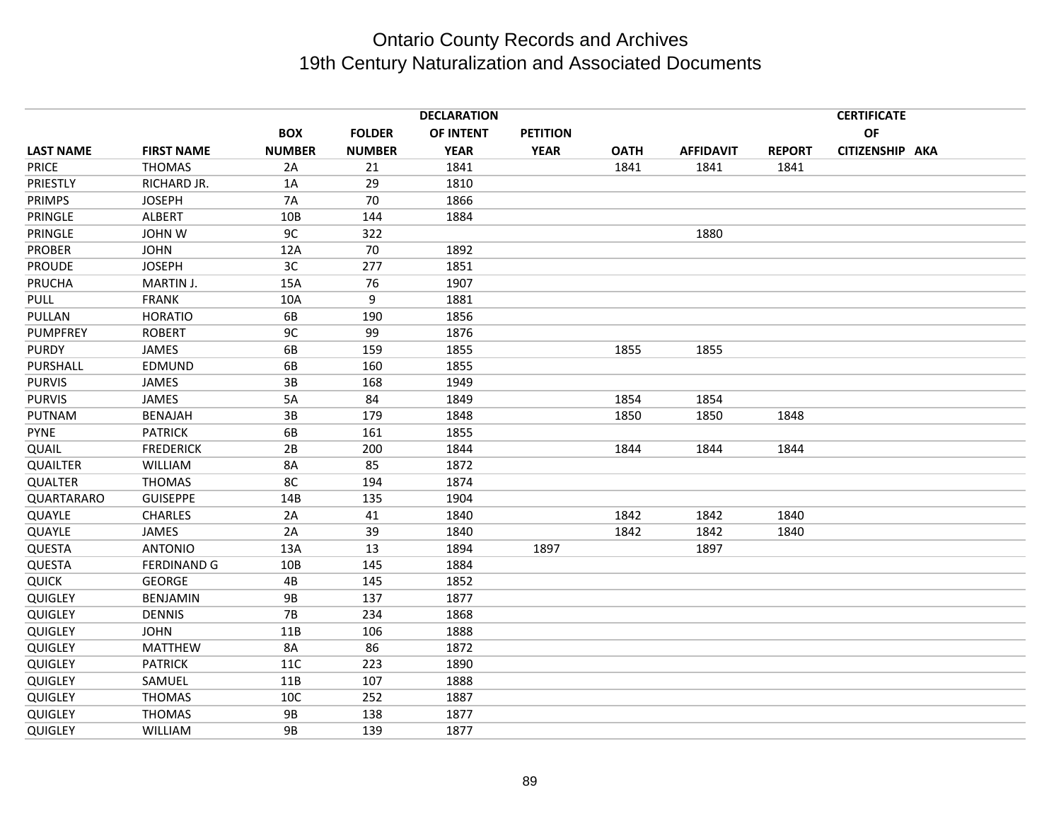|                  |                    |               |               | <b>DECLARATION</b> |                 |             |                  |               | <b>CERTIFICATE</b> |  |
|------------------|--------------------|---------------|---------------|--------------------|-----------------|-------------|------------------|---------------|--------------------|--|
|                  |                    | <b>BOX</b>    | <b>FOLDER</b> | OF INTENT          | <b>PETITION</b> |             |                  |               | <b>OF</b>          |  |
| <b>LAST NAME</b> | <b>FIRST NAME</b>  | <b>NUMBER</b> | <b>NUMBER</b> | <b>YEAR</b>        | <b>YEAR</b>     | <b>OATH</b> | <b>AFFIDAVIT</b> | <b>REPORT</b> | CITIZENSHIP AKA    |  |
| <b>PRICE</b>     | <b>THOMAS</b>      | 2A            | 21            | 1841               |                 | 1841        | 1841             | 1841          |                    |  |
| PRIESTLY         | RICHARD JR.        | 1A            | 29            | 1810               |                 |             |                  |               |                    |  |
| <b>PRIMPS</b>    | <b>JOSEPH</b>      | <b>7A</b>     | 70            | 1866               |                 |             |                  |               |                    |  |
| PRINGLE          | <b>ALBERT</b>      | 10B           | 144           | 1884               |                 |             |                  |               |                    |  |
| PRINGLE          | <b>JOHN W</b>      | 9C            | 322           |                    |                 |             | 1880             |               |                    |  |
| <b>PROBER</b>    | <b>JOHN</b>        | 12A           | 70            | 1892               |                 |             |                  |               |                    |  |
| <b>PROUDE</b>    | <b>JOSEPH</b>      | 3C            | 277           | 1851               |                 |             |                  |               |                    |  |
| PRUCHA           | MARTIN J.          | 15A           | 76            | 1907               |                 |             |                  |               |                    |  |
| PULL             | <b>FRANK</b>       | 10A           | 9             | 1881               |                 |             |                  |               |                    |  |
| PULLAN           | <b>HORATIO</b>     | 6B            | 190           | 1856               |                 |             |                  |               |                    |  |
| <b>PUMPFREY</b>  | <b>ROBERT</b>      | 9C            | 99            | 1876               |                 |             |                  |               |                    |  |
| <b>PURDY</b>     | JAMES              | 6B            | 159           | 1855               |                 | 1855        | 1855             |               |                    |  |
| PURSHALL         | EDMUND             | 6B            | 160           | 1855               |                 |             |                  |               |                    |  |
| <b>PURVIS</b>    | <b>JAMES</b>       | 3B            | 168           | 1949               |                 |             |                  |               |                    |  |
| <b>PURVIS</b>    | JAMES              | 5A            | 84            | 1849               |                 | 1854        | 1854             |               |                    |  |
| PUTNAM           | <b>BENAJAH</b>     | 3B            | 179           | 1848               |                 | 1850        | 1850             | 1848          |                    |  |
| <b>PYNE</b>      | <b>PATRICK</b>     | 6B            | 161           | 1855               |                 |             |                  |               |                    |  |
| QUAIL            | <b>FREDERICK</b>   | 2B            | 200           | 1844               |                 | 1844        | 1844             | 1844          |                    |  |
| <b>QUAILTER</b>  | WILLIAM            | 8A            | 85            | 1872               |                 |             |                  |               |                    |  |
| <b>QUALTER</b>   | <b>THOMAS</b>      | 8C            | 194           | 1874               |                 |             |                  |               |                    |  |
| QUARTARARO       | <b>GUISEPPE</b>    | 14B           | 135           | 1904               |                 |             |                  |               |                    |  |
| QUAYLE           | <b>CHARLES</b>     | 2A            | 41            | 1840               |                 | 1842        | 1842             | 1840          |                    |  |
| QUAYLE           | JAMES              | 2A            | 39            | 1840               |                 | 1842        | 1842             | 1840          |                    |  |
| QUESTA           | <b>ANTONIO</b>     | 13A           | 13            | 1894               | 1897            |             | 1897             |               |                    |  |
| QUESTA           | <b>FERDINAND G</b> | 10B           | 145           | 1884               |                 |             |                  |               |                    |  |
| <b>QUICK</b>     | <b>GEORGE</b>      | 4B            | 145           | 1852               |                 |             |                  |               |                    |  |
| <b>QUIGLEY</b>   | BENJAMIN           | <b>9B</b>     | 137           | 1877               |                 |             |                  |               |                    |  |
| <b>QUIGLEY</b>   | <b>DENNIS</b>      | <b>7B</b>     | 234           | 1868               |                 |             |                  |               |                    |  |
| <b>QUIGLEY</b>   | <b>JOHN</b>        | 11B           | 106           | 1888               |                 |             |                  |               |                    |  |
| <b>QUIGLEY</b>   | <b>MATTHEW</b>     | 8A            | 86            | 1872               |                 |             |                  |               |                    |  |
| <b>QUIGLEY</b>   | <b>PATRICK</b>     | 11C           | 223           | 1890               |                 |             |                  |               |                    |  |
| <b>QUIGLEY</b>   | SAMUEL             | 11B           | 107           | 1888               |                 |             |                  |               |                    |  |
| QUIGLEY          | <b>THOMAS</b>      | 10C           | 252           | 1887               |                 |             |                  |               |                    |  |
| <b>QUIGLEY</b>   | <b>THOMAS</b>      | <b>9B</b>     | 138           | 1877               |                 |             |                  |               |                    |  |
| <b>QUIGLEY</b>   | WILLIAM            | <b>9B</b>     | 139           | 1877               |                 |             |                  |               |                    |  |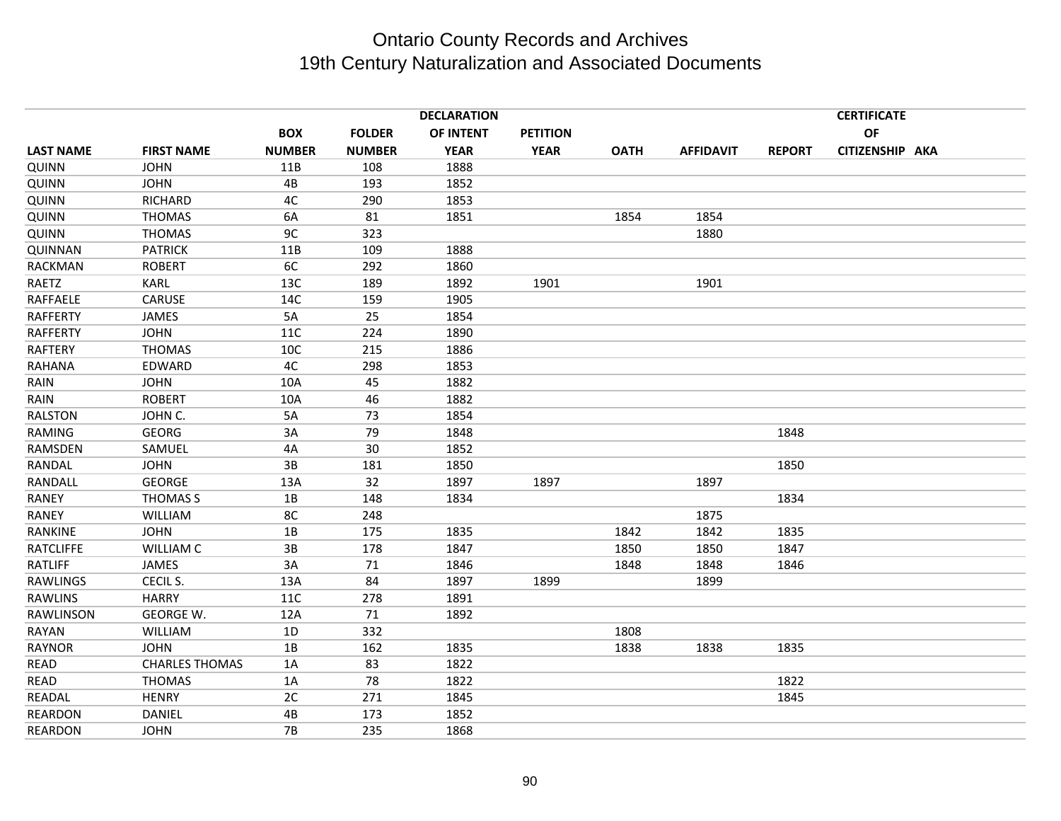|                  |                       |               |               | <b>DECLARATION</b> |                 |             |                  |               | <b>CERTIFICATE</b> |  |
|------------------|-----------------------|---------------|---------------|--------------------|-----------------|-------------|------------------|---------------|--------------------|--|
|                  |                       | <b>BOX</b>    | <b>FOLDER</b> | OF INTENT          | <b>PETITION</b> |             |                  |               | OF                 |  |
| <b>LAST NAME</b> | <b>FIRST NAME</b>     | <b>NUMBER</b> | <b>NUMBER</b> | <b>YEAR</b>        | <b>YEAR</b>     | <b>OATH</b> | <b>AFFIDAVIT</b> | <b>REPORT</b> | CITIZENSHIP AKA    |  |
| QUINN            | <b>JOHN</b>           | 11B           | 108           | 1888               |                 |             |                  |               |                    |  |
| QUINN            | <b>JOHN</b>           | 4B            | 193           | 1852               |                 |             |                  |               |                    |  |
| QUINN            | <b>RICHARD</b>        | 4C            | 290           | 1853               |                 |             |                  |               |                    |  |
| QUINN            | <b>THOMAS</b>         | 6A            | 81            | 1851               |                 | 1854        | 1854             |               |                    |  |
| QUINN            | <b>THOMAS</b>         | 9C            | 323           |                    |                 |             | 1880             |               |                    |  |
| QUINNAN          | <b>PATRICK</b>        | 11B           | 109           | 1888               |                 |             |                  |               |                    |  |
| RACKMAN          | <b>ROBERT</b>         | 6C            | 292           | 1860               |                 |             |                  |               |                    |  |
| RAETZ            | <b>KARL</b>           | 13C           | 189           | 1892               | 1901            |             | 1901             |               |                    |  |
| RAFFAELE         | CARUSE                | 14C           | 159           | 1905               |                 |             |                  |               |                    |  |
| RAFFERTY         | JAMES                 | 5A            | 25            | 1854               |                 |             |                  |               |                    |  |
| RAFFERTY         | <b>JOHN</b>           | <b>11C</b>    | 224           | 1890               |                 |             |                  |               |                    |  |
| RAFTERY          | <b>THOMAS</b>         | 10C           | 215           | 1886               |                 |             |                  |               |                    |  |
| RAHANA           | EDWARD                | 4C            | 298           | 1853               |                 |             |                  |               |                    |  |
| RAIN             | <b>JOHN</b>           | 10A           | 45            | 1882               |                 |             |                  |               |                    |  |
| RAIN             | <b>ROBERT</b>         | 10A           | 46            | 1882               |                 |             |                  |               |                    |  |
| <b>RALSTON</b>   | JOHN C.               | 5A            | 73            | 1854               |                 |             |                  |               |                    |  |
| RAMING           | <b>GEORG</b>          | 3A            | 79            | 1848               |                 |             |                  | 1848          |                    |  |
| RAMSDEN          | SAMUEL                | 4A            | 30            | 1852               |                 |             |                  |               |                    |  |
| <b>RANDAL</b>    | <b>JOHN</b>           | 3B            | 181           | 1850               |                 |             |                  | 1850          |                    |  |
| RANDALL          | <b>GEORGE</b>         | 13A           | 32            | 1897               | 1897            |             | 1897             |               |                    |  |
| RANEY            | <b>THOMAS S</b>       | 1B            | 148           | 1834               |                 |             |                  | 1834          |                    |  |
| RANEY            | <b>WILLIAM</b>        | 8C            | 248           |                    |                 |             | 1875             |               |                    |  |
| <b>RANKINE</b>   | <b>JOHN</b>           | 1B            | 175           | 1835               |                 | 1842        | 1842             | 1835          |                    |  |
| <b>RATCLIFFE</b> | <b>WILLIAM C</b>      | 3B            | 178           | 1847               |                 | 1850        | 1850             | 1847          |                    |  |
| RATLIFF          | JAMES                 | 3A            | 71            | 1846               |                 | 1848        | 1848             | 1846          |                    |  |
| <b>RAWLINGS</b>  | CECIL S.              | 13A           | 84            | 1897               | 1899            |             | 1899             |               |                    |  |
| <b>RAWLINS</b>   | <b>HARRY</b>          | 11C           | 278           | 1891               |                 |             |                  |               |                    |  |
| RAWLINSON        | <b>GEORGE W.</b>      | 12A           | 71            | 1892               |                 |             |                  |               |                    |  |
| RAYAN            | <b>WILLIAM</b>        | 1D            | 332           |                    |                 | 1808        |                  |               |                    |  |
| <b>RAYNOR</b>    | <b>JOHN</b>           | 1B            | 162           | 1835               |                 | 1838        | 1838             | 1835          |                    |  |
| <b>READ</b>      | <b>CHARLES THOMAS</b> | 1A            | 83            | 1822               |                 |             |                  |               |                    |  |
| <b>READ</b>      | <b>THOMAS</b>         | 1A            | 78            | 1822               |                 |             |                  | 1822          |                    |  |
| READAL           | <b>HENRY</b>          | 2C            | 271           | 1845               |                 |             |                  | 1845          |                    |  |
| <b>REARDON</b>   | DANIEL                | 4B            | 173           | 1852               |                 |             |                  |               |                    |  |
| REARDON          | <b>JOHN</b>           | <b>7B</b>     | 235           | 1868               |                 |             |                  |               |                    |  |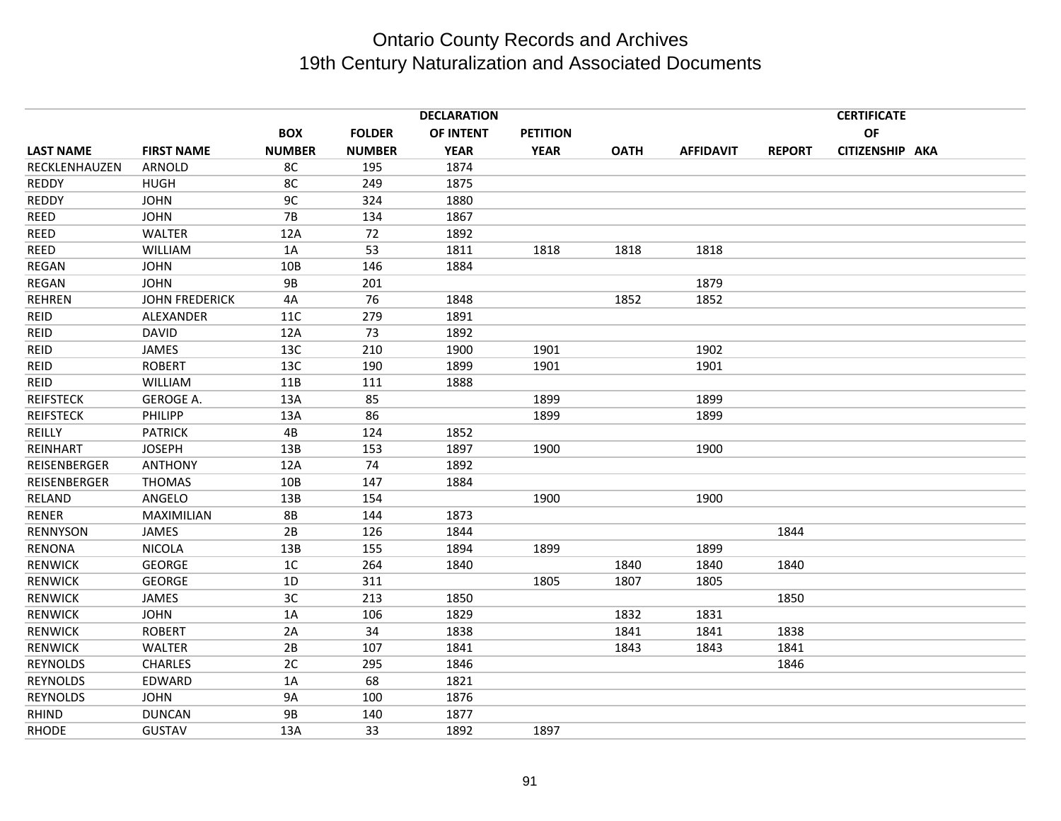|                  |                       |                |               | <b>DECLARATION</b> |                 |             |                  |               | <b>CERTIFICATE</b> |  |
|------------------|-----------------------|----------------|---------------|--------------------|-----------------|-------------|------------------|---------------|--------------------|--|
|                  |                       | <b>BOX</b>     | <b>FOLDER</b> | OF INTENT          | <b>PETITION</b> |             |                  |               | OF                 |  |
| <b>LAST NAME</b> | <b>FIRST NAME</b>     | <b>NUMBER</b>  | <b>NUMBER</b> | <b>YEAR</b>        | <b>YEAR</b>     | <b>OATH</b> | <b>AFFIDAVIT</b> | <b>REPORT</b> | CITIZENSHIP AKA    |  |
| RECKLENHAUZEN    | ARNOLD                | 8C             | 195           | 1874               |                 |             |                  |               |                    |  |
| <b>REDDY</b>     | <b>HUGH</b>           | 8C             | 249           | 1875               |                 |             |                  |               |                    |  |
| REDDY            | <b>JOHN</b>           | 9C             | 324           | 1880               |                 |             |                  |               |                    |  |
| REED             | <b>JOHN</b>           | <b>7B</b>      | 134           | 1867               |                 |             |                  |               |                    |  |
| <b>REED</b>      | <b>WALTER</b>         | 12A            | 72            | 1892               |                 |             |                  |               |                    |  |
| REED             | <b>WILLIAM</b>        | 1A             | 53            | 1811               | 1818            | 1818        | 1818             |               |                    |  |
| <b>REGAN</b>     | <b>JOHN</b>           | 10B            | 146           | 1884               |                 |             |                  |               |                    |  |
| REGAN            | <b>JOHN</b>           | <b>9B</b>      | 201           |                    |                 |             | 1879             |               |                    |  |
| <b>REHREN</b>    | <b>JOHN FREDERICK</b> | 4A             | 76            | 1848               |                 | 1852        | 1852             |               |                    |  |
| <b>REID</b>      | ALEXANDER             | 11C            | 279           | 1891               |                 |             |                  |               |                    |  |
| <b>REID</b>      | <b>DAVID</b>          | 12A            | 73            | 1892               |                 |             |                  |               |                    |  |
| <b>REID</b>      | JAMES                 | 13C            | 210           | 1900               | 1901            |             | 1902             |               |                    |  |
| <b>REID</b>      | <b>ROBERT</b>         | 13C            | 190           | 1899               | 1901            |             | 1901             |               |                    |  |
| <b>REID</b>      | <b>WILLIAM</b>        | 11B            | 111           | 1888               |                 |             |                  |               |                    |  |
| <b>REIFSTECK</b> | <b>GEROGE A.</b>      | 13A            | 85            |                    | 1899            |             | 1899             |               |                    |  |
| <b>REIFSTECK</b> | PHILIPP               | 13A            | 86            |                    | 1899            |             | 1899             |               |                    |  |
| REILLY           | <b>PATRICK</b>        | 4B             | 124           | 1852               |                 |             |                  |               |                    |  |
| REINHART         | <b>JOSEPH</b>         | 13B            | 153           | 1897               | 1900            |             | 1900             |               |                    |  |
| REISENBERGER     | <b>ANTHONY</b>        | 12A            | 74            | 1892               |                 |             |                  |               |                    |  |
| REISENBERGER     | <b>THOMAS</b>         | 10B            | 147           | 1884               |                 |             |                  |               |                    |  |
| RELAND           | ANGELO                | 13B            | 154           |                    | 1900            |             | 1900             |               |                    |  |
| <b>RENER</b>     | MAXIMILIAN            | <b>8B</b>      | 144           | 1873               |                 |             |                  |               |                    |  |
| <b>RENNYSON</b>  | JAMES                 | 2B             | 126           | 1844               |                 |             |                  | 1844          |                    |  |
| <b>RENONA</b>    | <b>NICOLA</b>         | 13B            | 155           | 1894               | 1899            |             | 1899             |               |                    |  |
| <b>RENWICK</b>   | <b>GEORGE</b>         | 1 <sup>C</sup> | 264           | 1840               |                 | 1840        | 1840             | 1840          |                    |  |
| <b>RENWICK</b>   | <b>GEORGE</b>         | 1D             | 311           |                    | 1805            | 1807        | 1805             |               |                    |  |
| <b>RENWICK</b>   | <b>JAMES</b>          | 3C             | 213           | 1850               |                 |             |                  | 1850          |                    |  |
| <b>RENWICK</b>   | <b>JOHN</b>           | 1A             | 106           | 1829               |                 | 1832        | 1831             |               |                    |  |
| <b>RENWICK</b>   | <b>ROBERT</b>         | 2A             | 34            | 1838               |                 | 1841        | 1841             | 1838          |                    |  |
| <b>RENWICK</b>   | <b>WALTER</b>         | 2B             | 107           | 1841               |                 | 1843        | 1843             | 1841          |                    |  |
| <b>REYNOLDS</b>  | <b>CHARLES</b>        | 2C             | 295           | 1846               |                 |             |                  | 1846          |                    |  |
| <b>REYNOLDS</b>  | EDWARD                | 1A             | 68            | 1821               |                 |             |                  |               |                    |  |
| <b>REYNOLDS</b>  | <b>JOHN</b>           | <b>9A</b>      | 100           | 1876               |                 |             |                  |               |                    |  |
| <b>RHIND</b>     | <b>DUNCAN</b>         | 9B             | 140           | 1877               |                 |             |                  |               |                    |  |
| RHODE            | <b>GUSTAV</b>         | 13A            | 33            | 1892               | 1897            |             |                  |               |                    |  |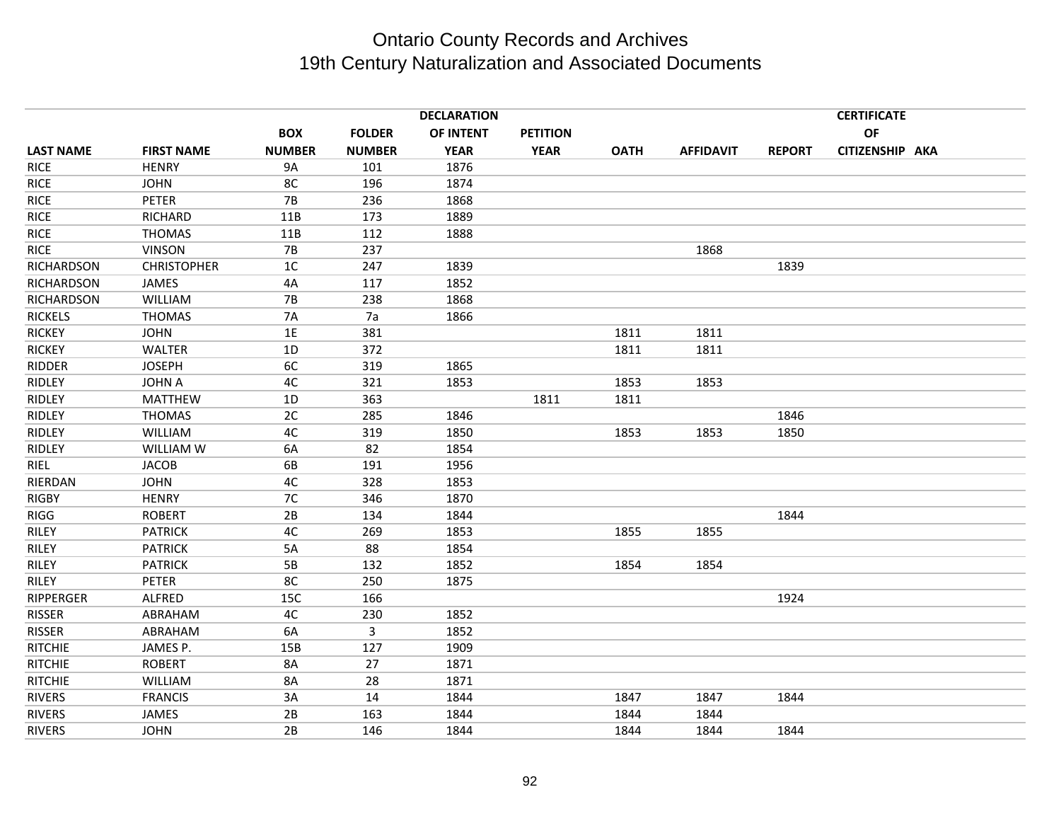|                   | <b>DECLARATION</b> |               |               |             |                 |             |                  | <b>CERTIFICATE</b> |                 |  |  |
|-------------------|--------------------|---------------|---------------|-------------|-----------------|-------------|------------------|--------------------|-----------------|--|--|
|                   |                    | <b>BOX</b>    | <b>FOLDER</b> | OF INTENT   | <b>PETITION</b> |             |                  |                    | <b>OF</b>       |  |  |
| <b>LAST NAME</b>  | <b>FIRST NAME</b>  | <b>NUMBER</b> | <b>NUMBER</b> | <b>YEAR</b> | <b>YEAR</b>     | <b>OATH</b> | <b>AFFIDAVIT</b> | <b>REPORT</b>      | CITIZENSHIP AKA |  |  |
| <b>RICE</b>       | <b>HENRY</b>       | <b>9A</b>     | 101           | 1876        |                 |             |                  |                    |                 |  |  |
| <b>RICE</b>       | <b>JOHN</b>        | 8C            | 196           | 1874        |                 |             |                  |                    |                 |  |  |
| <b>RICE</b>       | PETER              | <b>7B</b>     | 236           | 1868        |                 |             |                  |                    |                 |  |  |
| <b>RICE</b>       | <b>RICHARD</b>     | 11B           | 173           | 1889        |                 |             |                  |                    |                 |  |  |
| <b>RICE</b>       | <b>THOMAS</b>      | 11B           | 112           | 1888        |                 |             |                  |                    |                 |  |  |
| <b>RICE</b>       | <b>VINSON</b>      | <b>7B</b>     | 237           |             |                 |             | 1868             |                    |                 |  |  |
| <b>RICHARDSON</b> | <b>CHRISTOPHER</b> | 1C            | 247           | 1839        |                 |             |                  | 1839               |                 |  |  |
| RICHARDSON        | JAMES              | 4A            | 117           | 1852        |                 |             |                  |                    |                 |  |  |
| RICHARDSON        | WILLIAM            | <b>7B</b>     | 238           | 1868        |                 |             |                  |                    |                 |  |  |
| <b>RICKELS</b>    | <b>THOMAS</b>      | <b>7A</b>     | 7a            | 1866        |                 |             |                  |                    |                 |  |  |
| <b>RICKEY</b>     | <b>JOHN</b>        | 1E            | 381           |             |                 | 1811        | 1811             |                    |                 |  |  |
| <b>RICKEY</b>     | WALTER             | 1D            | 372           |             |                 | 1811        | 1811             |                    |                 |  |  |
| <b>RIDDER</b>     | <b>JOSEPH</b>      | 6C            | 319           | 1865        |                 |             |                  |                    |                 |  |  |
| <b>RIDLEY</b>     | <b>JOHN A</b>      | 4C            | 321           | 1853        |                 | 1853        | 1853             |                    |                 |  |  |
| RIDLEY            | <b>MATTHEW</b>     | 1D            | 363           |             | 1811            | 1811        |                  |                    |                 |  |  |
| RIDLEY            | <b>THOMAS</b>      | 2C            | 285           | 1846        |                 |             |                  | 1846               |                 |  |  |
| <b>RIDLEY</b>     | WILLIAM            | 4C            | 319           | 1850        |                 | 1853        | 1853             | 1850               |                 |  |  |
| RIDLEY            | WILLIAM W          | 6A            | 82            | 1854        |                 |             |                  |                    |                 |  |  |
| RIEL              | <b>JACOB</b>       | 6B            | 191           | 1956        |                 |             |                  |                    |                 |  |  |
| RIERDAN           | <b>JOHN</b>        | 4C            | 328           | 1853        |                 |             |                  |                    |                 |  |  |
| <b>RIGBY</b>      | <b>HENRY</b>       | 7C            | 346           | 1870        |                 |             |                  |                    |                 |  |  |
| RIGG              | <b>ROBERT</b>      | 2B            | 134           | 1844        |                 |             |                  | 1844               |                 |  |  |
| RILEY             | <b>PATRICK</b>     | 4C            | 269           | 1853        |                 | 1855        | 1855             |                    |                 |  |  |
| RILEY             | <b>PATRICK</b>     | 5A            | 88            | 1854        |                 |             |                  |                    |                 |  |  |
| RILEY             | <b>PATRICK</b>     | 5B            | 132           | 1852        |                 | 1854        | 1854             |                    |                 |  |  |
| RILEY             | PETER              | 8C            | 250           | 1875        |                 |             |                  |                    |                 |  |  |
| RIPPERGER         | <b>ALFRED</b>      | 15C           | 166           |             |                 |             |                  | 1924               |                 |  |  |
| <b>RISSER</b>     | ABRAHAM            | 4C            | 230           | 1852        |                 |             |                  |                    |                 |  |  |
| <b>RISSER</b>     | ABRAHAM            | 6A            | 3             | 1852        |                 |             |                  |                    |                 |  |  |
| <b>RITCHIE</b>    | JAMES P.           | 15B           | 127           | 1909        |                 |             |                  |                    |                 |  |  |
| <b>RITCHIE</b>    | <b>ROBERT</b>      | 8A            | 27            | 1871        |                 |             |                  |                    |                 |  |  |
| <b>RITCHIE</b>    | WILLIAM            | 8A            | 28            | 1871        |                 |             |                  |                    |                 |  |  |
| <b>RIVERS</b>     | <b>FRANCIS</b>     | 3A            | 14            | 1844        |                 | 1847        | 1847             | 1844               |                 |  |  |
| <b>RIVERS</b>     | <b>JAMES</b>       | 2B            | 163           | 1844        |                 | 1844        | 1844             |                    |                 |  |  |
| RIVERS            | <b>JOHN</b>        | 2B            | 146           | 1844        |                 | 1844        | 1844             | 1844               |                 |  |  |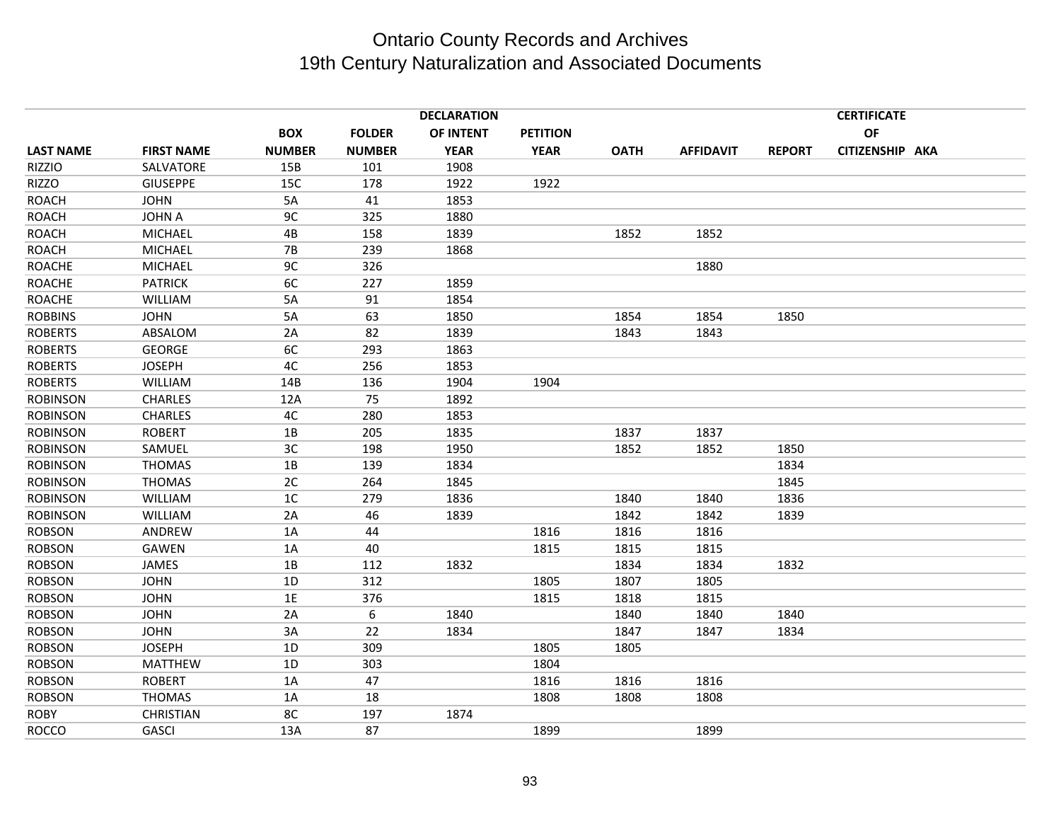|                  |                   | <b>DECLARATION</b> |               |             |                 |             |                  |               | <b>CERTIFICATE</b> |  |  |  |
|------------------|-------------------|--------------------|---------------|-------------|-----------------|-------------|------------------|---------------|--------------------|--|--|--|
|                  |                   | <b>BOX</b>         | <b>FOLDER</b> | OF INTENT   | <b>PETITION</b> |             |                  |               | OF                 |  |  |  |
| <b>LAST NAME</b> | <b>FIRST NAME</b> | <b>NUMBER</b>      | <b>NUMBER</b> | <b>YEAR</b> | <b>YEAR</b>     | <b>OATH</b> | <b>AFFIDAVIT</b> | <b>REPORT</b> | CITIZENSHIP AKA    |  |  |  |
| <b>RIZZIO</b>    | SALVATORE         | 15B                | 101           | 1908        |                 |             |                  |               |                    |  |  |  |
| RIZZO            | <b>GIUSEPPE</b>   | 15C                | 178           | 1922        | 1922            |             |                  |               |                    |  |  |  |
| <b>ROACH</b>     | <b>JOHN</b>       | 5A                 | 41            | 1853        |                 |             |                  |               |                    |  |  |  |
| <b>ROACH</b>     | <b>JOHN A</b>     | 9 <sub>C</sub>     | 325           | 1880        |                 |             |                  |               |                    |  |  |  |
| <b>ROACH</b>     | <b>MICHAEL</b>    | 4B                 | 158           | 1839        |                 | 1852        | 1852             |               |                    |  |  |  |
| <b>ROACH</b>     | <b>MICHAEL</b>    | <b>7B</b>          | 239           | 1868        |                 |             |                  |               |                    |  |  |  |
| <b>ROACHE</b>    | <b>MICHAEL</b>    | 9C                 | 326           |             |                 |             | 1880             |               |                    |  |  |  |
| <b>ROACHE</b>    | <b>PATRICK</b>    | 6C                 | 227           | 1859        |                 |             |                  |               |                    |  |  |  |
| <b>ROACHE</b>    | WILLIAM           | 5A                 | 91            | 1854        |                 |             |                  |               |                    |  |  |  |
| <b>ROBBINS</b>   | <b>JOHN</b>       | 5A                 | 63            | 1850        |                 | 1854        | 1854             | 1850          |                    |  |  |  |
| <b>ROBERTS</b>   | ABSALOM           | 2A                 | 82            | 1839        |                 | 1843        | 1843             |               |                    |  |  |  |
| <b>ROBERTS</b>   | <b>GEORGE</b>     | 6C                 | 293           | 1863        |                 |             |                  |               |                    |  |  |  |
| <b>ROBERTS</b>   | <b>JOSEPH</b>     | 4C                 | 256           | 1853        |                 |             |                  |               |                    |  |  |  |
| <b>ROBERTS</b>   | WILLIAM           | 14B                | 136           | 1904        | 1904            |             |                  |               |                    |  |  |  |
| <b>ROBINSON</b>  | <b>CHARLES</b>    | 12A                | 75            | 1892        |                 |             |                  |               |                    |  |  |  |
| <b>ROBINSON</b>  | <b>CHARLES</b>    | 4C                 | 280           | 1853        |                 |             |                  |               |                    |  |  |  |
| <b>ROBINSON</b>  | <b>ROBERT</b>     | 1B                 | 205           | 1835        |                 | 1837        | 1837             |               |                    |  |  |  |
| <b>ROBINSON</b>  | SAMUEL            | 3C                 | 198           | 1950        |                 | 1852        | 1852             | 1850          |                    |  |  |  |
| <b>ROBINSON</b>  | <b>THOMAS</b>     | 1B                 | 139           | 1834        |                 |             |                  | 1834          |                    |  |  |  |
| <b>ROBINSON</b>  | <b>THOMAS</b>     | 2C                 | 264           | 1845        |                 |             |                  | 1845          |                    |  |  |  |
| <b>ROBINSON</b>  | <b>WILLIAM</b>    | 1 <sup>C</sup>     | 279           | 1836        |                 | 1840        | 1840             | 1836          |                    |  |  |  |
| <b>ROBINSON</b>  | WILLIAM           | 2A                 | 46            | 1839        |                 | 1842        | 1842             | 1839          |                    |  |  |  |
| <b>ROBSON</b>    | ANDREW            | 1A                 | 44            |             | 1816            | 1816        | 1816             |               |                    |  |  |  |
| <b>ROBSON</b>    | <b>GAWEN</b>      | 1A                 | 40            |             | 1815            | 1815        | 1815             |               |                    |  |  |  |
| <b>ROBSON</b>    | JAMES             | 1B                 | 112           | 1832        |                 | 1834        | 1834             | 1832          |                    |  |  |  |
| <b>ROBSON</b>    | <b>JOHN</b>       | 1D                 | 312           |             | 1805            | 1807        | 1805             |               |                    |  |  |  |
| <b>ROBSON</b>    | <b>JOHN</b>       | 1E                 | 376           |             | 1815            | 1818        | 1815             |               |                    |  |  |  |
| <b>ROBSON</b>    | <b>JOHN</b>       | 2A                 | 6             | 1840        |                 | 1840        | 1840             | 1840          |                    |  |  |  |
| <b>ROBSON</b>    | <b>JOHN</b>       | 3A                 | 22            | 1834        |                 | 1847        | 1847             | 1834          |                    |  |  |  |
| <b>ROBSON</b>    | <b>JOSEPH</b>     | 1D                 | 309           |             | 1805            | 1805        |                  |               |                    |  |  |  |
| <b>ROBSON</b>    | <b>MATTHEW</b>    | 1D                 | 303           |             | 1804            |             |                  |               |                    |  |  |  |
| <b>ROBSON</b>    | <b>ROBERT</b>     | 1A                 | 47            |             | 1816            | 1816        | 1816             |               |                    |  |  |  |
| <b>ROBSON</b>    | <b>THOMAS</b>     | 1A                 | 18            |             | 1808            | 1808        | 1808             |               |                    |  |  |  |
| <b>ROBY</b>      | <b>CHRISTIAN</b>  | 8C                 | 197           | 1874        |                 |             |                  |               |                    |  |  |  |
| <b>ROCCO</b>     | GASCI             | 13A                | 87            |             | 1899            |             | 1899             |               |                    |  |  |  |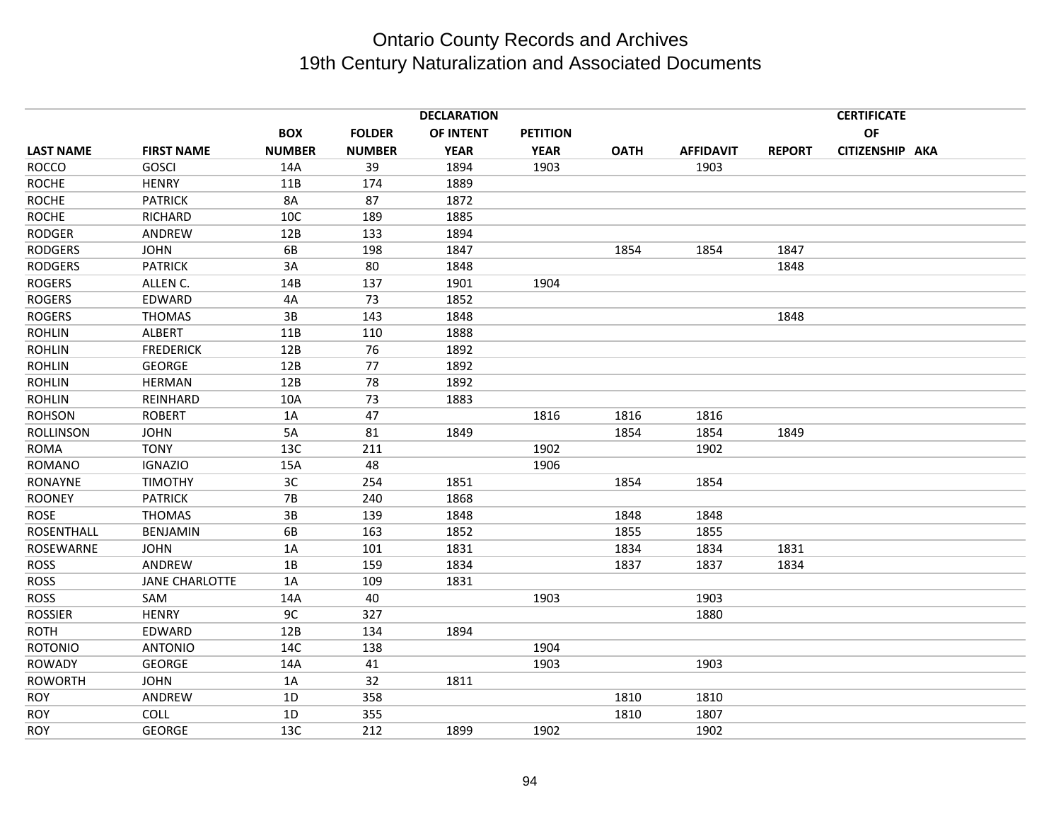|                   | <b>DECLARATION</b>    |               |               |             |                 |             |                  |               | <b>CERTIFICATE</b> |  |  |
|-------------------|-----------------------|---------------|---------------|-------------|-----------------|-------------|------------------|---------------|--------------------|--|--|
|                   |                       | <b>BOX</b>    | <b>FOLDER</b> | OF INTENT   | <b>PETITION</b> |             |                  |               | OF                 |  |  |
| <b>LAST NAME</b>  | <b>FIRST NAME</b>     | <b>NUMBER</b> | <b>NUMBER</b> | <b>YEAR</b> | <b>YEAR</b>     | <b>OATH</b> | <b>AFFIDAVIT</b> | <b>REPORT</b> | CITIZENSHIP AKA    |  |  |
| <b>ROCCO</b>      | <b>GOSCI</b>          | 14A           | 39            | 1894        | 1903            |             | 1903             |               |                    |  |  |
| <b>ROCHE</b>      | <b>HENRY</b>          | 11B           | 174           | 1889        |                 |             |                  |               |                    |  |  |
| <b>ROCHE</b>      | <b>PATRICK</b>        | <b>8A</b>     | 87            | 1872        |                 |             |                  |               |                    |  |  |
| <b>ROCHE</b>      | <b>RICHARD</b>        | 10C           | 189           | 1885        |                 |             |                  |               |                    |  |  |
| <b>RODGER</b>     | ANDREW                | 12B           | 133           | 1894        |                 |             |                  |               |                    |  |  |
| <b>RODGERS</b>    | <b>JOHN</b>           | 6B            | 198           | 1847        |                 | 1854        | 1854             | 1847          |                    |  |  |
| <b>RODGERS</b>    | <b>PATRICK</b>        | 3A            | 80            | 1848        |                 |             |                  | 1848          |                    |  |  |
| <b>ROGERS</b>     | ALLEN C.              | 14B           | 137           | 1901        | 1904            |             |                  |               |                    |  |  |
| <b>ROGERS</b>     | EDWARD                | 4A            | 73            | 1852        |                 |             |                  |               |                    |  |  |
| <b>ROGERS</b>     | <b>THOMAS</b>         | 3B            | 143           | 1848        |                 |             |                  | 1848          |                    |  |  |
| <b>ROHLIN</b>     | <b>ALBERT</b>         | 11B           | 110           | 1888        |                 |             |                  |               |                    |  |  |
| <b>ROHLIN</b>     | <b>FREDERICK</b>      | 12B           | 76            | 1892        |                 |             |                  |               |                    |  |  |
| <b>ROHLIN</b>     | <b>GEORGE</b>         | 12B           | 77            | 1892        |                 |             |                  |               |                    |  |  |
| <b>ROHLIN</b>     | <b>HERMAN</b>         | 12B           | 78            | 1892        |                 |             |                  |               |                    |  |  |
| <b>ROHLIN</b>     | REINHARD              | 10A           | 73            | 1883        |                 |             |                  |               |                    |  |  |
| <b>ROHSON</b>     | <b>ROBERT</b>         | 1A            | 47            |             | 1816            | 1816        | 1816             |               |                    |  |  |
| <b>ROLLINSON</b>  | <b>JOHN</b>           | 5A            | 81            | 1849        |                 | 1854        | 1854             | 1849          |                    |  |  |
| <b>ROMA</b>       | <b>TONY</b>           | 13C           | 211           |             | 1902            |             | 1902             |               |                    |  |  |
| <b>ROMANO</b>     | <b>IGNAZIO</b>        | 15A           | 48            |             | 1906            |             |                  |               |                    |  |  |
| <b>RONAYNE</b>    | <b>TIMOTHY</b>        | 3C            | 254           | 1851        |                 | 1854        | 1854             |               |                    |  |  |
| <b>ROONEY</b>     | <b>PATRICK</b>        | 7B            | 240           | 1868        |                 |             |                  |               |                    |  |  |
| ROSE              | <b>THOMAS</b>         | 3B            | 139           | 1848        |                 | 1848        | 1848             |               |                    |  |  |
| <b>ROSENTHALL</b> | <b>BENJAMIN</b>       | 6B            | 163           | 1852        |                 | 1855        | 1855             |               |                    |  |  |
| ROSEWARNE         | <b>JOHN</b>           | 1A            | 101           | 1831        |                 | 1834        | 1834             | 1831          |                    |  |  |
| <b>ROSS</b>       | ANDREW                | 1B            | 159           | 1834        |                 | 1837        | 1837             | 1834          |                    |  |  |
| <b>ROSS</b>       | <b>JANE CHARLOTTE</b> | 1A            | 109           | 1831        |                 |             |                  |               |                    |  |  |
| <b>ROSS</b>       | SAM                   | 14A           | 40            |             | 1903            |             | 1903             |               |                    |  |  |
| <b>ROSSIER</b>    | <b>HENRY</b>          | 9C            | 327           |             |                 |             | 1880             |               |                    |  |  |
| <b>ROTH</b>       | EDWARD                | 12B           | 134           | 1894        |                 |             |                  |               |                    |  |  |
| <b>ROTONIO</b>    | <b>ANTONIO</b>        | 14C           | 138           |             | 1904            |             |                  |               |                    |  |  |
| <b>ROWADY</b>     | <b>GEORGE</b>         | 14A           | 41            |             | 1903            |             | 1903             |               |                    |  |  |
| <b>ROWORTH</b>    | <b>JOHN</b>           | 1A            | 32            | 1811        |                 |             |                  |               |                    |  |  |
| ROY               | ANDREW                | 1D            | 358           |             |                 | 1810        | 1810             |               |                    |  |  |
| <b>ROY</b>        | COLL                  | 1D            | 355           |             |                 | 1810        | 1807             |               |                    |  |  |
| <b>ROY</b>        | <b>GEORGE</b>         | 13C           | 212           | 1899        | 1902            |             | 1902             |               |                    |  |  |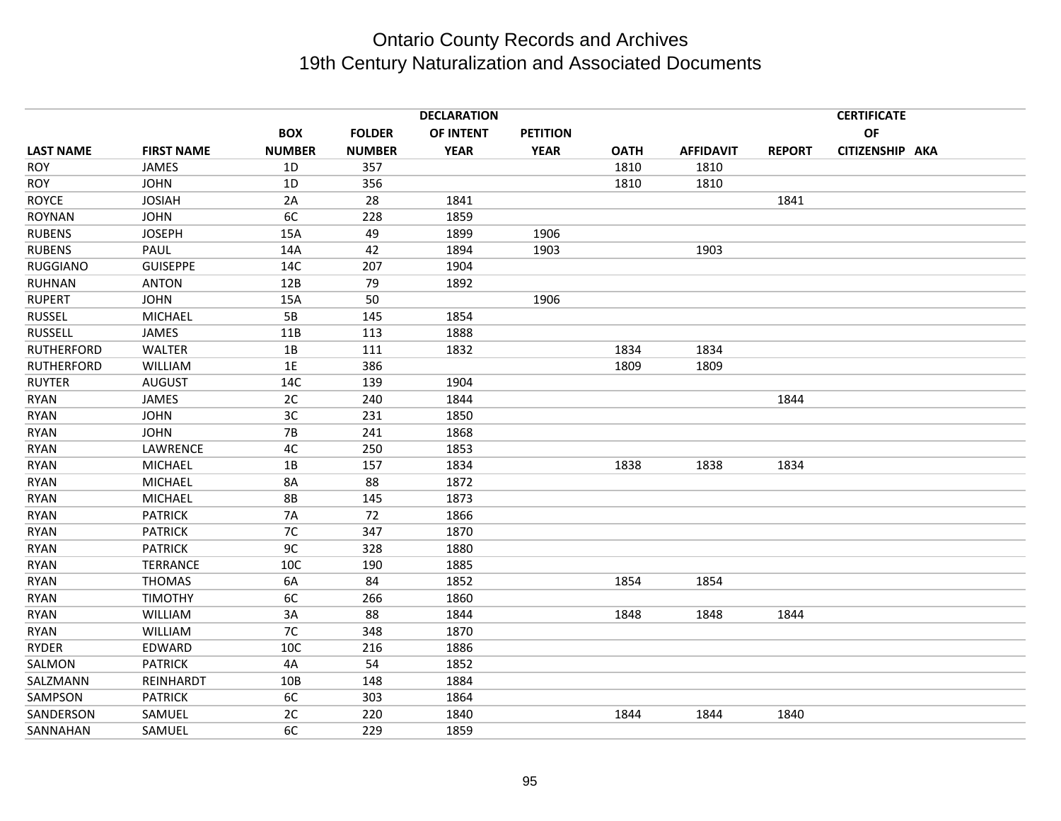|                   |                   |               |               | <b>DECLARATION</b> |                 |             |                  |               | <b>CERTIFICATE</b> |  |
|-------------------|-------------------|---------------|---------------|--------------------|-----------------|-------------|------------------|---------------|--------------------|--|
|                   |                   | <b>BOX</b>    | <b>FOLDER</b> | OF INTENT          | <b>PETITION</b> |             |                  |               | <b>OF</b>          |  |
| <b>LAST NAME</b>  | <b>FIRST NAME</b> | <b>NUMBER</b> | <b>NUMBER</b> | <b>YEAR</b>        | <b>YEAR</b>     | <b>OATH</b> | <b>AFFIDAVIT</b> | <b>REPORT</b> | CITIZENSHIP AKA    |  |
| <b>ROY</b>        | JAMES             | 1D            | 357           |                    |                 | 1810        | 1810             |               |                    |  |
| <b>ROY</b>        | <b>JOHN</b>       | 1D            | 356           |                    |                 | 1810        | 1810             |               |                    |  |
| <b>ROYCE</b>      | <b>JOSIAH</b>     | 2A            | 28            | 1841               |                 |             |                  | 1841          |                    |  |
| <b>ROYNAN</b>     | <b>JOHN</b>       | 6C            | 228           | 1859               |                 |             |                  |               |                    |  |
| <b>RUBENS</b>     | <b>JOSEPH</b>     | 15A           | 49            | 1899               | 1906            |             |                  |               |                    |  |
| <b>RUBENS</b>     | PAUL              | 14A           | 42            | 1894               | 1903            |             | 1903             |               |                    |  |
| <b>RUGGIANO</b>   | <b>GUISEPPE</b>   | 14C           | 207           | 1904               |                 |             |                  |               |                    |  |
| RUHNAN            | <b>ANTON</b>      | 12B           | 79            | 1892               |                 |             |                  |               |                    |  |
| <b>RUPERT</b>     | <b>JOHN</b>       | 15A           | 50            |                    | 1906            |             |                  |               |                    |  |
| <b>RUSSEL</b>     | <b>MICHAEL</b>    | 5B            | 145           | 1854               |                 |             |                  |               |                    |  |
| <b>RUSSELL</b>    | JAMES             | 11B           | 113           | 1888               |                 |             |                  |               |                    |  |
| <b>RUTHERFORD</b> | <b>WALTER</b>     | 1B            | 111           | 1832               |                 | 1834        | 1834             |               |                    |  |
| <b>RUTHERFORD</b> | <b>WILLIAM</b>    | 1E            | 386           |                    |                 | 1809        | 1809             |               |                    |  |
| <b>RUYTER</b>     | <b>AUGUST</b>     | 14C           | 139           | 1904               |                 |             |                  |               |                    |  |
| <b>RYAN</b>       | <b>JAMES</b>      | 2C            | 240           | 1844               |                 |             |                  | 1844          |                    |  |
| <b>RYAN</b>       | <b>JOHN</b>       | 3C            | 231           | 1850               |                 |             |                  |               |                    |  |
| <b>RYAN</b>       | <b>JOHN</b>       | <b>7B</b>     | 241           | 1868               |                 |             |                  |               |                    |  |
| <b>RYAN</b>       | LAWRENCE          | 4C            | 250           | 1853               |                 |             |                  |               |                    |  |
| <b>RYAN</b>       | <b>MICHAEL</b>    | 1B            | 157           | 1834               |                 | 1838        | 1838             | 1834          |                    |  |
| <b>RYAN</b>       | <b>MICHAEL</b>    | <b>8A</b>     | 88            | 1872               |                 |             |                  |               |                    |  |
| <b>RYAN</b>       | <b>MICHAEL</b>    | <b>8B</b>     | 145           | 1873               |                 |             |                  |               |                    |  |
| <b>RYAN</b>       | <b>PATRICK</b>    | <b>7A</b>     | 72            | 1866               |                 |             |                  |               |                    |  |
| <b>RYAN</b>       | <b>PATRICK</b>    | 7C            | 347           | 1870               |                 |             |                  |               |                    |  |
| <b>RYAN</b>       | <b>PATRICK</b>    | 9C            | 328           | 1880               |                 |             |                  |               |                    |  |
| <b>RYAN</b>       | <b>TERRANCE</b>   | 10C           | 190           | 1885               |                 |             |                  |               |                    |  |
| <b>RYAN</b>       | <b>THOMAS</b>     | 6A            | 84            | 1852               |                 | 1854        | 1854             |               |                    |  |
| <b>RYAN</b>       | <b>TIMOTHY</b>    | 6C            | 266           | 1860               |                 |             |                  |               |                    |  |
| <b>RYAN</b>       | <b>WILLIAM</b>    | 3A            | 88            | 1844               |                 | 1848        | 1848             | 1844          |                    |  |
| <b>RYAN</b>       | WILLIAM           | 7C            | 348           | 1870               |                 |             |                  |               |                    |  |
| RYDER             | EDWARD            | 10C           | 216           | 1886               |                 |             |                  |               |                    |  |
| SALMON            | <b>PATRICK</b>    | 4A            | 54            | 1852               |                 |             |                  |               |                    |  |
| SALZMANN          | REINHARDT         | 10B           | 148           | 1884               |                 |             |                  |               |                    |  |
| SAMPSON           | <b>PATRICK</b>    | 6C            | 303           | 1864               |                 |             |                  |               |                    |  |
| SANDERSON         | SAMUEL            | 2C            | 220           | 1840               |                 | 1844        | 1844             | 1840          |                    |  |
| SANNAHAN          | SAMUEL            | 6C            | 229           | 1859               |                 |             |                  |               |                    |  |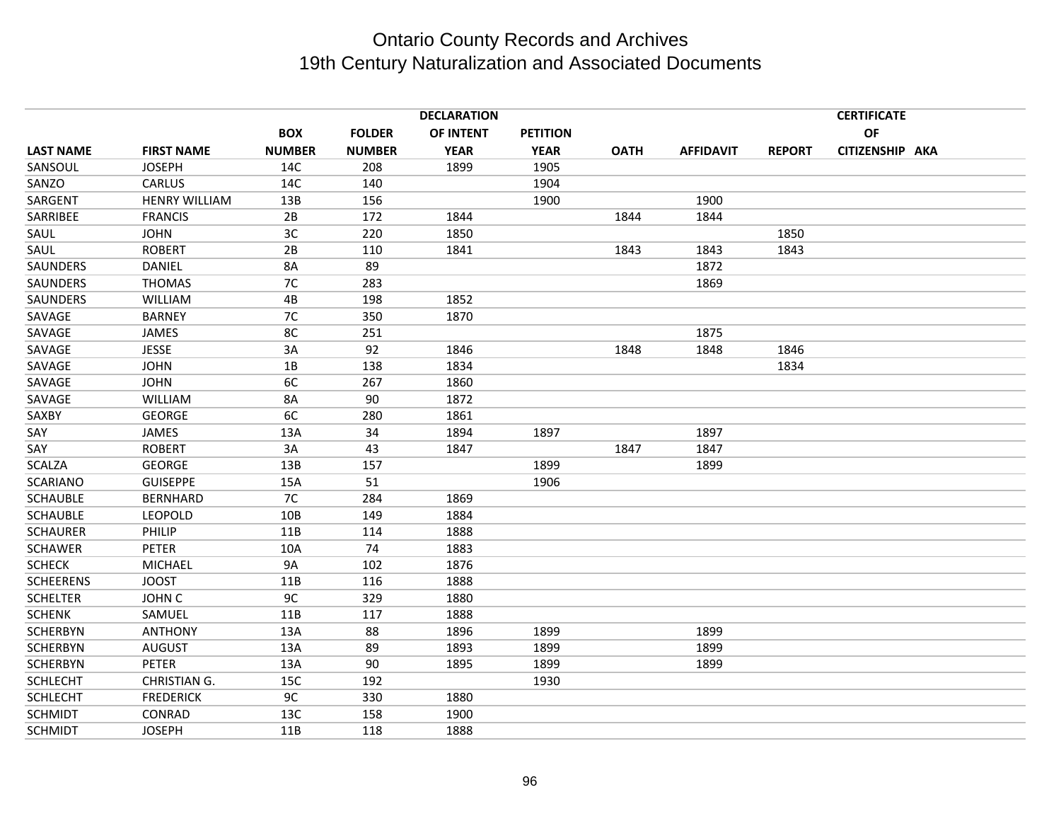|                  |                      |               |               | <b>CERTIFICATE</b> |                 |             |                  |               |                 |  |
|------------------|----------------------|---------------|---------------|--------------------|-----------------|-------------|------------------|---------------|-----------------|--|
|                  |                      | <b>BOX</b>    | <b>FOLDER</b> | OF INTENT          | <b>PETITION</b> |             |                  |               | OF              |  |
| <b>LAST NAME</b> | <b>FIRST NAME</b>    | <b>NUMBER</b> | <b>NUMBER</b> | <b>YEAR</b>        | <b>YEAR</b>     | <b>OATH</b> | <b>AFFIDAVIT</b> | <b>REPORT</b> | CITIZENSHIP AKA |  |
| SANSOUL          | <b>JOSEPH</b>        | 14C           | 208           | 1899               | 1905            |             |                  |               |                 |  |
| SANZO            | CARLUS               | 14C           | 140           |                    | 1904            |             |                  |               |                 |  |
| SARGENT          | <b>HENRY WILLIAM</b> | 13B           | 156           |                    | 1900            |             | 1900             |               |                 |  |
| SARRIBEE         | <b>FRANCIS</b>       | 2B            | 172           | 1844               |                 | 1844        | 1844             |               |                 |  |
| SAUL             | <b>JOHN</b>          | 3C            | 220           | 1850               |                 |             |                  | 1850          |                 |  |
| SAUL             | <b>ROBERT</b>        | 2B            | 110           | 1841               |                 | 1843        | 1843             | 1843          |                 |  |
| SAUNDERS         | <b>DANIEL</b>        | 8A            | 89            |                    |                 |             | 1872             |               |                 |  |
| SAUNDERS         | <b>THOMAS</b>        | 7C            | 283           |                    |                 |             | 1869             |               |                 |  |
| SAUNDERS         | <b>WILLIAM</b>       | 4B            | 198           | 1852               |                 |             |                  |               |                 |  |
| SAVAGE           | <b>BARNEY</b>        | 7C            | 350           | 1870               |                 |             |                  |               |                 |  |
| SAVAGE           | JAMES                | 8C            | 251           |                    |                 |             | 1875             |               |                 |  |
| SAVAGE           | <b>JESSE</b>         | 3A            | 92            | 1846               |                 | 1848        | 1848             | 1846          |                 |  |
| SAVAGE           | <b>JOHN</b>          | 1B            | 138           | 1834               |                 |             |                  | 1834          |                 |  |
| SAVAGE           | <b>JOHN</b>          | 6C            | 267           | 1860               |                 |             |                  |               |                 |  |
| SAVAGE           | <b>WILLIAM</b>       | 8A            | 90            | 1872               |                 |             |                  |               |                 |  |
| SAXBY            | <b>GEORGE</b>        | 6C            | 280           | 1861               |                 |             |                  |               |                 |  |
| SAY              | <b>JAMES</b>         | 13A           | 34            | 1894               | 1897            |             | 1897             |               |                 |  |
| SAY              | <b>ROBERT</b>        | 3A            | 43            | 1847               |                 | 1847        | 1847             |               |                 |  |
| <b>SCALZA</b>    | <b>GEORGE</b>        | 13B           | 157           |                    | 1899            |             | 1899             |               |                 |  |
| <b>SCARIANO</b>  | <b>GUISEPPE</b>      | 15A           | 51            |                    | 1906            |             |                  |               |                 |  |
| <b>SCHAUBLE</b>  | <b>BERNHARD</b>      | 7C            | 284           | 1869               |                 |             |                  |               |                 |  |
| <b>SCHAUBLE</b>  | <b>LEOPOLD</b>       | 10B           | 149           | 1884               |                 |             |                  |               |                 |  |
| <b>SCHAURER</b>  | <b>PHILIP</b>        | 11B           | 114           | 1888               |                 |             |                  |               |                 |  |
| <b>SCHAWER</b>   | <b>PETER</b>         | 10A           | 74            | 1883               |                 |             |                  |               |                 |  |
| <b>SCHECK</b>    | <b>MICHAEL</b>       | <b>9A</b>     | 102           | 1876               |                 |             |                  |               |                 |  |
| <b>SCHEERENS</b> | <b>JOOST</b>         | 11B           | 116           | 1888               |                 |             |                  |               |                 |  |
| <b>SCHELTER</b>  | JOHN C               | 9C            | 329           | 1880               |                 |             |                  |               |                 |  |
| <b>SCHENK</b>    | SAMUEL               | 11B           | 117           | 1888               |                 |             |                  |               |                 |  |
| <b>SCHERBYN</b>  | <b>ANTHONY</b>       | 13A           | 88            | 1896               | 1899            |             | 1899             |               |                 |  |
| <b>SCHERBYN</b>  | <b>AUGUST</b>        | 13A           | 89            | 1893               | 1899            |             | 1899             |               |                 |  |
| <b>SCHERBYN</b>  | PETER                | 13A           | 90            | 1895               | 1899            |             | 1899             |               |                 |  |
| <b>SCHLECHT</b>  | CHRISTIAN G.         | 15C           | 192           |                    | 1930            |             |                  |               |                 |  |
| <b>SCHLECHT</b>  | <b>FREDERICK</b>     | 9C            | 330           | 1880               |                 |             |                  |               |                 |  |
| <b>SCHMIDT</b>   | CONRAD               | 13C           | 158           | 1900               |                 |             |                  |               |                 |  |
| <b>SCHMIDT</b>   | <b>JOSEPH</b>        | 11B           | 118           | 1888               |                 |             |                  |               |                 |  |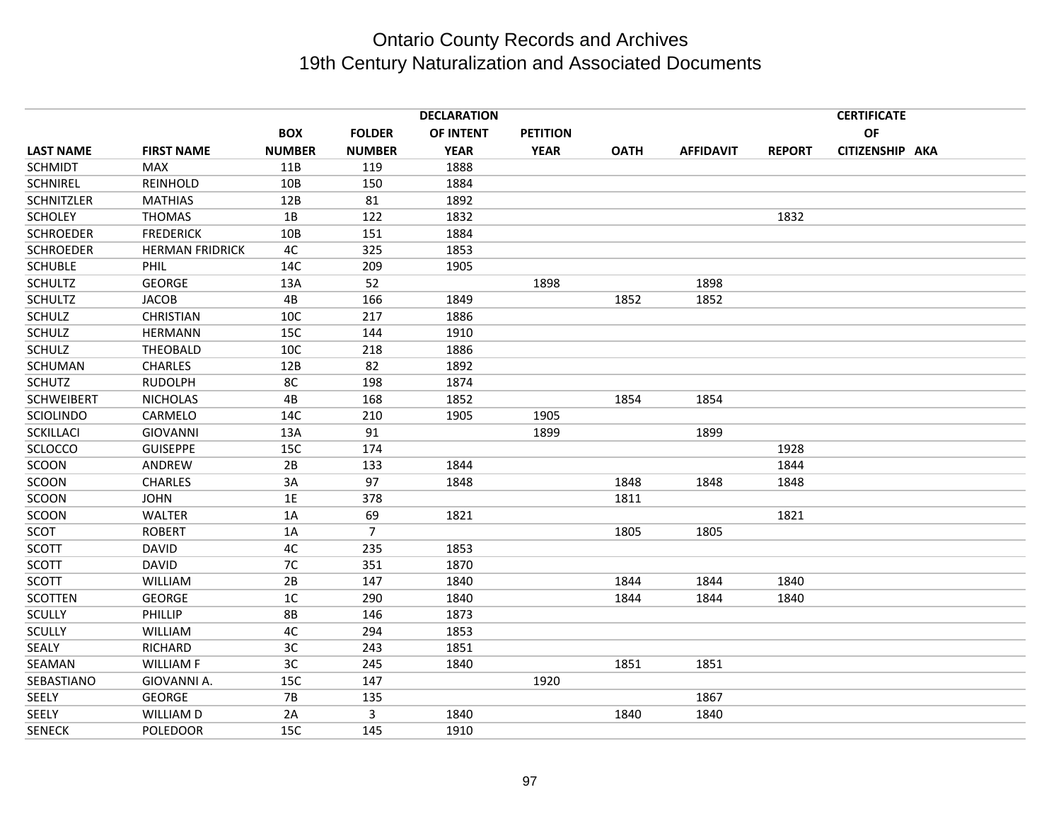|                   |                        |               |                | <b>DECLARATION</b> |                 |             |                  |               | <b>CERTIFICATE</b> |  |
|-------------------|------------------------|---------------|----------------|--------------------|-----------------|-------------|------------------|---------------|--------------------|--|
|                   |                        | <b>BOX</b>    | <b>FOLDER</b>  | OF INTENT          | <b>PETITION</b> |             |                  |               | OF                 |  |
| <b>LAST NAME</b>  | <b>FIRST NAME</b>      | <b>NUMBER</b> | <b>NUMBER</b>  | <b>YEAR</b>        | <b>YEAR</b>     | <b>OATH</b> | <b>AFFIDAVIT</b> | <b>REPORT</b> | CITIZENSHIP AKA    |  |
| <b>SCHMIDT</b>    | <b>MAX</b>             | 11B           | 119            | 1888               |                 |             |                  |               |                    |  |
| <b>SCHNIREL</b>   | REINHOLD               | 10B           | 150            | 1884               |                 |             |                  |               |                    |  |
| <b>SCHNITZLER</b> | <b>MATHIAS</b>         | 12B           | 81             | 1892               |                 |             |                  |               |                    |  |
| <b>SCHOLEY</b>    | <b>THOMAS</b>          | 1B            | 122            | 1832               |                 |             |                  | 1832          |                    |  |
| <b>SCHROEDER</b>  | <b>FREDERICK</b>       | 10B           | 151            | 1884               |                 |             |                  |               |                    |  |
| <b>SCHROEDER</b>  | <b>HERMAN FRIDRICK</b> | 4C            | 325            | 1853               |                 |             |                  |               |                    |  |
| <b>SCHUBLE</b>    | PHIL                   | 14C           | 209            | 1905               |                 |             |                  |               |                    |  |
| <b>SCHULTZ</b>    | <b>GEORGE</b>          | 13A           | 52             |                    | 1898            |             | 1898             |               |                    |  |
| <b>SCHULTZ</b>    | <b>JACOB</b>           | 4B            | 166            | 1849               |                 | 1852        | 1852             |               |                    |  |
| <b>SCHULZ</b>     | <b>CHRISTIAN</b>       | 10C           | 217            | 1886               |                 |             |                  |               |                    |  |
| <b>SCHULZ</b>     | <b>HERMANN</b>         | 15C           | 144            | 1910               |                 |             |                  |               |                    |  |
| <b>SCHULZ</b>     | THEOBALD               | 10C           | 218            | 1886               |                 |             |                  |               |                    |  |
| SCHUMAN           | <b>CHARLES</b>         | 12B           | 82             | 1892               |                 |             |                  |               |                    |  |
| <b>SCHUTZ</b>     | <b>RUDOLPH</b>         | 8C            | 198            | 1874               |                 |             |                  |               |                    |  |
| <b>SCHWEIBERT</b> | <b>NICHOLAS</b>        | 4B            | 168            | 1852               |                 | 1854        | 1854             |               |                    |  |
| SCIOLINDO         | CARMELO                | 14C           | 210            | 1905               | 1905            |             |                  |               |                    |  |
| <b>SCKILLACI</b>  | <b>GIOVANNI</b>        | 13A           | 91             |                    | 1899            |             | 1899             |               |                    |  |
| <b>SCLOCCO</b>    | <b>GUISEPPE</b>        | 15C           | 174            |                    |                 |             |                  | 1928          |                    |  |
| SCOON             | ANDREW                 | 2B            | 133            | 1844               |                 |             |                  | 1844          |                    |  |
| SCOON             | <b>CHARLES</b>         | 3A            | 97             | 1848               |                 | 1848        | 1848             | 1848          |                    |  |
| SCOON             | <b>JOHN</b>            | 1E            | 378            |                    |                 | 1811        |                  |               |                    |  |
| SCOON             | <b>WALTER</b>          | 1A            | 69             | 1821               |                 |             |                  | 1821          |                    |  |
| SCOT              | <b>ROBERT</b>          | 1A            | $\overline{7}$ |                    |                 | 1805        | 1805             |               |                    |  |
| <b>SCOTT</b>      | <b>DAVID</b>           | 4C            | 235            | 1853               |                 |             |                  |               |                    |  |
| <b>SCOTT</b>      | <b>DAVID</b>           | 7C            | 351            | 1870               |                 |             |                  |               |                    |  |
| <b>SCOTT</b>      | <b>WILLIAM</b>         | 2B            | 147            | 1840               |                 | 1844        | 1844             | 1840          |                    |  |
| <b>SCOTTEN</b>    | <b>GEORGE</b>          | 1C            | 290            | 1840               |                 | 1844        | 1844             | 1840          |                    |  |
| <b>SCULLY</b>     | PHILLIP                | <b>8B</b>     | 146            | 1873               |                 |             |                  |               |                    |  |
| <b>SCULLY</b>     | <b>WILLIAM</b>         | 4C            | 294            | 1853               |                 |             |                  |               |                    |  |
| SEALY             | <b>RICHARD</b>         | 3C            | 243            | 1851               |                 |             |                  |               |                    |  |
| SEAMAN            | <b>WILLIAM F</b>       | 3C            | 245            | 1840               |                 | 1851        | 1851             |               |                    |  |
| SEBASTIANO        | GIOVANNI A.            | 15C           | 147            |                    | 1920            |             |                  |               |                    |  |
| <b>SEELY</b>      | <b>GEORGE</b>          | <b>7B</b>     | 135            |                    |                 |             | 1867             |               |                    |  |
| <b>SEELY</b>      | WILLIAM D              | 2A            | 3              | 1840               |                 | 1840        | 1840             |               |                    |  |
| <b>SENECK</b>     | <b>POLEDOOR</b>        | 15C           | 145            | 1910               |                 |             |                  |               |                    |  |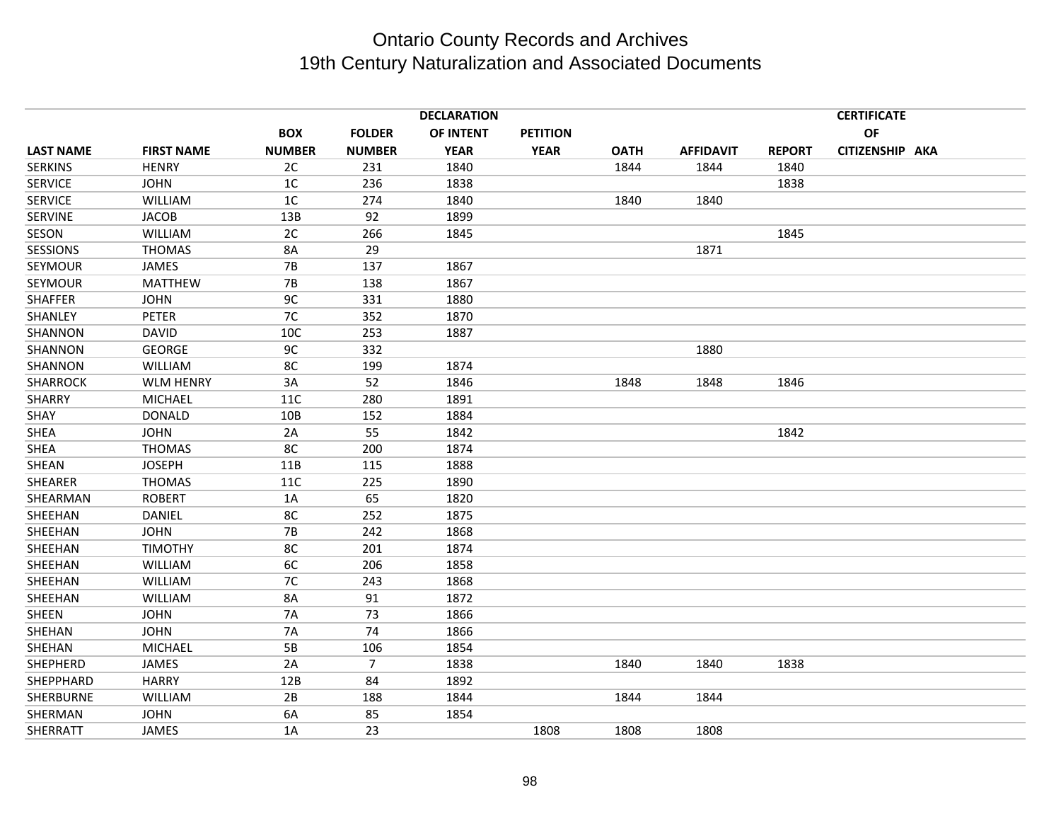|                  |                   |                |                | <b>DECLARATION</b> |                 |             |                  |               | <b>CERTIFICATE</b> |  |
|------------------|-------------------|----------------|----------------|--------------------|-----------------|-------------|------------------|---------------|--------------------|--|
|                  |                   | <b>BOX</b>     | <b>FOLDER</b>  | OF INTENT          | <b>PETITION</b> |             |                  |               | <b>OF</b>          |  |
| <b>LAST NAME</b> | <b>FIRST NAME</b> | <b>NUMBER</b>  | <b>NUMBER</b>  | <b>YEAR</b>        | <b>YEAR</b>     | <b>OATH</b> | <b>AFFIDAVIT</b> | <b>REPORT</b> | CITIZENSHIP AKA    |  |
| <b>SERKINS</b>   | <b>HENRY</b>      | 2C             | 231            | 1840               |                 | 1844        | 1844             | 1840          |                    |  |
| <b>SERVICE</b>   | <b>JOHN</b>       | 1 <sup>C</sup> | 236            | 1838               |                 |             |                  | 1838          |                    |  |
| <b>SERVICE</b>   | <b>WILLIAM</b>    | 1 <sup>C</sup> | 274            | 1840               |                 | 1840        | 1840             |               |                    |  |
| <b>SERVINE</b>   | <b>JACOB</b>      | 13B            | 92             | 1899               |                 |             |                  |               |                    |  |
| SESON            | <b>WILLIAM</b>    | 2C             | 266            | 1845               |                 |             |                  | 1845          |                    |  |
| <b>SESSIONS</b>  | <b>THOMAS</b>     | 8A             | 29             |                    |                 |             | 1871             |               |                    |  |
| SEYMOUR          | <b>JAMES</b>      | <b>7B</b>      | 137            | 1867               |                 |             |                  |               |                    |  |
| SEYMOUR          | <b>MATTHEW</b>    | <b>7B</b>      | 138            | 1867               |                 |             |                  |               |                    |  |
| <b>SHAFFER</b>   | <b>JOHN</b>       | 9C             | 331            | 1880               |                 |             |                  |               |                    |  |
| SHANLEY          | <b>PETER</b>      | 7C             | 352            | 1870               |                 |             |                  |               |                    |  |
| SHANNON          | <b>DAVID</b>      | 10C            | 253            | 1887               |                 |             |                  |               |                    |  |
| SHANNON          | <b>GEORGE</b>     | 9C             | 332            |                    |                 |             | 1880             |               |                    |  |
| SHANNON          | <b>WILLIAM</b>    | 8C             | 199            | 1874               |                 |             |                  |               |                    |  |
| SHARROCK         | <b>WLM HENRY</b>  | 3A             | 52             | 1846               |                 | 1848        | 1848             | 1846          |                    |  |
| <b>SHARRY</b>    | <b>MICHAEL</b>    | 11C            | 280            | 1891               |                 |             |                  |               |                    |  |
| SHAY             | <b>DONALD</b>     | 10B            | 152            | 1884               |                 |             |                  |               |                    |  |
| SHEA             | <b>JOHN</b>       | 2A             | 55             | 1842               |                 |             |                  | 1842          |                    |  |
| SHEA             | <b>THOMAS</b>     | 8C             | 200            | 1874               |                 |             |                  |               |                    |  |
| SHEAN            | <b>JOSEPH</b>     | 11B            | 115            | 1888               |                 |             |                  |               |                    |  |
| <b>SHEARER</b>   | <b>THOMAS</b>     | 11C            | 225            | 1890               |                 |             |                  |               |                    |  |
| SHEARMAN         | <b>ROBERT</b>     | 1A             | 65             | 1820               |                 |             |                  |               |                    |  |
| SHEEHAN          | DANIEL            | 8C             | 252            | 1875               |                 |             |                  |               |                    |  |
| SHEEHAN          | <b>JOHN</b>       | 7B             | 242            | 1868               |                 |             |                  |               |                    |  |
| SHEEHAN          | <b>TIMOTHY</b>    | 8C             | 201            | 1874               |                 |             |                  |               |                    |  |
| SHEEHAN          | <b>WILLIAM</b>    | 6C             | 206            | 1858               |                 |             |                  |               |                    |  |
| SHEEHAN          | <b>WILLIAM</b>    | 7C             | 243            | 1868               |                 |             |                  |               |                    |  |
| SHEEHAN          | <b>WILLIAM</b>    | 8A             | 91             | 1872               |                 |             |                  |               |                    |  |
| <b>SHEEN</b>     | <b>JOHN</b>       | <b>7A</b>      | 73             | 1866               |                 |             |                  |               |                    |  |
| SHEHAN           | <b>JOHN</b>       | <b>7A</b>      | 74             | 1866               |                 |             |                  |               |                    |  |
| SHEHAN           | <b>MICHAEL</b>    | 5B             | 106            | 1854               |                 |             |                  |               |                    |  |
| <b>SHEPHERD</b>  | JAMES             | 2A             | $\overline{7}$ | 1838               |                 | 1840        | 1840             | 1838          |                    |  |
| SHEPPHARD        | <b>HARRY</b>      | 12B            | 84             | 1892               |                 |             |                  |               |                    |  |
| <b>SHERBURNE</b> | WILLIAM           | 2B             | 188            | 1844               |                 | 1844        | 1844             |               |                    |  |
| SHERMAN          | <b>JOHN</b>       | 6A             | 85             | 1854               |                 |             |                  |               |                    |  |
| SHERRATT         | JAMES             | 1A             | 23             |                    | 1808            | 1808        | 1808             |               |                    |  |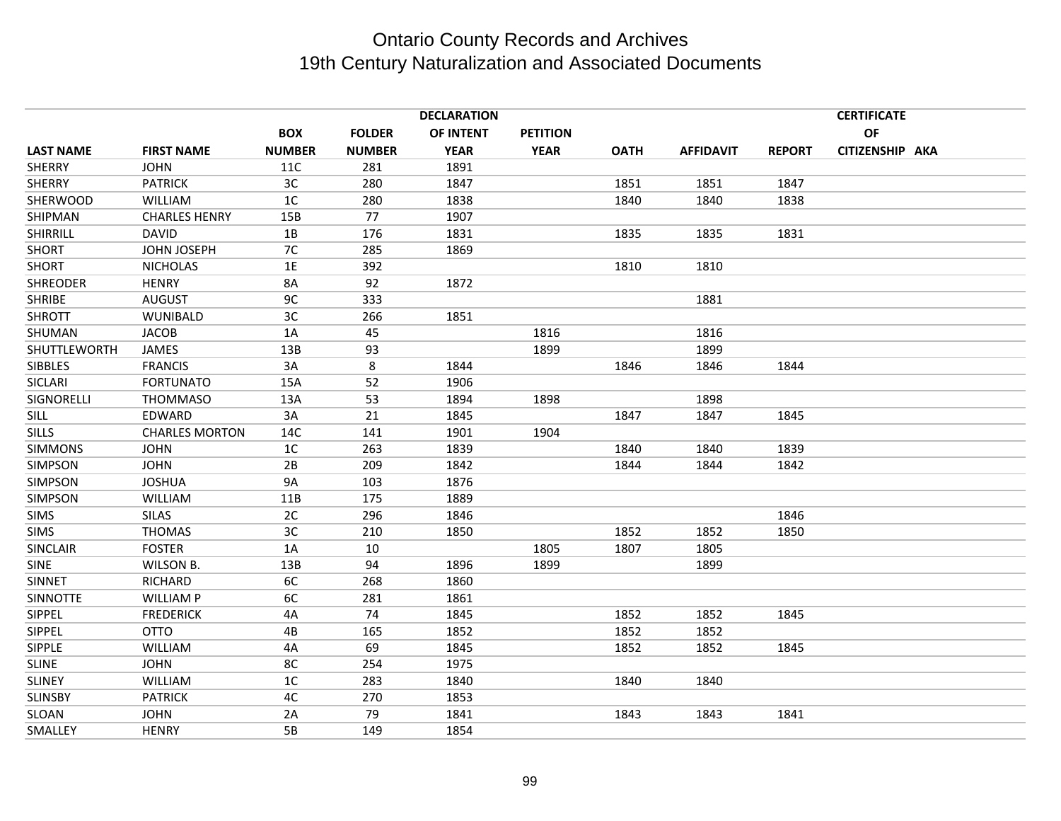|                  |                       | <b>DECLARATION</b><br><b>CERTIFICATE</b> |               |             |                 |             |                  |               |                 |  |
|------------------|-----------------------|------------------------------------------|---------------|-------------|-----------------|-------------|------------------|---------------|-----------------|--|
|                  |                       | <b>BOX</b>                               | <b>FOLDER</b> | OF INTENT   | <b>PETITION</b> |             |                  |               | <b>OF</b>       |  |
| <b>LAST NAME</b> | <b>FIRST NAME</b>     | <b>NUMBER</b>                            | <b>NUMBER</b> | <b>YEAR</b> | <b>YEAR</b>     | <b>OATH</b> | <b>AFFIDAVIT</b> | <b>REPORT</b> | CITIZENSHIP AKA |  |
| <b>SHERRY</b>    | <b>JOHN</b>           | 11C                                      | 281           | 1891        |                 |             |                  |               |                 |  |
| <b>SHERRY</b>    | <b>PATRICK</b>        | 3C                                       | 280           | 1847        |                 | 1851        | 1851             | 1847          |                 |  |
| <b>SHERWOOD</b>  | <b>WILLIAM</b>        | 1 <sup>C</sup>                           | 280           | 1838        |                 | 1840        | 1840             | 1838          |                 |  |
| SHIPMAN          | <b>CHARLES HENRY</b>  | 15B                                      | 77            | 1907        |                 |             |                  |               |                 |  |
| SHIRRILL         | <b>DAVID</b>          | 1B                                       | 176           | 1831        |                 | 1835        | 1835             | 1831          |                 |  |
| <b>SHORT</b>     | JOHN JOSEPH           | 7C                                       | 285           | 1869        |                 |             |                  |               |                 |  |
| <b>SHORT</b>     | <b>NICHOLAS</b>       | 1E                                       | 392           |             |                 | 1810        | 1810             |               |                 |  |
| <b>SHREODER</b>  | <b>HENRY</b>          | 8A                                       | 92            | 1872        |                 |             |                  |               |                 |  |
| <b>SHRIBE</b>    | <b>AUGUST</b>         | 9C                                       | 333           |             |                 |             | 1881             |               |                 |  |
| <b>SHROTT</b>    | <b>WUNIBALD</b>       | 3C                                       | 266           | 1851        |                 |             |                  |               |                 |  |
| SHUMAN           | <b>JACOB</b>          | 1A                                       | 45            |             | 1816            |             | 1816             |               |                 |  |
| SHUTTLEWORTH     | <b>JAMES</b>          | 13B                                      | 93            |             | 1899            |             | 1899             |               |                 |  |
| <b>SIBBLES</b>   | <b>FRANCIS</b>        | 3A                                       | 8             | 1844        |                 | 1846        | 1846             | 1844          |                 |  |
| <b>SICLARI</b>   | <b>FORTUNATO</b>      | 15A                                      | 52            | 1906        |                 |             |                  |               |                 |  |
| SIGNORELLI       | <b>THOMMASO</b>       | 13A                                      | 53            | 1894        | 1898            |             | 1898             |               |                 |  |
| <b>SILL</b>      | EDWARD                | 3A                                       | 21            | 1845        |                 | 1847        | 1847             | 1845          |                 |  |
| <b>SILLS</b>     | <b>CHARLES MORTON</b> | 14C                                      | 141           | 1901        | 1904            |             |                  |               |                 |  |
| <b>SIMMONS</b>   | <b>JOHN</b>           | 1 <sup>C</sup>                           | 263           | 1839        |                 | 1840        | 1840             | 1839          |                 |  |
| <b>SIMPSON</b>   | <b>JOHN</b>           | 2B                                       | 209           | 1842        |                 | 1844        | 1844             | 1842          |                 |  |
| SIMPSON          | <b>JOSHUA</b>         | 9A                                       | 103           | 1876        |                 |             |                  |               |                 |  |
| <b>SIMPSON</b>   | <b>WILLIAM</b>        | 11B                                      | 175           | 1889        |                 |             |                  |               |                 |  |
| <b>SIMS</b>      | <b>SILAS</b>          | 2C                                       | 296           | 1846        |                 |             |                  | 1846          |                 |  |
| <b>SIMS</b>      | <b>THOMAS</b>         | 3C                                       | 210           | 1850        |                 | 1852        | 1852             | 1850          |                 |  |
| <b>SINCLAIR</b>  | <b>FOSTER</b>         | 1A                                       | 10            |             | 1805            | 1807        | 1805             |               |                 |  |
| <b>SINE</b>      | WILSON B.             | 13B                                      | 94            | 1896        | 1899            |             | 1899             |               |                 |  |
| <b>SINNET</b>    | <b>RICHARD</b>        | 6C                                       | 268           | 1860        |                 |             |                  |               |                 |  |
| <b>SINNOTTE</b>  | <b>WILLIAM P</b>      | 6C                                       | 281           | 1861        |                 |             |                  |               |                 |  |
| <b>SIPPEL</b>    | <b>FREDERICK</b>      | 4A                                       | 74            | 1845        |                 | 1852        | 1852             | 1845          |                 |  |
| SIPPEL           | <b>OTTO</b>           | 4B                                       | 165           | 1852        |                 | 1852        | 1852             |               |                 |  |
| <b>SIPPLE</b>    | <b>WILLIAM</b>        | 4A                                       | 69            | 1845        |                 | 1852        | 1852             | 1845          |                 |  |
| <b>SLINE</b>     | <b>JOHN</b>           | 8C                                       | 254           | 1975        |                 |             |                  |               |                 |  |
| <b>SLINEY</b>    | <b>WILLIAM</b>        | 1C                                       | 283           | 1840        |                 | 1840        | 1840             |               |                 |  |
| <b>SLINSBY</b>   | <b>PATRICK</b>        | 4C                                       | 270           | 1853        |                 |             |                  |               |                 |  |
| SLOAN            | <b>JOHN</b>           | 2A                                       | 79            | 1841        |                 | 1843        | 1843             | 1841          |                 |  |
| SMALLEY          | <b>HENRY</b>          | 5B                                       | 149           | 1854        |                 |             |                  |               |                 |  |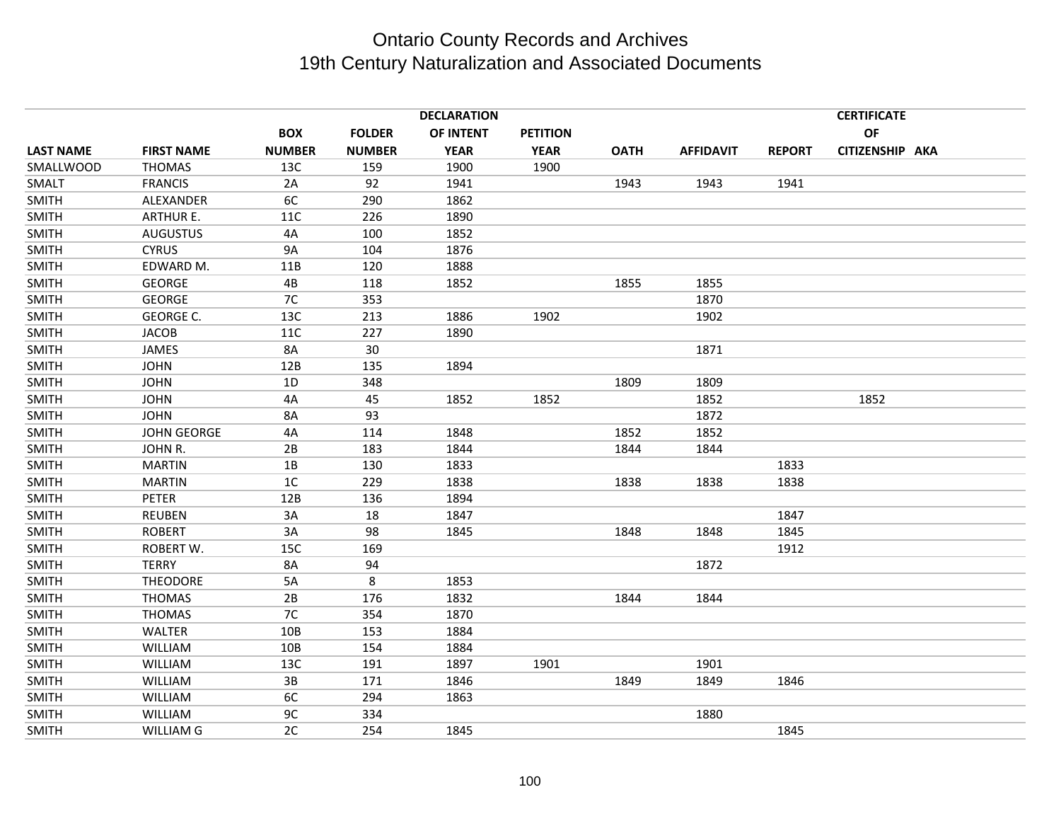|                  |                    |                      |                      | <b>DECLARATION</b> |                 |             |                  |               | <b>CERTIFICATE</b><br><b>OF</b> |  |
|------------------|--------------------|----------------------|----------------------|--------------------|-----------------|-------------|------------------|---------------|---------------------------------|--|
|                  |                    | <b>BOX</b>           | <b>FOLDER</b>        | OF INTENT          | <b>PETITION</b> |             |                  |               |                                 |  |
| <b>LAST NAME</b> | <b>FIRST NAME</b>  | <b>NUMBER</b><br>13C | <b>NUMBER</b><br>159 | <b>YEAR</b>        | <b>YEAR</b>     | <b>OATH</b> | <b>AFFIDAVIT</b> | <b>REPORT</b> | CITIZENSHIP AKA                 |  |
| SMALLWOOD        | <b>THOMAS</b>      |                      |                      | 1900               | 1900            |             |                  |               |                                 |  |
| SMALT            | <b>FRANCIS</b>     | 2A<br>6C             | 92<br>290            | 1941               |                 | 1943        | 1943             | 1941          |                                 |  |
| <b>SMITH</b>     | ALEXANDER          |                      |                      | 1862               |                 |             |                  |               |                                 |  |
| <b>SMITH</b>     | <b>ARTHUR E.</b>   | 11C                  | 226                  | 1890               |                 |             |                  |               |                                 |  |
| <b>SMITH</b>     | <b>AUGUSTUS</b>    | 4A                   | 100                  | 1852               |                 |             |                  |               |                                 |  |
| <b>SMITH</b>     | <b>CYRUS</b>       | <b>9A</b>            | 104                  | 1876               |                 |             |                  |               |                                 |  |
| <b>SMITH</b>     | EDWARD M.          | 11B                  | 120                  | 1888               |                 |             |                  |               |                                 |  |
| <b>SMITH</b>     | <b>GEORGE</b>      | 4B                   | 118                  | 1852               |                 | 1855        | 1855             |               |                                 |  |
| <b>SMITH</b>     | <b>GEORGE</b>      | 7C                   | 353                  |                    |                 |             | 1870             |               |                                 |  |
| <b>SMITH</b>     | <b>GEORGE C.</b>   | 13C                  | 213                  | 1886               | 1902            |             | 1902             |               |                                 |  |
| <b>SMITH</b>     | <b>JACOB</b>       | <b>11C</b>           | 227                  | 1890               |                 |             |                  |               |                                 |  |
| <b>SMITH</b>     | <b>JAMES</b>       | 8A                   | 30                   |                    |                 |             | 1871             |               |                                 |  |
| <b>SMITH</b>     | <b>JOHN</b>        | 12B                  | 135                  | 1894               |                 |             |                  |               |                                 |  |
| <b>SMITH</b>     | <b>JOHN</b>        | 1D                   | 348                  |                    |                 | 1809        | 1809             |               |                                 |  |
| <b>SMITH</b>     | <b>JOHN</b>        | 4A                   | 45                   | 1852               | 1852            |             | 1852             |               | 1852                            |  |
| <b>SMITH</b>     | <b>JOHN</b>        | 8A                   | 93                   |                    |                 |             | 1872             |               |                                 |  |
| <b>SMITH</b>     | <b>JOHN GEORGE</b> | 4A                   | 114                  | 1848               |                 | 1852        | 1852             |               |                                 |  |
| <b>SMITH</b>     | JOHN R.            | 2B                   | 183                  | 1844               |                 | 1844        | 1844             |               |                                 |  |
| <b>SMITH</b>     | <b>MARTIN</b>      | 1B                   | 130                  | 1833               |                 |             |                  | 1833          |                                 |  |
| <b>SMITH</b>     | <b>MARTIN</b>      | 1 <sup>C</sup>       | 229                  | 1838               |                 | 1838        | 1838             | 1838          |                                 |  |
| <b>SMITH</b>     | <b>PETER</b>       | 12B                  | 136                  | 1894               |                 |             |                  |               |                                 |  |
| <b>SMITH</b>     | <b>REUBEN</b>      | 3A                   | 18                   | 1847               |                 |             |                  | 1847          |                                 |  |
| <b>SMITH</b>     | <b>ROBERT</b>      | 3A                   | 98                   | 1845               |                 | 1848        | 1848             | 1845          |                                 |  |
| <b>SMITH</b>     | <b>ROBERT W.</b>   | 15C                  | 169                  |                    |                 |             |                  | 1912          |                                 |  |
| <b>SMITH</b>     | <b>TERRY</b>       | 8A                   | 94                   |                    |                 |             | 1872             |               |                                 |  |
| <b>SMITH</b>     | <b>THEODORE</b>    | 5A                   | 8                    | 1853               |                 |             |                  |               |                                 |  |
| <b>SMITH</b>     | <b>THOMAS</b>      | 2B                   | 176                  | 1832               |                 | 1844        | 1844             |               |                                 |  |
| <b>SMITH</b>     | <b>THOMAS</b>      | 7C                   | 354                  | 1870               |                 |             |                  |               |                                 |  |
| <b>SMITH</b>     | <b>WALTER</b>      | 10B                  | 153                  | 1884               |                 |             |                  |               |                                 |  |
| <b>SMITH</b>     | <b>WILLIAM</b>     | 10B                  | 154                  | 1884               |                 |             |                  |               |                                 |  |
| <b>SMITH</b>     | <b>WILLIAM</b>     | 13C                  | 191                  | 1897               | 1901            |             | 1901             |               |                                 |  |
| <b>SMITH</b>     | <b>WILLIAM</b>     | 3B                   | 171                  | 1846               |                 | 1849        | 1849             | 1846          |                                 |  |
| <b>SMITH</b>     | <b>WILLIAM</b>     | 6C                   | 294                  | 1863               |                 |             |                  |               |                                 |  |
| <b>SMITH</b>     | <b>WILLIAM</b>     | 9C                   | 334                  |                    |                 |             | 1880             |               |                                 |  |
| <b>SMITH</b>     | WILLIAM G          | 2C                   | 254                  | 1845               |                 |             |                  | 1845          |                                 |  |
|                  |                    |                      |                      |                    |                 |             |                  |               |                                 |  |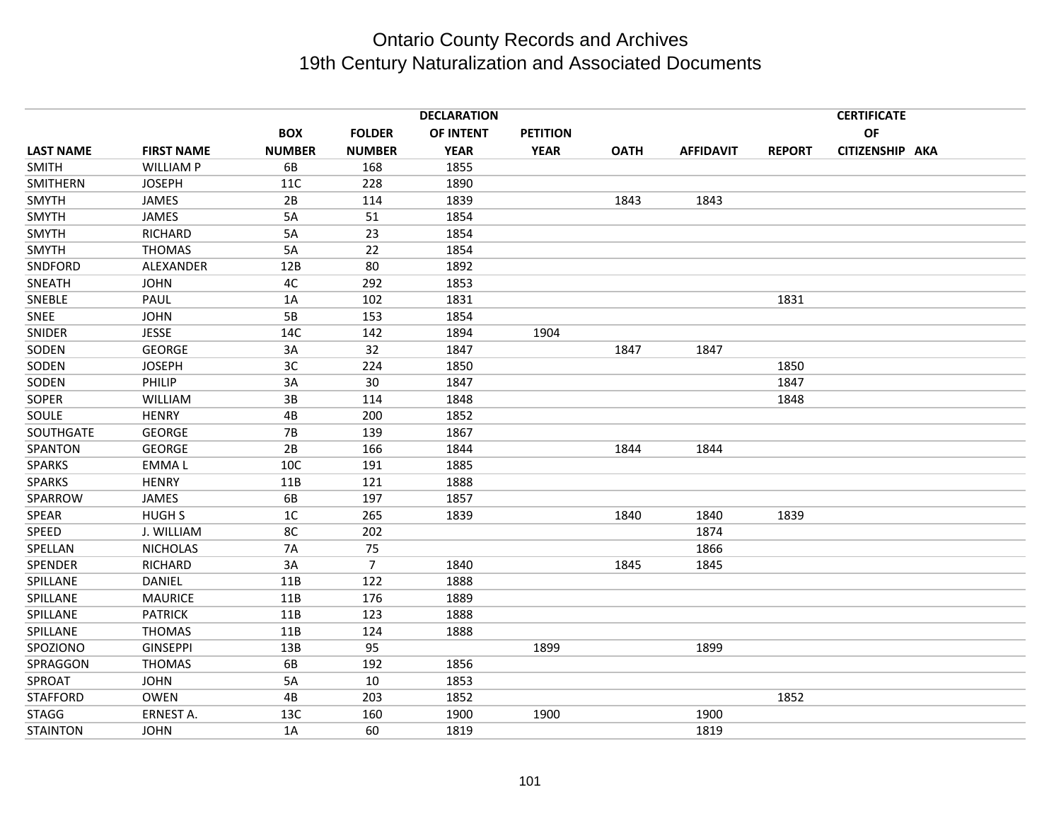|                  |                   |               |               | <b>DECLARATION</b> |                 |             |                  |               | <b>CERTIFICATE</b> |  |
|------------------|-------------------|---------------|---------------|--------------------|-----------------|-------------|------------------|---------------|--------------------|--|
|                  |                   | <b>BOX</b>    | <b>FOLDER</b> | OF INTENT          | <b>PETITION</b> |             |                  |               | OF                 |  |
| <b>LAST NAME</b> | <b>FIRST NAME</b> | <b>NUMBER</b> | <b>NUMBER</b> | <b>YEAR</b>        | <b>YEAR</b>     | <b>OATH</b> | <b>AFFIDAVIT</b> | <b>REPORT</b> | CITIZENSHIP AKA    |  |
| <b>SMITH</b>     | <b>WILLIAM P</b>  | 6B            | 168           | 1855               |                 |             |                  |               |                    |  |
| SMITHERN         | <b>JOSEPH</b>     | 11C           | 228           | 1890               |                 |             |                  |               |                    |  |
| SMYTH            | JAMES             | 2B            | 114           | 1839               |                 | 1843        | 1843             |               |                    |  |
| <b>SMYTH</b>     | JAMES             | 5A            | 51            | 1854               |                 |             |                  |               |                    |  |
| SMYTH            | <b>RICHARD</b>    | 5A            | 23            | 1854               |                 |             |                  |               |                    |  |
| SMYTH            | <b>THOMAS</b>     | 5A            | 22            | 1854               |                 |             |                  |               |                    |  |
| SNDFORD          | ALEXANDER         | 12B           | 80            | 1892               |                 |             |                  |               |                    |  |
| SNEATH           | <b>JOHN</b>       | 4C            | 292           | 1853               |                 |             |                  |               |                    |  |
| SNEBLE           | PAUL              | 1A            | 102           | 1831               |                 |             |                  | 1831          |                    |  |
| SNEE             | <b>JOHN</b>       | 5B            | 153           | 1854               |                 |             |                  |               |                    |  |
| SNIDER           | <b>JESSE</b>      | 14C           | 142           | 1894               | 1904            |             |                  |               |                    |  |
| SODEN            | <b>GEORGE</b>     | 3A            | 32            | 1847               |                 | 1847        | 1847             |               |                    |  |
| SODEN            | <b>JOSEPH</b>     | 3C            | 224           | 1850               |                 |             |                  | 1850          |                    |  |
| SODEN            | PHILIP            | 3A            | 30            | 1847               |                 |             |                  | 1847          |                    |  |
| SOPER            | <b>WILLIAM</b>    | 3B            | 114           | 1848               |                 |             |                  | 1848          |                    |  |
| SOULE            | <b>HENRY</b>      | 4B            | 200           | 1852               |                 |             |                  |               |                    |  |
| SOUTHGATE        | <b>GEORGE</b>     | 7B            | 139           | 1867               |                 |             |                  |               |                    |  |
| SPANTON          | <b>GEORGE</b>     | 2B            | 166           | 1844               |                 | 1844        | 1844             |               |                    |  |
| <b>SPARKS</b>    | <b>EMMAL</b>      | 10C           | 191           | 1885               |                 |             |                  |               |                    |  |
| <b>SPARKS</b>    | <b>HENRY</b>      | 11B           | 121           | 1888               |                 |             |                  |               |                    |  |
| SPARROW          | JAMES             | 6B            | 197           | 1857               |                 |             |                  |               |                    |  |
| SPEAR            | <b>HUGH S</b>     | 1C            | 265           | 1839               |                 | 1840        | 1840             | 1839          |                    |  |
| SPEED            | J. WILLIAM        | 8C            | 202           |                    |                 |             | 1874             |               |                    |  |
| SPELLAN          | <b>NICHOLAS</b>   | 7A            | 75            |                    |                 |             | 1866             |               |                    |  |
| SPENDER          | RICHARD           | 3A            | 7             | 1840               |                 | 1845        | 1845             |               |                    |  |
| SPILLANE         | DANIEL            | 11B           | 122           | 1888               |                 |             |                  |               |                    |  |
| SPILLANE         | <b>MAURICE</b>    | 11B           | 176           | 1889               |                 |             |                  |               |                    |  |
| SPILLANE         | <b>PATRICK</b>    | 11B           | 123           | 1888               |                 |             |                  |               |                    |  |
| SPILLANE         | <b>THOMAS</b>     | 11B           | 124           | 1888               |                 |             |                  |               |                    |  |
| SPOZIONO         | <b>GINSEPPI</b>   | 13B           | 95            |                    | 1899            |             | 1899             |               |                    |  |
| SPRAGGON         | <b>THOMAS</b>     | 6B            | 192           | 1856               |                 |             |                  |               |                    |  |
| SPROAT           | <b>JOHN</b>       | 5A            | 10            | 1853               |                 |             |                  |               |                    |  |
| <b>STAFFORD</b>  | <b>OWEN</b>       | 4B            | 203           | 1852               |                 |             |                  | 1852          |                    |  |
| <b>STAGG</b>     | ERNEST A.         | 13C           | 160           | 1900               | 1900            |             | 1900             |               |                    |  |
| <b>STAINTON</b>  | <b>JOHN</b>       | 1A            | 60            | 1819               |                 |             | 1819             |               |                    |  |
|                  |                   |               |               |                    |                 |             |                  |               |                    |  |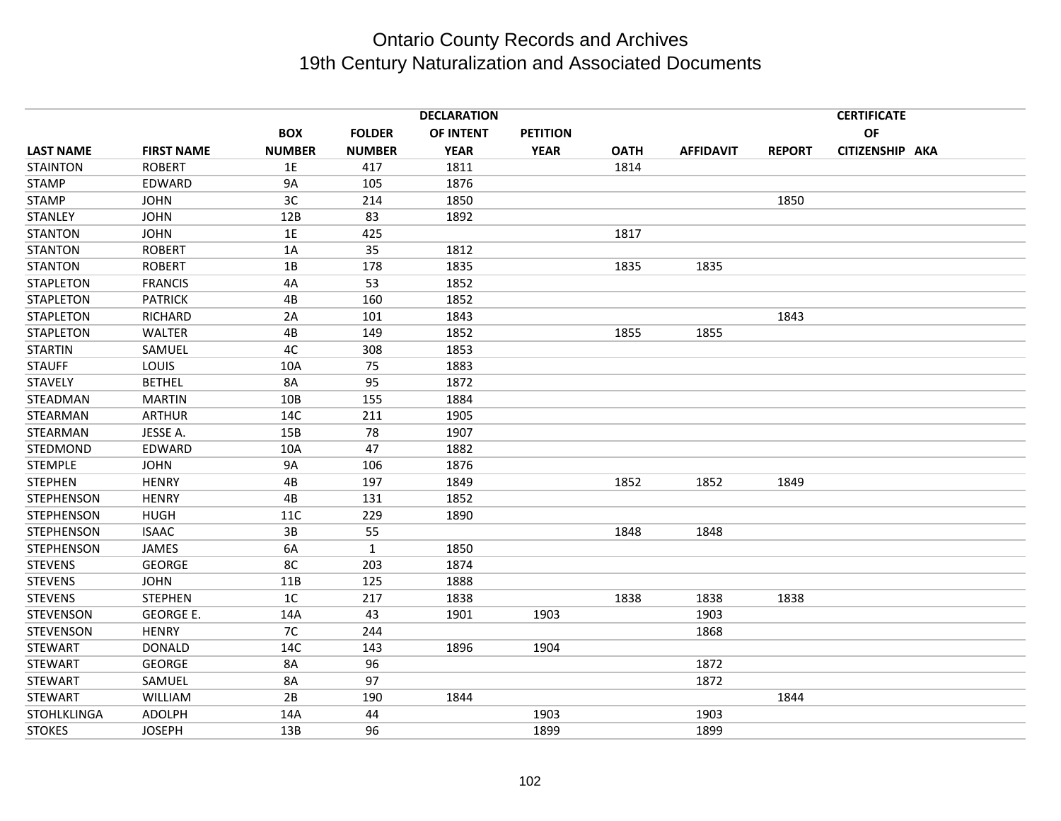|                    |                   |                |               | <b>DECLARATION</b> |                 |             |                  |               | <b>CERTIFICATE</b> |  |
|--------------------|-------------------|----------------|---------------|--------------------|-----------------|-------------|------------------|---------------|--------------------|--|
|                    |                   | <b>BOX</b>     | <b>FOLDER</b> | OF INTENT          | <b>PETITION</b> |             |                  |               | <b>OF</b>          |  |
| <b>LAST NAME</b>   | <b>FIRST NAME</b> | <b>NUMBER</b>  | <b>NUMBER</b> | <b>YEAR</b>        | <b>YEAR</b>     | <b>OATH</b> | <b>AFFIDAVIT</b> | <b>REPORT</b> | CITIZENSHIP AKA    |  |
| <b>STAINTON</b>    | <b>ROBERT</b>     | 1E             | 417           | 1811               |                 | 1814        |                  |               |                    |  |
| <b>STAMP</b>       | EDWARD            | <b>9A</b>      | 105           | 1876               |                 |             |                  |               |                    |  |
| <b>STAMP</b>       | <b>JOHN</b>       | 3C             | 214           | 1850               |                 |             |                  | 1850          |                    |  |
| <b>STANLEY</b>     | <b>JOHN</b>       | 12B            | 83            | 1892               |                 |             |                  |               |                    |  |
| <b>STANTON</b>     | <b>JOHN</b>       | 1E             | 425           |                    |                 | 1817        |                  |               |                    |  |
| <b>STANTON</b>     | <b>ROBERT</b>     | 1A             | 35            | 1812               |                 |             |                  |               |                    |  |
| <b>STANTON</b>     | <b>ROBERT</b>     | 1B             | 178           | 1835               |                 | 1835        | 1835             |               |                    |  |
| <b>STAPLETON</b>   | <b>FRANCIS</b>    | 4A             | 53            | 1852               |                 |             |                  |               |                    |  |
| <b>STAPLETON</b>   | <b>PATRICK</b>    | 4B             | 160           | 1852               |                 |             |                  |               |                    |  |
| <b>STAPLETON</b>   | <b>RICHARD</b>    | 2A             | 101           | 1843               |                 |             |                  | 1843          |                    |  |
| <b>STAPLETON</b>   | <b>WALTER</b>     | 4B             | 149           | 1852               |                 | 1855        | 1855             |               |                    |  |
| <b>STARTIN</b>     | SAMUEL            | 4C             | 308           | 1853               |                 |             |                  |               |                    |  |
| <b>STAUFF</b>      | LOUIS             | 10A            | 75            | 1883               |                 |             |                  |               |                    |  |
| <b>STAVELY</b>     | <b>BETHEL</b>     | 8A             | 95            | 1872               |                 |             |                  |               |                    |  |
| STEADMAN           | <b>MARTIN</b>     | 10B            | 155           | 1884               |                 |             |                  |               |                    |  |
| STEARMAN           | <b>ARTHUR</b>     | 14C            | 211           | 1905               |                 |             |                  |               |                    |  |
| <b>STEARMAN</b>    | JESSE A.          | 15B            | 78            | 1907               |                 |             |                  |               |                    |  |
| STEDMOND           | EDWARD            | 10A            | 47            | 1882               |                 |             |                  |               |                    |  |
| <b>STEMPLE</b>     | <b>JOHN</b>       | <b>9A</b>      | 106           | 1876               |                 |             |                  |               |                    |  |
| <b>STEPHEN</b>     | <b>HENRY</b>      | 4B             | 197           | 1849               |                 | 1852        | 1852             | 1849          |                    |  |
| <b>STEPHENSON</b>  | <b>HENRY</b>      | 4B             | 131           | 1852               |                 |             |                  |               |                    |  |
| <b>STEPHENSON</b>  | <b>HUGH</b>       | 11C            | 229           | 1890               |                 |             |                  |               |                    |  |
| <b>STEPHENSON</b>  | <b>ISAAC</b>      | 3B             | 55            |                    |                 | 1848        | 1848             |               |                    |  |
| <b>STEPHENSON</b>  | <b>JAMES</b>      | 6A             | $\mathbf{1}$  | 1850               |                 |             |                  |               |                    |  |
| <b>STEVENS</b>     | <b>GEORGE</b>     | 8C             | 203           | 1874               |                 |             |                  |               |                    |  |
| <b>STEVENS</b>     | <b>JOHN</b>       | 11B            | 125           | 1888               |                 |             |                  |               |                    |  |
| <b>STEVENS</b>     | <b>STEPHEN</b>    | 1 <sup>C</sup> | 217           | 1838               |                 | 1838        | 1838             | 1838          |                    |  |
| <b>STEVENSON</b>   | <b>GEORGE E.</b>  | 14A            | 43            | 1901               | 1903            |             | 1903             |               |                    |  |
| <b>STEVENSON</b>   | <b>HENRY</b>      | 7C             | 244           |                    |                 |             | 1868             |               |                    |  |
| <b>STEWART</b>     | <b>DONALD</b>     | 14C            | 143           | 1896               | 1904            |             |                  |               |                    |  |
| <b>STEWART</b>     | <b>GEORGE</b>     | 8A             | 96            |                    |                 |             | 1872             |               |                    |  |
| <b>STEWART</b>     | SAMUEL            | 8A             | 97            |                    |                 |             | 1872             |               |                    |  |
| <b>STEWART</b>     | WILLIAM           | 2B             | 190           | 1844               |                 |             |                  | 1844          |                    |  |
| <b>STOHLKLINGA</b> | <b>ADOLPH</b>     | 14A            | 44            |                    | 1903            |             | 1903             |               |                    |  |
| <b>STOKES</b>      | <b>JOSEPH</b>     | 13B            | 96            |                    | 1899            |             | 1899             |               |                    |  |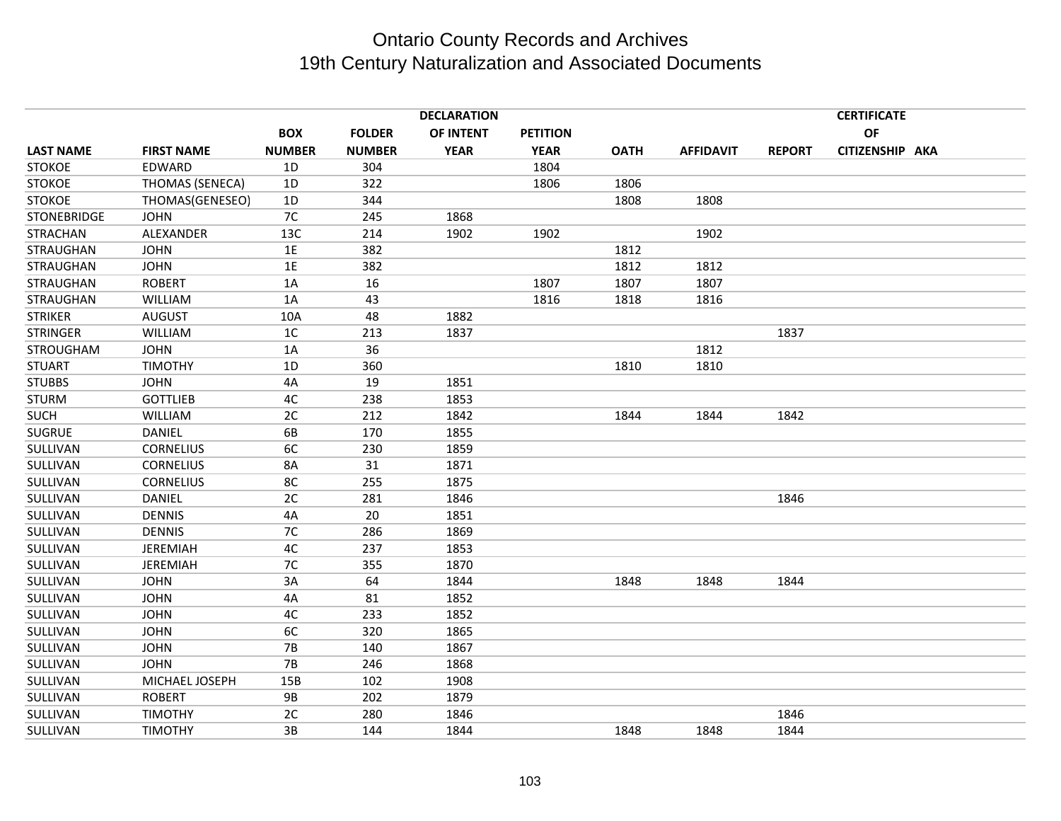|                    |                   |                |               | <b>DECLARATION</b> |                 |             |                  |               | <b>CERTIFICATE</b> |  |
|--------------------|-------------------|----------------|---------------|--------------------|-----------------|-------------|------------------|---------------|--------------------|--|
|                    |                   | <b>BOX</b>     | <b>FOLDER</b> | OF INTENT          | <b>PETITION</b> |             |                  |               | OF                 |  |
| <b>LAST NAME</b>   | <b>FIRST NAME</b> | <b>NUMBER</b>  | <b>NUMBER</b> | <b>YEAR</b>        | <b>YEAR</b>     | <b>OATH</b> | <b>AFFIDAVIT</b> | <b>REPORT</b> | CITIZENSHIP AKA    |  |
| <b>STOKOE</b>      | EDWARD            | 1D             | 304           |                    | 1804            |             |                  |               |                    |  |
| <b>STOKOE</b>      | THOMAS (SENECA)   | 1D             | 322           |                    | 1806            | 1806        |                  |               |                    |  |
| <b>STOKOE</b>      | THOMAS(GENESEO)   | 1D             | 344           |                    |                 | 1808        | 1808             |               |                    |  |
| <b>STONEBRIDGE</b> | <b>JOHN</b>       | 7C             | 245           | 1868               |                 |             |                  |               |                    |  |
| <b>STRACHAN</b>    | ALEXANDER         | 13C            | 214           | 1902               | 1902            |             | 1902             |               |                    |  |
| <b>STRAUGHAN</b>   | <b>JOHN</b>       | 1E             | 382           |                    |                 | 1812        |                  |               |                    |  |
| STRAUGHAN          | <b>JOHN</b>       | 1E             | 382           |                    |                 | 1812        | 1812             |               |                    |  |
| <b>STRAUGHAN</b>   | <b>ROBERT</b>     | 1A             | 16            |                    | 1807            | 1807        | 1807             |               |                    |  |
| STRAUGHAN          | WILLIAM           | 1A             | 43            |                    | 1816            | 1818        | 1816             |               |                    |  |
| <b>STRIKER</b>     | <b>AUGUST</b>     | 10A            | 48            | 1882               |                 |             |                  |               |                    |  |
| <b>STRINGER</b>    | <b>WILLIAM</b>    | 1 <sup>C</sup> | 213           | 1837               |                 |             |                  | 1837          |                    |  |
| STROUGHAM          | <b>JOHN</b>       | 1A             | 36            |                    |                 |             | 1812             |               |                    |  |
| <b>STUART</b>      | <b>TIMOTHY</b>    | 1D             | 360           |                    |                 | 1810        | 1810             |               |                    |  |
| <b>STUBBS</b>      | <b>JOHN</b>       | 4A             | 19            | 1851               |                 |             |                  |               |                    |  |
| <b>STURM</b>       | <b>GOTTLIEB</b>   | 4C             | 238           | 1853               |                 |             |                  |               |                    |  |
| <b>SUCH</b>        | <b>WILLIAM</b>    | 2C             | 212           | 1842               |                 | 1844        | 1844             | 1842          |                    |  |
| <b>SUGRUE</b>      | <b>DANIEL</b>     | 6B             | 170           | 1855               |                 |             |                  |               |                    |  |
| SULLIVAN           | <b>CORNELIUS</b>  | 6C             | 230           | 1859               |                 |             |                  |               |                    |  |
| SULLIVAN           | <b>CORNELIUS</b>  | 8A             | 31            | 1871               |                 |             |                  |               |                    |  |
| SULLIVAN           | <b>CORNELIUS</b>  | 8C             | 255           | 1875               |                 |             |                  |               |                    |  |
| SULLIVAN           | <b>DANIEL</b>     | 2C             | 281           | 1846               |                 |             |                  | 1846          |                    |  |
| SULLIVAN           | <b>DENNIS</b>     | 4A             | 20            | 1851               |                 |             |                  |               |                    |  |
| SULLIVAN           | <b>DENNIS</b>     | 7C             | 286           | 1869               |                 |             |                  |               |                    |  |
| SULLIVAN           | <b>JEREMIAH</b>   | 4C             | 237           | 1853               |                 |             |                  |               |                    |  |
| SULLIVAN           | <b>JEREMIAH</b>   | 7C             | 355           | 1870               |                 |             |                  |               |                    |  |
| SULLIVAN           | <b>JOHN</b>       | 3A             | 64            | 1844               |                 | 1848        | 1848             | 1844          |                    |  |
| SULLIVAN           | <b>JOHN</b>       | 4A             | 81            | 1852               |                 |             |                  |               |                    |  |
| SULLIVAN           | <b>JOHN</b>       | 4C             | 233           | 1852               |                 |             |                  |               |                    |  |
| SULLIVAN           | <b>JOHN</b>       | 6C             | 320           | 1865               |                 |             |                  |               |                    |  |
| SULLIVAN           | <b>JOHN</b>       | <b>7B</b>      | 140           | 1867               |                 |             |                  |               |                    |  |
| SULLIVAN           | <b>JOHN</b>       | <b>7B</b>      | 246           | 1868               |                 |             |                  |               |                    |  |
| SULLIVAN           | MICHAEL JOSEPH    | 15B            | 102           | 1908               |                 |             |                  |               |                    |  |
| SULLIVAN           | <b>ROBERT</b>     | <b>9B</b>      | 202           | 1879               |                 |             |                  |               |                    |  |
| SULLIVAN           | <b>TIMOTHY</b>    | 2C             | 280           | 1846               |                 |             |                  | 1846          |                    |  |
| SULLIVAN           | <b>TIMOTHY</b>    | 3B             | 144           | 1844               |                 | 1848        | 1848             | 1844          |                    |  |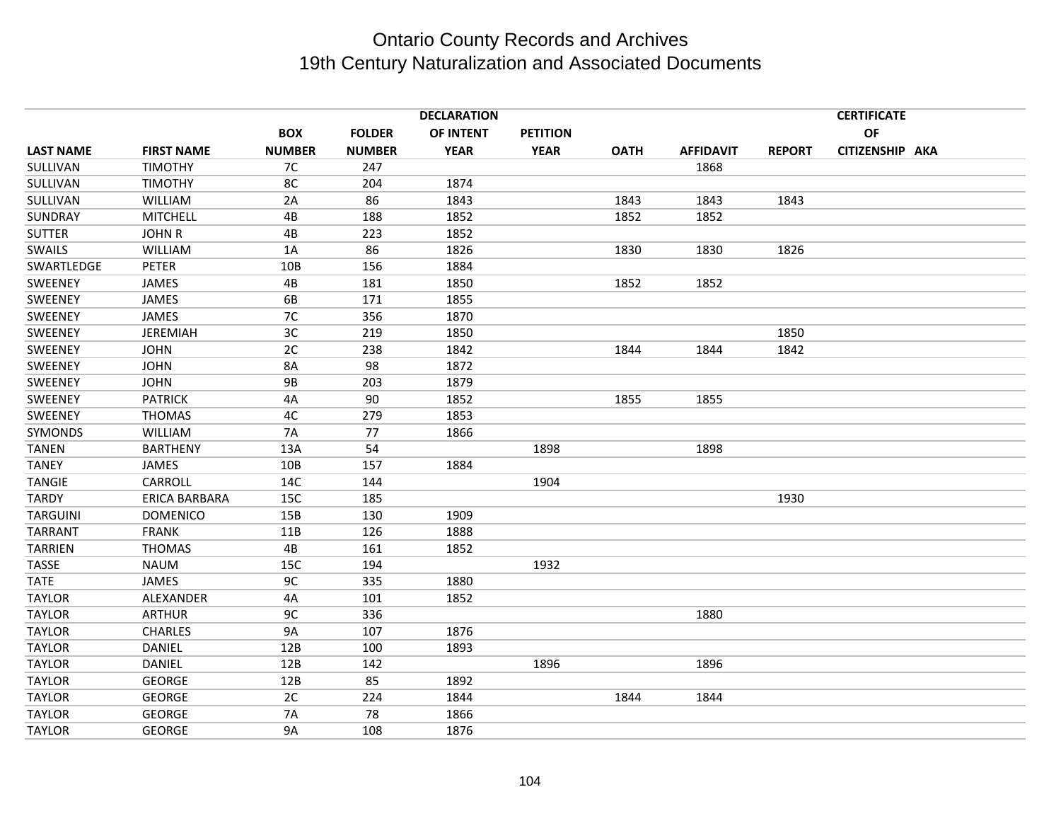|                  |                      |               |               | <b>DECLARATION</b> |                 |             |                  | <b>CERTIFICATE</b> |                 |  |  |
|------------------|----------------------|---------------|---------------|--------------------|-----------------|-------------|------------------|--------------------|-----------------|--|--|
|                  |                      | <b>BOX</b>    | <b>FOLDER</b> | OF INTENT          | <b>PETITION</b> |             |                  |                    | OF              |  |  |
| <b>LAST NAME</b> | <b>FIRST NAME</b>    | <b>NUMBER</b> | <b>NUMBER</b> | <b>YEAR</b>        | <b>YEAR</b>     | <b>OATH</b> | <b>AFFIDAVIT</b> | <b>REPORT</b>      | CITIZENSHIP AKA |  |  |
| SULLIVAN         | <b>TIMOTHY</b>       | 7C            | 247           |                    |                 |             | 1868             |                    |                 |  |  |
| SULLIVAN         | <b>TIMOTHY</b>       | 8C            | 204           | 1874               |                 |             |                  |                    |                 |  |  |
| SULLIVAN         | <b>WILLIAM</b>       | 2A            | 86            | 1843               |                 | 1843        | 1843             | 1843               |                 |  |  |
| SUNDRAY          | <b>MITCHELL</b>      | 4B            | 188           | 1852               |                 | 1852        | 1852             |                    |                 |  |  |
| <b>SUTTER</b>    | <b>JOHN R</b>        | 4B            | 223           | 1852               |                 |             |                  |                    |                 |  |  |
| <b>SWAILS</b>    | WILLIAM              | 1A            | 86            | 1826               |                 | 1830        | 1830             | 1826               |                 |  |  |
| SWARTLEDGE       | PETER                | 10B           | 156           | 1884               |                 |             |                  |                    |                 |  |  |
| SWEENEY          | <b>JAMES</b>         | 4B            | 181           | 1850               |                 | 1852        | 1852             |                    |                 |  |  |
| SWEENEY          | JAMES                | 6B            | 171           | 1855               |                 |             |                  |                    |                 |  |  |
| SWEENEY          | JAMES                | 7C            | 356           | 1870               |                 |             |                  |                    |                 |  |  |
| SWEENEY          | <b>JEREMIAH</b>      | 3C            | 219           | 1850               |                 |             |                  | 1850               |                 |  |  |
| SWEENEY          | <b>JOHN</b>          | 2C            | 238           | 1842               |                 | 1844        | 1844             | 1842               |                 |  |  |
| SWEENEY          | <b>JOHN</b>          | 8A            | 98            | 1872               |                 |             |                  |                    |                 |  |  |
| SWEENEY          | <b>JOHN</b>          | <b>9B</b>     | 203           | 1879               |                 |             |                  |                    |                 |  |  |
| SWEENEY          | <b>PATRICK</b>       | 4A            | 90            | 1852               |                 | 1855        | 1855             |                    |                 |  |  |
| SWEENEY          | <b>THOMAS</b>        | 4C            | 279           | 1853               |                 |             |                  |                    |                 |  |  |
| SYMONDS          | <b>WILLIAM</b>       | 7A            | 77            | 1866               |                 |             |                  |                    |                 |  |  |
| <b>TANEN</b>     | <b>BARTHENY</b>      | 13A           | 54            |                    | 1898            |             | 1898             |                    |                 |  |  |
| <b>TANEY</b>     | <b>JAMES</b>         | 10B           | 157           | 1884               |                 |             |                  |                    |                 |  |  |
| <b>TANGIE</b>    | CARROLL              | 14C           | 144           |                    | 1904            |             |                  |                    |                 |  |  |
| <b>TARDY</b>     | <b>ERICA BARBARA</b> | 15C           | 185           |                    |                 |             |                  | 1930               |                 |  |  |
| <b>TARGUINI</b>  | <b>DOMENICO</b>      | 15B           | 130           | 1909               |                 |             |                  |                    |                 |  |  |
| <b>TARRANT</b>   | <b>FRANK</b>         | 11B           | 126           | 1888               |                 |             |                  |                    |                 |  |  |
| <b>TARRIEN</b>   | <b>THOMAS</b>        | 4B            | 161           | 1852               |                 |             |                  |                    |                 |  |  |
| <b>TASSE</b>     | <b>NAUM</b>          | 15C           | 194           |                    | 1932            |             |                  |                    |                 |  |  |
| <b>TATE</b>      | <b>JAMES</b>         | 9C            | 335           | 1880               |                 |             |                  |                    |                 |  |  |
| <b>TAYLOR</b>    | ALEXANDER            | 4A            | 101           | 1852               |                 |             |                  |                    |                 |  |  |
| <b>TAYLOR</b>    | <b>ARTHUR</b>        | 9C            | 336           |                    |                 |             | 1880             |                    |                 |  |  |
| <b>TAYLOR</b>    | <b>CHARLES</b>       | <b>9A</b>     | 107           | 1876               |                 |             |                  |                    |                 |  |  |
| <b>TAYLOR</b>    | DANIEL               | 12B           | 100           | 1893               |                 |             |                  |                    |                 |  |  |
| <b>TAYLOR</b>    | DANIEL               | 12B           | 142           |                    | 1896            |             | 1896             |                    |                 |  |  |
| <b>TAYLOR</b>    | <b>GEORGE</b>        | 12B           | 85            | 1892               |                 |             |                  |                    |                 |  |  |
| <b>TAYLOR</b>    | <b>GEORGE</b>        | 2C            | 224           | 1844               |                 | 1844        | 1844             |                    |                 |  |  |
| <b>TAYLOR</b>    | <b>GEORGE</b>        | <b>7A</b>     | 78            | 1866               |                 |             |                  |                    |                 |  |  |
| <b>TAYLOR</b>    | <b>GEORGE</b>        | <b>9A</b>     | 108           | 1876               |                 |             |                  |                    |                 |  |  |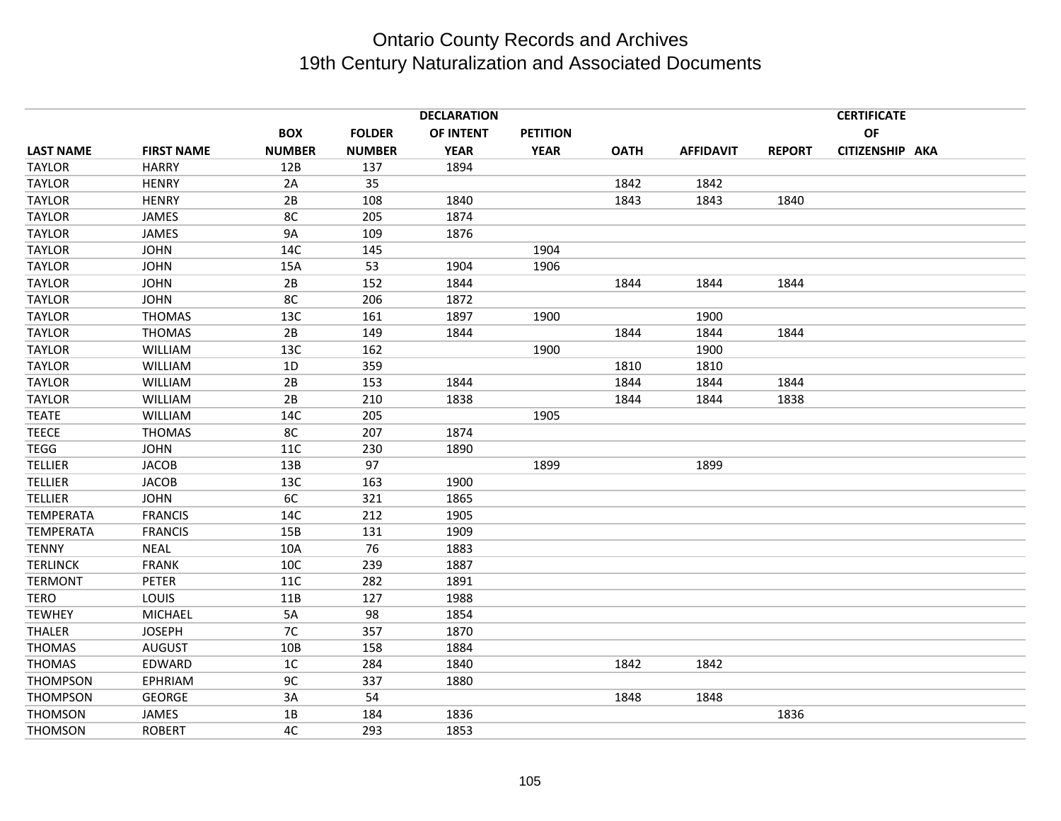|                  |                   |               |               | <b>DECLARATION</b> |             |             | <b>CERTIFICATE</b> |               |                 |  |  |  |
|------------------|-------------------|---------------|---------------|--------------------|-------------|-------------|--------------------|---------------|-----------------|--|--|--|
|                  |                   | <b>BOX</b>    | <b>FOLDER</b> | OF INTENT          | PETITION    |             |                    |               | OF              |  |  |  |
| <b>LAST NAME</b> | <b>FIRST NAME</b> | <b>NUMBER</b> | <b>NUMBER</b> | <b>YEAR</b>        | <b>YEAR</b> | <b>OATH</b> | <b>AFFIDAVIT</b>   | <b>REPORT</b> | CITIZENSHIP AKA |  |  |  |
| <b>TAYLOR</b>    | <b>HARRY</b>      | 12B           | 137           | 1894               |             |             |                    |               |                 |  |  |  |
| <b>TAYLOR</b>    | <b>HENRY</b>      | 2A            | 35            |                    |             | 1842        | 1842               |               |                 |  |  |  |
| <b>TAYLOR</b>    | <b>HENRY</b>      | 2B            | 108           | 1840               |             | 1843        | 1843               | 1840          |                 |  |  |  |
| <b>TAYLOR</b>    | <b>JAMES</b>      | 8C            | 205           | 1874               |             |             |                    |               |                 |  |  |  |
| <b>TAYLOR</b>    | <b>JAMES</b>      | <b>9A</b>     | 109           | 1876               |             |             |                    |               |                 |  |  |  |
| <b>TAYLOR</b>    | <b>JOHN</b>       | 14C           | 145           |                    | 1904        |             |                    |               |                 |  |  |  |
| <b>TAYLOR</b>    | <b>JOHN</b>       | 15A           | 53            | 1904               | 1906        |             |                    |               |                 |  |  |  |
| <b>TAYLOR</b>    | <b>JOHN</b>       | 2B            | 152           | 1844               |             | 1844        | 1844               | 1844          |                 |  |  |  |
| <b>TAYLOR</b>    | <b>JOHN</b>       | 8C            | 206           | 1872               |             |             |                    |               |                 |  |  |  |
| <b>TAYLOR</b>    | <b>THOMAS</b>     | 13C           | 161           | 1897               | 1900        |             | 1900               |               |                 |  |  |  |
| <b>TAYLOR</b>    | <b>THOMAS</b>     | 2B            | 149           | 1844               |             | 1844        | 1844               | 1844          |                 |  |  |  |
| <b>TAYLOR</b>    | WILLIAM           | 13C           | 162           |                    | 1900        |             | 1900               |               |                 |  |  |  |
| <b>TAYLOR</b>    | WILLIAM           | 1D            | 359           |                    |             | 1810        | 1810               |               |                 |  |  |  |
| <b>TAYLOR</b>    | WILLIAM           | 2B            | 153           | 1844               |             | 1844        | 1844               | 1844          |                 |  |  |  |
| <b>TAYLOR</b>    | <b>WILLIAM</b>    | 2B            | 210           | 1838               |             | 1844        | 1844               | 1838          |                 |  |  |  |
| <b>TEATE</b>     | <b>WILLIAM</b>    | 14C           | 205           |                    | 1905        |             |                    |               |                 |  |  |  |
| <b>TEECE</b>     | <b>THOMAS</b>     | 8C            | 207           | 1874               |             |             |                    |               |                 |  |  |  |
| <b>TEGG</b>      | <b>JOHN</b>       | 11C           | 230           | 1890               |             |             |                    |               |                 |  |  |  |
| <b>TELLIER</b>   | <b>JACOB</b>      | 13B           | 97            |                    | 1899        |             | 1899               |               |                 |  |  |  |
| <b>TELLIER</b>   | <b>JACOB</b>      | 13C           | 163           | 1900               |             |             |                    |               |                 |  |  |  |
| <b>TELLIER</b>   | <b>JOHN</b>       | 6C            | 321           | 1865               |             |             |                    |               |                 |  |  |  |
| <b>TEMPERATA</b> | <b>FRANCIS</b>    | 14C           | 212           | 1905               |             |             |                    |               |                 |  |  |  |
| <b>TEMPERATA</b> | <b>FRANCIS</b>    | 15B           | 131           | 1909               |             |             |                    |               |                 |  |  |  |
| <b>TENNY</b>     | <b>NEAL</b>       | 10A           | 76            | 1883               |             |             |                    |               |                 |  |  |  |
| <b>TERLINCK</b>  | <b>FRANK</b>      | 10C           | 239           | 1887               |             |             |                    |               |                 |  |  |  |
| <b>TERMONT</b>   | PETER             | 11C           | 282           | 1891               |             |             |                    |               |                 |  |  |  |
| <b>TERO</b>      | LOUIS             | 11B           | 127           | 1988               |             |             |                    |               |                 |  |  |  |
| <b>TEWHEY</b>    | <b>MICHAEL</b>    | 5A            | 98            | 1854               |             |             |                    |               |                 |  |  |  |
| <b>THALER</b>    | <b>JOSEPH</b>     | 7C            | 357           | 1870               |             |             |                    |               |                 |  |  |  |
| <b>THOMAS</b>    | <b>AUGUST</b>     | 10B           | 158           | 1884               |             |             |                    |               |                 |  |  |  |
| <b>THOMAS</b>    | EDWARD            | 1C            | 284           | 1840               |             | 1842        | 1842               |               |                 |  |  |  |
| <b>THOMPSON</b>  | EPHRIAM           | 9C            | 337           | 1880               |             |             |                    |               |                 |  |  |  |
| <b>THOMPSON</b>  | <b>GEORGE</b>     | 3A            | 54            |                    |             | 1848        | 1848               |               |                 |  |  |  |
| <b>THOMSON</b>   | JAMES             | 1B            | 184           | 1836               |             |             |                    | 1836          |                 |  |  |  |
| <b>THOMSON</b>   | <b>ROBERT</b>     | 4C            | 293           | 1853               |             |             |                    |               |                 |  |  |  |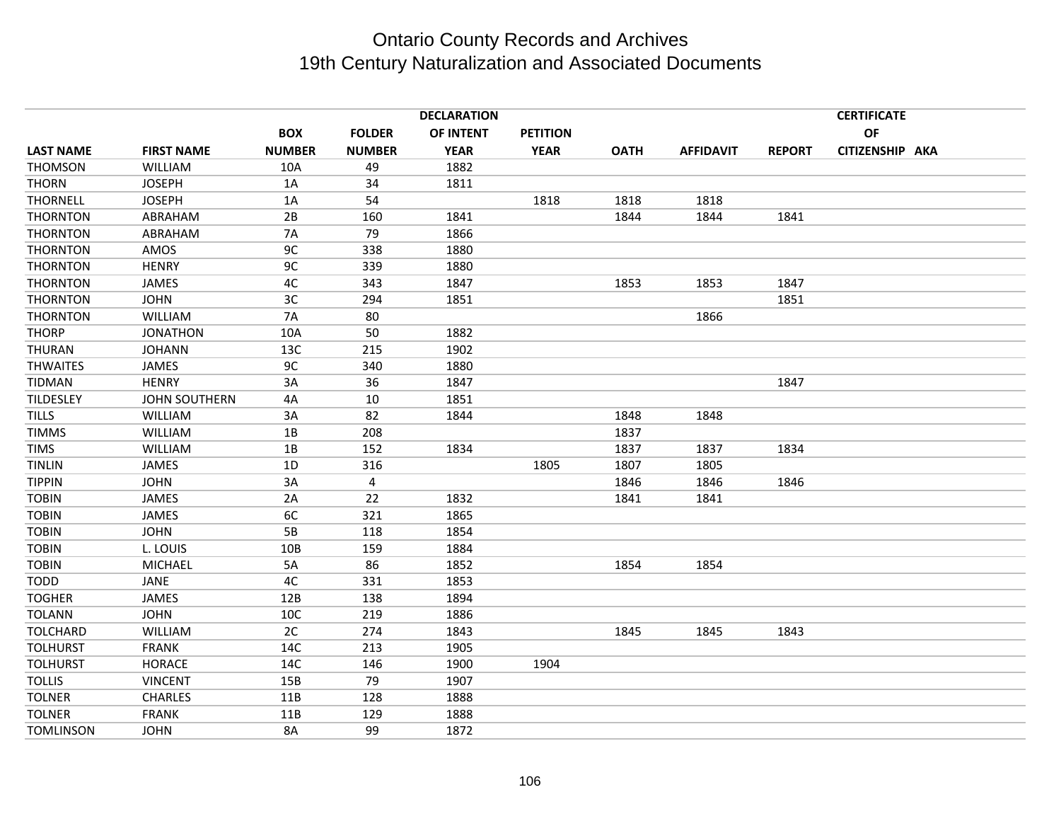|                  | <b>DECLARATION</b><br><b>CERTIFICATE</b> |               |               |             |                 |             |                  |               |                 |  |
|------------------|------------------------------------------|---------------|---------------|-------------|-----------------|-------------|------------------|---------------|-----------------|--|
|                  |                                          | <b>BOX</b>    | <b>FOLDER</b> | OF INTENT   | <b>PETITION</b> |             |                  |               | OF              |  |
| <b>LAST NAME</b> | <b>FIRST NAME</b>                        | <b>NUMBER</b> | <b>NUMBER</b> | <b>YEAR</b> | <b>YEAR</b>     | <b>OATH</b> | <b>AFFIDAVIT</b> | <b>REPORT</b> | CITIZENSHIP AKA |  |
| <b>THOMSON</b>   | <b>WILLIAM</b>                           | 10A           | 49            | 1882        |                 |             |                  |               |                 |  |
| <b>THORN</b>     | <b>JOSEPH</b>                            | 1A            | 34            | 1811        |                 |             |                  |               |                 |  |
| <b>THORNELL</b>  | <b>JOSEPH</b>                            | 1A            | 54            |             | 1818            | 1818        | 1818             |               |                 |  |
| <b>THORNTON</b>  | ABRAHAM                                  | 2B            | 160           | 1841        |                 | 1844        | 1844             | 1841          |                 |  |
| <b>THORNTON</b>  | ABRAHAM                                  | 7A            | 79            | 1866        |                 |             |                  |               |                 |  |
| <b>THORNTON</b>  | AMOS                                     | 9C            | 338           | 1880        |                 |             |                  |               |                 |  |
| <b>THORNTON</b>  | <b>HENRY</b>                             | 9C            | 339           | 1880        |                 |             |                  |               |                 |  |
| <b>THORNTON</b>  | JAMES                                    | 4C            | 343           | 1847        |                 | 1853        | 1853             | 1847          |                 |  |
| <b>THORNTON</b>  | <b>JOHN</b>                              | 3C            | 294           | 1851        |                 |             |                  | 1851          |                 |  |
| <b>THORNTON</b>  | <b>WILLIAM</b>                           | 7A            | 80            |             |                 |             | 1866             |               |                 |  |
| <b>THORP</b>     | <b>JONATHON</b>                          | 10A           | 50            | 1882        |                 |             |                  |               |                 |  |
| THURAN           | <b>JOHANN</b>                            | 13C           | 215           | 1902        |                 |             |                  |               |                 |  |
| <b>THWAITES</b>  | <b>JAMES</b>                             | 9C            | 340           | 1880        |                 |             |                  |               |                 |  |
| <b>TIDMAN</b>    | <b>HENRY</b>                             | 3A            | 36            | 1847        |                 |             |                  | 1847          |                 |  |
| TILDESLEY        | <b>JOHN SOUTHERN</b>                     | 4A            | 10            | 1851        |                 |             |                  |               |                 |  |
| <b>TILLS</b>     | <b>WILLIAM</b>                           | 3A            | 82            | 1844        |                 | 1848        | 1848             |               |                 |  |
| <b>TIMMS</b>     | <b>WILLIAM</b>                           | 1B            | 208           |             |                 | 1837        |                  |               |                 |  |
| <b>TIMS</b>      | WILLIAM                                  | 1B            | 152           | 1834        |                 | 1837        | 1837             | 1834          |                 |  |
| <b>TINLIN</b>    | JAMES                                    | 1D            | 316           |             | 1805            | 1807        | 1805             |               |                 |  |
| <b>TIPPIN</b>    | <b>JOHN</b>                              | 3A            | 4             |             |                 | 1846        | 1846             | 1846          |                 |  |
| <b>TOBIN</b>     | <b>JAMES</b>                             | 2A            | 22            | 1832        |                 | 1841        | 1841             |               |                 |  |
| <b>TOBIN</b>     | JAMES                                    | 6C            | 321           | 1865        |                 |             |                  |               |                 |  |
| <b>TOBIN</b>     | <b>JOHN</b>                              | 5B            | 118           | 1854        |                 |             |                  |               |                 |  |
| <b>TOBIN</b>     | L. LOUIS                                 | 10B           | 159           | 1884        |                 |             |                  |               |                 |  |
| <b>TOBIN</b>     | <b>MICHAEL</b>                           | 5A            | 86            | 1852        |                 | 1854        | 1854             |               |                 |  |
| <b>TODD</b>      | JANE                                     | 4C            | 331           | 1853        |                 |             |                  |               |                 |  |
| <b>TOGHER</b>    | JAMES                                    | 12B           | 138           | 1894        |                 |             |                  |               |                 |  |
| <b>TOLANN</b>    | <b>JOHN</b>                              | 10C           | 219           | 1886        |                 |             |                  |               |                 |  |
| <b>TOLCHARD</b>  | <b>WILLIAM</b>                           | 2C            | 274           | 1843        |                 | 1845        | 1845             | 1843          |                 |  |
| <b>TOLHURST</b>  | <b>FRANK</b>                             | 14C           | 213           | 1905        |                 |             |                  |               |                 |  |
| <b>TOLHURST</b>  | <b>HORACE</b>                            | 14C           | 146           | 1900        | 1904            |             |                  |               |                 |  |
| <b>TOLLIS</b>    | <b>VINCENT</b>                           | 15B           | 79            | 1907        |                 |             |                  |               |                 |  |
| <b>TOLNER</b>    | <b>CHARLES</b>                           | 11B           | 128           | 1888        |                 |             |                  |               |                 |  |
| <b>TOLNER</b>    | <b>FRANK</b>                             | 11B           | 129           | 1888        |                 |             |                  |               |                 |  |
| <b>TOMLINSON</b> | <b>JOHN</b>                              | 8A            | 99            | 1872        |                 |             |                  |               |                 |  |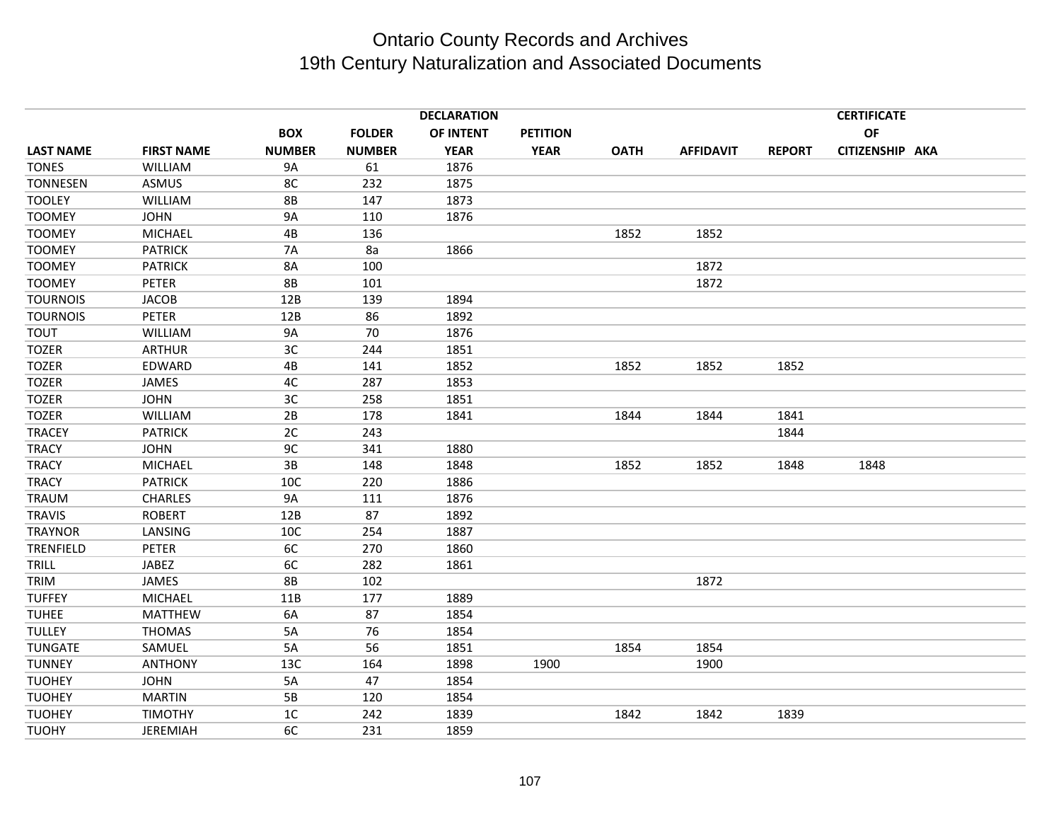|                  |                   |                |               | <b>DECLARATION</b> |                 |             |                  | <b>CERTIFICATE</b> |                 |  |  |  |
|------------------|-------------------|----------------|---------------|--------------------|-----------------|-------------|------------------|--------------------|-----------------|--|--|--|
|                  |                   | <b>BOX</b>     | <b>FOLDER</b> | OF INTENT          | <b>PETITION</b> |             |                  |                    | OF              |  |  |  |
| <b>LAST NAME</b> | <b>FIRST NAME</b> | <b>NUMBER</b>  | <b>NUMBER</b> | <b>YEAR</b>        | <b>YEAR</b>     | <b>OATH</b> | <b>AFFIDAVIT</b> | <b>REPORT</b>      | CITIZENSHIP AKA |  |  |  |
| <b>TONES</b>     | WILLIAM           | <b>9A</b>      | 61            | 1876               |                 |             |                  |                    |                 |  |  |  |
| <b>TONNESEN</b>  | ASMUS             | 8C             | 232           | 1875               |                 |             |                  |                    |                 |  |  |  |
| <b>TOOLEY</b>    | <b>WILLIAM</b>    | <b>8B</b>      | 147           | 1873               |                 |             |                  |                    |                 |  |  |  |
| <b>TOOMEY</b>    | <b>JOHN</b>       | <b>9A</b>      | 110           | 1876               |                 |             |                  |                    |                 |  |  |  |
| <b>TOOMEY</b>    | <b>MICHAEL</b>    | 4B             | 136           |                    |                 | 1852        | 1852             |                    |                 |  |  |  |
| <b>TOOMEY</b>    | <b>PATRICK</b>    | <b>7A</b>      | 8a            | 1866               |                 |             |                  |                    |                 |  |  |  |
| <b>TOOMEY</b>    | <b>PATRICK</b>    | 8A             | 100           |                    |                 |             | 1872             |                    |                 |  |  |  |
| <b>TOOMEY</b>    | PETER             | <b>8B</b>      | 101           |                    |                 |             | 1872             |                    |                 |  |  |  |
| <b>TOURNOIS</b>  | <b>JACOB</b>      | 12B            | 139           | 1894               |                 |             |                  |                    |                 |  |  |  |
| <b>TOURNOIS</b>  | <b>PETER</b>      | 12B            | 86            | 1892               |                 |             |                  |                    |                 |  |  |  |
| TOUT             | <b>WILLIAM</b>    | <b>9A</b>      | 70            | 1876               |                 |             |                  |                    |                 |  |  |  |
| <b>TOZER</b>     | <b>ARTHUR</b>     | 3C             | 244           | 1851               |                 |             |                  |                    |                 |  |  |  |
| <b>TOZER</b>     | EDWARD            | 4B             | 141           | 1852               |                 | 1852        | 1852             | 1852               |                 |  |  |  |
| <b>TOZER</b>     | <b>JAMES</b>      | 4C             | 287           | 1853               |                 |             |                  |                    |                 |  |  |  |
| <b>TOZER</b>     | <b>JOHN</b>       | 3C             | 258           | 1851               |                 |             |                  |                    |                 |  |  |  |
| <b>TOZER</b>     | <b>WILLIAM</b>    | 2B             | 178           | 1841               |                 | 1844        | 1844             | 1841               |                 |  |  |  |
| <b>TRACEY</b>    | <b>PATRICK</b>    | 2C             | 243           |                    |                 |             |                  | 1844               |                 |  |  |  |
| <b>TRACY</b>     | <b>JOHN</b>       | 9C             | 341           | 1880               |                 |             |                  |                    |                 |  |  |  |
| <b>TRACY</b>     | <b>MICHAEL</b>    | 3B             | 148           | 1848               |                 | 1852        | 1852             | 1848               | 1848            |  |  |  |
| <b>TRACY</b>     | <b>PATRICK</b>    | 10C            | 220           | 1886               |                 |             |                  |                    |                 |  |  |  |
| <b>TRAUM</b>     | <b>CHARLES</b>    | 9A             | 111           | 1876               |                 |             |                  |                    |                 |  |  |  |
| <b>TRAVIS</b>    | <b>ROBERT</b>     | 12B            | 87            | 1892               |                 |             |                  |                    |                 |  |  |  |
| <b>TRAYNOR</b>   | LANSING           | 10C            | 254           | 1887               |                 |             |                  |                    |                 |  |  |  |
| <b>TRENFIELD</b> | <b>PETER</b>      | 6C             | 270           | 1860               |                 |             |                  |                    |                 |  |  |  |
| TRILL            | JABEZ             | 6C             | 282           | 1861               |                 |             |                  |                    |                 |  |  |  |
| TRIM             | <b>JAMES</b>      | <b>8B</b>      | 102           |                    |                 |             | 1872             |                    |                 |  |  |  |
| <b>TUFFEY</b>    | <b>MICHAEL</b>    | 11B            | 177           | 1889               |                 |             |                  |                    |                 |  |  |  |
| <b>TUHEE</b>     | MATTHEW           | 6A             | 87            | 1854               |                 |             |                  |                    |                 |  |  |  |
| <b>TULLEY</b>    | <b>THOMAS</b>     | 5A             | 76            | 1854               |                 |             |                  |                    |                 |  |  |  |
| <b>TUNGATE</b>   | SAMUEL            | 5A             | 56            | 1851               |                 | 1854        | 1854             |                    |                 |  |  |  |
| <b>TUNNEY</b>    | <b>ANTHONY</b>    | 13C            | 164           | 1898               | 1900            |             | 1900             |                    |                 |  |  |  |
| <b>TUOHEY</b>    | <b>JOHN</b>       | 5A             | 47            | 1854               |                 |             |                  |                    |                 |  |  |  |
| <b>TUOHEY</b>    | <b>MARTIN</b>     | 5B             | 120           | 1854               |                 |             |                  |                    |                 |  |  |  |
| <b>TUOHEY</b>    | <b>TIMOTHY</b>    | 1 <sup>C</sup> | 242           | 1839               |                 | 1842        | 1842             | 1839               |                 |  |  |  |
| <b>TUOHY</b>     | <b>JEREMIAH</b>   | 6C             | 231           | 1859               |                 |             |                  |                    |                 |  |  |  |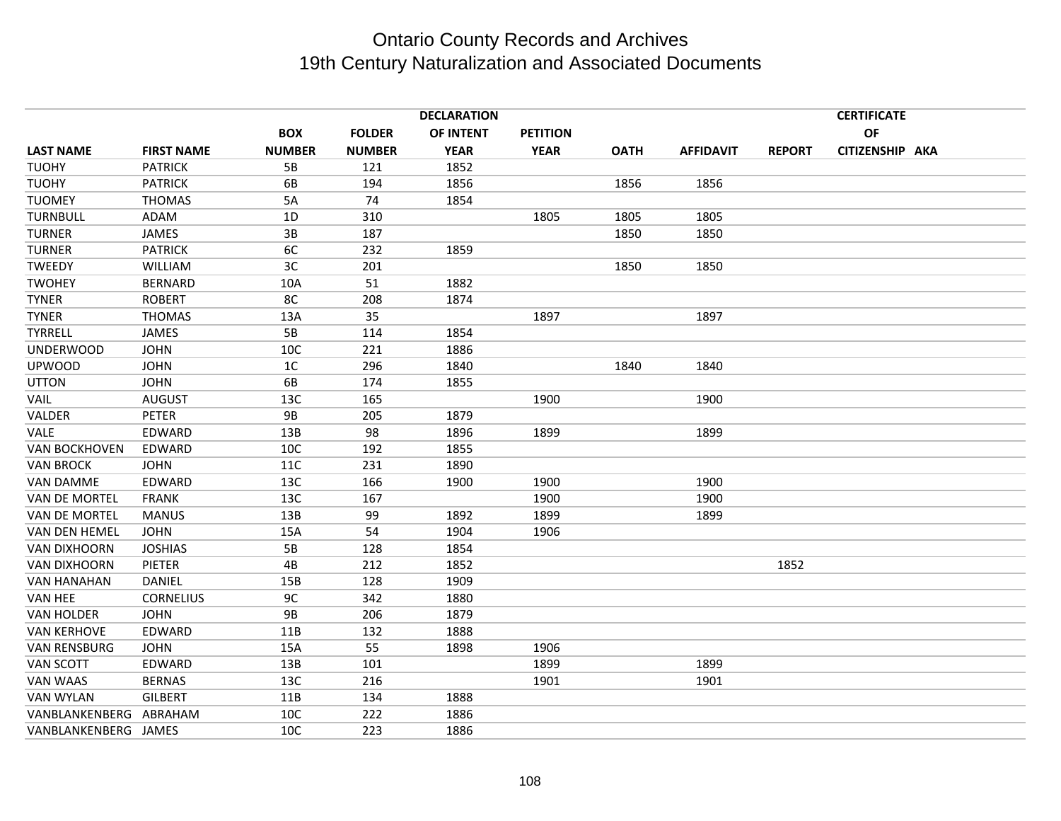|                      |                   |                |               | <b>DECLARATION</b> |                 |             | <b>CERTIFICATE</b> |               |                 |  |  |
|----------------------|-------------------|----------------|---------------|--------------------|-----------------|-------------|--------------------|---------------|-----------------|--|--|
|                      |                   | <b>BOX</b>     | <b>FOLDER</b> | OF INTENT          | <b>PETITION</b> |             |                    |               | OF              |  |  |
| <b>LAST NAME</b>     | <b>FIRST NAME</b> | <b>NUMBER</b>  | <b>NUMBER</b> | <b>YEAR</b>        | <b>YEAR</b>     | <b>OATH</b> | <b>AFFIDAVIT</b>   | <b>REPORT</b> | CITIZENSHIP AKA |  |  |
| <b>TUOHY</b>         | <b>PATRICK</b>    | 5B             | 121           | 1852               |                 |             |                    |               |                 |  |  |
| <b>TUOHY</b>         | <b>PATRICK</b>    | 6B             | 194           | 1856               |                 | 1856        | 1856               |               |                 |  |  |
| <b>TUOMEY</b>        | <b>THOMAS</b>     | 5A             | 74            | 1854               |                 |             |                    |               |                 |  |  |
| <b>TURNBULL</b>      | ADAM              | 1D             | 310           |                    | 1805            | 1805        | 1805               |               |                 |  |  |
| <b>TURNER</b>        | <b>JAMES</b>      | 3B             | 187           |                    |                 | 1850        | 1850               |               |                 |  |  |
| <b>TURNER</b>        | <b>PATRICK</b>    | 6C             | 232           | 1859               |                 |             |                    |               |                 |  |  |
| TWEEDY               | <b>WILLIAM</b>    | 3C             | 201           |                    |                 | 1850        | 1850               |               |                 |  |  |
| <b>TWOHEY</b>        | <b>BERNARD</b>    | 10A            | 51            | 1882               |                 |             |                    |               |                 |  |  |
| <b>TYNER</b>         | <b>ROBERT</b>     | 8C             | 208           | 1874               |                 |             |                    |               |                 |  |  |
| <b>TYNER</b>         | <b>THOMAS</b>     | 13A            | 35            |                    | 1897            |             | 1897               |               |                 |  |  |
| TYRRELL              | <b>JAMES</b>      | 5B             | 114           | 1854               |                 |             |                    |               |                 |  |  |
| <b>UNDERWOOD</b>     | <b>JOHN</b>       | 10C            | 221           | 1886               |                 |             |                    |               |                 |  |  |
| <b>UPWOOD</b>        | <b>JOHN</b>       | 1 <sup>C</sup> | 296           | 1840               |                 | 1840        | 1840               |               |                 |  |  |
| <b>UTTON</b>         | <b>JOHN</b>       | 6B             | 174           | 1855               |                 |             |                    |               |                 |  |  |
| VAIL                 | <b>AUGUST</b>     | 13C            | 165           |                    | 1900            |             | 1900               |               |                 |  |  |
| VALDER               | <b>PETER</b>      | <b>9B</b>      | 205           | 1879               |                 |             |                    |               |                 |  |  |
| VALE                 | EDWARD            | 13B            | 98            | 1896               | 1899            |             | 1899               |               |                 |  |  |
| <b>VAN BOCKHOVEN</b> | EDWARD            | 10C            | 192           | 1855               |                 |             |                    |               |                 |  |  |
| <b>VAN BROCK</b>     | <b>JOHN</b>       | <b>11C</b>     | 231           | 1890               |                 |             |                    |               |                 |  |  |
| <b>VAN DAMME</b>     | EDWARD            | 13C            | 166           | 1900               | 1900            |             | 1900               |               |                 |  |  |
| <b>VAN DE MORTEL</b> | <b>FRANK</b>      | 13C            | 167           |                    | 1900            |             | 1900               |               |                 |  |  |
| VAN DE MORTEL        | <b>MANUS</b>      | 13B            | 99            | 1892               | 1899            |             | 1899               |               |                 |  |  |
| VAN DEN HEMEL        | <b>JOHN</b>       | 15A            | 54            | 1904               | 1906            |             |                    |               |                 |  |  |
| <b>VAN DIXHOORN</b>  | <b>JOSHIAS</b>    | 5B             | 128           | 1854               |                 |             |                    |               |                 |  |  |
| VAN DIXHOORN         | PIETER            | 4B             | 212           | 1852               |                 |             |                    | 1852          |                 |  |  |
| <b>VAN HANAHAN</b>   | <b>DANIEL</b>     | 15B            | 128           | 1909               |                 |             |                    |               |                 |  |  |
| VAN HEE              | <b>CORNELIUS</b>  | 9C             | 342           | 1880               |                 |             |                    |               |                 |  |  |
| <b>VAN HOLDER</b>    | <b>JOHN</b>       | <b>9B</b>      | 206           | 1879               |                 |             |                    |               |                 |  |  |
| <b>VAN KERHOVE</b>   | EDWARD            | 11B            | 132           | 1888               |                 |             |                    |               |                 |  |  |
| <b>VAN RENSBURG</b>  | <b>JOHN</b>       | 15A            | 55            | 1898               | 1906            |             |                    |               |                 |  |  |
| <b>VAN SCOTT</b>     | EDWARD            | 13B            | 101           |                    | 1899            |             | 1899               |               |                 |  |  |
| VAN WAAS             | <b>BERNAS</b>     | 13C            | 216           |                    | 1901            |             | 1901               |               |                 |  |  |
| <b>VAN WYLAN</b>     | <b>GILBERT</b>    | 11B            | 134           | 1888               |                 |             |                    |               |                 |  |  |
| VANBLANKENBERG       | ABRAHAM           | 10C            | 222           | 1886               |                 |             |                    |               |                 |  |  |
| VANBLANKENBERG JAMES |                   | 10C            | 223           | 1886               |                 |             |                    |               |                 |  |  |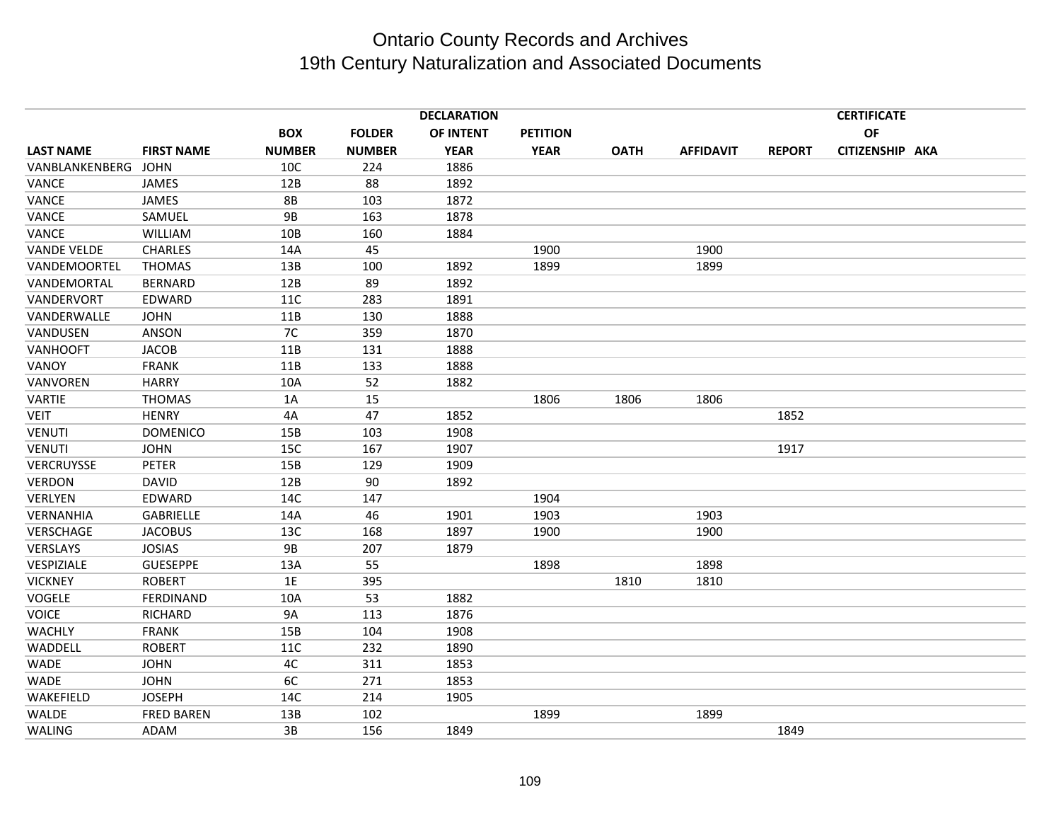|                    |                   |               |               | <b>DECLARATION</b> |                 |             |                  |               | <b>CERTIFICATE</b> |  |
|--------------------|-------------------|---------------|---------------|--------------------|-----------------|-------------|------------------|---------------|--------------------|--|
|                    |                   | <b>BOX</b>    | <b>FOLDER</b> | OF INTENT          | <b>PETITION</b> |             |                  |               | <b>OF</b>          |  |
| <b>LAST NAME</b>   | <b>FIRST NAME</b> | <b>NUMBER</b> | <b>NUMBER</b> | <b>YEAR</b>        | <b>YEAR</b>     | <b>OATH</b> | <b>AFFIDAVIT</b> | <b>REPORT</b> | CITIZENSHIP AKA    |  |
| VANBLANKENBERG     | <b>JOHN</b>       | 10C           | 224           | 1886               |                 |             |                  |               |                    |  |
| VANCE              | JAMES             | 12B           | 88            | 1892               |                 |             |                  |               |                    |  |
| <b>VANCE</b>       | <b>JAMES</b>      | <b>8B</b>     | 103           | 1872               |                 |             |                  |               |                    |  |
| VANCE              | SAMUEL            | <b>9B</b>     | 163           | 1878               |                 |             |                  |               |                    |  |
| VANCE              | WILLIAM           | 10B           | 160           | 1884               |                 |             |                  |               |                    |  |
| <b>VANDE VELDE</b> | <b>CHARLES</b>    | 14A           | 45            |                    | 1900            |             | 1900             |               |                    |  |
| VANDEMOORTEL       | <b>THOMAS</b>     | 13B           | 100           | 1892               | 1899            |             | 1899             |               |                    |  |
| VANDEMORTAL        | <b>BERNARD</b>    | 12B           | 89            | 1892               |                 |             |                  |               |                    |  |
| VANDERVORT         | EDWARD            | 11C           | 283           | 1891               |                 |             |                  |               |                    |  |
| VANDERWALLE        | <b>JOHN</b>       | 11B           | 130           | 1888               |                 |             |                  |               |                    |  |
| VANDUSEN           | ANSON             | 7C            | 359           | 1870               |                 |             |                  |               |                    |  |
| VANHOOFT           | <b>JACOB</b>      | 11B           | 131           | 1888               |                 |             |                  |               |                    |  |
| VANOY              | <b>FRANK</b>      | 11B           | 133           | 1888               |                 |             |                  |               |                    |  |
| VANVOREN           | <b>HARRY</b>      | 10A           | 52            | 1882               |                 |             |                  |               |                    |  |
| <b>VARTIE</b>      | <b>THOMAS</b>     | 1A            | 15            |                    | 1806            | 1806        | 1806             |               |                    |  |
| <b>VEIT</b>        | <b>HENRY</b>      | 4A            | 47            | 1852               |                 |             |                  | 1852          |                    |  |
| <b>VENUTI</b>      | <b>DOMENICO</b>   | 15B           | 103           | 1908               |                 |             |                  |               |                    |  |
| <b>VENUTI</b>      | <b>JOHN</b>       | 15C           | 167           | 1907               |                 |             |                  | 1917          |                    |  |
| VERCRUYSSE         | <b>PETER</b>      | 15B           | 129           | 1909               |                 |             |                  |               |                    |  |
| <b>VERDON</b>      | <b>DAVID</b>      | 12B           | 90            | 1892               |                 |             |                  |               |                    |  |
| VERLYEN            | EDWARD            | 14C           | 147           |                    | 1904            |             |                  |               |                    |  |
| VERNANHIA          | <b>GABRIELLE</b>  | 14A           | 46            | 1901               | 1903            |             | 1903             |               |                    |  |
| VERSCHAGE          | <b>JACOBUS</b>    | 13C           | 168           | 1897               | 1900            |             | 1900             |               |                    |  |
| VERSLAYS           | <b>JOSIAS</b>     | <b>9B</b>     | 207           | 1879               |                 |             |                  |               |                    |  |
| VESPIZIALE         | <b>GUESEPPE</b>   | 13A           | 55            |                    | 1898            |             | 1898             |               |                    |  |
| <b>VICKNEY</b>     | <b>ROBERT</b>     | 1E            | 395           |                    |                 | 1810        | 1810             |               |                    |  |
| <b>VOGELE</b>      | FERDINAND         | 10A           | 53            | 1882               |                 |             |                  |               |                    |  |
| <b>VOICE</b>       | <b>RICHARD</b>    | <b>9A</b>     | 113           | 1876               |                 |             |                  |               |                    |  |
| <b>WACHLY</b>      | <b>FRANK</b>      | 15B           | 104           | 1908               |                 |             |                  |               |                    |  |
| WADDELL            | <b>ROBERT</b>     | 11C           | 232           | 1890               |                 |             |                  |               |                    |  |
| <b>WADE</b>        | <b>JOHN</b>       | 4C            | 311           | 1853               |                 |             |                  |               |                    |  |
| WADE               | <b>JOHN</b>       | 6C            | 271           | 1853               |                 |             |                  |               |                    |  |
| WAKEFIELD          | <b>JOSEPH</b>     | 14C           | 214           | 1905               |                 |             |                  |               |                    |  |
| <b>WALDE</b>       | <b>FRED BAREN</b> | 13B           | 102           |                    | 1899            |             | 1899             |               |                    |  |
| WALING             | <b>ADAM</b>       | 3B            | 156           | 1849               |                 |             |                  | 1849          |                    |  |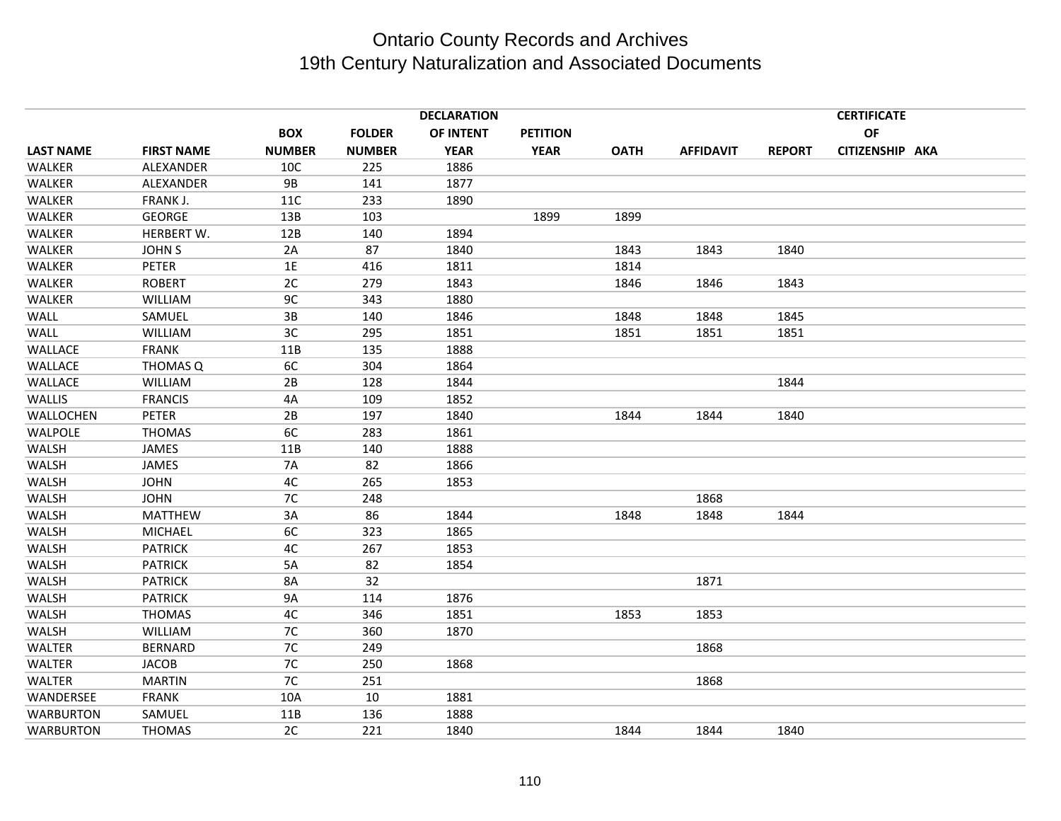|                  |                   |               |               | <b>DECLARATION</b> |                 |             |                  |               | <b>CERTIFICATE</b> |  |
|------------------|-------------------|---------------|---------------|--------------------|-----------------|-------------|------------------|---------------|--------------------|--|
|                  |                   | <b>BOX</b>    | <b>FOLDER</b> | OF INTENT          | <b>PETITION</b> |             |                  |               | OF                 |  |
| <b>LAST NAME</b> | <b>FIRST NAME</b> | <b>NUMBER</b> | <b>NUMBER</b> | <b>YEAR</b>        | <b>YEAR</b>     | <b>OATH</b> | <b>AFFIDAVIT</b> | <b>REPORT</b> | CITIZENSHIP AKA    |  |
| WALKER           | ALEXANDER         | 10C           | 225           | 1886               |                 |             |                  |               |                    |  |
| WALKER           | ALEXANDER         | <b>9B</b>     | 141           | 1877               |                 |             |                  |               |                    |  |
| WALKER           | FRANK J.          | 11C           | 233           | 1890               |                 |             |                  |               |                    |  |
| WALKER           | <b>GEORGE</b>     | 13B           | 103           |                    | 1899            | 1899        |                  |               |                    |  |
| WALKER           | HERBERT W.        | 12B           | 140           | 1894               |                 |             |                  |               |                    |  |
| WALKER           | <b>JOHN S</b>     | 2A            | 87            | 1840               |                 | 1843        | 1843             | 1840          |                    |  |
| WALKER           | PETER             | 1E            | 416           | 1811               |                 | 1814        |                  |               |                    |  |
| WALKER           | <b>ROBERT</b>     | 2C            | 279           | 1843               |                 | 1846        | 1846             | 1843          |                    |  |
| WALKER           | WILLIAM           | 9C            | 343           | 1880               |                 |             |                  |               |                    |  |
| WALL             | SAMUEL            | 3B            | 140           | 1846               |                 | 1848        | 1848             | 1845          |                    |  |
| WALL             | <b>WILLIAM</b>    | 3C            | 295           | 1851               |                 | 1851        | 1851             | 1851          |                    |  |
| <b>WALLACE</b>   | <b>FRANK</b>      | 11B           | 135           | 1888               |                 |             |                  |               |                    |  |
| <b>WALLACE</b>   | THOMAS Q          | 6C            | 304           | 1864               |                 |             |                  |               |                    |  |
| <b>WALLACE</b>   | WILLIAM           | 2B            | 128           | 1844               |                 |             |                  | 1844          |                    |  |
| <b>WALLIS</b>    | <b>FRANCIS</b>    | 4A            | 109           | 1852               |                 |             |                  |               |                    |  |
| WALLOCHEN        | <b>PETER</b>      | 2B            | 197           | 1840               |                 | 1844        | 1844             | 1840          |                    |  |
| <b>WALPOLE</b>   | <b>THOMAS</b>     | 6C            | 283           | 1861               |                 |             |                  |               |                    |  |
| WALSH            | JAMES             | 11B           | 140           | 1888               |                 |             |                  |               |                    |  |
| WALSH            | <b>JAMES</b>      | <b>7A</b>     | 82            | 1866               |                 |             |                  |               |                    |  |
| WALSH            | <b>JOHN</b>       | 4C            | 265           | 1853               |                 |             |                  |               |                    |  |
| WALSH            | <b>JOHN</b>       | 7C            | 248           |                    |                 |             | 1868             |               |                    |  |
| WALSH            | <b>MATTHEW</b>    | 3A            | 86            | 1844               |                 | 1848        | 1848             | 1844          |                    |  |
| WALSH            | <b>MICHAEL</b>    | 6C            | 323           | 1865               |                 |             |                  |               |                    |  |
| WALSH            | <b>PATRICK</b>    | 4C            | 267           | 1853               |                 |             |                  |               |                    |  |
| WALSH            | <b>PATRICK</b>    | 5A            | 82            | 1854               |                 |             |                  |               |                    |  |
| <b>WALSH</b>     | <b>PATRICK</b>    | <b>8A</b>     | 32            |                    |                 |             | 1871             |               |                    |  |
| WALSH            | <b>PATRICK</b>    | <b>9A</b>     | 114           | 1876               |                 |             |                  |               |                    |  |
| WALSH            | <b>THOMAS</b>     | 4C            | 346           | 1851               |                 | 1853        | 1853             |               |                    |  |
| WALSH            | <b>WILLIAM</b>    | 7C            | 360           | 1870               |                 |             |                  |               |                    |  |
| <b>WALTER</b>    | <b>BERNARD</b>    | 7C            | 249           |                    |                 |             | 1868             |               |                    |  |
| <b>WALTER</b>    | <b>JACOB</b>      | 7C            | 250           | 1868               |                 |             |                  |               |                    |  |
| <b>WALTER</b>    | <b>MARTIN</b>     | 7C            | 251           |                    |                 |             | 1868             |               |                    |  |
| WANDERSEE        | <b>FRANK</b>      | 10A           | 10            | 1881               |                 |             |                  |               |                    |  |
| <b>WARBURTON</b> | SAMUEL            | 11B           | 136           | 1888               |                 |             |                  |               |                    |  |
| <b>WARBURTON</b> | <b>THOMAS</b>     | 2C            | 221           | 1840               |                 | 1844        | 1844             | 1840          |                    |  |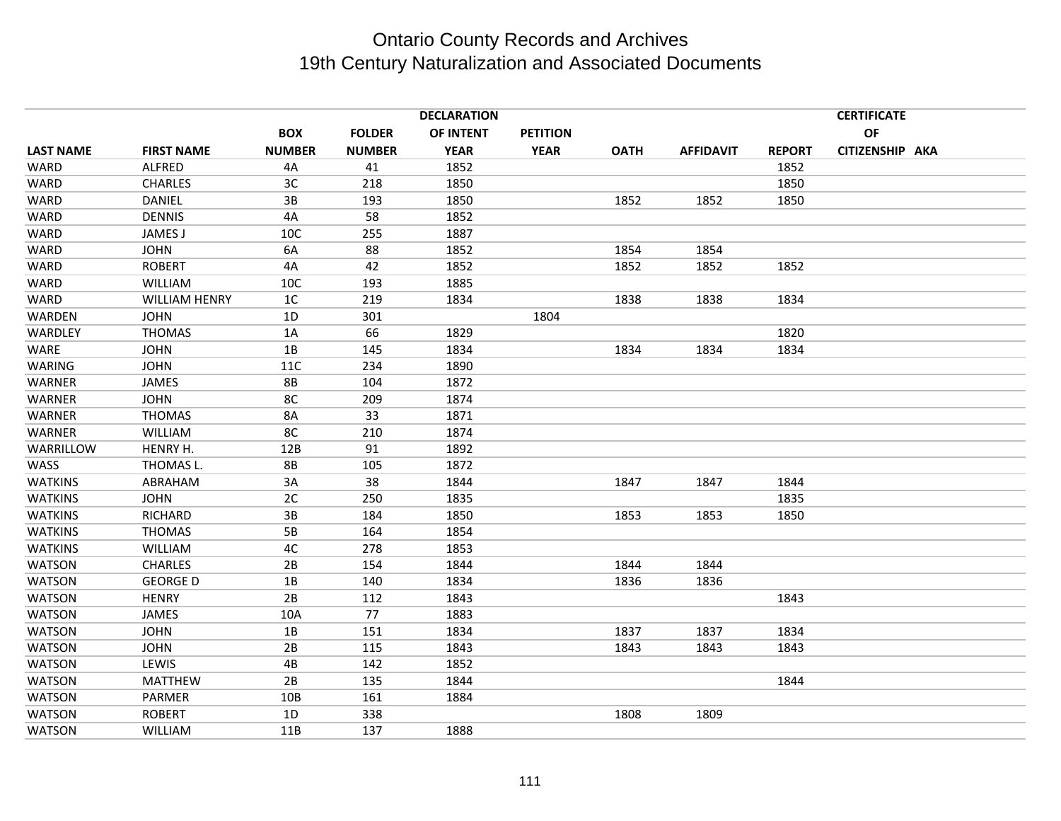|                      |               |               | <b>DECLARATION</b> |                 |             |                  |               | <b>CERTIFICATE</b> |                 |
|----------------------|---------------|---------------|--------------------|-----------------|-------------|------------------|---------------|--------------------|-----------------|
|                      | <b>BOX</b>    | <b>FOLDER</b> | OF INTENT          | <b>PETITION</b> |             |                  |               | OF                 |                 |
| <b>FIRST NAME</b>    | <b>NUMBER</b> | <b>NUMBER</b> | <b>YEAR</b>        | <b>YEAR</b>     | <b>OATH</b> | <b>AFFIDAVIT</b> | <b>REPORT</b> |                    |                 |
| ALFRED               | 4A            | 41            | 1852               |                 |             |                  | 1852          |                    |                 |
| <b>CHARLES</b>       | 3C            | 218           | 1850               |                 |             |                  | 1850          |                    |                 |
| <b>DANIEL</b>        | 3B            | 193           | 1850               |                 | 1852        | 1852             | 1850          |                    |                 |
| <b>DENNIS</b>        | 4A            | 58            | 1852               |                 |             |                  |               |                    |                 |
| JAMES J              | 10C           | 255           | 1887               |                 |             |                  |               |                    |                 |
| <b>JOHN</b>          | 6A            | 88            | 1852               |                 | 1854        | 1854             |               |                    |                 |
| <b>ROBERT</b>        | 4A            | 42            | 1852               |                 | 1852        | 1852             | 1852          |                    |                 |
| <b>WILLIAM</b>       | 10C           | 193           | 1885               |                 |             |                  |               |                    |                 |
| <b>WILLIAM HENRY</b> | 1C            | 219           | 1834               |                 | 1838        | 1838             | 1834          |                    |                 |
| <b>JOHN</b>          | 1D            | 301           |                    | 1804            |             |                  |               |                    |                 |
| <b>THOMAS</b>        | 1A            | 66            | 1829               |                 |             |                  | 1820          |                    |                 |
| <b>JOHN</b>          | 1B            | 145           | 1834               |                 | 1834        | 1834             | 1834          |                    |                 |
| <b>JOHN</b>          | 11C           | 234           | 1890               |                 |             |                  |               |                    |                 |
| JAMES                | <b>8B</b>     | 104           | 1872               |                 |             |                  |               |                    |                 |
| <b>JOHN</b>          | 8C            | 209           | 1874               |                 |             |                  |               |                    |                 |
| <b>THOMAS</b>        | 8A            | 33            | 1871               |                 |             |                  |               |                    |                 |
| WILLIAM              | 8C            | 210           | 1874               |                 |             |                  |               |                    |                 |
| HENRY H.             | 12B           | 91            | 1892               |                 |             |                  |               |                    |                 |
| THOMAS L.            | <b>8B</b>     | 105           | 1872               |                 |             |                  |               |                    |                 |
| ABRAHAM              | 3A            | 38            | 1844               |                 | 1847        | 1847             | 1844          |                    |                 |
| <b>JOHN</b>          | 2C            | 250           | 1835               |                 |             |                  | 1835          |                    |                 |
| RICHARD              | 3B            | 184           | 1850               |                 | 1853        | 1853             | 1850          |                    |                 |
| <b>THOMAS</b>        | $5B$          | 164           | 1854               |                 |             |                  |               |                    |                 |
| WILLIAM              | 4C            | 278           | 1853               |                 |             |                  |               |                    |                 |
| <b>CHARLES</b>       | 2B            | 154           | 1844               |                 | 1844        | 1844             |               |                    |                 |
| <b>GEORGE D</b>      | 1B            | 140           | 1834               |                 | 1836        | 1836             |               |                    |                 |
| <b>HENRY</b>         | 2B            | 112           | 1843               |                 |             |                  | 1843          |                    |                 |
| <b>JAMES</b>         | 10A           | 77            | 1883               |                 |             |                  |               |                    |                 |
| <b>JOHN</b>          | 1B            | 151           | 1834               |                 | 1837        | 1837             | 1834          |                    |                 |
| <b>JOHN</b>          | 2B            | 115           | 1843               |                 | 1843        | 1843             | 1843          |                    |                 |
| LEWIS                | 4B            | 142           | 1852               |                 |             |                  |               |                    |                 |
| <b>MATTHEW</b>       | 2B            | 135           | 1844               |                 |             |                  | 1844          |                    |                 |
| PARMER               | 10B           | 161           | 1884               |                 |             |                  |               |                    |                 |
| <b>ROBERT</b>        | 1D            | 338           |                    |                 | 1808        | 1809             |               |                    |                 |
| WILLIAM              | 11B           | 137           | 1888               |                 |             |                  |               |                    |                 |
|                      |               |               |                    |                 |             |                  |               |                    | CITIZENSHIP AKA |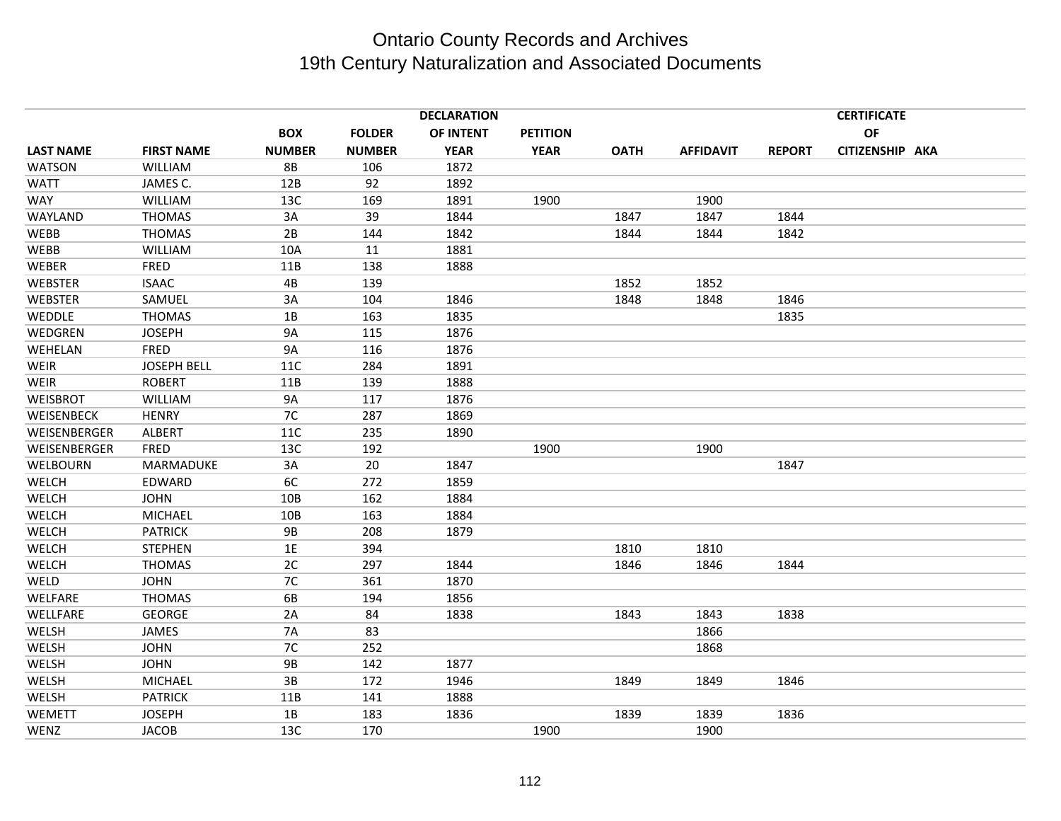|                  |                    | <b>DECLARATION</b> |               |             |                 |             |                  | <b>CERTIFICATE</b> |                 |  |  |
|------------------|--------------------|--------------------|---------------|-------------|-----------------|-------------|------------------|--------------------|-----------------|--|--|
|                  |                    | <b>BOX</b>         | <b>FOLDER</b> | OF INTENT   | <b>PETITION</b> |             |                  |                    | OF              |  |  |
| <b>LAST NAME</b> | <b>FIRST NAME</b>  | <b>NUMBER</b>      | <b>NUMBER</b> | <b>YEAR</b> | <b>YEAR</b>     | <b>OATH</b> | <b>AFFIDAVIT</b> | <b>REPORT</b>      | CITIZENSHIP AKA |  |  |
| WATSON           | <b>WILLIAM</b>     | <b>8B</b>          | 106           | 1872        |                 |             |                  |                    |                 |  |  |
| <b>WATT</b>      | JAMES C.           | 12B                | 92            | 1892        |                 |             |                  |                    |                 |  |  |
| <b>WAY</b>       | WILLIAM            | 13C                | 169           | 1891        | 1900            |             | 1900             |                    |                 |  |  |
| WAYLAND          | <b>THOMAS</b>      | 3A                 | 39            | 1844        |                 | 1847        | 1847             | 1844               |                 |  |  |
| WEBB             | <b>THOMAS</b>      | 2B                 | 144           | 1842        |                 | 1844        | 1844             | 1842               |                 |  |  |
| <b>WEBB</b>      | WILLIAM            | 10A                | 11            | 1881        |                 |             |                  |                    |                 |  |  |
| WEBER            | FRED               | 11B                | 138           | 1888        |                 |             |                  |                    |                 |  |  |
| <b>WEBSTER</b>   | <b>ISAAC</b>       | 4B                 | 139           |             |                 | 1852        | 1852             |                    |                 |  |  |
| <b>WEBSTER</b>   | SAMUEL             | 3A                 | 104           | 1846        |                 | 1848        | 1848             | 1846               |                 |  |  |
| WEDDLE           | <b>THOMAS</b>      | 1B                 | 163           | 1835        |                 |             |                  | 1835               |                 |  |  |
| WEDGREN          | <b>JOSEPH</b>      | <b>9A</b>          | 115           | 1876        |                 |             |                  |                    |                 |  |  |
| WEHELAN          | FRED               | <b>9A</b>          | 116           | 1876        |                 |             |                  |                    |                 |  |  |
| <b>WEIR</b>      | <b>JOSEPH BELL</b> | 11C                | 284           | 1891        |                 |             |                  |                    |                 |  |  |
| <b>WEIR</b>      | <b>ROBERT</b>      | 11B                | 139           | 1888        |                 |             |                  |                    |                 |  |  |
| <b>WEISBROT</b>  | <b>WILLIAM</b>     | <b>9A</b>          | 117           | 1876        |                 |             |                  |                    |                 |  |  |
| WEISENBECK       | <b>HENRY</b>       | 7C                 | 287           | 1869        |                 |             |                  |                    |                 |  |  |
| WEISENBERGER     | <b>ALBERT</b>      | 11C                | 235           | 1890        |                 |             |                  |                    |                 |  |  |
| WEISENBERGER     | <b>FRED</b>        | 13C                | 192           |             | 1900            |             | 1900             |                    |                 |  |  |
| WELBOURN         | MARMADUKE          | 3A                 | 20            | 1847        |                 |             |                  | 1847               |                 |  |  |
| WELCH            | EDWARD             | 6C                 | 272           | 1859        |                 |             |                  |                    |                 |  |  |
| <b>WELCH</b>     | <b>JOHN</b>        | 10B                | 162           | 1884        |                 |             |                  |                    |                 |  |  |
| WELCH            | <b>MICHAEL</b>     | 10B                | 163           | 1884        |                 |             |                  |                    |                 |  |  |
| WELCH            | <b>PATRICK</b>     | <b>9B</b>          | 208           | 1879        |                 |             |                  |                    |                 |  |  |
| WELCH            | <b>STEPHEN</b>     | 1E                 | 394           |             |                 | 1810        | 1810             |                    |                 |  |  |
| WELCH            | <b>THOMAS</b>      | 2C                 | 297           | 1844        |                 | 1846        | 1846             | 1844               |                 |  |  |
| WELD             | <b>JOHN</b>        | 7C                 | 361           | 1870        |                 |             |                  |                    |                 |  |  |
| WELFARE          | <b>THOMAS</b>      | 6B                 | 194           | 1856        |                 |             |                  |                    |                 |  |  |
| WELLFARE         | <b>GEORGE</b>      | 2A                 | 84            | 1838        |                 | 1843        | 1843             | 1838               |                 |  |  |
| WELSH            | JAMES              | <b>7A</b>          | 83            |             |                 |             | 1866             |                    |                 |  |  |
| WELSH            | <b>JOHN</b>        | 7C                 | 252           |             |                 |             | 1868             |                    |                 |  |  |
| WELSH            | <b>JOHN</b>        | <b>9B</b>          | 142           | 1877        |                 |             |                  |                    |                 |  |  |
| WELSH            | <b>MICHAEL</b>     | 3B                 | 172           | 1946        |                 | 1849        | 1849             | 1846               |                 |  |  |
| WELSH            | <b>PATRICK</b>     | 11B                | 141           | 1888        |                 |             |                  |                    |                 |  |  |
| <b>WEMETT</b>    | <b>JOSEPH</b>      | 1B                 | 183           | 1836        |                 | 1839        | 1839             | 1836               |                 |  |  |
| WENZ             | <b>JACOB</b>       | 13C                | 170           |             | 1900            |             | 1900             |                    |                 |  |  |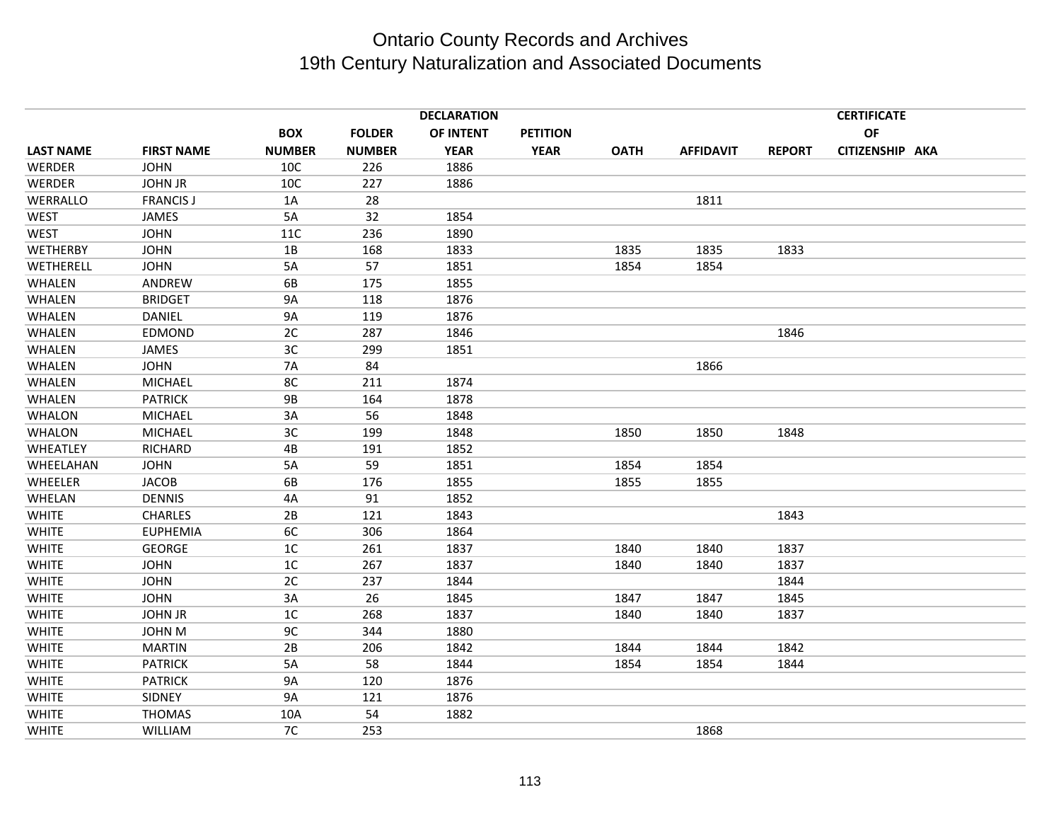|                  |                   |               |               | <b>DECLARATION</b> |                 |             |                  |               | <b>CERTIFICATE</b> |  |
|------------------|-------------------|---------------|---------------|--------------------|-----------------|-------------|------------------|---------------|--------------------|--|
|                  |                   | <b>BOX</b>    | <b>FOLDER</b> | OF INTENT          | <b>PETITION</b> |             |                  |               | OF                 |  |
| <b>LAST NAME</b> | <b>FIRST NAME</b> | <b>NUMBER</b> | <b>NUMBER</b> | <b>YEAR</b>        | <b>YEAR</b>     | <b>OATH</b> | <b>AFFIDAVIT</b> | <b>REPORT</b> | CITIZENSHIP AKA    |  |
| WERDER           | <b>JOHN</b>       | 10C           | 226           | 1886               |                 |             |                  |               |                    |  |
| WERDER           | <b>JOHN JR</b>    | 10C           | 227           | 1886               |                 |             |                  |               |                    |  |
| WERRALLO         | <b>FRANCIS J</b>  | 1A            | 28            |                    |                 |             | 1811             |               |                    |  |
| <b>WEST</b>      | JAMES             | 5A            | 32            | 1854               |                 |             |                  |               |                    |  |
| <b>WEST</b>      | <b>JOHN</b>       | <b>11C</b>    | 236           | 1890               |                 |             |                  |               |                    |  |
| WETHERBY         | <b>JOHN</b>       | 1B            | 168           | 1833               |                 | 1835        | 1835             | 1833          |                    |  |
| WETHERELL        | <b>JOHN</b>       | 5A            | 57            | 1851               |                 | 1854        | 1854             |               |                    |  |
| WHALEN           | ANDREW            | 6B            | 175           | 1855               |                 |             |                  |               |                    |  |
| WHALEN           | <b>BRIDGET</b>    | <b>9A</b>     | 118           | 1876               |                 |             |                  |               |                    |  |
| WHALEN           | DANIEL            | <b>9A</b>     | 119           | 1876               |                 |             |                  |               |                    |  |
| WHALEN           | EDMOND            | 2C            | 287           | 1846               |                 |             |                  | 1846          |                    |  |
| WHALEN           | JAMES             | 3C            | 299           | 1851               |                 |             |                  |               |                    |  |
| WHALEN           | <b>JOHN</b>       | <b>7A</b>     | 84            |                    |                 |             | 1866             |               |                    |  |
| WHALEN           | MICHAEL           | 8C            | 211           | 1874               |                 |             |                  |               |                    |  |
| WHALEN           | <b>PATRICK</b>    | <b>9B</b>     | 164           | 1878               |                 |             |                  |               |                    |  |
| <b>WHALON</b>    | <b>MICHAEL</b>    | 3A            | 56            | 1848               |                 |             |                  |               |                    |  |
| <b>WHALON</b>    | <b>MICHAEL</b>    | 3C            | 199           | 1848               |                 | 1850        | 1850             | 1848          |                    |  |
| WHEATLEY         | RICHARD           | 4B            | 191           | 1852               |                 |             |                  |               |                    |  |
| WHEELAHAN        | <b>JOHN</b>       | 5A            | 59            | 1851               |                 | 1854        | 1854             |               |                    |  |
| WHEELER          | <b>JACOB</b>      | 6B            | 176           | 1855               |                 | 1855        | 1855             |               |                    |  |
| WHELAN           | <b>DENNIS</b>     | 4A            | 91            | 1852               |                 |             |                  |               |                    |  |
| <b>WHITE</b>     | <b>CHARLES</b>    | 2B            | 121           | 1843               |                 |             |                  | 1843          |                    |  |
| <b>WHITE</b>     | <b>EUPHEMIA</b>   | 6C            | 306           | 1864               |                 |             |                  |               |                    |  |
| <b>WHITE</b>     | <b>GEORGE</b>     | 1C            | 261           | 1837               |                 | 1840        | 1840             | 1837          |                    |  |
| <b>WHITE</b>     | <b>JOHN</b>       | 1C            | 267           | 1837               |                 | 1840        | 1840             | 1837          |                    |  |
| <b>WHITE</b>     | <b>JOHN</b>       | 2C            | 237           | 1844               |                 |             |                  | 1844          |                    |  |
| <b>WHITE</b>     | <b>JOHN</b>       | 3A            | 26            | 1845               |                 | 1847        | 1847             | 1845          |                    |  |
| <b>WHITE</b>     | <b>JOHN JR</b>    | $1\textrm{C}$ | 268           | 1837               |                 | 1840        | 1840             | 1837          |                    |  |
| <b>WHITE</b>     | <b>JOHN M</b>     | 9C            | 344           | 1880               |                 |             |                  |               |                    |  |
| <b>WHITE</b>     | <b>MARTIN</b>     | 2B            | 206           | 1842               |                 | 1844        | 1844             | 1842          |                    |  |
| <b>WHITE</b>     | <b>PATRICK</b>    | 5A            | 58            | 1844               |                 | 1854        | 1854             | 1844          |                    |  |
| <b>WHITE</b>     | <b>PATRICK</b>    | <b>9A</b>     | 120           | 1876               |                 |             |                  |               |                    |  |
| <b>WHITE</b>     | SIDNEY            | <b>9A</b>     | 121           | 1876               |                 |             |                  |               |                    |  |
| <b>WHITE</b>     | <b>THOMAS</b>     | 10A           | 54            | 1882               |                 |             |                  |               |                    |  |
| WHITE            | WILLIAM           | 7C            | 253           |                    |                 |             | 1868             |               |                    |  |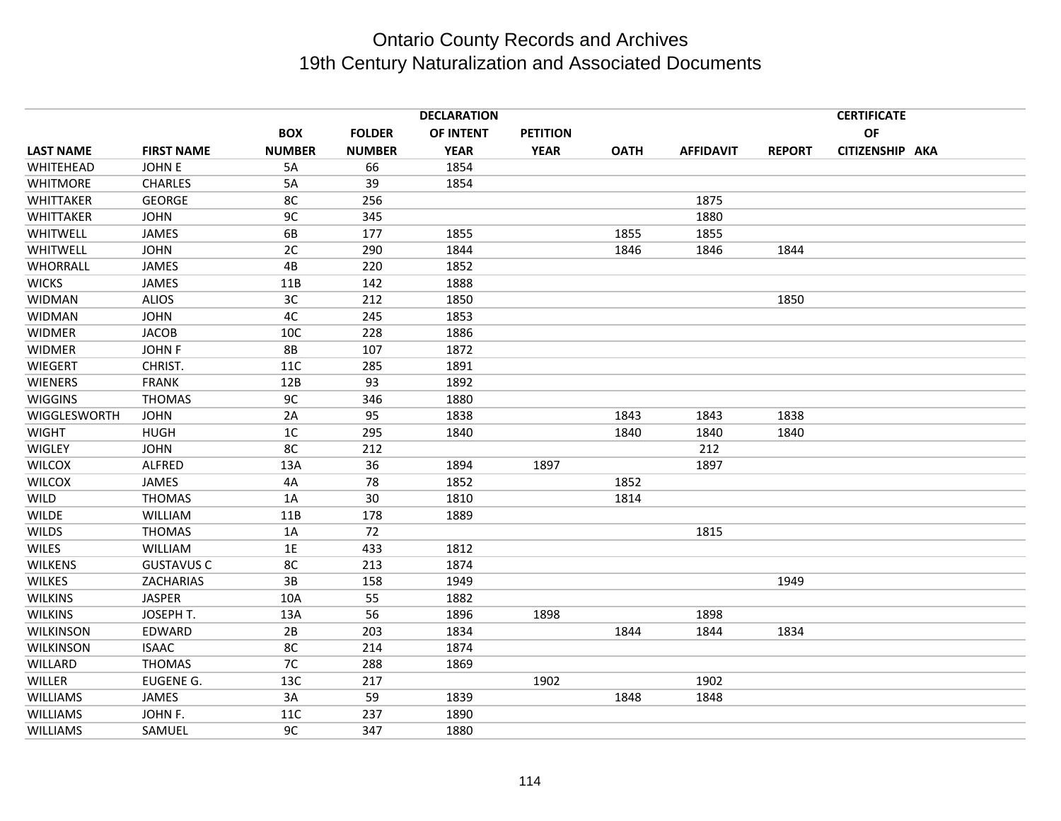|                  |                   |                |               | <b>DECLARATION</b> |                 |             |                  |               | <b>CERTIFICATE</b> |  |
|------------------|-------------------|----------------|---------------|--------------------|-----------------|-------------|------------------|---------------|--------------------|--|
|                  |                   | <b>BOX</b>     | <b>FOLDER</b> | OF INTENT          | <b>PETITION</b> |             |                  |               | <b>OF</b>          |  |
| <b>LAST NAME</b> | <b>FIRST NAME</b> | <b>NUMBER</b>  | <b>NUMBER</b> | <b>YEAR</b>        | <b>YEAR</b>     | <b>OATH</b> | <b>AFFIDAVIT</b> | <b>REPORT</b> | CITIZENSHIP AKA    |  |
| WHITEHEAD        | <b>JOHNE</b>      | 5A             | 66            | 1854               |                 |             |                  |               |                    |  |
| <b>WHITMORE</b>  | <b>CHARLES</b>    | 5A             | 39            | 1854               |                 |             |                  |               |                    |  |
| WHITTAKER        | <b>GEORGE</b>     | 8C             | 256           |                    |                 |             | 1875             |               |                    |  |
| WHITTAKER        | <b>JOHN</b>       | 9C             | 345           |                    |                 |             | 1880             |               |                    |  |
| WHITWELL         | <b>JAMES</b>      | 6B             | 177           | 1855               |                 | 1855        | 1855             |               |                    |  |
| WHITWELL         | <b>JOHN</b>       | 2C             | 290           | 1844               |                 | 1846        | 1846             | 1844          |                    |  |
| WHORRALL         | JAMES             | 4B             | 220           | 1852               |                 |             |                  |               |                    |  |
| <b>WICKS</b>     | <b>JAMES</b>      | 11B            | 142           | 1888               |                 |             |                  |               |                    |  |
| <b>WIDMAN</b>    | <b>ALIOS</b>      | 3C             | 212           | 1850               |                 |             |                  | 1850          |                    |  |
| <b>WIDMAN</b>    | <b>JOHN</b>       | 4C             | 245           | 1853               |                 |             |                  |               |                    |  |
| <b>WIDMER</b>    | <b>JACOB</b>      | 10C            | 228           | 1886               |                 |             |                  |               |                    |  |
| <b>WIDMER</b>    | <b>JOHN F</b>     | <b>8B</b>      | 107           | 1872               |                 |             |                  |               |                    |  |
| WIEGERT          | CHRIST.           | 11C            | 285           | 1891               |                 |             |                  |               |                    |  |
| <b>WIENERS</b>   | <b>FRANK</b>      | 12B            | 93            | 1892               |                 |             |                  |               |                    |  |
| <b>WIGGINS</b>   | <b>THOMAS</b>     | 9C             | 346           | 1880               |                 |             |                  |               |                    |  |
| WIGGLESWORTH     | <b>JOHN</b>       | 2A             | 95            | 1838               |                 | 1843        | 1843             | 1838          |                    |  |
| <b>WIGHT</b>     | <b>HUGH</b>       | 1 <sup>C</sup> | 295           | 1840               |                 | 1840        | 1840             | 1840          |                    |  |
| WIGLEY           | <b>JOHN</b>       | 8C             | 212           |                    |                 |             | 212              |               |                    |  |
| <b>WILCOX</b>    | ALFRED            | 13A            | 36            | 1894               | 1897            |             | 1897             |               |                    |  |
| <b>WILCOX</b>    | JAMES             | 4A             | 78            | 1852               |                 | 1852        |                  |               |                    |  |
| <b>WILD</b>      | <b>THOMAS</b>     | 1A             | 30            | 1810               |                 | 1814        |                  |               |                    |  |
| <b>WILDE</b>     | WILLIAM           | 11B            | 178           | 1889               |                 |             |                  |               |                    |  |
| <b>WILDS</b>     | <b>THOMAS</b>     | 1A             | 72            |                    |                 |             | 1815             |               |                    |  |
| <b>WILES</b>     | WILLIAM           | 1E             | 433           | 1812               |                 |             |                  |               |                    |  |
| <b>WILKENS</b>   | <b>GUSTAVUS C</b> | 8C             | 213           | 1874               |                 |             |                  |               |                    |  |
| <b>WILKES</b>    | ZACHARIAS         | 3B             | 158           | 1949               |                 |             |                  | 1949          |                    |  |
| <b>WILKINS</b>   | <b>JASPER</b>     | 10A            | 55            | 1882               |                 |             |                  |               |                    |  |
| <b>WILKINS</b>   | JOSEPH T.         | 13A            | 56            | 1896               | 1898            |             | 1898             |               |                    |  |
| <b>WILKINSON</b> | EDWARD            | 2B             | 203           | 1834               |                 | 1844        | 1844             | 1834          |                    |  |
| <b>WILKINSON</b> | <b>ISAAC</b>      | 8C             | 214           | 1874               |                 |             |                  |               |                    |  |
| WILLARD          | <b>THOMAS</b>     | 7C             | 288           | 1869               |                 |             |                  |               |                    |  |
| <b>WILLER</b>    | EUGENE G.         | 13C            | 217           |                    | 1902            |             | 1902             |               |                    |  |
| <b>WILLIAMS</b>  | <b>JAMES</b>      | 3A             | 59            | 1839               |                 | 1848        | 1848             |               |                    |  |
| <b>WILLIAMS</b>  | JOHN F.           | 11C            | 237           | 1890               |                 |             |                  |               |                    |  |
| <b>WILLIAMS</b>  | SAMUEL            | 9C             | 347           | 1880               |                 |             |                  |               |                    |  |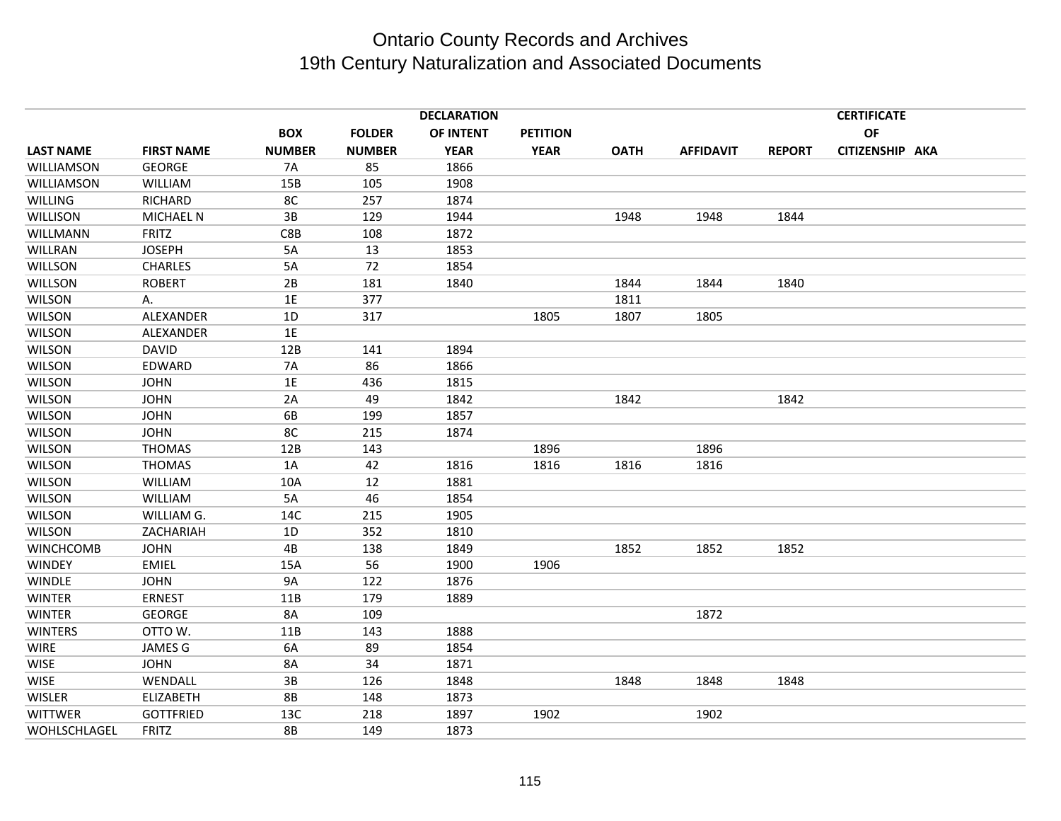|                  |                   |                |               | <b>DECLARATION</b> |                 |             |                  |               | <b>CERTIFICATE</b> |  |
|------------------|-------------------|----------------|---------------|--------------------|-----------------|-------------|------------------|---------------|--------------------|--|
|                  |                   | <b>BOX</b>     | <b>FOLDER</b> | OF INTENT          | <b>PETITION</b> |             |                  |               | OF                 |  |
| <b>LAST NAME</b> | <b>FIRST NAME</b> | <b>NUMBER</b>  | <b>NUMBER</b> | <b>YEAR</b>        | <b>YEAR</b>     | <b>OATH</b> | <b>AFFIDAVIT</b> | <b>REPORT</b> | CITIZENSHIP AKA    |  |
| WILLIAMSON       | <b>GEORGE</b>     | <b>7A</b>      | 85            | 1866               |                 |             |                  |               |                    |  |
| WILLIAMSON       | WILLIAM           | 15B            | 105           | 1908               |                 |             |                  |               |                    |  |
| <b>WILLING</b>   | RICHARD           | 8 <sub>C</sub> | 257           | 1874               |                 |             |                  |               |                    |  |
| WILLISON         | <b>MICHAEL N</b>  | $3B$           | 129           | 1944               |                 | 1948        | 1948             | 1844          |                    |  |
| WILLMANN         | <b>FRITZ</b>      | C8B            | 108           | 1872               |                 |             |                  |               |                    |  |
| WILLRAN          | <b>JOSEPH</b>     | 5A             | 13            | 1853               |                 |             |                  |               |                    |  |
| <b>WILLSON</b>   | <b>CHARLES</b>    | 5A             | 72            | 1854               |                 |             |                  |               |                    |  |
| <b>WILLSON</b>   | <b>ROBERT</b>     | 2B             | 181           | 1840               |                 | 1844        | 1844             | 1840          |                    |  |
| <b>WILSON</b>    | Α.                | 1E             | 377           |                    |                 | 1811        |                  |               |                    |  |
| <b>WILSON</b>    | ALEXANDER         | 1D             | 317           |                    | 1805            | 1807        | 1805             |               |                    |  |
| <b>WILSON</b>    | ALEXANDER         | 1E             |               |                    |                 |             |                  |               |                    |  |
| <b>WILSON</b>    | <b>DAVID</b>      | 12B            | 141           | 1894               |                 |             |                  |               |                    |  |
| <b>WILSON</b>    | EDWARD            | <b>7A</b>      | 86            | 1866               |                 |             |                  |               |                    |  |
| <b>WILSON</b>    | <b>JOHN</b>       | 1E             | 436           | 1815               |                 |             |                  |               |                    |  |
| <b>WILSON</b>    | <b>JOHN</b>       | 2A             | 49            | 1842               |                 | 1842        |                  | 1842          |                    |  |
| <b>WILSON</b>    | <b>JOHN</b>       | 6B             | 199           | 1857               |                 |             |                  |               |                    |  |
| <b>WILSON</b>    | <b>JOHN</b>       | 8C             | 215           | 1874               |                 |             |                  |               |                    |  |
| <b>WILSON</b>    | <b>THOMAS</b>     | 12B            | 143           |                    | 1896            |             | 1896             |               |                    |  |
| <b>WILSON</b>    | <b>THOMAS</b>     | 1A             | 42            | 1816               | 1816            | 1816        | 1816             |               |                    |  |
| <b>WILSON</b>    | WILLIAM           | 10A            | 12            | 1881               |                 |             |                  |               |                    |  |
| <b>WILSON</b>    | <b>WILLIAM</b>    | 5A             | 46            | 1854               |                 |             |                  |               |                    |  |
| <b>WILSON</b>    | WILLIAM G.        | 14C            | 215           | 1905               |                 |             |                  |               |                    |  |
| <b>WILSON</b>    | ZACHARIAH         | 1D             | 352           | 1810               |                 |             |                  |               |                    |  |
| <b>WINCHCOMB</b> | <b>JOHN</b>       | 4B             | 138           | 1849               |                 | 1852        | 1852             | 1852          |                    |  |
| <b>WINDEY</b>    | <b>EMIEL</b>      | 15A            | 56            | 1900               | 1906            |             |                  |               |                    |  |
| <b>WINDLE</b>    | <b>JOHN</b>       | <b>9A</b>      | 122           | 1876               |                 |             |                  |               |                    |  |
| <b>WINTER</b>    | <b>ERNEST</b>     | 11B            | 179           | 1889               |                 |             |                  |               |                    |  |
| <b>WINTER</b>    | <b>GEORGE</b>     | 8A             | 109           |                    |                 |             | 1872             |               |                    |  |
| <b>WINTERS</b>   | OTTO W.           | 11B            | 143           | 1888               |                 |             |                  |               |                    |  |
| <b>WIRE</b>      | JAMES G           | 6A             | 89            | 1854               |                 |             |                  |               |                    |  |
| <b>WISE</b>      | <b>JOHN</b>       | 8A             | 34            | 1871               |                 |             |                  |               |                    |  |
| <b>WISE</b>      | WENDALL           | 3B             | 126           | 1848               |                 | 1848        | 1848             | 1848          |                    |  |
| <b>WISLER</b>    | <b>ELIZABETH</b>  | <b>8B</b>      | 148           | 1873               |                 |             |                  |               |                    |  |
| <b>WITTWER</b>   | <b>GOTTFRIED</b>  | 13C            | 218           | 1897               | 1902            |             | 1902             |               |                    |  |
| WOHLSCHLAGEL     | <b>FRITZ</b>      | <b>8B</b>      | 149           | 1873               |                 |             |                  |               |                    |  |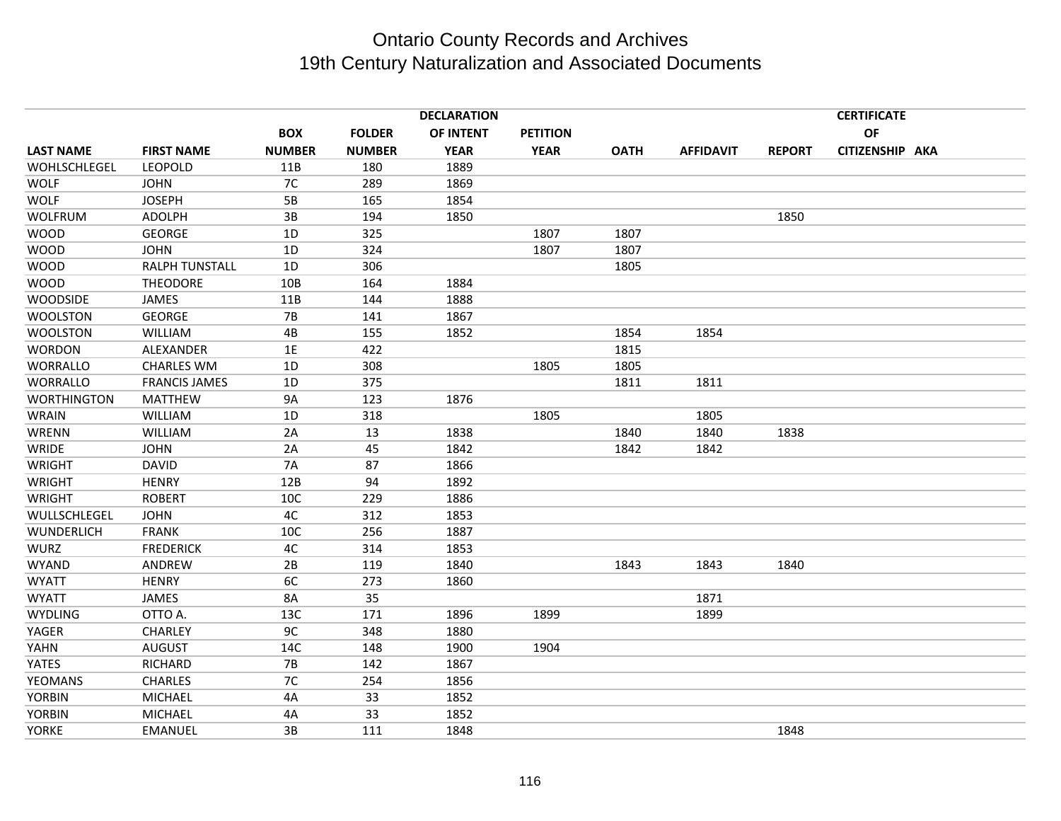|                    |                       |               |               | <b>DECLARATION</b> |                 |             |                  |               | <b>CERTIFICATE</b> |  |
|--------------------|-----------------------|---------------|---------------|--------------------|-----------------|-------------|------------------|---------------|--------------------|--|
|                    |                       | <b>BOX</b>    | <b>FOLDER</b> | OF INTENT          | <b>PETITION</b> |             |                  |               | <b>OF</b>          |  |
| <b>LAST NAME</b>   | <b>FIRST NAME</b>     | <b>NUMBER</b> | <b>NUMBER</b> | <b>YEAR</b>        | <b>YEAR</b>     | <b>OATH</b> | <b>AFFIDAVIT</b> | <b>REPORT</b> | CITIZENSHIP AKA    |  |
| WOHLSCHLEGEL       | <b>LEOPOLD</b>        | 11B           | 180           | 1889               |                 |             |                  |               |                    |  |
| <b>WOLF</b>        | <b>JOHN</b>           | 7C            | 289           | 1869               |                 |             |                  |               |                    |  |
| <b>WOLF</b>        | <b>JOSEPH</b>         | 5B            | 165           | 1854               |                 |             |                  |               |                    |  |
| <b>WOLFRUM</b>     | <b>ADOLPH</b>         | 3B            | 194           | 1850               |                 |             |                  | 1850          |                    |  |
| <b>WOOD</b>        | <b>GEORGE</b>         | $1D$          | 325           |                    | 1807            | 1807        |                  |               |                    |  |
| <b>WOOD</b>        | <b>JOHN</b>           | 1D            | 324           |                    | 1807            | 1807        |                  |               |                    |  |
| <b>WOOD</b>        | <b>RALPH TUNSTALL</b> | 1D            | 306           |                    |                 | 1805        |                  |               |                    |  |
| <b>WOOD</b>        | <b>THEODORE</b>       | 10B           | 164           | 1884               |                 |             |                  |               |                    |  |
| <b>WOODSIDE</b>    | JAMES                 | 11B           | 144           | 1888               |                 |             |                  |               |                    |  |
| <b>WOOLSTON</b>    | <b>GEORGE</b>         | <b>7B</b>     | 141           | 1867               |                 |             |                  |               |                    |  |
| <b>WOOLSTON</b>    | <b>WILLIAM</b>        | 4B            | 155           | 1852               |                 | 1854        | 1854             |               |                    |  |
| <b>WORDON</b>      | ALEXANDER             | 1E            | 422           |                    |                 | 1815        |                  |               |                    |  |
| <b>WORRALLO</b>    | <b>CHARLES WM</b>     | 1D            | 308           |                    | 1805            | 1805        |                  |               |                    |  |
| <b>WORRALLO</b>    | <b>FRANCIS JAMES</b>  | 1D            | 375           |                    |                 | 1811        | 1811             |               |                    |  |
| <b>WORTHINGTON</b> | <b>MATTHEW</b>        | <b>9A</b>     | 123           | 1876               |                 |             |                  |               |                    |  |
| <b>WRAIN</b>       | <b>WILLIAM</b>        | 1D            | 318           |                    | 1805            |             | 1805             |               |                    |  |
| WRENN              | <b>WILLIAM</b>        | 2A            | 13            | 1838               |                 | 1840        | 1840             | 1838          |                    |  |
| <b>WRIDE</b>       | <b>JOHN</b>           | 2A            | 45            | 1842               |                 | 1842        | 1842             |               |                    |  |
| <b>WRIGHT</b>      | <b>DAVID</b>          | <b>7A</b>     | 87            | 1866               |                 |             |                  |               |                    |  |
| <b>WRIGHT</b>      | <b>HENRY</b>          | 12B           | 94            | 1892               |                 |             |                  |               |                    |  |
| <b>WRIGHT</b>      | <b>ROBERT</b>         | 10C           | 229           | 1886               |                 |             |                  |               |                    |  |
| WULLSCHLEGEL       | <b>JOHN</b>           | 4C            | 312           | 1853               |                 |             |                  |               |                    |  |
| <b>WUNDERLICH</b>  | <b>FRANK</b>          | 10C           | 256           | 1887               |                 |             |                  |               |                    |  |
| <b>WURZ</b>        | <b>FREDERICK</b>      | 4C            | 314           | 1853               |                 |             |                  |               |                    |  |
| WYAND              | ANDREW                | 2B            | 119           | 1840               |                 | 1843        | 1843             | 1840          |                    |  |
| <b>WYATT</b>       | <b>HENRY</b>          | 6C            | 273           | 1860               |                 |             |                  |               |                    |  |
| <b>WYATT</b>       | JAMES                 | <b>8A</b>     | 35            |                    |                 |             | 1871             |               |                    |  |
| <b>WYDLING</b>     | OTTO A.               | 13C           | 171           | 1896               | 1899            |             | 1899             |               |                    |  |
| YAGER              | CHARLEY               | 9C            | 348           | 1880               |                 |             |                  |               |                    |  |
| YAHN               | <b>AUGUST</b>         | 14C           | 148           | 1900               | 1904            |             |                  |               |                    |  |
| YATES              | <b>RICHARD</b>        | <b>7B</b>     | 142           | 1867               |                 |             |                  |               |                    |  |
| <b>YEOMANS</b>     | <b>CHARLES</b>        | 7C            | 254           | 1856               |                 |             |                  |               |                    |  |
| <b>YORBIN</b>      | <b>MICHAEL</b>        | 4A            | 33            | 1852               |                 |             |                  |               |                    |  |
| <b>YORBIN</b>      | <b>MICHAEL</b>        | 4A            | 33            | 1852               |                 |             |                  |               |                    |  |
| <b>YORKE</b>       | <b>EMANUEL</b>        | 3B            | 111           | 1848               |                 |             |                  | 1848          |                    |  |